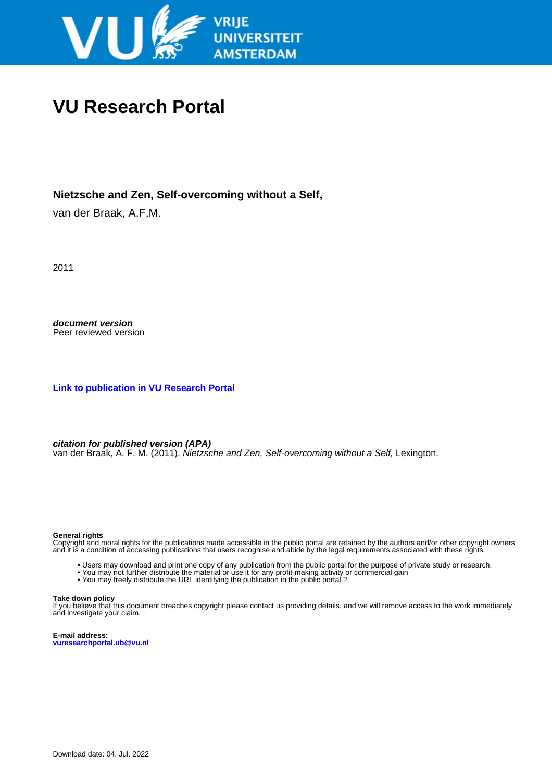

## **VU Research Portal**

**Nietzsche and Zen, Self-overcoming without a Self,**

van der Braak, A.F.M.

2011

**document version** Peer reviewed version

**[Link to publication in VU Research Portal](https://research.vu.nl/en/publications/bad09ae1-5e5f-406b-988b-93f1cc874238)**

**citation for published version (APA)** van der Braak, A. F. M. (2011). Nietzsche and Zen, Self-overcoming without a Self, Lexington.

### **General rights**

Copyright and moral rights for the publications made accessible in the public portal are retained by the authors and/or other copyright owners and it is a condition of accessing publications that users recognise and abide by the legal requirements associated with these rights.

- Users may download and print one copy of any publication from the public portal for the purpose of private study or research.
- You may not further distribute the material or use it for any profit-making activity or commercial gain
- You may freely distribute the URL identifying the publication in the public portal?

### **Take down policy**

If you believe that this document breaches copyright please contact us providing details, and we will remove access to the work immediately and investigate your claim.

**E-mail address: vuresearchportal.ub@vu.nl**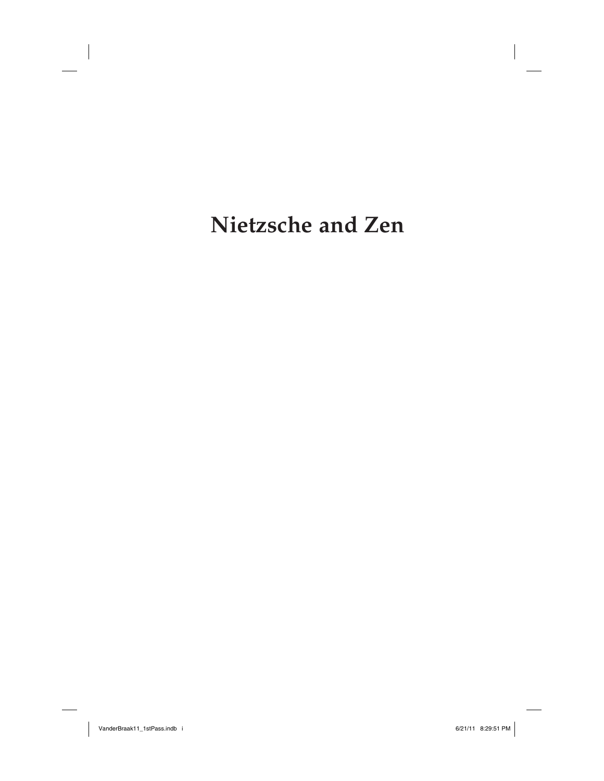**Nietzsche and Zen**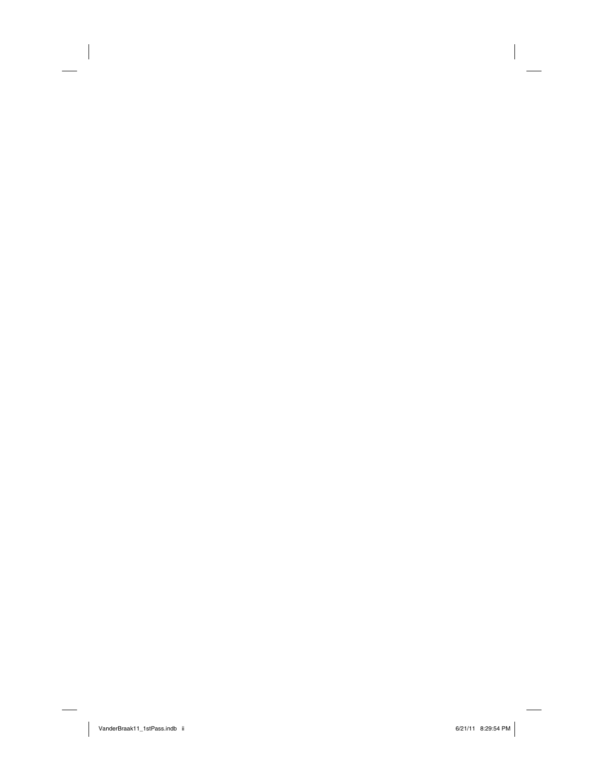VanderBraak11\_1stPass.indb ii ander Brass.indb ii ander Brass.indb 6/21/11 8:29:54 PM  $\big|$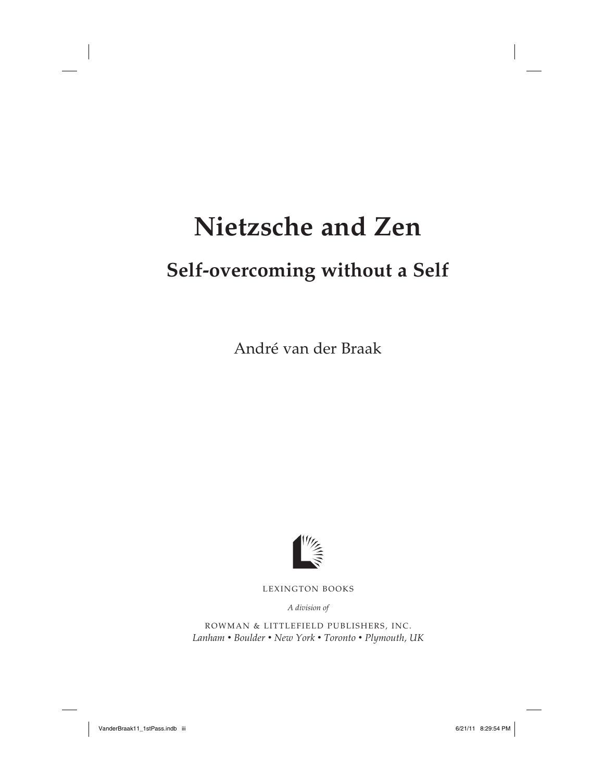# **Nietzsche and Zen**

## **Self-overcoming without a Self**

André van der Braak



LEXINGTON BOOKS

*A division of*

ROWMAN & LITTLEFIELD PUBLISHERS, INC. *Lanham • Boulder • New York • Toronto • Plymouth, UK*

 $V$ anderBraak11\_1stPass.indb iii anderBraak11\_1stPass.indb iii anderBraak11\_1stPass.indb iii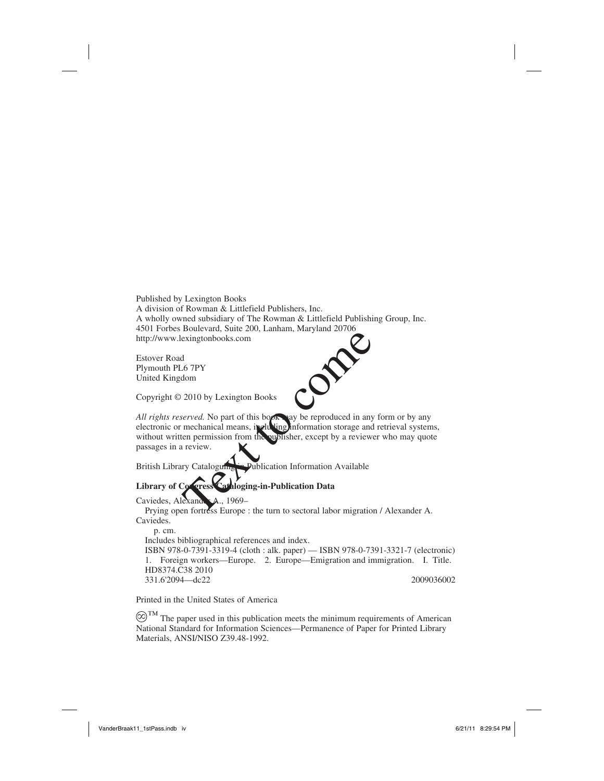Published by Lexington Books A division of Rowman & Littlefield Publishers, Inc. A wholly owned subsidiary of The Rowman & Littlefield Publishing Group, Inc. 4501 Forbes Boulevard, Suite 200, Lanham, Maryland 20706 http://www.lexingtonbooks.com

Estover Road Plymouth PL6 7PY United Kingdom

Copyright © 2010 by Lexington Books

All rights reserved. No part of this book ay be reproduced in any form or by any electronic or mechanical means, including information storage and retrieval systems, without written permission from the publisher, except by a reviewer who may quote passages in a review. Existendo Contextant, state 200, Eartham, Maryland 2018<br>
exingtonbooks.com<br>
1<br>
16 7PY<br>
dom<br>
2010 by Lexington Books<br>
served. No part of this books<br>
are exerced in any<br>
mechanical means, it due information storage and<br>
the

British Library Cataloguing in Publication Information Available

### Library of Congress Cataloging-in-Publication Data

Caviedes, Alexander A., 1969–

 Prying open fortress Europe : the turn to sectoral labor migration / Alexander A. Caviedes.

p. cm.

Includes bibliographical references and index.

 ISBN 978-0-7391-3319-4 (cloth : alk. paper) — ISBN 978-0-7391-3321-7 (electronic) 1. Foreign workers—Europe. 2. Europe—Emigration and immigration. I. Title. HD8374.C38 2010 331.6'2094—dc22 2009036002

Printed in the United States of America

 $\otimes$ <sup>TM</sup> The paper used in this publication meets the minimum requirements of American National Standard for Information Sciences—Permanence of Paper for Printed Library Materials, ANSI/NISO Z39.48-1992.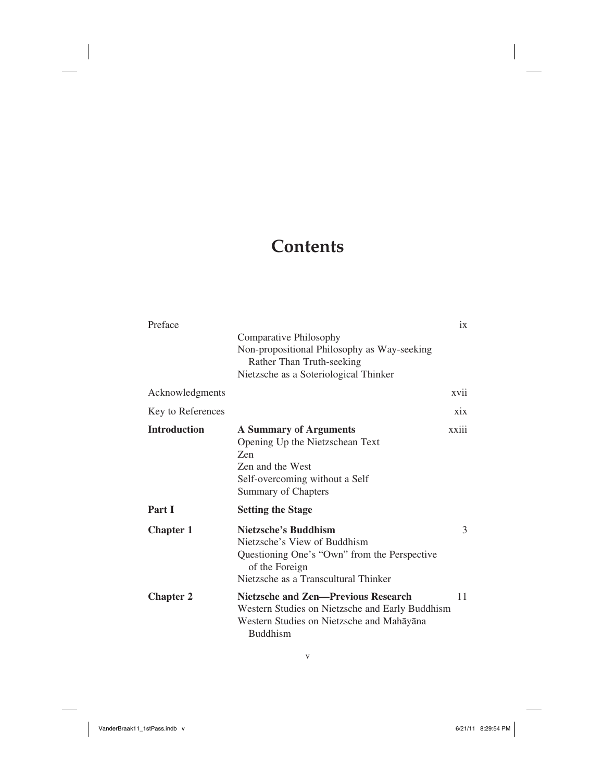### **Contents**

| Preface             |                                                                                                                                                                       | ix    |
|---------------------|-----------------------------------------------------------------------------------------------------------------------------------------------------------------------|-------|
|                     | Comparative Philosophy                                                                                                                                                |       |
|                     | Non-propositional Philosophy as Way-seeking<br>Rather Than Truth-seeking                                                                                              |       |
|                     | Nietzsche as a Soteriological Thinker                                                                                                                                 |       |
| Acknowledgments     |                                                                                                                                                                       | xvii  |
| Key to References   |                                                                                                                                                                       | xix   |
| <b>Introduction</b> | <b>A Summary of Arguments</b><br>Opening Up the Nietzschean Text<br><b>Zen</b><br>Zen and the West<br>Self-overcoming without a Self<br>Summary of Chapters           | xxiii |
| Part I              | <b>Setting the Stage</b>                                                                                                                                              |       |
| <b>Chapter 1</b>    | <b>Nietzsche's Buddhism</b><br>Nietzsche's View of Buddhism<br>Questioning One's "Own" from the Perspective<br>of the Foreign<br>Nietzsche as a Transcultural Thinker | 3     |
| <b>Chapter 2</b>    | Nietzsche and Zen—Previous Research<br>Western Studies on Nietzsche and Early Buddhism<br>Western Studies on Nietzsche and Mahāyāna<br><b>Buddhism</b>                | 11    |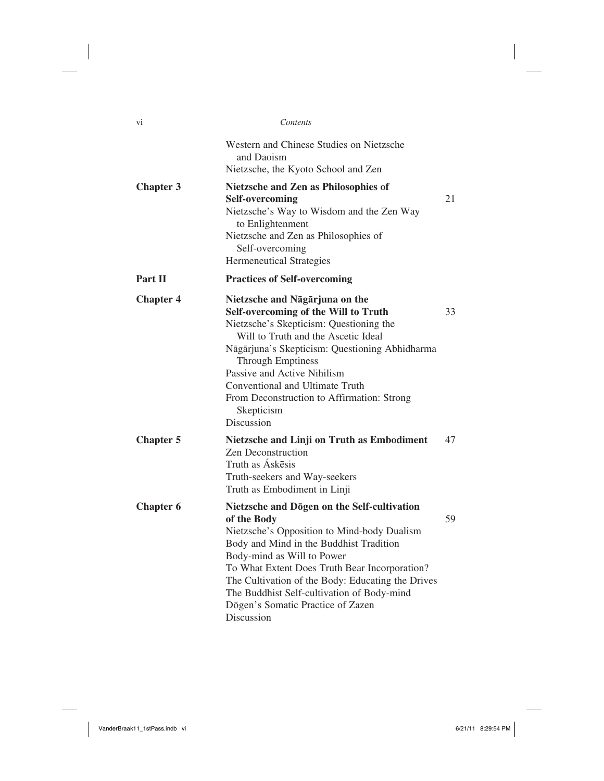### vi *Contents*

|                  | Western and Chinese Studies on Nietzsche<br>and Daoism<br>Nietzsche, the Kyoto School and Zen                                                                                                                                                                                                                                                                                             |    |
|------------------|-------------------------------------------------------------------------------------------------------------------------------------------------------------------------------------------------------------------------------------------------------------------------------------------------------------------------------------------------------------------------------------------|----|
| <b>Chapter 3</b> | <b>Nietzsche and Zen as Philosophies of</b><br><b>Self-overcoming</b><br>Nietzsche's Way to Wisdom and the Zen Way<br>to Enlightenment<br>Nietzsche and Zen as Philosophies of<br>Self-overcoming<br><b>Hermeneutical Strategies</b>                                                                                                                                                      | 21 |
| Part II          | <b>Practices of Self-overcoming</b>                                                                                                                                                                                                                                                                                                                                                       |    |
| <b>Chapter 4</b> | Nietzsche and Nāgārjuna on the<br>Self-overcoming of the Will to Truth<br>Nietzsche's Skepticism: Questioning the<br>Will to Truth and the Ascetic Ideal<br>Nāgārjuna's Skepticism: Questioning Abhidharma<br><b>Through Emptiness</b><br>Passive and Active Nihilism<br>Conventional and Ultimate Truth<br>From Deconstruction to Affirmation: Strong<br>Skepticism<br>Discussion        | 33 |
| <b>Chapter 5</b> | <b>Nietzsche and Linji on Truth as Embodiment</b><br>Zen Deconstruction<br>Truth as Áskesis<br>Truth-seekers and Way-seekers<br>Truth as Embodiment in Linji                                                                                                                                                                                                                              | 47 |
| <b>Chapter 6</b> | Nietzsche and Dögen on the Self-cultivation<br>of the Body<br>Nietzsche's Opposition to Mind-body Dualism<br>Body and Mind in the Buddhist Tradition<br>Body-mind as Will to Power<br>To What Extent Does Truth Bear Incorporation?<br>The Cultivation of the Body: Educating the Drives<br>The Buddhist Self-cultivation of Body-mind<br>Dōgen's Somatic Practice of Zazen<br>Discussion | 59 |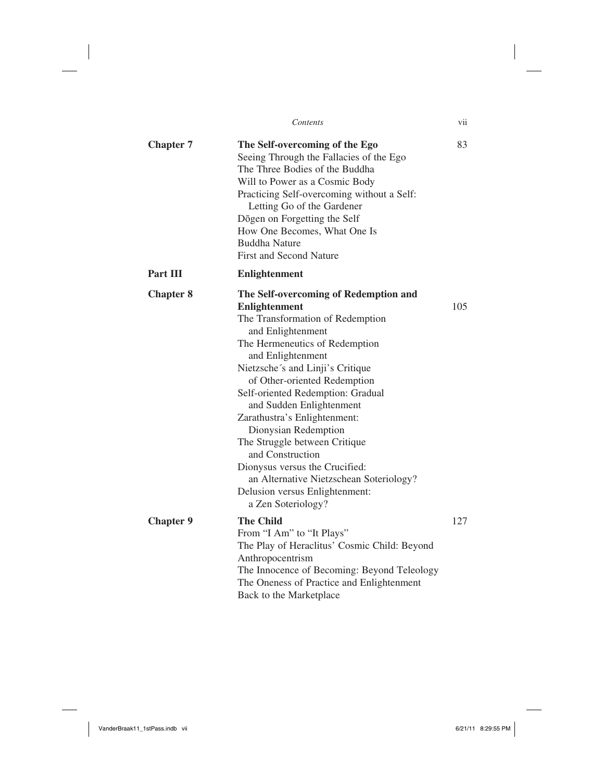|                  | Contents                                                                                                                                                                                                                                                                                                                                                                                                                                                                                                                                                             | vii |
|------------------|----------------------------------------------------------------------------------------------------------------------------------------------------------------------------------------------------------------------------------------------------------------------------------------------------------------------------------------------------------------------------------------------------------------------------------------------------------------------------------------------------------------------------------------------------------------------|-----|
| <b>Chapter 7</b> | The Self-overcoming of the Ego<br>Seeing Through the Fallacies of the Ego<br>The Three Bodies of the Buddha<br>Will to Power as a Cosmic Body<br>Practicing Self-overcoming without a Self:<br>Letting Go of the Gardener<br>Dōgen on Forgetting the Self<br>How One Becomes, What One Is<br><b>Buddha Nature</b><br><b>First and Second Nature</b>                                                                                                                                                                                                                  | 83  |
| Part III         | <b>Enlightenment</b>                                                                                                                                                                                                                                                                                                                                                                                                                                                                                                                                                 |     |
| <b>Chapter 8</b> | The Self-overcoming of Redemption and<br><b>Enlightenment</b><br>The Transformation of Redemption<br>and Enlightenment<br>The Hermeneutics of Redemption<br>and Enlightenment<br>Nietzsche's and Linji's Critique<br>of Other-oriented Redemption<br>Self-oriented Redemption: Gradual<br>and Sudden Enlightenment<br>Zarathustra's Enlightenment:<br>Dionysian Redemption<br>The Struggle between Critique<br>and Construction<br>Dionysus versus the Crucified:<br>an Alternative Nietzschean Soteriology?<br>Delusion versus Enlightenment:<br>a Zen Soteriology? | 105 |
| <b>Chapter 9</b> | <b>The Child</b><br>From "I Am" to "It Plays"<br>The Play of Heraclitus' Cosmic Child: Beyond<br>Anthropocentrism<br>The Innocence of Becoming: Beyond Teleology<br>The Oneness of Practice and Enlightenment<br>Back to the Marketplace                                                                                                                                                                                                                                                                                                                             | 127 |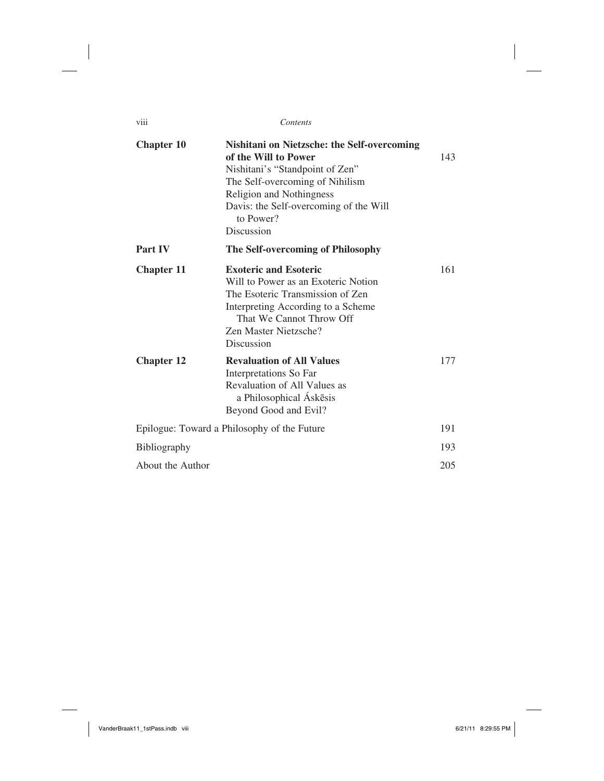| viii                                        | Contents                                                                                                                                                                                                                                          |     |
|---------------------------------------------|---------------------------------------------------------------------------------------------------------------------------------------------------------------------------------------------------------------------------------------------------|-----|
| <b>Chapter 10</b>                           | <b>Nishitani on Nietzsche: the Self-overcoming</b><br>of the Will to Power<br>Nishitani's "Standpoint of Zen"<br>The Self-overcoming of Nihilism<br>Religion and Nothingness<br>Davis: the Self-overcoming of the Will<br>to Power?<br>Discussion | 143 |
| <b>Part IV</b>                              | The Self-overcoming of Philosophy                                                                                                                                                                                                                 |     |
| <b>Chapter 11</b>                           | <b>Exoteric and Esoteric</b><br>Will to Power as an Exoteric Notion<br>The Esoteric Transmission of Zen<br>Interpreting According to a Scheme<br>That We Cannot Throw Off<br>Zen Master Nietzsche?<br>Discussion                                  | 161 |
| <b>Chapter 12</b>                           | <b>Revaluation of All Values</b><br>Interpretations So Far<br>Revaluation of All Values as<br>a Philosophical Áskēsis<br>Beyond Good and Evil?                                                                                                    | 177 |
| Epilogue: Toward a Philosophy of the Future |                                                                                                                                                                                                                                                   | 191 |
| <b>Bibliography</b>                         |                                                                                                                                                                                                                                                   | 193 |
| About the Author                            |                                                                                                                                                                                                                                                   | 205 |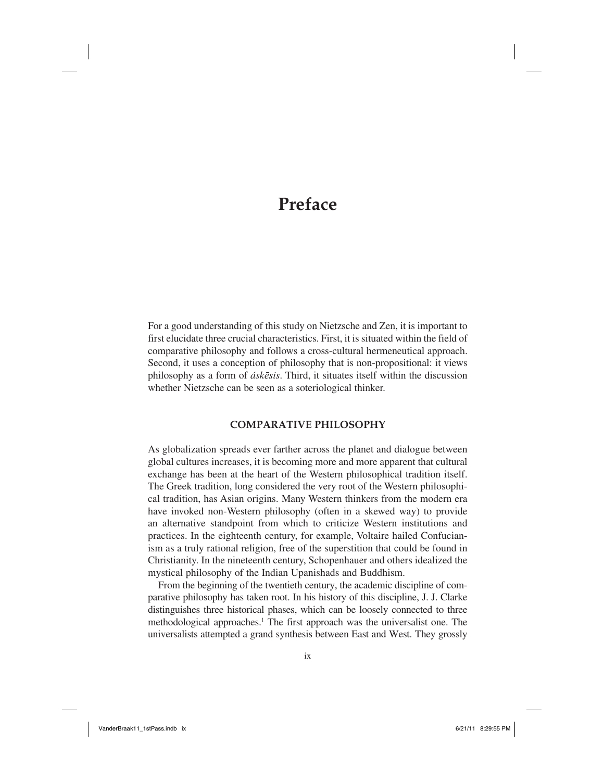### **Preface**

For a good understanding of this study on Nietzsche and Zen, it is important to first elucidate three crucial characteristics. First, it is situated within the field of comparative philosophy and follows a cross-cultural hermeneutical approach. Second, it uses a conception of philosophy that is non-propositional: it views philosophy as a form of *áskēsis*. Third, it situates itself within the discussion whether Nietzsche can be seen as a soteriological thinker.

### **COMPARATIVE PHILOSOPHY**

As globalization spreads ever farther across the planet and dialogue between global cultures increases, it is becoming more and more apparent that cultural exchange has been at the heart of the Western philosophical tradition itself. The Greek tradition, long considered the very root of the Western philosophical tradition, has Asian origins. Many Western thinkers from the modern era have invoked non-Western philosophy (often in a skewed way) to provide an alternative standpoint from which to criticize Western institutions and practices. In the eighteenth century, for example, Voltaire hailed Confucianism as a truly rational religion, free of the superstition that could be found in Christianity. In the nineteenth century, Schopenhauer and others idealized the mystical philosophy of the Indian Upanishads and Buddhism.

From the beginning of the twentieth century, the academic discipline of comparative philosophy has taken root. In his history of this discipline, J. J. Clarke distinguishes three historical phases, which can be loosely connected to three methodological approaches.<sup>1</sup> The first approach was the universalist one. The universalists attempted a grand synthesis between East and West. They grossly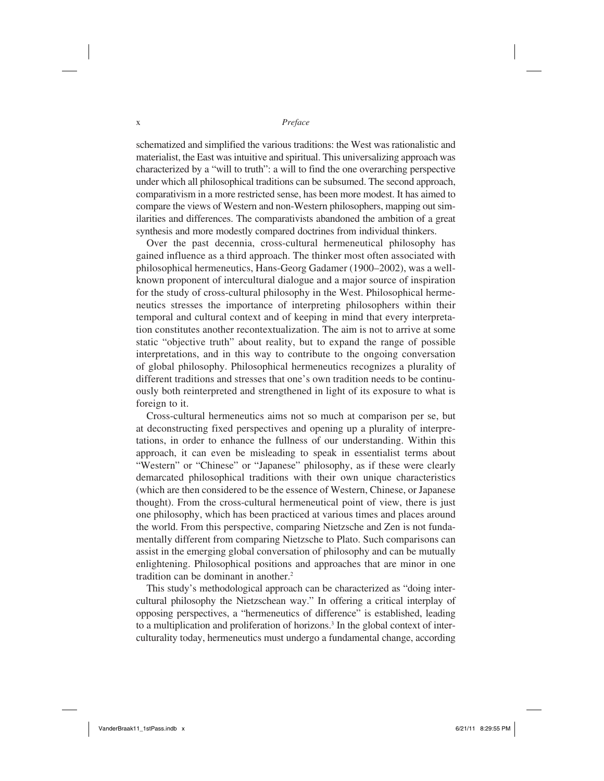x *Preface*

schematized and simplified the various traditions: the West was rationalistic and materialist, the East was intuitive and spiritual. This universalizing approach was characterized by a "will to truth": a will to find the one overarching perspective under which all philosophical traditions can be subsumed. The second approach, comparativism in a more restricted sense, has been more modest. It has aimed to compare the views of Western and non-Western philosophers, mapping out similarities and differences. The comparativists abandoned the ambition of a great synthesis and more modestly compared doctrines from individual thinkers.

Over the past decennia, cross-cultural hermeneutical philosophy has gained influence as a third approach. The thinker most often associated with philosophical hermeneutics, Hans-Georg Gadamer (1900–2002), was a wellknown proponent of intercultural dialogue and a major source of inspiration for the study of cross-cultural philosophy in the West. Philosophical hermeneutics stresses the importance of interpreting philosophers within their temporal and cultural context and of keeping in mind that every interpretation constitutes another recontextualization. The aim is not to arrive at some static "objective truth" about reality, but to expand the range of possible interpretations, and in this way to contribute to the ongoing conversation of global philosophy. Philosophical hermeneutics recognizes a plurality of different traditions and stresses that one's own tradition needs to be continuously both reinterpreted and strengthened in light of its exposure to what is foreign to it.

Cross-cultural hermeneutics aims not so much at comparison per se, but at deconstructing fixed perspectives and opening up a plurality of interpretations, in order to enhance the fullness of our understanding. Within this approach, it can even be misleading to speak in essentialist terms about "Western" or "Chinese" or "Japanese" philosophy, as if these were clearly demarcated philosophical traditions with their own unique characteristics (which are then considered to be the essence of Western, Chinese, or Japanese thought). From the cross-cultural hermeneutical point of view, there is just one philosophy, which has been practiced at various times and places around the world. From this perspective, comparing Nietzsche and Zen is not fundamentally different from comparing Nietzsche to Plato. Such comparisons can assist in the emerging global conversation of philosophy and can be mutually enlightening. Philosophical positions and approaches that are minor in one tradition can be dominant in another.<sup>2</sup>

This study's methodological approach can be characterized as "doing intercultural philosophy the Nietzschean way." In offering a critical interplay of opposing perspectives, a "hermeneutics of difference" is established, leading to a multiplication and proliferation of horizons.<sup>3</sup> In the global context of interculturality today, hermeneutics must undergo a fundamental change, according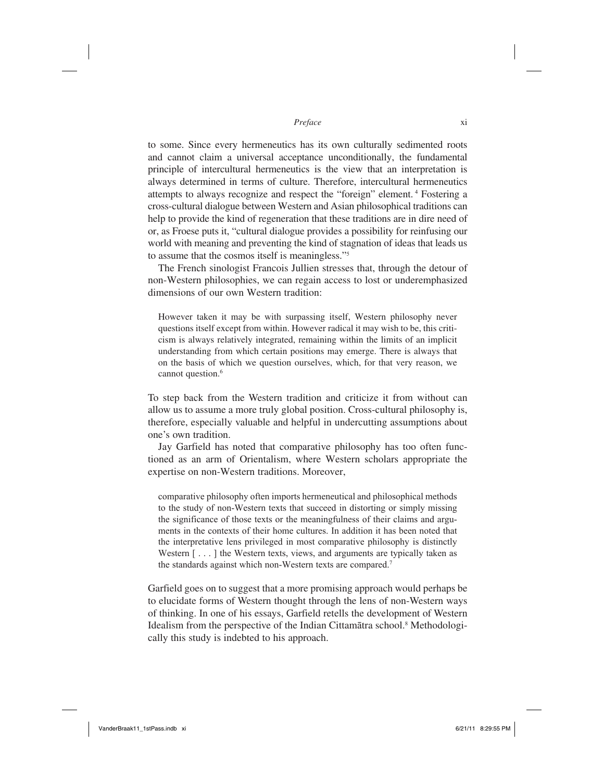### *Preface* xi

to some. Since every hermeneutics has its own culturally sedimented roots and cannot claim a universal acceptance unconditionally, the fundamental principle of intercultural hermeneutics is the view that an interpretation is always determined in terms of culture. Therefore, intercultural hermeneutics attempts to always recognize and respect the "foreign" element.<sup>4</sup> Fostering a cross-cultural dialogue between Western and Asian philosophical traditions can help to provide the kind of regeneration that these traditions are in dire need of or, as Froese puts it, "cultural dialogue provides a possibility for reinfusing our world with meaning and preventing the kind of stagnation of ideas that leads us to assume that the cosmos itself is meaningless."<sup>5</sup>

The French sinologist Francois Jullien stresses that, through the detour of non-Western philosophies, we can regain access to lost or underemphasized dimensions of our own Western tradition:

However taken it may be with surpassing itself, Western philosophy never questions itself except from within. However radical it may wish to be, this criticism is always relatively integrated, remaining within the limits of an implicit understanding from which certain positions may emerge. There is always that on the basis of which we question ourselves, which, for that very reason, we cannot question.<sup>6</sup>

To step back from the Western tradition and criticize it from without can allow us to assume a more truly global position. Cross-cultural philosophy is, therefore, especially valuable and helpful in undercutting assumptions about one's own tradition.

Jay Garfield has noted that comparative philosophy has too often functioned as an arm of Orientalism, where Western scholars appropriate the expertise on non-Western traditions. Moreover,

comparative philosophy often imports hermeneutical and philosophical methods to the study of non-Western texts that succeed in distorting or simply missing the significance of those texts or the meaningfulness of their claims and arguments in the contexts of their home cultures. In addition it has been noted that the interpretative lens privileged in most comparative philosophy is distinctly Western [ . . . ] the Western texts, views, and arguments are typically taken as the standards against which non-Western texts are compared.<sup>7</sup>

Garfield goes on to suggest that a more promising approach would perhaps be to elucidate forms of Western thought through the lens of non-Western ways of thinking. In one of his essays, Garfield retells the development of Western Idealism from the perspective of the Indian Cittamātra school.<sup>8</sup> Methodologically this study is indebted to his approach.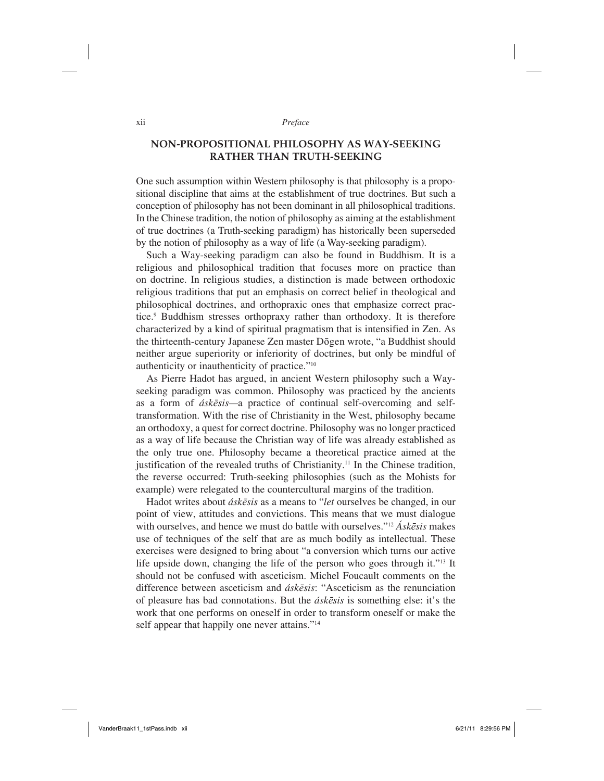### xii *Preface*

### **NON-PROPOSITIONAL PHILOSOPHY AS WAY-SEEKING RATHER THAN TRUTH-SEEKING**

One such assumption within Western philosophy is that philosophy is a propositional discipline that aims at the establishment of true doctrines. But such a conception of philosophy has not been dominant in all philosophical traditions. In the Chinese tradition, the notion of philosophy as aiming at the establishment of true doctrines (a Truth-seeking paradigm) has historically been superseded by the notion of philosophy as a way of life (a Way-seeking paradigm).

Such a Way-seeking paradigm can also be found in Buddhism. It is a religious and philosophical tradition that focuses more on practice than on doctrine. In religious studies, a distinction is made between orthodoxic religious traditions that put an emphasis on correct belief in theological and philosophical doctrines, and orthopraxic ones that emphasize correct practice.<sup>9</sup> Buddhism stresses orthopraxy rather than orthodoxy. It is therefore characterized by a kind of spiritual pragmatism that is intensified in Zen. As the thirteenth-century Japanese Zen master Dōgen wrote, "a Buddhist should neither argue superiority or inferiority of doctrines, but only be mindful of authenticity or inauthenticity of practice."<sup>10</sup>

As Pierre Hadot has argued, in ancient Western philosophy such a Wayseeking paradigm was common. Philosophy was practiced by the ancients as a form of *áskēsis—*a practice of continual self-overcoming and selftransformation. With the rise of Christianity in the West, philosophy became an orthodoxy, a quest for correct doctrine. Philosophy was no longer practiced as a way of life because the Christian way of life was already established as the only true one. Philosophy became a theoretical practice aimed at the justification of the revealed truths of Christianity.<sup>11</sup> In the Chinese tradition, the reverse occurred: Truth-seeking philosophies (such as the Mohists for example) were relegated to the countercultural margins of the tradition.

Hadot writes about *áskēsis* as a means to "*let* ourselves be changed, in our point of view, attitudes and convictions. This means that we must dialogue with ourselves, and hence we must do battle with ourselves."<sup>12</sup> *Áskēsis* makes use of techniques of the self that are as much bodily as intellectual. These exercises were designed to bring about "a conversion which turns our active life upside down, changing the life of the person who goes through it."<sup>13</sup> It should not be confused with asceticism. Michel Foucault comments on the difference between asceticism and *áskēsis*: "Asceticism as the renunciation of pleasure has bad connotations. But the *áskēsis* is something else: it's the work that one performs on oneself in order to transform oneself or make the self appear that happily one never attains."<sup>14</sup>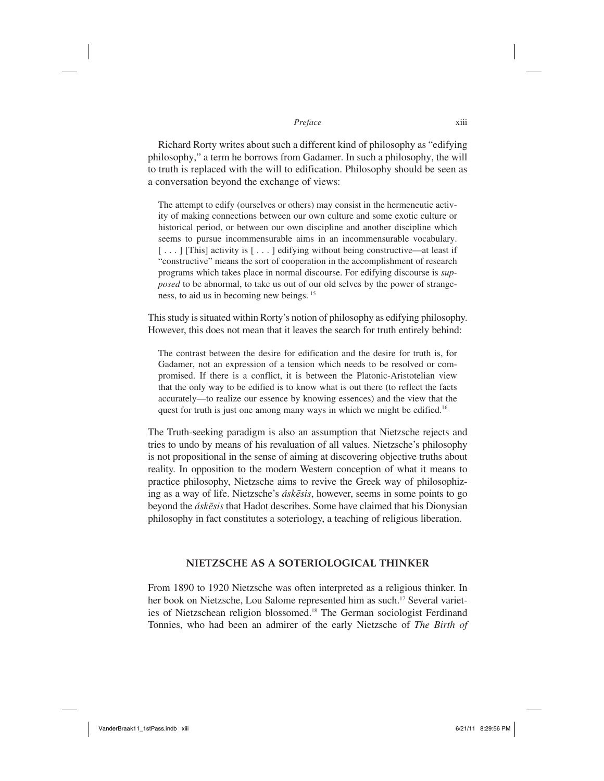### *Preface* xiii

Richard Rorty writes about such a different kind of philosophy as "edifying philosophy," a term he borrows from Gadamer. In such a philosophy, the will to truth is replaced with the will to edification. Philosophy should be seen as a conversation beyond the exchange of views:

The attempt to edify (ourselves or others) may consist in the hermeneutic activity of making connections between our own culture and some exotic culture or historical period, or between our own discipline and another discipline which seems to pursue incommensurable aims in an incommensurable vocabulary. [...] [This] activity is [...] edifying without being constructive—at least if "constructive" means the sort of cooperation in the accomplishment of research programs which takes place in normal discourse. For edifying discourse is *supposed* to be abnormal, to take us out of our old selves by the power of strangeness, to aid us in becoming new beings.<sup>15</sup>

This study is situated within Rorty's notion of philosophy as edifying philosophy. However, this does not mean that it leaves the search for truth entirely behind:

The contrast between the desire for edification and the desire for truth is, for Gadamer, not an expression of a tension which needs to be resolved or compromised. If there is a conflict, it is between the Platonic-Aristotelian view that the only way to be edified is to know what is out there (to reflect the facts accurately—to realize our essence by knowing essences) and the view that the quest for truth is just one among many ways in which we might be edified.<sup>16</sup>

The Truth-seeking paradigm is also an assumption that Nietzsche rejects and tries to undo by means of his revaluation of all values. Nietzsche's philosophy is not propositional in the sense of aiming at discovering objective truths about reality. In opposition to the modern Western conception of what it means to practice philosophy, Nietzsche aims to revive the Greek way of philosophizing as a way of life. Nietzsche's *áskēsis*, however, seems in some points to go beyond the *áskēsis* that Hadot describes. Some have claimed that his Dionysian philosophy in fact constitutes a soteriology, a teaching of religious liberation.

### **NIETZSCHE AS A SOTERIOLOGICAL THINKER**

From 1890 to 1920 Nietzsche was often interpreted as a religious thinker. In her book on Nietzsche, Lou Salome represented him as such.<sup>17</sup> Several varieties of Nietzschean religion blossomed.<sup>18</sup> The German sociologist Ferdinand Tönnies, who had been an admirer of the early Nietzsche of *The Birth of*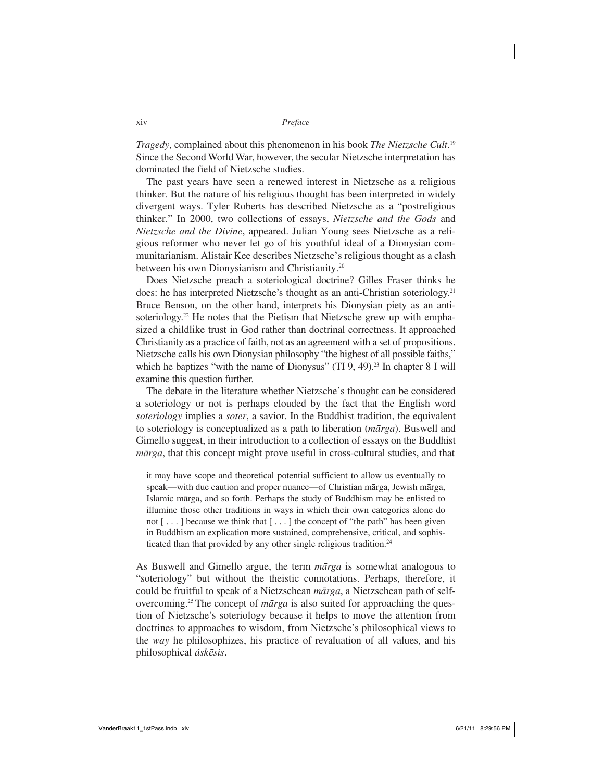### xiv *Preface*

*Tragedy*, complained about this phenomenon in his book *The Nietzsche Cult*. 19 Since the Second World War, however, the secular Nietzsche interpretation has dominated the field of Nietzsche studies.

The past years have seen a renewed interest in Nietzsche as a religious thinker. But the nature of his religious thought has been interpreted in widely divergent ways. Tyler Roberts has described Nietzsche as a "postreligious thinker." In 2000, two collections of essays, *Nietzsche and the Gods* and *Nietzsche and the Divine*, appeared. Julian Young sees Nietzsche as a religious reformer who never let go of his youthful ideal of a Dionysian communitarianism. Alistair Kee describes Nietzsche's religious thought as a clash between his own Dionysianism and Christianity.<sup>20</sup>

Does Nietzsche preach a soteriological doctrine? Gilles Fraser thinks he does: he has interpreted Nietzsche's thought as an anti-Christian soteriology.<sup>21</sup> Bruce Benson, on the other hand, interprets his Dionysian piety as an antisoteriology.<sup>22</sup> He notes that the Pietism that Nietzsche grew up with emphasized a childlike trust in God rather than doctrinal correctness. It approached Christianity as a practice of faith, not as an agreement with a set of propositions. Nietzsche calls his own Dionysian philosophy "the highest of all possible faiths," which he baptizes "with the name of Dionysus" (TI 9, 49).<sup>23</sup> In chapter 8 I will examine this question further.

The debate in the literature whether Nietzsche's thought can be considered a soteriology or not is perhaps clouded by the fact that the English word *soteriology* implies a *soter*, a savior. In the Buddhist tradition, the equivalent to soteriology is conceptualized as a path to liberation (*mārga*). Buswell and Gimello suggest, in their introduction to a collection of essays on the Buddhist *mārga*, that this concept might prove useful in cross-cultural studies, and that

it may have scope and theoretical potential sufficient to allow us eventually to speak—with due caution and proper nuance—of Christian mārga, Jewish mārga, Islamic mārga, and so forth. Perhaps the study of Buddhism may be enlisted to illumine those other traditions in ways in which their own categories alone do not [ . . . ] because we think that [ . . . ] the concept of "the path" has been given in Buddhism an explication more sustained, comprehensive, critical, and sophisticated than that provided by any other single religious tradition.<sup>24</sup>

As Buswell and Gimello argue, the term *mārga* is somewhat analogous to "soteriology" but without the theistic connotations. Perhaps, therefore, it could be fruitful to speak of a Nietzschean *mārga*, a Nietzschean path of selfovercoming.25 The concept of *mārga* is also suited for approaching the question of Nietzsche's soteriology because it helps to move the attention from doctrines to approaches to wisdom, from Nietzsche's philosophical views to the *way* he philosophizes, his practice of revaluation of all values, and his philosophical *áskēsis*.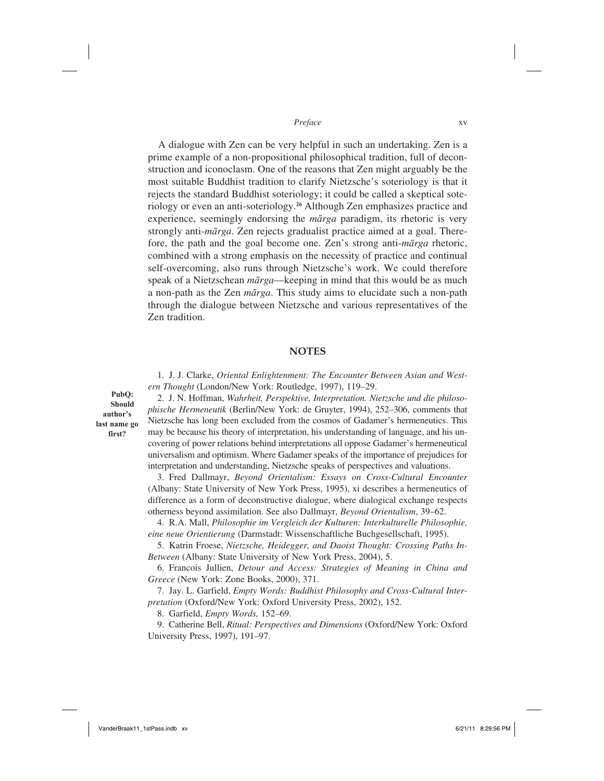*Preface* xv

A dialogue with Zen can be very helpful in such an undertaking. Zen is a prime example of a non-propositional philosophical tradition, full of deconstruction and iconoclasm. One of the reasons that Zen might arguably be the most suitable Buddhist tradition to clarify Nietzsche's soteriology is that it rejects the standard Buddhist soteriology; it could be called a skeptical soteriology or even an anti-soteriology.**<sup>26</sup>** Although Zen emphasizes practice and experience, seemingly endorsing the *mārga* paradigm, its rhetoric is very strongly anti-*mārga*. Zen rejects gradualist practice aimed at a goal. Therefore, the path and the goal become one. Zen's strong anti-*mārga* rhetoric, combined with a strong emphasis on the necessity of practice and continual self-overcoming, also runs through Nietzsche's work. We could therefore speak of a Nietzschean *mārga*—keeping in mind that this would be as much a non-path as the Zen *mārga*. This study aims to elucidate such a non-path through the dialogue between Nietzsche and various representatives of the Zen tradition.

### **NOTES**

1. J. J. Clarke, *Oriental Enlightenment: The Encounter Between Asian and Western Thought* (London/New York: Routledge, 1997), 119–29.

2. J. N. Hoffman, *Wahrheit, Perspektive, Interpretation. Nietzsche und die philosophische Hermeneutik* (Berlin/New York: de Gruyter, 1994), 252–306, comments that Nietzsche has long been excluded from the cosmos of Gadamer's hermeneutics. This may be because his theory of interpretation, his understanding of language, and his uncovering of power relations behind interpretations all oppose Gadamer's hermeneutical universalism and optimism. Where Gadamer speaks of the importance of prejudices for interpretation and understanding, Nietzsche speaks of perspectives and valuations.

3. Fred Dallmayr, *Beyond Orientalism: Essays on Cross-Cultural Encounter* (Albany: State University of New York Press, 1995), xi describes a hermeneutics of difference as a form of deconstructive dialogue, where dialogical exchange respects otherness beyond assimilation. See also Dallmayr, *Beyond Orientalism*, 39–62.

4. R.A. Mall, *Philosophie im Vergleich der Kulturen: Interkulturelle Philosophie, eine neue Orientierung* (Darmstadt: Wissenschaftliche Buchgesellschaft, 1995).

5. Katrin Froese, *Nietzsche, Heidegger, and Daoist Thought: Crossing Paths In-Between* (Albany: State University of New York Press, 2004), 5.

6. Francois Jullien, *Detour and Access: Strategies of Meaning in China and Greece* (New York: Zone Books, 2000), 371.

7. Jay. L. Garfield, *Empty Words: Buddhist Philosophy and Cross-Cultural Interpretation* (Oxford/New York: Oxford University Press, 2002), 152.

8. Garfield, *Empty Words,* 152–69.

9. Catherine Bell, *Ritual: Perspectives and Dimensions* (Oxford/New York: Oxford University Press, 1997), 191–97.

**PubQ: Should author's last name go first?**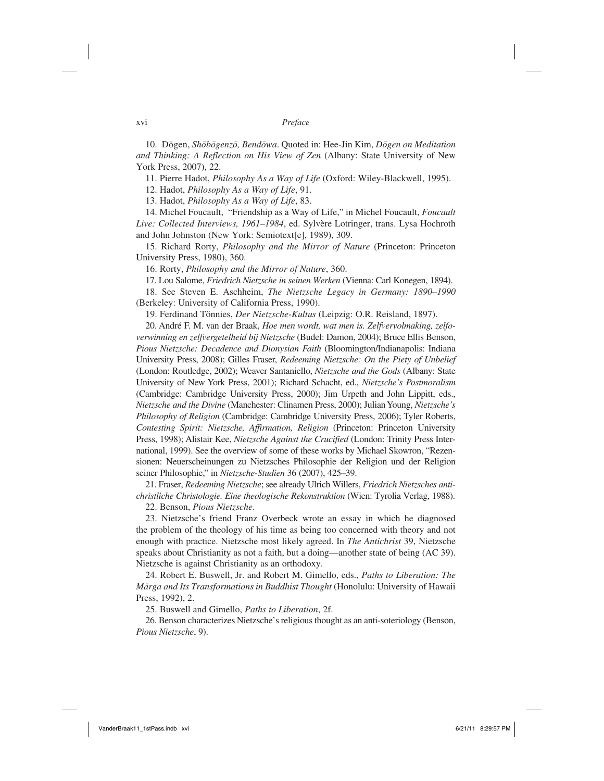### xvi *Preface*

10. Dōgen, *Shōbōgenzō, Bendōwa*. Quoted in: Hee-Jin Kim, *Dōgen on Meditation and Thinking: A Reflection on His View of Zen* (Albany: State University of New York Press, 2007), 22.

11. Pierre Hadot, *Philosophy As a Way of Life* (Oxford: Wiley-Blackwell, 1995).

12. Hadot, *Philosophy As a Way of Life*, 91.

13. Hadot, *Philosophy As a Way of Life*, 83.

14. Michel Foucault, "Friendship as a Way of Life," in Michel Foucault, *Foucault Live: Collected Interviews, 1961–1984*, ed. Sylvère Lotringer, trans. Lysa Hochroth and John Johnston (New York: Semiotext[e], 1989), 309.

15. Richard Rorty, *Philosophy and the Mirror of Nature* (Princeton: Princeton University Press, 1980), 360.

16. Rorty, *Philosophy and the Mirror of Nature*, 360.

17. Lou Salome, *Friedrich Nietzsche in seinen Werken* (Vienna: Carl Konegen, 1894).

18. See Steven E. Aschheim, *The Nietzsche Legacy in Germany: 1890–1990* (Berkeley: University of California Press, 1990).

19. Ferdinand Tönnies, *Der Nietzsche-Kultus* (Leipzig: O.R. Reisland, 1897).

20. André F. M. van der Braak, *Hoe men wordt, wat men is. Zelfvervolmaking, zelfoverwinning en zelfvergetelheid bij Nietzsche* (Budel: Damon, 2004); Bruce Ellis Benson, *Pious Nietzsche: Decadence and Dionysian Faith* (Bloomington/Indianapolis: Indiana University Press, 2008); Gilles Fraser, *Redeeming Nietzsche: On the Piety of Unbelief* (London: Routledge, 2002); Weaver Santaniello, *Nietzsche and the Gods* (Albany: State University of New York Press, 2001); Richard Schacht, ed., *Nietzsche's Postmoralism* (Cambridge: Cambridge University Press, 2000); Jim Urpeth and John Lippitt, eds., *Nietzsche and the Divine* (Manchester: Clinamen Press, 2000); Julian Young, *Nietzsche's Philosophy of Religion* (Cambridge: Cambridge University Press, 2006); Tyler Roberts, *Contesting Spirit: Nietzsche, Affirmation, Religion* (Princeton: Princeton University Press, 1998); Alistair Kee, *Nietzsche Against the Crucified* (London: Trinity Press International, 1999). See the overview of some of these works by Michael Skowron, "Rezensionen: Neuerscheinungen zu Nietzsches Philosophie der Religion und der Religion seiner Philosophie," in *Nietzsche-Studien* 36 (2007), 425–39.

21. Fraser, *Redeeming Nietzsche*; see already Ulrich Willers, *Friedrich Nietzsches antichristliche Christologie. Eine theologische Rekonstruktion* (Wien: Tyrolia Verlag, 1988).

22. Benson, *Pious Nietzsche*.

23. Nietzsche's friend Franz Overbeck wrote an essay in which he diagnosed the problem of the theology of his time as being too concerned with theory and not enough with practice. Nietzsche most likely agreed. In *The Antichrist* 39, Nietzsche speaks about Christianity as not a faith, but a doing—another state of being (AC 39). Nietzsche is against Christianity as an orthodoxy.

24. Robert E. Buswell, Jr. and Robert M. Gimello, eds., *Paths to Liberation: The Mārga and Its Transformations in Buddhist Thought* (Honolulu: University of Hawaii Press, 1992), 2.

25. Buswell and Gimello, *Paths to Liberation*, 2f.

26. Benson characterizes Nietzsche's religious thought as an anti-soteriology (Benson, *Pious Nietzsche*, 9).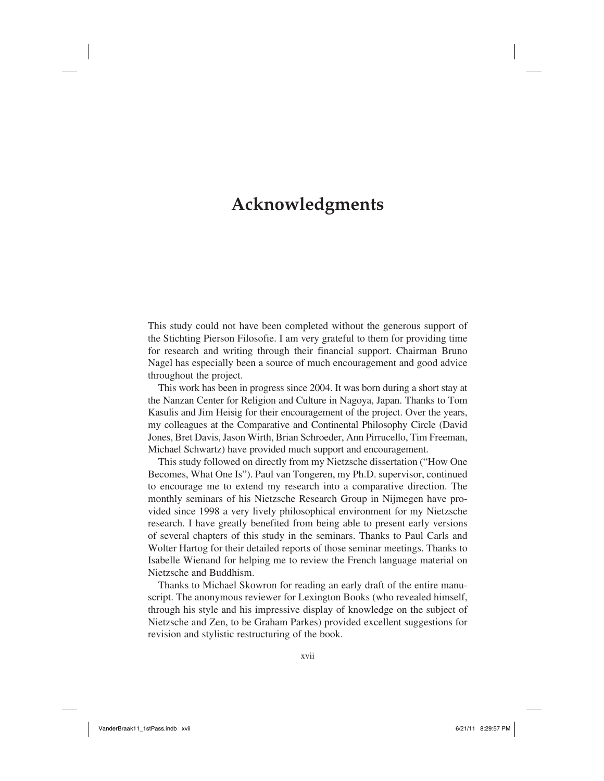### **Acknowledgments**

This study could not have been completed without the generous support of the Stichting Pierson Filosofie. I am very grateful to them for providing time for research and writing through their financial support. Chairman Bruno Nagel has especially been a source of much encouragement and good advice throughout the project.

This work has been in progress since 2004. It was born during a short stay at the Nanzan Center for Religion and Culture in Nagoya, Japan. Thanks to Tom Kasulis and Jim Heisig for their encouragement of the project. Over the years, my colleagues at the Comparative and Continental Philosophy Circle (David Jones, Bret Davis, Jason Wirth, Brian Schroeder, Ann Pirrucello, Tim Freeman, Michael Schwartz) have provided much support and encouragement.

This study followed on directly from my Nietzsche dissertation ("How One Becomes, What One Is"). Paul van Tongeren, my Ph.D. supervisor, continued to encourage me to extend my research into a comparative direction. The monthly seminars of his Nietzsche Research Group in Nijmegen have provided since 1998 a very lively philosophical environment for my Nietzsche research. I have greatly benefited from being able to present early versions of several chapters of this study in the seminars. Thanks to Paul Carls and Wolter Hartog for their detailed reports of those seminar meetings. Thanks to Isabelle Wienand for helping me to review the French language material on Nietzsche and Buddhism.

Thanks to Michael Skowron for reading an early draft of the entire manuscript. The anonymous reviewer for Lexington Books (who revealed himself, through his style and his impressive display of knowledge on the subject of Nietzsche and Zen, to be Graham Parkes) provided excellent suggestions for revision and stylistic restructuring of the book.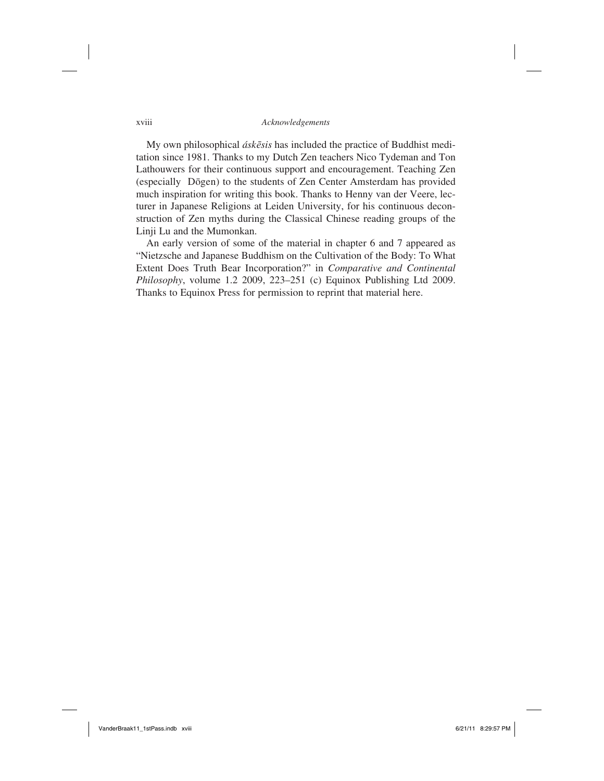### xviii *Acknowledgements*

My own philosophical *áskēsis* has included the practice of Buddhist meditation since 1981. Thanks to my Dutch Zen teachers Nico Tydeman and Ton Lathouwers for their continuous support and encouragement. Teaching Zen (especially Dōgen) to the students of Zen Center Amsterdam has provided much inspiration for writing this book. Thanks to Henny van der Veere, lecturer in Japanese Religions at Leiden University, for his continuous deconstruction of Zen myths during the Classical Chinese reading groups of the Linji Lu and the Mumonkan.

An early version of some of the material in chapter 6 and 7 appeared as "Nietzsche and Japanese Buddhism on the Cultivation of the Body: To What Extent Does Truth Bear Incorporation?" in *Comparative and Continental Philosophy*, volume 1.2 2009, 223–251 (c) Equinox Publishing Ltd 2009. Thanks to Equinox Press for permission to reprint that material here.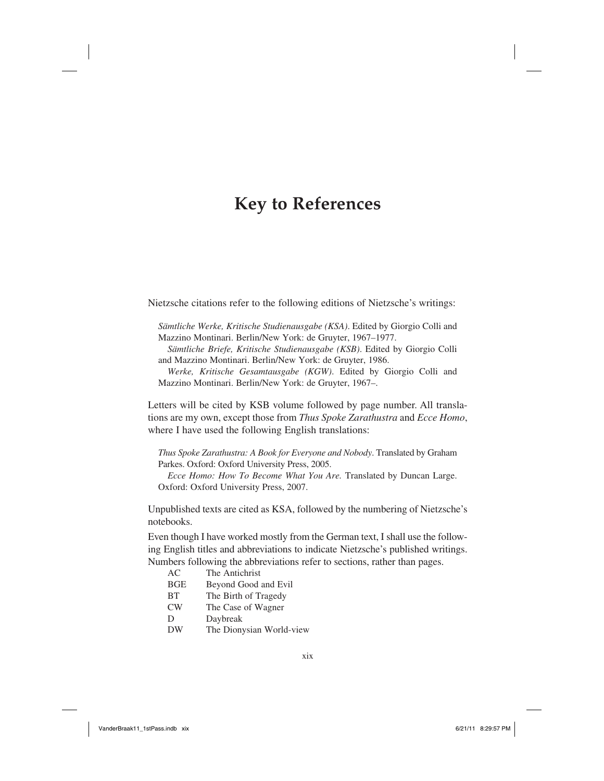### **Key to References**

Nietzsche citations refer to the following editions of Nietzsche's writings:

*Sämtliche Werke, Kritische Studienausgabe (KSA)*. Edited by Giorgio Colli and Mazzino Montinari. Berlin/New York: de Gruyter, 1967–1977.

*Sämtliche Briefe, Kritische Studienausgabe (KSB)*. Edited by Giorgio Colli and Mazzino Montinari. Berlin/New York: de Gruyter, 1986.

*Werke, Kritische Gesamtausgabe (KGW)*. Edited by Giorgio Colli and Mazzino Montinari. Berlin/New York: de Gruyter, 1967–.

Letters will be cited by KSB volume followed by page number. All translations are my own, except those from *Thus Spoke Zarathustra* and *Ecce Homo*, where I have used the following English translations:

*Thus Spoke Zarathustra: A Book for Everyone and Nobody*. Translated by Graham Parkes. Oxford: Oxford University Press, 2005.

*Ecce Homo: How To Become What You Are.* Translated by Duncan Large. Oxford: Oxford University Press, 2007.

Unpublished texts are cited as KSA, followed by the numbering of Nietzsche's notebooks.

Even though I have worked mostly from the German text, I shall use the following English titles and abbreviations to indicate Nietzsche's published writings. Numbers following the abbreviations refer to sections, rather than pages.

- AC The Antichrist
- BGE Beyond Good and Evil
- BT The Birth of Tragedy
- CW The Case of Wagner
- D Daybreak
- DW The Dionysian World-view

xix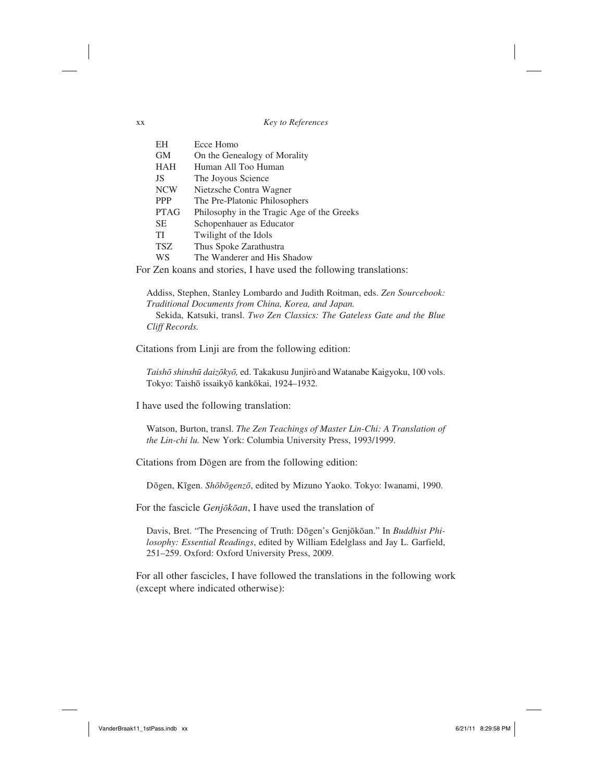### xx *Key to References*

| EH          | Ecce Homo                                  |
|-------------|--------------------------------------------|
| <b>GM</b>   | On the Genealogy of Morality               |
| <b>HAH</b>  | Human All Too Human                        |
| JS          | The Joyous Science                         |
| <b>NCW</b>  | Nietzsche Contra Wagner                    |
| <b>PPP</b>  | The Pre-Platonic Philosophers              |
| <b>PTAG</b> | Philosophy in the Tragic Age of the Greeks |
| <b>SE</b>   | Schopenhauer as Educator                   |
| TI          | Twilight of the Idols                      |
| TSZ         | Thus Spoke Zarathustra                     |
| WS          | The Wanderer and His Shadow                |
|             |                                            |

For Zen koans and stories, I have used the following translations:

Addiss, Stephen, Stanley Lombardo and Judith Roitman, eds. *Zen Sourcebook: Traditional Documents from China, Korea, and Japan.*

Sekida, Katsuki, transl. *Two Zen Classics: The Gateless Gate and the Blue Cliff Records.*

Citations from Linji are from the following edition:

*Taishō shinshū daizōkyō,* ed. Takakusu Junjiro*-* and Watanabe Kaigyoku, 100 vols. Tokyo: Taishō issaikyō kankōkai, 1924–1932.

I have used the following translation:

Watson, Burton, transl. *The Zen Teachings of Master Lin-Chi: A Translation of the Lin-chi lu.* New York: Columbia University Press, 1993/1999.

Citations from Dōgen are from the following edition:

Dōgen, Kīgen. *Shōbōgenzō*, edited by Mizuno Yaoko. Tokyo: Iwanami, 1990.

For the fascicle *Genjōkōan*, I have used the translation of

Davis, Bret. "The Presencing of Truth: Dōgen's Genjōkōan." In *Buddhist Philosophy: Essential Readings*, edited by William Edelglass and Jay L. Garfield, 251–259. Oxford: Oxford University Press, 2009.

For all other fascicles, I have followed the translations in the following work (except where indicated otherwise):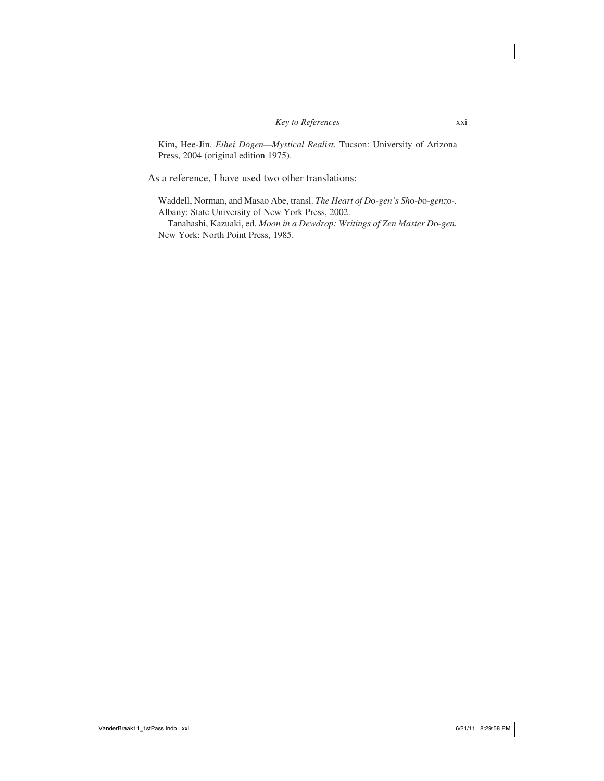### *Key to References* xxi

Kim, Hee-Jin. *Eihei Dōgen—Mystical Realist*. Tucson: University of Arizona Press, 2004 (original edition 1975).

As a reference, I have used two other translations:

Waddell, Norman, and Masao Abe, transl. *The Heart of D*o-*gen's Sh*o-*b*o-*genz*o-*.* Albany: State University of New York Press, 2002.

Tanahashi, Kazuaki, ed. *Moon in a Dewdrop: Writings of Zen Master D*o-*gen.*  New York: North Point Press, 1985.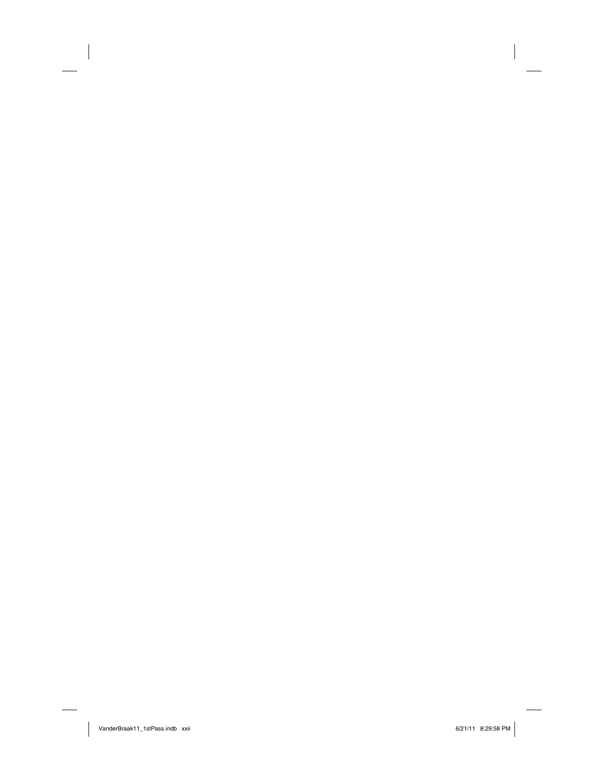VanderBraak11\_1stPass.indb xxii anderBraak11\_1stPass.indb 6/21/11 8:29:58 PM  $\big|$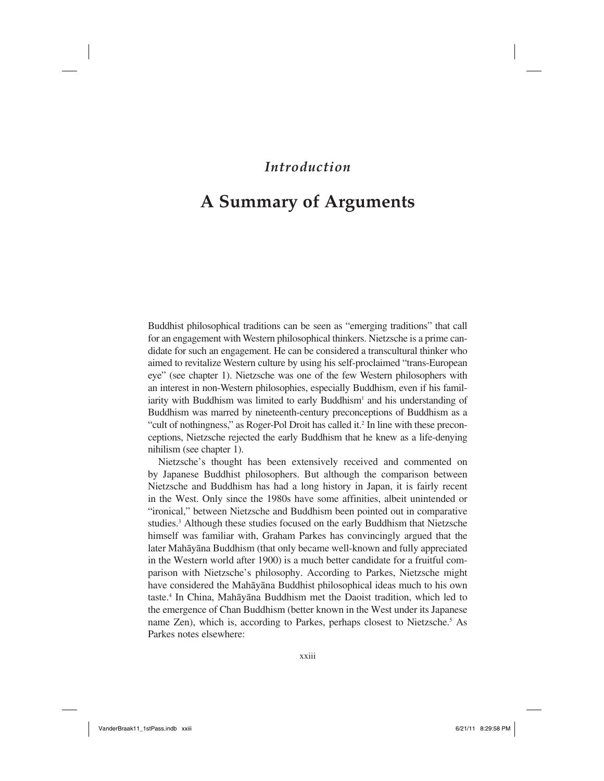### *Introduction*

### **A Summary of Arguments**

Buddhist philosophical traditions can be seen as "emerging traditions" that call for an engagement with Western philosophical thinkers. Nietzsche is a prime candidate for such an engagement. He can be considered a transcultural thinker who aimed to revitalize Western culture by using his self-proclaimed "trans-European eye" (see chapter 1). Nietzsche was one of the few Western philosophers with an interest in non-Western philosophies, especially Buddhism, even if his familiarity with Buddhism was limited to early Buddhism<sup>1</sup> and his understanding of Buddhism was marred by nineteenth-century preconceptions of Buddhism as a "cult of nothingness," as Roger-Pol Droit has called it.<sup>2</sup> In line with these preconceptions, Nietzsche rejected the early Buddhism that he knew as a life-denying nihilism (see chapter 1).

Nietzsche's thought has been extensively received and commented on by Japanese Buddhist philosophers. But although the comparison between Nietzsche and Buddhism has had a long history in Japan, it is fairly recent in the West. Only since the 1980s have some affinities, albeit unintended or "ironical," between Nietzsche and Buddhism been pointed out in comparative studies.<sup>3</sup> Although these studies focused on the early Buddhism that Nietzsche himself was familiar with, Graham Parkes has convincingly argued that the later Mahāyāna Buddhism (that only became well-known and fully appreciated in the Western world after 1900) is a much better candidate for a fruitful comparison with Nietzsche's philosophy. According to Parkes, Nietzsche might have considered the Mahāyāna Buddhist philosophical ideas much to his own taste.<sup>4</sup> In China, Mahāyāna Buddhism met the Daoist tradition, which led to the emergence of Chan Buddhism (better known in the West under its Japanese name Zen), which is, according to Parkes, perhaps closest to Nietzsche.<sup>5</sup> As Parkes notes elsewhere:

xxiii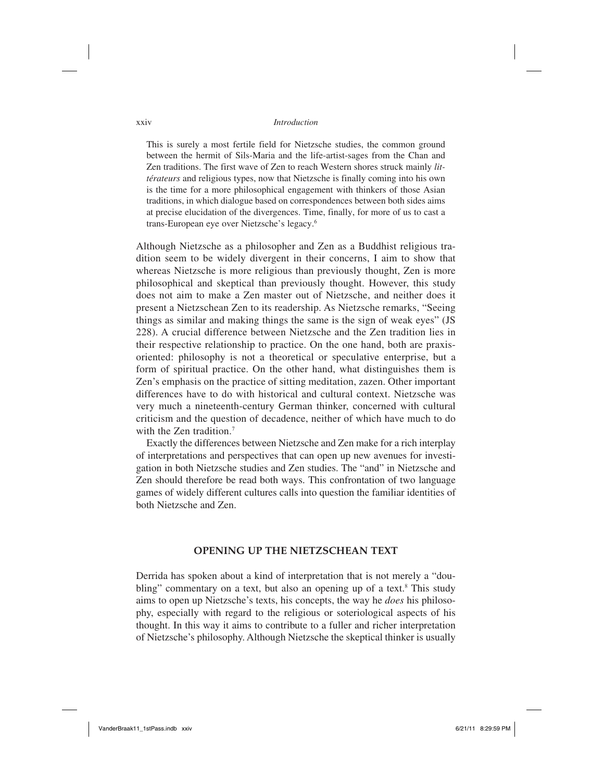### xxiv *Introduction*

This is surely a most fertile field for Nietzsche studies, the common ground between the hermit of Sils-Maria and the life-artist-sages from the Chan and Zen traditions. The first wave of Zen to reach Western shores struck mainly *littérateurs* and religious types, now that Nietzsche is finally coming into his own is the time for a more philosophical engagement with thinkers of those Asian traditions, in which dialogue based on correspondences between both sides aims at precise elucidation of the divergences. Time, finally, for more of us to cast a trans-European eye over Nietzsche's legacy.<sup>6</sup>

Although Nietzsche as a philosopher and Zen as a Buddhist religious tradition seem to be widely divergent in their concerns, I aim to show that whereas Nietzsche is more religious than previously thought, Zen is more philosophical and skeptical than previously thought. However, this study does not aim to make a Zen master out of Nietzsche, and neither does it present a Nietzschean Zen to its readership. As Nietzsche remarks, "Seeing things as similar and making things the same is the sign of weak eyes" (JS 228). A crucial difference between Nietzsche and the Zen tradition lies in their respective relationship to practice. On the one hand, both are praxisoriented: philosophy is not a theoretical or speculative enterprise, but a form of spiritual practice. On the other hand, what distinguishes them is Zen's emphasis on the practice of sitting meditation, zazen. Other important differences have to do with historical and cultural context. Nietzsche was very much a nineteenth-century German thinker, concerned with cultural criticism and the question of decadence, neither of which have much to do with the Zen tradition.<sup>7</sup>

Exactly the differences between Nietzsche and Zen make for a rich interplay of interpretations and perspectives that can open up new avenues for investigation in both Nietzsche studies and Zen studies. The "and" in Nietzsche and Zen should therefore be read both ways. This confrontation of two language games of widely different cultures calls into question the familiar identities of both Nietzsche and Zen.

### **OPENING UP THE NIETZSCHEAN TEXT**

Derrida has spoken about a kind of interpretation that is not merely a "doubling" commentary on a text, but also an opening up of a text.<sup>8</sup> This study aims to open up Nietzsche's texts, his concepts, the way he *does* his philosophy, especially with regard to the religious or soteriological aspects of his thought. In this way it aims to contribute to a fuller and richer interpretation of Nietzsche's philosophy. Although Nietzsche the skeptical thinker is usually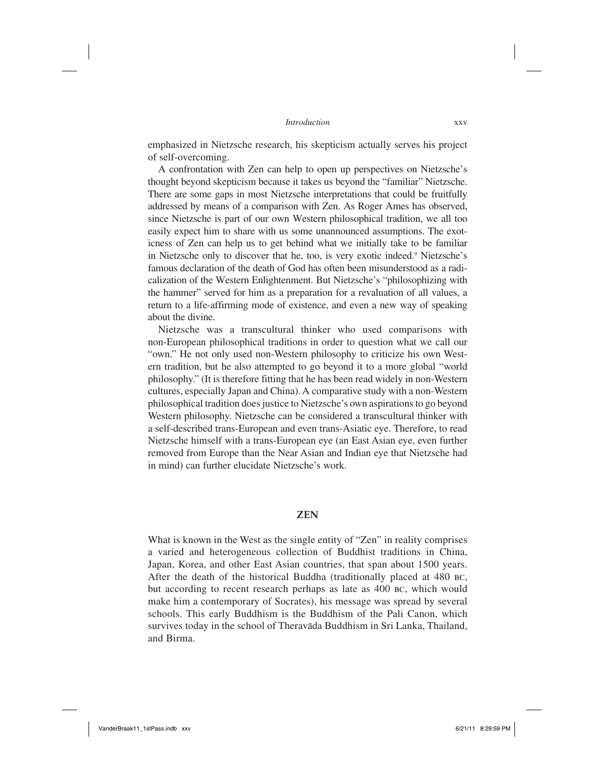### *Introduction* xxv

emphasized in Nietzsche research, his skepticism actually serves his project of self-overcoming.

A confrontation with Zen can help to open up perspectives on Nietzsche's thought beyond skepticism because it takes us beyond the "familiar" Nietzsche. There are some gaps in most Nietzsche interpretations that could be fruitfully addressed by means of a comparison with Zen. As Roger Ames has observed, since Nietzsche is part of our own Western philosophical tradition, we all too easily expect him to share with us some unannounced assumptions. The exoticness of Zen can help us to get behind what we initially take to be familiar in Nietzsche only to discover that he, too, is very exotic indeed.<sup>9</sup> Nietzsche's famous declaration of the death of God has often been misunderstood as a radicalization of the Western Enlightenment. But Nietzsche's "philosophizing with the hammer" served for him as a preparation for a revaluation of all values, a return to a life-affirming mode of existence, and even a new way of speaking about the divine.

Nietzsche was a transcultural thinker who used comparisons with non-European philosophical traditions in order to question what we call our "own." He not only used non-Western philosophy to criticize his own Western tradition, but he also attempted to go beyond it to a more global "world philosophy." (It is therefore fitting that he has been read widely in non-Western cultures, especially Japan and China). A comparative study with a non-Western philosophical tradition does justice to Nietzsche's own aspirations to go beyond Western philosophy. Nietzsche can be considered a transcultural thinker with a self-described trans-European and even trans-Asiatic eye. Therefore, to read Nietzsche himself with a trans-European eye (an East Asian eye, even further removed from Europe than the Near Asian and Indian eye that Nietzsche had in mind) can further elucidate Nietzsche's work.

### **ZEN**

What is known in the West as the single entity of "Zen" in reality comprises a varied and heterogeneous collection of Buddhist traditions in China, Japan, Korea, and other East Asian countries, that span about 1500 years. After the death of the historical Buddha (traditionally placed at 480 bc, but according to recent research perhaps as late as 400 bc, which would make him a contemporary of Socrates), his message was spread by several schools. This early Buddhism is the Buddhism of the Pali Canon, which survives today in the school of Theravada Buddhism in Sri Lanka, Thailand, and Birma.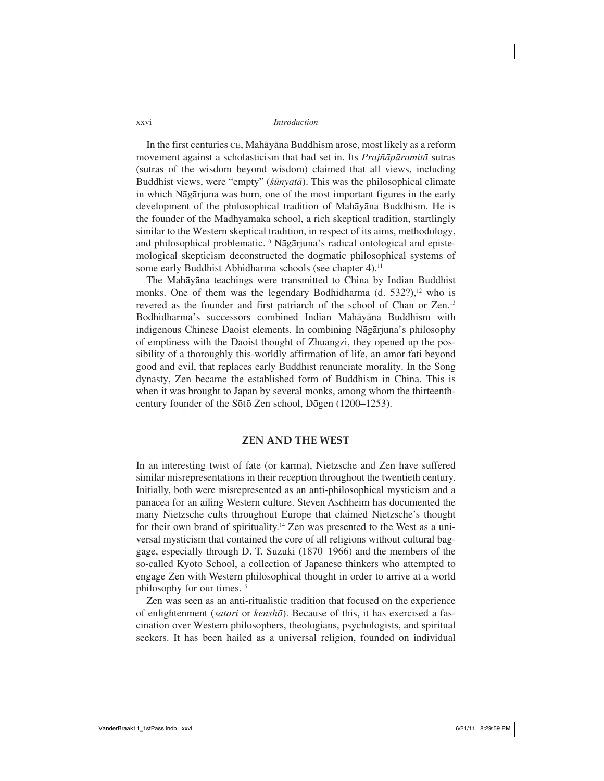### xxvi *Introduction*

In the first centuries ce, Mahāyāna Buddhism arose, most likely as a reform movement against a scholasticism that had set in. Its *Prajñāpāramitā* sutras (sutras of the wisdom beyond wisdom) claimed that all views, including Buddhist views, were "empty" (*śūnyatā*). This was the philosophical climate in which Nāgārjuna was born, one of the most important figures in the early development of the philosophical tradition of Mahāyāna Buddhism. He is the founder of the Madhyamaka school, a rich skeptical tradition, startlingly similar to the Western skeptical tradition, in respect of its aims, methodology, and philosophical problematic.10 Nāgārjuna's radical ontological and epistemological skepticism deconstructed the dogmatic philosophical systems of some early Buddhist Abhidharma schools (see chapter 4).<sup>11</sup>

The Mahāyāna teachings were transmitted to China by Indian Buddhist monks. One of them was the legendary Bodhidharma (d. 532?), $12$  who is revered as the founder and first patriarch of the school of Chan or Zen.<sup>13</sup> Bodhidharma's successors combined Indian Mahāyāna Buddhism with indigenous Chinese Daoist elements. In combining Nāgārjuna's philosophy of emptiness with the Daoist thought of Zhuangzi, they opened up the possibility of a thoroughly this-worldly affirmation of life, an amor fati beyond good and evil, that replaces early Buddhist renunciate morality. In the Song dynasty, Zen became the established form of Buddhism in China. This is when it was brought to Japan by several monks, among whom the thirteenthcentury founder of the Sōtō Zen school, Dōgen (1200–1253).

### **ZEN AND THE WEST**

In an interesting twist of fate (or karma), Nietzsche and Zen have suffered similar misrepresentations in their reception throughout the twentieth century. Initially, both were misrepresented as an anti-philosophical mysticism and a panacea for an ailing Western culture. Steven Aschheim has documented the many Nietzsche cults throughout Europe that claimed Nietzsche's thought for their own brand of spirituality.<sup>14</sup> Zen was presented to the West as a universal mysticism that contained the core of all religions without cultural baggage, especially through D. T. Suzuki (1870–1966) and the members of the so-called Kyoto School, a collection of Japanese thinkers who attempted to engage Zen with Western philosophical thought in order to arrive at a world philosophy for our times.<sup>15</sup>

Zen was seen as an anti-ritualistic tradition that focused on the experience of enlightenment (*satori* or *kenshō*). Because of this, it has exercised a fascination over Western philosophers, theologians, psychologists, and spiritual seekers. It has been hailed as a universal religion, founded on individual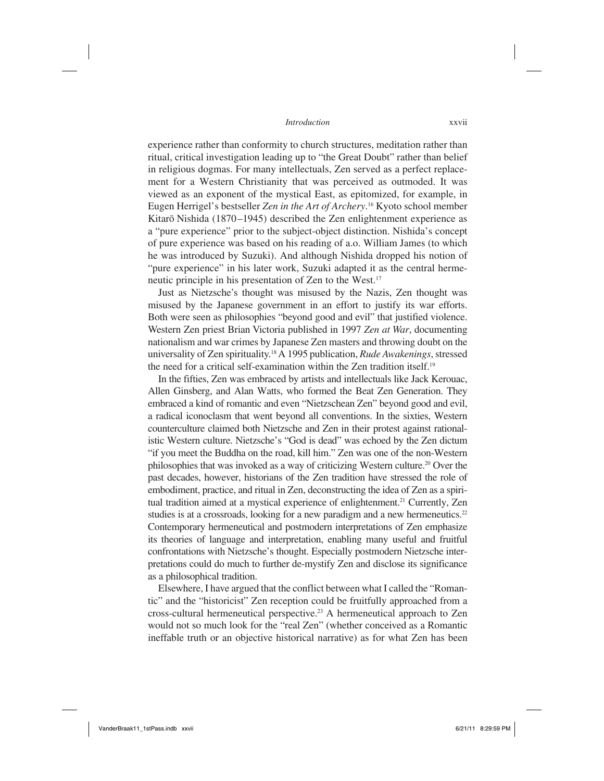### *Introduction* xxvii

experience rather than conformity to church structures, meditation rather than ritual, critical investigation leading up to "the Great Doubt" rather than belief in religious dogmas. For many intellectuals, Zen served as a perfect replacement for a Western Christianity that was perceived as outmoded. It was viewed as an exponent of the mystical East, as epitomized, for example, in Eugen Herrigel's bestseller *Zen in the Art of Archery*. <sup>16</sup> Kyoto school member Kitarō Nishida (1870–1945) described the Zen enlightenment experience as a "pure experience" prior to the subject-object distinction. Nishida's concept of pure experience was based on his reading of a.o. William James (to which he was introduced by Suzuki). And although Nishida dropped his notion of "pure experience" in his later work, Suzuki adapted it as the central hermeneutic principle in his presentation of Zen to the West.<sup>17</sup>

Just as Nietzsche's thought was misused by the Nazis, Zen thought was misused by the Japanese government in an effort to justify its war efforts. Both were seen as philosophies "beyond good and evil" that justified violence. Western Zen priest Brian Victoria published in 1997 *Zen at War*, documenting nationalism and war crimes by Japanese Zen masters and throwing doubt on the universality of Zen spirituality.<sup>18</sup> A 1995 publication, *Rude Awakenings*, stressed the need for a critical self-examination within the Zen tradition itself.<sup>19</sup>

In the fifties, Zen was embraced by artists and intellectuals like Jack Kerouac, Allen Ginsberg, and Alan Watts, who formed the Beat Zen Generation. They embraced a kind of romantic and even "Nietzschean Zen" beyond good and evil, a radical iconoclasm that went beyond all conventions. In the sixties, Western counterculture claimed both Nietzsche and Zen in their protest against rationalistic Western culture. Nietzsche's "God is dead" was echoed by the Zen dictum "if you meet the Buddha on the road, kill him." Zen was one of the non-Western philosophies that was invoked as a way of criticizing Western culture.<sup>20</sup> Over the past decades, however, historians of the Zen tradition have stressed the role of embodiment, practice, and ritual in Zen, deconstructing the idea of Zen as a spiritual tradition aimed at a mystical experience of enlightenment.<sup>21</sup> Currently, Zen studies is at a crossroads, looking for a new paradigm and a new hermeneutics.<sup>22</sup> Contemporary hermeneutical and postmodern interpretations of Zen emphasize its theories of language and interpretation, enabling many useful and fruitful confrontations with Nietzsche's thought. Especially postmodern Nietzsche interpretations could do much to further de-mystify Zen and disclose its significance as a philosophical tradition.

Elsewhere, I have argued that the conflict between what I called the "Romantic" and the "historicist" Zen reception could be fruitfully approached from a cross-cultural hermeneutical perspective.<sup>23</sup> A hermeneutical approach to Zen would not so much look for the "real Zen" (whether conceived as a Romantic ineffable truth or an objective historical narrative) as for what Zen has been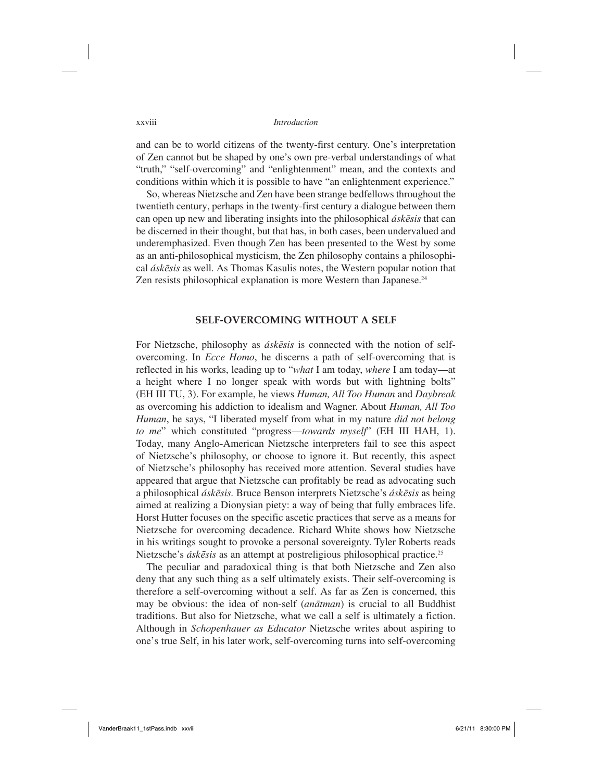### xxviii *Introduction*

and can be to world citizens of the twenty-first century. One's interpretation of Zen cannot but be shaped by one's own pre-verbal understandings of what "truth," "self-overcoming" and "enlightenment" mean, and the contexts and conditions within which it is possible to have "an enlightenment experience."

So, whereas Nietzsche and Zen have been strange bedfellows throughout the twentieth century, perhaps in the twenty-first century a dialogue between them can open up new and liberating insights into the philosophical *áskēsis* that can be discerned in their thought, but that has, in both cases, been undervalued and underemphasized. Even though Zen has been presented to the West by some as an anti-philosophical mysticism, the Zen philosophy contains a philosophical *áskēsis* as well. As Thomas Kasulis notes, the Western popular notion that Zen resists philosophical explanation is more Western than Japanese.<sup>24</sup>

### **SELF-OVERCOMING WITHOUT A SELF**

For Nietzsche, philosophy as *áskēsis* is connected with the notion of selfovercoming. In *Ecce Homo*, he discerns a path of self-overcoming that is reflected in his works, leading up to "*what* I am today, *where* I am today—at a height where I no longer speak with words but with lightning bolts" (EH III TU, 3). For example, he views *Human, All Too Human* and *Daybreak* as overcoming his addiction to idealism and Wagner. About *Human, All Too Human*, he says, "I liberated myself from what in my nature *did not belong to me*" which constituted "progress—*towards myself*" (EH III HAH, 1). Today, many Anglo-American Nietzsche interpreters fail to see this aspect of Nietzsche's philosophy, or choose to ignore it. But recently, this aspect of Nietzsche's philosophy has received more attention. Several studies have appeared that argue that Nietzsche can profitably be read as advocating such a philosophical *áskēsis.* Bruce Benson interprets Nietzsche's *áskēsis* as being aimed at realizing a Dionysian piety: a way of being that fully embraces life. Horst Hutter focuses on the specific ascetic practices that serve as a means for Nietzsche for overcoming decadence. Richard White shows how Nietzsche in his writings sought to provoke a personal sovereignty. Tyler Roberts reads Nietzsche's *áskēsis* as an attempt at postreligious philosophical practice.<sup>25</sup>

The peculiar and paradoxical thing is that both Nietzsche and Zen also deny that any such thing as a self ultimately exists. Their self-overcoming is therefore a self-overcoming without a self. As far as Zen is concerned, this may be obvious: the idea of non-self (*anātman*) is crucial to all Buddhist traditions. But also for Nietzsche, what we call a self is ultimately a fiction. Although in *Schopenhauer as Educator* Nietzsche writes about aspiring to one's true Self, in his later work, self-overcoming turns into self-overcoming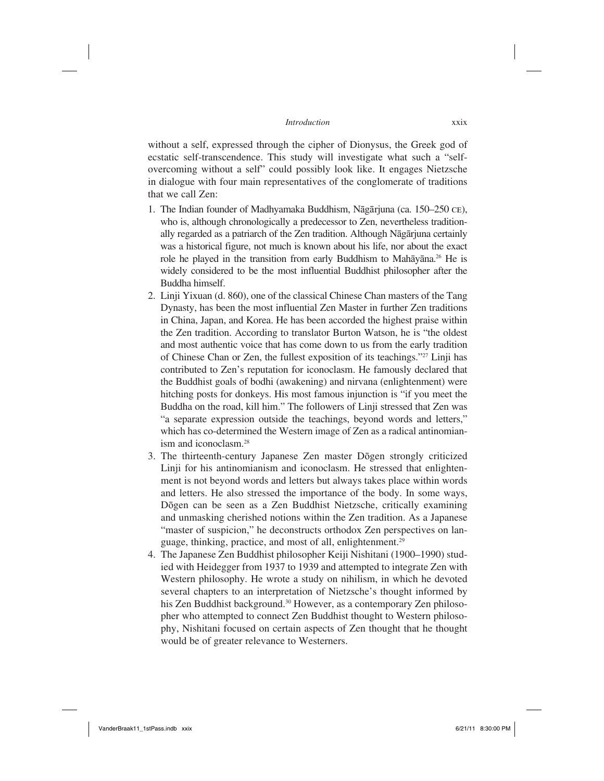### *Introduction* xxix

without a self, expressed through the cipher of Dionysus, the Greek god of ecstatic self-transcendence. This study will investigate what such a "selfovercoming without a self" could possibly look like. It engages Nietzsche in dialogue with four main representatives of the conglomerate of traditions that we call Zen:

- 1. The Indian founder of Madhyamaka Buddhism, Nāgārjuna (ca. 150–250 ce), who is, although chronologically a predecessor to Zen, nevertheless traditionally regarded as a patriarch of the Zen tradition. Although Nāgārjuna certainly was a historical figure, not much is known about his life, nor about the exact role he played in the transition from early Buddhism to Mahāyāna.<sup>26</sup> He is widely considered to be the most influential Buddhist philosopher after the Buddha himself.
- 2. Linji Yixuan (d. 860), one of the classical Chinese Chan masters of the Tang Dynasty, has been the most influential Zen Master in further Zen traditions in China, Japan, and Korea. He has been accorded the highest praise within the Zen tradition. According to translator Burton Watson, he is "the oldest and most authentic voice that has come down to us from the early tradition of Chinese Chan or Zen, the fullest exposition of its teachings."<sup>27</sup> Linji has contributed to Zen's reputation for iconoclasm. He famously declared that the Buddhist goals of bodhi (awakening) and nirvana (enlightenment) were hitching posts for donkeys. His most famous injunction is "if you meet the Buddha on the road, kill him." The followers of Linji stressed that Zen was "a separate expression outside the teachings, beyond words and letters," which has co-determined the Western image of Zen as a radical antinomianism and iconoclasm.<sup>28</sup>
- 3. The thirteenth-century Japanese Zen master Dōgen strongly criticized Linji for his antinomianism and iconoclasm. He stressed that enlightenment is not beyond words and letters but always takes place within words and letters. He also stressed the importance of the body. In some ways, Dōgen can be seen as a Zen Buddhist Nietzsche, critically examining and unmasking cherished notions within the Zen tradition. As a Japanese "master of suspicion," he deconstructs orthodox Zen perspectives on language, thinking, practice, and most of all, enlightenment.<sup>29</sup>
- 4. The Japanese Zen Buddhist philosopher Keiji Nishitani (1900–1990) studied with Heidegger from 1937 to 1939 and attempted to integrate Zen with Western philosophy. He wrote a study on nihilism, in which he devoted several chapters to an interpretation of Nietzsche's thought informed by his Zen Buddhist background.<sup>30</sup> However, as a contemporary Zen philosopher who attempted to connect Zen Buddhist thought to Western philosophy, Nishitani focused on certain aspects of Zen thought that he thought would be of greater relevance to Westerners.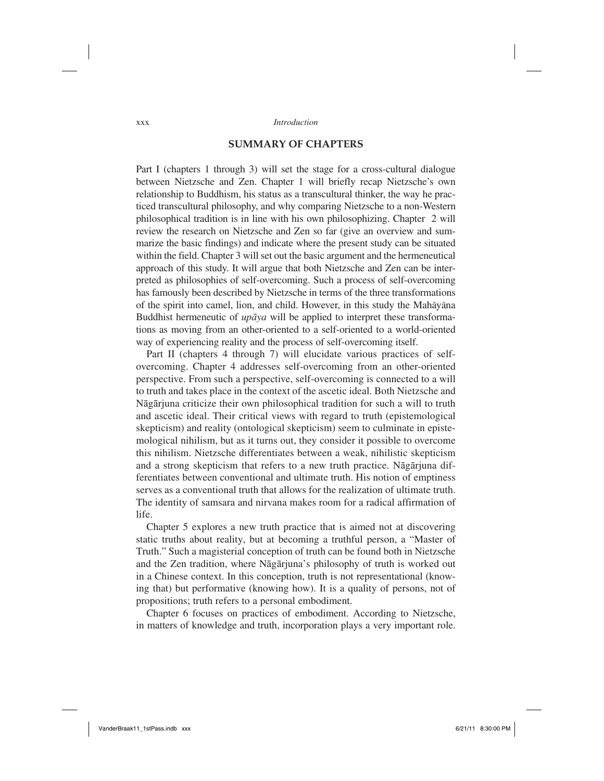#### xxx *Introduction*

### **SUMMARY OF CHAPTERS**

Part I (chapters 1 through 3) will set the stage for a cross-cultural dialogue between Nietzsche and Zen. Chapter 1 will briefly recap Nietzsche's own relationship to Buddhism, his status as a transcultural thinker, the way he practiced transcultural philosophy, and why comparing Nietzsche to a non-Western philosophical tradition is in line with his own philosophizing. Chapter 2 will review the research on Nietzsche and Zen so far (give an overview and summarize the basic findings) and indicate where the present study can be situated within the field. Chapter 3 will set out the basic argument and the hermeneutical approach of this study. It will argue that both Nietzsche and Zen can be interpreted as philosophies of self-overcoming. Such a process of self-overcoming has famously been described by Nietzsche in terms of the three transformations of the spirit into camel, lion, and child. However, in this study the Mahāyāna Buddhist hermeneutic of *upāya* will be applied to interpret these transformations as moving from an other-oriented to a self-oriented to a world-oriented way of experiencing reality and the process of self-overcoming itself.

Part II (chapters 4 through 7) will elucidate various practices of selfovercoming. Chapter 4 addresses self-overcoming from an other-oriented perspective. From such a perspective, self-overcoming is connected to a will to truth and takes place in the context of the ascetic ideal. Both Nietzsche and Nāgārjuna criticize their own philosophical tradition for such a will to truth and ascetic ideal. Their critical views with regard to truth (epistemological skepticism) and reality (ontological skepticism) seem to culminate in epistemological nihilism, but as it turns out, they consider it possible to overcome this nihilism. Nietzsche differentiates between a weak, nihilistic skepticism and a strong skepticism that refers to a new truth practice. Nāgārjuna differentiates between conventional and ultimate truth. His notion of emptiness serves as a conventional truth that allows for the realization of ultimate truth. The identity of samsara and nirvana makes room for a radical affirmation of life.

Chapter 5 explores a new truth practice that is aimed not at discovering static truths about reality, but at becoming a truthful person, a "Master of Truth." Such a magisterial conception of truth can be found both in Nietzsche and the Zen tradition, where Nāgārjuna's philosophy of truth is worked out in a Chinese context. In this conception, truth is not representational (knowing that) but performative (knowing how). It is a quality of persons, not of propositions; truth refers to a personal embodiment.

Chapter 6 focuses on practices of embodiment. According to Nietzsche, in matters of knowledge and truth, incorporation plays a very important role.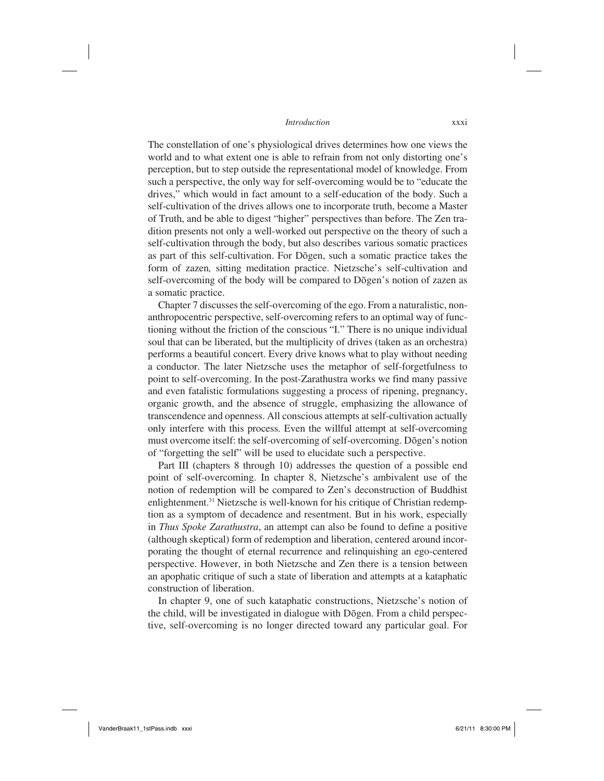### *Introduction* xxxi

The constellation of one's physiological drives determines how one views the world and to what extent one is able to refrain from not only distorting one's perception, but to step outside the representational model of knowledge. From such a perspective, the only way for self-overcoming would be to "educate the drives," which would in fact amount to a self-education of the body. Such a self-cultivation of the drives allows one to incorporate truth, become a Master of Truth, and be able to digest "higher" perspectives than before. The Zen tradition presents not only a well-worked out perspective on the theory of such a self-cultivation through the body, but also describes various somatic practices as part of this self-cultivation. For Dōgen, such a somatic practice takes the form of zazen*,* sitting meditation practice. Nietzsche's self-cultivation and self-overcoming of the body will be compared to Dōgen's notion of zazen as a somatic practice.

Chapter 7 discusses the self-overcoming of the ego. From a naturalistic, nonanthropocentric perspective, self-overcoming refers to an optimal way of functioning without the friction of the conscious "I." There is no unique individual soul that can be liberated, but the multiplicity of drives (taken as an orchestra) performs a beautiful concert. Every drive knows what to play without needing a conductor. The later Nietzsche uses the metaphor of self-forgetfulness to point to self-overcoming. In the post-Zarathustra works we find many passive and even fatalistic formulations suggesting a process of ripening, pregnancy, organic growth, and the absence of struggle, emphasizing the allowance of transcendence and openness. All conscious attempts at self-cultivation actually only interfere with this process. Even the willful attempt at self-overcoming must overcome itself: the self-overcoming of self-overcoming. Dōgen's notion of "forgetting the self" will be used to elucidate such a perspective.

Part III (chapters 8 through 10) addresses the question of a possible end point of self-overcoming. In chapter 8, Nietzsche's ambivalent use of the notion of redemption will be compared to Zen's deconstruction of Buddhist enlightenment.<sup>31</sup> Nietzsche is well-known for his critique of Christian redemption as a symptom of decadence and resentment. But in his work, especially in *Thus Spoke Zarathustra*, an attempt can also be found to define a positive (although skeptical) form of redemption and liberation, centered around incorporating the thought of eternal recurrence and relinquishing an ego-centered perspective. However, in both Nietzsche and Zen there is a tension between an apophatic critique of such a state of liberation and attempts at a kataphatic construction of liberation.

In chapter 9, one of such kataphatic constructions, Nietzsche's notion of the child, will be investigated in dialogue with Dōgen. From a child perspective, self-overcoming is no longer directed toward any particular goal. For

VanderBraak11\_1stPass.indb xxxi anderBraak11\_1stPass.indb 6/21/11 8:30:00 PM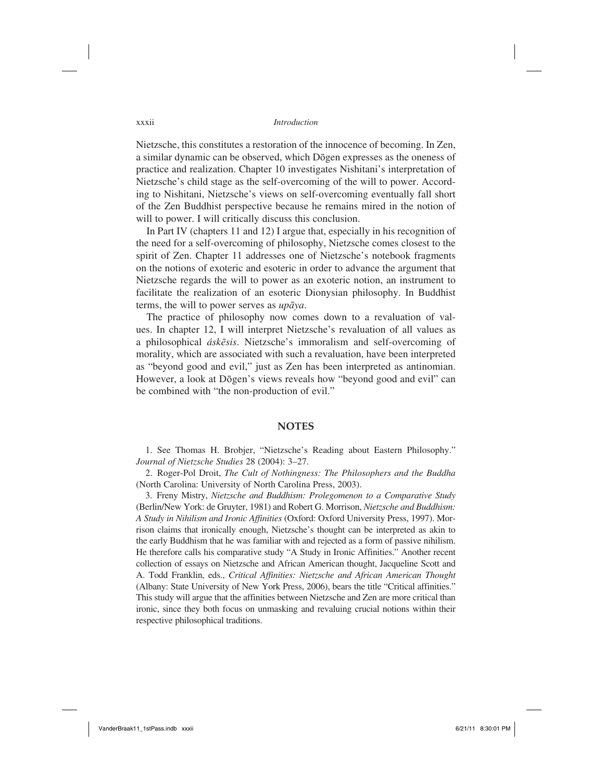### xxxii *Introduction*

Nietzsche, this constitutes a restoration of the innocence of becoming. In Zen, a similar dynamic can be observed, which Dōgen expresses as the oneness of practice and realization. Chapter 10 investigates Nishitani's interpretation of Nietzsche's child stage as the self-overcoming of the will to power. According to Nishitani, Nietzsche's views on self-overcoming eventually fall short of the Zen Buddhist perspective because he remains mired in the notion of will to power. I will critically discuss this conclusion.

In Part IV (chapters 11 and 12) I argue that, especially in his recognition of the need for a self-overcoming of philosophy, Nietzsche comes closest to the spirit of Zen. Chapter 11 addresses one of Nietzsche's notebook fragments on the notions of exoteric and esoteric in order to advance the argument that Nietzsche regards the will to power as an exoteric notion, an instrument to facilitate the realization of an esoteric Dionysian philosophy. In Buddhist terms, the will to power serves as *upāya*.

The practice of philosophy now comes down to a revaluation of values. In chapter 12, I will interpret Nietzsche's revaluation of all values as a philosophical *áskēsis*. Nietzsche's immoralism and self-overcoming of morality, which are associated with such a revaluation, have been interpreted as "beyond good and evil," just as Zen has been interpreted as antinomian. However, a look at Dōgen's views reveals how "beyond good and evil" can be combined with "the non-production of evil."

### **NOTES**

1. See Thomas H. Brobjer, "Nietzsche's Reading about Eastern Philosophy." *Journal of Nietzsche Studies* 28 (2004): 3–27.

2. Roger-Pol Droit, *The Cult of Nothingness: The Philosophers and the Buddha* (North Carolina: University of North Carolina Press, 2003).

3. Freny Mistry, *Nietzsche and Buddhism: Prolegomenon to a Comparative Study* (Berlin/New York: de Gruyter, 1981) and Robert G. Morrison, *Nietzsche and Buddhism: A Study in Nihilism and Ironic Affinities* (Oxford: Oxford University Press, 1997). Morrison claims that ironically enough, Nietzsche's thought can be interpreted as akin to the early Buddhism that he was familiar with and rejected as a form of passive nihilism. He therefore calls his comparative study "A Study in Ironic Affinities." Another recent collection of essays on Nietzsche and African American thought, Jacqueline Scott and A. Todd Franklin, eds., *Critical Affinities: Nietzsche and African American Thought* (Albany: State University of New York Press, 2006), bears the title "Critical affinities." This study will argue that the affinities between Nietzsche and Zen are more critical than ironic, since they both focus on unmasking and revaluing crucial notions within their respective philosophical traditions.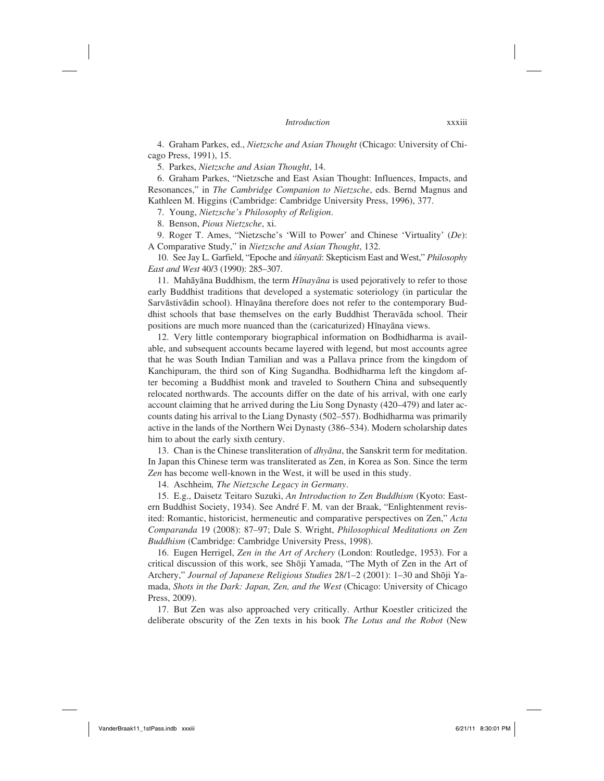### *Introduction* xxxiii

4. Graham Parkes, ed., *Nietzsche and Asian Thought* (Chicago: University of Chicago Press, 1991), 15.

5. Parkes, *Nietzsche and Asian Thought*, 14.

6. Graham Parkes, "Nietzsche and East Asian Thought: Influences, Impacts, and Resonances," in *The Cambridge Companion to Nietzsche*, eds. Bernd Magnus and Kathleen M. Higgins (Cambridge: Cambridge University Press, 1996), 377.

7. Young, *Nietzsche's Philosophy of Religion*.

8. Benson, *Pious Nietzsche*, xi.

9. Roger T. Ames, "Nietzsche's 'Will to Power' and Chinese 'Virtuality' (*De*): A Comparative Study," in *Nietzsche and Asian Thought*, 132.

10. See Jay L. Garfield, "Epoche and *śūnyatā*: Skepticism East and West," *Philosophy East and West* 40/3 (1990): 285–307.

11. Mahāyāna Buddhism, the term *Hīnayāna* is used pejoratively to refer to those early Buddhist traditions that developed a systematic soteriology (in particular the Sarvāstivādin school). Hīnayāna therefore does not refer to the contemporary Buddhist schools that base themselves on the early Buddhist Theravāda school. Their positions are much more nuanced than the (caricaturized) Hīnayāna views.

12. Very little contemporary biographical information on Bodhidharma is available, and subsequent accounts became layered with legend, but most accounts agree that he was South Indian Tamilian and was a Pallava prince from the kingdom of Kanchipuram, the third son of King Sugandha. Bodhidharma left the kingdom after becoming a Buddhist monk and traveled to Southern China and subsequently relocated northwards. The accounts differ on the date of his arrival, with one early account claiming that he arrived during the Liu Song Dynasty (420–479) and later accounts dating his arrival to the Liang Dynasty (502–557). Bodhidharma was primarily active in the lands of the Northern Wei Dynasty (386–534). Modern scholarship dates him to about the early sixth century.

13. Chan is the Chinese transliteration of *dhyāna*, the Sanskrit term for meditation. In Japan this Chinese term was transliterated as Zen, in Korea as Son. Since the term *Zen* has become well-known in the West, it will be used in this study.

14. Aschheim*, The Nietzsche Legacy in Germany*.

15. E.g., Daisetz Teitaro Suzuki, *An Introduction to Zen Buddhism* (Kyoto: Eastern Buddhist Society, 1934). See André F. M. van der Braak, "Enlightenment revisited: Romantic, historicist, hermeneutic and comparative perspectives on Zen," *Acta Comparanda* 19 (2008): 87–97; Dale S. Wright, *Philosophical Meditations on Zen Buddhism* (Cambridge: Cambridge University Press, 1998).

16. Eugen Herrigel, *Zen in the Art of Archery* (London: Routledge, 1953). For a critical discussion of this work, see Shōji Yamada, "The Myth of Zen in the Art of Archery," *Journal of Japanese Religious Studies* 28/1–2 (2001): 1–30 and Shōji Yamada, *Shots in the Dark: Japan, Zen, and the West* (Chicago: University of Chicago Press, 2009).

17. But Zen was also approached very critically. Arthur Koestler criticized the deliberate obscurity of the Zen texts in his book *The Lotus and the Robot* (New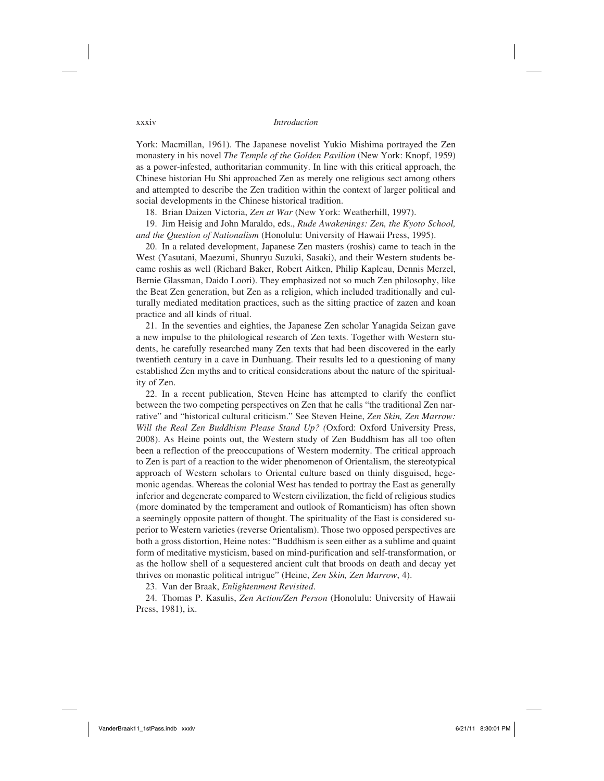#### xxxiv *Introduction*

York: Macmillan, 1961). The Japanese novelist Yukio Mishima portrayed the Zen monastery in his novel *The Temple of the Golden Pavilion* (New York: Knopf, 1959) as a power-infested, authoritarian community. In line with this critical approach, the Chinese historian Hu Shi approached Zen as merely one religious sect among others and attempted to describe the Zen tradition within the context of larger political and social developments in the Chinese historical tradition.

18. Brian Daizen Victoria, *Zen at War* (New York: Weatherhill, 1997).

19. Jim Heisig and John Maraldo, eds., *Rude Awakenings: Zen, the Kyoto School, and the Question of Nationalism* (Honolulu: University of Hawaii Press, 1995).

20. In a related development, Japanese Zen masters (roshis) came to teach in the West (Yasutani, Maezumi, Shunryu Suzuki, Sasaki), and their Western students became roshis as well (Richard Baker, Robert Aitken, Philip Kapleau, Dennis Merzel, Bernie Glassman, Daido Loori). They emphasized not so much Zen philosophy, like the Beat Zen generation, but Zen as a religion, which included traditionally and culturally mediated meditation practices, such as the sitting practice of zazen and koan practice and all kinds of ritual.

21. In the seventies and eighties, the Japanese Zen scholar Yanagida Seizan gave a new impulse to the philological research of Zen texts. Together with Western students, he carefully researched many Zen texts that had been discovered in the early twentieth century in a cave in Dunhuang. Their results led to a questioning of many established Zen myths and to critical considerations about the nature of the spirituality of Zen.

22. In a recent publication, Steven Heine has attempted to clarify the conflict between the two competing perspectives on Zen that he calls "the traditional Zen narrative" and "historical cultural criticism." See Steven Heine, *Zen Skin, Zen Marrow: Will the Real Zen Buddhism Please Stand Up? (*Oxford: Oxford University Press, 2008). As Heine points out, the Western study of Zen Buddhism has all too often been a reflection of the preoccupations of Western modernity. The critical approach to Zen is part of a reaction to the wider phenomenon of Orientalism, the stereotypical approach of Western scholars to Oriental culture based on thinly disguised, hegemonic agendas. Whereas the colonial West has tended to portray the East as generally inferior and degenerate compared to Western civilization, the field of religious studies (more dominated by the temperament and outlook of Romanticism) has often shown a seemingly opposite pattern of thought. The spirituality of the East is considered superior to Western varieties (reverse Orientalism). Those two opposed perspectives are both a gross distortion, Heine notes: "Buddhism is seen either as a sublime and quaint form of meditative mysticism, based on mind-purification and self-transformation, or as the hollow shell of a sequestered ancient cult that broods on death and decay yet thrives on monastic political intrigue" (Heine, *Zen Skin, Zen Marrow*, 4).

23. Van der Braak, *Enlightenment Revisited*.

24. Thomas P. Kasulis, *Zen Action/Zen Person* (Honolulu: University of Hawaii Press, 1981), ix.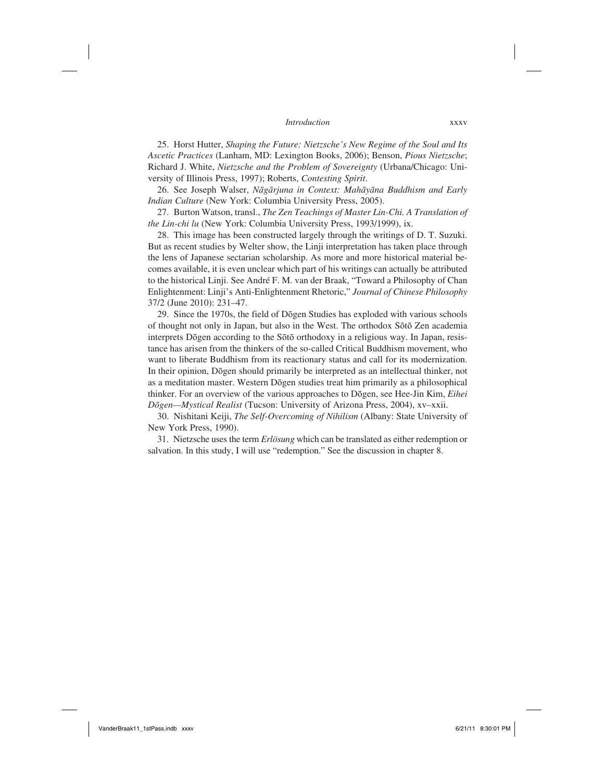### *Introduction* xxxv

25. Horst Hutter, *Shaping the Future: Nietzsche's New Regime of the Soul and Its Ascetic Practices* (Lanham, MD: Lexington Books, 2006); Benson, *Pious Nietzsche*; Richard J. White, *Nietzsche and the Problem of Sovereignty* (Urbana/Chicago: University of Illinois Press, 1997); Roberts, *Contesting Spirit*.

26. See Joseph Walser, *Nāgārjuna in Context: Mahāyāna Buddhism and Early Indian Culture* (New York: Columbia University Press, 2005).

27. Burton Watson, transl., *The Zen Teachings of Master Lin-Chi. A Translation of the Lin-chi lu* (New York: Columbia University Press, 1993/1999), ix.

28. This image has been constructed largely through the writings of D. T. Suzuki. But as recent studies by Welter show, the Linji interpretation has taken place through the lens of Japanese sectarian scholarship. As more and more historical material becomes available, it is even unclear which part of his writings can actually be attributed to the historical Linji. See André F. M. van der Braak, "Toward a Philosophy of Chan Enlightenment: Linji's Anti-Enlightenment Rhetoric," *Journal of Chinese Philosophy* 37/2 (June 2010): 231–47.

29. Since the 1970s, the field of Dōgen Studies has exploded with various schools of thought not only in Japan, but also in the West. The orthodox Sōtō Zen academia interprets Dōgen according to the Sōtō orthodoxy in a religious way. In Japan, resistance has arisen from the thinkers of the so-called Critical Buddhism movement, who want to liberate Buddhism from its reactionary status and call for its modernization. In their opinion, Dōgen should primarily be interpreted as an intellectual thinker, not as a meditation master. Western Dōgen studies treat him primarily as a philosophical thinker. For an overview of the various approaches to Dōgen, see Hee-Jin Kim, *Eihei Dōgen—Mystical Realist* (Tucson: University of Arizona Press, 2004), xv–xxii.

30. Nishitani Keiji, *The Self-Overcoming of Nihilism* (Albany: State University of New York Press, 1990).

31. Nietzsche uses the term *Erlösung* which can be translated as either redemption or salvation. In this study, I will use "redemption." See the discussion in chapter 8.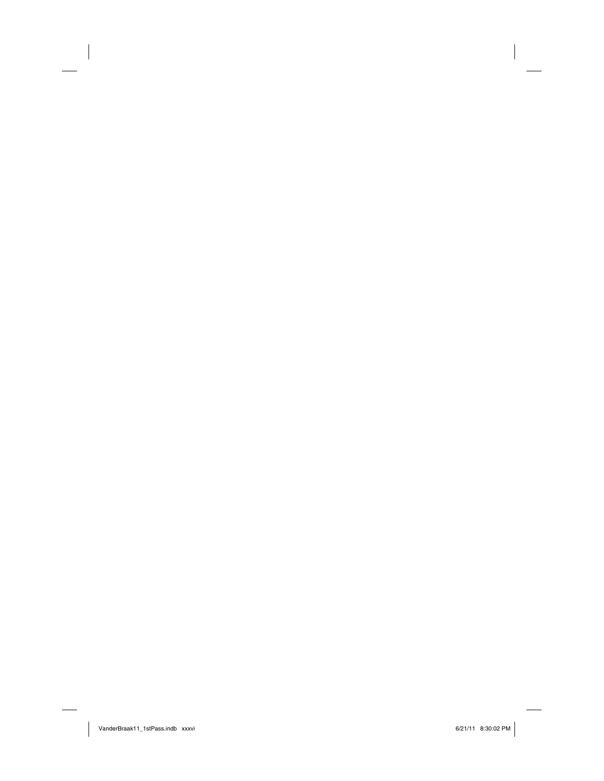VanderBraak11\_1stPass.indb xxxvi and and the state of the state of  $6/21/11$  8:30:02 PM  $\big|$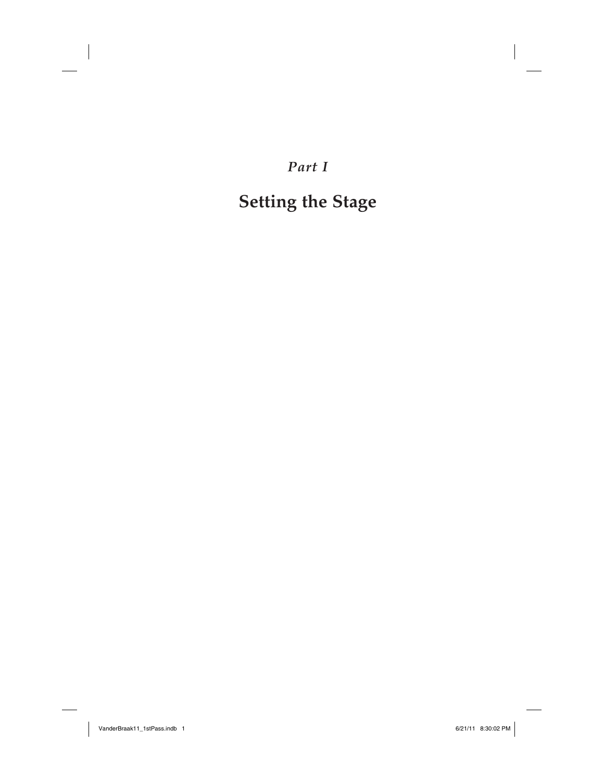*Part I*

# **Setting the Stage**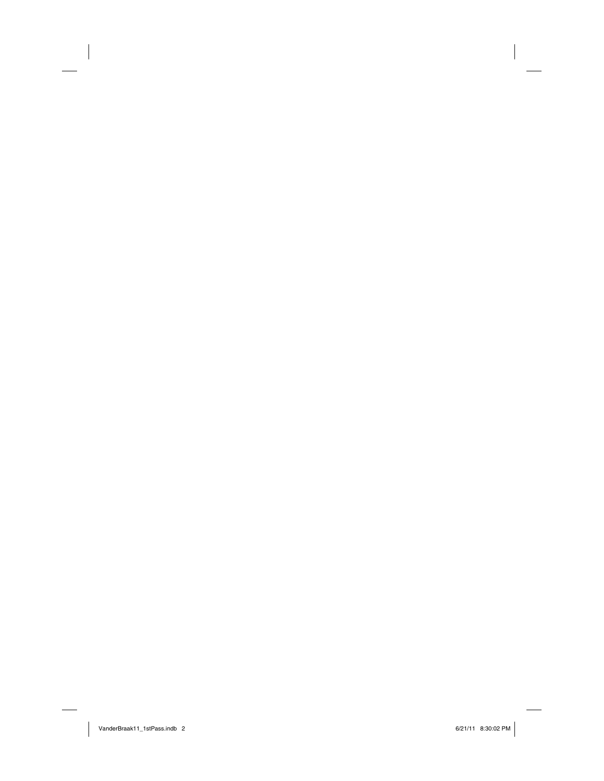VanderBraak11\_1stPass.indb 2  $6/21/11$  8:30:02 PM  $\big|$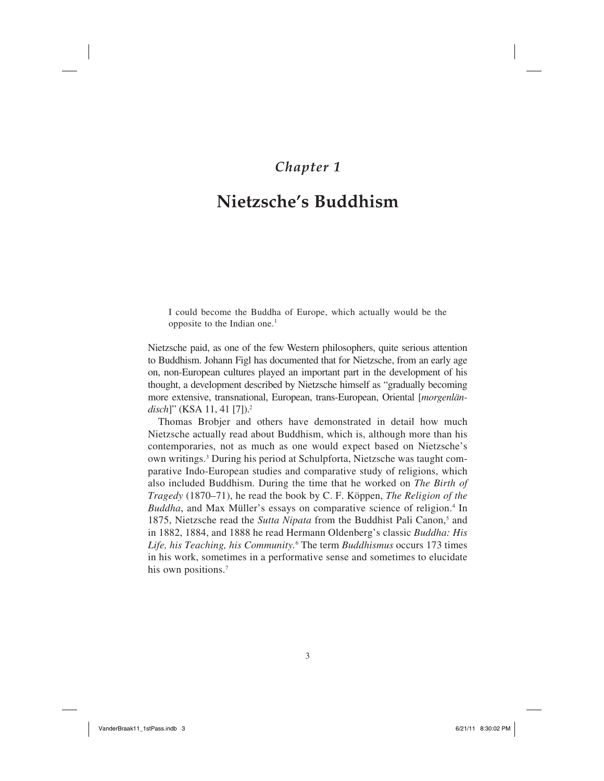# **Nietzsche's Buddhism**

I could become the Buddha of Europe, which actually would be the opposite to the Indian one.<sup>1</sup>

Nietzsche paid, as one of the few Western philosophers, quite serious attention to Buddhism. Johann Figl has documented that for Nietzsche, from an early age on, non-European cultures played an important part in the development of his thought, a development described by Nietzsche himself as "gradually becoming more extensive, transnational, European, trans-European, Oriental [*morgenländisch*]" (KSA 11, 41 [7]).<sup>2</sup>

Thomas Brobjer and others have demonstrated in detail how much Nietzsche actually read about Buddhism, which is, although more than his contemporaries, not as much as one would expect based on Nietzsche's own writings.<sup>3</sup> During his period at Schulpforta, Nietzsche was taught comparative Indo-European studies and comparative study of religions, which also included Buddhism. During the time that he worked on *The Birth of Tragedy* (1870–71), he read the book by C. F. Köppen, *The Religion of the*  Buddha, and Max Müller's essays on comparative science of religion.<sup>4</sup> In 1875, Nietzsche read the *Sutta Nipata* from the Buddhist Pali Canon,<sup>5</sup> and in 1882, 1884, and 1888 he read Hermann Oldenberg's classic *Buddha: His Life, his Teaching, his Community.*<sup>6</sup> The term *Buddhismus* occurs 173 times in his work, sometimes in a performative sense and sometimes to elucidate his own positions.<sup>7</sup>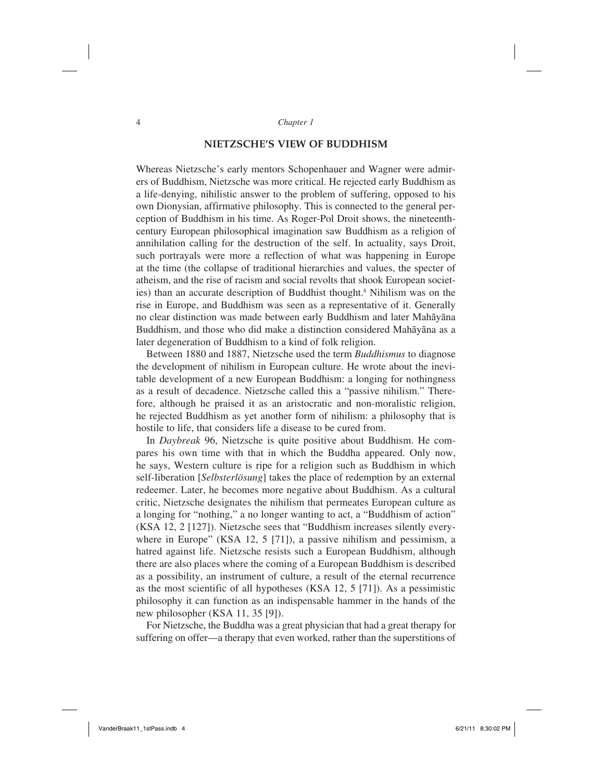#### **NIETZSCHE'S VIEW OF BUDDHISM**

Whereas Nietzsche's early mentors Schopenhauer and Wagner were admirers of Buddhism, Nietzsche was more critical. He rejected early Buddhism as a life-denying, nihilistic answer to the problem of suffering, opposed to his own Dionysian, affirmative philosophy. This is connected to the general perception of Buddhism in his time. As Roger-Pol Droit shows, the nineteenthcentury European philosophical imagination saw Buddhism as a religion of annihilation calling for the destruction of the self. In actuality, says Droit, such portrayals were more a reflection of what was happening in Europe at the time (the collapse of traditional hierarchies and values, the specter of atheism, and the rise of racism and social revolts that shook European societies) than an accurate description of Buddhist thought.<sup>8</sup> Nihilism was on the rise in Europe, and Buddhism was seen as a representative of it. Generally no clear distinction was made between early Buddhism and later Mahāyāna Buddhism, and those who did make a distinction considered Mahāyāna as a later degeneration of Buddhism to a kind of folk religion.

Between 1880 and 1887, Nietzsche used the term *Buddhismus* to diagnose the development of nihilism in European culture. He wrote about the inevitable development of a new European Buddhism: a longing for nothingness as a result of decadence. Nietzsche called this a "passive nihilism." Therefore, although he praised it as an aristocratic and non-moralistic religion, he rejected Buddhism as yet another form of nihilism: a philosophy that is hostile to life, that considers life a disease to be cured from.

In *Daybreak* 96, Nietzsche is quite positive about Buddhism. He compares his own time with that in which the Buddha appeared. Only now, he says, Western culture is ripe for a religion such as Buddhism in which self-liberation [*Selbsterlösung*] takes the place of redemption by an external redeemer. Later, he becomes more negative about Buddhism. As a cultural critic, Nietzsche designates the nihilism that permeates European culture as a longing for "nothing," a no longer wanting to act, a "Buddhism of action" (KSA 12, 2 [127]). Nietzsche sees that "Buddhism increases silently everywhere in Europe" (KSA 12, 5 [71]), a passive nihilism and pessimism, a hatred against life. Nietzsche resists such a European Buddhism, although there are also places where the coming of a European Buddhism is described as a possibility, an instrument of culture, a result of the eternal recurrence as the most scientific of all hypotheses (KSA 12, 5 [71]). As a pessimistic philosophy it can function as an indispensable hammer in the hands of the new philosopher (KSA 11, 35 [9]).

For Nietzsche, the Buddha was a great physician that had a great therapy for suffering on offer—a therapy that even worked, rather than the superstitions of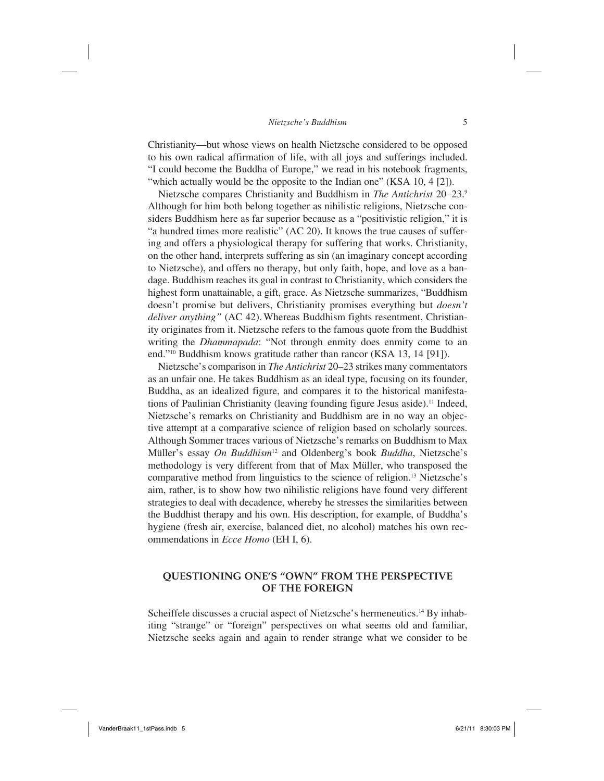#### *Nietzsche's Buddhism* 5

Christianity—but whose views on health Nietzsche considered to be opposed to his own radical affirmation of life, with all joys and sufferings included. "I could become the Buddha of Europe," we read in his notebook fragments, "which actually would be the opposite to the Indian one" (KSA 10, 4 [2]).

Nietzsche compares Christianity and Buddhism in *The Antichrist* 20–23.<sup>9</sup> Although for him both belong together as nihilistic religions, Nietzsche considers Buddhism here as far superior because as a "positivistic religion," it is "a hundred times more realistic" (AC 20). It knows the true causes of suffering and offers a physiological therapy for suffering that works. Christianity, on the other hand, interprets suffering as sin (an imaginary concept according to Nietzsche), and offers no therapy, but only faith, hope, and love as a bandage. Buddhism reaches its goal in contrast to Christianity, which considers the highest form unattainable, a gift, grace. As Nietzsche summarizes, "Buddhism doesn't promise but delivers, Christianity promises everything but *doesn't deliver anything"* (AC 42). Whereas Buddhism fights resentment, Christianity originates from it. Nietzsche refers to the famous quote from the Buddhist writing the *Dhammapada*: "Not through enmity does enmity come to an end."<sup>10</sup> Buddhism knows gratitude rather than rancor (KSA 13, 14 [91]).

Nietzsche's comparison in *The Antichrist* 20–23 strikes many commentators as an unfair one. He takes Buddhism as an ideal type, focusing on its founder, Buddha, as an idealized figure, and compares it to the historical manifestations of Paulinian Christianity (leaving founding figure Jesus aside).<sup>11</sup> Indeed, Nietzsche's remarks on Christianity and Buddhism are in no way an objective attempt at a comparative science of religion based on scholarly sources. Although Sommer traces various of Nietzsche's remarks on Buddhism to Max Müller's essay *On Buddhism*<sup>12</sup> and Oldenberg's book *Buddha*, Nietzsche's methodology is very different from that of Max Müller, who transposed the comparative method from linguistics to the science of religion.<sup>13</sup> Nietzsche's aim, rather, is to show how two nihilistic religions have found very different strategies to deal with decadence, whereby he stresses the similarities between the Buddhist therapy and his own. His description, for example, of Buddha's hygiene (fresh air, exercise, balanced diet, no alcohol) matches his own recommendations in *Ecce Homo* (EH I, 6).

## **QUESTIONING ONE'S "OWN" FROM THE PERSPECTIVE OF THE FOREIGN**

Scheiffele discusses a crucial aspect of Nietzsche's hermeneutics.<sup>14</sup> By inhabiting "strange" or "foreign" perspectives on what seems old and familiar, Nietzsche seeks again and again to render strange what we consider to be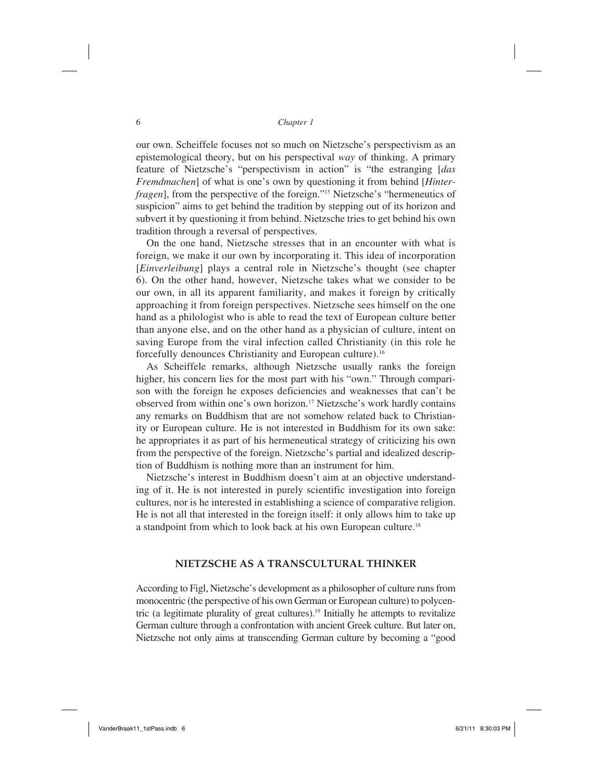our own. Scheiffele focuses not so much on Nietzsche's perspectivism as an epistemological theory, but on his perspectival *way* of thinking. A primary feature of Nietzsche's "perspectivism in action" is "the estranging [*das Fremdmachen*] of what is one's own by questioning it from behind [*Hinterfragen*], from the perspective of the foreign."<sup>15</sup> Nietzsche's "hermeneutics of suspicion" aims to get behind the tradition by stepping out of its horizon and subvert it by questioning it from behind. Nietzsche tries to get behind his own tradition through a reversal of perspectives.

On the one hand, Nietzsche stresses that in an encounter with what is foreign, we make it our own by incorporating it. This idea of incorporation [*Einverleibung*] plays a central role in Nietzsche's thought (see chapter 6). On the other hand, however, Nietzsche takes what we consider to be our own, in all its apparent familiarity, and makes it foreign by critically approaching it from foreign perspectives. Nietzsche sees himself on the one hand as a philologist who is able to read the text of European culture better than anyone else, and on the other hand as a physician of culture, intent on saving Europe from the viral infection called Christianity (in this role he forcefully denounces Christianity and European culture).<sup>16</sup>

As Scheiffele remarks, although Nietzsche usually ranks the foreign higher, his concern lies for the most part with his "own." Through comparison with the foreign he exposes deficiencies and weaknesses that can't be observed from within one's own horizon.<sup>17</sup> Nietzsche's work hardly contains any remarks on Buddhism that are not somehow related back to Christianity or European culture. He is not interested in Buddhism for its own sake: he appropriates it as part of his hermeneutical strategy of criticizing his own from the perspective of the foreign. Nietzsche's partial and idealized description of Buddhism is nothing more than an instrument for him.

Nietzsche's interest in Buddhism doesn't aim at an objective understanding of it. He is not interested in purely scientific investigation into foreign cultures, nor is he interested in establishing a science of comparative religion. He is not all that interested in the foreign itself: it only allows him to take up a standpoint from which to look back at his own European culture.<sup>18</sup>

### **NIETZSCHE AS A TRANSCULTURAL THINKER**

According to Figl, Nietzsche's development as a philosopher of culture runs from monocentric (the perspective of his own German or European culture) to polycentric (a legitimate plurality of great cultures).<sup>19</sup> Initially he attempts to revitalize German culture through a confrontation with ancient Greek culture. But later on, Nietzsche not only aims at transcending German culture by becoming a "good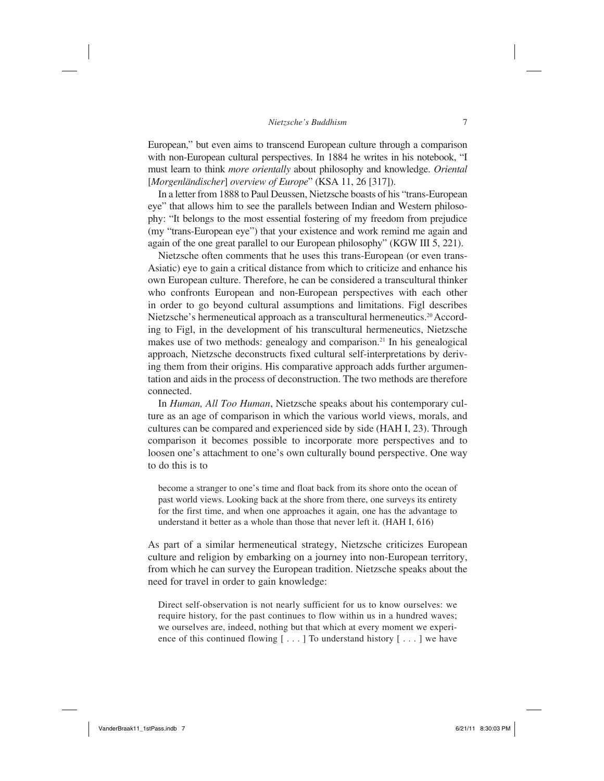#### *Nietzsche's Buddhism* 7

European," but even aims to transcend European culture through a comparison with non-European cultural perspectives. In 1884 he writes in his notebook, "I must learn to think *more orientally* about philosophy and knowledge. *Oriental* [*Morgenländischer*] *overview of Europe*" (KSA 11, 26 [317]).

In a letter from 1888 to Paul Deussen, Nietzsche boasts of his "trans-European eye" that allows him to see the parallels between Indian and Western philosophy: "It belongs to the most essential fostering of my freedom from prejudice (my "trans-European eye") that your existence and work remind me again and again of the one great parallel to our European philosophy" (KGW III 5, 221).

Nietzsche often comments that he uses this trans-European (or even trans-Asiatic) eye to gain a critical distance from which to criticize and enhance his own European culture. Therefore, he can be considered a transcultural thinker who confronts European and non-European perspectives with each other in order to go beyond cultural assumptions and limitations. Figl describes Nietzsche's hermeneutical approach as a transcultural hermeneutics.<sup>20</sup> According to Figl, in the development of his transcultural hermeneutics, Nietzsche makes use of two methods: genealogy and comparison.<sup>21</sup> In his genealogical approach, Nietzsche deconstructs fixed cultural self-interpretations by deriving them from their origins. His comparative approach adds further argumentation and aids in the process of deconstruction. The two methods are therefore connected.

In *Human, All Too Human*, Nietzsche speaks about his contemporary culture as an age of comparison in which the various world views, morals, and cultures can be compared and experienced side by side (HAH I, 23). Through comparison it becomes possible to incorporate more perspectives and to loosen one's attachment to one's own culturally bound perspective. One way to do this is to

become a stranger to one's time and float back from its shore onto the ocean of past world views. Looking back at the shore from there, one surveys its entirety for the first time, and when one approaches it again, one has the advantage to understand it better as a whole than those that never left it. (HAH I, 616)

As part of a similar hermeneutical strategy, Nietzsche criticizes European culture and religion by embarking on a journey into non-European territory, from which he can survey the European tradition. Nietzsche speaks about the need for travel in order to gain knowledge:

Direct self-observation is not nearly sufficient for us to know ourselves: we require history, for the past continues to flow within us in a hundred waves; we ourselves are, indeed, nothing but that which at every moment we experience of this continued flowing [ . . . ] To understand history [ . . . ] we have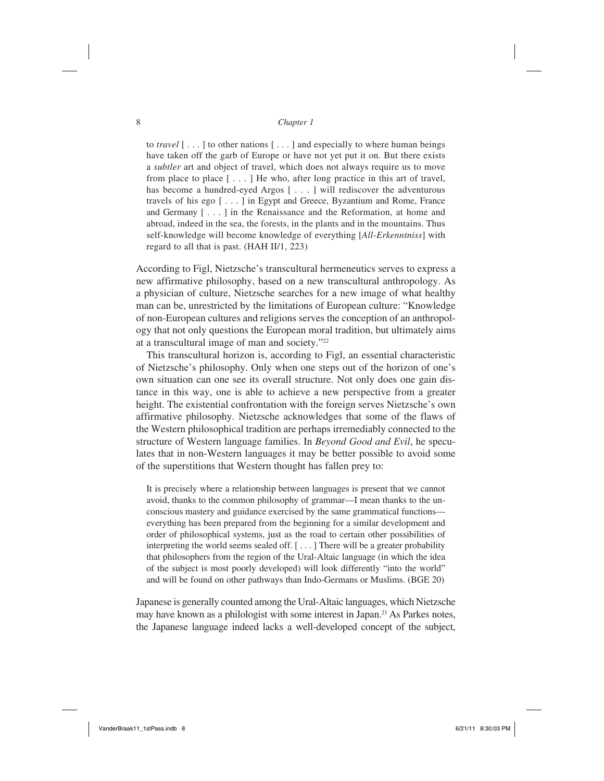to *travel* [ . . . ] to other nations [ . . . ] and especially to where human beings have taken off the garb of Europe or have not yet put it on. But there exists a *subtler* art and object of travel, which does not always require us to move from place to place [ . . . ] He who, after long practice in this art of travel, has become a hundred-eyed Argos [ . . . ] will rediscover the adventurous travels of his ego [ . . . ] in Egypt and Greece, Byzantium and Rome, France and Germany [ . . . ] in the Renaissance and the Reformation, at home and abroad, indeed in the sea, the forests, in the plants and in the mountains. Thus self-knowledge will become knowledge of everything [*All-Erkenntniss*] with regard to all that is past. (HAH II/1, 223)

According to Figl, Nietzsche's transcultural hermeneutics serves to express a new affirmative philosophy, based on a new transcultural anthropology. As a physician of culture, Nietzsche searches for a new image of what healthy man can be, unrestricted by the limitations of European culture: "Knowledge of non-European cultures and religions serves the conception of an anthropology that not only questions the European moral tradition, but ultimately aims at a transcultural image of man and society."<sup>22</sup>

This transcultural horizon is, according to Figl, an essential characteristic of Nietzsche's philosophy. Only when one steps out of the horizon of one's own situation can one see its overall structure. Not only does one gain distance in this way, one is able to achieve a new perspective from a greater height. The existential confrontation with the foreign serves Nietzsche's own affirmative philosophy. Nietzsche acknowledges that some of the flaws of the Western philosophical tradition are perhaps irremediably connected to the structure of Western language families. In *Beyond Good and Evil*, he speculates that in non-Western languages it may be better possible to avoid some of the superstitions that Western thought has fallen prey to:

It is precisely where a relationship between languages is present that we cannot avoid, thanks to the common philosophy of grammar—I mean thanks to the unconscious mastery and guidance exercised by the same grammatical functions everything has been prepared from the beginning for a similar development and order of philosophical systems, just as the road to certain other possibilities of interpreting the world seems sealed off. [ . . . ] There will be a greater probability that philosophers from the region of the Ural-Altaic language (in which the idea of the subject is most poorly developed) will look differently "into the world" and will be found on other pathways than Indo-Germans or Muslims. (BGE 20)

Japanese is generally counted among the Ural-Altaic languages, which Nietzsche may have known as a philologist with some interest in Japan.<sup>23</sup> As Parkes notes, the Japanese language indeed lacks a well-developed concept of the subject,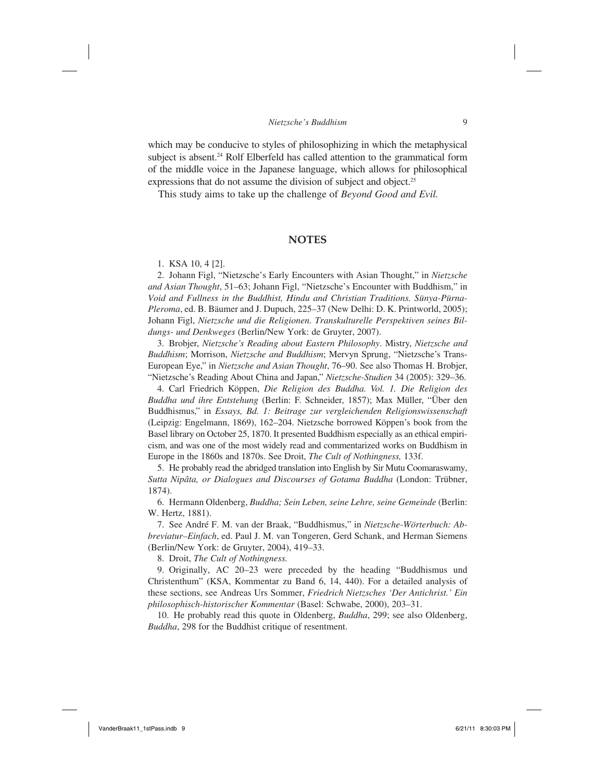#### *Nietzsche's Buddhism* 9

which may be conducive to styles of philosophizing in which the metaphysical subject is absent.<sup>24</sup> Rolf Elberfeld has called attention to the grammatical form of the middle voice in the Japanese language, which allows for philosophical expressions that do not assume the division of subject and object.<sup>25</sup>

This study aims to take up the challenge of *Beyond Good and Evil.*

### **NOTES**

1. KSA 10, 4 [2].

2. Johann Figl, "Nietzsche's Early Encounters with Asian Thought," in *Nietzsche and Asian Thought*, 51–63; Johann Figl, "Nietzsche's Encounter with Buddhism," in Void and Fullness in the Buddhist, Hindu and Christian Traditions. Sūnya-Pūrna-*Pleroma*, ed. B. Bäumer and J. Dupuch, 225–37 (New Delhi: D. K. Printworld, 2005); Johann Figl, *Nietzsche und die Religionen. Transkulturelle Perspektiven seines Bildungs- und Denkweges* (Berlin/New York: de Gruyter, 2007).

3. Brobjer, *Nietzsche's Reading about Eastern Philosophy*. Mistry, *Nietzsche and Buddhism*; Morrison, *Nietzsche and Buddhism*; Mervyn Sprung, "Nietzsche's Trans-European Eye," in *Nietzsche and Asian Thought*, 76–90. See also Thomas H. Brobjer, "Nietzsche's Reading About China and Japan," *Nietzsche-Studien* 34 (2005): 329–36.

4. Carl Friedrich Köppen, *Die Religion des Buddha. Vol. 1. Die Religion des Buddha und ihre Entstehung* (Berlin: F. Schneider, 1857); Max Müller, "Über den Buddhismus," in *Essays, Bd. 1: Beitrage zur vergleichenden Religionswissenschaft* (Leipzig: Engelmann, 1869), 162–204. Nietzsche borrowed Köppen's book from the Basel library on October 25, 1870. It presented Buddhism especially as an ethical empiricism, and was one of the most widely read and commentarized works on Buddhism in Europe in the 1860s and 1870s. See Droit, *The Cult of Nothingness,* 133f.

5. He probably read the abridged translation into English by Sir Mutu Coomaraswamy, *Sutta Nipâta, or Dialogues and Discourses of Gotama Buddha* (London: Trübner, 1874).

6. Hermann Oldenberg, *Buddha; Sein Leben, seine Lehre, seine Gemeinde* (Berlin: W. Hertz, 1881).

7. See André F. M. van der Braak, "Buddhismus," in *Nietzsche-Wörterbuch: Abbreviatur–Einfach*, ed. Paul J. M. van Tongeren, Gerd Schank, and Herman Siemens (Berlin/New York: de Gruyter, 2004), 419–33.

8. Droit, *The Cult of Nothingness.*

9. Originally, AC 20–23 were preceded by the heading "Buddhismus und Christenthum" (KSA, Kommentar zu Band 6, 14, 440). For a detailed analysis of these sections, see Andreas Urs Sommer, *Friedrich Nietzsches 'Der Antichrist.' Ein philosophisch-historischer Kommentar* (Basel: Schwabe, 2000), 203–31.

10. He probably read this quote in Oldenberg, *Buddha*, 299; see also Oldenberg, *Buddha*, 298 for the Buddhist critique of resentment.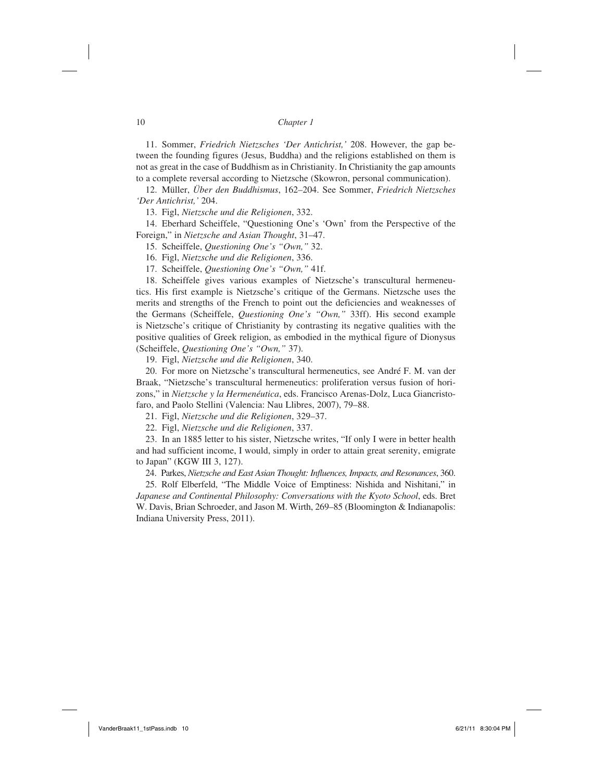11. Sommer, *Friedrich Nietzsches 'Der Antichrist,'* 208. However, the gap between the founding figures (Jesus, Buddha) and the religions established on them is not as great in the case of Buddhism as in Christianity. In Christianity the gap amounts to a complete reversal according to Nietzsche (Skowron, personal communication).

12. Müller, *Über den Buddhismus*, 162–204. See Sommer, *Friedrich Nietzsches 'Der Antichrist,'* 204.

13. Figl, *Nietzsche und die Religionen*, 332.

14. Eberhard Scheiffele, "Questioning One's 'Own' from the Perspective of the Foreign," in *Nietzsche and Asian Thought*, 31–47.

15. Scheiffele, *Questioning One's "Own,"* 32.

16. Figl, *Nietzsche und die Religionen*, 336.

17. Scheiffele, *Questioning One's "Own,"* 41f.

18. Scheiffele gives various examples of Nietzsche's transcultural hermeneutics. His first example is Nietzsche's critique of the Germans. Nietzsche uses the merits and strengths of the French to point out the deficiencies and weaknesses of the Germans (Scheiffele, *Questioning One's "Own,"* 33ff). His second example is Nietzsche's critique of Christianity by contrasting its negative qualities with the positive qualities of Greek religion, as embodied in the mythical figure of Dionysus (Scheiffele, *Questioning One's "Own,"* 37).

19. Figl, *Nietzsche und die Religionen*, 340.

20. For more on Nietzsche's transcultural hermeneutics, see André F. M. van der Braak, "Nietzsche's transcultural hermeneutics: proliferation versus fusion of horizons," in *Nietzsche y la Hermenéutica*, eds. Francisco Arenas-Dolz, Luca Giancristofaro, and Paolo Stellini (Valencia: Nau Llibres, 2007), 79–88.

21. Figl, *Nietzsche und die Religionen*, 329–37.

22. Figl, *Nietzsche und die Religionen*, 337.

23. In an 1885 letter to his sister, Nietzsche writes, "If only I were in better health and had sufficient income, I would, simply in order to attain great serenity, emigrate to Japan" (KGW III 3, 127).

24. Parkes, *Nietzsche and East Asian Thought: Influences, Impacts, and Resonances*, 360.

25. Rolf Elberfeld, "The Middle Voice of Emptiness: Nishida and Nishitani," in *Japanese and Continental Philosophy: Conversations with the Kyoto School*, eds. Bret W. Davis, Brian Schroeder, and Jason M. Wirth, 269–85 (Bloomington & Indianapolis: Indiana University Press, 2011).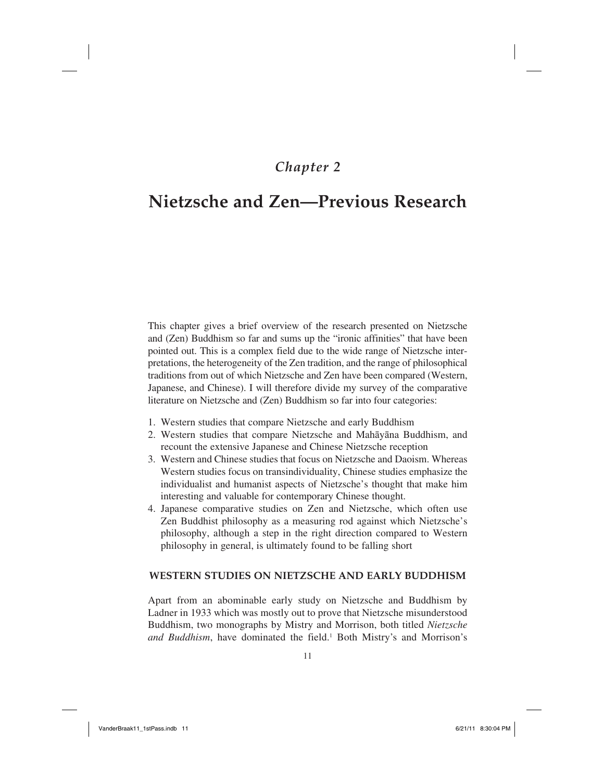# **Nietzsche and Zen—Previous Research**

This chapter gives a brief overview of the research presented on Nietzsche and (Zen) Buddhism so far and sums up the "ironic affinities" that have been pointed out. This is a complex field due to the wide range of Nietzsche interpretations, the heterogeneity of the Zen tradition, and the range of philosophical traditions from out of which Nietzsche and Zen have been compared (Western, Japanese, and Chinese). I will therefore divide my survey of the comparative literature on Nietzsche and (Zen) Buddhism so far into four categories:

- 1. Western studies that compare Nietzsche and early Buddhism
- 2. Western studies that compare Nietzsche and Mahāyāna Buddhism, and recount the extensive Japanese and Chinese Nietzsche reception
- 3. Western and Chinese studies that focus on Nietzsche and Daoism. Whereas Western studies focus on transindividuality, Chinese studies emphasize the individualist and humanist aspects of Nietzsche's thought that make him interesting and valuable for contemporary Chinese thought.
- 4. Japanese comparative studies on Zen and Nietzsche, which often use Zen Buddhist philosophy as a measuring rod against which Nietzsche's philosophy, although a step in the right direction compared to Western philosophy in general, is ultimately found to be falling short

### **WESTERN STUDIES ON NIETZSCHE AND EARLY BUDDHISM**

Apart from an abominable early study on Nietzsche and Buddhism by Ladner in 1933 which was mostly out to prove that Nietzsche misunderstood Buddhism, two monographs by Mistry and Morrison, both titled *Nietzsche*  and Buddhism, have dominated the field.<sup>1</sup> Both Mistry's and Morrison's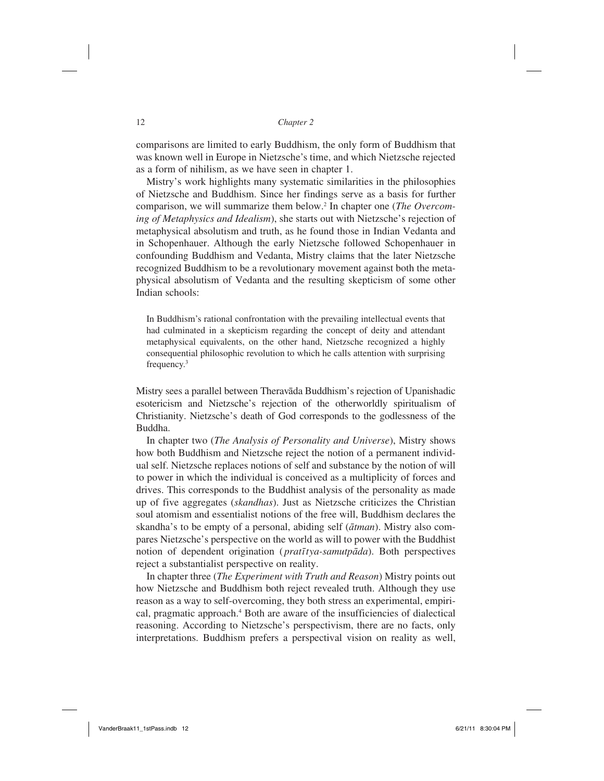comparisons are limited to early Buddhism, the only form of Buddhism that was known well in Europe in Nietzsche's time, and which Nietzsche rejected as a form of nihilism, as we have seen in chapter 1.

Mistry's work highlights many systematic similarities in the philosophies of Nietzsche and Buddhism. Since her findings serve as a basis for further comparison, we will summarize them below.<sup>2</sup> In chapter one (*The Overcoming of Metaphysics and Idealism*), she starts out with Nietzsche's rejection of metaphysical absolutism and truth, as he found those in Indian Vedanta and in Schopenhauer. Although the early Nietzsche followed Schopenhauer in confounding Buddhism and Vedanta, Mistry claims that the later Nietzsche recognized Buddhism to be a revolutionary movement against both the metaphysical absolutism of Vedanta and the resulting skepticism of some other Indian schools:

In Buddhism's rational confrontation with the prevailing intellectual events that had culminated in a skepticism regarding the concept of deity and attendant metaphysical equivalents, on the other hand, Nietzsche recognized a highly consequential philosophic revolution to which he calls attention with surprising frequency.<sup>3</sup>

Mistry sees a parallel between Theravāda Buddhism's rejection of Upanishadic esotericism and Nietzsche's rejection of the otherworldly spiritualism of Christianity. Nietzsche's death of God corresponds to the godlessness of the Buddha.

In chapter two (*The Analysis of Personality and Universe*), Mistry shows how both Buddhism and Nietzsche reject the notion of a permanent individual self. Nietzsche replaces notions of self and substance by the notion of will to power in which the individual is conceived as a multiplicity of forces and drives. This corresponds to the Buddhist analysis of the personality as made up of five aggregates (*skandhas*). Just as Nietzsche criticizes the Christian soul atomism and essentialist notions of the free will, Buddhism declares the skandha's to be empty of a personal, abiding self (*ātman*). Mistry also compares Nietzsche's perspective on the world as will to power with the Buddhist notion of dependent origination ( *pratītya-samutpāda*). Both perspectives reject a substantialist perspective on reality.

In chapter three (*The Experiment with Truth and Reason*) Mistry points out how Nietzsche and Buddhism both reject revealed truth. Although they use reason as a way to self-overcoming, they both stress an experimental, empirical, pragmatic approach.<sup>4</sup> Both are aware of the insufficiencies of dialectical reasoning. According to Nietzsche's perspectivism, there are no facts, only interpretations. Buddhism prefers a perspectival vision on reality as well,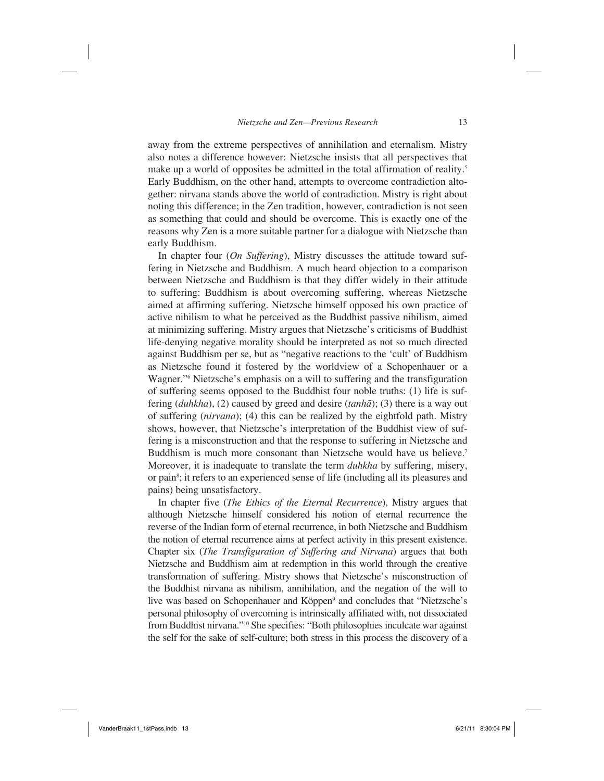away from the extreme perspectives of annihilation and eternalism. Mistry also notes a difference however: Nietzsche insists that all perspectives that make up a world of opposites be admitted in the total affirmation of reality.<sup>5</sup> Early Buddhism, on the other hand, attempts to overcome contradiction altogether: nirvana stands above the world of contradiction. Mistry is right about noting this difference; in the Zen tradition, however, contradiction is not seen as something that could and should be overcome. This is exactly one of the reasons why Zen is a more suitable partner for a dialogue with Nietzsche than early Buddhism.

In chapter four (*On Suffering*), Mistry discusses the attitude toward suffering in Nietzsche and Buddhism. A much heard objection to a comparison between Nietzsche and Buddhism is that they differ widely in their attitude to suffering: Buddhism is about overcoming suffering, whereas Nietzsche aimed at affirming suffering. Nietzsche himself opposed his own practice of active nihilism to what he perceived as the Buddhist passive nihilism, aimed at minimizing suffering. Mistry argues that Nietzsche's criticisms of Buddhist life-denying negative morality should be interpreted as not so much directed against Buddhism per se, but as "negative reactions to the 'cult' of Buddhism as Nietzsche found it fostered by the worldview of a Schopenhauer or a Wagner."<sup>6</sup> Nietzsche's emphasis on a will to suffering and the transfiguration of suffering seems opposed to the Buddhist four noble truths: (1) life is suffering (*duhkha*), (2) caused by greed and desire (*tanhā*); (3) there is a way out of suffering (*nirvana*); (4) this can be realized by the eightfold path. Mistry shows, however, that Nietzsche's interpretation of the Buddhist view of suffering is a misconstruction and that the response to suffering in Nietzsche and Buddhism is much more consonant than Nietzsche would have us believe.<sup>7</sup> Moreover, it is inadequate to translate the term *duhkha* by suffering, misery, or pain<sup>8</sup>; it refers to an experienced sense of life (including all its pleasures and pains) being unsatisfactory.

In chapter five (*The Ethics of the Eternal Recurrence*), Mistry argues that although Nietzsche himself considered his notion of eternal recurrence the reverse of the Indian form of eternal recurrence, in both Nietzsche and Buddhism the notion of eternal recurrence aims at perfect activity in this present existence. Chapter six (*The Transfiguration of Suffering and Nirvana*) argues that both Nietzsche and Buddhism aim at redemption in this world through the creative transformation of suffering. Mistry shows that Nietzsche's misconstruction of the Buddhist nirvana as nihilism, annihilation, and the negation of the will to live was based on Schopenhauer and Köppen<sup>9</sup> and concludes that "Nietzsche's personal philosophy of overcoming is intrinsically affiliated with, not dissociated from Buddhist nirvana."<sup>10</sup> She specifies: "Both philosophies inculcate war against the self for the sake of self-culture; both stress in this process the discovery of a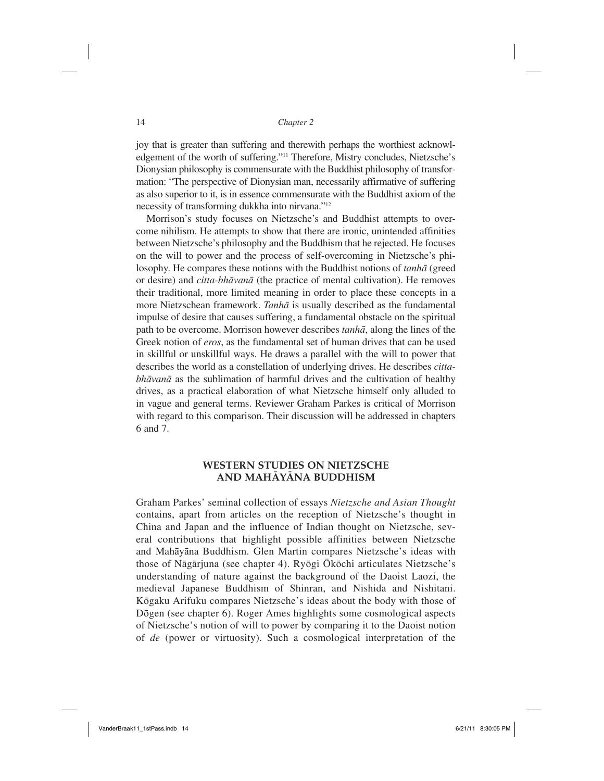joy that is greater than suffering and therewith perhaps the worthiest acknowledgement of the worth of suffering."<sup>11</sup> Therefore, Mistry concludes, Nietzsche's Dionysian philosophy is commensurate with the Buddhist philosophy of transformation: "The perspective of Dionysian man, necessarily affirmative of suffering as also superior to it, is in essence commensurate with the Buddhist axiom of the necessity of transforming dukkha into nirvana."<sup>12</sup>

Morrison's study focuses on Nietzsche's and Buddhist attempts to overcome nihilism. He attempts to show that there are ironic, unintended affinities between Nietzsche's philosophy and the Buddhism that he rejected. He focuses on the will to power and the process of self-overcoming in Nietzsche's philosophy. He compares these notions with the Buddhist notions of *tanhā* (greed or desire) and *citta-bhāvanā* (the practice of mental cultivation). He removes their traditional, more limited meaning in order to place these concepts in a more Nietzschean framework. *Tanhā* is usually described as the fundamental impulse of desire that causes suffering, a fundamental obstacle on the spiritual path to be overcome. Morrison however describes *tanhā*, along the lines of the Greek notion of *eros*, as the fundamental set of human drives that can be used in skillful or unskillful ways. He draws a parallel with the will to power that describes the world as a constellation of underlying drives. He describes *cittabhāvanā* as the sublimation of harmful drives and the cultivation of healthy drives, as a practical elaboration of what Nietzsche himself only alluded to in vague and general terms. Reviewer Graham Parkes is critical of Morrison with regard to this comparison. Their discussion will be addressed in chapters 6 and 7.

# **WESTERN STUDIES ON NIETZSCHE AND MAHA-YA-NA BUDDHISM**

Graham Parkes' seminal collection of essays *Nietzsche and Asian Thought*  contains, apart from articles on the reception of Nietzsche's thought in China and Japan and the influence of Indian thought on Nietzsche, several contributions that highlight possible affinities between Nietzsche and Mahāyāna Buddhism. Glen Martin compares Nietzsche's ideas with those of Nāgārjuna (see chapter 4). Ryōgi Ōkōchi articulates Nietzsche's understanding of nature against the background of the Daoist Laozi, the medieval Japanese Buddhism of Shinran, and Nishida and Nishitani. Kōgaku Arifuku compares Nietzsche's ideas about the body with those of Dōgen (see chapter 6). Roger Ames highlights some cosmological aspects of Nietzsche's notion of will to power by comparing it to the Daoist notion of *de* (power or virtuosity). Such a cosmological interpretation of the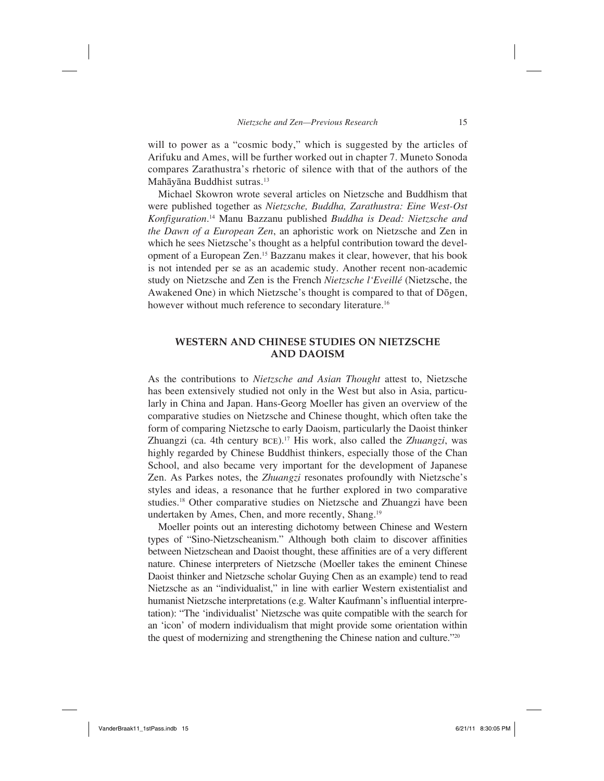will to power as a "cosmic body," which is suggested by the articles of Arifuku and Ames, will be further worked out in chapter 7. Muneto Sonoda compares Zarathustra's rhetoric of silence with that of the authors of the Mahāyāna Buddhist sutras.<sup>13</sup>

Michael Skowron wrote several articles on Nietzsche and Buddhism that were published together as *Nietzsche, Buddha, Zarathustra: Eine West-Ost Konfiguration*. <sup>14</sup> Manu Bazzanu published *Buddha is Dead: Nietzsche and the Dawn of a European Zen*, an aphoristic work on Nietzsche and Zen in which he sees Nietzsche's thought as a helpful contribution toward the development of a European Zen.<sup>15</sup> Bazzanu makes it clear, however, that his book is not intended per se as an academic study. Another recent non-academic study on Nietzsche and Zen is the French *Nietzsche l'Eveillé* (Nietzsche, the Awakened One) in which Nietzsche's thought is compared to that of Dōgen, however without much reference to secondary literature.<sup>16</sup>

## **WESTERN AND CHINESE STUDIES ON NIETZSCHE AND DAOISM**

As the contributions to *Nietzsche and Asian Thought* attest to, Nietzsche has been extensively studied not only in the West but also in Asia, particularly in China and Japan. Hans-Georg Moeller has given an overview of the comparative studies on Nietzsche and Chinese thought, which often take the form of comparing Nietzsche to early Daoism, particularly the Daoist thinker Zhuangzi (ca. 4th century bce).<sup>17</sup> His work, also called the *Zhuangzi*, was highly regarded by Chinese Buddhist thinkers, especially those of the Chan School, and also became very important for the development of Japanese Zen. As Parkes notes, the *Zhuangzi* resonates profoundly with Nietzsche's styles and ideas, a resonance that he further explored in two comparative studies.<sup>18</sup> Other comparative studies on Nietzsche and Zhuangzi have been undertaken by Ames, Chen, and more recently, Shang.<sup>19</sup>

Moeller points out an interesting dichotomy between Chinese and Western types of "Sino-Nietzscheanism." Although both claim to discover affinities between Nietzschean and Daoist thought, these affinities are of a very different nature. Chinese interpreters of Nietzsche (Moeller takes the eminent Chinese Daoist thinker and Nietzsche scholar Guying Chen as an example) tend to read Nietzsche as an "individualist," in line with earlier Western existentialist and humanist Nietzsche interpretations (e.g. Walter Kaufmann's influential interpretation): "The 'individualist' Nietzsche was quite compatible with the search for an 'icon' of modern individualism that might provide some orientation within the quest of modernizing and strengthening the Chinese nation and culture."<sup>20</sup>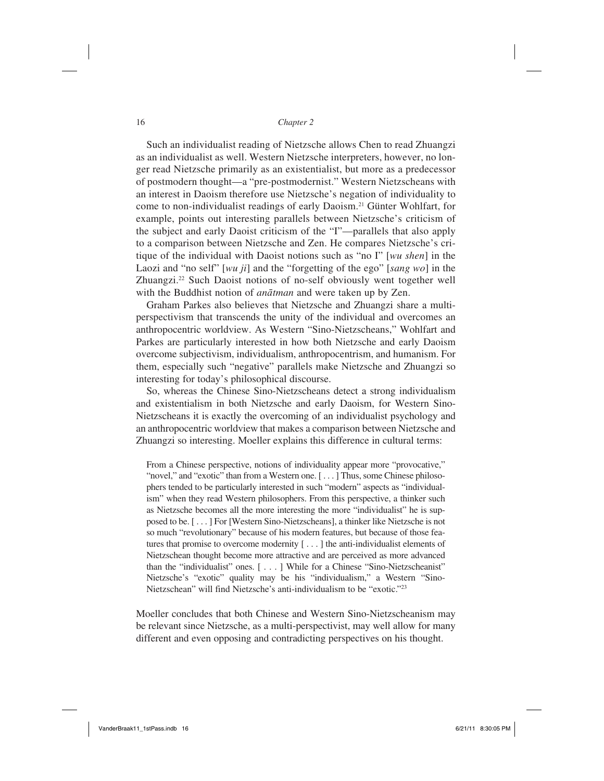Such an individualist reading of Nietzsche allows Chen to read Zhuangzi as an individualist as well. Western Nietzsche interpreters, however, no longer read Nietzsche primarily as an existentialist, but more as a predecessor of postmodern thought—a "pre-postmodernist." Western Nietzscheans with an interest in Daoism therefore use Nietzsche's negation of individuality to come to non-individualist readings of early Daoism.<sup>21</sup> Günter Wohlfart, for example, points out interesting parallels between Nietzsche's criticism of the subject and early Daoist criticism of the "I"—parallels that also apply to a comparison between Nietzsche and Zen. He compares Nietzsche's critique of the individual with Daoist notions such as "no I" [*wu shen*] in the Laozi and "no self" [*wu ji*] and the "forgetting of the ego" [*sang wo*] in the Zhuangzi.<sup>22</sup> Such Daoist notions of no-self obviously went together well with the Buddhist notion of *anātman* and were taken up by Zen.

Graham Parkes also believes that Nietzsche and Zhuangzi share a multiperspectivism that transcends the unity of the individual and overcomes an anthropocentric worldview. As Western "Sino-Nietzscheans," Wohlfart and Parkes are particularly interested in how both Nietzsche and early Daoism overcome subjectivism, individualism, anthropocentrism, and humanism. For them, especially such "negative" parallels make Nietzsche and Zhuangzi so interesting for today's philosophical discourse.

So, whereas the Chinese Sino-Nietzscheans detect a strong individualism and existentialism in both Nietzsche and early Daoism, for Western Sino- Nietzscheans it is exactly the overcoming of an individualist psychology and an anthropocentric worldview that makes a comparison between Nietzsche and Zhuangzi so interesting. Moeller explains this difference in cultural terms:

From a Chinese perspective, notions of individuality appear more "provocative," "novel," and "exotic" than from a Western one. [...] Thus, some Chinese philosophers tended to be particularly interested in such "modern" aspects as "individualism" when they read Western philosophers. From this perspective, a thinker such as Nietzsche becomes all the more interesting the more "individualist" he is supposed to be. [ . . . ] For [Western Sino-Nietzscheans], a thinker like Nietzsche is not so much "revolutionary" because of his modern features, but because of those features that promise to overcome modernity [ . . . ] the anti-individualist elements of Nietzschean thought become more attractive and are perceived as more advanced than the "individualist" ones. [ . . . ] While for a Chinese "Sino- Nietzscheanist" Nietzsche's "exotic" quality may be his "individualism," a Western "Sino- Nietzschean" will find Nietzsche's anti-individualism to be "exotic."<sup>23</sup>

Moeller concludes that both Chinese and Western Sino-Nietzscheanism may be relevant since Nietzsche, as a multi-perspectivist, may well allow for many different and even opposing and contradicting perspectives on his thought.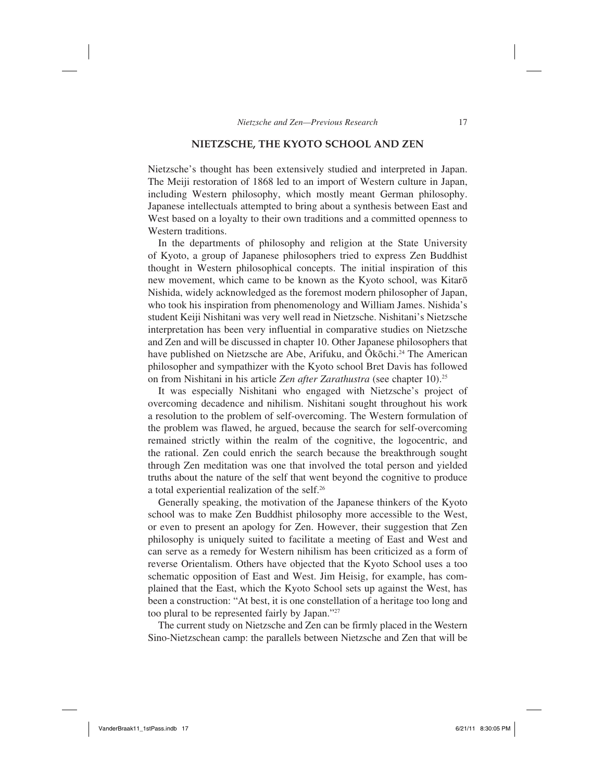#### **NIETZSCHE, THE KYOTO SCHOOL AND ZEN**

Nietzsche's thought has been extensively studied and interpreted in Japan. The Meiji restoration of 1868 led to an import of Western culture in Japan, including Western philosophy, which mostly meant German philosophy. Japanese intellectuals attempted to bring about a synthesis between East and West based on a loyalty to their own traditions and a committed openness to Western traditions.

In the departments of philosophy and religion at the State University of Kyoto, a group of Japanese philosophers tried to express Zen Buddhist thought in Western philosophical concepts. The initial inspiration of this new movement, which came to be known as the Kyoto school, was Kitarō Nishida, widely acknowledged as the foremost modern philosopher of Japan, who took his inspiration from phenomenology and William James. Nishida's student Keiji Nishitani was very well read in Nietzsche. Nishitani's Nietzsche interpretation has been very influential in comparative studies on Nietzsche and Zen and will be discussed in chapter 10. Other Japanese philosophers that have published on Nietzsche are Abe, Arifuku, and Ōkōchi.<sup>24</sup> The American philosopher and sympathizer with the Kyoto school Bret Davis has followed on from Nishitani in his article *Zen after Zarathustra* (see chapter 10).<sup>25</sup>

It was especially Nishitani who engaged with Nietzsche's project of overcoming decadence and nihilism. Nishitani sought throughout his work a resolution to the problem of self-overcoming. The Western formulation of the problem was flawed, he argued, because the search for self-overcoming remained strictly within the realm of the cognitive, the logocentric, and the rational. Zen could enrich the search because the breakthrough sought through Zen meditation was one that involved the total person and yielded truths about the nature of the self that went beyond the cognitive to produce a total experiential realization of the self.<sup>26</sup>

Generally speaking, the motivation of the Japanese thinkers of the Kyoto school was to make Zen Buddhist philosophy more accessible to the West, or even to present an apology for Zen. However, their suggestion that Zen philosophy is uniquely suited to facilitate a meeting of East and West and can serve as a remedy for Western nihilism has been criticized as a form of reverse Orientalism. Others have objected that the Kyoto School uses a too schematic opposition of East and West. Jim Heisig, for example, has complained that the East, which the Kyoto School sets up against the West, has been a construction: "At best, it is one constellation of a heritage too long and too plural to be represented fairly by Japan."<sup>27</sup>

The current study on Nietzsche and Zen can be firmly placed in the Western Sino-Nietzschean camp: the parallels between Nietzsche and Zen that will be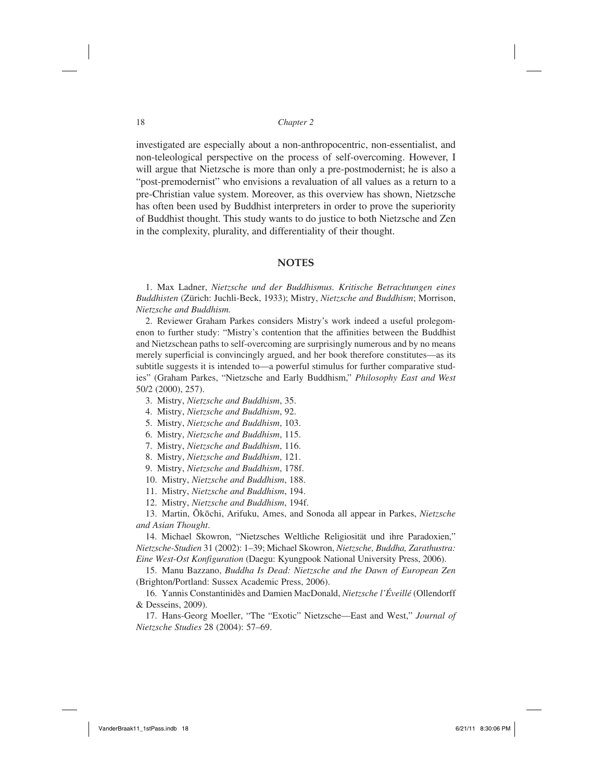investigated are especially about a non-anthropocentric, non-essentialist, and non-teleological perspective on the process of self-overcoming. However, I will argue that Nietzsche is more than only a pre-postmodernist; he is also a "post-premodernist" who envisions a revaluation of all values as a return to a pre-Christian value system. Moreover, as this overview has shown, Nietzsche has often been used by Buddhist interpreters in order to prove the superiority of Buddhist thought. This study wants to do justice to both Nietzsche and Zen in the complexity, plurality, and differentiality of their thought.

#### **NOTES**

1. Max Ladner, *Nietzsche und der Buddhismus. Kritische Betrachtungen eines Buddhisten* (Zürich: Juchli-Beck, 1933); Mistry, *Nietzsche and Buddhism*; Morrison, *Nietzsche and Buddhism.*

2. Reviewer Graham Parkes considers Mistry's work indeed a useful prolegomenon to further study: "Mistry's contention that the affinities between the Buddhist and Nietzschean paths to self-overcoming are surprisingly numerous and by no means merely superficial is convincingly argued, and her book therefore constitutes—as its subtitle suggests it is intended to—a powerful stimulus for further comparative studies" (Graham Parkes, "Nietzsche and Early Buddhism," *Philosophy East and West*  50/2 (2000), 257).

- 3. Mistry, *Nietzsche and Buddhism*, 35.
- 4. Mistry, *Nietzsche and Buddhism*, 92.
- 5. Mistry, *Nietzsche and Buddhism*, 103.
- 6. Mistry, *Nietzsche and Buddhism*, 115.
- 7. Mistry, *Nietzsche and Buddhism*, 116.
- 8. Mistry, *Nietzsche and Buddhism*, 121.
- 9. Mistry, *Nietzsche and Buddhism*, 178f.
- 10. Mistry, *Nietzsche and Buddhism*, 188.
- 11. Mistry, *Nietzsche and Buddhism*, 194.
- 12. Mistry, *Nietzsche and Buddhism*, 194f.

13. Martin, Ōkōchi, Arifuku, Ames, and Sonoda all appear in Parkes, *Nietzsche and Asian Thought*.

14. Michael Skowron, "Nietzsches Weltliche Religiosität und ihre Paradoxien," *Nietzsche-Studien* 31 (2002): 1–39; Michael Skowron, *Nietzsche, Buddha, Zarathustra: Eine West-Ost Konfiguration* (Daegu: Kyungpook National University Press, 2006).

15. Manu Bazzano, *Buddha Is Dead: Nietzsche and the Dawn of European Zen*  (Brighton/Portland: Sussex Academic Press, 2006).

16. Yannis Constantinidès and Damien MacDonald, *Nietzsche l'Éveillé* (Ollendorff & Desseins, 2009).

17. Hans-Georg Moeller, "The "Exotic" Nietzsche—East and West," *Journal of Nietzsche Studies* 28 (2004): 57–69.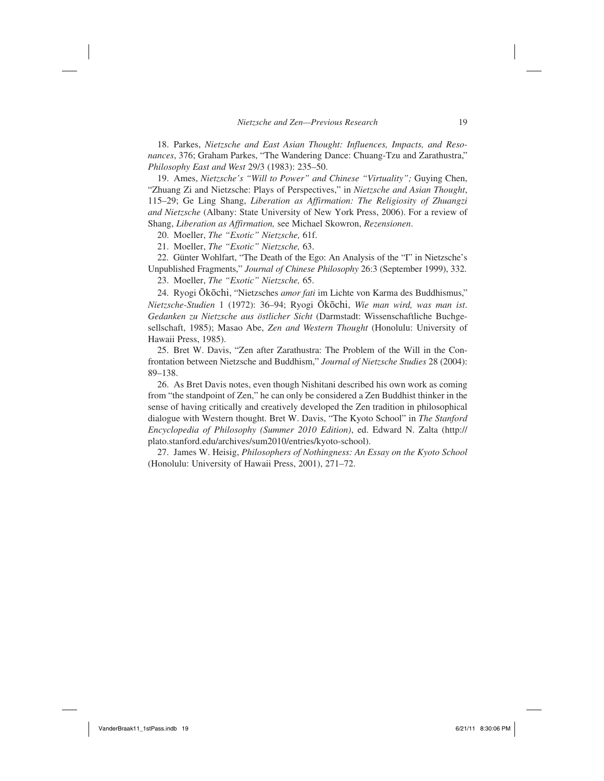18. Parkes, *Nietzsche and East Asian Thought: Influences, Impacts, and Resonances*, 376; Graham Parkes, "The Wandering Dance: Chuang-Tzu and Zarathustra," *Philosophy East and West* 29/3 (1983): 235–50.

19. Ames, *Nietzsche's "Will to Power" and Chinese "Virtuality";* Guying Chen, "Zhuang Zi and Nietzsche: Plays of Perspectives," in *Nietzsche and Asian Thought*, 115–29; Ge Ling Shang, *Liberation as Affirmation: The Religiosity of Zhuangzi and Nietzsche* (Albany: State University of New York Press, 2006). For a review of Shang, *Liberation as Affirmation,* see Michael Skowron, *Rezensionen*.

20. Moeller, *The "Exotic" Nietzsche,* 61f.

21. Moeller, *The "Exotic" Nietzsche,* 63.

22. Günter Wohlfart, "The Death of the Ego: An Analysis of the "I" in Nietzsche's Unpublished Fragments," *Journal of Chinese Philosophy* 26:3 (September 1999), 332.

23. Moeller, *The "Exotic" Nietzsche,* 65.

24. Ryogi Ōkōchi, "Nietzsches *amor fati* im Lichte von Karma des Buddhismus," *Nietzsche-Studien* 1 (1972): 36–94; Ryogi Ōkōchi, *Wie man wird, was man ist*. *Gedanken zu Nietzsche aus östlicher Sicht* (Darmstadt: Wissenschaftliche Buchgesellschaft, 1985); Masao Abe, *Zen and Western Thought* (Honolulu: University of Hawaii Press, 1985).

25. Bret W. Davis, "Zen after Zarathustra: The Problem of the Will in the Confrontation between Nietzsche and Buddhism," *Journal of Nietzsche Studies* 28 (2004): 89–138.

26. As Bret Davis notes, even though Nishitani described his own work as coming from "the standpoint of Zen," he can only be considered a Zen Buddhist thinker in the sense of having critically and creatively developed the Zen tradition in philosophical dialogue with Western thought. Bret W. Davis, "The Kyoto School" in *The Stanford Encyclopedia of Philosophy (Summer 2010 Edition)*, ed. Edward N. Zalta (http:// plato.stanford.edu/archives/sum2010/entries/kyoto-school).

27. James W. Heisig, *Philosophers of Nothingness: An Essay on the Kyoto School* (Honolulu: University of Hawaii Press, 2001), 271–72.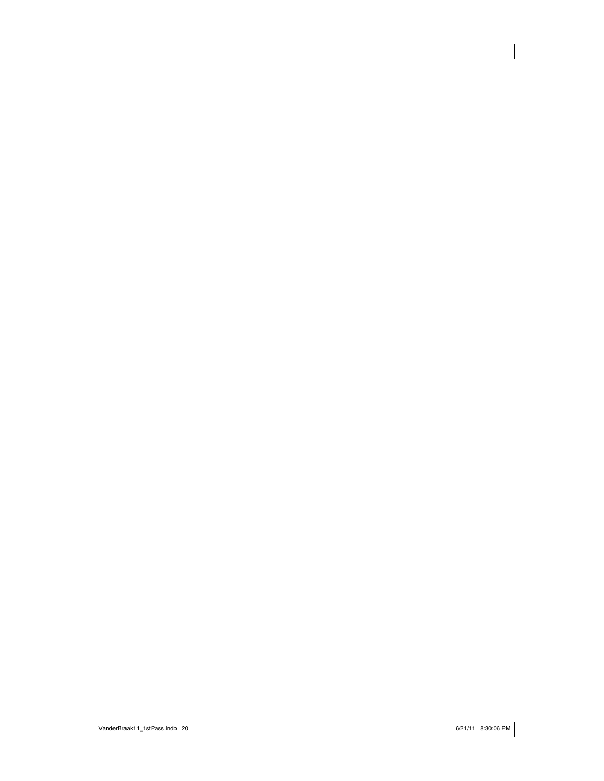VanderBraak11\_1stPass.indb 20  $\overline{6/21/11}$  8:30:06 PM  $\overline{21/11}$  8:30:06 PM  $\overline{21/11}$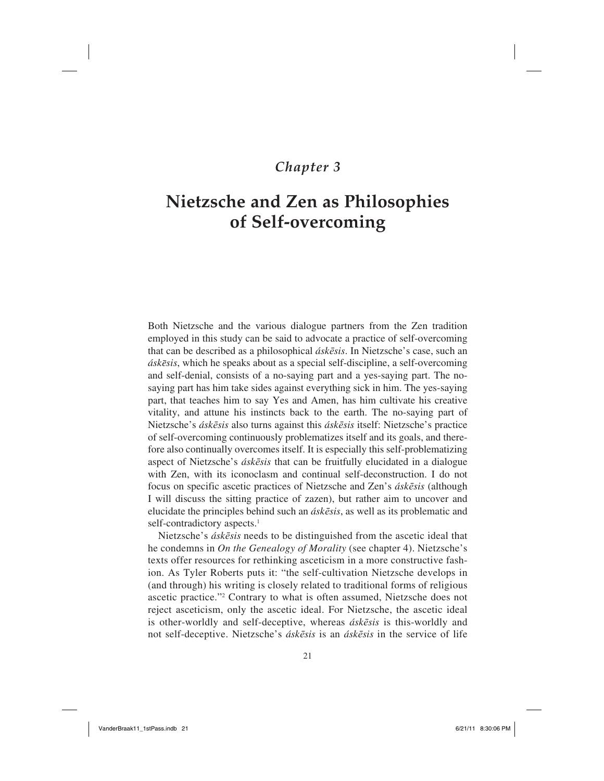# **Nietzsche and Zen as Philosophies of Self-overcoming**

Both Nietzsche and the various dialogue partners from the Zen tradition employed in this study can be said to advocate a practice of self-overcoming that can be described as a philosophical *áskēsis*. In Nietzsche's case, such an *áskēsis*, which he speaks about as a special self-discipline, a self-overcoming and self-denial, consists of a no-saying part and a yes-saying part. The nosaying part has him take sides against everything sick in him. The yes-saying part, that teaches him to say Yes and Amen, has him cultivate his creative vitality, and attune his instincts back to the earth. The no-saying part of Nietzsche's *áskēsis* also turns against this *áskēsis* itself: Nietzsche's practice of self-overcoming continuously problematizes itself and its goals, and therefore also continually overcomes itself. It is especially this self-problematizing aspect of Nietzsche's *áskēsis* that can be fruitfully elucidated in a dialogue with Zen, with its iconoclasm and continual self-deconstruction. I do not focus on specific ascetic practices of Nietzsche and Zen's *áskēsis* (although I will discuss the sitting practice of zazen), but rather aim to uncover and elucidate the principles behind such an *áskēsis*, as well as its problematic and self-contradictory aspects.<sup>1</sup>

Nietzsche's *áskēsis* needs to be distinguished from the ascetic ideal that he condemns in *On the Genealogy of Morality* (see chapter 4). Nietzsche's texts offer resources for rethinking asceticism in a more constructive fashion. As Tyler Roberts puts it: "the self-cultivation Nietzsche develops in (and through) his writing is closely related to traditional forms of religious ascetic practice."<sup>2</sup> Contrary to what is often assumed, Nietzsche does not reject asceticism, only the ascetic ideal. For Nietzsche, the ascetic ideal is other-worldly and self-deceptive, whereas *áskēsis* is this-worldly and not self-deceptive. Nietzsche's *áskēsis* is an *áskēsis* in the service of life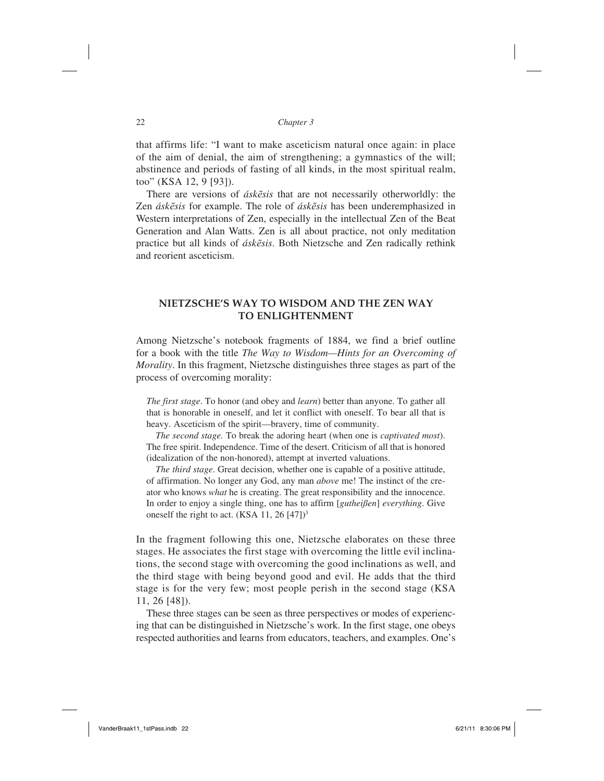that affirms life: "I want to make asceticism natural once again: in place of the aim of denial, the aim of strengthening; a gymnastics of the will; abstinence and periods of fasting of all kinds, in the most spiritual realm, too" (KSA 12, 9 [93]).

There are versions of *áskēsis* that are not necessarily otherworldly: the Zen *áskēsis* for example. The role of *áskēsis* has been underemphasized in Western interpretations of Zen, especially in the intellectual Zen of the Beat Generation and Alan Watts. Zen is all about practice, not only meditation practice but all kinds of *áskēsis*. Both Nietzsche and Zen radically rethink and reorient asceticism.

## **NIETZSCHE'S WAY TO WISDOM AND THE ZEN WAY TO ENLIGHTENMENT**

Among Nietzsche's notebook fragments of 1884, we find a brief outline for a book with the title *The Way to Wisdom—Hints for an Overcoming of Morality*. In this fragment, Nietzsche distinguishes three stages as part of the process of overcoming morality:

*The first stage*. To honor (and obey and *learn*) better than anyone. To gather all that is honorable in oneself, and let it conflict with oneself. To bear all that is heavy. Asceticism of the spirit—bravery, time of community.

*The second stage.* To break the adoring heart (when one is *captivated most*). The free spirit. Independence. Time of the desert. Criticism of all that is honored (idealization of the non-honored), attempt at inverted valuations.

*The third stage*. Great decision, whether one is capable of a positive attitude, of affirmation. No longer any God, any man *above* me! The instinct of the creator who knows *what* he is creating. The great responsibility and the innocence. In order to enjoy a single thing, one has to affirm [*gutheißen*] *everything*. Give oneself the right to act. (KSA 11, 26  $[47]$ )<sup>3</sup>

In the fragment following this one, Nietzsche elaborates on these three stages. He associates the first stage with overcoming the little evil inclinations, the second stage with overcoming the good inclinations as well, and the third stage with being beyond good and evil. He adds that the third stage is for the very few; most people perish in the second stage (KSA 11, 26 [48]).

These three stages can be seen as three perspectives or modes of experiencing that can be distinguished in Nietzsche's work. In the first stage, one obeys respected authorities and learns from educators, teachers, and examples. One's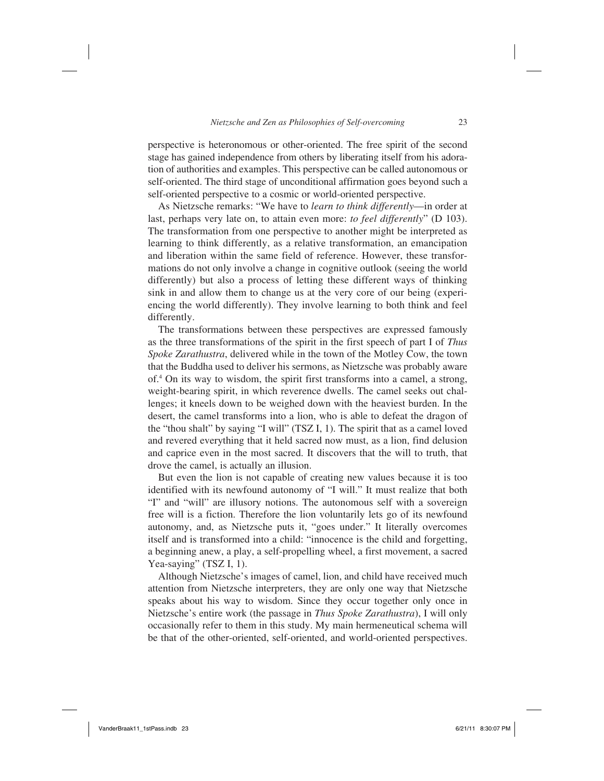perspective is heteronomous or other-oriented. The free spirit of the second stage has gained independence from others by liberating itself from his adoration of authorities and examples. This perspective can be called autonomous or self-oriented. The third stage of unconditional affirmation goes beyond such a self-oriented perspective to a cosmic or world-oriented perspective.

As Nietzsche remarks: "We have to *learn to think differently*—in order at last, perhaps very late on, to attain even more: *to feel differently*" (D 103). The transformation from one perspective to another might be interpreted as learning to think differently, as a relative transformation, an emancipation and liberation within the same field of reference. However, these transformations do not only involve a change in cognitive outlook (seeing the world differently) but also a process of letting these different ways of thinking sink in and allow them to change us at the very core of our being (experiencing the world differently). They involve learning to both think and feel differently.

The transformations between these perspectives are expressed famously as the three transformations of the spirit in the first speech of part I of *Thus Spoke Zarathustra*, delivered while in the town of the Motley Cow, the town that the Buddha used to deliver his sermons, as Nietzsche was probably aware of.<sup>4</sup> On its way to wisdom, the spirit first transforms into a camel, a strong, weight-bearing spirit, in which reverence dwells. The camel seeks out challenges; it kneels down to be weighed down with the heaviest burden. In the desert, the camel transforms into a lion, who is able to defeat the dragon of the "thou shalt" by saying "I will" (TSZ I, 1). The spirit that as a camel loved and revered everything that it held sacred now must, as a lion, find delusion and caprice even in the most sacred. It discovers that the will to truth, that drove the camel, is actually an illusion.

But even the lion is not capable of creating new values because it is too identified with its newfound autonomy of "I will." It must realize that both "I" and "will" are illusory notions. The autonomous self with a sovereign free will is a fiction. Therefore the lion voluntarily lets go of its newfound autonomy, and, as Nietzsche puts it, "goes under." It literally overcomes itself and is transformed into a child: "innocence is the child and forgetting, a beginning anew, a play, a self-propelling wheel, a first movement, a sacred Yea-saying" (TSZ I, 1).

Although Nietzsche's images of camel, lion, and child have received much attention from Nietzsche interpreters, they are only one way that Nietzsche speaks about his way to wisdom. Since they occur together only once in Nietzsche's entire work (the passage in *Thus Spoke Zarathustra*), I will only occasionally refer to them in this study. My main hermeneutical schema will be that of the other-oriented, self-oriented, and world-oriented perspectives.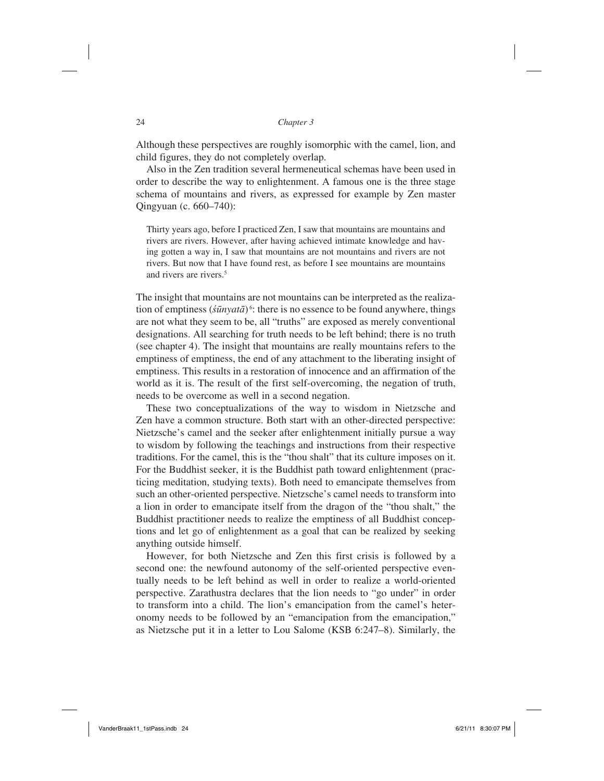Although these perspectives are roughly isomorphic with the camel, lion, and child figures, they do not completely overlap.

Also in the Zen tradition several hermeneutical schemas have been used in order to describe the way to enlightenment. A famous one is the three stage schema of mountains and rivers, as expressed for example by Zen master Qingyuan (c. 660–740):

Thirty years ago, before I practiced Zen, I saw that mountains are mountains and rivers are rivers. However, after having achieved intimate knowledge and having gotten a way in, I saw that mountains are not mountains and rivers are not rivers. But now that I have found rest, as before I see mountains are mountains and rivers are rivers.<sup>5</sup>

The insight that mountains are not mountains can be interpreted as the realization of emptiness ( $\sin y$ *at* $\bar{a}$ )<sup>6</sup>: there is no essence to be found anywhere, things are not what they seem to be, all "truths" are exposed as merely conventional designations. All searching for truth needs to be left behind; there is no truth (see chapter 4). The insight that mountains are really mountains refers to the emptiness of emptiness, the end of any attachment to the liberating insight of emptiness. This results in a restoration of innocence and an affirmation of the world as it is. The result of the first self-overcoming, the negation of truth, needs to be overcome as well in a second negation.

These two conceptualizations of the way to wisdom in Nietzsche and Zen have a common structure. Both start with an other-directed perspective: Nietzsche's camel and the seeker after enlightenment initially pursue a way to wisdom by following the teachings and instructions from their respective traditions. For the camel, this is the "thou shalt" that its culture imposes on it. For the Buddhist seeker, it is the Buddhist path toward enlightenment (practicing meditation, studying texts). Both need to emancipate themselves from such an other-oriented perspective. Nietzsche's camel needs to transform into a lion in order to emancipate itself from the dragon of the "thou shalt," the Buddhist practitioner needs to realize the emptiness of all Buddhist conceptions and let go of enlightenment as a goal that can be realized by seeking anything outside himself.

However, for both Nietzsche and Zen this first crisis is followed by a second one: the newfound autonomy of the self-oriented perspective eventually needs to be left behind as well in order to realize a world-oriented perspective. Zarathustra declares that the lion needs to "go under" in order to transform into a child. The lion's emancipation from the camel's heteronomy needs to be followed by an "emancipation from the emancipation," as Nietzsche put it in a letter to Lou Salome (KSB 6:247–8). Similarly, the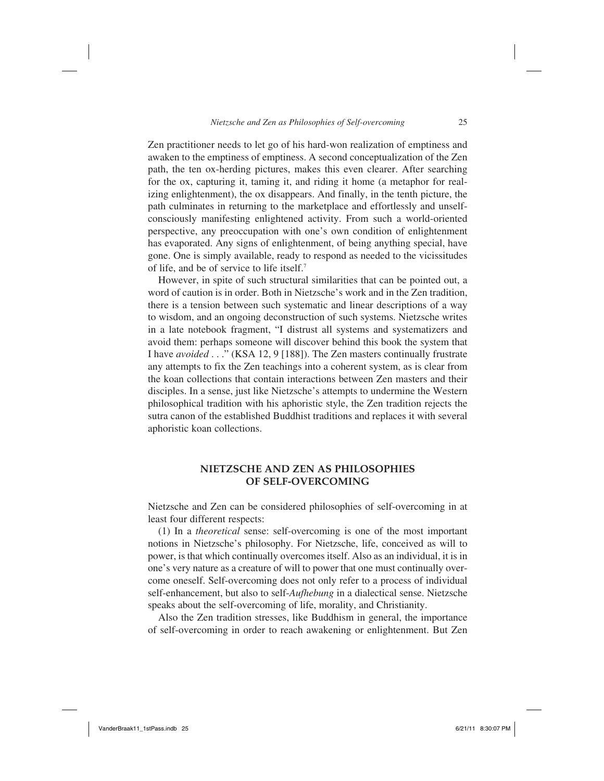Zen practitioner needs to let go of his hard-won realization of emptiness and awaken to the emptiness of emptiness. A second conceptualization of the Zen path, the ten ox-herding pictures, makes this even clearer. After searching for the ox, capturing it, taming it, and riding it home (a metaphor for realizing enlightenment), the ox disappears. And finally, in the tenth picture, the path culminates in returning to the marketplace and effortlessly and unselfconsciously manifesting enlightened activity. From such a world-oriented perspective, any preoccupation with one's own condition of enlightenment has evaporated. Any signs of enlightenment, of being anything special, have gone. One is simply available, ready to respond as needed to the vicissitudes of life, and be of service to life itself.<sup>7</sup>

However, in spite of such structural similarities that can be pointed out, a word of caution is in order. Both in Nietzsche's work and in the Zen tradition, there is a tension between such systematic and linear descriptions of a way to wisdom, and an ongoing deconstruction of such systems. Nietzsche writes in a late notebook fragment, "I distrust all systems and systematizers and avoid them: perhaps someone will discover behind this book the system that I have *avoided* . . ." (KSA 12, 9 [188]). The Zen masters continually frustrate any attempts to fix the Zen teachings into a coherent system, as is clear from the koan collections that contain interactions between Zen masters and their disciples. In a sense, just like Nietzsche's attempts to undermine the Western philosophical tradition with his aphoristic style, the Zen tradition rejects the sutra canon of the established Buddhist traditions and replaces it with several aphoristic koan collections.

## **NIETZSCHE AND ZEN AS PHILOSOPHIES OF SELF-OVERCOMING**

Nietzsche and Zen can be considered philosophies of self-overcoming in at least four different respects:

(1) In a *theoretical* sense: self-overcoming is one of the most important notions in Nietzsche's philosophy. For Nietzsche, life, conceived as will to power, is that which continually overcomes itself. Also as an individual, it is in one's very nature as a creature of will to power that one must continually overcome oneself. Self-overcoming does not only refer to a process of individual self-enhancement, but also to self-*Aufhebung* in a dialectical sense. Nietzsche speaks about the self-overcoming of life, morality, and Christianity.

Also the Zen tradition stresses, like Buddhism in general, the importance of self-overcoming in order to reach awakening or enlightenment. But Zen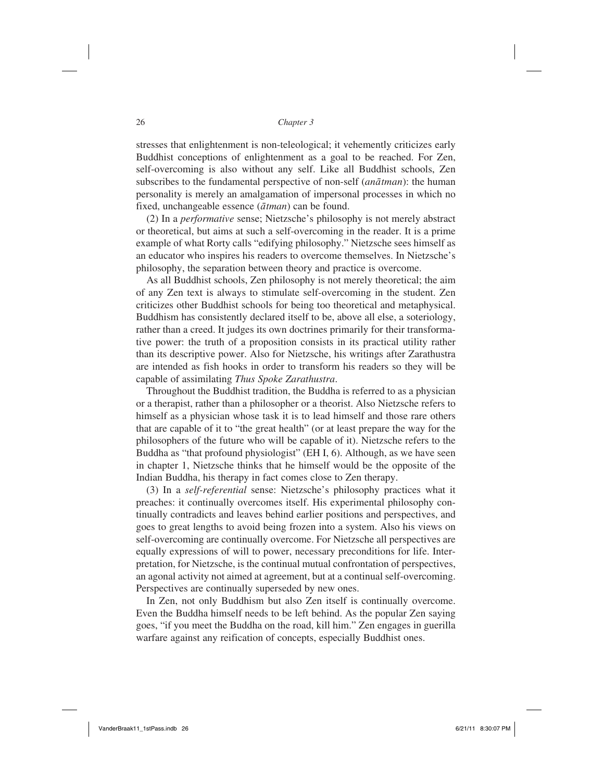stresses that enlightenment is non-teleological; it vehemently criticizes early Buddhist conceptions of enlightenment as a goal to be reached. For Zen, self-overcoming is also without any self. Like all Buddhist schools, Zen subscribes to the fundamental perspective of non-self (*anātman*): the human personality is merely an amalgamation of impersonal processes in which no fixed, unchangeable essence (*ātman*) can be found.

(2) In a *performative* sense; Nietzsche's philosophy is not merely abstract or theoretical, but aims at such a self-overcoming in the reader. It is a prime example of what Rorty calls "edifying philosophy." Nietzsche sees himself as an educator who inspires his readers to overcome themselves. In Nietzsche's philosophy, the separation between theory and practice is overcome.

As all Buddhist schools, Zen philosophy is not merely theoretical; the aim of any Zen text is always to stimulate self-overcoming in the student. Zen criticizes other Buddhist schools for being too theoretical and metaphysical. Buddhism has consistently declared itself to be, above all else, a soteriology, rather than a creed. It judges its own doctrines primarily for their transformative power: the truth of a proposition consists in its practical utility rather than its descriptive power. Also for Nietzsche, his writings after Zarathustra are intended as fish hooks in order to transform his readers so they will be capable of assimilating *Thus Spoke Zarathustra*.

Throughout the Buddhist tradition, the Buddha is referred to as a physician or a therapist, rather than a philosopher or a theorist. Also Nietzsche refers to himself as a physician whose task it is to lead himself and those rare others that are capable of it to "the great health" (or at least prepare the way for the philosophers of the future who will be capable of it). Nietzsche refers to the Buddha as "that profound physiologist" (EH I, 6). Although, as we have seen in chapter 1, Nietzsche thinks that he himself would be the opposite of the Indian Buddha, his therapy in fact comes close to Zen therapy.

(3) In a *self-referential* sense: Nietzsche's philosophy practices what it preaches: it continually overcomes itself. His experimental philosophy continually contradicts and leaves behind earlier positions and perspectives, and goes to great lengths to avoid being frozen into a system. Also his views on self-overcoming are continually overcome. For Nietzsche all perspectives are equally expressions of will to power, necessary preconditions for life. Interpretation, for Nietzsche, is the continual mutual confrontation of perspectives, an agonal activity not aimed at agreement, but at a continual self-overcoming. Perspectives are continually superseded by new ones.

In Zen, not only Buddhism but also Zen itself is continually overcome. Even the Buddha himself needs to be left behind. As the popular Zen saying goes, "if you meet the Buddha on the road, kill him." Zen engages in guerilla warfare against any reification of concepts, especially Buddhist ones.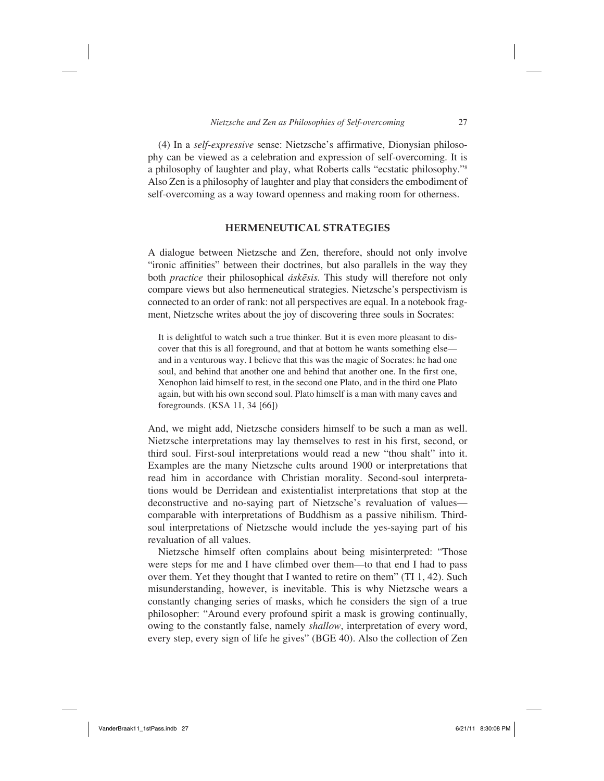(4) In a *self-expressive* sense: Nietzsche's affirmative, Dionysian philosophy can be viewed as a celebration and expression of self-overcoming. It is a philosophy of laughter and play, what Roberts calls "ecstatic philosophy."<sup>8</sup> Also Zen is a philosophy of laughter and play that considers the embodiment of self-overcoming as a way toward openness and making room for otherness.

# **HERMENEUTICAL STRATEGIES**

A dialogue between Nietzsche and Zen, therefore, should not only involve "ironic affinities" between their doctrines, but also parallels in the way they both *practice* their philosophical *áskēsis.* This study will therefore not only compare views but also hermeneutical strategies. Nietzsche's perspectivism is connected to an order of rank: not all perspectives are equal. In a notebook fragment, Nietzsche writes about the joy of discovering three souls in Socrates:

It is delightful to watch such a true thinker. But it is even more pleasant to discover that this is all foreground, and that at bottom he wants something else and in a venturous way. I believe that this was the magic of Socrates: he had one soul, and behind that another one and behind that another one. In the first one, Xenophon laid himself to rest, in the second one Plato, and in the third one Plato again, but with his own second soul. Plato himself is a man with many caves and foregrounds. (KSA 11, 34 [66])

And, we might add, Nietzsche considers himself to be such a man as well. Nietzsche interpretations may lay themselves to rest in his first, second, or third soul. First-soul interpretations would read a new "thou shalt" into it. Examples are the many Nietzsche cults around 1900 or interpretations that read him in accordance with Christian morality. Second-soul interpretations would be Derridean and existentialist interpretations that stop at the deconstructive and no-saying part of Nietzsche's revaluation of values comparable with interpretations of Buddhism as a passive nihilism. Thirdsoul interpretations of Nietzsche would include the yes-saying part of his revaluation of all values.

Nietzsche himself often complains about being misinterpreted: "Those were steps for me and I have climbed over them—to that end I had to pass over them. Yet they thought that I wanted to retire on them" (TI 1, 42). Such misunderstanding, however, is inevitable. This is why Nietzsche wears a constantly changing series of masks, which he considers the sign of a true philosopher: "Around every profound spirit a mask is growing continually, owing to the constantly false, namely *shallow*, interpretation of every word, every step, every sign of life he gives" (BGE 40). Also the collection of Zen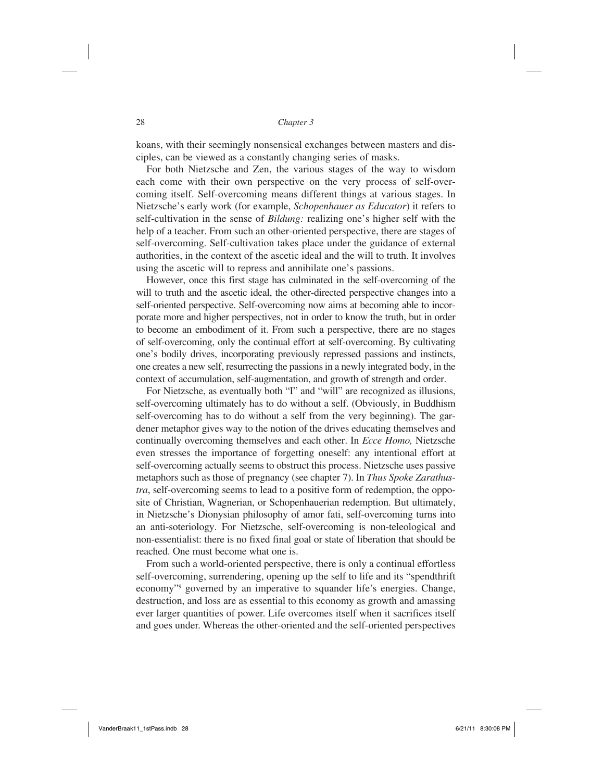koans, with their seemingly nonsensical exchanges between masters and disciples, can be viewed as a constantly changing series of masks.

For both Nietzsche and Zen, the various stages of the way to wisdom each come with their own perspective on the very process of self-overcoming itself. Self-overcoming means different things at various stages. In Nietzsche's early work (for example, *Schopenhauer as Educator*) it refers to self-cultivation in the sense of *Bildung:* realizing one's higher self with the help of a teacher. From such an other-oriented perspective, there are stages of self-overcoming. Self-cultivation takes place under the guidance of external authorities, in the context of the ascetic ideal and the will to truth. It involves using the ascetic will to repress and annihilate one's passions.

However, once this first stage has culminated in the self-overcoming of the will to truth and the ascetic ideal, the other-directed perspective changes into a self-oriented perspective. Self-overcoming now aims at becoming able to incorporate more and higher perspectives, not in order to know the truth, but in order to become an embodiment of it. From such a perspective, there are no stages of self-overcoming, only the continual effort at self-overcoming. By cultivating one's bodily drives, incorporating previously repressed passions and instincts, one creates a new self, resurrecting the passions in a newly integrated body, in the context of accumulation, self-augmentation, and growth of strength and order.

For Nietzsche, as eventually both "I" and "will" are recognized as illusions, self-overcoming ultimately has to do without a self. (Obviously, in Buddhism self-overcoming has to do without a self from the very beginning). The gardener metaphor gives way to the notion of the drives educating themselves and continually overcoming themselves and each other. In *Ecce Homo,* Nietzsche even stresses the importance of forgetting oneself: any intentional effort at self-overcoming actually seems to obstruct this process. Nietzsche uses passive metaphors such as those of pregnancy (see chapter 7). In *Thus Spoke Zarathustra*, self-overcoming seems to lead to a positive form of redemption, the opposite of Christian, Wagnerian, or Schopenhauerian redemption. But ultimately, in Nietzsche's Dionysian philosophy of amor fati, self-overcoming turns into an anti-soteriology. For Nietzsche, self-overcoming is non-teleological and non-essentialist: there is no fixed final goal or state of liberation that should be reached. One must become what one is.

From such a world-oriented perspective, there is only a continual effortless self-overcoming, surrendering, opening up the self to life and its "spendthrift economy"<sup>9</sup> governed by an imperative to squander life's energies. Change, destruction, and loss are as essential to this economy as growth and amassing ever larger quantities of power. Life overcomes itself when it sacrifices itself and goes under. Whereas the other-oriented and the self-oriented perspectives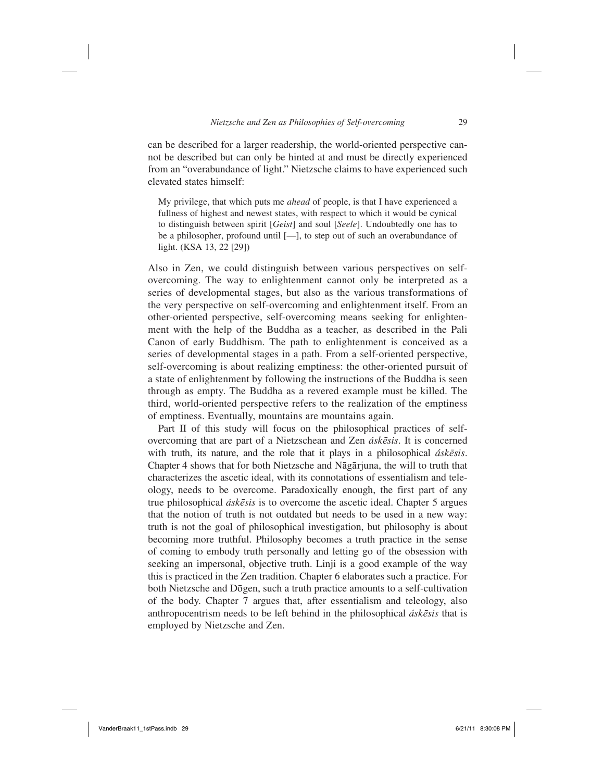can be described for a larger readership, the world-oriented perspective cannot be described but can only be hinted at and must be directly experienced from an "overabundance of light." Nietzsche claims to have experienced such elevated states himself:

My privilege, that which puts me *ahead* of people, is that I have experienced a fullness of highest and newest states, with respect to which it would be cynical to distinguish between spirit [*Geist*] and soul [*Seele*]. Undoubtedly one has to be a philosopher, profound until [—], to step out of such an overabundance of light. (KSA 13, 22 [29])

Also in Zen, we could distinguish between various perspectives on selfovercoming. The way to enlightenment cannot only be interpreted as a series of developmental stages, but also as the various transformations of the very perspective on self-overcoming and enlightenment itself. From an other-oriented perspective, self-overcoming means seeking for enlightenment with the help of the Buddha as a teacher, as described in the Pali Canon of early Buddhism. The path to enlightenment is conceived as a series of developmental stages in a path. From a self-oriented perspective, self-overcoming is about realizing emptiness: the other-oriented pursuit of a state of enlightenment by following the instructions of the Buddha is seen through as empty. The Buddha as a revered example must be killed. The third, world-oriented perspective refers to the realization of the emptiness of emptiness. Eventually, mountains are mountains again.

Part II of this study will focus on the philosophical practices of selfovercoming that are part of a Nietzschean and Zen *áskēsis*. It is concerned with truth, its nature, and the role that it plays in a philosophical *áskēsis*. Chapter 4 shows that for both Nietzsche and Nāgārjuna, the will to truth that characterizes the ascetic ideal, with its connotations of essentialism and teleology, needs to be overcome. Paradoxically enough, the first part of any true philosophical *áskēsis* is to overcome the ascetic ideal. Chapter 5 argues that the notion of truth is not outdated but needs to be used in a new way: truth is not the goal of philosophical investigation, but philosophy is about becoming more truthful. Philosophy becomes a truth practice in the sense of coming to embody truth personally and letting go of the obsession with seeking an impersonal, objective truth. Linji is a good example of the way this is practiced in the Zen tradition. Chapter 6 elaborates such a practice. For both Nietzsche and Dōgen, such a truth practice amounts to a self-cultivation of the body. Chapter 7 argues that, after essentialism and teleology, also anthropocentrism needs to be left behind in the philosophical *áskēsis* that is employed by Nietzsche and Zen.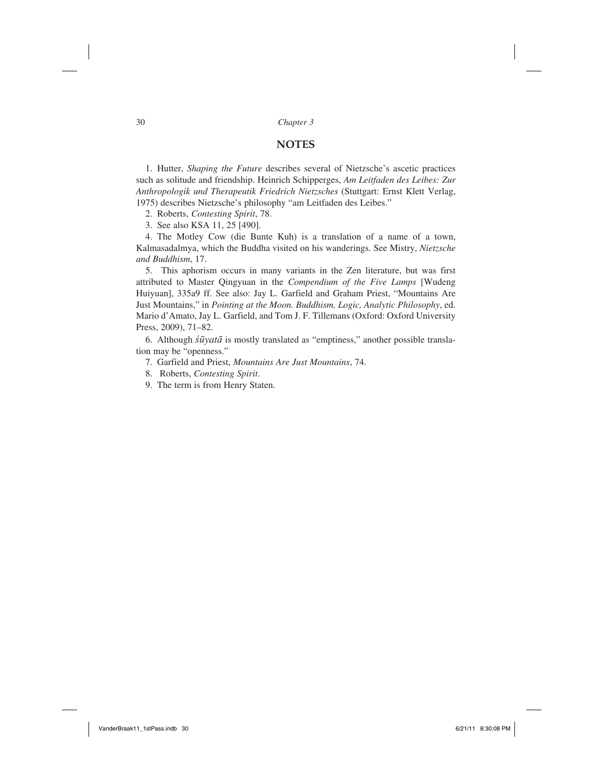### **NOTES**

1. Hutter, *Shaping the Future* describes several of Nietzsche's ascetic practices such as solitude and friendship. Heinrich Schipperges, *Am Leitfaden des Leibes: Zur Anthropologik und Therapeutik Friedrich Nietzsches* (Stuttgart: Ernst Klett Verlag, 1975) describes Nietzsche's philosophy "am Leitfaden des Leibes."

2. Roberts, *Contesting Spirit*, 78.

3. See also KSA 11, 25 [490].

4. The Motley Cow (die Bunte Kuh) is a translation of a name of a town, Kalmasadalmya, which the Buddha visited on his wanderings. See Mistry, *Nietzsche and Buddhism*, 17.

5. This aphorism occurs in many variants in the Zen literature, but was first attributed to Master Qingyuan in the *Compendium of the Five Lamps* [Wudeng Huiyuan], 335a9 ff. See also: Jay L. Garfield and Graham Priest, "Mountains Are Just Mountains," in *Pointing at the Moon. Buddhism, Logic, Analytic Philosophy*, ed. Mario d'Amato, Jay L. Garfield, and Tom J. F. Tillemans (Oxford: Oxford University Press, 2009), 71–82.

6. Although *śūyatā* is mostly translated as "emptiness," another possible translation may be "openness."

7. Garfield and Priest, *Mountains Are Just Mountains*, 74.

8. Roberts, *Contesting Spirit*.

9. The term is from Henry Staten.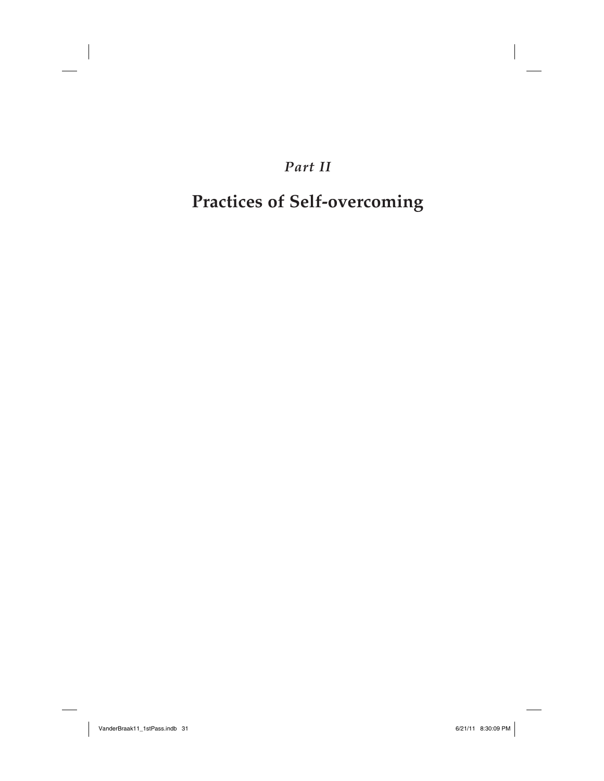*Part II*

# **Practices of Self-overcoming**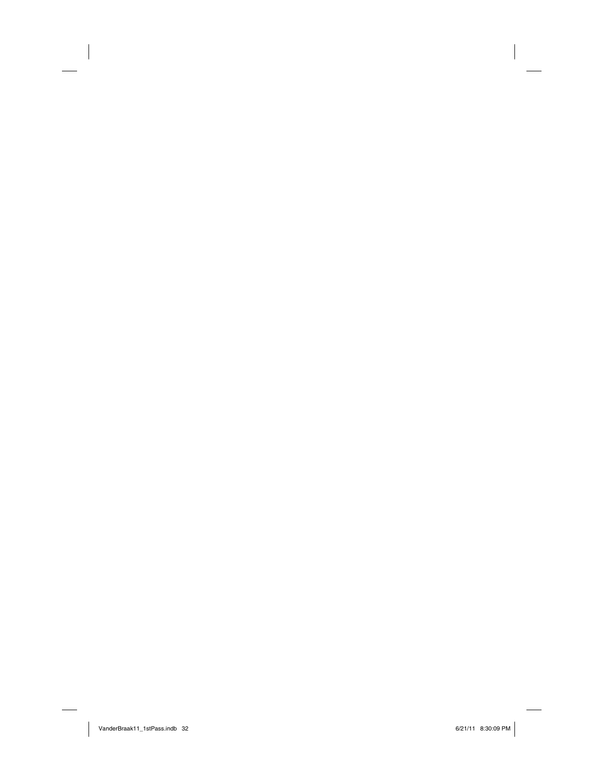VanderBraak11\_1stPass.indb 32  $6/21/11$  8:30:09 PM  $\big|$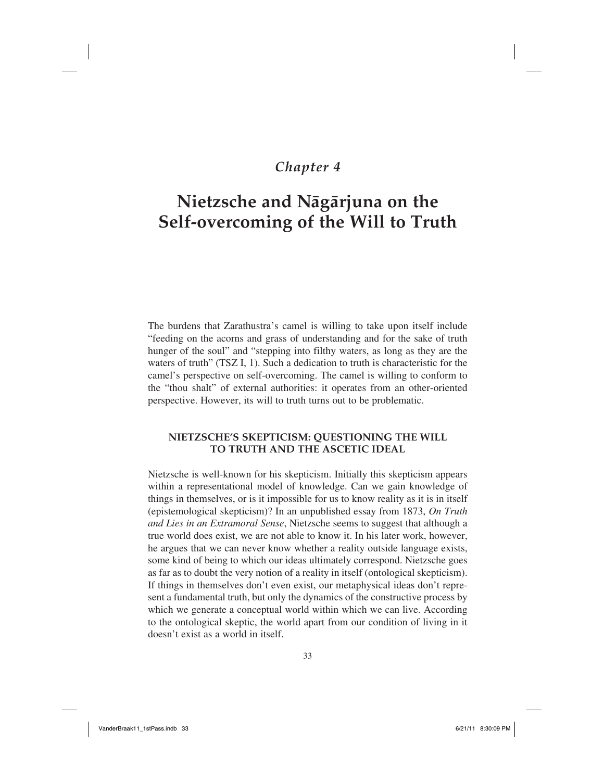# **Nietzsche and Nāgārjuna on the Self-overcoming of the Will to Truth**

The burdens that Zarathustra's camel is willing to take upon itself include "feeding on the acorns and grass of understanding and for the sake of truth hunger of the soul" and "stepping into filthy waters, as long as they are the waters of truth" (TSZ I, 1). Such a dedication to truth is characteristic for the camel's perspective on self-overcoming. The camel is willing to conform to the "thou shalt" of external authorities: it operates from an other-oriented perspective. However, its will to truth turns out to be problematic.

### **NIETZSCHE'S SKEPTICISM: QUESTIONING THE WILL TO TRUTH AND THE ASCETIC IDEAL**

Nietzsche is well-known for his skepticism. Initially this skepticism appears within a representational model of knowledge. Can we gain knowledge of things in themselves, or is it impossible for us to know reality as it is in itself (epistemological skepticism)? In an unpublished essay from 1873, *On Truth and Lies in an Extramoral Sense*, Nietzsche seems to suggest that although a true world does exist, we are not able to know it. In his later work, however, he argues that we can never know whether a reality outside language exists, some kind of being to which our ideas ultimately correspond. Nietzsche goes as far as to doubt the very notion of a reality in itself (ontological skepticism). If things in themselves don't even exist, our metaphysical ideas don't represent a fundamental truth, but only the dynamics of the constructive process by which we generate a conceptual world within which we can live. According to the ontological skeptic, the world apart from our condition of living in it doesn't exist as a world in itself.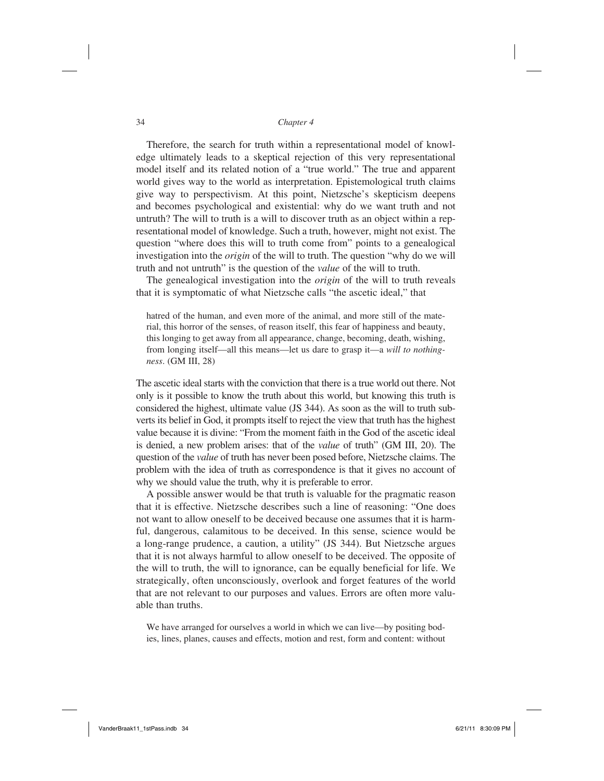Therefore, the search for truth within a representational model of knowledge ultimately leads to a skeptical rejection of this very representational model itself and its related notion of a "true world." The true and apparent world gives way to the world as interpretation. Epistemological truth claims give way to perspectivism. At this point, Nietzsche's skepticism deepens and becomes psychological and existential: why do we want truth and not untruth? The will to truth is a will to discover truth as an object within a representational model of knowledge. Such a truth, however, might not exist. The question "where does this will to truth come from" points to a genealogical investigation into the *origin* of the will to truth. The question "why do we will truth and not untruth" is the question of the *value* of the will to truth.

The genealogical investigation into the *origin* of the will to truth reveals that it is symptomatic of what Nietzsche calls "the ascetic ideal," that

hatred of the human, and even more of the animal, and more still of the material, this horror of the senses, of reason itself, this fear of happiness and beauty, this longing to get away from all appearance, change, becoming, death, wishing, from longing itself—all this means—let us dare to grasp it—a *will to nothingness*. (GM III, 28)

The ascetic ideal starts with the conviction that there is a true world out there. Not only is it possible to know the truth about this world, but knowing this truth is considered the highest, ultimate value (JS 344). As soon as the will to truth subverts its belief in God, it prompts itself to reject the view that truth has the highest value because it is divine: "From the moment faith in the God of the ascetic ideal is denied, a new problem arises: that of the *value* of truth" (GM III, 20). The question of the *value* of truth has never been posed before, Nietzsche claims. The problem with the idea of truth as correspondence is that it gives no account of why we should value the truth, why it is preferable to error.

A possible answer would be that truth is valuable for the pragmatic reason that it is effective. Nietzsche describes such a line of reasoning: "One does not want to allow oneself to be deceived because one assumes that it is harmful, dangerous, calamitous to be deceived. In this sense, science would be a long-range prudence, a caution, a utility" (JS 344). But Nietzsche argues that it is not always harmful to allow oneself to be deceived. The opposite of the will to truth, the will to ignorance, can be equally beneficial for life. We strategically, often unconsciously, overlook and forget features of the world that are not relevant to our purposes and values. Errors are often more valuable than truths.

We have arranged for ourselves a world in which we can live—by positing bodies, lines, planes, causes and effects, motion and rest, form and content: without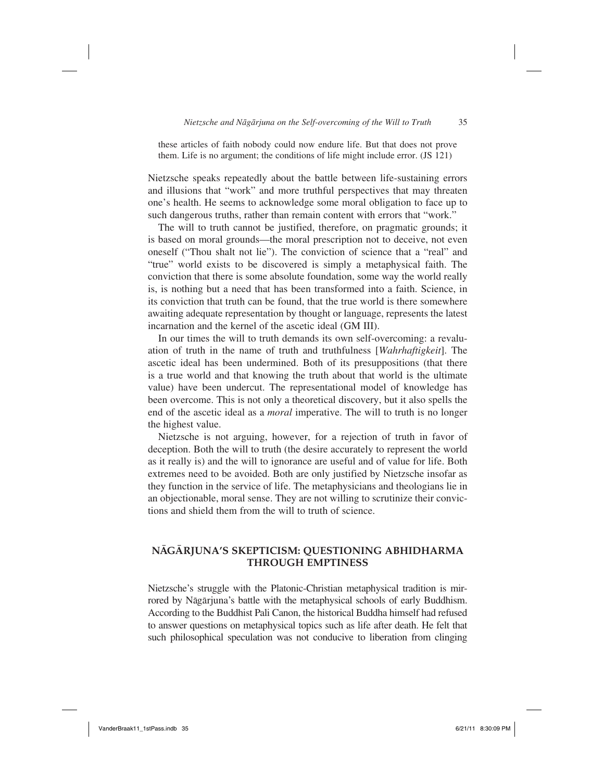these articles of faith nobody could now endure life. But that does not prove them. Life is no argument; the conditions of life might include error. (JS 121)

Nietzsche speaks repeatedly about the battle between life-sustaining errors and illusions that "work" and more truthful perspectives that may threaten one's health. He seems to acknowledge some moral obligation to face up to such dangerous truths, rather than remain content with errors that "work."

The will to truth cannot be justified, therefore, on pragmatic grounds; it is based on moral grounds—the moral prescription not to deceive, not even oneself ("Thou shalt not lie"). The conviction of science that a "real" and "true" world exists to be discovered is simply a metaphysical faith. The conviction that there is some absolute foundation, some way the world really is, is nothing but a need that has been transformed into a faith. Science, in its conviction that truth can be found, that the true world is there somewhere awaiting adequate representation by thought or language, represents the latest incarnation and the kernel of the ascetic ideal (GM III).

In our times the will to truth demands its own self-overcoming: a revaluation of truth in the name of truth and truthfulness [*Wahrhaftigkeit*]. The ascetic ideal has been undermined. Both of its presuppositions (that there is a true world and that knowing the truth about that world is the ultimate value) have been undercut. The representational model of knowledge has been overcome. This is not only a theoretical discovery, but it also spells the end of the ascetic ideal as a *moral* imperative. The will to truth is no longer the highest value.

Nietzsche is not arguing, however, for a rejection of truth in favor of deception. Both the will to truth (the desire accurately to represent the world as it really is) and the will to ignorance are useful and of value for life. Both extremes need to be avoided. Both are only justified by Nietzsche insofar as they function in the service of life. The metaphysicians and theologians lie in an objectionable, moral sense. They are not willing to scrutinize their convictions and shield them from the will to truth of science.

# **NA¯ GA¯ RJUNA'S SKEPTICISM: QUESTIONING ABHIDHARMA THROUGH EMPTINESS**

Nietzsche's struggle with the Platonic-Christian metaphysical tradition is mirrored by Nāgārjuna's battle with the metaphysical schools of early Buddhism. According to the Buddhist Pali Canon, the historical Buddha himself had refused to answer questions on metaphysical topics such as life after death. He felt that such philosophical speculation was not conducive to liberation from clinging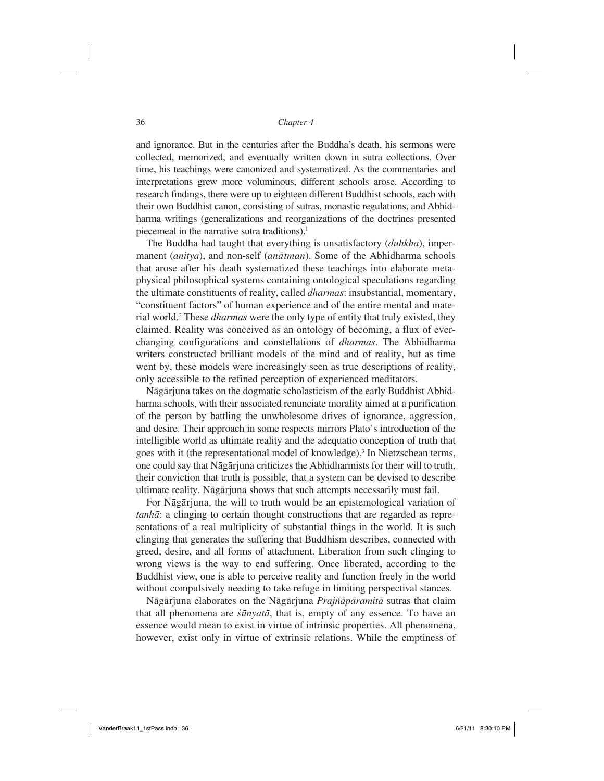and ignorance. But in the centuries after the Buddha's death, his sermons were collected, memorized, and eventually written down in sutra collections. Over time, his teachings were canonized and systematized. As the commentaries and interpretations grew more voluminous, different schools arose. According to research findings, there were up to eighteen different Buddhist schools, each with their own Buddhist canon, consisting of sutras, monastic regulations, and Abhidharma writings (generalizations and reorganizations of the doctrines presented piecemeal in the narrative sutra traditions).<sup>1</sup>

The Buddha had taught that everything is unsatisfactory (*duhkha*), impermanent (*anitya*), and non-self (*anātman*). Some of the Abhidharma schools that arose after his death systematized these teachings into elaborate metaphysical philosophical systems containing ontological speculations regarding the ultimate constituents of reality, called *dharmas*: insubstantial, momentary, "constituent factors" of human experience and of the entire mental and material world.<sup>2</sup> These *dharmas* were the only type of entity that truly existed, they claimed. Reality was conceived as an ontology of becoming, a flux of everchanging configurations and constellations of *dharmas*. The Abhidharma writers constructed brilliant models of the mind and of reality, but as time went by, these models were increasingly seen as true descriptions of reality, only accessible to the refined perception of experienced meditators.

Nāgārjuna takes on the dogmatic scholasticism of the early Buddhist Abhidharma schools, with their associated renunciate morality aimed at a purification of the person by battling the unwholesome drives of ignorance, aggression, and desire. Their approach in some respects mirrors Plato's introduction of the intelligible world as ultimate reality and the adequatio conception of truth that goes with it (the representational model of knowledge).<sup>3</sup> In Nietzschean terms, one could say that Nāgārjuna criticizes the Abhidharmists for their will to truth, their conviction that truth is possible, that a system can be devised to describe ultimate reality. Nāgārjuna shows that such attempts necessarily must fail.

For Nāgārjuna, the will to truth would be an epistemological variation of *tanhā*: a clinging to certain thought constructions that are regarded as representations of a real multiplicity of substantial things in the world. It is such clinging that generates the suffering that Buddhism describes, connected with greed, desire, and all forms of attachment. Liberation from such clinging to wrong views is the way to end suffering. Once liberated, according to the Buddhist view, one is able to perceive reality and function freely in the world without compulsively needing to take refuge in limiting perspectival stances.

Nāgārjuna elaborates on the Nāgārjuna *Prajñāpāramitā* sutras that claim that all phenomena are *śūnyatā*, that is, empty of any essence. To have an essence would mean to exist in virtue of intrinsic properties. All phenomena, however, exist only in virtue of extrinsic relations. While the emptiness of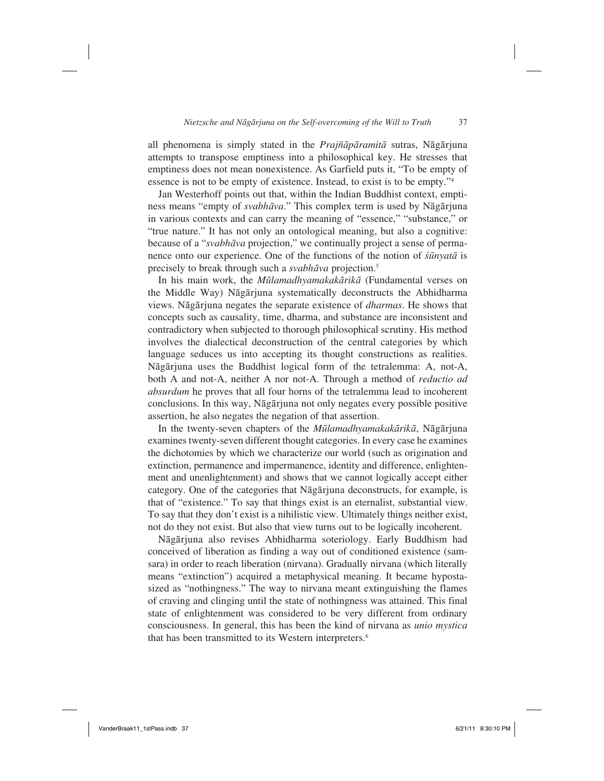#### *Nietzsche and Nāgārjuna on the Self-overcoming of the Will to Truth* 37

all phenomena is simply stated in the *Prajñāpāramitā* sutras, Nāgārjuna attempts to transpose emptiness into a philosophical key. He stresses that emptiness does not mean nonexistence. As Garfield puts it, "To be empty of essence is not to be empty of existence. Instead, to exist is to be empty."<sup>4</sup>

Jan Westerhoff points out that, within the Indian Buddhist context, emptiness means "empty of *svabhāva*." This complex term is used by Nāgārjuna in various contexts and can carry the meaning of "essence," "substance," or "true nature." It has not only an ontological meaning, but also a cognitive: because of a "*svabhāva* projection," we continually project a sense of permanence onto our experience. One of the functions of the notion of *śūnyatā* is precisely to break through such a *svabhāva* projection.<sup>5</sup>

In his main work, the *Mūlamadhyamakakārikā* (Fundamental verses on the Middle Way) Nāgārjuna systematically deconstructs the Abhidharma views. Nāgārjuna negates the separate existence of *dharmas*. He shows that concepts such as causality, time, dharma, and substance are inconsistent and contradictory when subjected to thorough philosophical scrutiny. His method involves the dialectical deconstruction of the central categories by which language seduces us into accepting its thought constructions as realities. Nāgārjuna uses the Buddhist logical form of the tetralemma: A, not-A, both A and not-A, neither A nor not-A. Through a method of *reductio ad absurdum* he proves that all four horns of the tetralemma lead to incoherent conclusions. In this way, Nāgārjuna not only negates every possible positive assertion, he also negates the negation of that assertion.

In the twenty-seven chapters of the *Mūlamadhyamakakārikā*, Nāgārjuna examines twenty-seven different thought categories. In every case he examines the dichotomies by which we characterize our world (such as origination and extinction, permanence and impermanence, identity and difference, enlightenment and unenlightenment) and shows that we cannot logically accept either category. One of the categories that Nāgārjuna deconstructs, for example, is that of "existence." To say that things exist is an eternalist, substantial view. To say that they don't exist is a nihilistic view. Ultimately things neither exist, not do they not exist. But also that view turns out to be logically incoherent.

Nāgārjuna also revises Abhidharma soteriology. Early Buddhism had conceived of liberation as finding a way out of conditioned existence (samsara) in order to reach liberation (nirvana). Gradually nirvana (which literally means "extinction") acquired a metaphysical meaning. It became hypostasized as "nothingness." The way to nirvana meant extinguishing the flames of craving and clinging until the state of nothingness was attained. This final state of enlightenment was considered to be very different from ordinary consciousness. In general, this has been the kind of nirvana as *unio mystica* that has been transmitted to its Western interpreters.<sup>6</sup>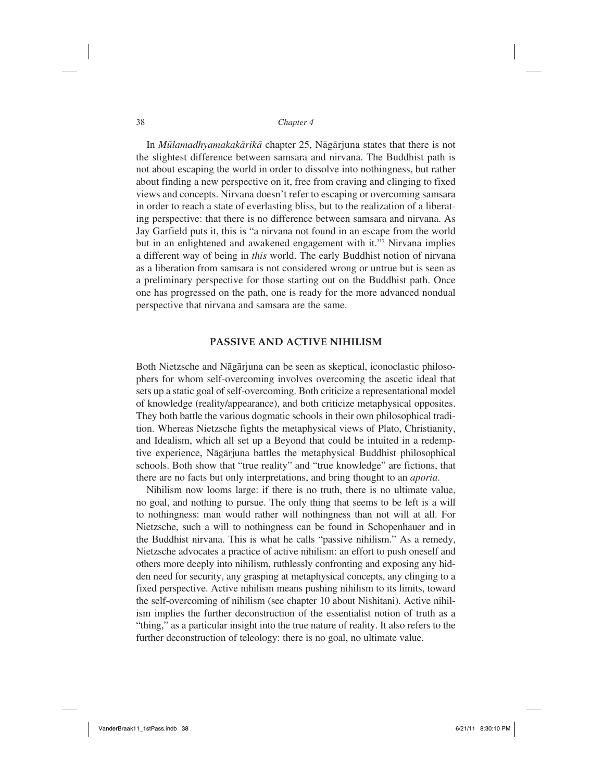In *Mūlamadhyamakakārikā* chapter 25, Nāgārjuna states that there is not the slightest difference between samsara and nirvana. The Buddhist path is not about escaping the world in order to dissolve into nothingness, but rather about finding a new perspective on it, free from craving and clinging to fixed views and concepts. Nirvana doesn't refer to escaping or overcoming samsara in order to reach a state of everlasting bliss, but to the realization of a liberating perspective: that there is no difference between samsara and nirvana. As Jay Garfield puts it, this is "a nirvana not found in an escape from the world but in an enlightened and awakened engagement with it."<sup>7</sup> Nirvana implies a different way of being in *this* world. The early Buddhist notion of nirvana as a liberation from samsara is not considered wrong or untrue but is seen as a preliminary perspective for those starting out on the Buddhist path. Once one has progressed on the path, one is ready for the more advanced nondual perspective that nirvana and samsara are the same.

# **PASSIVE AND ACTIVE NIHILISM**

Both Nietzsche and Nāgārjuna can be seen as skeptical, iconoclastic philosophers for whom self-overcoming involves overcoming the ascetic ideal that sets up a static goal of self-overcoming. Both criticize a representational model of knowledge (reality/appearance), and both criticize metaphysical opposites. They both battle the various dogmatic schools in their own philosophical tradition. Whereas Nietzsche fights the metaphysical views of Plato, Christianity, and Idealism, which all set up a Beyond that could be intuited in a redemptive experience, Nāgārjuna battles the metaphysical Buddhist philosophical schools. Both show that "true reality" and "true knowledge" are fictions, that there are no facts but only interpretations, and bring thought to an *aporia*.

Nihilism now looms large: if there is no truth, there is no ultimate value, no goal, and nothing to pursue. The only thing that seems to be left is a will to nothingness: man would rather will nothingness than not will at all. For Nietzsche, such a will to nothingness can be found in Schopenhauer and in the Buddhist nirvana. This is what he calls "passive nihilism." As a remedy, Nietzsche advocates a practice of active nihilism: an effort to push oneself and others more deeply into nihilism, ruthlessly confronting and exposing any hidden need for security, any grasping at metaphysical concepts, any clinging to a fixed perspective. Active nihilism means pushing nihilism to its limits, toward the self-overcoming of nihilism (see chapter 10 about Nishitani). Active nihilism implies the further deconstruction of the essentialist notion of truth as a "thing," as a particular insight into the true nature of reality. It also refers to the further deconstruction of teleology: there is no goal, no ultimate value.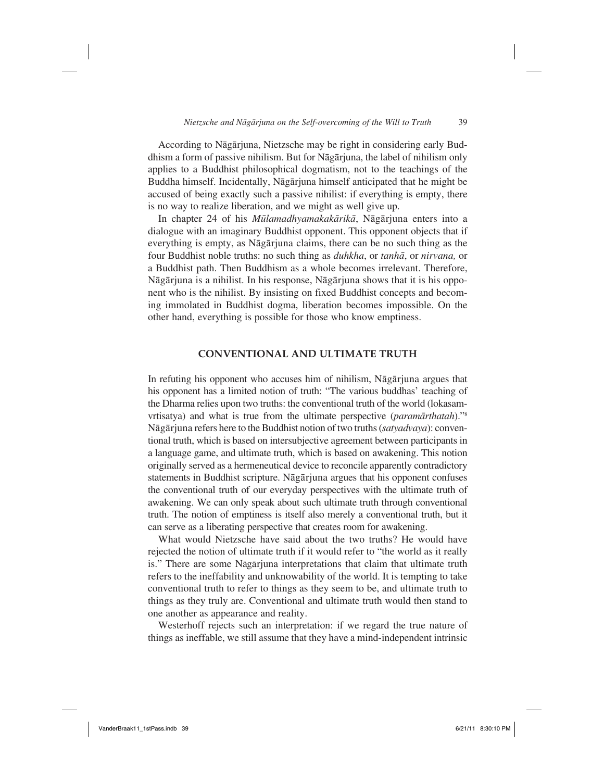According to Nāgārjuna, Nietzsche may be right in considering early Buddhism a form of passive nihilism. But for Nāgārjuna, the label of nihilism only applies to a Buddhist philosophical dogmatism, not to the teachings of the Buddha himself. Incidentally, Nāgārjuna himself anticipated that he might be accused of being exactly such a passive nihilist: if everything is empty, there is no way to realize liberation, and we might as well give up.

In chapter 24 of his *Mūlamadhyamakakārikā*, Nāgārjuna enters into a dialogue with an imaginary Buddhist opponent. This opponent objects that if everything is empty, as Nāgārjuna claims, there can be no such thing as the four Buddhist noble truths: no such thing as *duhkha*, or *tanhā*, or *nirvana,* or a Buddhist path. Then Buddhism as a whole becomes irrelevant. Therefore, Nāgārjuna is a nihilist. In his response, Nāgārjuna shows that it is his opponent who is the nihilist. By insisting on fixed Buddhist concepts and becoming immolated in Buddhist dogma, liberation becomes impossible. On the other hand, everything is possible for those who know emptiness.

# **CONVENTIONAL AND ULTIMATE TRUTH**

In refuting his opponent who accuses him of nihilism, Nāgārjuna argues that his opponent has a limited notion of truth: "The various buddhas' teaching of the Dharma relies upon two truths: the conventional truth of the world (lokasamvrtisatya) and what is true from the ultimate perspective (*paramārthatah*)."<sup>8</sup> Nāgārjuna refers here to the Buddhist notion of two truths (*satyadvaya*): conventional truth, which is based on intersubjective agreement between participants in a language game, and ultimate truth, which is based on awakening. This notion originally served as a hermeneutical device to reconcile apparently contradictory statements in Buddhist scripture. Nāgārjuna argues that his opponent confuses the conventional truth of our everyday perspectives with the ultimate truth of awakening. We can only speak about such ultimate truth through conventional truth. The notion of emptiness is itself also merely a conventional truth, but it can serve as a liberating perspective that creates room for awakening.

What would Nietzsche have said about the two truths? He would have rejected the notion of ultimate truth if it would refer to "the world as it really is." There are some Nāgārjuna interpretations that claim that ultimate truth refers to the ineffability and unknowability of the world. It is tempting to take conventional truth to refer to things as they seem to be, and ultimate truth to things as they truly are. Conventional and ultimate truth would then stand to one another as appearance and reality.

Westerhoff rejects such an interpretation: if we regard the true nature of things as ineffable, we still assume that they have a mind-independent intrinsic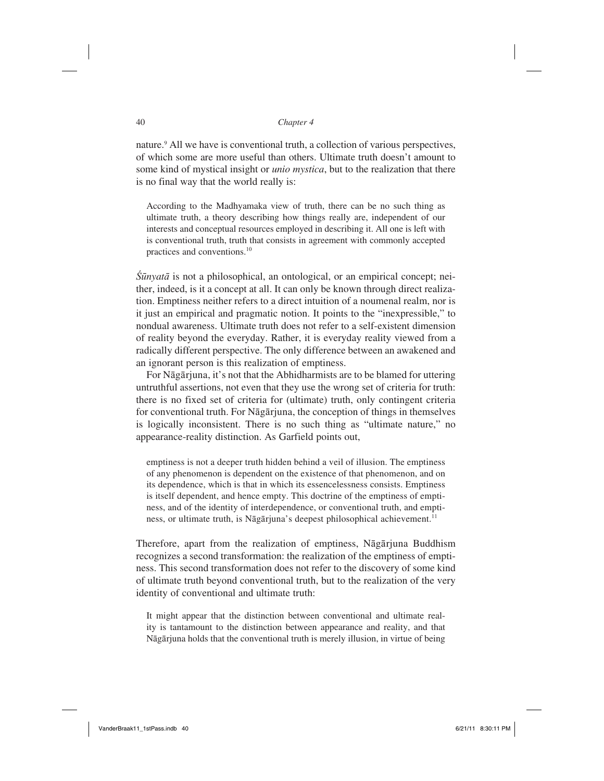nature.<sup>9</sup> All we have is conventional truth, a collection of various perspectives, of which some are more useful than others. Ultimate truth doesn't amount to some kind of mystical insight or *unio mystica*, but to the realization that there is no final way that the world really is:

According to the Madhyamaka view of truth, there can be no such thing as ultimate truth, a theory describing how things really are, independent of our interests and conceptual resources employed in describing it. All one is left with is conventional truth, truth that consists in agreement with commonly accepted practices and conventions.<sup>10</sup>

*Śūnyatā* is not a philosophical, an ontological, or an empirical concept; neither, indeed, is it a concept at all. It can only be known through direct realization. Emptiness neither refers to a direct intuition of a noumenal realm, nor is it just an empirical and pragmatic notion. It points to the "inexpressible," to nondual awareness. Ultimate truth does not refer to a self-existent dimension of reality beyond the everyday. Rather, it is everyday reality viewed from a radically different perspective. The only difference between an awakened and an ignorant person is this realization of emptiness.

For Nāgārjuna, it's not that the Abhidharmists are to be blamed for uttering untruthful assertions, not even that they use the wrong set of criteria for truth: there is no fixed set of criteria for (ultimate) truth, only contingent criteria for conventional truth. For Nāgārjuna, the conception of things in themselves is logically inconsistent. There is no such thing as "ultimate nature," no appearance-reality distinction. As Garfield points out,

emptiness is not a deeper truth hidden behind a veil of illusion. The emptiness of any phenomenon is dependent on the existence of that phenomenon, and on its dependence, which is that in which its essencelessness consists. Emptiness is itself dependent, and hence empty. This doctrine of the emptiness of emptiness, and of the identity of interdependence, or conventional truth, and emptiness, or ultimate truth, is Nāgārjuna's deepest philosophical achievement.<sup>11</sup>

Therefore, apart from the realization of emptiness, Nāgārjuna Buddhism recognizes a second transformation: the realization of the emptiness of emptiness. This second transformation does not refer to the discovery of some kind of ultimate truth beyond conventional truth, but to the realization of the very identity of conventional and ultimate truth:

It might appear that the distinction between conventional and ultimate reality is tantamount to the distinction between appearance and reality, and that Nāgārjuna holds that the conventional truth is merely illusion, in virtue of being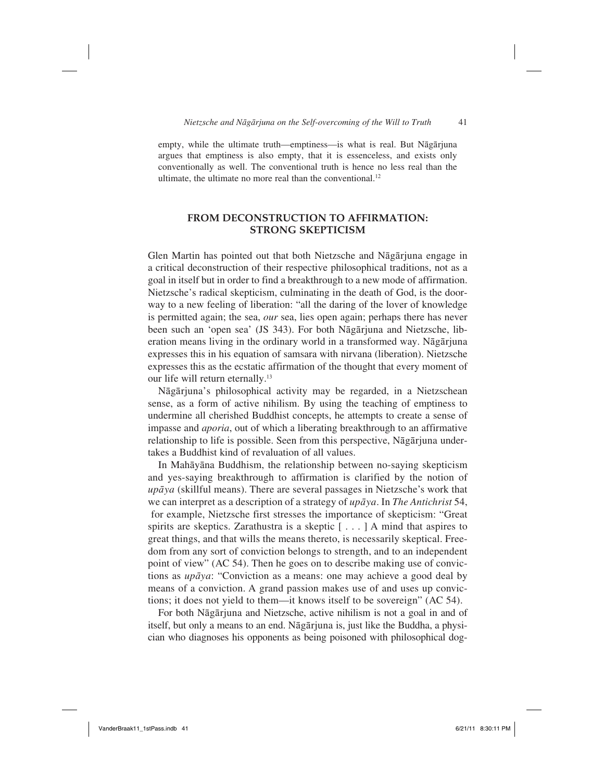empty, while the ultimate truth—emptiness—is what is real. But Nāgārjuna argues that emptiness is also empty, that it is essenceless, and exists only conventionally as well. The conventional truth is hence no less real than the ultimate, the ultimate no more real than the conventional.<sup>12</sup>

# **FROM DECONSTRUCTION TO AFFIRMATION: STRONG SKEPTICISM**

Glen Martin has pointed out that both Nietzsche and Nāgārjuna engage in a critical deconstruction of their respective philosophical traditions, not as a goal in itself but in order to find a breakthrough to a new mode of affirmation. Nietzsche's radical skepticism, culminating in the death of God, is the doorway to a new feeling of liberation: "all the daring of the lover of knowledge is permitted again; the sea, *our* sea, lies open again; perhaps there has never been such an 'open sea' (JS 343). For both Nāgārjuna and Nietzsche, liberation means living in the ordinary world in a transformed way. Nāgārjuna expresses this in his equation of samsara with nirvana (liberation). Nietzsche expresses this as the ecstatic affirmation of the thought that every moment of our life will return eternally.<sup>13</sup>

Nāgārjuna's philosophical activity may be regarded, in a Nietzschean sense, as a form of active nihilism. By using the teaching of emptiness to undermine all cherished Buddhist concepts, he attempts to create a sense of impasse and *aporia*, out of which a liberating breakthrough to an affirmative relationship to life is possible. Seen from this perspective, Nāgārjuna undertakes a Buddhist kind of revaluation of all values.

In Mahāyāna Buddhism, the relationship between no-saying skepticism and yes-saying breakthrough to affirmation is clarified by the notion of *upāya* (skillful means). There are several passages in Nietzsche's work that we can interpret as a description of a strategy of *upāya*. In *The Antichrist* 54, for example, Nietzsche first stresses the importance of skepticism: "Great spirits are skeptics. Zarathustra is a skeptic [ . . . ] A mind that aspires to great things, and that wills the means thereto, is necessarily skeptical. Freedom from any sort of conviction belongs to strength, and to an independent point of view" (AC 54). Then he goes on to describe making use of convictions as *upāya*: "Conviction as a means: one may achieve a good deal by means of a conviction. A grand passion makes use of and uses up convictions; it does not yield to them—it knows itself to be sovereign" (AC 54).

For both Nāgārjuna and Nietzsche, active nihilism is not a goal in and of itself, but only a means to an end. Nāgārjuna is, just like the Buddha, a physician who diagnoses his opponents as being poisoned with philosophical dog-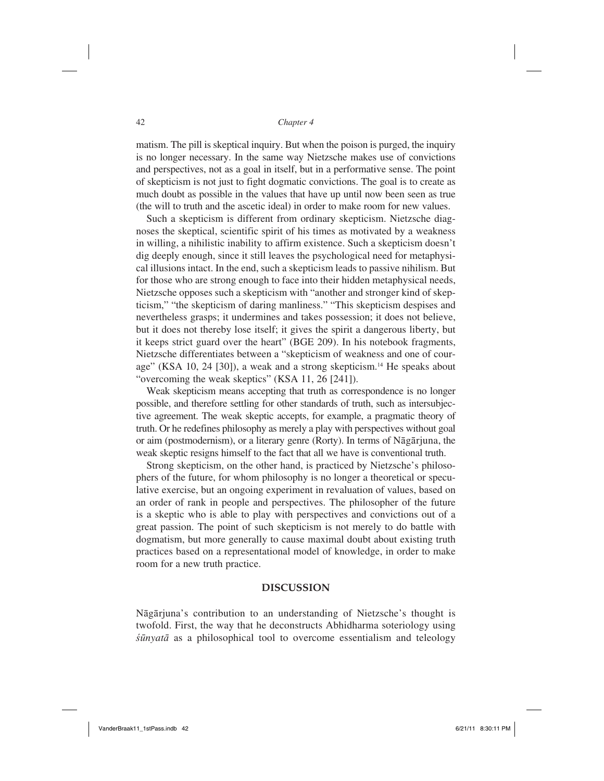matism. The pill is skeptical inquiry. But when the poison is purged, the inquiry is no longer necessary. In the same way Nietzsche makes use of convictions and perspectives, not as a goal in itself, but in a performative sense. The point of skepticism is not just to fight dogmatic convictions. The goal is to create as much doubt as possible in the values that have up until now been seen as true (the will to truth and the ascetic ideal) in order to make room for new values.

Such a skepticism is different from ordinary skepticism. Nietzsche diagnoses the skeptical, scientific spirit of his times as motivated by a weakness in willing, a nihilistic inability to affirm existence. Such a skepticism doesn't dig deeply enough, since it still leaves the psychological need for metaphysical illusions intact. In the end, such a skepticism leads to passive nihilism. But for those who are strong enough to face into their hidden metaphysical needs, Nietzsche opposes such a skepticism with "another and stronger kind of skepticism," "the skepticism of daring manliness." "This skepticism despises and nevertheless grasps; it undermines and takes possession; it does not believe, but it does not thereby lose itself; it gives the spirit a dangerous liberty, but it keeps strict guard over the heart" (BGE 209). In his notebook fragments, Nietzsche differentiates between a "skepticism of weakness and one of courage" (KSA 10, 24 [30]), a weak and a strong skepticism.<sup>14</sup> He speaks about "overcoming the weak skeptics" (KSA 11, 26 [241]).

Weak skepticism means accepting that truth as correspondence is no longer possible, and therefore settling for other standards of truth, such as intersubjective agreement. The weak skeptic accepts, for example, a pragmatic theory of truth. Or he redefines philosophy as merely a play with perspectives without goal or aim (postmodernism), or a literary genre (Rorty). In terms of Nāgārjuna, the weak skeptic resigns himself to the fact that all we have is conventional truth.

Strong skepticism, on the other hand, is practiced by Nietzsche's philosophers of the future, for whom philosophy is no longer a theoretical or speculative exercise, but an ongoing experiment in revaluation of values, based on an order of rank in people and perspectives. The philosopher of the future is a skeptic who is able to play with perspectives and convictions out of a great passion. The point of such skepticism is not merely to do battle with dogmatism, but more generally to cause maximal doubt about existing truth practices based on a representational model of knowledge, in order to make room for a new truth practice.

## **DISCUSSION**

Nāgārjuna's contribution to an understanding of Nietzsche's thought is twofold. First, the way that he deconstructs Abhidharma soteriology using *śūnyatā* as a philosophical tool to overcome essentialism and teleology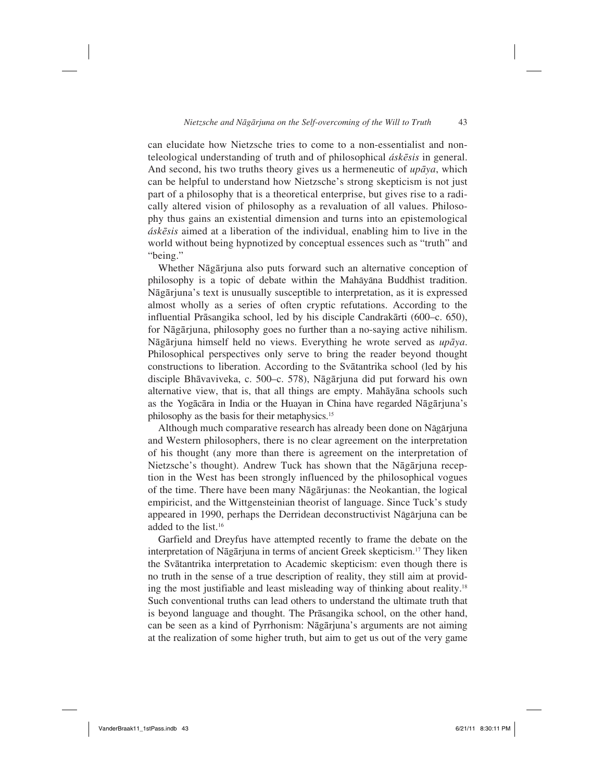#### *Nietzsche and Nāgārjuna on the Self-overcoming of the Will to Truth* 43

can elucidate how Nietzsche tries to come to a non-essentialist and nonteleological understanding of truth and of philosophical *áskēsis* in general. And second, his two truths theory gives us a hermeneutic of *upāya*, which can be helpful to understand how Nietzsche's strong skepticism is not just part of a philosophy that is a theoretical enterprise, but gives rise to a radically altered vision of philosophy as a revaluation of all values. Philosophy thus gains an existential dimension and turns into an epistemological *áskēsis* aimed at a liberation of the individual, enabling him to live in the world without being hypnotized by conceptual essences such as "truth" and "being."

Whether Nāgārjuna also puts forward such an alternative conception of philosophy is a topic of debate within the Mahāyāna Buddhist tradition. Nāgārjuna's text is unusually susceptible to interpretation, as it is expressed almost wholly as a series of often cryptic refutations. According to the influential Prāsangika school, led by his disciple Candrakārti (600–c. 650), for Nāgārjuna, philosophy goes no further than a no-saying active nihilism. Nāgārjuna himself held no views. Everything he wrote served as *upāya*. Philosophical perspectives only serve to bring the reader beyond thought constructions to liberation. According to the Svātantrika school (led by his disciple Bhāvaviveka, c. 500–c. 578), Nāgārjuna did put forward his own alternative view, that is, that all things are empty. Mahāyāna schools such as the Yogācāra in India or the Huayan in China have regarded Nāgārjuna's philosophy as the basis for their metaphysics.<sup>15</sup>

Although much comparative research has already been done on Nāgārjuna and Western philosophers, there is no clear agreement on the interpretation of his thought (any more than there is agreement on the interpretation of Nietzsche's thought). Andrew Tuck has shown that the Nāgārjuna reception in the West has been strongly influenced by the philosophical vogues of the time. There have been many Nāgārjunas: the Neokantian, the logical empiricist, and the Wittgensteinian theorist of language. Since Tuck's study appeared in 1990, perhaps the Derridean deconstructivist Nāgārjuna can be added to the list.<sup>16</sup>

Garfield and Dreyfus have attempted recently to frame the debate on the interpretation of Nāgārjuna in terms of ancient Greek skepticism.<sup>17</sup> They liken the Svātantrika interpretation to Academic skepticism: even though there is no truth in the sense of a true description of reality, they still aim at providing the most justifiable and least misleading way of thinking about reality.<sup>18</sup> Such conventional truths can lead others to understand the ultimate truth that is beyond language and thought. The Prāsangika school, on the other hand, can be seen as a kind of Pyrrhonism: Nāgārjuna's arguments are not aiming at the realization of some higher truth, but aim to get us out of the very game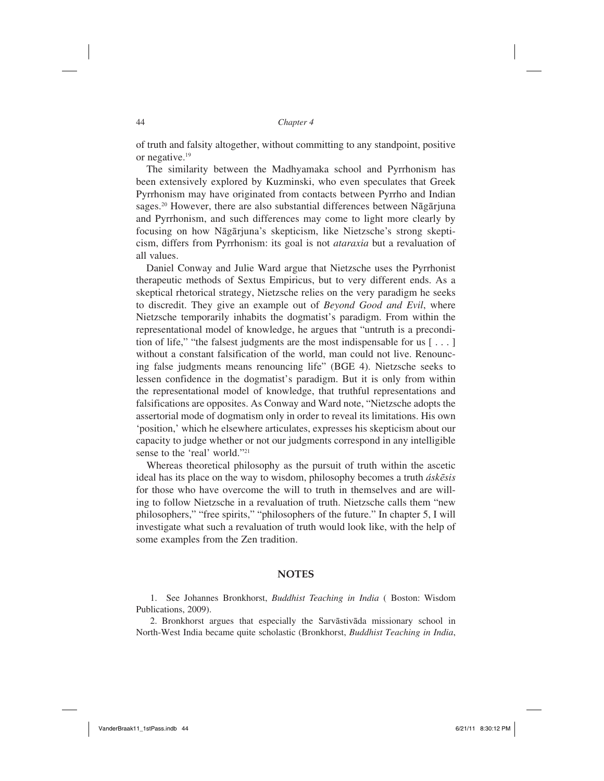of truth and falsity altogether, without committing to any standpoint, positive or negative.<sup>19</sup>

The similarity between the Madhyamaka school and Pyrrhonism has been extensively explored by Kuzminski, who even speculates that Greek Pyrrhonism may have originated from contacts between Pyrrho and Indian sages.<sup>20</sup> However, there are also substantial differences between Nāgārjuna and Pyrrhonism, and such differences may come to light more clearly by focusing on how Nāgārjuna's skepticism, like Nietzsche's strong skepticism, differs from Pyrrhonism: its goal is not *ataraxia* but a revaluation of all values.

Daniel Conway and Julie Ward argue that Nietzsche uses the Pyrrhonist therapeutic methods of Sextus Empiricus, but to very different ends. As a skeptical rhetorical strategy, Nietzsche relies on the very paradigm he seeks to discredit. They give an example out of *Beyond Good and Evil*, where Nietzsche temporarily inhabits the dogmatist's paradigm. From within the representational model of knowledge, he argues that "untruth is a precondition of life," "the falsest judgments are the most indispensable for us [ . . . ] without a constant falsification of the world, man could not live. Renouncing false judgments means renouncing life" (BGE 4). Nietzsche seeks to lessen confidence in the dogmatist's paradigm. But it is only from within the representational model of knowledge, that truthful representations and falsifications are opposites. As Conway and Ward note, "Nietzsche adopts the assertorial mode of dogmatism only in order to reveal its limitations. His own 'position,' which he elsewhere articulates, expresses his skepticism about our capacity to judge whether or not our judgments correspond in any intelligible sense to the 'real' world."<sup>21</sup>

Whereas theoretical philosophy as the pursuit of truth within the ascetic ideal has its place on the way to wisdom, philosophy becomes a truth *áskēsis* for those who have overcome the will to truth in themselves and are willing to follow Nietzsche in a revaluation of truth. Nietzsche calls them "new philosophers," "free spirits," "philosophers of the future." In chapter 5, I will investigate what such a revaluation of truth would look like, with the help of some examples from the Zen tradition.

#### **NOTES**

 1. See Johannes Bronkhorst, *Buddhist Teaching in India* ( Boston: Wisdom Publications, 2009).

 2. Bronkhorst argues that especially the Sarvāstivāda missionary school in North-West India became quite scholastic (Bronkhorst, *Buddhist Teaching in India*,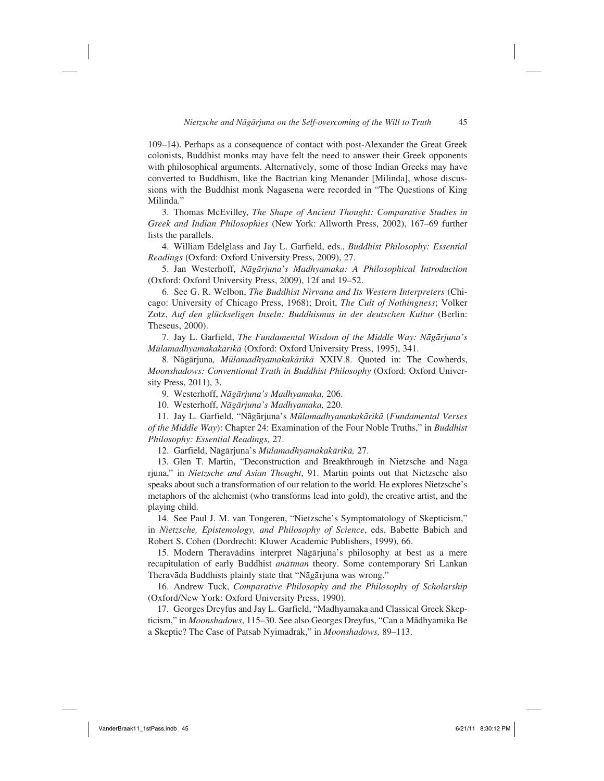109–14). Perhaps as a consequence of contact with post-Alexander the Great Greek colonists, Buddhist monks may have felt the need to answer their Greek opponents with philosophical arguments. Alternatively, some of those Indian Greeks may have converted to Buddhism, like the Bactrian king Menander [Milinda], whose discussions with the Buddhist monk Nagasena were recorded in "The Questions of King Milinda."

 3. Thomas McEvilley, *The Shape of Ancient Thought: Comparative Studies in Greek and Indian Philosophies* (New York: Allworth Press, 2002), 167–69 further lists the parallels.

 4. William Edelglass and Jay L. Garfield, eds., *Buddhist Philosophy: Essential Readings* (Oxford: Oxford University Press, 2009), 27.

 5. Jan Westerhoff, *Nāgārjuna's Madhyamaka: A Philosophical Introduction* (Oxford: Oxford University Press, 2009), 12f and 19–52.

 6. See G. R. Welbon, *The Buddhist Nirvana and Its Western Interpreters* (Chicago: University of Chicago Press, 1968); Droit, *The Cult of Nothingness*; Volker Zotz, *Auf den glückseligen Inseln: Buddhismus in der deutschen Kultur* (Berlin: Theseus, 2000).

 7. Jay L. Garfield, *The Fundamental Wisdom of the Middle Way: Nāgārjuna's Mūlamadhyamakakārikā* (Oxford: Oxford University Press, 1995), 341.

 8. Nāgārjuna*, Mūlamadhyamakakārikā* XXIV.8. Quoted in: The Cowherds, *Moonshadows: Conventional Truth in Buddhist Philosophy* (Oxford: Oxford University Press, 2011), 3.

9. Westerhoff, *Nāgārjuna's Madhyamaka,* 206.

10. Westerhoff, *Nāgārjuna's Madhyamaka,* 220.

11. Jay L. Garfield, "Nāgārjuna's *Mūlamadhyamakakārikā* (*Fundamental Verses of the Middle Way*): Chapter 24: Examination of the Four Noble Truths," in *Buddhist Philosophy: Essential Readings,* 27.

12. Garfield, Nāgārjuna's *Mūlamadhyamakakārikā,* 27.

13. Glen T. Martin, "Deconstruction and Breakthrough in Nietzsche and Naga rjuna," in *Nietzsche and Asian Thought*, 91. Martin points out that Nietzsche also speaks about such a transformation of our relation to the world. He explores Nietzsche's metaphors of the alchemist (who transforms lead into gold), the creative artist, and the playing child.

14. See Paul J. M. van Tongeren, "Nietzsche's Symptomatology of Skepticism," in *Nietzsche, Epistemology, and Philosophy of Science*, eds. Babette Babich and Robert S. Cohen (Dordrecht: Kluwer Academic Publishers, 1999), 66.

15. Modern Theravadins interpret Nāgārjuna's philosophy at best as a mere recapitulation of early Buddhist *anātman* theory. Some contemporary Sri Lankan Theravāda Buddhists plainly state that "Nāgārjuna was wrong."

16. Andrew Tuck, *Comparative Philosophy and the Philosophy of Scholarship*  (Oxford/New York: Oxford University Press, 1990).

17. Georges Dreyfus and Jay L. Garfield, "Madhyamaka and Classical Greek Skepticism," in *Moonshadows*, 115–30. See also Georges Dreyfus, "Can a Mādhyamika Be a Skeptic? The Case of Patsab Nyimadrak," in *Moonshadows,* 89–113.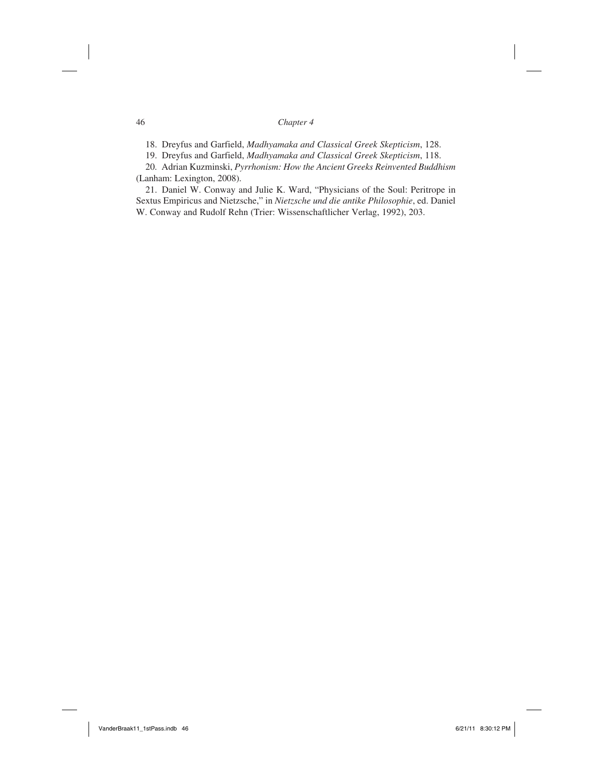18. Dreyfus and Garfield, *Madhyamaka and Classical Greek Skepticism*, 128.

19. Dreyfus and Garfield, *Madhyamaka and Classical Greek Skepticism*, 118.

20. Adrian Kuzminski, *Pyrrhonism: How the Ancient Greeks Reinvented Buddhism* (Lanham: Lexington, 2008).

21. Daniel W. Conway and Julie K. Ward, "Physicians of the Soul: Peritrope in Sextus Empiricus and Nietzsche," in *Nietzsche und die antike Philosophie*, ed. Daniel W. Conway and Rudolf Rehn (Trier: Wissenschaftlicher Verlag, 1992), 203.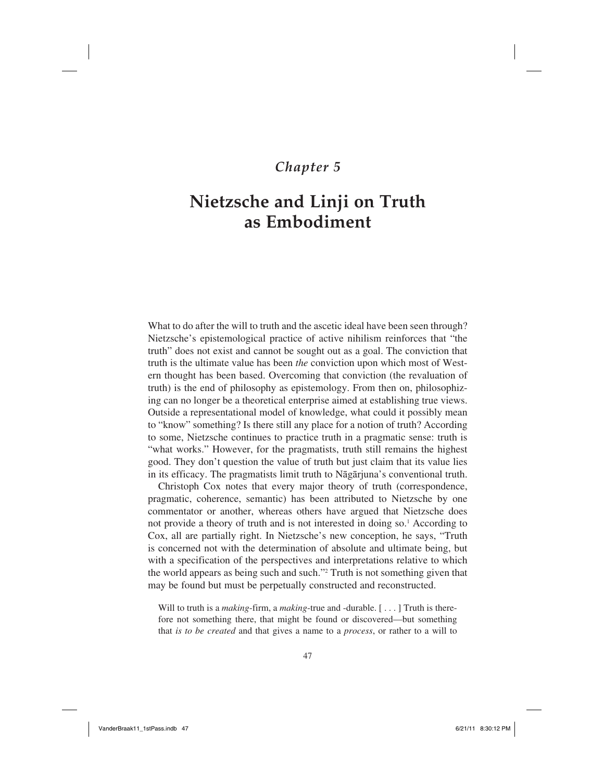# **Nietzsche and Linji on Truth as Embodiment**

What to do after the will to truth and the ascetic ideal have been seen through? Nietzsche's epistemological practice of active nihilism reinforces that "the truth" does not exist and cannot be sought out as a goal. The conviction that truth is the ultimate value has been *the* conviction upon which most of Western thought has been based. Overcoming that conviction (the revaluation of truth) is the end of philosophy as epistemology. From then on, philosophizing can no longer be a theoretical enterprise aimed at establishing true views. Outside a representational model of knowledge, what could it possibly mean to "know" something? Is there still any place for a notion of truth? According to some, Nietzsche continues to practice truth in a pragmatic sense: truth is "what works." However, for the pragmatists, truth still remains the highest good. They don't question the value of truth but just claim that its value lies in its efficacy. The pragmatists limit truth to Nāgārjuna's conventional truth.

Christoph Cox notes that every major theory of truth (correspondence, pragmatic, coherence, semantic) has been attributed to Nietzsche by one commentator or another, whereas others have argued that Nietzsche does not provide a theory of truth and is not interested in doing so.<sup>1</sup> According to Cox, all are partially right. In Nietzsche's new conception, he says, "Truth is concerned not with the determination of absolute and ultimate being, but with a specification of the perspectives and interpretations relative to which the world appears as being such and such."<sup>2</sup> Truth is not something given that may be found but must be perpetually constructed and reconstructed.

Will to truth is a *making*-firm, a *making*-true and -durable. [...] Truth is therefore not something there, that might be found or discovered—but something that *is to be created* and that gives a name to a *process*, or rather to a will to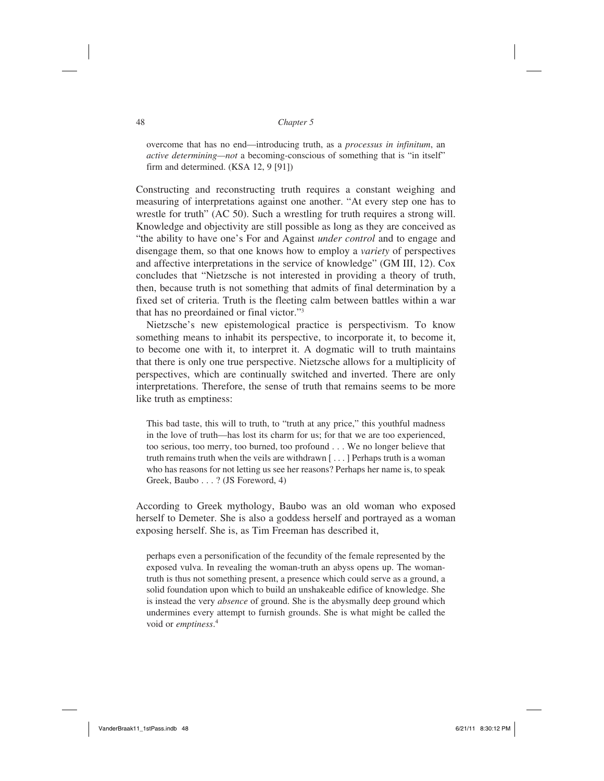overcome that has no end—introducing truth, as a *processus in infinitum*, an *active determining—not* a becoming-conscious of something that is "in itself" firm and determined. (KSA 12, 9 [91])

Constructing and reconstructing truth requires a constant weighing and measuring of interpretations against one another. "At every step one has to wrestle for truth" (AC 50). Such a wrestling for truth requires a strong will. Knowledge and objectivity are still possible as long as they are conceived as "the ability to have one's For and Against *under control* and to engage and disengage them, so that one knows how to employ a *variety* of perspectives and affective interpretations in the service of knowledge" (GM III, 12). Cox concludes that "Nietzsche is not interested in providing a theory of truth, then, because truth is not something that admits of final determination by a fixed set of criteria. Truth is the fleeting calm between battles within a war that has no preordained or final victor."<sup>3</sup>

Nietzsche's new epistemological practice is perspectivism. To know something means to inhabit its perspective, to incorporate it, to become it, to become one with it, to interpret it. A dogmatic will to truth maintains that there is only one true perspective. Nietzsche allows for a multiplicity of perspectives, which are continually switched and inverted. There are only interpretations. Therefore, the sense of truth that remains seems to be more like truth as emptiness:

This bad taste, this will to truth, to "truth at any price," this youthful madness in the love of truth—has lost its charm for us; for that we are too experienced, too serious, too merry, too burned, too profound . . . We no longer believe that truth remains truth when the veils are withdrawn [ . . . ] Perhaps truth is a woman who has reasons for not letting us see her reasons? Perhaps her name is, to speak Greek, Baubo . . . ? (JS Foreword, 4)

According to Greek mythology, Baubo was an old woman who exposed herself to Demeter. She is also a goddess herself and portrayed as a woman exposing herself. She is, as Tim Freeman has described it,

perhaps even a personification of the fecundity of the female represented by the exposed vulva. In revealing the woman-truth an abyss opens up. The womantruth is thus not something present, a presence which could serve as a ground, a solid foundation upon which to build an unshakeable edifice of knowledge. She is instead the very *absence* of ground. She is the abysmally deep ground which undermines every attempt to furnish grounds. She is what might be called the void or *emptiness*. 4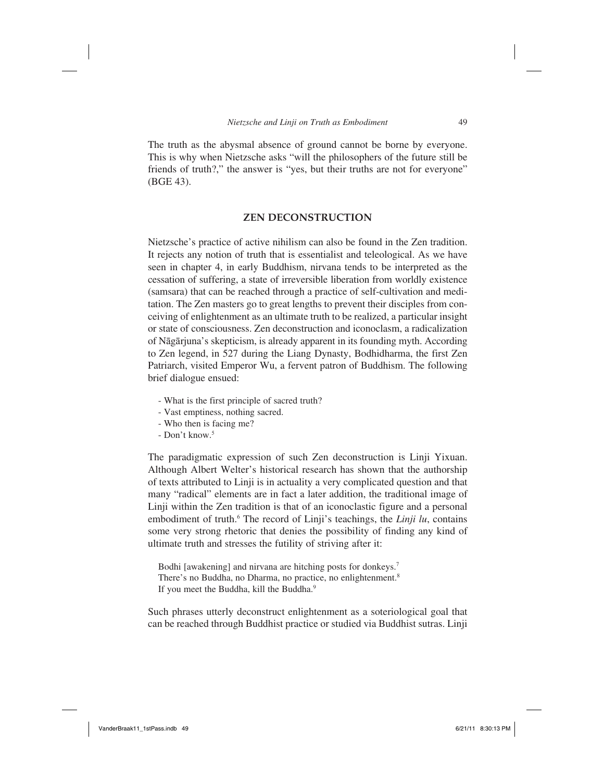The truth as the abysmal absence of ground cannot be borne by everyone. This is why when Nietzsche asks "will the philosophers of the future still be friends of truth?," the answer is "yes, but their truths are not for everyone" (BGE 43).

# **ZEN DECONSTRUCTION**

Nietzsche's practice of active nihilism can also be found in the Zen tradition. It rejects any notion of truth that is essentialist and teleological. As we have seen in chapter 4, in early Buddhism, nirvana tends to be interpreted as the cessation of suffering, a state of irreversible liberation from worldly existence (samsara) that can be reached through a practice of self-cultivation and meditation. The Zen masters go to great lengths to prevent their disciples from conceiving of enlightenment as an ultimate truth to be realized, a particular insight or state of consciousness. Zen deconstruction and iconoclasm, a radicalization of Nāgārjuna's skepticism, is already apparent in its founding myth. According to Zen legend, in 527 during the Liang Dynasty, Bodhidharma, the first Zen Patriarch, visited Emperor Wu, a fervent patron of Buddhism. The following brief dialogue ensued:

- What is the first principle of sacred truth?
- Vast emptiness, nothing sacred.
- Who then is facing me?
- $-$  Don't know.<sup>5</sup>

The paradigmatic expression of such Zen deconstruction is Linji Yixuan. Although Albert Welter's historical research has shown that the authorship of texts attributed to Linji is in actuality a very complicated question and that many "radical" elements are in fact a later addition, the traditional image of Linji within the Zen tradition is that of an iconoclastic figure and a personal embodiment of truth.<sup>6</sup> The record of Linji's teachings, the *Linji lu*, contains some very strong rhetoric that denies the possibility of finding any kind of ultimate truth and stresses the futility of striving after it:

Bodhi [awakening] and nirvana are hitching posts for donkeys.<sup>7</sup> There's no Buddha, no Dharma, no practice, no enlightenment.<sup>8</sup> If you meet the Buddha, kill the Buddha.<sup>9</sup>

Such phrases utterly deconstruct enlightenment as a soteriological goal that can be reached through Buddhist practice or studied via Buddhist sutras. Linji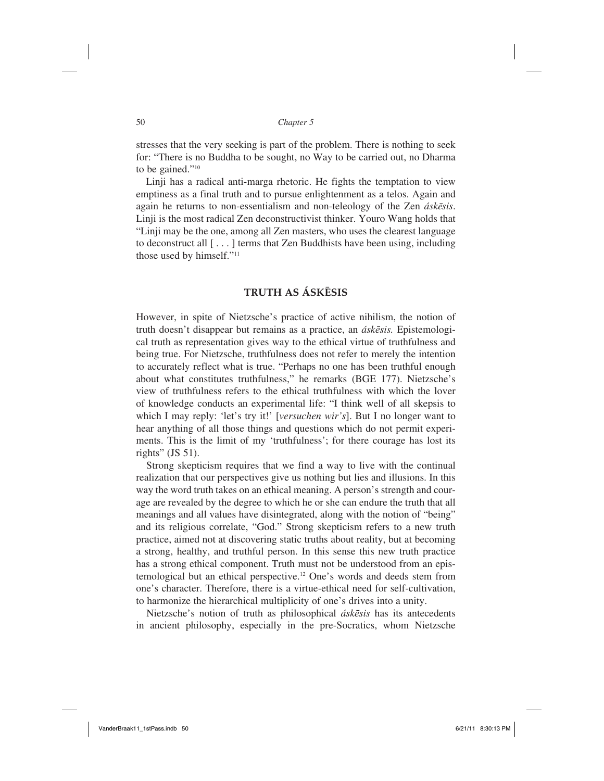stresses that the very seeking is part of the problem. There is nothing to seek for: "There is no Buddha to be sought, no Way to be carried out, no Dharma to be gained."<sup>10</sup>

Linji has a radical anti-marga rhetoric. He fights the temptation to view emptiness as a final truth and to pursue enlightenment as a telos. Again and again he returns to non-essentialism and non-teleology of the Zen *áskēsis*. Linji is the most radical Zen deconstructivist thinker. Youro Wang holds that "Linji may be the one, among all Zen masters, who uses the clearest language to deconstruct all [ . . . ] terms that Zen Buddhists have been using, including those used by himself."<sup>11</sup>

# **TRUTH AS ÁSKĒSIS**

However, in spite of Nietzsche's practice of active nihilism, the notion of truth doesn't disappear but remains as a practice, an *áskēsis.* Epistemological truth as representation gives way to the ethical virtue of truthfulness and being true. For Nietzsche, truthfulness does not refer to merely the intention to accurately reflect what is true. "Perhaps no one has been truthful enough about what constitutes truthfulness," he remarks (BGE 177). Nietzsche's view of truthfulness refers to the ethical truthfulness with which the lover of knowledge conducts an experimental life: "I think well of all skepsis to which I may reply: 'let's try it!' [*versuchen wir's*]. But I no longer want to hear anything of all those things and questions which do not permit experiments. This is the limit of my 'truthfulness'; for there courage has lost its rights"  $(JS 51)$ .

Strong skepticism requires that we find a way to live with the continual realization that our perspectives give us nothing but lies and illusions. In this way the word truth takes on an ethical meaning. A person's strength and courage are revealed by the degree to which he or she can endure the truth that all meanings and all values have disintegrated, along with the notion of "being" and its religious correlate, "God." Strong skepticism refers to a new truth practice, aimed not at discovering static truths about reality, but at becoming a strong, healthy, and truthful person. In this sense this new truth practice has a strong ethical component. Truth must not be understood from an epistemological but an ethical perspective.<sup>12</sup> One's words and deeds stem from one's character. Therefore, there is a virtue-ethical need for self-cultivation, to harmonize the hierarchical multiplicity of one's drives into a unity.

Nietzsche's notion of truth as philosophical *áskēsis* has its antecedents in ancient philosophy, especially in the pre-Socratics, whom Nietzsche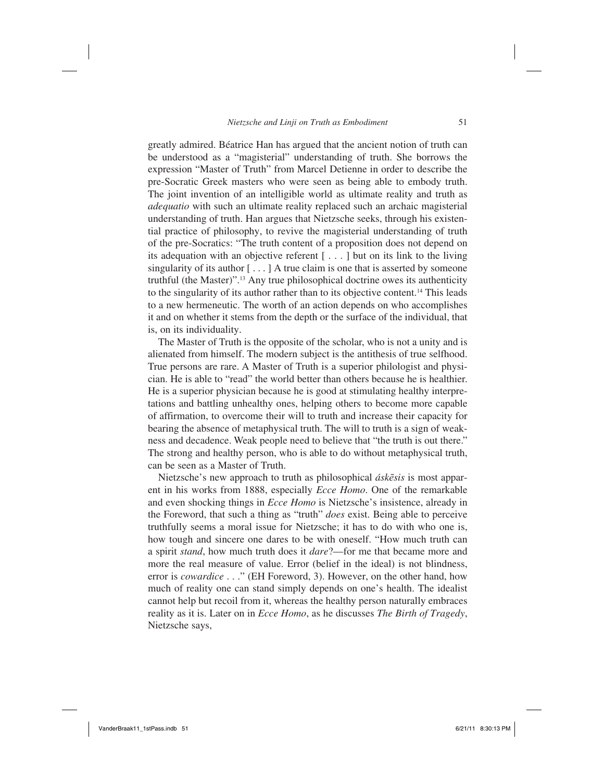greatly admired. Béatrice Han has argued that the ancient notion of truth can be understood as a "magisterial" understanding of truth. She borrows the expression "Master of Truth" from Marcel Detienne in order to describe the pre-Socratic Greek masters who were seen as being able to embody truth. The joint invention of an intelligible world as ultimate reality and truth as *adequatio* with such an ultimate reality replaced such an archaic magisterial understanding of truth. Han argues that Nietzsche seeks, through his existential practice of philosophy, to revive the magisterial understanding of truth of the pre-Socratics: "The truth content of a proposition does not depend on its adequation with an objective referent [ . . . ] but on its link to the living singularity of its author  $[\dots]$  A true claim is one that is asserted by someone truthful (the Master)".<sup>13</sup> Any true philosophical doctrine owes its authenticity to the singularity of its author rather than to its objective content.<sup>14</sup> This leads to a new hermeneutic. The worth of an action depends on who accomplishes it and on whether it stems from the depth or the surface of the individual, that is, on its individuality.

The Master of Truth is the opposite of the scholar, who is not a unity and is alienated from himself. The modern subject is the antithesis of true selfhood. True persons are rare. A Master of Truth is a superior philologist and physician. He is able to "read" the world better than others because he is healthier. He is a superior physician because he is good at stimulating healthy interpretations and battling unhealthy ones, helping others to become more capable of affirmation, to overcome their will to truth and increase their capacity for bearing the absence of metaphysical truth. The will to truth is a sign of weakness and decadence. Weak people need to believe that "the truth is out there." The strong and healthy person, who is able to do without metaphysical truth, can be seen as a Master of Truth.

Nietzsche's new approach to truth as philosophical *áskēsis* is most apparent in his works from 1888, especially *Ecce Homo*. One of the remarkable and even shocking things in *Ecce Homo* is Nietzsche's insistence, already in the Foreword, that such a thing as "truth" *does* exist. Being able to perceive truthfully seems a moral issue for Nietzsche; it has to do with who one is, how tough and sincere one dares to be with oneself. "How much truth can a spirit *stand*, how much truth does it *dare*?—for me that became more and more the real measure of value. Error (belief in the ideal) is not blindness, error is *cowardice* . . ." (EH Foreword, 3). However, on the other hand, how much of reality one can stand simply depends on one's health. The idealist cannot help but recoil from it, whereas the healthy person naturally embraces reality as it is. Later on in *Ecce Homo*, as he discusses *The Birth of Tragedy*, Nietzsche says,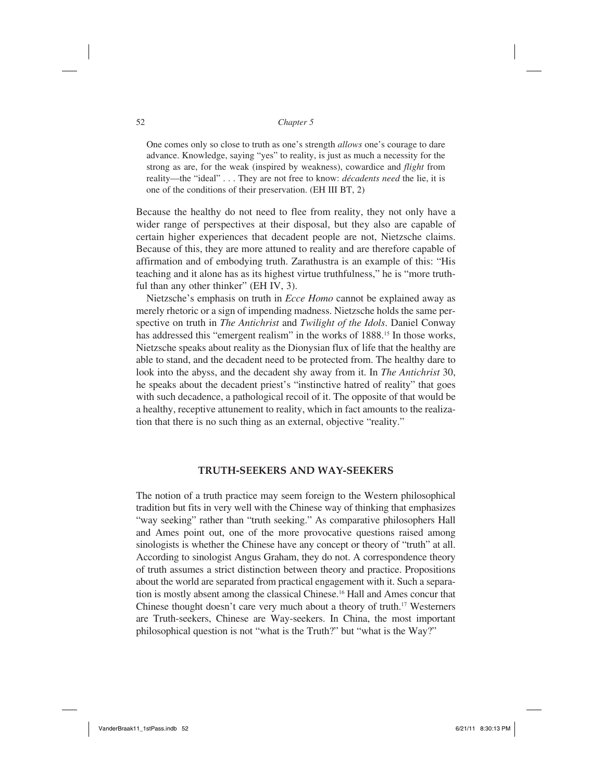One comes only so close to truth as one's strength *allows* one's courage to dare advance. Knowledge, saying "yes" to reality, is just as much a necessity for the strong as are, for the weak (inspired by weakness), cowardice and *flight* from reality—the "ideal" . . . They are not free to know: *décadents need* the lie, it is one of the conditions of their preservation. (EH III BT, 2)

Because the healthy do not need to flee from reality, they not only have a wider range of perspectives at their disposal, but they also are capable of certain higher experiences that decadent people are not, Nietzsche claims. Because of this, they are more attuned to reality and are therefore capable of affirmation and of embodying truth. Zarathustra is an example of this: "His teaching and it alone has as its highest virtue truthfulness," he is "more truthful than any other thinker" (EH IV, 3).

Nietzsche's emphasis on truth in *Ecce Homo* cannot be explained away as merely rhetoric or a sign of impending madness. Nietzsche holds the same perspective on truth in *The Antichrist* and *Twilight of the Idols*. Daniel Conway has addressed this "emergent realism" in the works of 1888.<sup>15</sup> In those works, Nietzsche speaks about reality as the Dionysian flux of life that the healthy are able to stand, and the decadent need to be protected from. The healthy dare to look into the abyss, and the decadent shy away from it. In *The Antichrist* 30, he speaks about the decadent priest's "instinctive hatred of reality" that goes with such decadence, a pathological recoil of it. The opposite of that would be a healthy, receptive attunement to reality, which in fact amounts to the realization that there is no such thing as an external, objective "reality."

# **TRUTH-SEEKERS AND WAY-SEEKERS**

The notion of a truth practice may seem foreign to the Western philosophical tradition but fits in very well with the Chinese way of thinking that emphasizes "way seeking" rather than "truth seeking." As comparative philosophers Hall and Ames point out, one of the more provocative questions raised among sinologists is whether the Chinese have any concept or theory of "truth" at all. According to sinologist Angus Graham, they do not. A correspondence theory of truth assumes a strict distinction between theory and practice. Propositions about the world are separated from practical engagement with it. Such a separation is mostly absent among the classical Chinese.<sup>16</sup> Hall and Ames concur that Chinese thought doesn't care very much about a theory of truth.<sup>17</sup> Westerners are Truth-seekers, Chinese are Way-seekers. In China, the most important philosophical question is not "what is the Truth?" but "what is the Way?"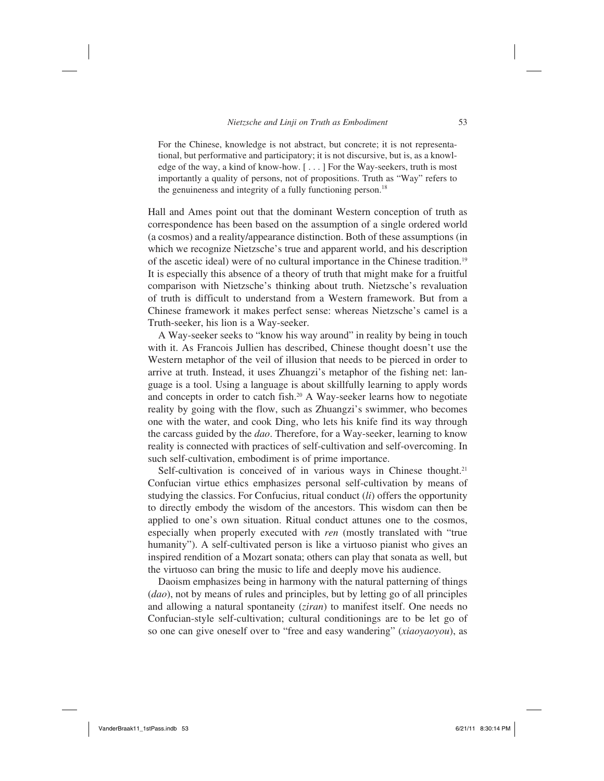For the Chinese, knowledge is not abstract, but concrete; it is not representational, but performative and participatory; it is not discursive, but is, as a knowledge of the way, a kind of know-how. [ . . . ] For the Way-seekers, truth is most importantly a quality of persons, not of propositions. Truth as "Way" refers to the genuineness and integrity of a fully functioning person.<sup>18</sup>

Hall and Ames point out that the dominant Western conception of truth as correspondence has been based on the assumption of a single ordered world (a cosmos) and a reality/appearance distinction. Both of these assumptions (in which we recognize Nietzsche's true and apparent world, and his description of the ascetic ideal) were of no cultural importance in the Chinese tradition.<sup>19</sup> It is especially this absence of a theory of truth that might make for a fruitful comparison with Nietzsche's thinking about truth. Nietzsche's revaluation of truth is difficult to understand from a Western framework. But from a Chinese framework it makes perfect sense: whereas Nietzsche's camel is a Truth-seeker, his lion is a Way-seeker.

A Way-seeker seeks to "know his way around" in reality by being in touch with it. As Francois Jullien has described, Chinese thought doesn't use the Western metaphor of the veil of illusion that needs to be pierced in order to arrive at truth. Instead, it uses Zhuangzi's metaphor of the fishing net: language is a tool. Using a language is about skillfully learning to apply words and concepts in order to catch fish.<sup>20</sup> A Way-seeker learns how to negotiate reality by going with the flow, such as Zhuangzi's swimmer, who becomes one with the water, and cook Ding, who lets his knife find its way through the carcass guided by the *dao*. Therefore, for a Way-seeker, learning to know reality is connected with practices of self-cultivation and self-overcoming. In such self-cultivation, embodiment is of prime importance.

Self-cultivation is conceived of in various ways in Chinese thought.<sup>21</sup> Confucian virtue ethics emphasizes personal self-cultivation by means of studying the classics. For Confucius, ritual conduct (*li*) offers the opportunity to directly embody the wisdom of the ancestors. This wisdom can then be applied to one's own situation. Ritual conduct attunes one to the cosmos, especially when properly executed with *ren* (mostly translated with "true humanity"). A self-cultivated person is like a virtuoso pianist who gives an inspired rendition of a Mozart sonata; others can play that sonata as well, but the virtuoso can bring the music to life and deeply move his audience.

Daoism emphasizes being in harmony with the natural patterning of things (*dao*), not by means of rules and principles, but by letting go of all principles and allowing a natural spontaneity (*ziran*) to manifest itself. One needs no Confucian-style self-cultivation; cultural conditionings are to be let go of so one can give oneself over to "free and easy wandering" (*xiaoyaoyou*), as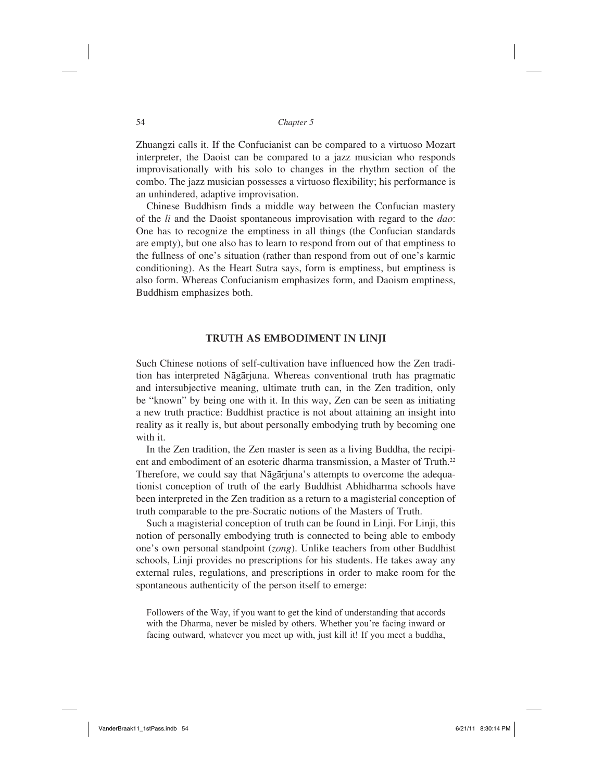Zhuangzi calls it. If the Confucianist can be compared to a virtuoso Mozart interpreter, the Daoist can be compared to a jazz musician who responds improvisationally with his solo to changes in the rhythm section of the combo. The jazz musician possesses a virtuoso flexibility; his performance is an unhindered, adaptive improvisation.

Chinese Buddhism finds a middle way between the Confucian mastery of the *li* and the Daoist spontaneous improvisation with regard to the *dao*: One has to recognize the emptiness in all things (the Confucian standards are empty), but one also has to learn to respond from out of that emptiness to the fullness of one's situation (rather than respond from out of one's karmic conditioning). As the Heart Sutra says, form is emptiness, but emptiness is also form. Whereas Confucianism emphasizes form, and Daoism emptiness, Buddhism emphasizes both.

### **TRUTH AS EMBODIMENT IN LINJI**

Such Chinese notions of self-cultivation have influenced how the Zen tradition has interpreted Nāgārjuna. Whereas conventional truth has pragmatic and intersubjective meaning, ultimate truth can, in the Zen tradition, only be "known" by being one with it. In this way, Zen can be seen as initiating a new truth practice: Buddhist practice is not about attaining an insight into reality as it really is, but about personally embodying truth by becoming one with it.

In the Zen tradition, the Zen master is seen as a living Buddha, the recipient and embodiment of an esoteric dharma transmission, a Master of Truth.<sup>22</sup> Therefore, we could say that Nāgārjuna's attempts to overcome the adequationist conception of truth of the early Buddhist Abhidharma schools have been interpreted in the Zen tradition as a return to a magisterial conception of truth comparable to the pre-Socratic notions of the Masters of Truth.

Such a magisterial conception of truth can be found in Linji. For Linji, this notion of personally embodying truth is connected to being able to embody one's own personal standpoint (*zong*). Unlike teachers from other Buddhist schools, Linji provides no prescriptions for his students. He takes away any external rules, regulations, and prescriptions in order to make room for the spontaneous authenticity of the person itself to emerge:

Followers of the Way, if you want to get the kind of understanding that accords with the Dharma, never be misled by others. Whether you're facing inward or facing outward, whatever you meet up with, just kill it! If you meet a buddha,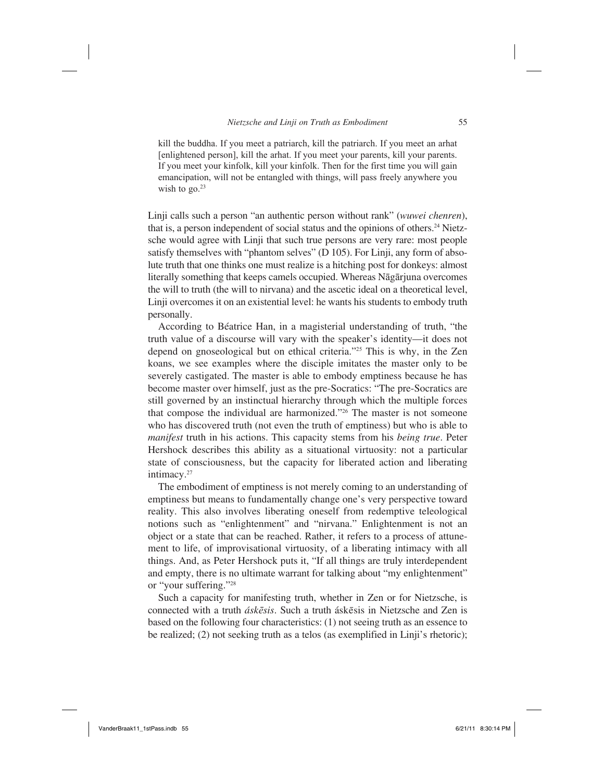kill the buddha. If you meet a patriarch, kill the patriarch. If you meet an arhat [enlightened person], kill the arhat. If you meet your parents, kill your parents. If you meet your kinfolk, kill your kinfolk. Then for the first time you will gain emancipation, will not be entangled with things, will pass freely anywhere you wish to go.<sup>23</sup>

Linji calls such a person "an authentic person without rank" (*wuwei chenren*), that is, a person independent of social status and the opinions of others.<sup>24</sup> Nietzsche would agree with Linji that such true persons are very rare: most people satisfy themselves with "phantom selves" (D 105). For Linji, any form of absolute truth that one thinks one must realize is a hitching post for donkeys: almost literally something that keeps camels occupied. Whereas Nāgārjuna overcomes the will to truth (the will to nirvana) and the ascetic ideal on a theoretical level, Linii overcomes it on an existential level: he wants his students to embody truth personally.

According to Béatrice Han, in a magisterial understanding of truth, "the truth value of a discourse will vary with the speaker's identity—it does not depend on gnoseological but on ethical criteria."<sup>25</sup> This is why, in the Zen koans, we see examples where the disciple imitates the master only to be severely castigated. The master is able to embody emptiness because he has become master over himself, just as the pre-Socratics: "The pre-Socratics are still governed by an instinctual hierarchy through which the multiple forces that compose the individual are harmonized."<sup>26</sup> The master is not someone who has discovered truth (not even the truth of emptiness) but who is able to *manifest* truth in his actions. This capacity stems from his *being true*. Peter Hershock describes this ability as a situational virtuosity: not a particular state of consciousness, but the capacity for liberated action and liberating intimacy.<sup>27</sup>

The embodiment of emptiness is not merely coming to an understanding of emptiness but means to fundamentally change one's very perspective toward reality. This also involves liberating oneself from redemptive teleological notions such as "enlightenment" and "nirvana." Enlightenment is not an object or a state that can be reached. Rather, it refers to a process of attunement to life, of improvisational virtuosity, of a liberating intimacy with all things. And, as Peter Hershock puts it, "If all things are truly interdependent and empty, there is no ultimate warrant for talking about "my enlightenment" or "your suffering."<sup>28</sup>

Such a capacity for manifesting truth, whether in Zen or for Nietzsche, is connected with a truth *áskēsis*. Such a truth áske¯sis in Nietzsche and Zen is based on the following four characteristics: (1) not seeing truth as an essence to be realized; (2) not seeking truth as a telos (as exemplified in Linji's rhetoric);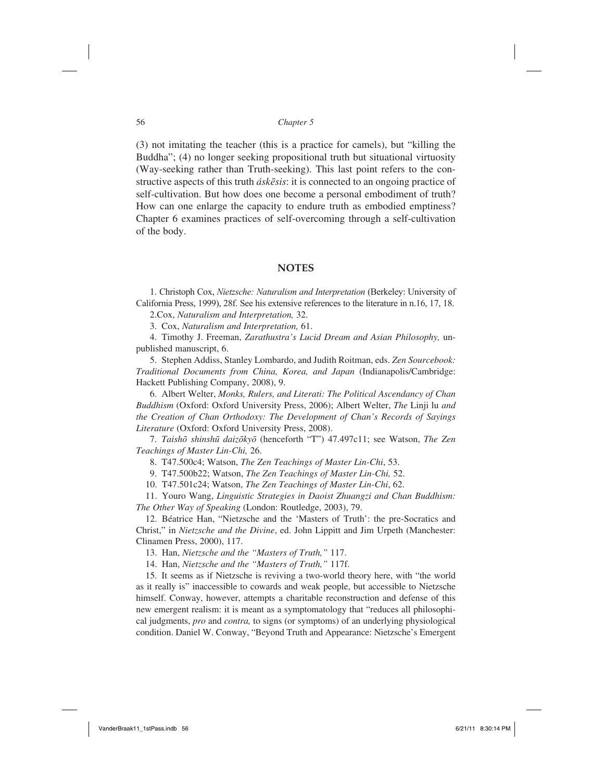(3) not imitating the teacher (this is a practice for camels), but "killing the Buddha"; (4) no longer seeking propositional truth but situational virtuosity (Way-seeking rather than Truth-seeking). This last point refers to the constructive aspects of this truth *áskēsis*: it is connected to an ongoing practice of self-cultivation. But how does one become a personal embodiment of truth? How can one enlarge the capacity to endure truth as embodied emptiness? Chapter 6 examines practices of self-overcoming through a self-cultivation of the body.

#### **NOTES**

 1. Christoph Cox, *Nietzsche: Naturalism and Interpretation* (Berkeley: University of California Press, 1999), 28f. See his extensive references to the literature in n.16, 17, 18.

2.Cox, *Naturalism and Interpretation,* 32.

3. Cox, *Naturalism and Interpretation,* 61.

 4. Timothy J. Freeman, *Zarathustra's Lucid Dream and Asian Philosophy,* unpublished manuscript, 6.

 5. Stephen Addiss, Stanley Lombardo, and Judith Roitman, eds. *Zen Sourcebook: Traditional Documents from China, Korea, and Japan* (Indianapolis/Cambridge: Hackett Publishing Company, 2008), 9.

 6. Albert Welter, *Monks, Rulers, and Literati: The Political Ascendancy of Chan Buddhism* (Oxford: Oxford University Press, 2006); Albert Welter, *The* Linji lu *and the Creation of Chan Orthodoxy: The Development of Chan's Records of Sayings Literature* (Oxford: Oxford University Press, 2008).

 7. *Taishō shinshū daizōkyō* (henceforth "T") 47.497c11; see Watson, *The Zen Teachings of Master Lin-Chi,* 26.

8. T47.500c4; Watson, *The Zen Teachings of Master Lin-Chi*, 53.

9. T47.500b22; Watson, *The Zen Teachings of Master Lin-Chi,* 52.

10. T47.501c24; Watson, *The Zen Teachings of Master Lin-Chi*, 62.

11. Youro Wang, *Linguistic Strategies in Daoist Zhuangzi and Chan Buddhism: The Other Way of Speaking* (London: Routledge, 2003), 79.

12. Béatrice Han, "Nietzsche and the 'Masters of Truth': the pre-Socratics and Christ," in *Nietzsche and the Divine*, ed. John Lippitt and Jim Urpeth (Manchester: Clinamen Press, 2000), 117.

13. Han, *Nietzsche and the "Masters of Truth,"* 117.

14. Han, *Nietzsche and the "Masters of Truth,"* 117f.

15. It seems as if Nietzsche is reviving a two-world theory here, with "the world as it really is" inaccessible to cowards and weak people, but accessible to Nietzsche himself. Conway, however, attempts a charitable reconstruction and defense of this new emergent realism: it is meant as a symptomatology that "reduces all philosophical judgments, *pro* and *contra,* to signs (or symptoms) of an underlying physiological condition. Daniel W. Conway, "Beyond Truth and Appearance: Nietzsche's Emergent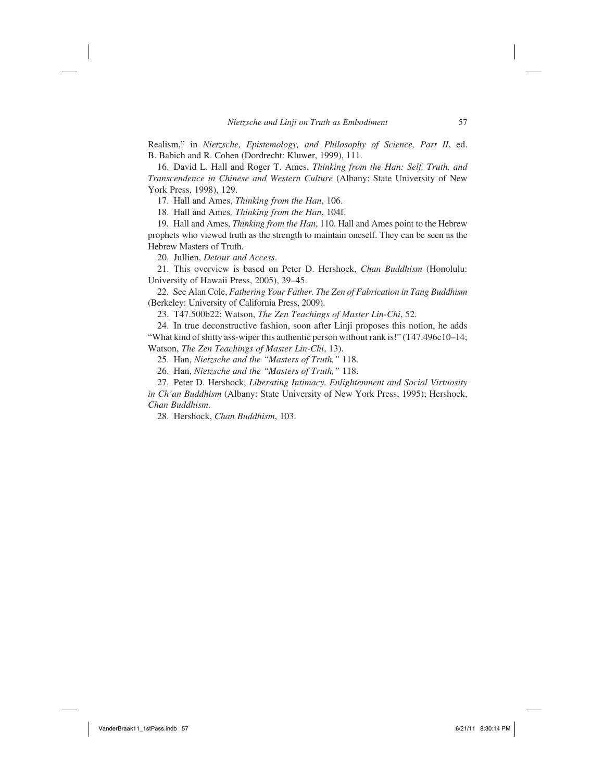Realism," in *Nietzsche, Epistemology, and Philosophy of Science, Part II*, ed. B. Babich and R. Cohen (Dordrecht: Kluwer, 1999), 111.

16. David L. Hall and Roger T. Ames, *Thinking from the Han: Self, Truth, and Transcendence in Chinese and Western Culture* (Albany: State University of New York Press, 1998), 129.

17. Hall and Ames, *Thinking from the Han*, 106.

18. Hall and Ames*, Thinking from the Han*, 104f.

19. Hall and Ames, *Thinking from the Han*, 110. Hall and Ames point to the Hebrew prophets who viewed truth as the strength to maintain oneself. They can be seen as the Hebrew Masters of Truth.

20. Jullien, *Detour and Access*.

21. This overview is based on Peter D. Hershock, *Chan Buddhism* (Honolulu: University of Hawaii Press, 2005), 39–45.

22. See Alan Cole, *Fathering Your Father. The Zen of Fabrication in Tang Buddhism*  (Berkeley: University of California Press, 2009).

23. T47.500b22; Watson, *The Zen Teachings of Master Lin-Chi*, 52.

24. In true deconstructive fashion, soon after Linji proposes this notion, he adds "What kind of shitty ass-wiper this authentic person without rank is!" (T47.496c10–14; Watson, *The Zen Teachings of Master Lin-Chi*, 13).

25. Han, *Nietzsche and the "Masters of Truth,"* 118.

26. Han, *Nietzsche and the "Masters of Truth,"* 118.

27. Peter D. Hershock, *Liberating Intimacy. Enlightenment and Social Virtuosity in Ch'an Buddhism* (Albany: State University of New York Press, 1995); Hershock, *Chan Buddhism*.

28. Hershock, *Chan Buddhism*, 103.

VanderBraak11\_1stPass.indb 57 anderBraak11\_1stPass.indb 6/21/11 8:30:14 PM /21/11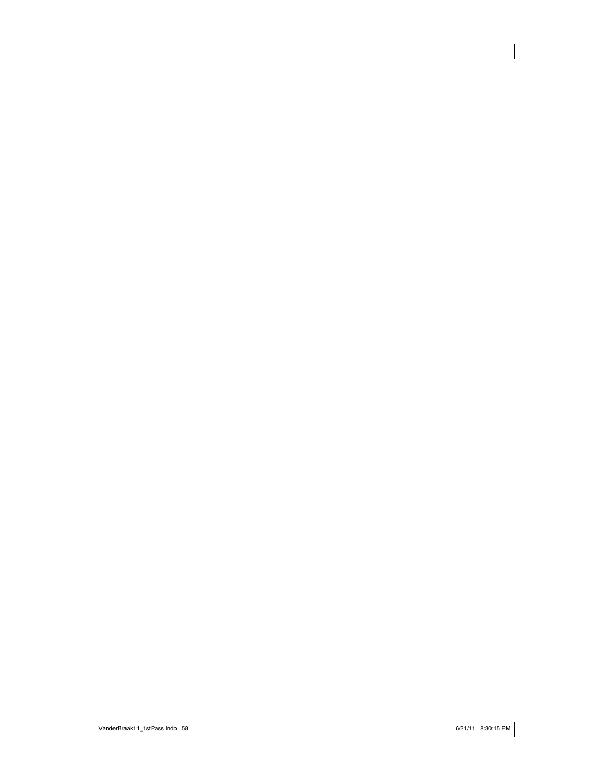VanderBraak11\_1stPass.indb 58  $\overline{6/21/11}$  8:30:15 PM  $\overline{21/11}$  8:30:15 PM  $\overline{21/11}$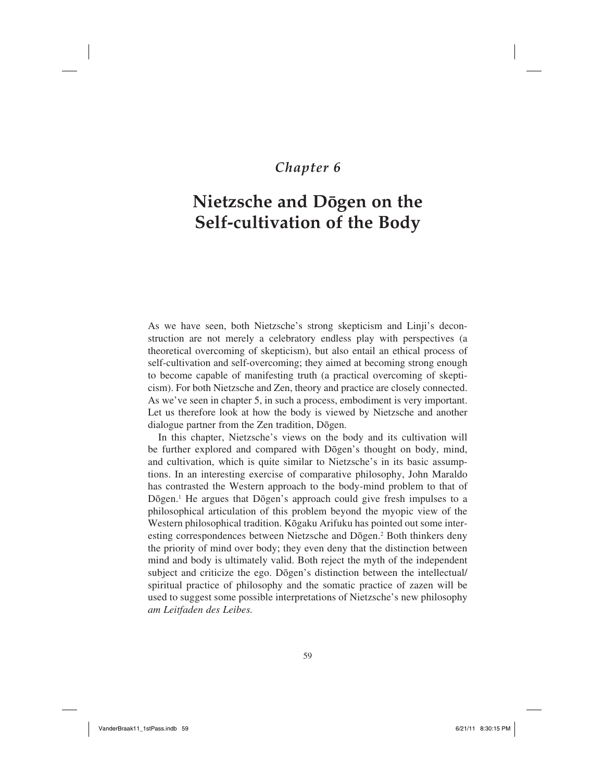# **Nietzsche and Dögen on the Self-cultivation of the Body**

As we have seen, both Nietzsche's strong skepticism and Linji's deconstruction are not merely a celebratory endless play with perspectives (a theoretical overcoming of skepticism), but also entail an ethical process of self-cultivation and self-overcoming; they aimed at becoming strong enough to become capable of manifesting truth (a practical overcoming of skepticism). For both Nietzsche and Zen, theory and practice are closely connected. As we've seen in chapter 5, in such a process, embodiment is very important. Let us therefore look at how the body is viewed by Nietzsche and another dialogue partner from the Zen tradition, Dōgen.

In this chapter, Nietzsche's views on the body and its cultivation will be further explored and compared with Dōgen's thought on body, mind, and cultivation, which is quite similar to Nietzsche's in its basic assumptions. In an interesting exercise of comparative philosophy, John Maraldo has contrasted the Western approach to the body-mind problem to that of Dōgen.<sup>1</sup> He argues that Dōgen's approach could give fresh impulses to a philosophical articulation of this problem beyond the myopic view of the Western philosophical tradition. Kōgaku Arifuku has pointed out some interesting correspondences between Nietzsche and Dōgen.<sup>2</sup> Both thinkers deny the priority of mind over body; they even deny that the distinction between mind and body is ultimately valid. Both reject the myth of the independent subject and criticize the ego. Dōgen's distinction between the intellectual/ spiritual practice of philosophy and the somatic practice of zazen will be used to suggest some possible interpretations of Nietzsche's new philosophy *am Leitfaden des Leibes.*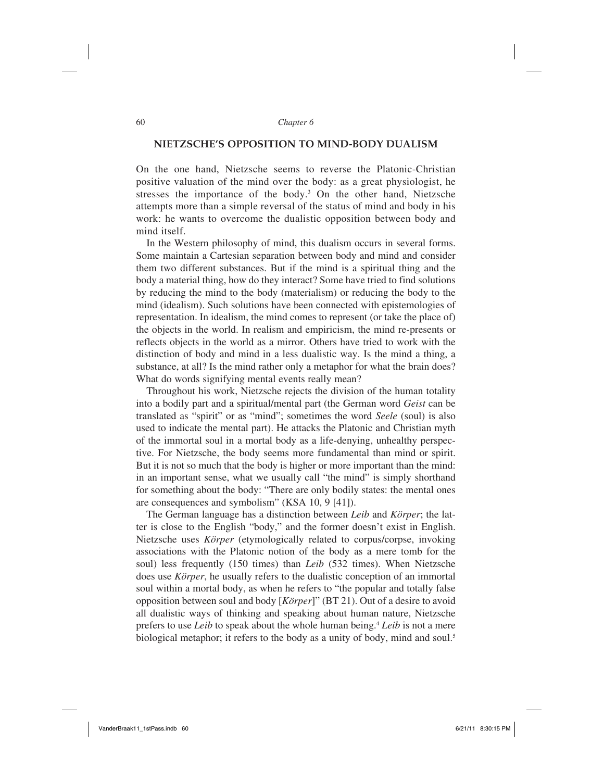### **NIETZSCHE'S OPPOSITION TO MIND-BODY DUALISM**

On the one hand, Nietzsche seems to reverse the Platonic-Christian positive valuation of the mind over the body: as a great physiologist, he stresses the importance of the body.<sup>3</sup> On the other hand, Nietzsche attempts more than a simple reversal of the status of mind and body in his work: he wants to overcome the dualistic opposition between body and mind itself.

In the Western philosophy of mind, this dualism occurs in several forms. Some maintain a Cartesian separation between body and mind and consider them two different substances. But if the mind is a spiritual thing and the body a material thing, how do they interact? Some have tried to find solutions by reducing the mind to the body (materialism) or reducing the body to the mind (idealism). Such solutions have been connected with epistemologies of representation. In idealism, the mind comes to represent (or take the place of) the objects in the world. In realism and empiricism, the mind re-presents or reflects objects in the world as a mirror. Others have tried to work with the distinction of body and mind in a less dualistic way. Is the mind a thing, a substance, at all? Is the mind rather only a metaphor for what the brain does? What do words signifying mental events really mean?

Throughout his work, Nietzsche rejects the division of the human totality into a bodily part and a spiritual/mental part (the German word *Geist* can be translated as "spirit" or as "mind"; sometimes the word *Seele* (soul) is also used to indicate the mental part). He attacks the Platonic and Christian myth of the immortal soul in a mortal body as a life-denying, unhealthy perspective. For Nietzsche, the body seems more fundamental than mind or spirit. But it is not so much that the body is higher or more important than the mind: in an important sense, what we usually call "the mind" is simply shorthand for something about the body: "There are only bodily states: the mental ones are consequences and symbolism" (KSA 10, 9 [41]).

The German language has a distinction between *Leib* and *Körper*; the latter is close to the English "body," and the former doesn't exist in English. Nietzsche uses *Körper* (etymologically related to corpus/corpse, invoking associations with the Platonic notion of the body as a mere tomb for the soul) less frequently (150 times) than *Leib* (532 times). When Nietzsche does use *Körper*, he usually refers to the dualistic conception of an immortal soul within a mortal body, as when he refers to "the popular and totally false opposition between soul and body [*Körper*]" (BT 21). Out of a desire to avoid all dualistic ways of thinking and speaking about human nature, Nietzsche prefers to use *Leib* to speak about the whole human being.<sup>4</sup> *Leib* is not a mere biological metaphor; it refers to the body as a unity of body, mind and soul.<sup>5</sup>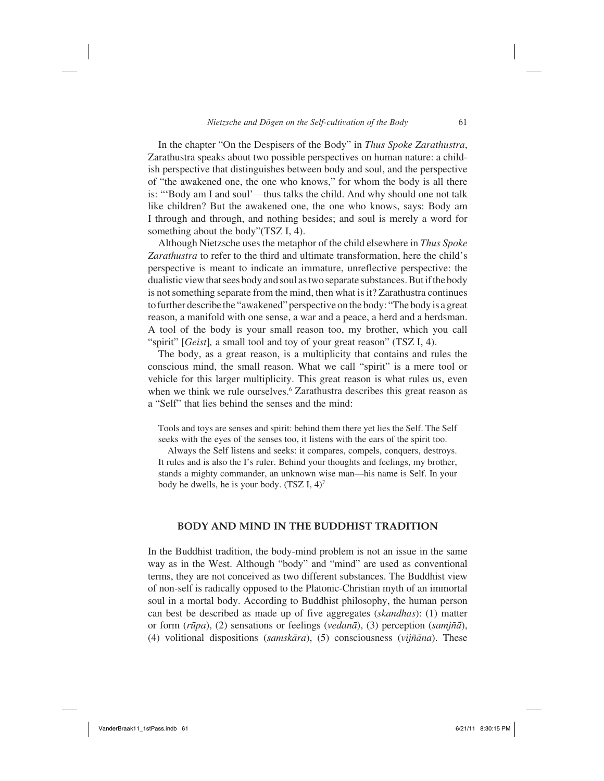In the chapter "On the Despisers of the Body" in *Thus Spoke Zarathustra*, Zarathustra speaks about two possible perspectives on human nature: a childish perspective that distinguishes between body and soul, and the perspective of "the awakened one, the one who knows," for whom the body is all there is: "'Body am I and soul'—thus talks the child. And why should one not talk like children? But the awakened one, the one who knows, says: Body am I through and through, and nothing besides; and soul is merely a word for something about the body"(TSZ I, 4).

Although Nietzsche uses the metaphor of the child elsewhere in *Thus Spoke Zarathustra* to refer to the third and ultimate transformation, here the child's perspective is meant to indicate an immature, unreflective perspective: the dualistic view that sees body and soul as two separate substances. But if the body is not something separate from the mind, then what is it? Zarathustra continues to further describe the "awakened" perspective on the body: "The body is a great reason, a manifold with one sense, a war and a peace, a herd and a herdsman. A tool of the body is your small reason too, my brother, which you call "spirit" [*Geist*]*,* a small tool and toy of your great reason" (TSZ I, 4).

The body, as a great reason, is a multiplicity that contains and rules the conscious mind, the small reason. What we call "spirit" is a mere tool or vehicle for this larger multiplicity. This great reason is what rules us, even when we think we rule ourselves.<sup>6</sup> Zarathustra describes this great reason as a "Self" that lies behind the senses and the mind:

Tools and toys are senses and spirit: behind them there yet lies the Self. The Self seeks with the eyes of the senses too, it listens with the ears of the spirit too.

Always the Self listens and seeks: it compares, compels, conquers, destroys. It rules and is also the I's ruler. Behind your thoughts and feelings, my brother, stands a mighty commander, an unknown wise man—his name is Self. In your body he dwells, he is your body.  $(TSZ I, 4)^7$ 

# **BODY AND MIND IN THE BUDDHIST TRADITION**

In the Buddhist tradition, the body-mind problem is not an issue in the same way as in the West. Although "body" and "mind" are used as conventional terms, they are not conceived as two different substances. The Buddhist view of non-self is radically opposed to the Platonic-Christian myth of an immortal soul in a mortal body. According to Buddhist philosophy, the human person can best be described as made up of five aggregates (*skandhas*): (1) matter or form (*rūpa*), (2) sensations or feelings (*vedanā*), (3) perception (*samjñā*), (4) volitional dispositions (*samskāra*), (5) consciousness (*vijñāna*). These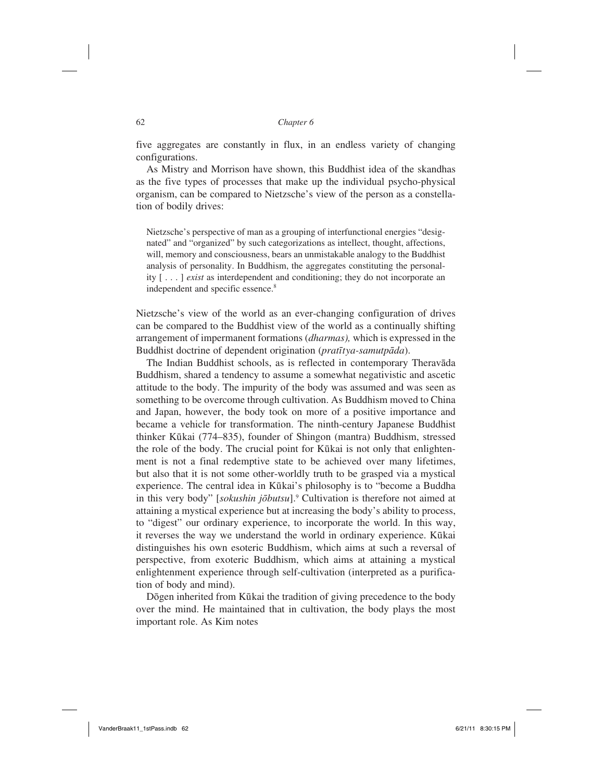five aggregates are constantly in flux, in an endless variety of changing configurations.

As Mistry and Morrison have shown, this Buddhist idea of the skandhas as the five types of processes that make up the individual psycho-physical organism, can be compared to Nietzsche's view of the person as a constellation of bodily drives:

Nietzsche's perspective of man as a grouping of interfunctional energies "designated" and "organized" by such categorizations as intellect, thought, affections, will, memory and consciousness, bears an unmistakable analogy to the Buddhist analysis of personality. In Buddhism, the aggregates constituting the personality [ . . . ] *exist* as interdependent and conditioning; they do not incorporate an independent and specific essence.<sup>8</sup>

Nietzsche's view of the world as an ever-changing configuration of drives can be compared to the Buddhist view of the world as a continually shifting arrangement of impermanent formations (*dharmas),* which is expressed in the Buddhist doctrine of dependent origination (*pratītya-samutpāda*).

The Indian Buddhist schools, as is reflected in contemporary Theravāda Buddhism, shared a tendency to assume a somewhat negativistic and ascetic attitude to the body. The impurity of the body was assumed and was seen as something to be overcome through cultivation. As Buddhism moved to China and Japan, however, the body took on more of a positive importance and became a vehicle for transformation. The ninth-century Japanese Buddhist thinker Kūkai (774–835), founder of Shingon (mantra) Buddhism, stressed the role of the body. The crucial point for Kūkai is not only that enlightenment is not a final redemptive state to be achieved over many lifetimes, but also that it is not some other-worldly truth to be grasped via a mystical experience. The central idea in Kūkai's philosophy is to "become a Buddha in this very body" [*sokushin jōbutsu*].<sup>9</sup> Cultivation is therefore not aimed at attaining a mystical experience but at increasing the body's ability to process, to "digest" our ordinary experience, to incorporate the world. In this way, it reverses the way we understand the world in ordinary experience. Kūkai distinguishes his own esoteric Buddhism, which aims at such a reversal of perspective, from exoteric Buddhism, which aims at attaining a mystical enlightenment experience through self-cultivation (interpreted as a purification of body and mind).

Dōgen inherited from Kūkai the tradition of giving precedence to the body over the mind. He maintained that in cultivation, the body plays the most important role. As Kim notes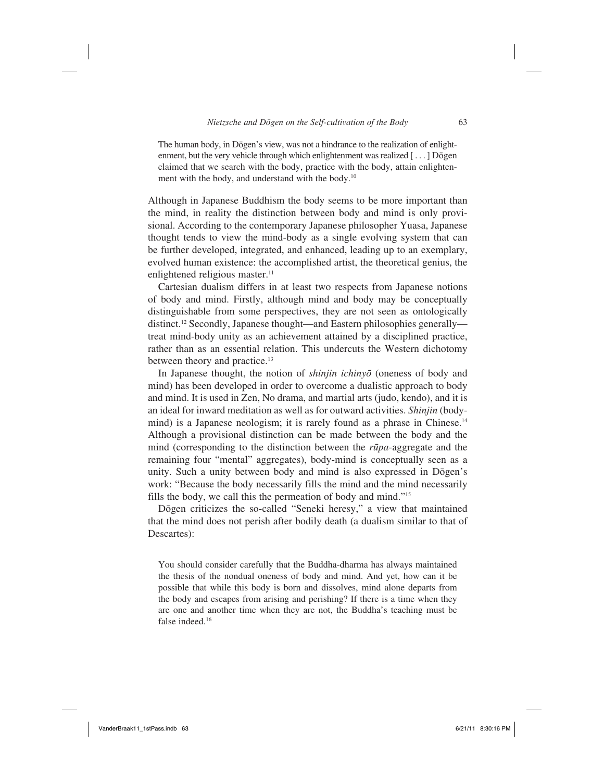The human body, in Dōgen's view, was not a hindrance to the realization of enlightenment, but the very vehicle through which enlightenment was realized [...] Dōgen claimed that we search with the body, practice with the body, attain enlightenment with the body, and understand with the body.<sup>10</sup>

Although in Japanese Buddhism the body seems to be more important than the mind, in reality the distinction between body and mind is only provisional. According to the contemporary Japanese philosopher Yuasa, Japanese thought tends to view the mind-body as a single evolving system that can be further developed, integrated, and enhanced, leading up to an exemplary, evolved human existence: the accomplished artist, the theoretical genius, the enlightened religious master.<sup>11</sup>

Cartesian dualism differs in at least two respects from Japanese notions of body and mind. Firstly, although mind and body may be conceptually distinguishable from some perspectives, they are not seen as ontologically distinct.<sup>12</sup> Secondly, Japanese thought—and Eastern philosophies generally treat mind-body unity as an achievement attained by a disciplined practice, rather than as an essential relation. This undercuts the Western dichotomy between theory and practice.<sup>13</sup>

In Japanese thought, the notion of *shinjin ichinyō* (oneness of body and mind) has been developed in order to overcome a dualistic approach to body and mind. It is used in Zen, No drama, and martial arts (judo, kendo), and it is an ideal for inward meditation as well as for outward activities. *Shinjin* (bodymind) is a Japanese neologism; it is rarely found as a phrase in Chinese.<sup>14</sup> Although a provisional distinction can be made between the body and the mind (corresponding to the distinction between the *rūpa*-aggregate and the remaining four "mental" aggregates), body-mind is conceptually seen as a unity. Such a unity between body and mind is also expressed in Dōgen's work: "Because the body necessarily fills the mind and the mind necessarily fills the body, we call this the permeation of body and mind."<sup>15</sup>

Dōgen criticizes the so-called "Seneki heresy," a view that maintained that the mind does not perish after bodily death (a dualism similar to that of Descartes):

You should consider carefully that the Buddha-dharma has always maintained the thesis of the nondual oneness of body and mind. And yet, how can it be possible that while this body is born and dissolves, mind alone departs from the body and escapes from arising and perishing? If there is a time when they are one and another time when they are not, the Buddha's teaching must be false indeed.<sup>16</sup>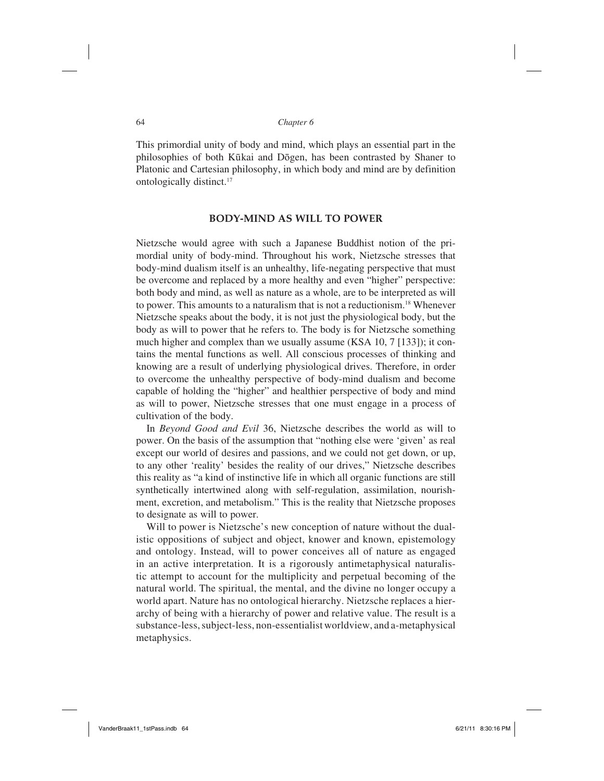This primordial unity of body and mind, which plays an essential part in the philosophies of both Kūkai and Dōgen, has been contrasted by Shaner to Platonic and Cartesian philosophy, in which body and mind are by definition ontologically distinct.<sup>17</sup>

#### **BODY-MIND AS WILL TO POWER**

Nietzsche would agree with such a Japanese Buddhist notion of the primordial unity of body-mind. Throughout his work, Nietzsche stresses that body-mind dualism itself is an unhealthy, life-negating perspective that must be overcome and replaced by a more healthy and even "higher" perspective: both body and mind, as well as nature as a whole, are to be interpreted as will to power. This amounts to a naturalism that is not a reductionism.<sup>18</sup> Whenever Nietzsche speaks about the body, it is not just the physiological body, but the body as will to power that he refers to. The body is for Nietzsche something much higher and complex than we usually assume (KSA 10, 7 [133]); it contains the mental functions as well. All conscious processes of thinking and knowing are a result of underlying physiological drives. Therefore, in order to overcome the unhealthy perspective of body-mind dualism and become capable of holding the "higher" and healthier perspective of body and mind as will to power, Nietzsche stresses that one must engage in a process of cultivation of the body.

In *Beyond Good and Evil* 36, Nietzsche describes the world as will to power. On the basis of the assumption that "nothing else were 'given' as real except our world of desires and passions, and we could not get down, or up, to any other 'reality' besides the reality of our drives," Nietzsche describes this reality as "a kind of instinctive life in which all organic functions are still synthetically intertwined along with self-regulation, assimilation, nourishment, excretion, and metabolism." This is the reality that Nietzsche proposes to designate as will to power.

Will to power is Nietzsche's new conception of nature without the dualistic oppositions of subject and object, knower and known, epistemology and ontology. Instead, will to power conceives all of nature as engaged in an active interpretation. It is a rigorously antimetaphysical naturalistic attempt to account for the multiplicity and perpetual becoming of the natural world. The spiritual, the mental, and the divine no longer occupy a world apart. Nature has no ontological hierarchy. Nietzsche replaces a hierarchy of being with a hierarchy of power and relative value. The result is a substance-less, subject-less, non-essentialist worldview, and a-metaphysical metaphysics.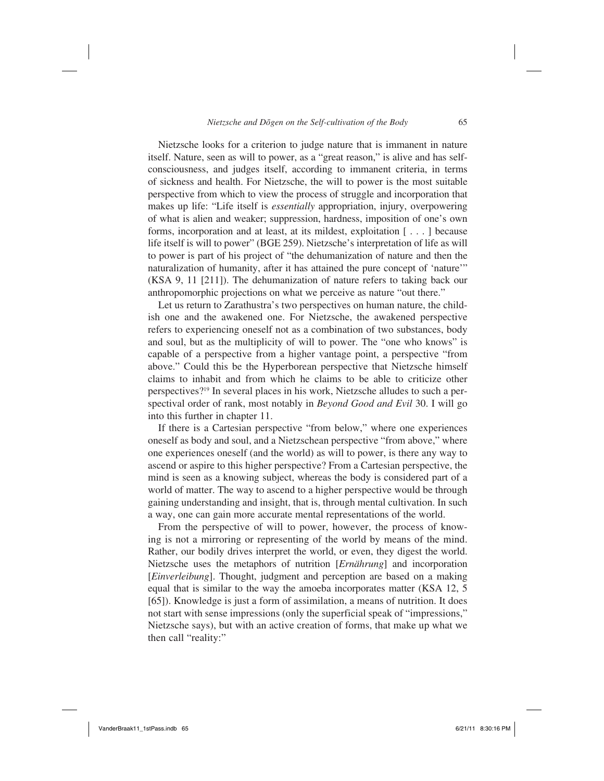Nietzsche looks for a criterion to judge nature that is immanent in nature itself. Nature, seen as will to power, as a "great reason," is alive and has selfconsciousness, and judges itself, according to immanent criteria, in terms of sickness and health. For Nietzsche, the will to power is the most suitable perspective from which to view the process of struggle and incorporation that makes up life: "Life itself is *essentially* appropriation, injury, overpowering of what is alien and weaker; suppression, hardness, imposition of one's own forms, incorporation and at least, at its mildest, exploitation [ . . . ] because life itself is will to power" (BGE 259). Nietzsche's interpretation of life as will to power is part of his project of "the dehumanization of nature and then the naturalization of humanity, after it has attained the pure concept of 'nature'" (KSA 9, 11 [211]). The dehumanization of nature refers to taking back our anthropomorphic projections on what we perceive as nature "out there."

Let us return to Zarathustra's two perspectives on human nature, the childish one and the awakened one. For Nietzsche, the awakened perspective refers to experiencing oneself not as a combination of two substances, body and soul, but as the multiplicity of will to power. The "one who knows" is capable of a perspective from a higher vantage point, a perspective "from above." Could this be the Hyperborean perspective that Nietzsche himself claims to inhabit and from which he claims to be able to criticize other perspectives?19 In several places in his work, Nietzsche alludes to such a perspectival order of rank, most notably in *Beyond Good and Evil* 30. I will go into this further in chapter 11.

If there is a Cartesian perspective "from below," where one experiences oneself as body and soul, and a Nietzschean perspective "from above," where one experiences oneself (and the world) as will to power, is there any way to ascend or aspire to this higher perspective? From a Cartesian perspective, the mind is seen as a knowing subject, whereas the body is considered part of a world of matter. The way to ascend to a higher perspective would be through gaining understanding and insight, that is, through mental cultivation. In such a way, one can gain more accurate mental representations of the world.

From the perspective of will to power, however, the process of knowing is not a mirroring or representing of the world by means of the mind. Rather, our bodily drives interpret the world, or even, they digest the world. Nietzsche uses the metaphors of nutrition [*Ernährung*] and incorporation [*Einverleibung*]. Thought, judgment and perception are based on a making equal that is similar to the way the amoeba incorporates matter (KSA 12, 5 [65]). Knowledge is just a form of assimilation, a means of nutrition. It does not start with sense impressions (only the superficial speak of "impressions," Nietzsche says), but with an active creation of forms, that make up what we then call "reality:"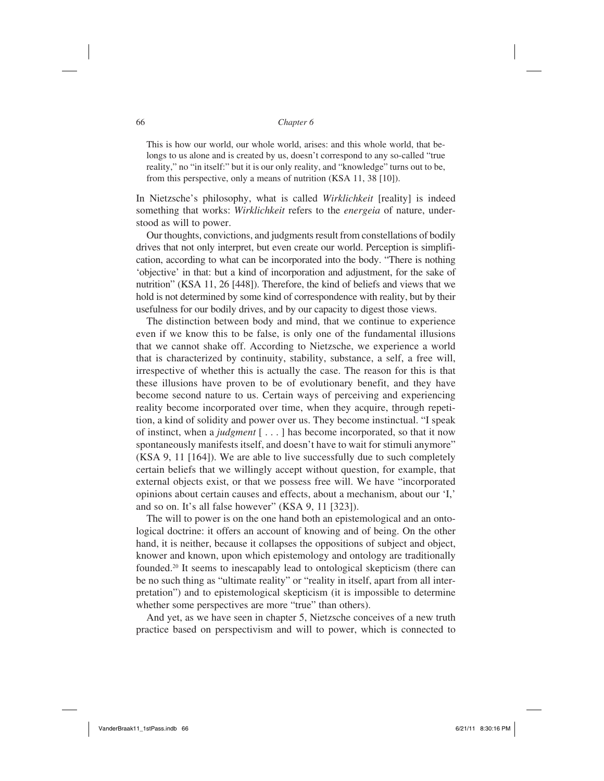This is how our world, our whole world, arises: and this whole world, that belongs to us alone and is created by us, doesn't correspond to any so-called "true reality," no "in itself:" but it is our only reality, and "knowledge" turns out to be, from this perspective, only a means of nutrition (KSA 11, 38 [10]).

In Nietzsche's philosophy, what is called *Wirklichkeit* [reality] is indeed something that works: *Wirklichkeit* refers to the *energeia* of nature, understood as will to power.

Our thoughts, convictions, and judgments result from constellations of bodily drives that not only interpret, but even create our world. Perception is simplification, according to what can be incorporated into the body. "There is nothing 'objective' in that: but a kind of incorporation and adjustment, for the sake of nutrition" (KSA 11, 26 [448]). Therefore, the kind of beliefs and views that we hold is not determined by some kind of correspondence with reality, but by their usefulness for our bodily drives, and by our capacity to digest those views.

The distinction between body and mind, that we continue to experience even if we know this to be false, is only one of the fundamental illusions that we cannot shake off. According to Nietzsche, we experience a world that is characterized by continuity, stability, substance, a self, a free will, irrespective of whether this is actually the case. The reason for this is that these illusions have proven to be of evolutionary benefit, and they have become second nature to us. Certain ways of perceiving and experiencing reality become incorporated over time, when they acquire, through repetition, a kind of solidity and power over us. They become instinctual. "I speak of instinct, when a *judgment* [ . . . ] has become incorporated, so that it now spontaneously manifests itself, and doesn't have to wait for stimuli anymore" (KSA 9, 11 [164]). We are able to live successfully due to such completely certain beliefs that we willingly accept without question, for example, that external objects exist, or that we possess free will. We have "incorporated opinions about certain causes and effects, about a mechanism, about our 'I,' and so on. It's all false however" (KSA 9, 11 [323]).

The will to power is on the one hand both an epistemological and an ontological doctrine: it offers an account of knowing and of being. On the other hand, it is neither, because it collapses the oppositions of subject and object, knower and known, upon which epistemology and ontology are traditionally founded.<sup>20</sup> It seems to inescapably lead to ontological skepticism (there can be no such thing as "ultimate reality" or "reality in itself, apart from all interpretation") and to epistemological skepticism (it is impossible to determine whether some perspectives are more "true" than others).

And yet, as we have seen in chapter 5, Nietzsche conceives of a new truth practice based on perspectivism and will to power, which is connected to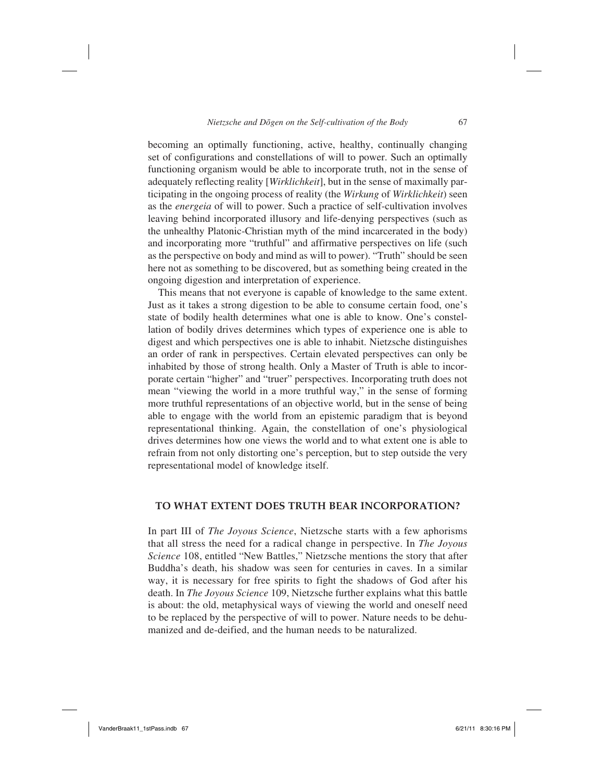becoming an optimally functioning, active, healthy, continually changing set of configurations and constellations of will to power. Such an optimally functioning organism would be able to incorporate truth, not in the sense of adequately reflecting reality [*Wirklichkeit*], but in the sense of maximally participating in the ongoing process of reality (the *Wirkung* of *Wirklichkeit*) seen as the *energeia* of will to power. Such a practice of self-cultivation involves leaving behind incorporated illusory and life-denying perspectives (such as the unhealthy Platonic-Christian myth of the mind incarcerated in the body) and incorporating more "truthful" and affirmative perspectives on life (such as the perspective on body and mind as will to power). "Truth" should be seen here not as something to be discovered, but as something being created in the ongoing digestion and interpretation of experience.

This means that not everyone is capable of knowledge to the same extent. Just as it takes a strong digestion to be able to consume certain food, one's state of bodily health determines what one is able to know. One's constellation of bodily drives determines which types of experience one is able to digest and which perspectives one is able to inhabit. Nietzsche distinguishes an order of rank in perspectives. Certain elevated perspectives can only be inhabited by those of strong health. Only a Master of Truth is able to incorporate certain "higher" and "truer" perspectives. Incorporating truth does not mean "viewing the world in a more truthful way," in the sense of forming more truthful representations of an objective world, but in the sense of being able to engage with the world from an epistemic paradigm that is beyond representational thinking. Again, the constellation of one's physiological drives determines how one views the world and to what extent one is able to refrain from not only distorting one's perception, but to step outside the very representational model of knowledge itself.

# **TO WHAT EXTENT DOES TRUTH BEAR INCORPORATION?**

In part III of *The Joyous Science*, Nietzsche starts with a few aphorisms that all stress the need for a radical change in perspective. In *The Joyous Science* 108, entitled "New Battles," Nietzsche mentions the story that after Buddha's death, his shadow was seen for centuries in caves. In a similar way, it is necessary for free spirits to fight the shadows of God after his death. In *The Joyous Science* 109, Nietzsche further explains what this battle is about: the old, metaphysical ways of viewing the world and oneself need to be replaced by the perspective of will to power. Nature needs to be dehumanized and de-deified, and the human needs to be naturalized.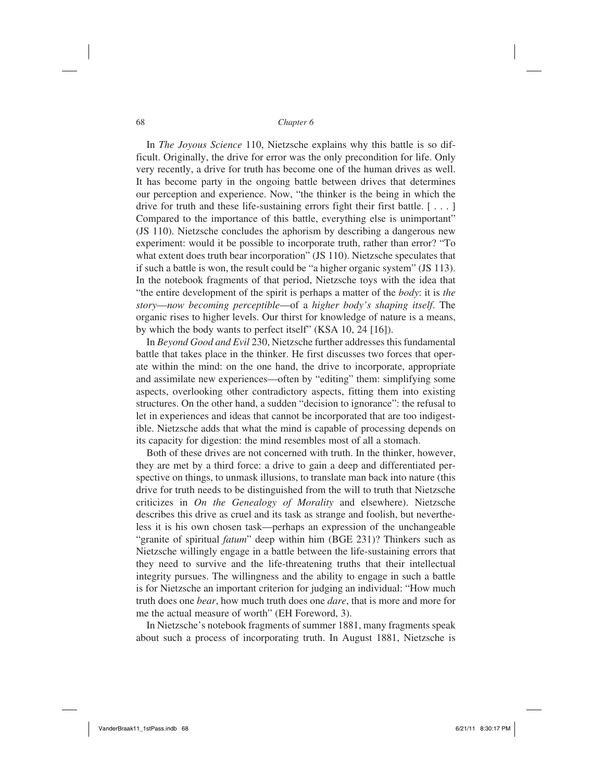In *The Joyous Science* 110, Nietzsche explains why this battle is so difficult. Originally, the drive for error was the only precondition for life. Only very recently, a drive for truth has become one of the human drives as well. It has become party in the ongoing battle between drives that determines our perception and experience. Now, "the thinker is the being in which the drive for truth and these life-sustaining errors fight their first battle. [ . . . ] Compared to the importance of this battle, everything else is unimportant" (JS 110). Nietzsche concludes the aphorism by describing a dangerous new experiment: would it be possible to incorporate truth, rather than error? "To what extent does truth bear incorporation" (JS 110). Nietzsche speculates that if such a battle is won, the result could be "a higher organic system" (JS 113). In the notebook fragments of that period, Nietzsche toys with the idea that "the entire development of the spirit is perhaps a matter of the *body*: it is *the story*—*now becoming perceptible*—of a *higher body's shaping itself*. The organic rises to higher levels. Our thirst for knowledge of nature is a means, by which the body wants to perfect itself" (KSA 10, 24 [16]).

In *Beyond Good and Evil* 230, Nietzsche further addresses this fundamental battle that takes place in the thinker. He first discusses two forces that operate within the mind: on the one hand, the drive to incorporate, appropriate and assimilate new experiences—often by "editing" them: simplifying some aspects, overlooking other contradictory aspects, fitting them into existing structures. On the other hand, a sudden "decision to ignorance": the refusal to let in experiences and ideas that cannot be incorporated that are too indigestible. Nietzsche adds that what the mind is capable of processing depends on its capacity for digestion: the mind resembles most of all a stomach.

Both of these drives are not concerned with truth. In the thinker, however, they are met by a third force: a drive to gain a deep and differentiated perspective on things, to unmask illusions, to translate man back into nature (this drive for truth needs to be distinguished from the will to truth that Nietzsche criticizes in *On the Genealogy of Morality* and elsewhere). Nietzsche describes this drive as cruel and its task as strange and foolish, but nevertheless it is his own chosen task—perhaps an expression of the unchangeable "granite of spiritual *fatum*" deep within him (BGE 231)? Thinkers such as Nietzsche willingly engage in a battle between the life-sustaining errors that they need to survive and the life-threatening truths that their intellectual integrity pursues. The willingness and the ability to engage in such a battle is for Nietzsche an important criterion for judging an individual: "How much truth does one *bear*, how much truth does one *dare*, that is more and more for me the actual measure of worth" (EH Foreword, 3).

In Nietzsche's notebook fragments of summer 1881, many fragments speak about such a process of incorporating truth. In August 1881, Nietzsche is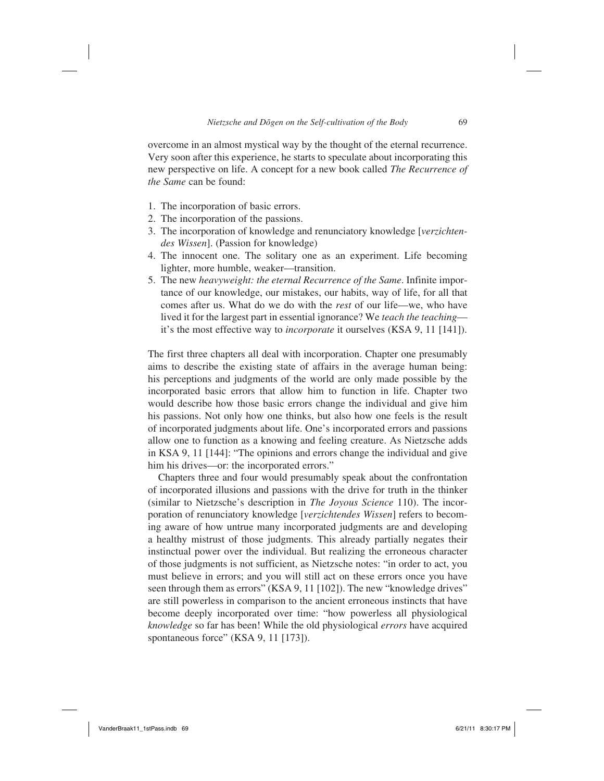overcome in an almost mystical way by the thought of the eternal recurrence. Very soon after this experience, he starts to speculate about incorporating this new perspective on life. A concept for a new book called *The Recurrence of the Same* can be found:

- 1. The incorporation of basic errors.
- 2. The incorporation of the passions.
- 3. The incorporation of knowledge and renunciatory knowledge [*verzichtendes Wissen*]. (Passion for knowledge)
- 4. The innocent one. The solitary one as an experiment. Life becoming lighter, more humble, weaker—transition.
- 5. The new *heavyweight: the eternal Recurrence of the Same*. Infinite importance of our knowledge, our mistakes, our habits, way of life, for all that comes after us. What do we do with the *rest* of our life—we, who have lived it for the largest part in essential ignorance? We *teach the teaching* it's the most effective way to *incorporate* it ourselves (KSA 9, 11 [141]).

The first three chapters all deal with incorporation. Chapter one presumably aims to describe the existing state of affairs in the average human being: his perceptions and judgments of the world are only made possible by the incorporated basic errors that allow him to function in life. Chapter two would describe how those basic errors change the individual and give him his passions. Not only how one thinks, but also how one feels is the result of incorporated judgments about life. One's incorporated errors and passions allow one to function as a knowing and feeling creature. As Nietzsche adds in KSA 9, 11 [144]: "The opinions and errors change the individual and give him his drives—or: the incorporated errors."

Chapters three and four would presumably speak about the confrontation of incorporated illusions and passions with the drive for truth in the thinker (similar to Nietzsche's description in *The Joyous Science* 110). The incorporation of renunciatory knowledge [*verzichtendes Wissen*] refers to becoming aware of how untrue many incorporated judgments are and developing a healthy mistrust of those judgments. This already partially negates their instinctual power over the individual. But realizing the erroneous character of those judgments is not sufficient, as Nietzsche notes: "in order to act, you must believe in errors; and you will still act on these errors once you have seen through them as errors" (KSA 9, 11 [102]). The new "knowledge drives" are still powerless in comparison to the ancient erroneous instincts that have become deeply incorporated over time: "how powerless all physiological *knowledge* so far has been! While the old physiological *errors* have acquired spontaneous force" (KSA 9, 11 [173]).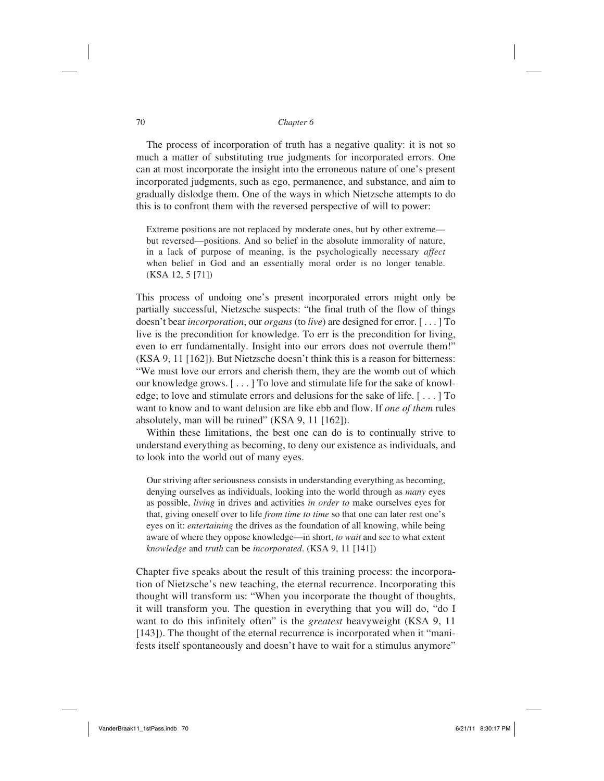The process of incorporation of truth has a negative quality: it is not so much a matter of substituting true judgments for incorporated errors. One can at most incorporate the insight into the erroneous nature of one's present incorporated judgments, such as ego, permanence, and substance, and aim to gradually dislodge them. One of the ways in which Nietzsche attempts to do this is to confront them with the reversed perspective of will to power:

Extreme positions are not replaced by moderate ones, but by other extreme but reversed—positions. And so belief in the absolute immorality of nature, in a lack of purpose of meaning, is the psychologically necessary *affect* when belief in God and an essentially moral order is no longer tenable. (KSA 12, 5 [71])

This process of undoing one's present incorporated errors might only be partially successful, Nietzsche suspects: "the final truth of the flow of things doesn't bear *incorporation*, our *organs* (to *live*) are designed for error. [ . . . ] To live is the precondition for knowledge. To err is the precondition for living, even to err fundamentally. Insight into our errors does not overrule them!" (KSA 9, 11 [162]). But Nietzsche doesn't think this is a reason for bitterness: "We must love our errors and cherish them, they are the womb out of which our knowledge grows. [ . . . ] To love and stimulate life for the sake of knowledge; to love and stimulate errors and delusions for the sake of life. [ . . . ] To want to know and to want delusion are like ebb and flow. If *one of them* rules absolutely, man will be ruined" (KSA 9, 11 [162]).

Within these limitations, the best one can do is to continually strive to understand everything as becoming, to deny our existence as individuals, and to look into the world out of many eyes.

Our striving after seriousness consists in understanding everything as becoming, denying ourselves as individuals, looking into the world through as *many* eyes as possible, *living* in drives and activities *in order to* make ourselves eyes for that, giving oneself over to life *from time to time* so that one can later rest one's eyes on it: *entertaining* the drives as the foundation of all knowing, while being aware of where they oppose knowledge—in short, *to wait* and see to what extent *knowledge* and *truth* can be *incorporated*. (KSA 9, 11 [141])

Chapter five speaks about the result of this training process: the incorporation of Nietzsche's new teaching, the eternal recurrence. Incorporating this thought will transform us: "When you incorporate the thought of thoughts, it will transform you. The question in everything that you will do, "do I want to do this infinitely often" is the *greatest* heavyweight (KSA 9, 11 [143]). The thought of the eternal recurrence is incorporated when it "manifests itself spontaneously and doesn't have to wait for a stimulus anymore"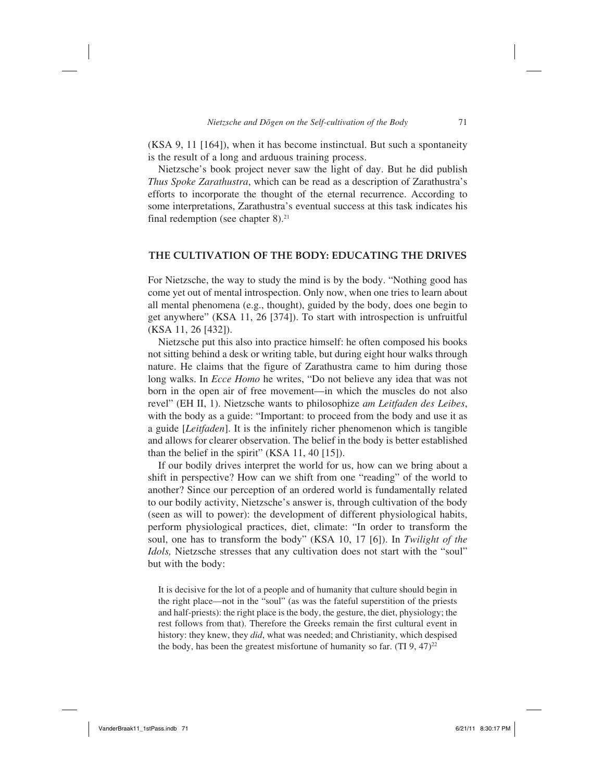(KSA 9, 11 [164]), when it has become instinctual. But such a spontaneity is the result of a long and arduous training process.

Nietzsche's book project never saw the light of day. But he did publish *Thus Spoke Zarathustra*, which can be read as a description of Zarathustra's efforts to incorporate the thought of the eternal recurrence. According to some interpretations, Zarathustra's eventual success at this task indicates his final redemption (see chapter  $8$ ).<sup>21</sup>

# **THE CULTIVATION OF THE BODY: EDUCATING THE DRIVES**

For Nietzsche, the way to study the mind is by the body. "Nothing good has come yet out of mental introspection. Only now, when one tries to learn about all mental phenomena (e.g., thought), guided by the body, does one begin to get anywhere" (KSA 11, 26 [374]). To start with introspection is unfruitful (KSA 11, 26 [432]).

Nietzsche put this also into practice himself: he often composed his books not sitting behind a desk or writing table, but during eight hour walks through nature. He claims that the figure of Zarathustra came to him during those long walks. In *Ecce Homo* he writes, "Do not believe any idea that was not born in the open air of free movement—in which the muscles do not also revel" (EH II, 1). Nietzsche wants to philosophize *am Leitfaden des Leibes*, with the body as a guide: "Important: to proceed from the body and use it as a guide [*Leitfaden*]. It is the infinitely richer phenomenon which is tangible and allows for clearer observation. The belief in the body is better established than the belief in the spirit" (KSA 11, 40 [15]).

If our bodily drives interpret the world for us, how can we bring about a shift in perspective? How can we shift from one "reading" of the world to another? Since our perception of an ordered world is fundamentally related to our bodily activity, Nietzsche's answer is, through cultivation of the body (seen as will to power): the development of different physiological habits, perform physiological practices, diet, climate: "In order to transform the soul, one has to transform the body" (KSA 10, 17 [6]). In *Twilight of the Idols*, Nietzsche stresses that any cultivation does not start with the "soul" but with the body:

It is decisive for the lot of a people and of humanity that culture should begin in the right place—not in the "soul" (as was the fateful superstition of the priests and half-priests): the right place is the body, the gesture, the diet, physiology; the rest follows from that). Therefore the Greeks remain the first cultural event in history: they knew, they *did*, what was needed; and Christianity, which despised the body, has been the greatest misfortune of humanity so far. (TI 9,  $47)^{22}$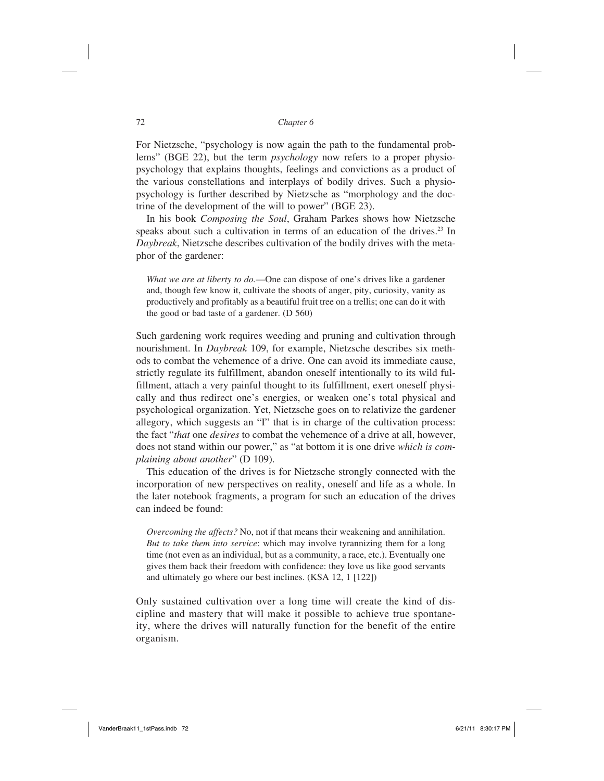For Nietzsche, "psychology is now again the path to the fundamental problems" (BGE 22), but the term *psychology* now refers to a proper physiopsychology that explains thoughts, feelings and convictions as a product of the various constellations and interplays of bodily drives. Such a physio psychology is further described by Nietzsche as "morphology and the doctrine of the development of the will to power" (BGE 23).

In his book *Composing the Soul*, Graham Parkes shows how Nietzsche speaks about such a cultivation in terms of an education of the drives.<sup>23</sup> In *Daybreak*, Nietzsche describes cultivation of the bodily drives with the metaphor of the gardener:

*What we are at liberty to do.*—One can dispose of one's drives like a gardener and, though few know it, cultivate the shoots of anger, pity, curiosity, vanity as productively and profitably as a beautiful fruit tree on a trellis; one can do it with the good or bad taste of a gardener. (D 560)

Such gardening work requires weeding and pruning and cultivation through nourishment. In *Daybreak* 109, for example, Nietzsche describes six methods to combat the vehemence of a drive. One can avoid its immediate cause, strictly regulate its fulfillment, abandon oneself intentionally to its wild fulfillment, attach a very painful thought to its fulfillment, exert oneself physically and thus redirect one's energies, or weaken one's total physical and psychological organization. Yet, Nietzsche goes on to relativize the gardener allegory, which suggests an "I" that is in charge of the cultivation process: the fact "*that* one *desires* to combat the vehemence of a drive at all, however, does not stand within our power," as "at bottom it is one drive *which is complaining about another*" (D 109).

This education of the drives is for Nietzsche strongly connected with the incorporation of new perspectives on reality, oneself and life as a whole. In the later notebook fragments, a program for such an education of the drives can indeed be found:

*Overcoming the affects?* No, not if that means their weakening and annihilation. *But to take them into service*: which may involve tyrannizing them for a long time (not even as an individual, but as a community, a race, etc.). Eventually one gives them back their freedom with confidence: they love us like good servants and ultimately go where our best inclines. (KSA 12, 1 [122])

Only sustained cultivation over a long time will create the kind of discipline and mastery that will make it possible to achieve true spontaneity, where the drives will naturally function for the benefit of the entire organism.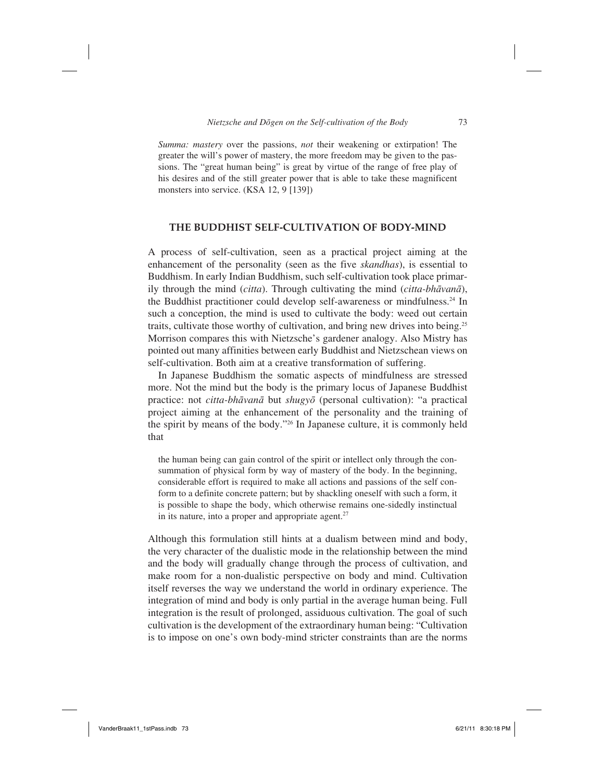*Summa: mastery* over the passions, *not* their weakening or extirpation! The greater the will's power of mastery, the more freedom may be given to the passions. The "great human being" is great by virtue of the range of free play of his desires and of the still greater power that is able to take these magnificent monsters into service. (KSA 12, 9 [139])

#### **THE BUDDHIST SELF-CULTIVATION OF BODY-MIND**

A process of self-cultivation, seen as a practical project aiming at the enhancement of the personality (seen as the five *skandhas*), is essential to Buddhism. In early Indian Buddhism, such self-cultivation took place primarily through the mind (*citta*). Through cultivating the mind (*citta-bhāvanā*), the Buddhist practitioner could develop self-awareness or mindfulness.<sup>24</sup> In such a conception, the mind is used to cultivate the body: weed out certain traits, cultivate those worthy of cultivation, and bring new drives into being.<sup>25</sup> Morrison compares this with Nietzsche's gardener analogy. Also Mistry has pointed out many affinities between early Buddhist and Nietzschean views on self-cultivation. Both aim at a creative transformation of suffering.

In Japanese Buddhism the somatic aspects of mindfulness are stressed more. Not the mind but the body is the primary locus of Japanese Buddhist practice: not *citta-bhāvanā* but *shugyō* (personal cultivation): "a practical project aiming at the enhancement of the personality and the training of the spirit by means of the body."<sup>26</sup> In Japanese culture, it is commonly held that

the human being can gain control of the spirit or intellect only through the consummation of physical form by way of mastery of the body. In the beginning, considerable effort is required to make all actions and passions of the self conform to a definite concrete pattern; but by shackling oneself with such a form, it is possible to shape the body, which otherwise remains one-sidedly instinctual in its nature, into a proper and appropriate agent. $27$ 

Although this formulation still hints at a dualism between mind and body, the very character of the dualistic mode in the relationship between the mind and the body will gradually change through the process of cultivation, and make room for a non-dualistic perspective on body and mind. Cultivation itself reverses the way we understand the world in ordinary experience. The integration of mind and body is only partial in the average human being. Full integration is the result of prolonged, assiduous cultivation. The goal of such cultivation is the development of the extraordinary human being: "Cultivation is to impose on one's own body-mind stricter constraints than are the norms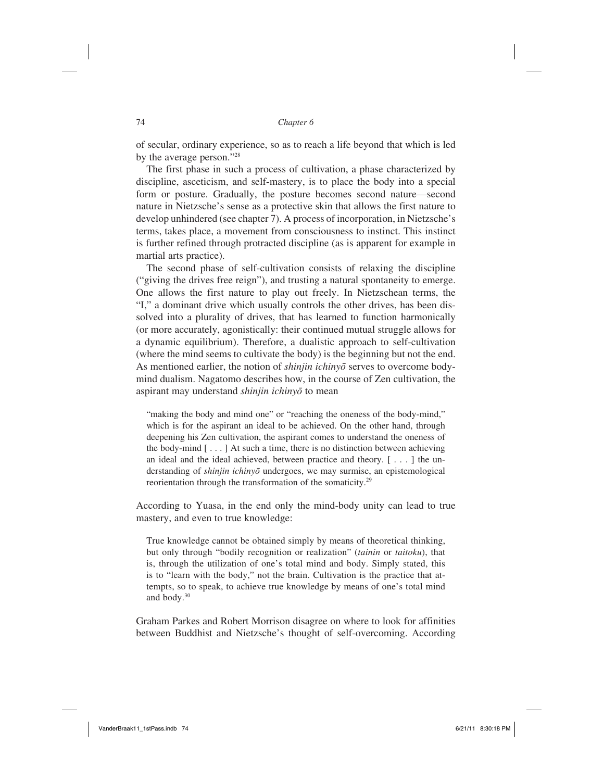of secular, ordinary experience, so as to reach a life beyond that which is led by the average person."<sup>28</sup>

The first phase in such a process of cultivation, a phase characterized by discipline, asceticism, and self-mastery, is to place the body into a special form or posture. Gradually, the posture becomes second nature—second nature in Nietzsche's sense as a protective skin that allows the first nature to develop unhindered (see chapter 7). A process of incorporation, in Nietzsche's terms, takes place, a movement from consciousness to instinct. This instinct is further refined through protracted discipline (as is apparent for example in martial arts practice).

The second phase of self-cultivation consists of relaxing the discipline ("giving the drives free reign"), and trusting a natural spontaneity to emerge. One allows the first nature to play out freely. In Nietzschean terms, the "I," a dominant drive which usually controls the other drives, has been dissolved into a plurality of drives, that has learned to function harmonically (or more accurately, agonistically: their continued mutual struggle allows for a dynamic equilibrium). Therefore, a dualistic approach to self-cultivation (where the mind seems to cultivate the body) is the beginning but not the end. As mentioned earlier, the notion of *shinjin ichinyō* serves to overcome bodymind dualism. Nagatomo describes how, in the course of Zen cultivation, the aspirant may understand *shinjin ichinyō* to mean

"making the body and mind one" or "reaching the oneness of the body-mind," which is for the aspirant an ideal to be achieved. On the other hand, through deepening his Zen cultivation, the aspirant comes to understand the oneness of the body-mind  $[\dots]$  At such a time, there is no distinction between achieving an ideal and the ideal achieved, between practice and theory. [ . . . ] the understanding of *shinjin ichinyō* undergoes, we may surmise, an epistemological reorientation through the transformation of the somaticity.<sup>29</sup>

According to Yuasa, in the end only the mind-body unity can lead to true mastery, and even to true knowledge:

True knowledge cannot be obtained simply by means of theoretical thinking, but only through "bodily recognition or realization" (*tainin* or *taitoku*), that is, through the utilization of one's total mind and body. Simply stated, this is to "learn with the body," not the brain. Cultivation is the practice that attempts, so to speak, to achieve true knowledge by means of one's total mind and body.<sup>30</sup>

Graham Parkes and Robert Morrison disagree on where to look for affinities between Buddhist and Nietzsche's thought of self-overcoming. According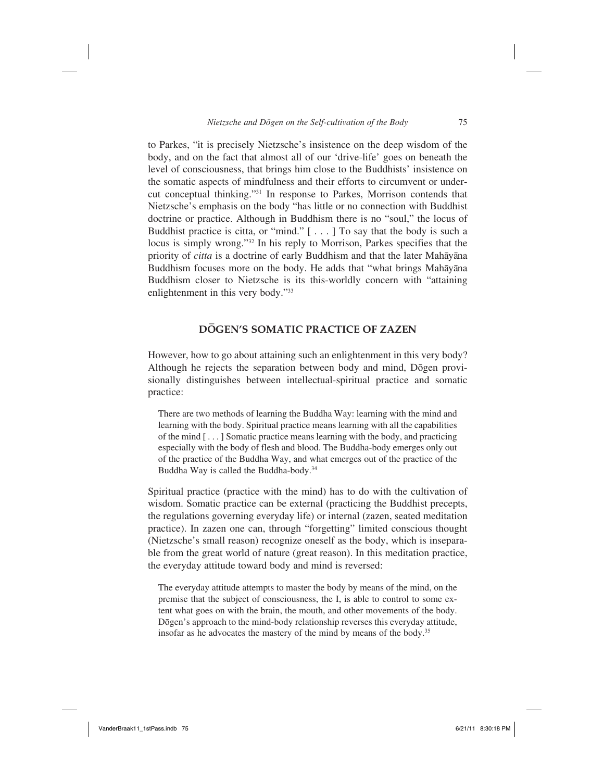to Parkes, "it is precisely Nietzsche's insistence on the deep wisdom of the body, and on the fact that almost all of our 'drive-life' goes on beneath the level of consciousness, that brings him close to the Buddhists' insistence on the somatic aspects of mindfulness and their efforts to circumvent or undercut conceptual thinking."<sup>31</sup> In response to Parkes, Morrison contends that Nietzsche's emphasis on the body "has little or no connection with Buddhist doctrine or practice. Although in Buddhism there is no "soul," the locus of Buddhist practice is citta, or "mind."  $[ \dots ]$  To say that the body is such a locus is simply wrong."<sup>32</sup> In his reply to Morrison, Parkes specifies that the priority of *citta* is a doctrine of early Buddhism and that the later Mahavana Buddhism focuses more on the body. He adds that "what brings Mahayana Buddhism closer to Nietzsche is its this-worldly concern with "attaining enlightenment in this very body."<sup>33</sup>

# **DO\_ GEN'S SOMATIC PRACTICE OF ZAZEN**

However, how to go about attaining such an enlightenment in this very body? Although he rejects the separation between body and mind, Dōgen provisionally distinguishes between intellectual-spiritual practice and somatic practice:

There are two methods of learning the Buddha Way: learning with the mind and learning with the body. Spiritual practice means learning with all the capabilities of the mind [ . . . ] Somatic practice means learning with the body, and practicing especially with the body of flesh and blood. The Buddha-body emerges only out of the practice of the Buddha Way, and what emerges out of the practice of the Buddha Way is called the Buddha-body.<sup>34</sup>

Spiritual practice (practice with the mind) has to do with the cultivation of wisdom. Somatic practice can be external (practicing the Buddhist precepts, the regulations governing everyday life) or internal (zazen, seated meditation practice). In zazen one can, through "forgetting" limited conscious thought (Nietzsche's small reason) recognize oneself as the body, which is inseparable from the great world of nature (great reason). In this meditation practice, the everyday attitude toward body and mind is reversed:

The everyday attitude attempts to master the body by means of the mind, on the premise that the subject of consciousness, the I, is able to control to some extent what goes on with the brain, the mouth, and other movements of the body. Dōgen's approach to the mind-body relationship reverses this everyday attitude, insofar as he advocates the mastery of the mind by means of the body.<sup>35</sup>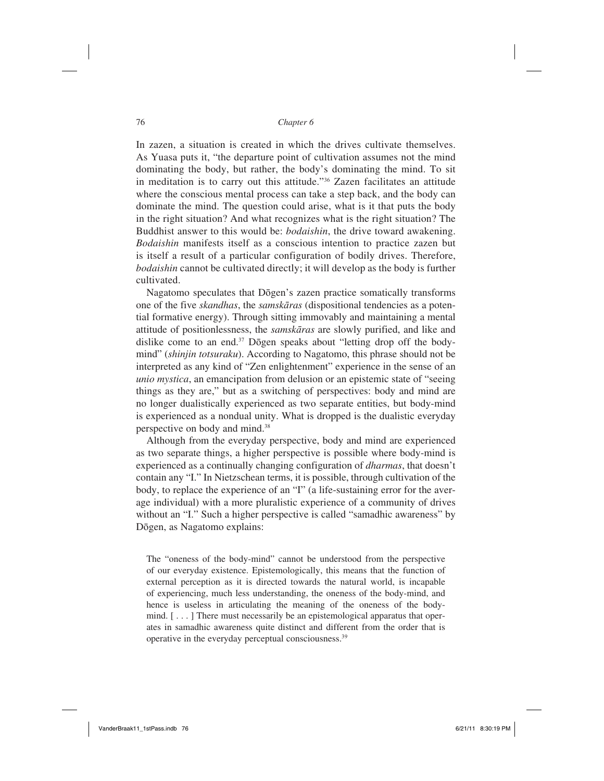In zazen, a situation is created in which the drives cultivate themselves. As Yuasa puts it, "the departure point of cultivation assumes not the mind dominating the body, but rather, the body's dominating the mind. To sit in meditation is to carry out this attitude."<sup>36</sup> Zazen facilitates an attitude where the conscious mental process can take a step back, and the body can dominate the mind. The question could arise, what is it that puts the body in the right situation? And what recognizes what is the right situation? The Buddhist answer to this would be: *bodaishin*, the drive toward awakening. *Bodaishin* manifests itself as a conscious intention to practice zazen but is itself a result of a particular configuration of bodily drives. Therefore, *bodaishin* cannot be cultivated directly; it will develop as the body is further cultivated.

Nagatomo speculates that Dōgen's zazen practice somatically transforms one of the five *skandhas*, the *samskāras* (dispositional tendencies as a potential formative energy). Through sitting immovably and maintaining a mental attitude of positionlessness, the *samskāras* are slowly purified, and like and dislike come to an end.37 Dōgen speaks about "letting drop off the bodymind" (*shinjin totsuraku*). According to Nagatomo, this phrase should not be interpreted as any kind of "Zen enlightenment" experience in the sense of an *unio mystica*, an emancipation from delusion or an epistemic state of "seeing things as they are," but as a switching of perspectives: body and mind are no longer dualistically experienced as two separate entities, but body-mind is experienced as a nondual unity. What is dropped is the dualistic everyday perspective on body and mind.<sup>38</sup>

Although from the everyday perspective, body and mind are experienced as two separate things, a higher perspective is possible where body-mind is experienced as a continually changing configuration of *dharmas*, that doesn't contain any "I." In Nietzschean terms, it is possible, through cultivation of the body, to replace the experience of an "I" (a life-sustaining error for the average individual) with a more pluralistic experience of a community of drives without an "I." Such a higher perspective is called "samadhic awareness" by Dōgen, as Nagatomo explains:

The "oneness of the body-mind" cannot be understood from the perspective of our everyday existence. Epistemologically, this means that the function of external perception as it is directed towards the natural world, is incapable of experiencing, much less understanding, the oneness of the body-mind, and hence is useless in articulating the meaning of the oneness of the bodymind. [...] There must necessarily be an epistemological apparatus that operates in samadhic awareness quite distinct and different from the order that is operative in the everyday perceptual consciousness.<sup>39</sup>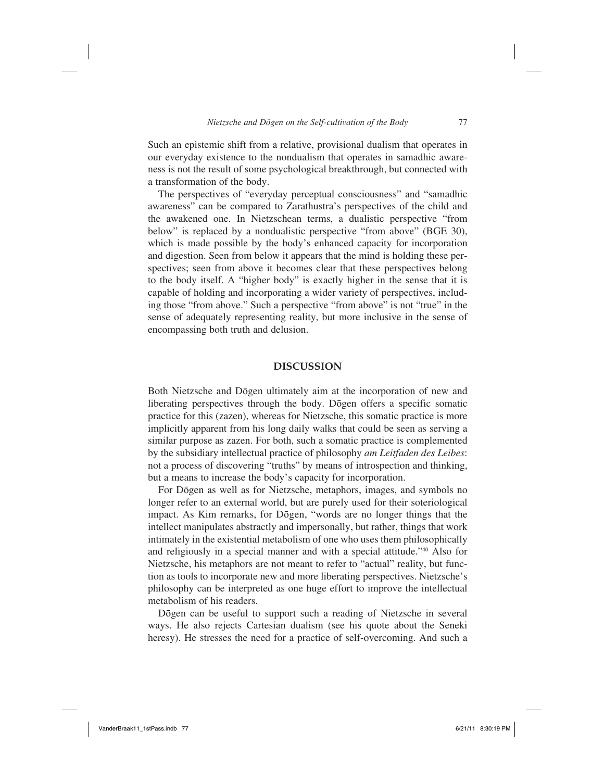Such an epistemic shift from a relative, provisional dualism that operates in our everyday existence to the nondualism that operates in samadhic awareness is not the result of some psychological breakthrough, but connected with a transformation of the body.

The perspectives of "everyday perceptual consciousness" and "samadhic awareness" can be compared to Zarathustra's perspectives of the child and the awakened one. In Nietzschean terms, a dualistic perspective "from below" is replaced by a nondualistic perspective "from above" (BGE 30), which is made possible by the body's enhanced capacity for incorporation and digestion. Seen from below it appears that the mind is holding these perspectives; seen from above it becomes clear that these perspectives belong to the body itself. A "higher body" is exactly higher in the sense that it is capable of holding and incorporating a wider variety of perspectives, including those "from above." Such a perspective "from above" is not "true" in the sense of adequately representing reality, but more inclusive in the sense of encompassing both truth and delusion.

#### **DISCUSSION**

Both Nietzsche and Dōgen ultimately aim at the incorporation of new and liberating perspectives through the body. Dōgen offers a specific somatic practice for this (zazen), whereas for Nietzsche, this somatic practice is more implicitly apparent from his long daily walks that could be seen as serving a similar purpose as zazen. For both, such a somatic practice is complemented by the subsidiary intellectual practice of philosophy *am Leitfaden des Leibes*: not a process of discovering "truths" by means of introspection and thinking, but a means to increase the body's capacity for incorporation.

For Dōgen as well as for Nietzsche, metaphors, images, and symbols no longer refer to an external world, but are purely used for their soteriological impact. As Kim remarks, for Dōgen, "words are no longer things that the intellect manipulates abstractly and impersonally, but rather, things that work intimately in the existential metabolism of one who uses them philosophically and religiously in a special manner and with a special attitude."<sup>40</sup> Also for Nietzsche, his metaphors are not meant to refer to "actual" reality, but function as tools to incorporate new and more liberating perspectives. Nietzsche's philosophy can be interpreted as one huge effort to improve the intellectual metabolism of his readers.

Dōgen can be useful to support such a reading of Nietzsche in several ways. He also rejects Cartesian dualism (see his quote about the Seneki heresy). He stresses the need for a practice of self-overcoming. And such a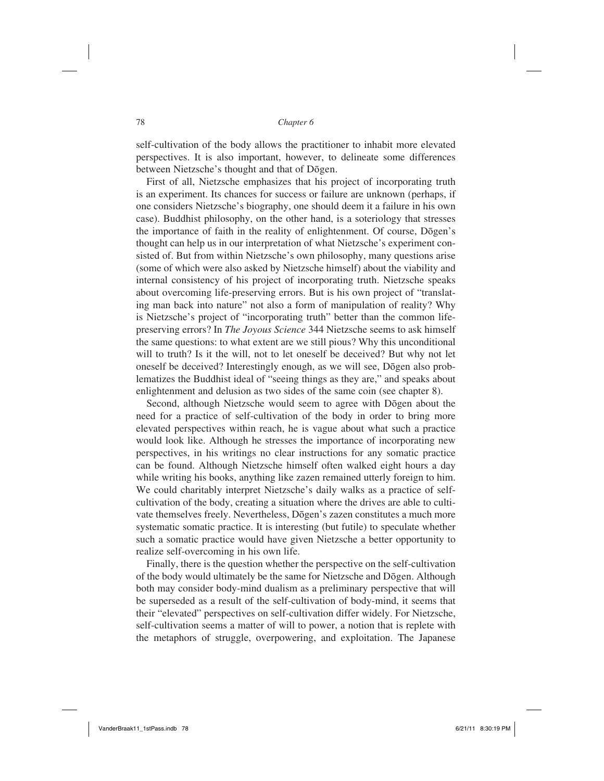self-cultivation of the body allows the practitioner to inhabit more elevated perspectives. It is also important, however, to delineate some differences between Nietzsche's thought and that of Dōgen.

First of all, Nietzsche emphasizes that his project of incorporating truth is an experiment. Its chances for success or failure are unknown (perhaps, if one considers Nietzsche's biography, one should deem it a failure in his own case). Buddhist philosophy, on the other hand, is a soteriology that stresses the importance of faith in the reality of enlightenment. Of course, Dōgen's thought can help us in our interpretation of what Nietzsche's experiment consisted of. But from within Nietzsche's own philosophy, many questions arise (some of which were also asked by Nietzsche himself) about the viability and internal consistency of his project of incorporating truth. Nietzsche speaks about overcoming life-preserving errors. But is his own project of "translating man back into nature" not also a form of manipulation of reality? Why is Nietzsche's project of "incorporating truth" better than the common lifepreserving errors? In *The Joyous Science* 344 Nietzsche seems to ask himself the same questions: to what extent are we still pious? Why this unconditional will to truth? Is it the will, not to let oneself be deceived? But why not let oneself be deceived? Interestingly enough, as we will see, Dōgen also problematizes the Buddhist ideal of "seeing things as they are," and speaks about enlightenment and delusion as two sides of the same coin (see chapter 8).

Second, although Nietzsche would seem to agree with Dōgen about the need for a practice of self-cultivation of the body in order to bring more elevated perspectives within reach, he is vague about what such a practice would look like. Although he stresses the importance of incorporating new perspectives, in his writings no clear instructions for any somatic practice can be found. Although Nietzsche himself often walked eight hours a day while writing his books, anything like zazen remained utterly foreign to him. We could charitably interpret Nietzsche's daily walks as a practice of selfcultivation of the body, creating a situation where the drives are able to cultivate themselves freely. Nevertheless, Dōgen's zazen constitutes a much more systematic somatic practice. It is interesting (but futile) to speculate whether such a somatic practice would have given Nietzsche a better opportunity to realize self-overcoming in his own life.

Finally, there is the question whether the perspective on the self-cultivation of the body would ultimately be the same for Nietzsche and Dōgen. Although both may consider body-mind dualism as a preliminary perspective that will be superseded as a result of the self-cultivation of body-mind, it seems that their "elevated" perspectives on self-cultivation differ widely. For Nietzsche, self-cultivation seems a matter of will to power, a notion that is replete with the metaphors of struggle, overpowering, and exploitation. The Japanese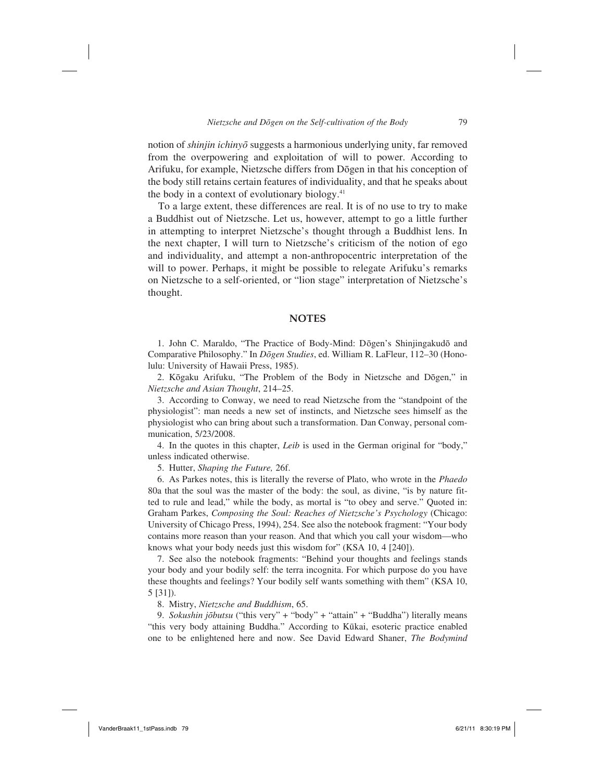notion of *shinjin ichinyō* suggests a harmonious underlying unity, far removed from the overpowering and exploitation of will to power. According to Arifuku, for example, Nietzsche differs from Dōgen in that his conception of the body still retains certain features of individuality, and that he speaks about the body in a context of evolutionary biology.<sup>41</sup>

To a large extent, these differences are real. It is of no use to try to make a Buddhist out of Nietzsche. Let us, however, attempt to go a little further in attempting to interpret Nietzsche's thought through a Buddhist lens. In the next chapter, I will turn to Nietzsche's criticism of the notion of ego and individuality, and attempt a non-anthropocentric interpretation of the will to power. Perhaps, it might be possible to relegate Arifuku's remarks on Nietzsche to a self-oriented, or "lion stage" interpretation of Nietzsche's thought.

#### **NOTES**

1. John C. Maraldo, "The Practice of Body-Mind: Dōgen's Shinjingakudō and Comparative Philosophy." In *Dōgen Studies*, ed. William R. LaFleur, 112–30 (Honolulu: University of Hawaii Press, 1985).

2. Kōgaku Arifuku, "The Problem of the Body in Nietzsche and Dōgen," in *Nietzsche and Asian Thought*, 214–25.

3. According to Conway, we need to read Nietzsche from the "standpoint of the physiologist": man needs a new set of instincts, and Nietzsche sees himself as the physiologist who can bring about such a transformation. Dan Conway, personal communication, 5/23/2008.

4. In the quotes in this chapter, *Leib* is used in the German original for "body," unless indicated otherwise.

5. Hutter, *Shaping the Future,* 26f.

6. As Parkes notes, this is literally the reverse of Plato, who wrote in the *Phaedo* 80a that the soul was the master of the body: the soul, as divine, "is by nature fitted to rule and lead," while the body, as mortal is "to obey and serve." Quoted in: Graham Parkes, *Composing the Soul: Reaches of Nietzsche's Psychology* (Chicago: University of Chicago Press, 1994), 254. See also the notebook fragment: "Your body contains more reason than your reason. And that which you call your wisdom—who knows what your body needs just this wisdom for" (KSA 10, 4 [240]).

7. See also the notebook fragments: "Behind your thoughts and feelings stands your body and your bodily self: the terra incognita. For which purpose do you have these thoughts and feelings? Your bodily self wants something with them" (KSA 10, 5 [31]).

8. Mistry, *Nietzsche and Buddhism*, 65.

9. *Sokushin jōbutsu* ("this very" + "body" + "attain" + "Buddha") literally means "this very body attaining Buddha." According to Kūkai, esoteric practice enabled one to be enlightened here and now. See David Edward Shaner, *The Bodymind*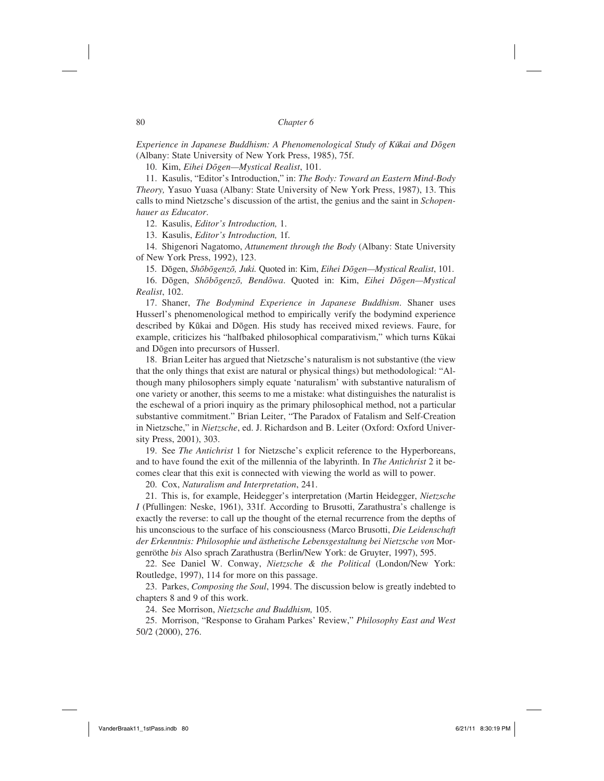*Experience in Japanese Buddhism: A Phenomenological Study of Kūkai and Dōʻgen* (Albany: State University of New York Press, 1985), 75f.

10. Kim, *Eihei Dōgen—Mystical Realist*, 101.

11. Kasulis, "Editor's Introduction," in: *The Body: Toward an Eastern Mind-Body Theory,* Yasuo Yuasa (Albany: State University of New York Press, 1987), 13. This calls to mind Nietzsche's discussion of the artist, the genius and the saint in *Schopenhauer as Educator*.

12. Kasulis, *Editor's Introduction,* 1.

13. Kasulis, *Editor's Introduction,* 1f.

14. Shigenori Nagatomo, *Attunement through the Body* (Albany: State University of New York Press, 1992), 123.

15. Dōgen, *Shōbōgenzō, Juki.* Quoted in: Kim, *Eihei Dōgen—Mystical Realist*, 101.

16. Dōgen, *Shōbōgenzō, Bendōwa*. Quoted in: Kim, *Eihei Dōgen—Mystical Realist*, 102.

17. Shaner, *The Bodymind Experience in Japanese Buddhism*. Shaner uses Husserl's phenomenological method to empirically verify the bodymind experience described by Kūkai and Dōgen. His study has received mixed reviews. Faure, for example, criticizes his "halfbaked philosophical comparativism," which turns Kūkai and Dōgen into precursors of Husserl.

18. Brian Leiter has argued that Nietzsche's naturalism is not substantive (the view that the only things that exist are natural or physical things) but methodological: "Although many philosophers simply equate 'naturalism' with substantive naturalism of one variety or another, this seems to me a mistake: what distinguishes the naturalist is the eschewal of a priori inquiry as the primary philosophical method, not a particular substantive commitment." Brian Leiter, "The Paradox of Fatalism and Self-Creation in Nietzsche," in *Nietzsche*, ed. J. Richardson and B. Leiter (Oxford: Oxford University Press, 2001), 303.

19. See *The Antichrist* 1 for Nietzsche's explicit reference to the Hyperboreans, and to have found the exit of the millennia of the labyrinth. In *The Antichrist* 2 it becomes clear that this exit is connected with viewing the world as will to power.

20. Cox, *Naturalism and Interpretation*, 241.

21. This is, for example, Heidegger's interpretation (Martin Heidegger, *Nietzsche I* (Pfullingen: Neske, 1961), 331f. According to Brusotti, Zarathustra's challenge is exactly the reverse: to call up the thought of the eternal recurrence from the depths of his unconscious to the surface of his consciousness (Marco Brusotti, *Die Leidenschaft der Erkenntnis: Philosophie und ästhetische Lebensgestaltung bei Nietzsche von* Morgenröthe *bis* Also sprach Zarathustra (Berlin/New York: de Gruyter, 1997), 595.

22. See Daniel W. Conway, *Nietzsche & the Political* (London/New York: Routledge, 1997), 114 for more on this passage.

23. Parkes, *Composing the Soul*, 1994. The discussion below is greatly indebted to chapters 8 and 9 of this work.

24. See Morrison, *Nietzsche and Buddhism,* 105.

25. Morrison, "Response to Graham Parkes' Review," *Philosophy East and West* 50/2 (2000), 276.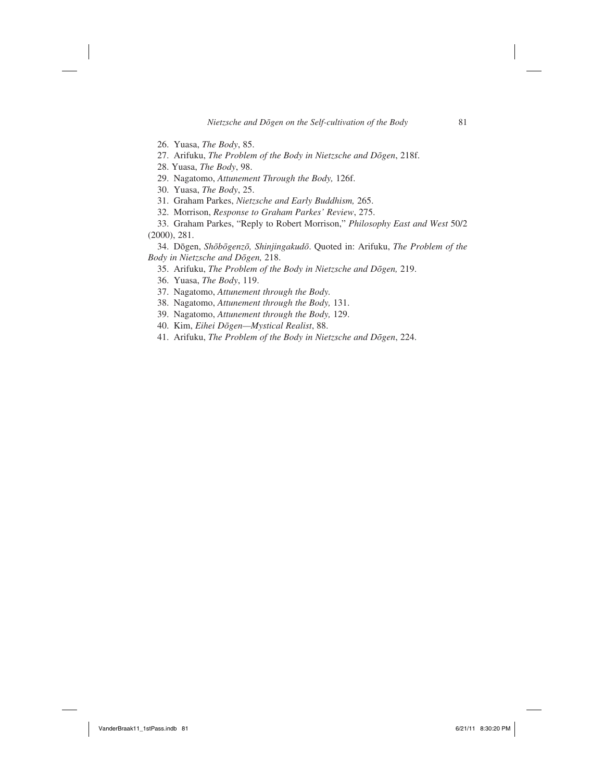- 26. Yuasa, *The Body*, 85.
- 27. Arifuku, *The Problem of the Body in Nietzsche and Dōgen*, 218f.
- 28. Yuasa, *The Body*, 98.
- 29. Nagatomo, *Attunement Through the Body,* 126f.
- 30. Yuasa, *The Body*, 25.
- 31. Graham Parkes, *Nietzsche and Early Buddhism,* 265.
- 32. Morrison, *Response to Graham Parkes' Review*, 275.

33. Graham Parkes, "Reply to Robert Morrison," *Philosophy East and West* 50/2 (2000), 281.

34. Dōgen, *Shōbōgenzō, Shinjingakudō*. Quoted in: Arifuku, *The Problem of the Body in Nietzsche and Dōgen,* 218.

- 35. Arifuku, *The Problem of the Body in Nietzsche and Dōgen,* 219.
- 36. Yuasa, *The Body*, 119.
- 37. Nagatomo, *Attunement through the Body.*
- 38. Nagatomo, *Attunement through the Body,* 131.
- 39. Nagatomo, *Attunement through the Body,* 129.
- 40. Kim, *Eihei Dōgen—Mystical Realist*, 88.
- 41. Arifuku, *The Problem of the Body in Nietzsche and Dōgen*, 224.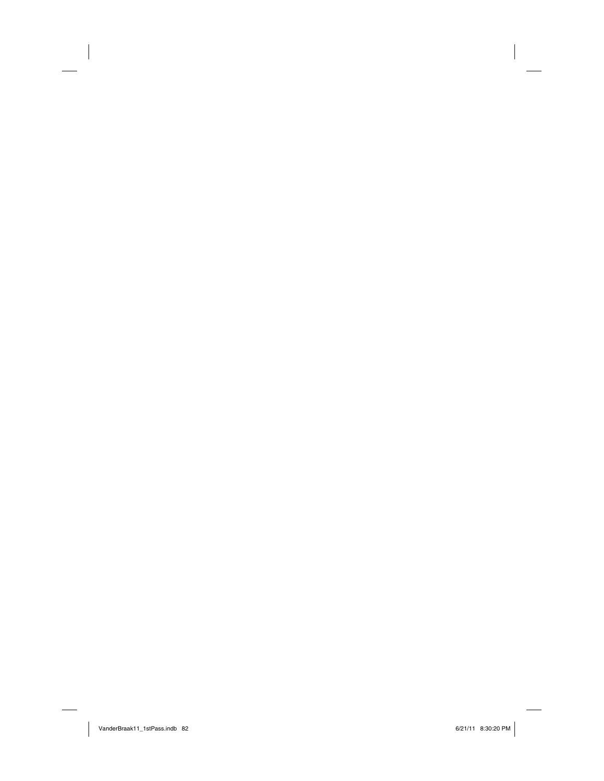VanderBraak11\_1stPass.indb 82  $\overline{6/21/11}$  8:30:20 PM  $\overline{21/11}$  8:30:20 PM  $\overline{21/11}$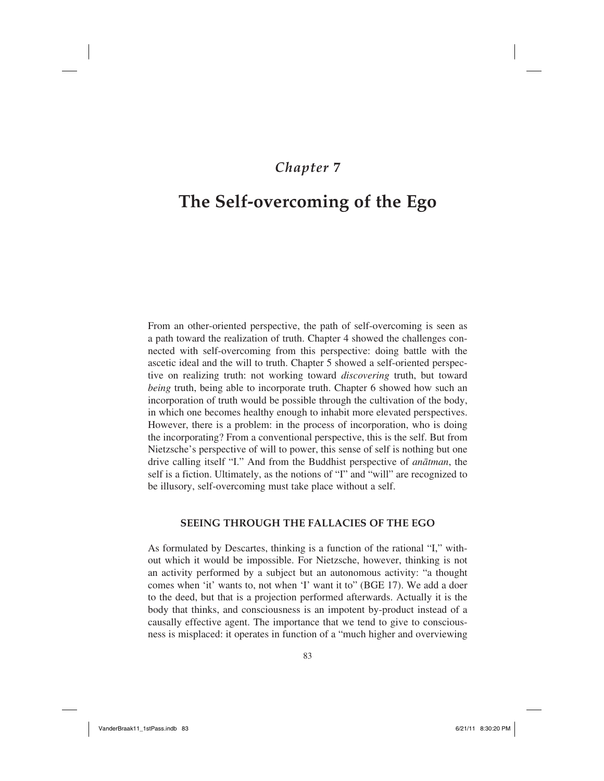## **The Self-overcoming of the Ego**

From an other-oriented perspective, the path of self-overcoming is seen as a path toward the realization of truth. Chapter 4 showed the challenges connected with self-overcoming from this perspective: doing battle with the ascetic ideal and the will to truth. Chapter 5 showed a self-oriented perspective on realizing truth: not working toward *discovering* truth, but toward *being* truth, being able to incorporate truth. Chapter 6 showed how such an incorporation of truth would be possible through the cultivation of the body, in which one becomes healthy enough to inhabit more elevated perspectives. However, there is a problem: in the process of incorporation, who is doing the incorporating? From a conventional perspective, this is the self. But from Nietzsche's perspective of will to power, this sense of self is nothing but one drive calling itself "I." And from the Buddhist perspective of *anātman*, the self is a fiction. Ultimately, as the notions of "I" and "will" are recognized to be illusory, self-overcoming must take place without a self.

#### **SEEING THROUGH THE FALLACIES OF THE EGO**

As formulated by Descartes, thinking is a function of the rational "I," without which it would be impossible. For Nietzsche, however, thinking is not an activity performed by a subject but an autonomous activity: "a thought comes when 'it' wants to, not when 'I' want it to" (BGE 17). We add a doer to the deed, but that is a projection performed afterwards. Actually it is the body that thinks, and consciousness is an impotent by-product instead of a causally effective agent. The importance that we tend to give to consciousness is misplaced: it operates in function of a "much higher and overviewing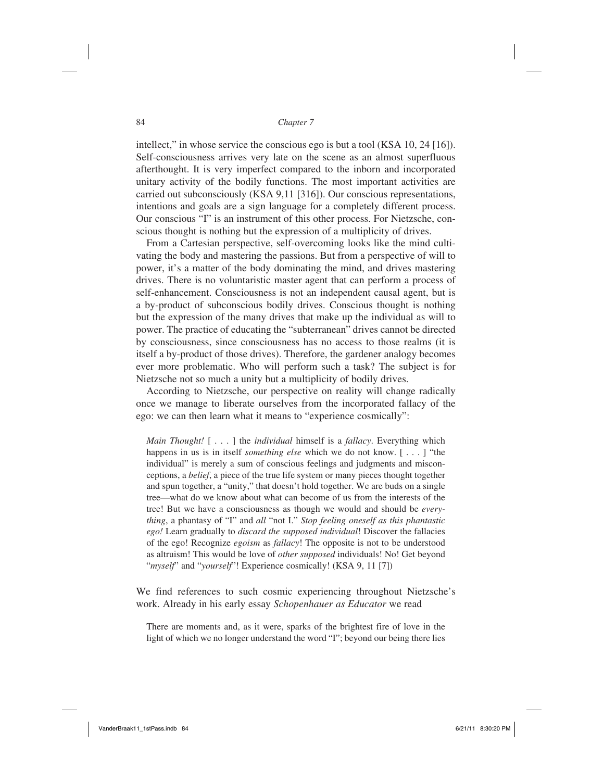intellect," in whose service the conscious ego is but a tool (KSA 10, 24 [16]). Self-consciousness arrives very late on the scene as an almost superfluous afterthought. It is very imperfect compared to the inborn and incorporated unitary activity of the bodily functions. The most important activities are carried out subconsciously (KSA 9,11 [316]). Our conscious representations, intentions and goals are a sign language for a completely different process. Our conscious "I" is an instrument of this other process. For Nietzsche, conscious thought is nothing but the expression of a multiplicity of drives.

From a Cartesian perspective, self-overcoming looks like the mind cultivating the body and mastering the passions. But from a perspective of will to power, it's a matter of the body dominating the mind, and drives mastering drives. There is no voluntaristic master agent that can perform a process of self-enhancement. Consciousness is not an independent causal agent, but is a by-product of subconscious bodily drives. Conscious thought is nothing but the expression of the many drives that make up the individual as will to power. The practice of educating the "subterranean" drives cannot be directed by consciousness, since consciousness has no access to those realms (it is itself a by-product of those drives). Therefore, the gardener analogy becomes ever more problematic. Who will perform such a task? The subject is for Nietzsche not so much a unity but a multiplicity of bodily drives.

According to Nietzsche, our perspective on reality will change radically once we manage to liberate ourselves from the incorporated fallacy of the ego: we can then learn what it means to "experience cosmically":

*Main Thought!* [ . . . ] the *individual* himself is a *fallacy*. Everything which happens in us is in itself *something else* which we do not know. [ . . . ] "the individual" is merely a sum of conscious feelings and judgments and misconceptions, a *belief*, a piece of the true life system or many pieces thought together and spun together, a "unity," that doesn't hold together. We are buds on a single tree—what do we know about what can become of us from the interests of the tree! But we have a consciousness as though we would and should be *everything*, a phantasy of "I" and *all* "not I." *Stop feeling oneself as this phantastic ego!* Learn gradually to *discard the supposed individual*! Discover the fallacies of the ego! Recognize *egoism* as *fallacy*! The opposite is not to be understood as altruism! This would be love of *other supposed* individuals! No! Get beyond "*myself*" and "*yourself*"! Experience cosmically! (KSA 9, 11 [7])

We find references to such cosmic experiencing throughout Nietzsche's work. Already in his early essay *Schopenhauer as Educator* we read

There are moments and, as it were, sparks of the brightest fire of love in the light of which we no longer understand the word "I"; beyond our being there lies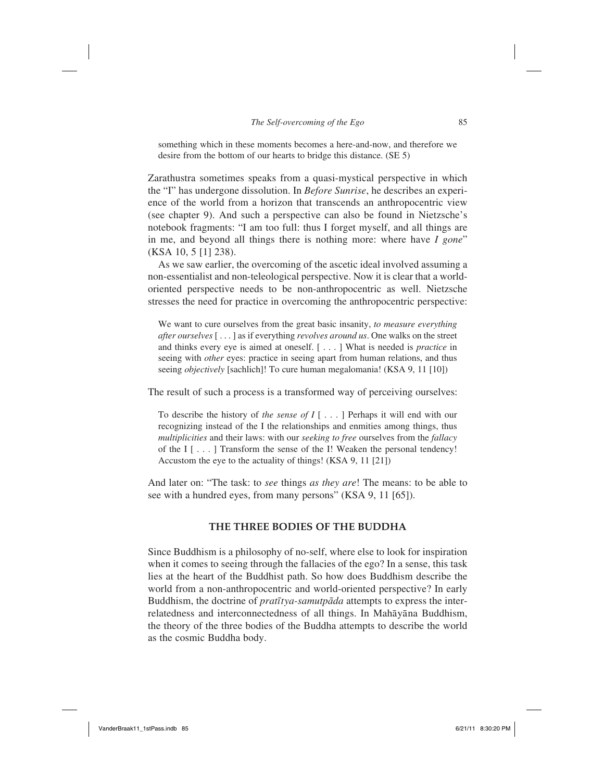something which in these moments becomes a here-and-now, and therefore we desire from the bottom of our hearts to bridge this distance. (SE 5)

Zarathustra sometimes speaks from a quasi-mystical perspective in which the "I" has undergone dissolution. In *Before Sunrise*, he describes an experience of the world from a horizon that transcends an anthropocentric view (see chapter 9). And such a perspective can also be found in Nietzsche's notebook fragments: "I am too full: thus I forget myself, and all things are in me, and beyond all things there is nothing more: where have *I gone*" (KSA 10, 5 [1] 238).

As we saw earlier, the overcoming of the ascetic ideal involved assuming a non-essentialist and non-teleological perspective. Now it is clear that a worldoriented perspective needs to be non-anthropocentric as well. Nietzsche stresses the need for practice in overcoming the anthropocentric perspective:

We want to cure ourselves from the great basic insanity, *to measure everything after ourselves* [ . . . ] as if everything *revolves around us*. One walks on the street and thinks every eye is aimed at oneself. [ . . . ] What is needed is *practice* in seeing with *other* eyes: practice in seeing apart from human relations, and thus seeing *objectively* [sachlich]! To cure human megalomania! (KSA 9, 11 [10])

The result of such a process is a transformed way of perceiving ourselves:

To describe the history of *the sense of I* [ . . . ] Perhaps it will end with our recognizing instead of the I the relationships and enmities among things, thus *multiplicities* and their laws: with our *seeking to free* ourselves from the *fallacy* of the I [ . . . ] Transform the sense of the I! Weaken the personal tendency! Accustom the eye to the actuality of things! (KSA 9, 11 [21])

And later on: "The task: to *see* things *as they are*! The means: to be able to see with a hundred eyes, from many persons" (KSA 9, 11 [65]).

#### **THE THREE BODIES OF THE BUDDHA**

Since Buddhism is a philosophy of no-self, where else to look for inspiration when it comes to seeing through the fallacies of the ego? In a sense, this task lies at the heart of the Buddhist path. So how does Buddhism describe the world from a non-anthropocentric and world-oriented perspective? In early Buddhism, the doctrine of *pratītya-samutpāda* attempts to express the interrelatedness and interconnectedness of all things. In Mahāyāna Buddhism, the theory of the three bodies of the Buddha attempts to describe the world as the cosmic Buddha body.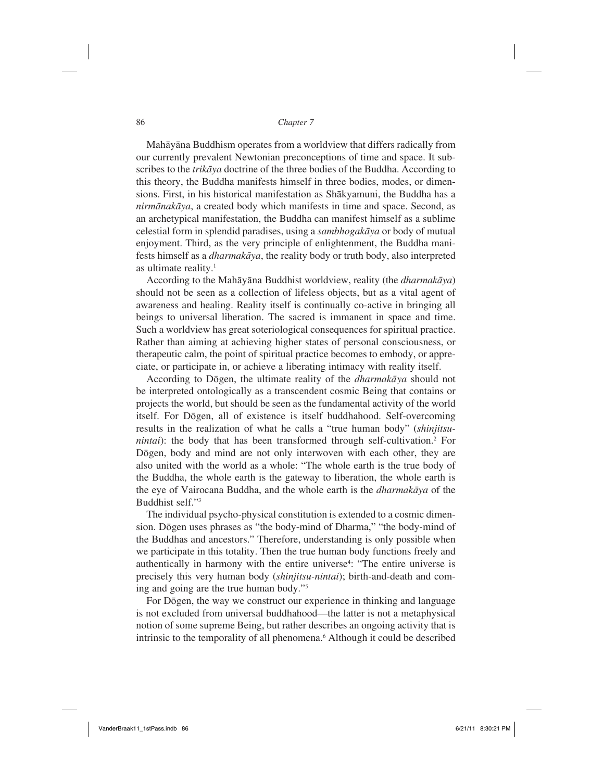Mahāyāna Buddhism operates from a worldview that differs radically from our currently prevalent Newtonian preconceptions of time and space. It subscribes to the *trikāya* doctrine of the three bodies of the Buddha. According to this theory, the Buddha manifests himself in three bodies, modes, or dimensions. First, in his historical manifestation as Shākyamuni, the Buddha has a *nirmānakāya*, a created body which manifests in time and space. Second, as an archetypical manifestation, the Buddha can manifest himself as a sublime celestial form in splendid paradises, using a *sambhogakāya* or body of mutual enjoyment. Third, as the very principle of enlightenment, the Buddha manifests himself as a *dharmakāya*, the reality body or truth body, also interpreted as ultimate reality. $1$ 

According to the Mahāyāna Buddhist worldview, reality (the *dharmakāya*) should not be seen as a collection of lifeless objects, but as a vital agent of awareness and healing. Reality itself is continually co-active in bringing all beings to universal liberation. The sacred is immanent in space and time. Such a worldview has great soteriological consequences for spiritual practice. Rather than aiming at achieving higher states of personal consciousness, or therapeutic calm, the point of spiritual practice becomes to embody, or appreciate, or participate in, or achieve a liberating intimacy with reality itself.

According to Dōgen, the ultimate reality of the *dharmakāya* should not be interpreted ontologically as a transcendent cosmic Being that contains or projects the world, but should be seen as the fundamental activity of the world itself. For Dōgen, all of existence is itself buddhahood. Self-overcoming results in the realization of what he calls a "true human body" (*shinjitsunintai*): the body that has been transformed through self-cultivation.<sup>2</sup> For Dōgen, body and mind are not only interwoven with each other, they are also united with the world as a whole: "The whole earth is the true body of the Buddha, the whole earth is the gateway to liberation, the whole earth is the eye of Vairocana Buddha, and the whole earth is the *dharmakāya* of the Buddhist self."<sup>3</sup>

The individual psycho-physical constitution is extended to a cosmic dimension. Dōgen uses phrases as "the body-mind of Dharma," "the body-mind of the Buddhas and ancestors." Therefore, understanding is only possible when we participate in this totality. Then the true human body functions freely and authentically in harmony with the entire universe<sup>4</sup>: "The entire universe is precisely this very human body (*shinjitsu-nintai*); birth-and-death and coming and going are the true human body."<sup>5</sup>

For Dōgen, the way we construct our experience in thinking and language is not excluded from universal buddhahood—the latter is not a metaphysical notion of some supreme Being, but rather describes an ongoing activity that is intrinsic to the temporality of all phenomena.<sup>6</sup> Although it could be described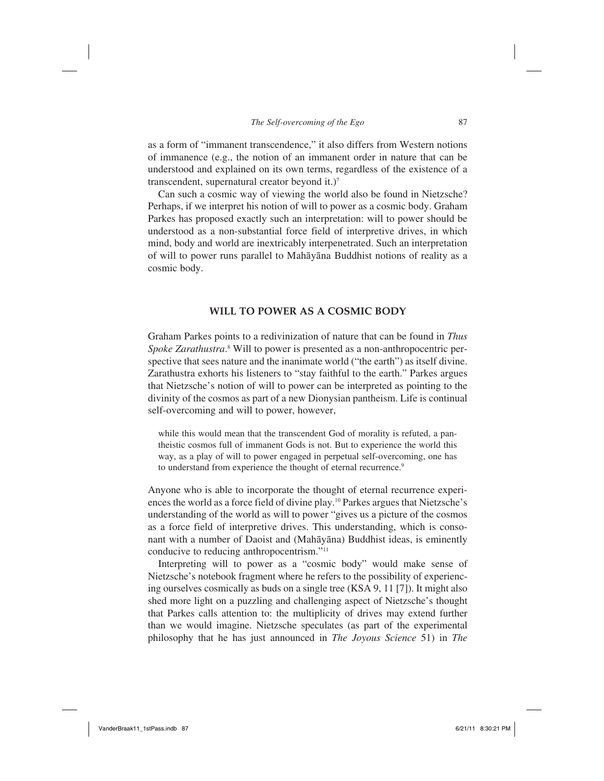as a form of "immanent transcendence," it also differs from Western notions of immanence (e.g., the notion of an immanent order in nature that can be understood and explained on its own terms, regardless of the existence of a transcendent, supernatural creator beyond it.)<sup>7</sup>

Can such a cosmic way of viewing the world also be found in Nietzsche? Perhaps, if we interpret his notion of will to power as a cosmic body. Graham Parkes has proposed exactly such an interpretation: will to power should be understood as a non-substantial force field of interpretive drives, in which mind, body and world are inextricably interpenetrated. Such an interpretation of will to power runs parallel to Mahāyāna Buddhist notions of reality as a cosmic body.

#### **WILL TO POWER AS A COSMIC BODY**

Graham Parkes points to a redivinization of nature that can be found in *Thus*  Spoke Zarathustra.<sup>8</sup> Will to power is presented as a non-anthropocentric perspective that sees nature and the inanimate world ("the earth") as itself divine. Zarathustra exhorts his listeners to "stay faithful to the earth." Parkes argues that Nietzsche's notion of will to power can be interpreted as pointing to the divinity of the cosmos as part of a new Dionysian pantheism. Life is continual self-overcoming and will to power, however,

while this would mean that the transcendent God of morality is refuted, a pantheistic cosmos full of immanent Gods is not. But to experience the world this way, as a play of will to power engaged in perpetual self-overcoming, one has to understand from experience the thought of eternal recurrence.<sup>9</sup>

Anyone who is able to incorporate the thought of eternal recurrence experiences the world as a force field of divine play.<sup>10</sup> Parkes argues that Nietzsche's understanding of the world as will to power "gives us a picture of the cosmos as a force field of interpretive drives. This understanding, which is consonant with a number of Daoist and (Mahāyāna) Buddhist ideas, is eminently conducive to reducing anthropocentrism."<sup>11</sup>

Interpreting will to power as a "cosmic body" would make sense of Nietzsche's notebook fragment where he refers to the possibility of experiencing ourselves cosmically as buds on a single tree (KSA 9, 11 [7]). It might also shed more light on a puzzling and challenging aspect of Nietzsche's thought that Parkes calls attention to: the multiplicity of drives may extend further than we would imagine. Nietzsche speculates (as part of the experimental philosophy that he has just announced in *The Joyous Science* 51) in *The*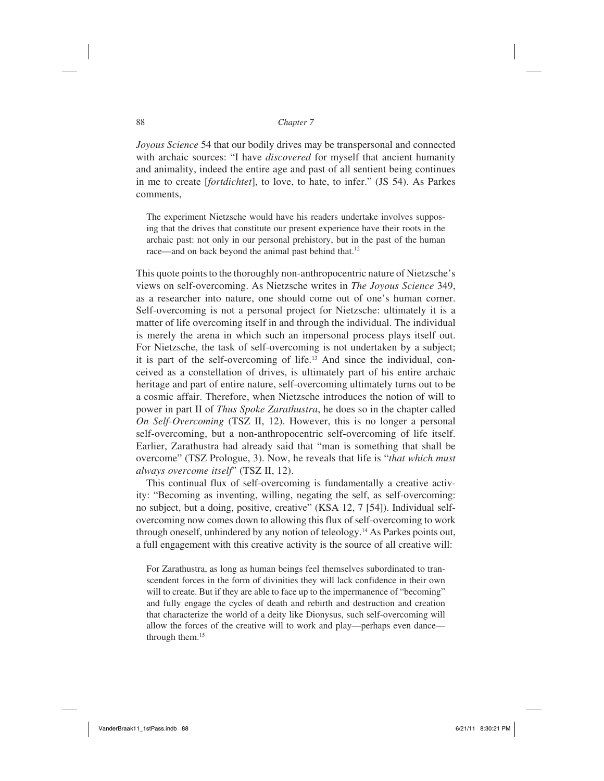*Joyous Science* 54 that our bodily drives may be transpersonal and connected with archaic sources: "I have *discovered* for myself that ancient humanity and animality, indeed the entire age and past of all sentient being continues in me to create [*fortdichtet*], to love, to hate, to infer." (JS 54). As Parkes comments,

The experiment Nietzsche would have his readers undertake involves supposing that the drives that constitute our present experience have their roots in the archaic past: not only in our personal prehistory, but in the past of the human race—and on back beyond the animal past behind that.<sup>12</sup>

This quote points to the thoroughly non-anthropocentric nature of Nietzsche's views on self-overcoming. As Nietzsche writes in *The Joyous Science* 349, as a researcher into nature, one should come out of one's human corner. Self-overcoming is not a personal project for Nietzsche: ultimately it is a matter of life overcoming itself in and through the individual. The individual is merely the arena in which such an impersonal process plays itself out. For Nietzsche, the task of self-overcoming is not undertaken by a subject; it is part of the self-overcoming of life.<sup>13</sup> And since the individual, conceived as a constellation of drives, is ultimately part of his entire archaic heritage and part of entire nature, self-overcoming ultimately turns out to be a cosmic affair. Therefore, when Nietzsche introduces the notion of will to power in part II of *Thus Spoke Zarathustra*, he does so in the chapter called *On Self-Overcoming* (TSZ II, 12). However, this is no longer a personal self-overcoming, but a non-anthropocentric self-overcoming of life itself. Earlier, Zarathustra had already said that "man is something that shall be overcome" (TSZ Prologue, 3). Now, he reveals that life is "*that which must always overcome itself*" (TSZ II, 12).

This continual flux of self-overcoming is fundamentally a creative activity: "Becoming as inventing, willing, negating the self, as self-overcoming: no subject, but a doing, positive, creative" (KSA 12, 7 [54]). Individual selfovercoming now comes down to allowing this flux of self-overcoming to work through oneself, unhindered by any notion of teleology.<sup>14</sup> As Parkes points out, a full engagement with this creative activity is the source of all creative will:

For Zarathustra, as long as human beings feel themselves subordinated to transcendent forces in the form of divinities they will lack confidence in their own will to create. But if they are able to face up to the impermanence of "becoming" and fully engage the cycles of death and rebirth and destruction and creation that characterize the world of a deity like Dionysus, such self-overcoming will allow the forces of the creative will to work and play—perhaps even dance through them. $15$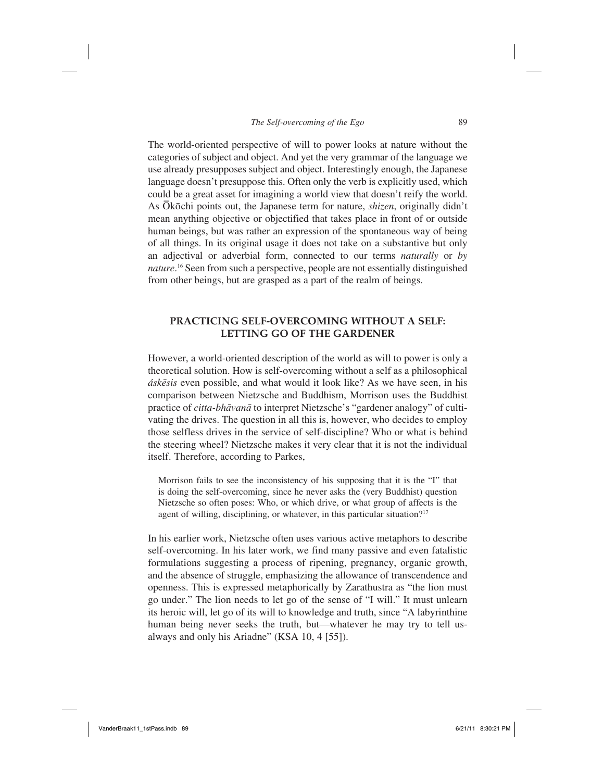The world-oriented perspective of will to power looks at nature without the categories of subject and object. And yet the very grammar of the language we use already presupposes subject and object. Interestingly enough, the Japanese language doesn't presuppose this. Often only the verb is explicitly used, which could be a great asset for imagining a world view that doesn't reify the world. **As Ōkōchi points out, the Japanese term for nature,** *shizen***, originally didn't** mean anything objective or objectified that takes place in front of or outside human beings, but was rather an expression of the spontaneous way of being of all things. In its original usage it does not take on a substantive but only an adjectival or adverbial form, connected to our terms *naturally* or *by nature*. <sup>16</sup> Seen from such a perspective, people are not essentially distinguished from other beings, but are grasped as a part of the realm of beings.

## **PRACTICING SELF-OVERCOMING WITHOUT A SELF: LETTING GO OF THE GARDENER**

However, a world-oriented description of the world as will to power is only a theoretical solution. How is self-overcoming without a self as a philosophical *áskēsis* even possible, and what would it look like? As we have seen, in his comparison between Nietzsche and Buddhism, Morrison uses the Buddhist practice of *citta-bhāvanā* to interpret Nietzsche's "gardener analogy" of cultivating the drives. The question in all this is, however, who decides to employ those selfless drives in the service of self-discipline? Who or what is behind the steering wheel? Nietzsche makes it very clear that it is not the individual itself. Therefore, according to Parkes,

Morrison fails to see the inconsistency of his supposing that it is the "I" that is doing the self-overcoming, since he never asks the (very Buddhist) question Nietzsche so often poses: Who, or which drive, or what group of affects is the agent of willing, disciplining, or whatever, in this particular situation?<sup>17</sup>

In his earlier work, Nietzsche often uses various active metaphors to describe self-overcoming. In his later work, we find many passive and even fatalistic formulations suggesting a process of ripening, pregnancy, organic growth, and the absence of struggle, emphasizing the allowance of transcendence and openness. This is expressed metaphorically by Zarathustra as "the lion must go under." The lion needs to let go of the sense of "I will." It must unlearn its heroic will, let go of its will to knowledge and truth, since "A labyrinthine human being never seeks the truth, but—whatever he may try to tell usalways and only his Ariadne" (KSA 10, 4 [55]).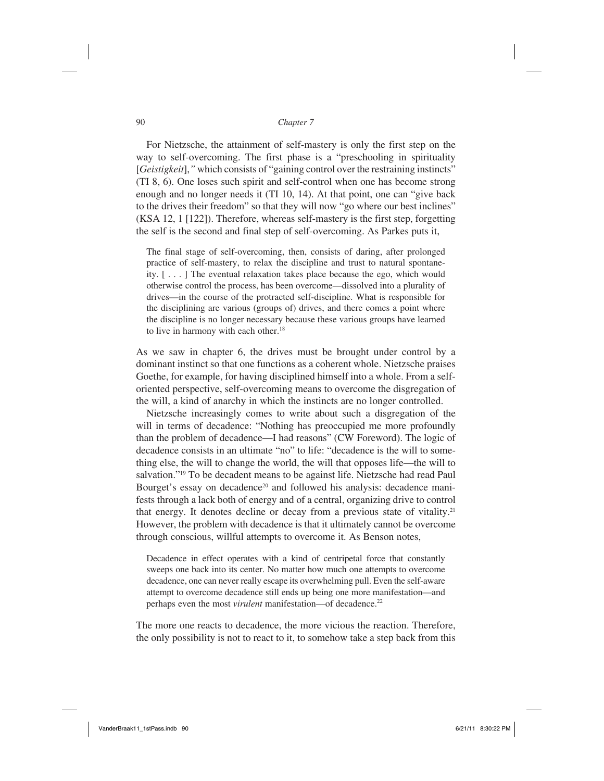For Nietzsche, the attainment of self-mastery is only the first step on the way to self-overcoming. The first phase is a "preschooling in spirituality [*Geistigkeit*],*"* which consists of "gaining control over the restraining instincts" (TI 8, 6). One loses such spirit and self-control when one has become strong enough and no longer needs it (TI 10, 14). At that point, one can "give back to the drives their freedom" so that they will now "go where our best inclines" (KSA 12, 1 [122]). Therefore, whereas self-mastery is the first step, forgetting the self is the second and final step of self-overcoming. As Parkes puts it,

The final stage of self-overcoming, then, consists of daring, after prolonged practice of self-mastery, to relax the discipline and trust to natural spontaneity. [ . . . ] The eventual relaxation takes place because the ego, which would otherwise control the process, has been overcome—dissolved into a plurality of drives—in the course of the protracted self-discipline. What is responsible for the disciplining are various (groups of) drives, and there comes a point where the discipline is no longer necessary because these various groups have learned to live in harmony with each other.<sup>18</sup>

As we saw in chapter 6, the drives must be brought under control by a dominant instinct so that one functions as a coherent whole. Nietzsche praises Goethe, for example, for having disciplined himself into a whole. From a selforiented perspective, self-overcoming means to overcome the disgregation of the will, a kind of anarchy in which the instincts are no longer controlled.

Nietzsche increasingly comes to write about such a disgregation of the will in terms of decadence: "Nothing has preoccupied me more profoundly than the problem of decadence—I had reasons" (CW Foreword). The logic of decadence consists in an ultimate "no" to life: "decadence is the will to something else, the will to change the world, the will that opposes life—the will to salvation."<sup>19</sup> To be decadent means to be against life. Nietzsche had read Paul Bourget's essay on decadence<sup>20</sup> and followed his analysis: decadence manifests through a lack both of energy and of a central, organizing drive to control that energy. It denotes decline or decay from a previous state of vitality.<sup>21</sup> However, the problem with decadence is that it ultimately cannot be overcome through conscious, willful attempts to overcome it. As Benson notes,

Decadence in effect operates with a kind of centripetal force that constantly sweeps one back into its center. No matter how much one attempts to overcome decadence, one can never really escape its overwhelming pull. Even the self-aware attempt to overcome decadence still ends up being one more manifestation—and perhaps even the most *virulent* manifestation—of decadence.<sup>22</sup>

The more one reacts to decadence, the more vicious the reaction. Therefore, the only possibility is not to react to it, to somehow take a step back from this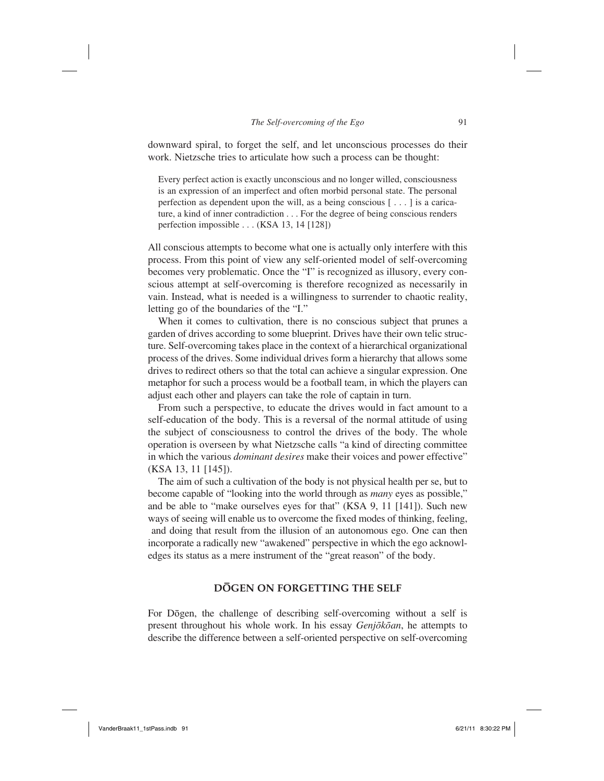downward spiral, to forget the self, and let unconscious processes do their work. Nietzsche tries to articulate how such a process can be thought:

Every perfect action is exactly unconscious and no longer willed, consciousness is an expression of an imperfect and often morbid personal state. The personal perfection as dependent upon the will, as a being conscious [ . . . ] is a caricature, a kind of inner contradiction . . . For the degree of being conscious renders perfection impossible . . . (KSA 13, 14 [128])

All conscious attempts to become what one is actually only interfere with this process. From this point of view any self-oriented model of self-overcoming becomes very problematic. Once the "I" is recognized as illusory, every conscious attempt at self-overcoming is therefore recognized as necessarily in vain. Instead, what is needed is a willingness to surrender to chaotic reality, letting go of the boundaries of the "I."

When it comes to cultivation, there is no conscious subject that prunes a garden of drives according to some blueprint. Drives have their own telic structure. Self-overcoming takes place in the context of a hierarchical organizational process of the drives. Some individual drives form a hierarchy that allows some drives to redirect others so that the total can achieve a singular expression. One metaphor for such a process would be a football team, in which the players can adjust each other and players can take the role of captain in turn.

From such a perspective, to educate the drives would in fact amount to a self-education of the body. This is a reversal of the normal attitude of using the subject of consciousness to control the drives of the body. The whole operation is overseen by what Nietzsche calls "a kind of directing committee in which the various *dominant desires* make their voices and power effective" (KSA 13, 11 [145]).

The aim of such a cultivation of the body is not physical health per se, but to become capable of "looking into the world through as *many* eyes as possible," and be able to "make ourselves eyes for that" (KSA 9, 11 [141]). Such new ways of seeing will enable us to overcome the fixed modes of thinking, feeling, and doing that result from the illusion of an autonomous ego. One can then incorporate a radically new "awakened" perspective in which the ego acknowledges its status as a mere instrument of the "great reason" of the body.

## **DO– GEN ON FORGETTING THE SELF**

For Dōgen, the challenge of describing self-overcoming without a self is present throughout his whole work. In his essay *Genjōkōan*, he attempts to describe the difference between a self-oriented perspective on self-overcoming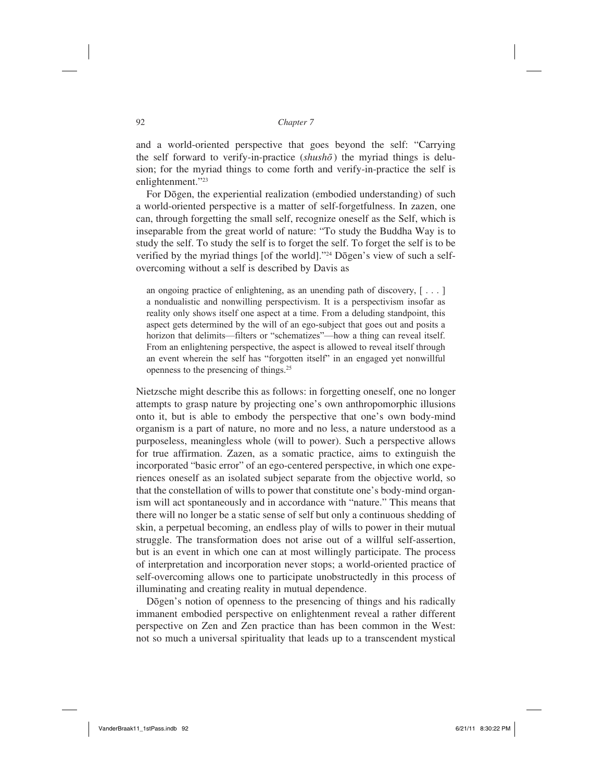and a world-oriented perspective that goes beyond the self: "Carrying the self forward to verify-in-practice (*shushō* ) the myriad things is delusion; for the myriad things to come forth and verify-in-practice the self is enlightenment."<sup>23</sup>

For Dōgen, the experiential realization (embodied understanding) of such a world-oriented perspective is a matter of self-forgetfulness. In zazen, one can, through forgetting the small self, recognize oneself as the Self, which is inseparable from the great world of nature: "To study the Buddha Way is to study the self. To study the self is to forget the self. To forget the self is to be verified by the myriad things [of the world]."24 Dōgen's view of such a selfovercoming without a self is described by Davis as

an ongoing practice of enlightening, as an unending path of discovery, [ . . . ] a nondualistic and nonwilling perspectivism. It is a perspectivism insofar as reality only shows itself one aspect at a time. From a deluding standpoint, this aspect gets determined by the will of an ego-subject that goes out and posits a horizon that delimits—filters or "schematizes"—how a thing can reveal itself. From an enlightening perspective, the aspect is allowed to reveal itself through an event wherein the self has "forgotten itself" in an engaged yet nonwillful openness to the presencing of things.25

Nietzsche might describe this as follows: in forgetting oneself, one no longer attempts to grasp nature by projecting one's own anthropomorphic illusions onto it, but is able to embody the perspective that one's own body-mind organism is a part of nature, no more and no less, a nature understood as a purposeless, meaningless whole (will to power). Such a perspective allows for true affirmation. Zazen, as a somatic practice, aims to extinguish the incorporated "basic error" of an ego-centered perspective, in which one experiences oneself as an isolated subject separate from the objective world, so that the constellation of wills to power that constitute one's body-mind organism will act spontaneously and in accordance with "nature." This means that there will no longer be a static sense of self but only a continuous shedding of skin, a perpetual becoming, an endless play of wills to power in their mutual struggle. The transformation does not arise out of a willful self-assertion, but is an event in which one can at most willingly participate. The process of interpretation and incorporation never stops; a world-oriented practice of self-overcoming allows one to participate unobstructedly in this process of illuminating and creating reality in mutual dependence.

Dōgen's notion of openness to the presencing of things and his radically immanent embodied perspective on enlightenment reveal a rather different perspective on Zen and Zen practice than has been common in the West: not so much a universal spirituality that leads up to a transcendent mystical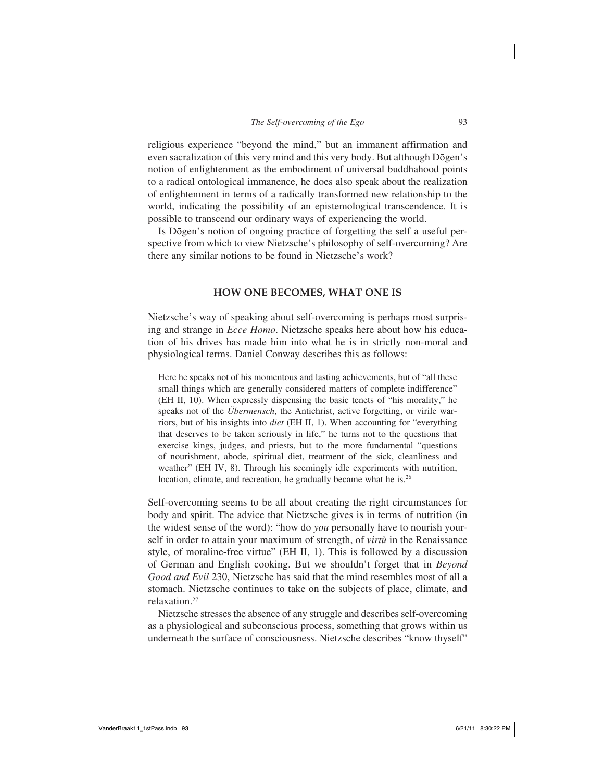religious experience "beyond the mind," but an immanent affirmation and even sacralization of this very mind and this very body. But although Dōgen's notion of enlightenment as the embodiment of universal buddhahood points to a radical ontological immanence, he does also speak about the realization of enlightenment in terms of a radically transformed new relationship to the world, indicating the possibility of an epistemological transcendence. It is possible to transcend our ordinary ways of experiencing the world.

Is Dōgen's notion of ongoing practice of forgetting the self a useful perspective from which to view Nietzsche's philosophy of self-overcoming? Are there any similar notions to be found in Nietzsche's work?

#### **HOW ONE BECOMES, WHAT ONE IS**

Nietzsche's way of speaking about self-overcoming is perhaps most surprising and strange in *Ecce Homo*. Nietzsche speaks here about how his education of his drives has made him into what he is in strictly non-moral and physiological terms. Daniel Conway describes this as follows:

Here he speaks not of his momentous and lasting achievements, but of "all these small things which are generally considered matters of complete indifference" (EH II, 10). When expressly dispensing the basic tenets of "his morality," he speaks not of the *Übermensch*, the Antichrist, active forgetting, or virile warriors, but of his insights into *diet* (EH II, 1). When accounting for "everything that deserves to be taken seriously in life," he turns not to the questions that exercise kings, judges, and priests, but to the more fundamental "questions of nourishment, abode, spiritual diet, treatment of the sick, cleanliness and weather" (EH IV, 8). Through his seemingly idle experiments with nutrition, location, climate, and recreation, he gradually became what he is.<sup>26</sup>

Self-overcoming seems to be all about creating the right circumstances for body and spirit. The advice that Nietzsche gives is in terms of nutrition (in the widest sense of the word): "how do *you* personally have to nourish yourself in order to attain your maximum of strength, of *virtù* in the Renaissance style, of moraline-free virtue" (EH II, 1). This is followed by a discussion of German and English cooking. But we shouldn't forget that in *Beyond Good and Evil* 230, Nietzsche has said that the mind resembles most of all a stomach. Nietzsche continues to take on the subjects of place, climate, and relaxation.<sup>27</sup>

Nietzsche stresses the absence of any struggle and describes self-overcoming as a physiological and subconscious process, something that grows within us underneath the surface of consciousness. Nietzsche describes "know thyself"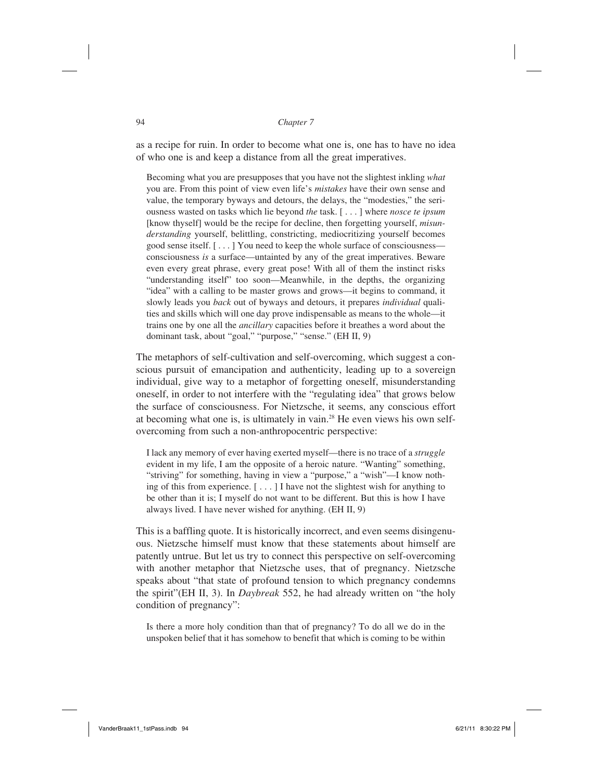as a recipe for ruin. In order to become what one is, one has to have no idea of who one is and keep a distance from all the great imperatives.

Becoming what you are presupposes that you have not the slightest inkling *what* you are. From this point of view even life's *mistakes* have their own sense and value, the temporary byways and detours, the delays, the "modesties," the seriousness wasted on tasks which lie beyond *the* task. [ . . . ] where *nosce te ipsum* [know thyself] would be the recipe for decline, then forgetting yourself, *misunderstanding* yourself, belittling, constricting, mediocritizing yourself becomes good sense itself. [ . . . ] You need to keep the whole surface of consciousness consciousness *is* a surface—untainted by any of the great imperatives. Beware even every great phrase, every great pose! With all of them the instinct risks "understanding itself" too soon—Meanwhile, in the depths, the organizing "idea" with a calling to be master grows and grows—it begins to command, it slowly leads you *back* out of byways and detours, it prepares *individual* qualities and skills which will one day prove indispensable as means to the whole—it trains one by one all the *ancillary* capacities before it breathes a word about the dominant task, about "goal," "purpose," "sense." (EH II, 9)

The metaphors of self-cultivation and self-overcoming, which suggest a conscious pursuit of emancipation and authenticity, leading up to a sovereign individual, give way to a metaphor of forgetting oneself, misunderstanding oneself, in order to not interfere with the "regulating idea" that grows below the surface of consciousness. For Nietzsche, it seems, any conscious effort at becoming what one is, is ultimately in vain.28 He even views his own selfovercoming from such a non-anthropocentric perspective:

I lack any memory of ever having exerted myself—there is no trace of a *struggle* evident in my life, I am the opposite of a heroic nature. "Wanting" something, "striving" for something, having in view a "purpose," a "wish"—I know nothing of this from experience. [ . . . ] I have not the slightest wish for anything to be other than it is; I myself do not want to be different. But this is how I have always lived. I have never wished for anything. (EH II, 9)

This is a baffling quote. It is historically incorrect, and even seems disingenuous. Nietzsche himself must know that these statements about himself are patently untrue. But let us try to connect this perspective on self-overcoming with another metaphor that Nietzsche uses, that of pregnancy. Nietzsche speaks about "that state of profound tension to which pregnancy condemns the spirit"(EH II, 3). In *Daybreak* 552, he had already written on "the holy condition of pregnancy":

Is there a more holy condition than that of pregnancy? To do all we do in the unspoken belief that it has somehow to benefit that which is coming to be within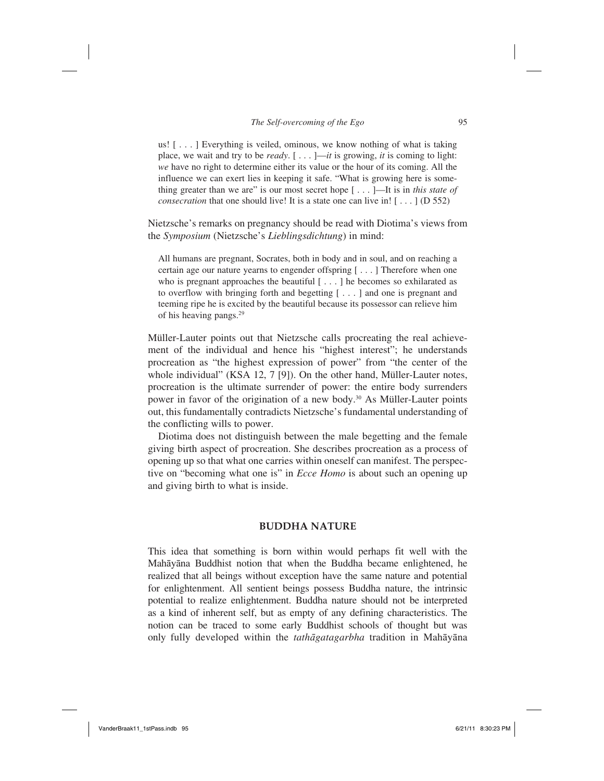us! [ . . . ] Everything is veiled, ominous, we know nothing of what is taking place, we wait and try to be *ready*.  $[\ldots]$ —*it* is growing, *it* is coming to light: *we* have no right to determine either its value or the hour of its coming. All the influence we can exert lies in keeping it safe. "What is growing here is something greater than we are" is our most secret hope [ . . . ]—It is in *this state of consecration* that one should live! It is a state one can live in! [...] (D 552)

Nietzsche's remarks on pregnancy should be read with Diotima's views from the *Symposium* (Nietzsche's *Lieblingsdichtung*) in mind:

All humans are pregnant, Socrates, both in body and in soul, and on reaching a certain age our nature yearns to engender offspring [ . . . ] Therefore when one who is pregnant approaches the beautiful [...] he becomes so exhilarated as to overflow with bringing forth and begetting [ . . . ] and one is pregnant and teeming ripe he is excited by the beautiful because its possessor can relieve him of his heaving pangs.<sup>29</sup>

Müller-Lauter points out that Nietzsche calls procreating the real achievement of the individual and hence his "highest interest"; he understands procreation as "the highest expression of power" from "the center of the whole individual" (KSA 12, 7 [9]). On the other hand, Müller-Lauter notes, procreation is the ultimate surrender of power: the entire body surrenders power in favor of the origination of a new body.<sup>30</sup> As Müller-Lauter points out, this fundamentally contradicts Nietzsche's fundamental understanding of the conflicting wills to power.

Diotima does not distinguish between the male begetting and the female giving birth aspect of procreation. She describes procreation as a process of opening up so that what one carries within oneself can manifest. The perspective on "becoming what one is" in *Ecce Homo* is about such an opening up and giving birth to what is inside.

#### **BUDDHA NATURE**

This idea that something is born within would perhaps fit well with the Mahāyāna Buddhist notion that when the Buddha became enlightened, he realized that all beings without exception have the same nature and potential for enlightenment. All sentient beings possess Buddha nature, the intrinsic potential to realize enlightenment. Buddha nature should not be interpreted as a kind of inherent self, but as empty of any defining characteristics. The notion can be traced to some early Buddhist schools of thought but was only fully developed within the *tathāgatagarbha* tradition in Mahāyāna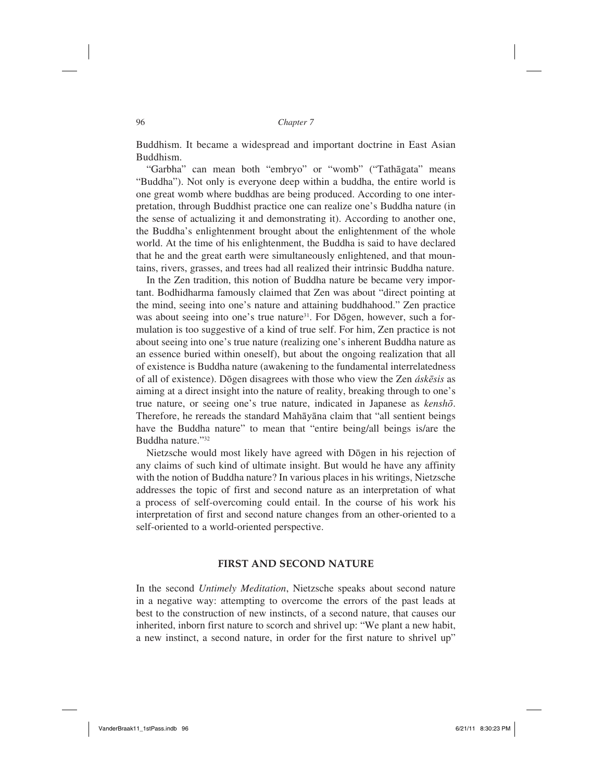Buddhism. It became a widespread and important doctrine in East Asian Buddhism.

"Garbha" can mean both "embryo" or "womb" ("Tathāgata" means "Buddha"). Not only is everyone deep within a buddha, the entire world is one great womb where buddhas are being produced. According to one interpretation, through Buddhist practice one can realize one's Buddha nature (in the sense of actualizing it and demonstrating it). According to another one, the Buddha's enlightenment brought about the enlightenment of the whole world. At the time of his enlightenment, the Buddha is said to have declared that he and the great earth were simultaneously enlightened, and that mountains, rivers, grasses, and trees had all realized their intrinsic Buddha nature.

In the Zen tradition, this notion of Buddha nature be became very important. Bodhidharma famously claimed that Zen was about "direct pointing at the mind, seeing into one's nature and attaining buddhahood." Zen practice was about seeing into one's true nature<sup>31</sup>. For Dōgen, however, such a formulation is too suggestive of a kind of true self. For him, Zen practice is not about seeing into one's true nature (realizing one's inherent Buddha nature as an essence buried within oneself), but about the ongoing realization that all of existence is Buddha nature (awakening to the fundamental interrelatedness of all of existence). Dōgen disagrees with those who view the Zen *áskēsis* as aiming at a direct insight into the nature of reality, breaking through to one's true nature, or seeing one's true nature, indicated in Japanese as *kenshō*. Therefore, he rereads the standard Mahāyāna claim that "all sentient beings have the Buddha nature" to mean that "entire being/all beings is/are the Buddha nature."<sup>32</sup>

Nietzsche would most likely have agreed with Dōgen in his rejection of any claims of such kind of ultimate insight. But would he have any affinity with the notion of Buddha nature? In various places in his writings, Nietzsche addresses the topic of first and second nature as an interpretation of what a process of self-overcoming could entail. In the course of his work his interpretation of first and second nature changes from an other-oriented to a self-oriented to a world-oriented perspective.

#### **FIRST AND SECOND NATURE**

In the second *Untimely Meditation*, Nietzsche speaks about second nature in a negative way: attempting to overcome the errors of the past leads at best to the construction of new instincts, of a second nature, that causes our inherited, inborn first nature to scorch and shrivel up: "We plant a new habit, a new instinct, a second nature, in order for the first nature to shrivel up"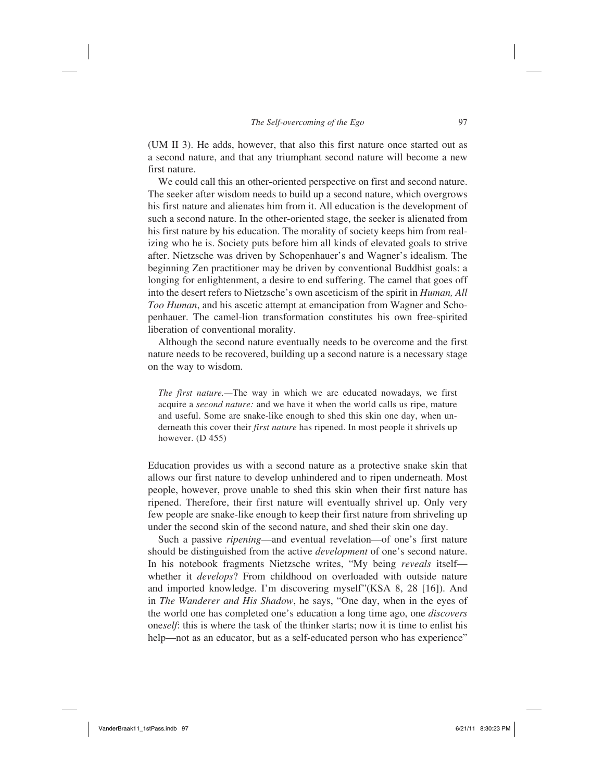(UM II 3). He adds, however, that also this first nature once started out as a second nature, and that any triumphant second nature will become a new first nature.

We could call this an other-oriented perspective on first and second nature. The seeker after wisdom needs to build up a second nature, which overgrows his first nature and alienates him from it. All education is the development of such a second nature. In the other-oriented stage, the seeker is alienated from his first nature by his education. The morality of society keeps him from realizing who he is. Society puts before him all kinds of elevated goals to strive after. Nietzsche was driven by Schopenhauer's and Wagner's idealism. The beginning Zen practitioner may be driven by conventional Buddhist goals: a longing for enlightenment, a desire to end suffering. The camel that goes off into the desert refers to Nietzsche's own asceticism of the spirit in *Human, All Too Human*, and his ascetic attempt at emancipation from Wagner and Schopenhauer. The camel-lion transformation constitutes his own free-spirited liberation of conventional morality.

Although the second nature eventually needs to be overcome and the first nature needs to be recovered, building up a second nature is a necessary stage on the way to wisdom.

*The first nature.—*The way in which we are educated nowadays, we first acquire a *second nature:* and we have it when the world calls us ripe, mature and useful. Some are snake-like enough to shed this skin one day, when underneath this cover their *first nature* has ripened. In most people it shrivels up however. (D 455)

Education provides us with a second nature as a protective snake skin that allows our first nature to develop unhindered and to ripen underneath. Most people, however, prove unable to shed this skin when their first nature has ripened. Therefore, their first nature will eventually shrivel up. Only very few people are snake-like enough to keep their first nature from shriveling up under the second skin of the second nature, and shed their skin one day.

Such a passive *ripening*—and eventual revelation—of one's first nature should be distinguished from the active *development* of one's second nature. In his notebook fragments Nietzsche writes, "My being *reveals* itself whether it *develops*? From childhood on overloaded with outside nature and imported knowledge. I'm discovering myself"(KSA 8, 28 [16]). And in *The Wanderer and His Shadow*, he says, "One day, when in the eyes of the world one has completed one's education a long time ago, one *discovers* one*self*: this is where the task of the thinker starts; now it is time to enlist his help—not as an educator, but as a self-educated person who has experience"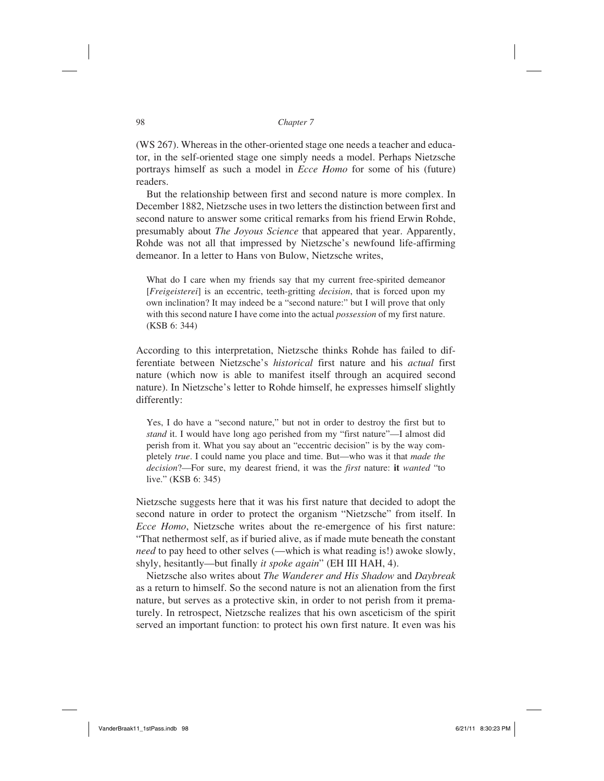(WS 267). Whereas in the other-oriented stage one needs a teacher and educator, in the self-oriented stage one simply needs a model. Perhaps Nietzsche portrays himself as such a model in *Ecce Homo* for some of his (future) readers.

But the relationship between first and second nature is more complex. In December 1882, Nietzsche uses in two letters the distinction between first and second nature to answer some critical remarks from his friend Erwin Rohde, presumably about *The Joyous Science* that appeared that year. Apparently, Rohde was not all that impressed by Nietzsche's newfound life-affirming demeanor. In a letter to Hans von Bulow, Nietzsche writes,

What do I care when my friends say that my current free-spirited demeanor [*Freigeisterei*] is an eccentric, teeth-gritting *decision*, that is forced upon my own inclination? It may indeed be a "second nature:" but I will prove that only with this second nature I have come into the actual *possession* of my first nature. (KSB 6: 344)

According to this interpretation, Nietzsche thinks Rohde has failed to differentiate between Nietzsche's *historical* first nature and his *actual* first nature (which now is able to manifest itself through an acquired second nature). In Nietzsche's letter to Rohde himself, he expresses himself slightly differently:

Yes, I do have a "second nature," but not in order to destroy the first but to *stand* it. I would have long ago perished from my "first nature"—I almost did perish from it. What you say about an "eccentric decision" is by the way completely *true*. I could name you place and time. But—who was it that *made the decision*?—For sure, my dearest friend, it was the *first* nature: **it** *wanted* "to live." (KSB 6: 345)

Nietzsche suggests here that it was his first nature that decided to adopt the second nature in order to protect the organism "Nietzsche" from itself. In *Ecce Homo*, Nietzsche writes about the re-emergence of his first nature: "That nethermost self, as if buried alive, as if made mute beneath the constant *need* to pay heed to other selves (—which is what reading is!) awoke slowly, shyly, hesitantly—but finally *it spoke again*" (EH III HAH, 4).

Nietzsche also writes about *The Wanderer and His Shadow* and *Daybreak* as a return to himself. So the second nature is not an alienation from the first nature, but serves as a protective skin, in order to not perish from it prematurely. In retrospect, Nietzsche realizes that his own asceticism of the spirit served an important function: to protect his own first nature. It even was his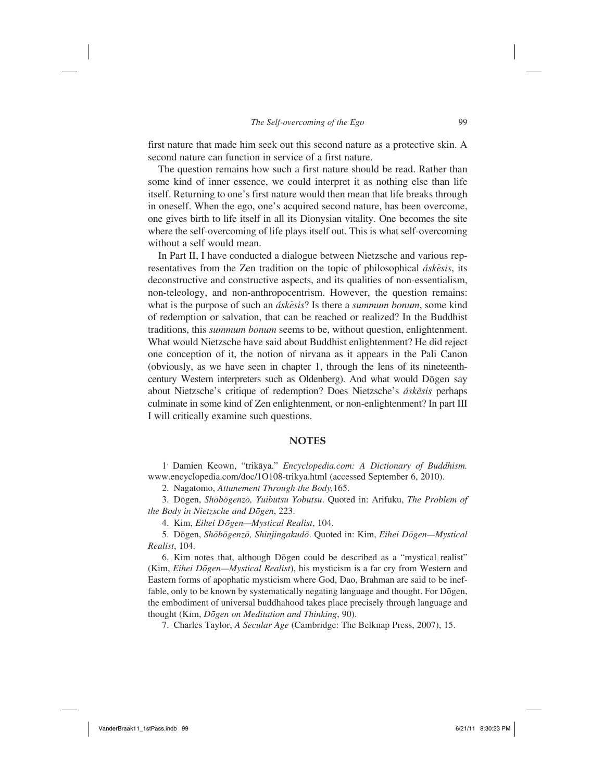first nature that made him seek out this second nature as a protective skin. A second nature can function in service of a first nature.

The question remains how such a first nature should be read. Rather than some kind of inner essence, we could interpret it as nothing else than life itself. Returning to one's first nature would then mean that life breaks through in oneself. When the ego, one's acquired second nature, has been overcome, one gives birth to life itself in all its Dionysian vitality. One becomes the site where the self-overcoming of life plays itself out. This is what self-overcoming without a self would mean.

In Part II, I have conducted a dialogue between Nietzsche and various representatives from the Zen tradition on the topic of philosophical *áskesis*, its deconstructive and constructive aspects, and its qualities of non-essentialism, non-teleology, and non-anthropocentrism. However, the question remains: what is the purpose of such an *áskesis*? Is there a *summum bonum*, some kind of redemption or salvation, that can be reached or realized? In the Buddhist traditions, this *summum bonum* seems to be, without question, enlightenment. What would Nietzsche have said about Buddhist enlightenment? He did reject one conception of it, the notion of nirvana as it appears in the Pali Canon (obviously, as we have seen in chapter 1, through the lens of its nineteenthcentury Western interpreters such as Oldenberg). And what would Dōgen say about Nietzsche's critique of redemption? Does Nietzsche's *áskēsis* perhaps culminate in some kind of Zen enlightenment, or non-enlightenment? In part III I will critically examine such questions.

#### **NOTES**

 1. Damien Keown, "trikāya." *Encyclopedia.com: A Dictionary of Buddhism.*  www.encyclopedia.com/doc/1O108-trikya.html (accessed September 6, 2010).

2. Nagatomo, *Attunement Through the Body,*165.

 3. Dōgen, *Shōbōgenzō, Yuibutsu Yobutsu*. Quoted in: Arifuku, *The Problem of the Body in Nietzsche and Dōgen*, 223.

4. Kim, *Eihei Dōgen—Mystical Realist*, 104.

 5. Dōgen, *Shōbōgenzō, Shinjingakudō*. Quoted in: Kim, *Eihei Dōgen—Mystical Realist*, 104.

6. Kim notes that, although Dogen could be described as a "mystical realist" (Kim, *Eihei Dōgen—Mystical Realist*), his mysticism is a far cry from Western and Eastern forms of apophatic mysticism where God, Dao, Brahman are said to be ineffable, only to be known by systematically negating language and thought. For Dōgen, the embodiment of universal buddhahood takes place precisely through language and thought (Kim, *Dōgen on Meditation and Thinking*, 90).

7. Charles Taylor, *A Secular Age* (Cambridge: The Belknap Press, 2007), 15.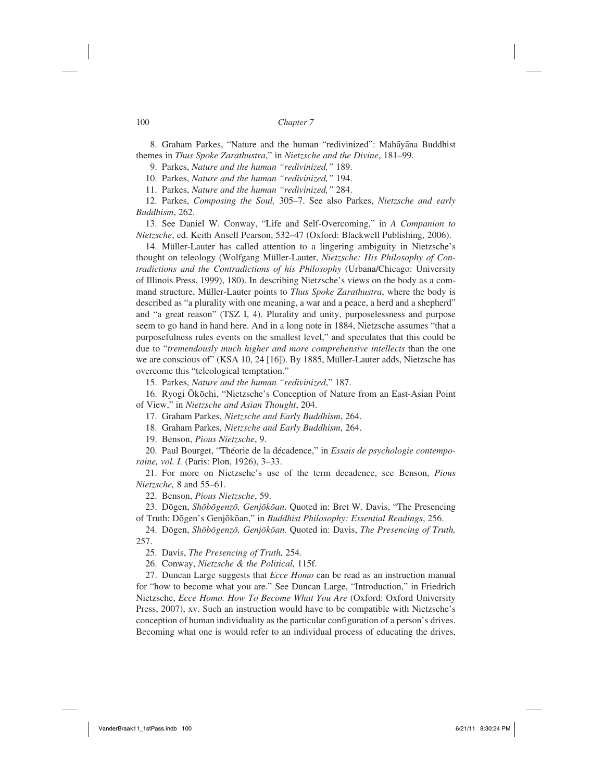8. Graham Parkes, "Nature and the human "redivinized": Mahāyāna Buddhist themes in *Thus Spoke Zarathustra*," in *Nietzsche and the Divine*, 181–99.

9. Parkes, *Nature and the human "redivinized,"* 189.

10. Parkes, *Nature and the human "redivinized,"* 194.

11. Parkes, *Nature and the human "redivinized,"* 284.

12. Parkes, *Composing the Soul,* 305–7. See also Parkes, *Nietzsche and early Buddhism*, 262.

13. See Daniel W. Conway, "Life and Self-Overcoming," in *A Companion to Nietzsche*, ed. Keith Ansell Pearson, 532–47 (Oxford: Blackwell Publishing, 2006).

14. Müller-Lauter has called attention to a lingering ambiguity in Nietzsche's thought on teleology (Wolfgang Müller-Lauter, *Nietzsche: His Philosophy of Contradictions and the Contradictions of his Philosophy* (Urbana/Chicago: University of Illinois Press, 1999), 180). In describing Nietzsche's views on the body as a command structure, Müller-Lauter points to *Thus Spoke Zarathustra*, where the body is described as "a plurality with one meaning, a war and a peace, a herd and a shepherd" and "a great reason" (TSZ I, 4). Plurality and unity, purposelessness and purpose seem to go hand in hand here. And in a long note in 1884, Nietzsche assumes "that a purposefulness rules events on the smallest level," and speculates that this could be due to "*tremendously much higher and more comprehensive intellects* than the one we are conscious of" (KSA 10, 24 [16]). By 1885, Müller-Lauter adds, Nietzsche has overcome this "teleological temptation."

15. Parkes, *Nature and the human "redivinized*," 187.

16. Ryogi Ōkōchi, "Nietzsche's Conception of Nature from an East-Asian Point of View," in *Nietzsche and Asian Thought*, 204.

17. Graham Parkes, *Nietzsche and Early Buddhism*, 264.

18. Graham Parkes, *Nietzsche and Early Buddhism*, 264.

19. Benson, *Pious Nietzsche*, 9.

20. Paul Bourget, "Théorie de la décadence," in *Essais de psychologie contemporaine, vol. I.* (Paris: Plon, 1926), 3–33.

21. For more on Nietzsche's use of the term decadence, see Benson, *Pious Nietzsche,* 8 and 55–61.

22. Benson, *Pious Nietzsche*, 59.

23. Dōgen, *Shōbōgenzō, Genjōkōan*. Quoted in: Bret W. Davis, "The Presencing of Truth: Dōgen's Genjōkōan," in *Buddhist Philosophy: Essential Readings*, 256.

24. Dōgen, *Shōbōgenzō, Genjōkōan.* Quoted in: Davis, *The Presencing of Truth,*  257.

25. Davis, *The Presencing of Truth,* 254.

26. Conway, *Nietzsche & the Political,* 115f.

27. Duncan Large suggests that *Ecce Homo* can be read as an instruction manual for "how to become what you are." See Duncan Large, "Introduction," in Friedrich Nietzsche, *Ecce Homo. How To Become What You Are* (Oxford: Oxford University Press, 2007), xv. Such an instruction would have to be compatible with Nietzsche's conception of human individuality as the particular configuration of a person's drives. Becoming what one is would refer to an individual process of educating the drives,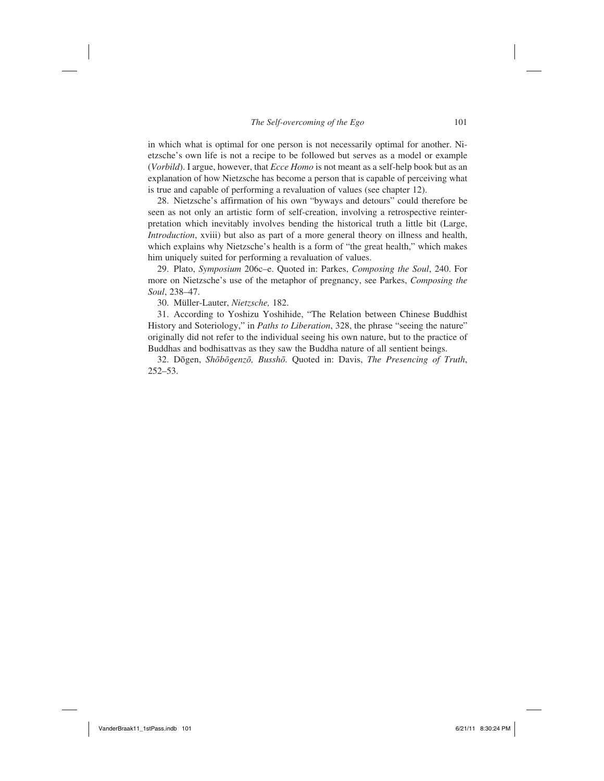in which what is optimal for one person is not necessarily optimal for another. Nietzsche's own life is not a recipe to be followed but serves as a model or example (*Vorbild*). I argue, however, that *Ecce Homo* is not meant as a self-help book but as an explanation of how Nietzsche has become a person that is capable of perceiving what is true and capable of performing a revaluation of values (see chapter 12).

28. Nietzsche's affirmation of his own "byways and detours" could therefore be seen as not only an artistic form of self-creation, involving a retrospective reinterpretation which inevitably involves bending the historical truth a little bit (Large, *Introduction*, xviii) but also as part of a more general theory on illness and health, which explains why Nietzsche's health is a form of "the great health," which makes him uniquely suited for performing a revaluation of values.

29. Plato, *Symposium* 206c–e. Quoted in: Parkes, *Composing the Soul*, 240. For more on Nietzsche's use of the metaphor of pregnancy, see Parkes, *Composing the Soul*, 238–47.

30. Müller-Lauter, *Nietzsche,* 182.

31. According to Yoshizu Yoshihide, "The Relation between Chinese Buddhist History and Soteriology," in *Paths to Liberation*, 328, the phrase "seeing the nature" originally did not refer to the individual seeing his own nature, but to the practice of Buddhas and bodhisattvas as they saw the Buddha nature of all sentient beings.

32. Dōgen, *Shōbōgenzō, Busshō.* Quoted in: Davis, *The Presencing of Truth*, 252–53.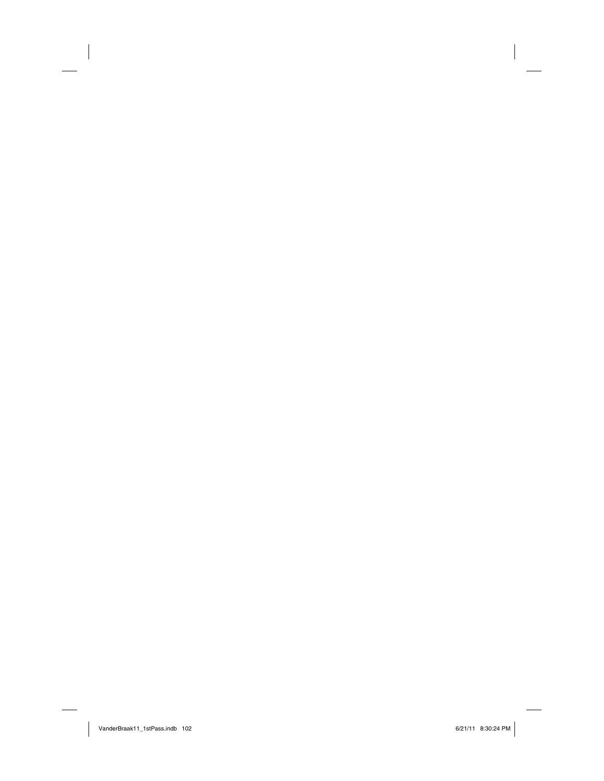VanderBraak11\_1stPass.indb 102 and the state of the state of the state of the state of  $6/21/11$  8:30:24 PM  $\big|$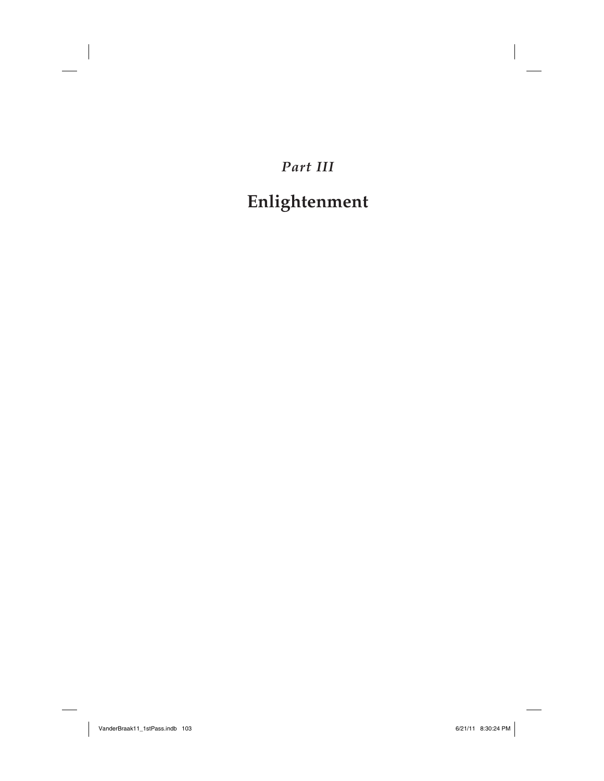*Part III*

# **Enlightenment**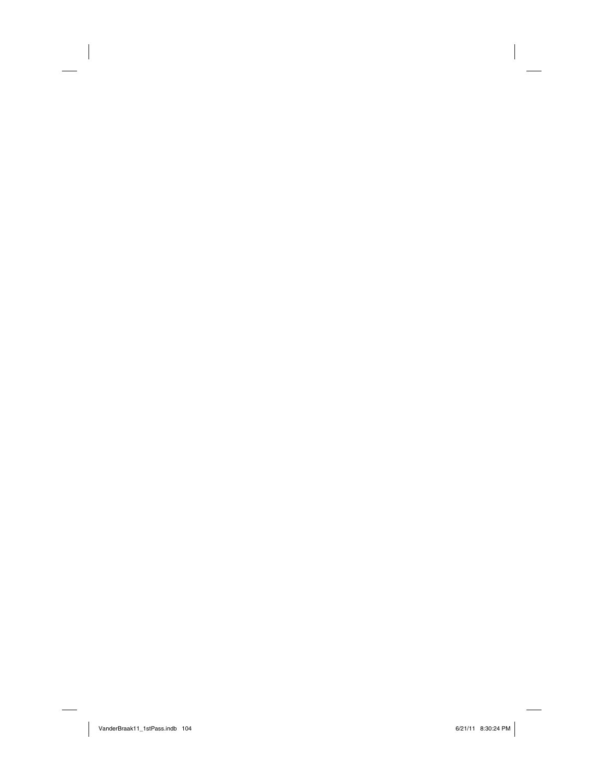VanderBraak11\_1stPass.indb 104  $\overline{6/21/11}$  8:30:24 PM  $\overline{10/11}$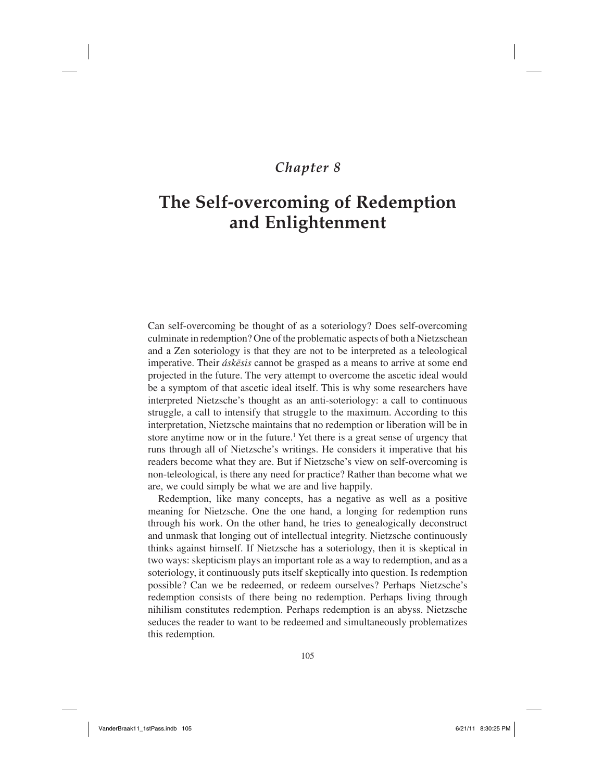## **The Self-overcoming of Redemption and Enlightenment**

Can self-overcoming be thought of as a soteriology? Does self-overcoming culminate in redemption? One of the problematic aspects of both a Nietzschean and a Zen soteriology is that they are not to be interpreted as a teleological imperative. Their *áskēsis* cannot be grasped as a means to arrive at some end projected in the future. The very attempt to overcome the ascetic ideal would be a symptom of that ascetic ideal itself. This is why some researchers have interpreted Nietzsche's thought as an anti-soteriology: a call to continuous struggle, a call to intensify that struggle to the maximum. According to this interpretation, Nietzsche maintains that no redemption or liberation will be in store anytime now or in the future.<sup>1</sup> Yet there is a great sense of urgency that runs through all of Nietzsche's writings. He considers it imperative that his readers become what they are. But if Nietzsche's view on self-overcoming is non-teleological, is there any need for practice? Rather than become what we are, we could simply be what we are and live happily.

Redemption, like many concepts, has a negative as well as a positive meaning for Nietzsche. One the one hand, a longing for redemption runs through his work. On the other hand, he tries to genealogically deconstruct and unmask that longing out of intellectual integrity. Nietzsche continuously thinks against himself. If Nietzsche has a soteriology, then it is skeptical in two ways: skepticism plays an important role as a way to redemption, and as a soteriology, it continuously puts itself skeptically into question. Is redemption possible? Can we be redeemed, or redeem ourselves? Perhaps Nietzsche's redemption consists of there being no redemption. Perhaps living through nihilism constitutes redemption. Perhaps redemption is an abyss. Nietzsche seduces the reader to want to be redeemed and simultaneously problematizes this redemption*.*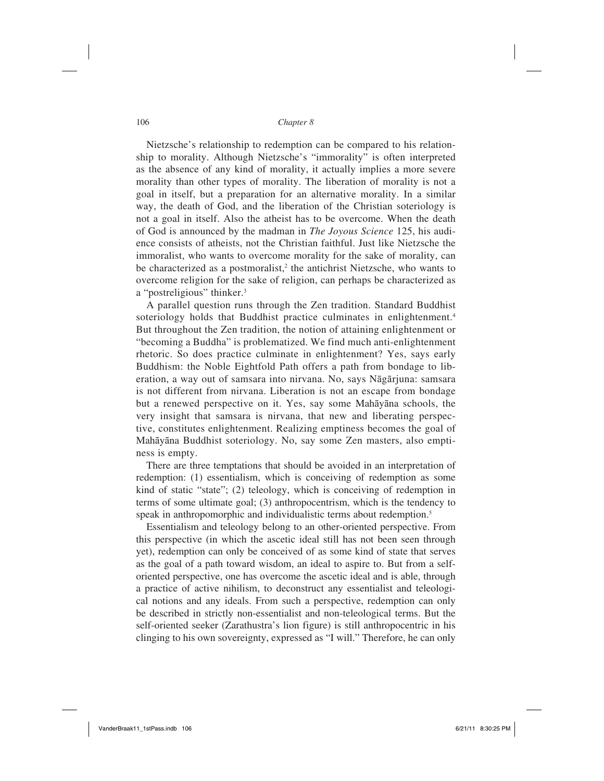Nietzsche's relationship to redemption can be compared to his relationship to morality. Although Nietzsche's "immorality" is often interpreted as the absence of any kind of morality, it actually implies a more severe morality than other types of morality. The liberation of morality is not a goal in itself, but a preparation for an alternative morality. In a similar way, the death of God, and the liberation of the Christian soteriology is not a goal in itself. Also the atheist has to be overcome. When the death of God is announced by the madman in *The Joyous Science* 125, his audience consists of atheists, not the Christian faithful. Just like Nietzsche the immoralist, who wants to overcome morality for the sake of morality, can be characterized as a postmoralist,<sup>2</sup> the antichrist Nietzsche, who wants to overcome religion for the sake of religion, can perhaps be characterized as a "postreligious" thinker.<sup>3</sup>

A parallel question runs through the Zen tradition. Standard Buddhist soteriology holds that Buddhist practice culminates in enlightenment.<sup>4</sup> But throughout the Zen tradition, the notion of attaining enlightenment or "becoming a Buddha" is problematized. We find much anti-enlightenment rhetoric. So does practice culminate in enlightenment? Yes, says early Buddhism: the Noble Eightfold Path offers a path from bondage to liberation, a way out of samsara into nirvana. No, says Nāgārjuna: samsara is not different from nirvana. Liberation is not an escape from bondage but a renewed perspective on it. Yes, say some Mahāyāna schools, the very insight that samsara is nirvana, that new and liberating perspective, constitutes enlightenment. Realizing emptiness becomes the goal of Mahāyāna Buddhist soteriology. No, say some Zen masters, also emptiness is empty.

There are three temptations that should be avoided in an interpretation of redemption: (1) essentialism, which is conceiving of redemption as some kind of static "state"; (2) teleology, which is conceiving of redemption in terms of some ultimate goal; (3) anthropocentrism, which is the tendency to speak in anthropomorphic and individualistic terms about redemption.<sup>5</sup>

Essentialism and teleology belong to an other-oriented perspective. From this perspective (in which the ascetic ideal still has not been seen through yet), redemption can only be conceived of as some kind of state that serves as the goal of a path toward wisdom, an ideal to aspire to. But from a selforiented perspective, one has overcome the ascetic ideal and is able, through a practice of active nihilism, to deconstruct any essentialist and teleological notions and any ideals. From such a perspective, redemption can only be described in strictly non-essentialist and non-teleological terms. But the self-oriented seeker (Zarathustra's lion figure) is still anthropocentric in his clinging to his own sovereignty, expressed as "I will." Therefore, he can only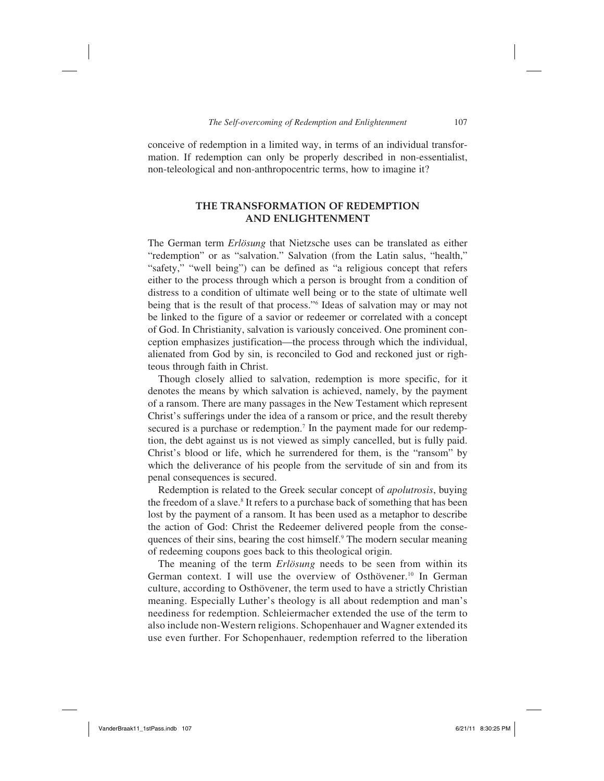conceive of redemption in a limited way, in terms of an individual transformation. If redemption can only be properly described in non-essentialist, non-teleological and non-anthropocentric terms, how to imagine it?

### **THE TRANSFORMATION OF REDEMPTION AND ENLIGHTENMENT**

The German term *Erlösung* that Nietzsche uses can be translated as either "redemption" or as "salvation." Salvation (from the Latin salus, "health," "safety," "well being") can be defined as "a religious concept that refers either to the process through which a person is brought from a condition of distress to a condition of ultimate well being or to the state of ultimate well being that is the result of that process."<sup>6</sup> Ideas of salvation may or may not be linked to the figure of a savior or redeemer or correlated with a concept of God. In Christianity, salvation is variously conceived. One prominent conception emphasizes justification—the process through which the individual, alienated from God by sin, is reconciled to God and reckoned just or righteous through faith in Christ.

Though closely allied to salvation, redemption is more specific, for it denotes the means by which salvation is achieved, namely, by the payment of a ransom. There are many passages in the New Testament which represent Christ's sufferings under the idea of a ransom or price, and the result thereby secured is a purchase or redemption.<sup>7</sup> In the payment made for our redemption, the debt against us is not viewed as simply cancelled, but is fully paid. Christ's blood or life, which he surrendered for them, is the "ransom" by which the deliverance of his people from the servitude of sin and from its penal consequences is secured.

Redemption is related to the Greek secular concept of *apolutrosis*, buying the freedom of a slave.<sup>8</sup> It refers to a purchase back of something that has been lost by the payment of a ransom. It has been used as a metaphor to describe the action of God: Christ the Redeemer delivered people from the consequences of their sins, bearing the cost himself.<sup>9</sup> The modern secular meaning of redeeming coupons goes back to this theological origin.

The meaning of the term *Erlösung* needs to be seen from within its German context. I will use the overview of Osthövener.<sup>10</sup> In German culture, according to Osthövener, the term used to have a strictly Christian meaning. Especially Luther's theology is all about redemption and man's neediness for redemption. Schleiermacher extended the use of the term to also include non-Western religions. Schopenhauer and Wagner extended its use even further. For Schopenhauer, redemption referred to the liberation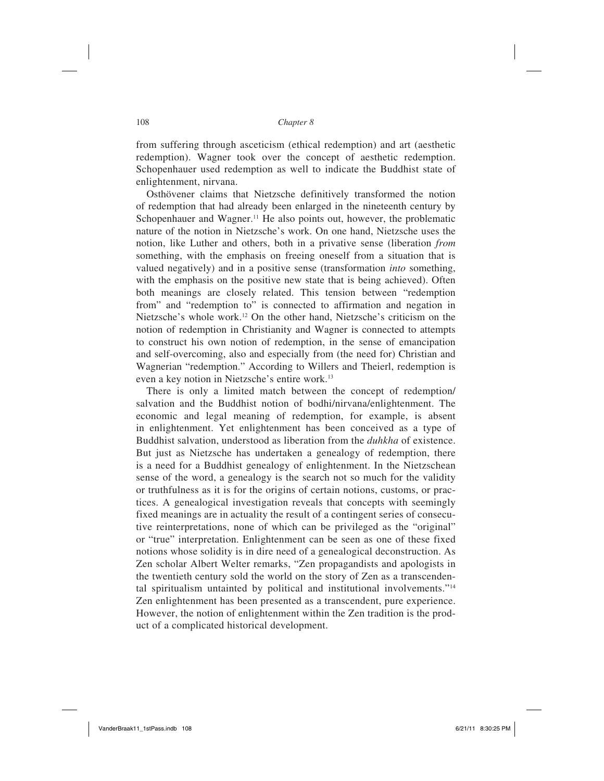from suffering through asceticism (ethical redemption) and art (aesthetic redemption). Wagner took over the concept of aesthetic redemption. Schopenhauer used redemption as well to indicate the Buddhist state of enlightenment, nirvana.

Osthövener claims that Nietzsche definitively transformed the notion of redemption that had already been enlarged in the nineteenth century by Schopenhauer and Wagner.<sup>11</sup> He also points out, however, the problematic nature of the notion in Nietzsche's work. On one hand, Nietzsche uses the notion, like Luther and others, both in a privative sense (liberation *from* something, with the emphasis on freeing oneself from a situation that is valued negatively) and in a positive sense (transformation *into* something, with the emphasis on the positive new state that is being achieved). Often both meanings are closely related. This tension between "redemption from" and "redemption to" is connected to affirmation and negation in Nietzsche's whole work.<sup>12</sup> On the other hand, Nietzsche's criticism on the notion of redemption in Christianity and Wagner is connected to attempts to construct his own notion of redemption, in the sense of emancipation and self-overcoming, also and especially from (the need for) Christian and Wagnerian "redemption." According to Willers and Theierl, redemption is even a key notion in Nietzsche's entire work.<sup>13</sup>

There is only a limited match between the concept of redemption/ salvation and the Buddhist notion of bodhi/nirvana/enlightenment. The economic and legal meaning of redemption, for example, is absent in enlightenment. Yet enlightenment has been conceived as a type of Buddhist salvation, understood as liberation from the *duhkha* of existence. But just as Nietzsche has undertaken a genealogy of redemption, there is a need for a Buddhist genealogy of enlightenment. In the Nietzschean sense of the word, a genealogy is the search not so much for the validity or truthfulness as it is for the origins of certain notions, customs, or practices. A genealogical investigation reveals that concepts with seemingly fixed meanings are in actuality the result of a contingent series of consecutive reinterpretations, none of which can be privileged as the "original" or "true" interpretation. Enlightenment can be seen as one of these fixed notions whose solidity is in dire need of a genealogical deconstruction. As Zen scholar Albert Welter remarks, "Zen propagandists and apologists in the twentieth century sold the world on the story of Zen as a transcendental spiritualism untainted by political and institutional involvements."<sup>14</sup> Zen enlightenment has been presented as a transcendent, pure experience. However, the notion of enlightenment within the Zen tradition is the product of a complicated historical development.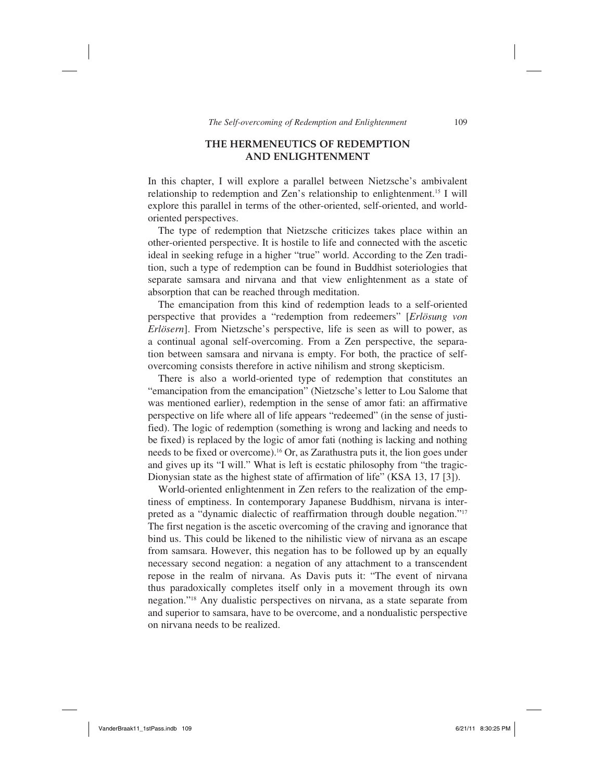# **THE HERMENEUTICS OF REDEMPTION AND ENLIGHTENMENT**

In this chapter, I will explore a parallel between Nietzsche's ambivalent relationship to redemption and Zen's relationship to enlightenment.<sup>15</sup> I will explore this parallel in terms of the other-oriented, self-oriented, and worldoriented perspectives.

The type of redemption that Nietzsche criticizes takes place within an other-oriented perspective. It is hostile to life and connected with the ascetic ideal in seeking refuge in a higher "true" world. According to the Zen tradition, such a type of redemption can be found in Buddhist soteriologies that separate samsara and nirvana and that view enlightenment as a state of absorption that can be reached through meditation.

The emancipation from this kind of redemption leads to a self-oriented perspective that provides a "redemption from redeemers" [*Erlösung von Erlösern*]. From Nietzsche's perspective, life is seen as will to power, as a continual agonal self-overcoming. From a Zen perspective, the separation between samsara and nirvana is empty. For both, the practice of self overcoming consists therefore in active nihilism and strong skepticism.

There is also a world-oriented type of redemption that constitutes an "emancipation from the emancipation" (Nietzsche's letter to Lou Salome that was mentioned earlier), redemption in the sense of amor fati: an affirmative perspective on life where all of life appears "redeemed" (in the sense of justified). The logic of redemption (something is wrong and lacking and needs to be fixed) is replaced by the logic of amor fati (nothing is lacking and nothing needs to be fixed or overcome).<sup>16</sup> Or, as Zarathustra puts it, the lion goes under and gives up its "I will." What is left is ecstatic philosophy from "the tragic-Dionysian state as the highest state of affirmation of life" (KSA 13, 17 [3]).

World-oriented enlightenment in Zen refers to the realization of the emptiness of emptiness. In contemporary Japanese Buddhism, nirvana is interpreted as a "dynamic dialectic of reaffirmation through double negation."<sup>17</sup> The first negation is the ascetic overcoming of the craving and ignorance that bind us. This could be likened to the nihilistic view of nirvana as an escape from samsara. However, this negation has to be followed up by an equally necessary second negation: a negation of any attachment to a transcendent repose in the realm of nirvana. As Davis puts it: "The event of nirvana thus paradoxically completes itself only in a movement through its own negation."<sup>18</sup> Any dualistic perspectives on nirvana, as a state separate from and superior to samsara, have to be overcome, and a nondualistic perspective on nirvana needs to be realized.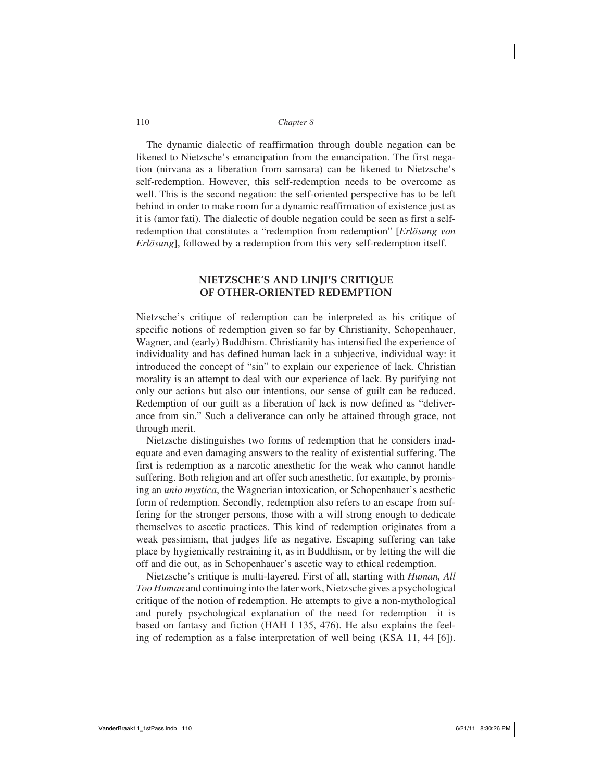The dynamic dialectic of reaffirmation through double negation can be likened to Nietzsche's emancipation from the emancipation. The first negation (nirvana as a liberation from samsara) can be likened to Nietzsche's self-redemption. However, this self-redemption needs to be overcome as well. This is the second negation: the self-oriented perspective has to be left behind in order to make room for a dynamic reaffirmation of existence just as it is (amor fati). The dialectic of double negation could be seen as first a selfredemption that constitutes a "redemption from redemption" [*Erlösung von Erlösung*], followed by a redemption from this very self-redemption itself.

# **NIETZSCHE´S AND LINJI'S CRITIQUE OF OTHER-ORIENTED REDEMPTION**

Nietzsche's critique of redemption can be interpreted as his critique of specific notions of redemption given so far by Christianity, Schopenhauer, Wagner, and (early) Buddhism. Christianity has intensified the experience of individuality and has defined human lack in a subjective, individual way: it introduced the concept of "sin" to explain our experience of lack. Christian morality is an attempt to deal with our experience of lack. By purifying not only our actions but also our intentions, our sense of guilt can be reduced. Redemption of our guilt as a liberation of lack is now defined as "deliverance from sin." Such a deliverance can only be attained through grace, not through merit.

Nietzsche distinguishes two forms of redemption that he considers inadequate and even damaging answers to the reality of existential suffering. The first is redemption as a narcotic anesthetic for the weak who cannot handle suffering. Both religion and art offer such anesthetic, for example, by promising an *unio mystica*, the Wagnerian intoxication, or Schopenhauer's aesthetic form of redemption. Secondly, redemption also refers to an escape from suffering for the stronger persons, those with a will strong enough to dedicate themselves to ascetic practices. This kind of redemption originates from a weak pessimism, that judges life as negative. Escaping suffering can take place by hygienically restraining it, as in Buddhism, or by letting the will die off and die out, as in Schopenhauer's ascetic way to ethical redemption.

Nietzsche's critique is multi-layered. First of all, starting with *Human, All Too Human* and continuing into the later work, Nietzsche gives a psychological critique of the notion of redemption. He attempts to give a non-mythological and purely psychological explanation of the need for redemption—it is based on fantasy and fiction (HAH I 135, 476). He also explains the feeling of redemption as a false interpretation of well being (KSA 11, 44 [6]).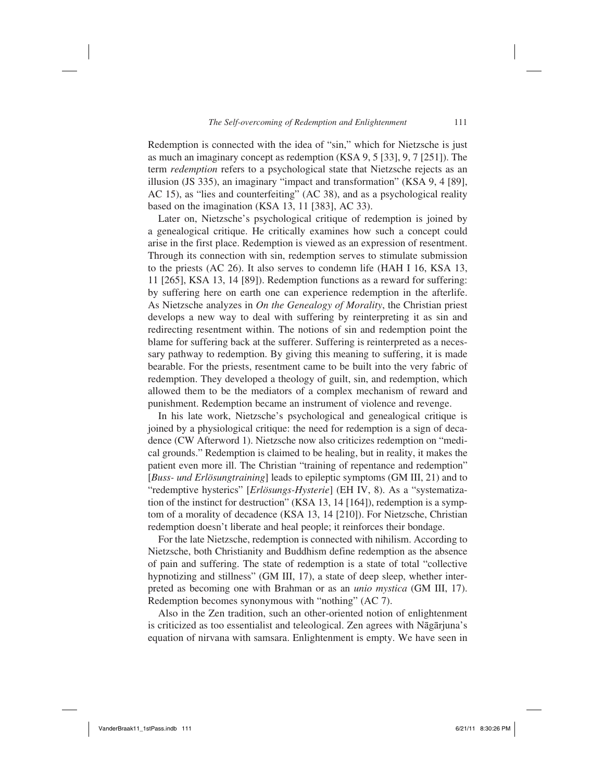Redemption is connected with the idea of "sin," which for Nietzsche is just as much an imaginary concept as redemption (KSA 9, 5 [33], 9, 7 [251]). The term *redemption* refers to a psychological state that Nietzsche rejects as an illusion (JS 335), an imaginary "impact and transformation" (KSA 9, 4 [89], AC 15), as "lies and counterfeiting" (AC 38), and as a psychological reality based on the imagination (KSA 13, 11 [383], AC 33).

Later on, Nietzsche's psychological critique of redemption is joined by a genealogical critique. He critically examines how such a concept could arise in the first place. Redemption is viewed as an expression of resentment. Through its connection with sin, redemption serves to stimulate submission to the priests (AC 26). It also serves to condemn life (HAH I 16, KSA 13, 11 [265], KSA 13, 14 [89]). Redemption functions as a reward for suffering: by suffering here on earth one can experience redemption in the afterlife. As Nietzsche analyzes in *On the Genealogy of Morality*, the Christian priest develops a new way to deal with suffering by reinterpreting it as sin and redirecting resentment within. The notions of sin and redemption point the blame for suffering back at the sufferer. Suffering is reinterpreted as a necessary pathway to redemption. By giving this meaning to suffering, it is made bearable. For the priests, resentment came to be built into the very fabric of redemption. They developed a theology of guilt, sin, and redemption, which allowed them to be the mediators of a complex mechanism of reward and punishment. Redemption became an instrument of violence and revenge.

In his late work, Nietzsche's psychological and genealogical critique is joined by a physiological critique: the need for redemption is a sign of decadence (CW Afterword 1). Nietzsche now also criticizes redemption on "medical grounds." Redemption is claimed to be healing, but in reality, it makes the patient even more ill. The Christian "training of repentance and redemption" [*Buss- und Erlösungtraining*] leads to epileptic symptoms (GM III, 21) and to "redemptive hysterics" [*Erlösungs-Hysterie*] (EH IV, 8). As a "systematization of the instinct for destruction" (KSA 13, 14 [164]), redemption is a symptom of a morality of decadence (KSA 13, 14 [210]). For Nietzsche, Christian redemption doesn't liberate and heal people; it reinforces their bondage.

For the late Nietzsche, redemption is connected with nihilism. According to Nietzsche, both Christianity and Buddhism define redemption as the absence of pain and suffering. The state of redemption is a state of total "collective hypnotizing and stillness" (GM III, 17), a state of deep sleep, whether interpreted as becoming one with Brahman or as an *unio mystica* (GM III, 17). Redemption becomes synonymous with "nothing" (AC 7).

Also in the Zen tradition, such an other-oriented notion of enlightenment is criticized as too essentialist and teleological. Zen agrees with Nāgārjuna's equation of nirvana with samsara. Enlightenment is empty. We have seen in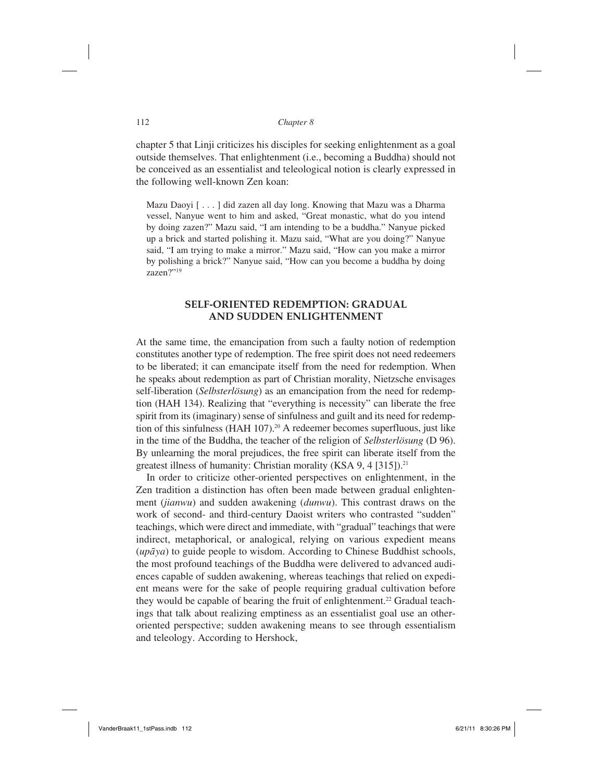chapter 5 that Linji criticizes his disciples for seeking enlightenment as a goal outside themselves. That enlightenment (i.e., becoming a Buddha) should not be conceived as an essentialist and teleological notion is clearly expressed in the following well-known Zen koan:

Mazu Daoyi [ . . . ] did zazen all day long. Knowing that Mazu was a Dharma vessel, Nanyue went to him and asked, "Great monastic, what do you intend by doing zazen?" Mazu said, "I am intending to be a buddha." Nanyue picked up a brick and started polishing it. Mazu said, "What are you doing?" Nanyue said, "I am trying to make a mirror." Mazu said, "How can you make a mirror by polishing a brick?" Nanyue said, "How can you become a buddha by doing zazen?"<sup>19</sup>

# **SELF-ORIENTED REDEMPTION: GRADUAL AND SUDDEN ENLIGHTENMENT**

At the same time, the emancipation from such a faulty notion of redemption constitutes another type of redemption. The free spirit does not need redeemers to be liberated; it can emancipate itself from the need for redemption. When he speaks about redemption as part of Christian morality, Nietzsche envisages self-liberation (*Selbsterlösung*) as an emancipation from the need for redemption (HAH 134). Realizing that "everything is necessity" can liberate the free spirit from its (imaginary) sense of sinfulness and guilt and its need for redemption of this sinfulness (HAH 107).<sup>20</sup> A redeemer becomes superfluous, just like in the time of the Buddha, the teacher of the religion of *Selbsterlösung* (D 96). By unlearning the moral prejudices, the free spirit can liberate itself from the greatest illness of humanity: Christian morality (KSA  $9, 4$  [315]).<sup>21</sup>

In order to criticize other-oriented perspectives on enlightenment, in the Zen tradition a distinction has often been made between gradual enlightenment (*jianwu*) and sudden awakening (*dunwu*). This contrast draws on the work of second- and third-century Daoist writers who contrasted "sudden" teachings, which were direct and immediate, with "gradual" teachings that were indirect, metaphorical, or analogical, relying on various expedient means (*upāya*) to guide people to wisdom. According to Chinese Buddhist schools, the most profound teachings of the Buddha were delivered to advanced audiences capable of sudden awakening, whereas teachings that relied on expedient means were for the sake of people requiring gradual cultivation before they would be capable of bearing the fruit of enlightenment.<sup>22</sup> Gradual teachings that talk about realizing emptiness as an essentialist goal use an otheroriented perspective; sudden awakening means to see through essentialism and teleology. According to Hershock,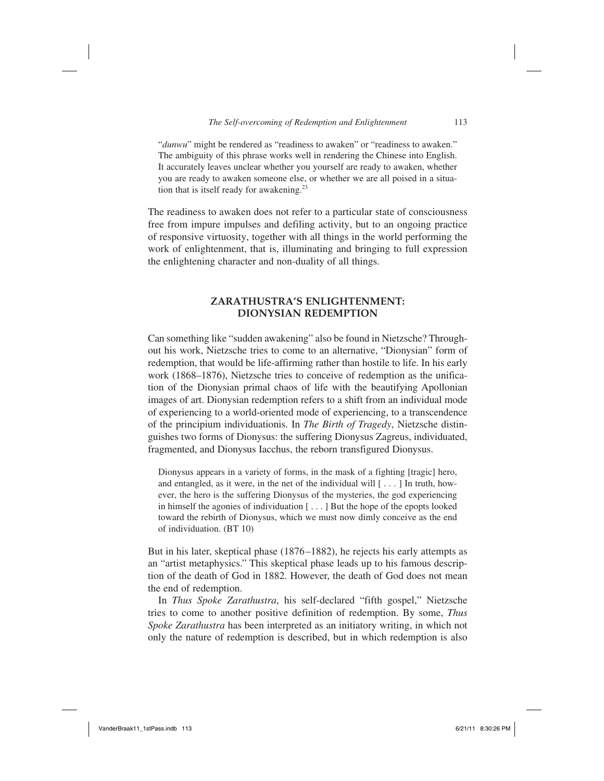"*dunwu*" might be rendered as "readiness to awaken" or "readiness to awaken." The ambiguity of this phrase works well in rendering the Chinese into English. It accurately leaves unclear whether you yourself are ready to awaken, whether you are ready to awaken someone else, or whether we are all poised in a situation that is itself ready for awakening.<sup>23</sup>

The readiness to awaken does not refer to a particular state of consciousness free from impure impulses and defiling activity, but to an ongoing practice of responsive virtuosity, together with all things in the world performing the work of enlightenment, that is, illuminating and bringing to full expression the enlightening character and non-duality of all things.

# **ZARATHUSTRA'S ENLIGHTENMENT: DIONYSIAN REDEMPTION**

Can something like "sudden awakening" also be found in Nietzsche? Throughout his work, Nietzsche tries to come to an alternative, "Dionysian" form of redemption, that would be life-affirming rather than hostile to life. In his early work (1868–1876), Nietzsche tries to conceive of redemption as the unification of the Dionysian primal chaos of life with the beautifying Apollonian images of art. Dionysian redemption refers to a shift from an individual mode of experiencing to a world-oriented mode of experiencing, to a transcendence of the principium individuationis. In *The Birth of Tragedy*, Nietzsche distinguishes two forms of Dionysus: the suffering Dionysus Zagreus, individuated, fragmented, and Dionysus Iacchus, the reborn transfigured Dionysus.

Dionysus appears in a variety of forms, in the mask of a fighting [tragic] hero, and entangled, as it were, in the net of the individual will [ . . . ] In truth, however, the hero is the suffering Dionysus of the mysteries, the god experiencing in himself the agonies of individuation [ . . . ] But the hope of the epopts looked toward the rebirth of Dionysus, which we must now dimly conceive as the end of individuation. (BT 10)

But in his later, skeptical phase (1876–1882), he rejects his early attempts as an "artist metaphysics." This skeptical phase leads up to his famous description of the death of God in 1882. However, the death of God does not mean the end of redemption.

In *Thus Spoke Zarathustra*, his self-declared "fifth gospel," Nietzsche tries to come to another positive definition of redemption. By some, *Thus Spoke Zarathustra* has been interpreted as an initiatory writing, in which not only the nature of redemption is described, but in which redemption is also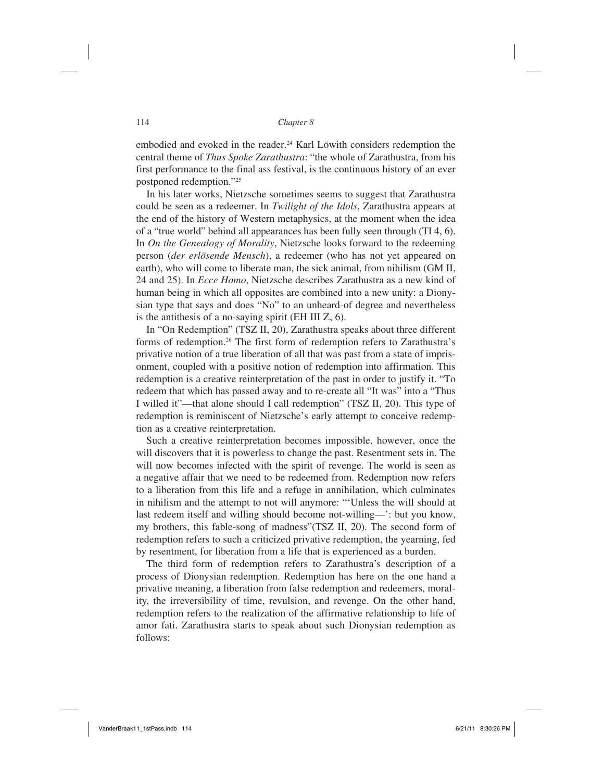embodied and evoked in the reader.<sup>24</sup> Karl Löwith considers redemption the central theme of *Thus Spoke Zarathustra*: "the whole of Zarathustra, from his first performance to the final ass festival, is the continuous history of an ever postponed redemption."<sup>25</sup>

In his later works, Nietzsche sometimes seems to suggest that Zarathustra could be seen as a redeemer. In *Twilight of the Idols*, Zarathustra appears at the end of the history of Western metaphysics, at the moment when the idea of a "true world" behind all appearances has been fully seen through (TI 4, 6). In *On the Genealogy of Morality*, Nietzsche looks forward to the redeeming person (*der erlösende Mensch*), a redeemer (who has not yet appeared on earth), who will come to liberate man, the sick animal, from nihilism (GM II, 24 and 25). In *Ecce Homo*, Nietzsche describes Zarathustra as a new kind of human being in which all opposites are combined into a new unity: a Dionysian type that says and does "No" to an unheard-of degree and nevertheless is the antithesis of a no-saying spirit (EH III Z, 6).

In "On Redemption" (TSZ II, 20), Zarathustra speaks about three different forms of redemption.<sup>26</sup> The first form of redemption refers to Zarathustra's privative notion of a true liberation of all that was past from a state of imprisonment, coupled with a positive notion of redemption into affirmation. This redemption is a creative reinterpretation of the past in order to justify it. "To redeem that which has passed away and to re-create all "It was" into a "Thus I willed it"—that alone should I call redemption" (TSZ II, 20). This type of redemption is reminiscent of Nietzsche's early attempt to conceive redemption as a creative reinterpretation.

Such a creative reinterpretation becomes impossible, however, once the will discovers that it is powerless to change the past. Resentment sets in. The will now becomes infected with the spirit of revenge. The world is seen as a negative affair that we need to be redeemed from. Redemption now refers to a liberation from this life and a refuge in annihilation, which culminates in nihilism and the attempt to not will anymore: "'Unless the will should at last redeem itself and willing should become not-willing—': but you know, my brothers, this fable-song of madness"(TSZ II, 20). The second form of redemption refers to such a criticized privative redemption, the yearning, fed by resentment, for liberation from a life that is experienced as a burden.

The third form of redemption refers to Zarathustra's description of a process of Dionysian redemption. Redemption has here on the one hand a privative meaning, a liberation from false redemption and redeemers, morality, the irreversibility of time, revulsion, and revenge. On the other hand, redemption refers to the realization of the affirmative relationship to life of amor fati. Zarathustra starts to speak about such Dionysian redemption as follows: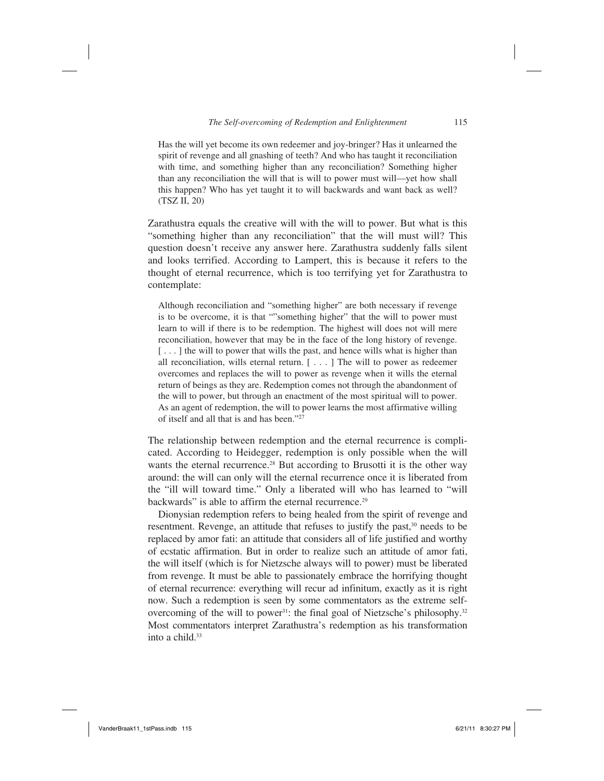Has the will yet become its own redeemer and joy-bringer? Has it unlearned the spirit of revenge and all gnashing of teeth? And who has taught it reconciliation with time, and something higher than any reconciliation? Something higher than any reconciliation the will that is will to power must will—yet how shall this happen? Who has yet taught it to will backwards and want back as well? (TSZ II, 20)

Zarathustra equals the creative will with the will to power. But what is this "something higher than any reconciliation" that the will must will? This question doesn't receive any answer here. Zarathustra suddenly falls silent and looks terrified. According to Lampert, this is because it refers to the thought of eternal recurrence, which is too terrifying yet for Zarathustra to contemplate:

Although reconciliation and "something higher" are both necessary if revenge is to be overcome, it is that ""something higher" that the will to power must learn to will if there is to be redemption. The highest will does not will mere reconciliation, however that may be in the face of the long history of revenge. [...] the will to power that wills the past, and hence wills what is higher than all reconciliation, wills eternal return. [ . . . ] The will to power as redeemer overcomes and replaces the will to power as revenge when it wills the eternal return of beings as they are. Redemption comes not through the abandonment of the will to power, but through an enactment of the most spiritual will to power. As an agent of redemption, the will to power learns the most affirmative willing of itself and all that is and has been."<sup>27</sup>

The relationship between redemption and the eternal recurrence is complicated. According to Heidegger, redemption is only possible when the will wants the eternal recurrence.<sup>28</sup> But according to Brusotti it is the other way around: the will can only will the eternal recurrence once it is liberated from the "ill will toward time." Only a liberated will who has learned to "will backwards" is able to affirm the eternal recurrence.<sup>29</sup>

Dionysian redemption refers to being healed from the spirit of revenge and resentment. Revenge, an attitude that refuses to justify the past,<sup>30</sup> needs to be replaced by amor fati: an attitude that considers all of life justified and worthy of ecstatic affirmation. But in order to realize such an attitude of amor fati, the will itself (which is for Nietzsche always will to power) must be liberated from revenge. It must be able to passionately embrace the horrifying thought of eternal recurrence: everything will recur ad infinitum, exactly as it is right now. Such a redemption is seen by some commentators as the extreme selfovercoming of the will to power<sup>31</sup>: the final goal of Nietzsche's philosophy.<sup>32</sup> Most commentators interpret Zarathustra's redemption as his transformation into a child.<sup>33</sup>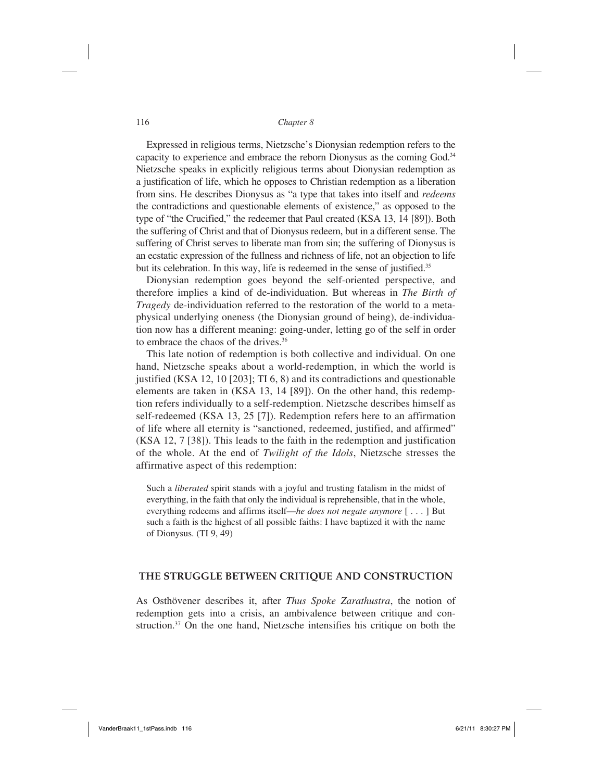Expressed in religious terms, Nietzsche's Dionysian redemption refers to the capacity to experience and embrace the reborn Dionysus as the coming God.<sup>34</sup> Nietzsche speaks in explicitly religious terms about Dionysian redemption as a justification of life, which he opposes to Christian redemption as a liberation from sins. He describes Dionysus as "a type that takes into itself and *redeems* the contradictions and questionable elements of existence," as opposed to the type of "the Crucified," the redeemer that Paul created (KSA 13, 14 [89]). Both the suffering of Christ and that of Dionysus redeem, but in a different sense. The suffering of Christ serves to liberate man from sin; the suffering of Dionysus is an ecstatic expression of the fullness and richness of life, not an objection to life but its celebration. In this way, life is redeemed in the sense of justified.<sup>35</sup>

Dionysian redemption goes beyond the self-oriented perspective, and therefore implies a kind of de-individuation. But whereas in *The Birth of Tragedy* de-individuation referred to the restoration of the world to a metaphysical underlying oneness (the Dionysian ground of being), de-individuation now has a different meaning: going-under, letting go of the self in order to embrace the chaos of the drives.<sup>36</sup>

This late notion of redemption is both collective and individual. On one hand, Nietzsche speaks about a world-redemption, in which the world is justified (KSA 12, 10 [203]; TI 6, 8) and its contradictions and questionable elements are taken in (KSA 13, 14 [89]). On the other hand, this redemption refers individually to a self-redemption. Nietzsche describes himself as self-redeemed (KSA 13, 25 [7]). Redemption refers here to an affirmation of life where all eternity is "sanctioned, redeemed, justified, and affirmed" (KSA 12, 7 [38]). This leads to the faith in the redemption and justification of the whole. At the end of *Twilight of the Idols*, Nietzsche stresses the affirmative aspect of this redemption:

Such a *liberated* spirit stands with a joyful and trusting fatalism in the midst of everything, in the faith that only the individual is reprehensible, that in the whole, everything redeems and affirms itself—*he does not negate anymore* [ . . . ] But such a faith is the highest of all possible faiths: I have baptized it with the name of Dionysus. (TI 9, 49)

# **THE STRUGGLE BETWEEN CRITIQUE AND CONSTRUCTION**

As Osthövener describes it, after *Thus Spoke Zarathustra*, the notion of redemption gets into a crisis, an ambivalence between critique and construction. $37$  On the one hand, Nietzsche intensifies his critique on both the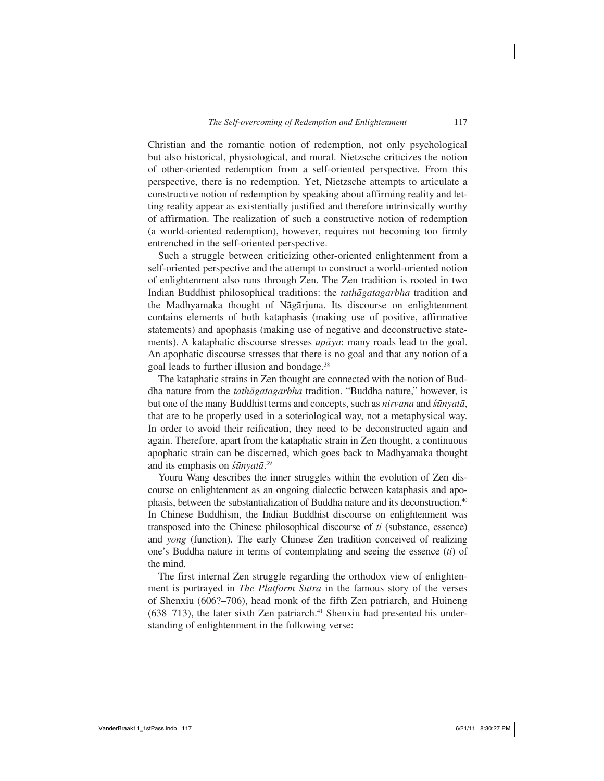Christian and the romantic notion of redemption, not only psychological but also historical, physiological, and moral. Nietzsche criticizes the notion of other-oriented redemption from a self-oriented perspective. From this perspective, there is no redemption. Yet, Nietzsche attempts to articulate a constructive notion of redemption by speaking about affirming reality and letting reality appear as existentially justified and therefore intrinsically worthy of affirmation. The realization of such a constructive notion of redemption (a world-oriented redemption), however, requires not becoming too firmly entrenched in the self-oriented perspective.

Such a struggle between criticizing other-oriented enlightenment from a self-oriented perspective and the attempt to construct a world-oriented notion of enlightenment also runs through Zen. The Zen tradition is rooted in two Indian Buddhist philosophical traditions: the *tathāgatagarbha* tradition and the Madhyamaka thought of Nāgārjuna. Its discourse on enlightenment contains elements of both kataphasis (making use of positive, affirmative statements) and apophasis (making use of negative and deconstructive statements). A kataphatic discourse stresses *upāya*: many roads lead to the goal. An apophatic discourse stresses that there is no goal and that any notion of a goal leads to further illusion and bondage.<sup>38</sup>

The kataphatic strains in Zen thought are connected with the notion of Buddha nature from the *tathāgatagarbha* tradition. "Buddha nature," however, is but one of the many Buddhist terms and concepts, such as *nirvana* and *śūnyatā*, that are to be properly used in a soteriological way, not a metaphysical way. In order to avoid their reification, they need to be deconstructed again and again. Therefore, apart from the kataphatic strain in Zen thought, a continuous apophatic strain can be discerned, which goes back to Madhyamaka thought and its emphasis on *śūnyatā*. 39

Youru Wang describes the inner struggles within the evolution of Zen discourse on enlightenment as an ongoing dialectic between kataphasis and apophasis, between the substantialization of Buddha nature and its deconstruction.<sup>40</sup> In Chinese Buddhism, the Indian Buddhist discourse on enlightenment was transposed into the Chinese philosophical discourse of *ti* (substance, essence) and *yong* (function). The early Chinese Zen tradition conceived of realizing one's Buddha nature in terms of contemplating and seeing the essence (*ti*) of the mind.

The first internal Zen struggle regarding the orthodox view of enlightenment is portrayed in *The Platform Sutra* in the famous story of the verses of Shenxiu (606?–706), head monk of the fifth Zen patriarch, and Huineng  $(638-713)$ , the later sixth Zen patriarch.<sup>41</sup> Shenxiu had presented his understanding of enlightenment in the following verse: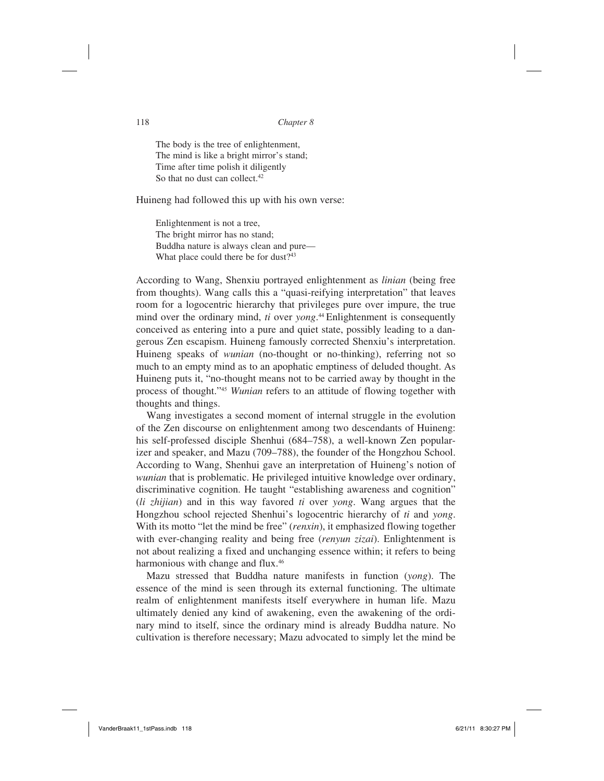The body is the tree of enlightenment, The mind is like a bright mirror's stand; Time after time polish it diligently So that no dust can collect.<sup>42</sup>

Huineng had followed this up with his own verse:

Enlightenment is not a tree, The bright mirror has no stand; Buddha nature is always clean and pure— What place could there be for dust?<sup>43</sup>

According to Wang, Shenxiu portrayed enlightenment as *linian* (being free from thoughts). Wang calls this a "quasi-reifying interpretation" that leaves room for a logocentric hierarchy that privileges pure over impure, the true mind over the ordinary mind, *ti* over *yong*. <sup>44</sup>Enlightenment is consequently conceived as entering into a pure and quiet state, possibly leading to a dangerous Zen escapism. Huineng famously corrected Shenxiu's interpretation. Huineng speaks of *wunian* (no-thought or no-thinking), referring not so much to an empty mind as to an apophatic emptiness of deluded thought. As Huineng puts it, "no-thought means not to be carried away by thought in the process of thought."<sup>45</sup> *Wunian* refers to an attitude of flowing together with thoughts and things.

Wang investigates a second moment of internal struggle in the evolution of the Zen discourse on enlightenment among two descendants of Huineng: his self-professed disciple Shenhui (684–758), a well-known Zen popularizer and speaker, and Mazu (709–788), the founder of the Hongzhou School. According to Wang, Shenhui gave an interpretation of Huineng's notion of *wunian* that is problematic. He privileged intuitive knowledge over ordinary, discriminative cognition. He taught "establishing awareness and cognition" (*li zhijian*) and in this way favored *ti* over *yong*. Wang argues that the Hongzhou school rejected Shenhui's logocentric hierarchy of *ti* and *yong*. With its motto "let the mind be free" (*renxin*), it emphasized flowing together with ever-changing reality and being free (*renyun zizai*). Enlightenment is not about realizing a fixed and unchanging essence within; it refers to being harmonious with change and flux.<sup>46</sup>

Mazu stressed that Buddha nature manifests in function (*yong*). The essence of the mind is seen through its external functioning. The ultimate realm of enlightenment manifests itself everywhere in human life. Mazu ultimately denied any kind of awakening, even the awakening of the ordinary mind to itself, since the ordinary mind is already Buddha nature. No cultivation is therefore necessary; Mazu advocated to simply let the mind be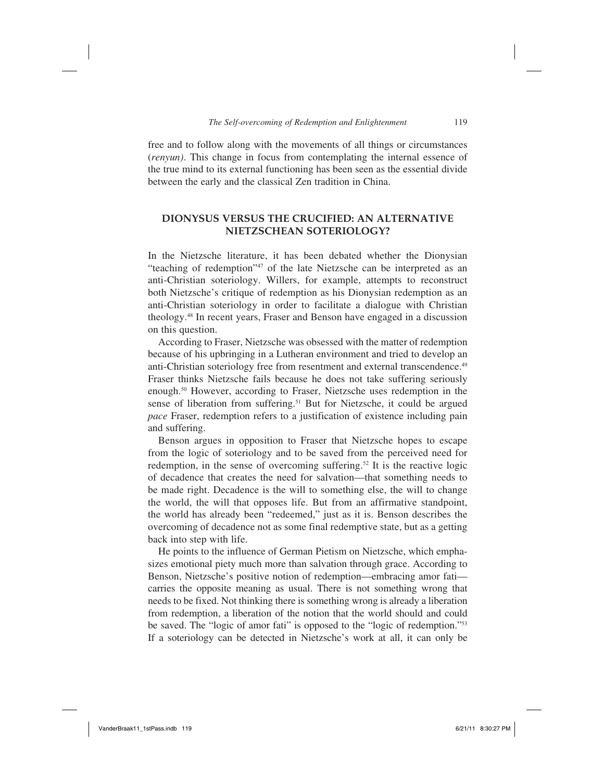free and to follow along with the movements of all things or circumstances (*renyun)*. This change in focus from contemplating the internal essence of the true mind to its external functioning has been seen as the essential divide between the early and the classical Zen tradition in China.

# **DIONYSUS VERSUS THE CRUCIFIED: AN ALTERNATIVE NIETZSCHEAN SOTERIOLOGY?**

In the Nietzsche literature, it has been debated whether the Dionysian "teaching of redemption"<sup>47</sup> of the late Nietzsche can be interpreted as an anti-Christian soteriology. Willers, for example, attempts to reconstruct both Nietzsche's critique of redemption as his Dionysian redemption as an anti-Christian soteriology in order to facilitate a dialogue with Christian theology.<sup>48</sup> In recent years, Fraser and Benson have engaged in a discussion on this question.

According to Fraser, Nietzsche was obsessed with the matter of redemption because of his upbringing in a Lutheran environment and tried to develop an anti-Christian soteriology free from resentment and external transcendence.<sup>49</sup> Fraser thinks Nietzsche fails because he does not take suffering seriously enough.<sup>50</sup> However, according to Fraser, Nietzsche uses redemption in the sense of liberation from suffering.<sup>51</sup> But for Nietzsche, it could be argued *pace* Fraser, redemption refers to a justification of existence including pain and suffering.

Benson argues in opposition to Fraser that Nietzsche hopes to escape from the logic of soteriology and to be saved from the perceived need for redemption, in the sense of overcoming suffering.<sup>52</sup> It is the reactive logic of decadence that creates the need for salvation—that something needs to be made right. Decadence is the will to something else, the will to change the world, the will that opposes life. But from an affirmative standpoint, the world has already been "redeemed," just as it is. Benson describes the overcoming of decadence not as some final redemptive state, but as a getting back into step with life.

He points to the influence of German Pietism on Nietzsche, which emphasizes emotional piety much more than salvation through grace. According to Benson, Nietzsche's positive notion of redemption—embracing amor fati carries the opposite meaning as usual. There is not something wrong that needs to be fixed. Not thinking there is something wrong is already a liberation from redemption, a liberation of the notion that the world should and could be saved. The "logic of amor fati" is opposed to the "logic of redemption."<sup>53</sup> If a soteriology can be detected in Nietzsche's work at all, it can only be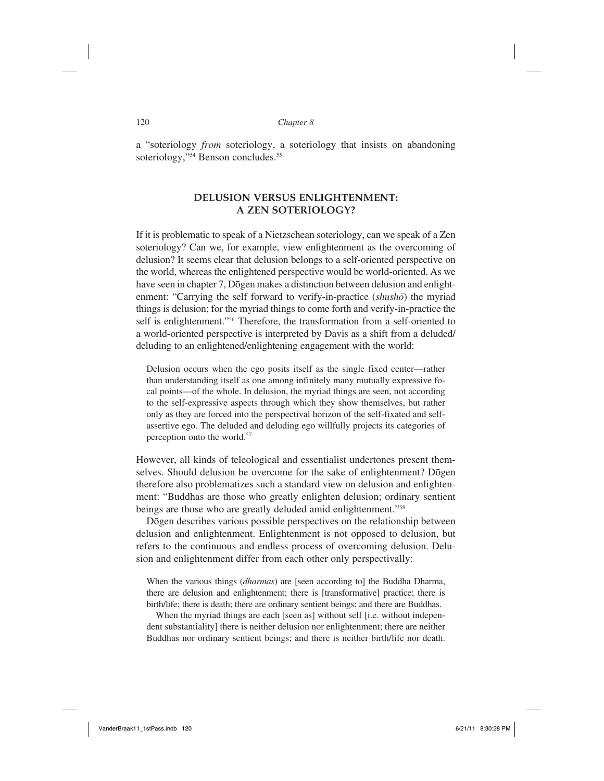a "soteriology *from* soteriology, a soteriology that insists on abandoning soteriology,"<sup>54</sup> Benson concludes.<sup>55</sup>

# **DELUSION VERSUS ENLIGHTENMENT: A ZEN SOTERIOLOGY?**

If it is problematic to speak of a Nietzschean soteriology, can we speak of a Zen soteriology? Can we, for example, view enlightenment as the overcoming of delusion? It seems clear that delusion belongs to a self-oriented perspective on the world, whereas the enlightened perspective would be world-oriented. As we have seen in chapter 7, Dōgen makes a distinction between delusion and enlightenment: "Carrying the self forward to verify-in-practice (*shushō*) the myriad things is delusion; for the myriad things to come forth and verify-in-practice the self is enlightenment."<sup>56</sup> Therefore, the transformation from a self-oriented to a world-oriented perspective is interpreted by Davis as a shift from a deluded/ deluding to an enlightened/enlightening engagement with the world:

Delusion occurs when the ego posits itself as the single fixed center—rather than understanding itself as one among infinitely many mutually expressive focal points—of the whole. In delusion, the myriad things are seen, not according to the self-expressive aspects through which they show themselves, but rather only as they are forced into the perspectival horizon of the self-fixated and selfassertive ego. The deluded and deluding ego willfully projects its categories of perception onto the world.<sup>57</sup>

However, all kinds of teleological and essentialist undertones present themselves. Should delusion be overcome for the sake of enlightenment? Dōgen therefore also problematizes such a standard view on delusion and enlightenment: "Buddhas are those who greatly enlighten delusion; ordinary sentient beings are those who are greatly deluded amid enlightenment."<sup>58</sup>

Dōgen describes various possible perspectives on the relationship between delusion and enlightenment. Enlightenment is not opposed to delusion, but refers to the continuous and endless process of overcoming delusion. Delusion and enlightenment differ from each other only perspectivally:

When the various things (*dharmas*) are [seen according to] the Buddha Dharma, there are delusion and enlightenment; there is [transformative] practice; there is birth/life; there is death; there are ordinary sentient beings; and there are Buddhas.

When the myriad things are each [seen as] without self [i.e. without independent substantiality] there is neither delusion nor enlightenment; there are neither Buddhas nor ordinary sentient beings; and there is neither birth/life nor death.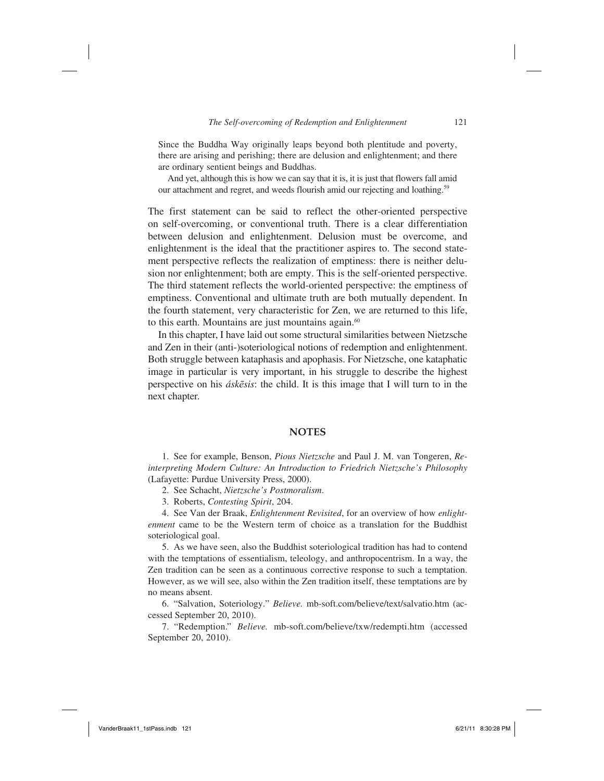Since the Buddha Way originally leaps beyond both plentitude and poverty, there are arising and perishing; there are delusion and enlightenment; and there are ordinary sentient beings and Buddhas.

And yet, although this is how we can say that it is, it is just that flowers fall amid our attachment and regret, and weeds flourish amid our rejecting and loathing.<sup>59</sup>

The first statement can be said to reflect the other-oriented perspective on self-overcoming, or conventional truth. There is a clear differentiation between delusion and enlightenment. Delusion must be overcome, and enlightenment is the ideal that the practitioner aspires to. The second statement perspective reflects the realization of emptiness: there is neither delusion nor enlightenment; both are empty. This is the self-oriented perspective. The third statement reflects the world-oriented perspective: the emptiness of emptiness. Conventional and ultimate truth are both mutually dependent. In the fourth statement, very characteristic for Zen, we are returned to this life, to this earth. Mountains are just mountains again. $60$ 

In this chapter, I have laid out some structural similarities between Nietzsche and Zen in their (anti-)soteriological notions of redemption and enlightenment. Both struggle between kataphasis and apophasis. For Nietzsche, one kataphatic image in particular is very important, in his struggle to describe the highest perspective on his *áskēsis*: the child. It is this image that I will turn to in the next chapter.

### **NOTES**

 1. See for example, Benson, *Pious Nietzsche* and Paul J. M. van Tongeren, *Reinterpreting Modern Culture: An Introduction to Friedrich Nietzsche's Philosophy* (Lafayette: Purdue University Press, 2000).

2. See Schacht, *Nietzsche's Postmoralism*.

3. Roberts, *Contesting Spirit*, 204.

 4. See Van der Braak, *Enlightenment Revisited*, for an overview of how *enlightenment* came to be the Western term of choice as a translation for the Buddhist soteriological goal.

 5. As we have seen, also the Buddhist soteriological tradition has had to contend with the temptations of essentialism, teleology, and anthropocentrism. In a way, the Zen tradition can be seen as a continuous corrective response to such a temptation. However, as we will see, also within the Zen tradition itself, these temptations are by no means absent.

 6. "Salvation, Soteriology." *Believe.* mb-soft.com/believe/text/salvatio.htm (accessed September 20, 2010).

 7. "Redemption." *Believe.* mb-soft.com/believe/txw/redempti.htm (accessed September 20, 2010).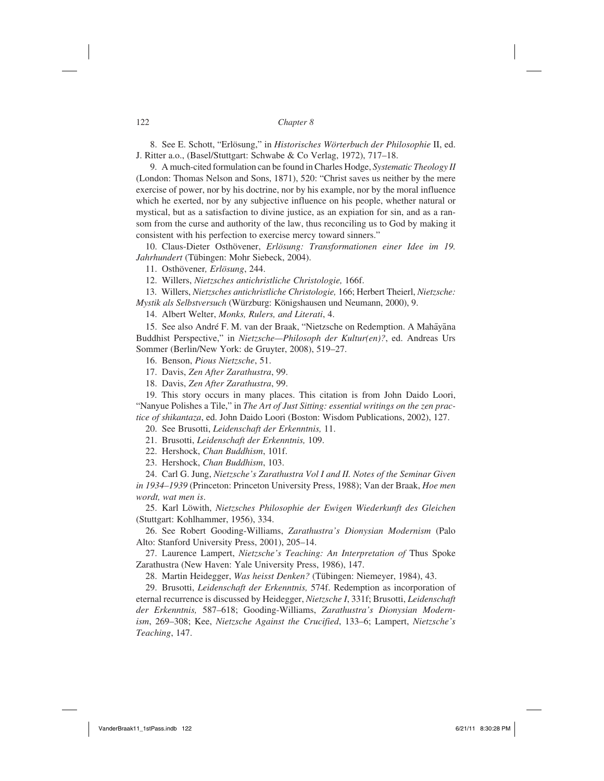8. See E. Schott, "Erlösung," in *Historisches Wörterbuch der Philosophie* II, ed. J. Ritter a.o., (Basel/Stuttgart: Schwabe & Co Verlag, 1972), 717–18.

 9. A much-cited formulation can be found in Charles Hodge, *Systematic Theology II* (London: Thomas Nelson and Sons, 1871), 520: "Christ saves us neither by the mere exercise of power, nor by his doctrine, nor by his example, nor by the moral influence which he exerted, nor by any subjective influence on his people, whether natural or mystical, but as a satisfaction to divine justice, as an expiation for sin, and as a ransom from the curse and authority of the law, thus reconciling us to God by making it consistent with his perfection to exercise mercy toward sinners."

10. Claus-Dieter Osthövener, *Erlösung: Transformationen einer Idee im 19. Jahrhundert* (Tübingen: Mohr Siebeck, 2004).

11. Osthövener*, Erlösung*, 244.

12. Willers, *Nietzsches antichristliche Christologie,* 166f.

13. Willers, *Nietzsches antichristliche Christologie,* 166; Herbert Theierl, *Nietzsche: Mystik als Selbstversuch* (Würzburg: Königshausen und Neumann, 2000), 9.

14. Albert Welter, *Monks, Rulers, and Literati*, 4.

15. See also André F. M. van der Braak, "Nietzsche on Redemption. A Mahāyāna Buddhist Perspective," in *Nietzsche—Philosoph der Kultur(en)?*, ed. Andreas Urs Sommer (Berlin/New York: de Gruyter, 2008), 519–27.

16. Benson, *Pious Nietzsche*, 51.

17. Davis, *Zen After Zarathustra*, 99.

18. Davis, *Zen After Zarathustra*, 99.

19. This story occurs in many places. This citation is from John Daido Loori, "Nanyue Polishes a Tile," in *The Art of Just Sitting: essential writings on the zen practice of shikantaza*, ed. John Daido Loori (Boston: Wisdom Publications, 2002), 127.

20. See Brusotti, *Leidenschaft der Erkenntnis,* 11.

21. Brusotti, *Leidenschaft der Erkenntnis,* 109.

22. Hershock, *Chan Buddhism*, 101f.

23. Hershock, *Chan Buddhism*, 103.

24. Carl G. Jung, *Nietzsche's Zarathustra Vol I and II. Notes of the Seminar Given in 1934–1939* (Princeton: Princeton University Press, 1988); Van der Braak, *Hoe men wordt, wat men is*.

25. Karl Löwith, *Nietzsches Philosophie der Ewigen Wiederkunft des Gleichen* (Stuttgart: Kohlhammer, 1956), 334.

26. See Robert Gooding-Williams, *Zarathustra's Dionysian Modernism* (Palo Alto: Stanford University Press, 2001), 205–14.

27. Laurence Lampert, *Nietzsche's Teaching: An Interpretation of* Thus Spoke Zarathustra (New Haven: Yale University Press, 1986), 147.

28. Martin Heidegger, *Was heisst Denken?* (Tübingen: Niemeyer, 1984), 43.

29. Brusotti, *Leidenschaft der Erkenntnis,* 574f. Redemption as incorporation of eternal recurrence is discussed by Heidegger, *Nietzsche I*, 331f; Brusotti, *Leidenschaft der Erkenntnis,* 587–618; Gooding-Williams, *Zarathustra's Dionysian Modernism*, 269–308; Kee, *Nietzsche Against the Crucified*, 133–6; Lampert, *Nietzsche's Teaching*, 147.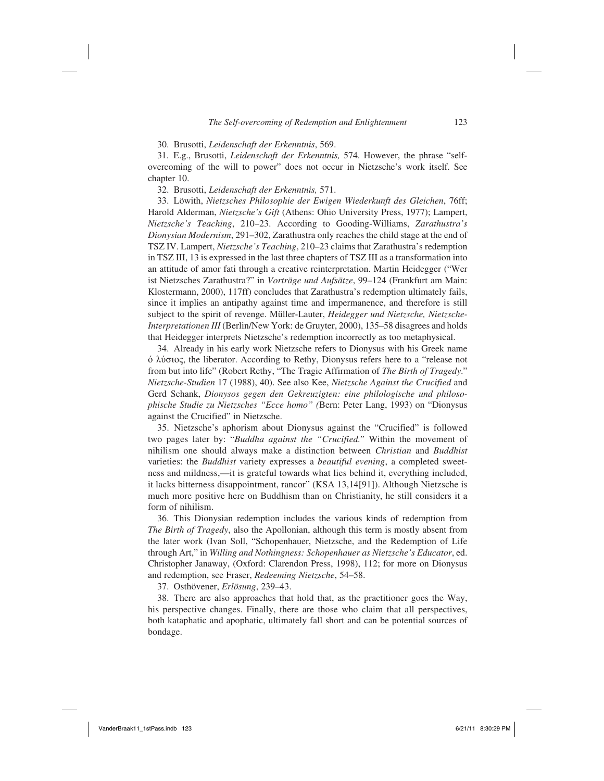#### 30. Brusotti, *Leidenschaft der Erkenntnis*, 569.

31. E.g., Brusotti, *Leidenschaft der Erkenntnis,* 574. However, the phrase "selfovercoming of the will to power" does not occur in Nietzsche's work itself. See chapter 10.

32. Brusotti, *Leidenschaft der Erkenntnis,* 571.

33. Löwith, *Nietzsches Philosophie der Ewigen Wiederkunft des Gleichen*, 76ff; Harold Alderman, *Nietzsche's Gift* (Athens: Ohio University Press, 1977); Lampert, *Nietzsche's Teaching*, 210–23. According to Gooding-Williams, *Zarathustra's Dionysian Modernism*, 291–302, Zarathustra only reaches the child stage at the end of TSZ IV. Lampert, *Nietzsche's Teaching*, 210–23 claims that Zarathustra's redemption in TSZ III, 13 is expressed in the last three chapters of TSZ III as a transformation into an attitude of amor fati through a creative reinterpretation. Martin Heidegger ("Wer ist Nietzsches Zarathustra?" in *Vorträge und Aufsätze*, 99–124 (Frankfurt am Main: Klostermann, 2000), 117ff) concludes that Zarathustra's redemption ultimately fails, since it implies an antipathy against time and impermanence, and therefore is still subject to the spirit of revenge. Müller-Lauter, *Heidegger und Nietzsche, Nietzsche-Interpretationen III* (Berlin/New York: de Gruyter, 2000), 135–58 disagrees and holds that Heidegger interprets Nietzsche's redemption incorrectly as too metaphysical.

34. Already in his early work Nietzsche refers to Dionysus with his Greek name ó λύσιος, the liberator. According to Rethy, Dionysus refers here to a "release not from but into life" (Robert Rethy, "The Tragic Affirmation of *The Birth of Tragedy*." *Nietzsche-Studien* 17 (1988), 40). See also Kee, *Nietzsche Against the Crucified* and Gerd Schank, *Dionysos gegen den Gekreuzigten: eine philologische und philosophische Studie zu Nietzsches "Ecce homo" (*Bern: Peter Lang, 1993) on "Dionysus against the Crucified" in Nietzsche.

35. Nietzsche's aphorism about Dionysus against the "Crucified" is followed two pages later by: "*Buddha against the "Crucified."* Within the movement of nihilism one should always make a distinction between *Christian* and *Buddhist* varieties: the *Buddhist* variety expresses a *beautiful evening*, a completed sweetness and mildness,—it is grateful towards what lies behind it, everything included, it lacks bitterness disappointment, rancor" (KSA 13,14[91]). Although Nietzsche is much more positive here on Buddhism than on Christianity, he still considers it a form of nihilism.

36. This Dionysian redemption includes the various kinds of redemption from *The Birth of Tragedy*, also the Apollonian, although this term is mostly absent from the later work (Ivan Soll, "Schopenhauer, Nietzsche, and the Redemption of Life through Art," in *Willing and Nothingness: Schopenhauer as Nietzsche's Educator*, ed. Christopher Janaway, (Oxford: Clarendon Press, 1998), 112; for more on Dionysus and redemption, see Fraser, *Redeeming Nietzsche*, 54–58.

37. Osthövener, *Erlösung*, 239–43.

38. There are also approaches that hold that, as the practitioner goes the Way, his perspective changes. Finally, there are those who claim that all perspectives, both kataphatic and apophatic, ultimately fall short and can be potential sources of bondage.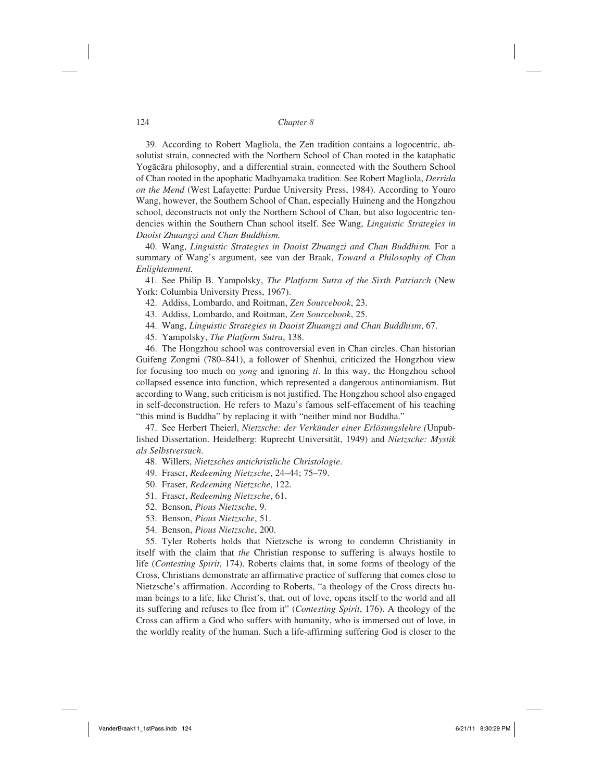39. According to Robert Magliola, the Zen tradition contains a logocentric, absolutist strain, connected with the Northern School of Chan rooted in the kataphatic Yogācāra philosophy, and a differential strain, connected with the Southern School of Chan rooted in the apophatic Madhyamaka tradition. See Robert Magliola, *Derrida on the Mend* (West Lafayette: Purdue University Press, 1984). According to Youro Wang, however, the Southern School of Chan, especially Huineng and the Hongzhou school, deconstructs not only the Northern School of Chan, but also logocentric tendencies within the Southern Chan school itself. See Wang, *Linguistic Strategies in Daoist Zhuangzi and Chan Buddhism.*

40. Wang, *Linguistic Strategies in Daoist Zhuangzi and Chan Buddhism.* For a summary of Wang's argument, see van der Braak, *Toward a Philosophy of Chan Enlightenment.*

41. See Philip B. Yampolsky, *The Platform Sutra of the Sixth Patriarch* (New York: Columbia University Press, 1967).

42. Addiss, Lombardo, and Roitman, *Zen Sourcebook*, 23.

43. Addiss, Lombardo, and Roitman, *Zen Sourcebook*, 25.

44. Wang, *Linguistic Strategies in Daoist Zhuangzi and Chan Buddhism*, 67.

45. Yampolsky, *The Platform Sutra*, 138.

46. The Hongzhou school was controversial even in Chan circles. Chan historian Guifeng Zongmi (780–841), a follower of Shenhui, criticized the Hongzhou view for focusing too much on *yong* and ignoring *ti*. In this way, the Hongzhou school collapsed essence into function, which represented a dangerous antinomianism. But according to Wang, such criticism is not justified. The Hongzhou school also engaged in self-deconstruction. He refers to Mazu's famous self-effacement of his teaching "this mind is Buddha" by replacing it with "neither mind nor Buddha."

47. See Herbert Theierl, *Nietzsche: der Verkünder einer Erlösungslehre (*Unpublished Dissertation. Heidelberg: Ruprecht Universität, 1949) and *Nietzsche: Mystik als Selbstversuch*.

48. Willers, *Nietzsches antichristliche Christologie*.

49. Fraser, *Redeeming Nietzsche*, 24–44; 75–79.

50. Fraser, *Redeeming Nietzsche*, 122.

51. Fraser, *Redeeming Nietzsche*, 61.

52. Benson, *Pious Nietzsche*, 9.

53. Benson, *Pious Nietzsche*, 51.

54. Benson, *Pious Nietzsche*, 200.

55. Tyler Roberts holds that Nietzsche is wrong to condemn Christianity in itself with the claim that *the* Christian response to suffering is always hostile to life (*Contesting Spirit*, 174). Roberts claims that, in some forms of theology of the Cross, Christians demonstrate an affirmative practice of suffering that comes close to Nietzsche's affirmation. According to Roberts, "a theology of the Cross directs human beings to a life, like Christ's, that, out of love, opens itself to the world and all its suffering and refuses to flee from it" (*Contesting Spirit*, 176). A theology of the Cross can affirm a God who suffers with humanity, who is immersed out of love, in the worldly reality of the human. Such a life-affirming suffering God is closer to the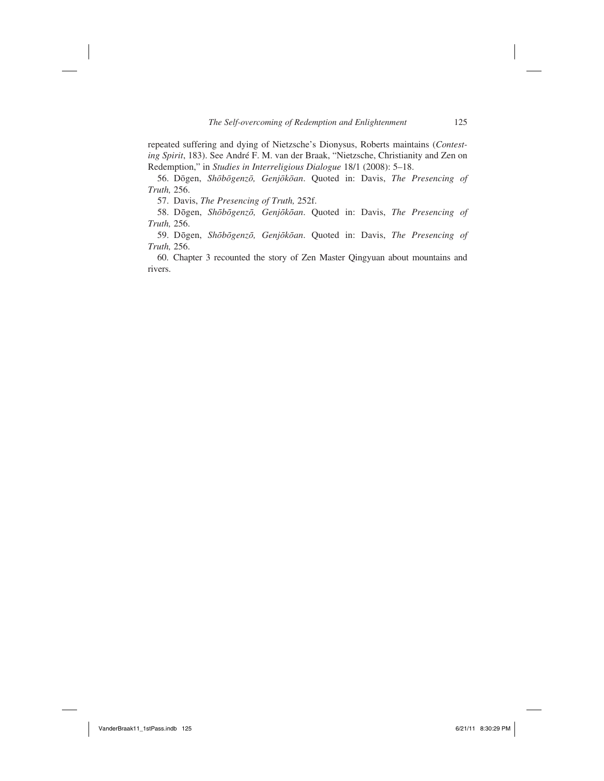repeated suffering and dying of Nietzsche's Dionysus, Roberts maintains (*Contesting Spirit*, 183). See André F. M. van der Braak, "Nietzsche, Christianity and Zen on Redemption," in *Studies in Interreligious Dialogue* 18/1 (2008): 5–18.

56. Dōgen, Shōbōgenzō, Genjōkōan. Quoted in: Davis, The Presencing of *Truth,* 256.

57. Davis, *The Presencing of Truth,* 252f.

58. Dōgen, *Shōbōgenzō, Genjōkōan*. Quoted in: Davis, *The Presencing of Truth,* 256.

59. Dōgen, *Shōbōgenzō, Genjōkōan*. Quoted in: Davis, *The Presencing of Truth,* 256.

60. Chapter 3 recounted the story of Zen Master Qingyuan about mountains and rivers.

VanderBraak11\_1stPass.indb 125 anderBraak11\_1stPass.indb 6/21/11 8:30:29 PM /21/11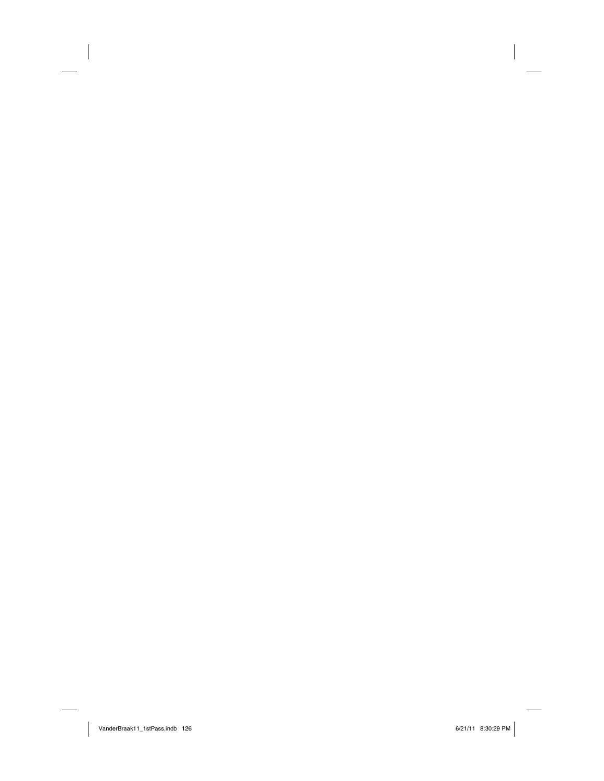VanderBraak11\_1stPass.indb 126 and the state of the state of the state of the state of  $6/21/11$  8:30:29 PM  $\big|$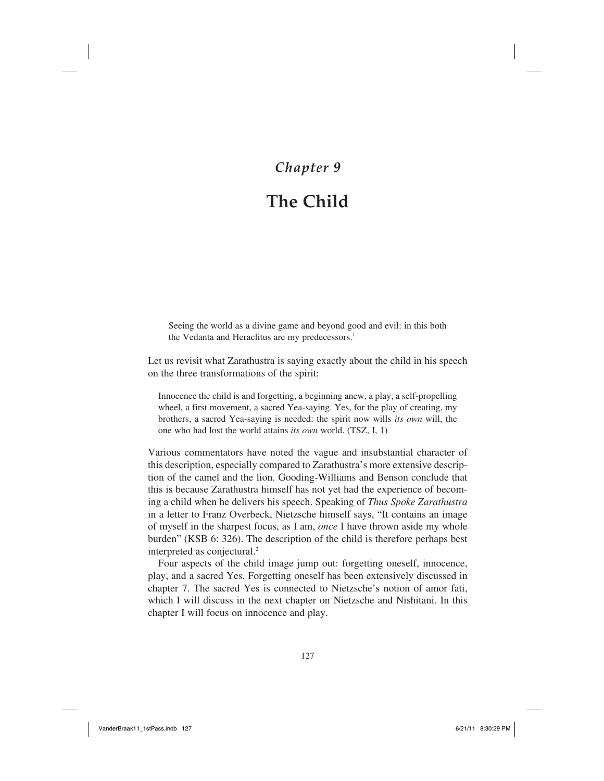# **The Child**

Seeing the world as a divine game and beyond good and evil: in this both the Vedanta and Heraclitus are my predecessors.<sup>1</sup>

Let us revisit what Zarathustra is saying exactly about the child in his speech on the three transformations of the spirit:

Innocence the child is and forgetting, a beginning anew, a play, a self-propelling wheel, a first movement, a sacred Yea-saying. Yes, for the play of creating, my brothers, a sacred Yea-saying is needed: the spirit now wills *its own* will, the one who had lost the world attains *its own* world. (TSZ, I, 1)

Various commentators have noted the vague and insubstantial character of this description, especially compared to Zarathustra's more extensive description of the camel and the lion. Gooding-Williams and Benson conclude that this is because Zarathustra himself has not yet had the experience of becoming a child when he delivers his speech. Speaking of *Thus Spoke Zarathustra*  in a letter to Franz Overbeck, Nietzsche himself says, "It contains an image of myself in the sharpest focus, as I am, *once* I have thrown aside my whole burden" (KSB 6: 326). The description of the child is therefore perhaps best interpreted as conjectural.<sup>2</sup>

Four aspects of the child image jump out: forgetting oneself, innocence, play, and a sacred Yes. Forgetting oneself has been extensively discussed in chapter 7. The sacred Yes is connected to Nietzsche's notion of amor fati, which I will discuss in the next chapter on Nietzsche and Nishitani. In this chapter I will focus on innocence and play.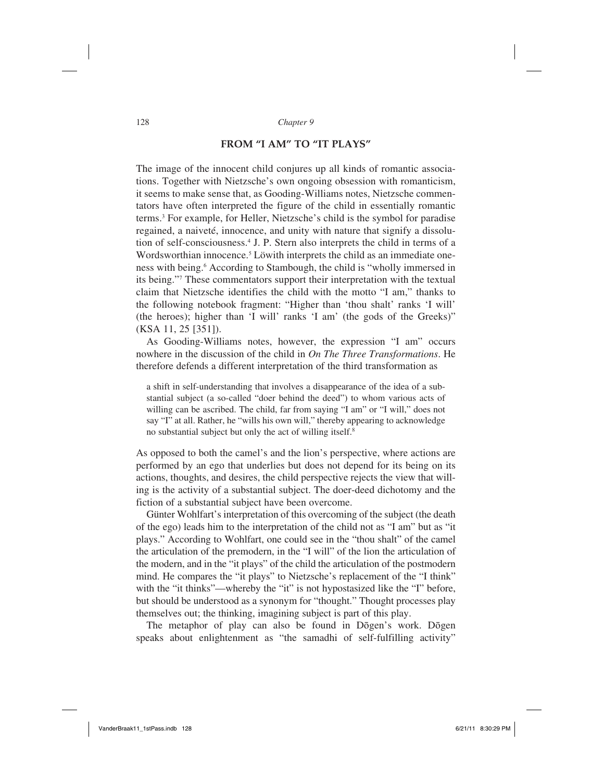## **FROM "I AM" TO "IT PLAYS"**

The image of the innocent child conjures up all kinds of romantic associations. Together with Nietzsche's own ongoing obsession with romanticism, it seems to make sense that, as Gooding-Williams notes, Nietzsche commentators have often interpreted the figure of the child in essentially romantic terms.<sup>3</sup> For example, for Heller, Nietzsche's child is the symbol for paradise regained, a naiveté, innocence, and unity with nature that signify a dissolution of self-consciousness.<sup>4</sup> J. P. Stern also interprets the child in terms of a Wordsworthian innocence.<sup>5</sup> Löwith interprets the child as an immediate oneness with being.<sup>6</sup> According to Stambough, the child is "wholly immersed in its being."<sup>7</sup> These commentators support their interpretation with the textual claim that Nietzsche identifies the child with the motto "I am," thanks to the following notebook fragment: "Higher than 'thou shalt' ranks 'I will' (the heroes); higher than 'I will' ranks 'I am' (the gods of the Greeks)" (KSA 11, 25 [351]).

As Gooding-Williams notes, however, the expression "I am" occurs nowhere in the discussion of the child in *On The Three Transformations*. He therefore defends a different interpretation of the third transformation as

a shift in self-understanding that involves a disappearance of the idea of a substantial subject (a so-called "doer behind the deed") to whom various acts of willing can be ascribed. The child, far from saying "I am" or "I will," does not say "I" at all. Rather, he "wills his own will," thereby appearing to acknowledge no substantial subject but only the act of willing itself.<sup>8</sup>

As opposed to both the camel's and the lion's perspective, where actions are performed by an ego that underlies but does not depend for its being on its actions, thoughts, and desires, the child perspective rejects the view that willing is the activity of a substantial subject. The doer-deed dichotomy and the fiction of a substantial subject have been overcome.

Günter Wohlfart's interpretation of this overcoming of the subject (the death of the ego) leads him to the interpretation of the child not as "I am" but as "it plays." According to Wohlfart, one could see in the "thou shalt" of the camel the articulation of the premodern, in the "I will" of the lion the articulation of the modern, and in the "it plays" of the child the articulation of the postmodern mind. He compares the "it plays" to Nietzsche's replacement of the "I think" with the "it thinks"—whereby the "it" is not hypostasized like the "I" before, but should be understood as a synonym for "thought." Thought processes play themselves out; the thinking, imagining subject is part of this play.

The metaphor of play can also be found in Dōgen's work. Dōgen speaks about enlightenment as "the samadhi of self-fulfilling activity"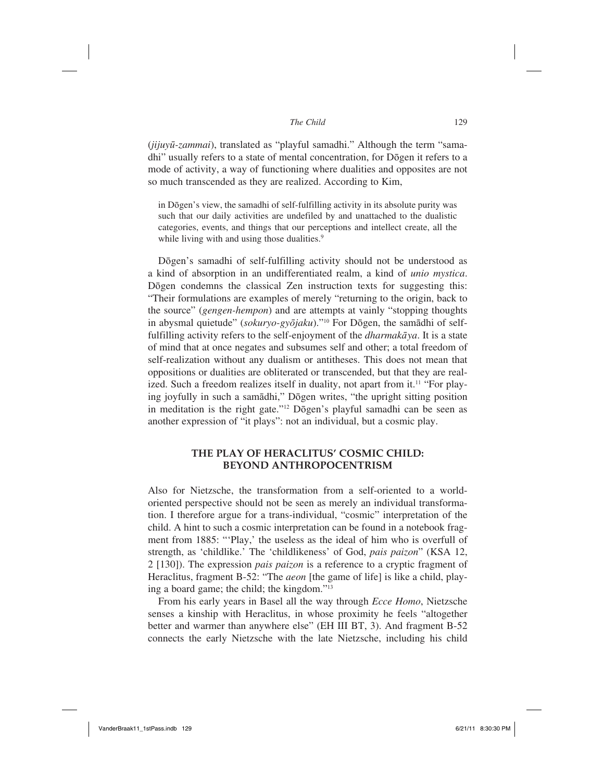### *The Child* 129

 (*jijuyū-zammai*), translated as "playful samadhi." Although the term "samadhi" usually refers to a state of mental concentration, for Dōgen it refers to a mode of activity, a way of functioning where dualities and opposites are not so much transcended as they are realized. According to Kim,

in Dōgen's view, the samadhi of self-fulfilling activity in its absolute purity was such that our daily activities are undefiled by and unattached to the dualistic categories, events, and things that our perceptions and intellect create, all the while living with and using those dualities.<sup>9</sup>

Dōgen's samadhi of self-fulfilling activity should not be understood as a kind of absorption in an undifferentiated realm, a kind of *unio mystica*. Dōgen condemns the classical Zen instruction texts for suggesting this: "Their formulations are examples of merely "returning to the origin, back to the source" (*gengen-hempon*) and are attempts at vainly "stopping thoughts in abysmal quietude" (*sokuryo-gyōjaku*)."10 For Dōgen, the samādhi of selffulfilling activity refers to the self-enjoyment of the *dharmakāya*. It is a state of mind that at once negates and subsumes self and other; a total freedom of self-realization without any dualism or antitheses. This does not mean that oppositions or dualities are obliterated or transcended, but that they are realized. Such a freedom realizes itself in duality, not apart from it.<sup>11</sup> "For playing joyfully in such a samādhi," Dōgen writes, "the upright sitting position in meditation is the right gate."<sup>12</sup> Dōgen's playful samadhi can be seen as another expression of "it plays": not an individual, but a cosmic play.

# **THE PLAY OF HERACLITUS' COSMIC CHILD: BEYOND ANTHROPOCENTRISM**

Also for Nietzsche, the transformation from a self-oriented to a world oriented perspective should not be seen as merely an individual transformation. I therefore argue for a trans-individual, "cosmic" interpretation of the child. A hint to such a cosmic interpretation can be found in a notebook fragment from 1885: "'Play,' the useless as the ideal of him who is overfull of strength, as 'childlike.' The 'childlikeness' of God, *pais paizon*" (KSA 12, 2 [130]). The expression *pais paizon* is a reference to a cryptic fragment of Heraclitus, fragment B-52: "The *aeon* [the game of life] is like a child, playing a board game; the child; the kingdom."<sup>13</sup>

From his early years in Basel all the way through *Ecce Homo*, Nietzsche senses a kinship with Heraclitus, in whose proximity he feels "altogether better and warmer than anywhere else" (EH III BT, 3). And fragment B-52 connects the early Nietzsche with the late Nietzsche, including his child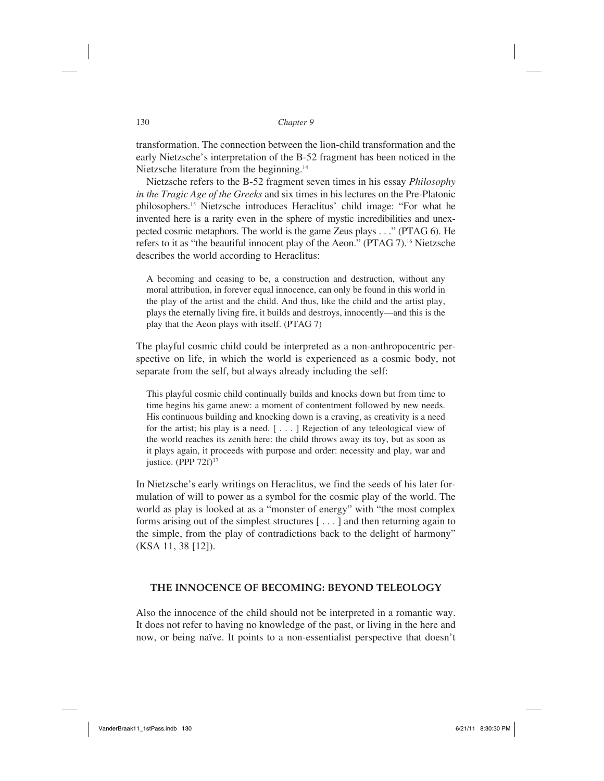transformation. The connection between the lion-child transformation and the early Nietzsche's interpretation of the B-52 fragment has been noticed in the Nietzsche literature from the beginning.<sup>14</sup>

Nietzsche refers to the B-52 fragment seven times in his essay *Philosophy in the Tragic Age of the Greeks* and six times in his lectures on the Pre-Platonic philosophers.<sup>15</sup> Nietzsche introduces Heraclitus' child image: "For what he invented here is a rarity even in the sphere of mystic incredibilities and unexpected cosmic metaphors. The world is the game Zeus plays . . ." (PTAG 6). He refers to it as "the beautiful innocent play of the Aeon." (PTAG 7).<sup>16</sup> Nietzsche describes the world according to Heraclitus:

A becoming and ceasing to be, a construction and destruction, without any moral attribution, in forever equal innocence, can only be found in this world in the play of the artist and the child. And thus, like the child and the artist play, plays the eternally living fire, it builds and destroys, innocently—and this is the play that the Aeon plays with itself. (PTAG 7)

The playful cosmic child could be interpreted as a non-anthropocentric perspective on life, in which the world is experienced as a cosmic body, not separate from the self, but always already including the self:

This playful cosmic child continually builds and knocks down but from time to time begins his game anew: a moment of contentment followed by new needs. His continuous building and knocking down is a craving, as creativity is a need for the artist; his play is a need. [ . . . ] Rejection of any teleological view of the world reaches its zenith here: the child throws away its toy, but as soon as it plays again, it proceeds with purpose and order: necessity and play, war and justice. (PPP  $72f$ )<sup>17</sup>

In Nietzsche's early writings on Heraclitus, we find the seeds of his later formulation of will to power as a symbol for the cosmic play of the world. The world as play is looked at as a "monster of energy" with "the most complex forms arising out of the simplest structures [ . . . ] and then returning again to the simple, from the play of contradictions back to the delight of harmony" (KSA 11, 38 [12]).

## **THE INNOCENCE OF BECOMING: BEYOND TELEOLOGY**

Also the innocence of the child should not be interpreted in a romantic way. It does not refer to having no knowledge of the past, or living in the here and now, or being naïve. It points to a non-essentialist perspective that doesn't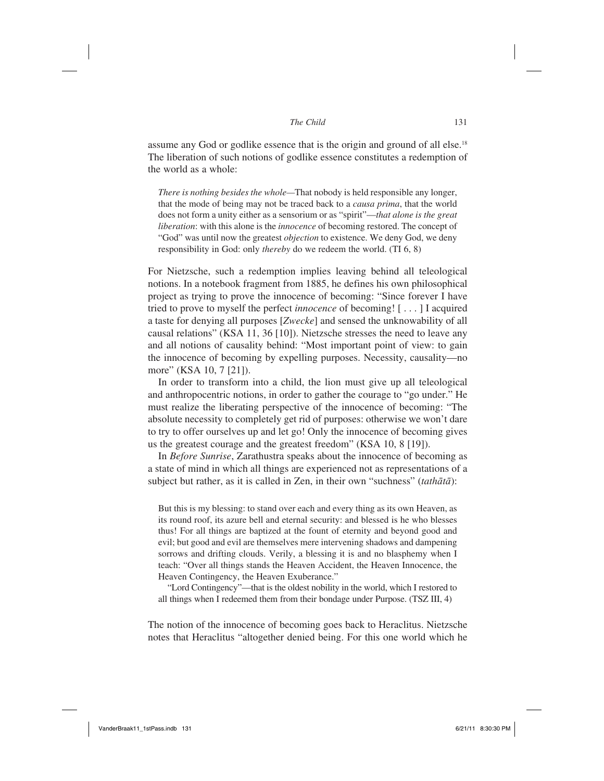#### *The Child* 131

assume any God or godlike essence that is the origin and ground of all else.<sup>18</sup> The liberation of such notions of godlike essence constitutes a redemption of the world as a whole:

*There is nothing besides the whole—That nobody is held responsible any longer,* that the mode of being may not be traced back to a *causa prima*, that the world does not form a unity either as a sensorium or as "spirit"—*that alone is the great liberation*: with this alone is the *innocence* of becoming restored. The concept of "God" was until now the greatest *objection* to existence. We deny God, we deny responsibility in God: only *thereby* do we redeem the world. (TI 6, 8)

For Nietzsche, such a redemption implies leaving behind all teleological notions. In a notebook fragment from 1885, he defines his own philosophical project as trying to prove the innocence of becoming: "Since forever I have tried to prove to myself the perfect *innocence* of becoming! [ . . . ] I acquired a taste for denying all purposes [*Zwecke*] and sensed the unknowability of all causal relations" (KSA 11, 36 [10]). Nietzsche stresses the need to leave any and all notions of causality behind: "Most important point of view: to gain the innocence of becoming by expelling purposes. Necessity, causality—no more" (KSA 10, 7 [21]).

In order to transform into a child, the lion must give up all teleological and anthropocentric notions, in order to gather the courage to "go under." He must realize the liberating perspective of the innocence of becoming: "The absolute necessity to completely get rid of purposes: otherwise we won't dare to try to offer ourselves up and let go! Only the innocence of becoming gives us the greatest courage and the greatest freedom" (KSA 10, 8 [19]).

In *Before Sunrise*, Zarathustra speaks about the innocence of becoming as a state of mind in which all things are experienced not as representations of a subject but rather, as it is called in Zen, in their own "suchness" (*tathātā*):

But this is my blessing: to stand over each and every thing as its own Heaven, as its round roof, its azure bell and eternal security: and blessed is he who blesses thus! For all things are baptized at the fount of eternity and beyond good and evil; but good and evil are themselves mere intervening shadows and dampening sorrows and drifting clouds. Verily, a blessing it is and no blasphemy when I teach: "Over all things stands the Heaven Accident, the Heaven Innocence, the Heaven Contingency, the Heaven Exuberance."

"Lord Contingency"—that is the oldest nobility in the world, which I restored to all things when I redeemed them from their bondage under Purpose. (TSZ III, 4)

The notion of the innocence of becoming goes back to Heraclitus. Nietzsche notes that Heraclitus "altogether denied being. For this one world which he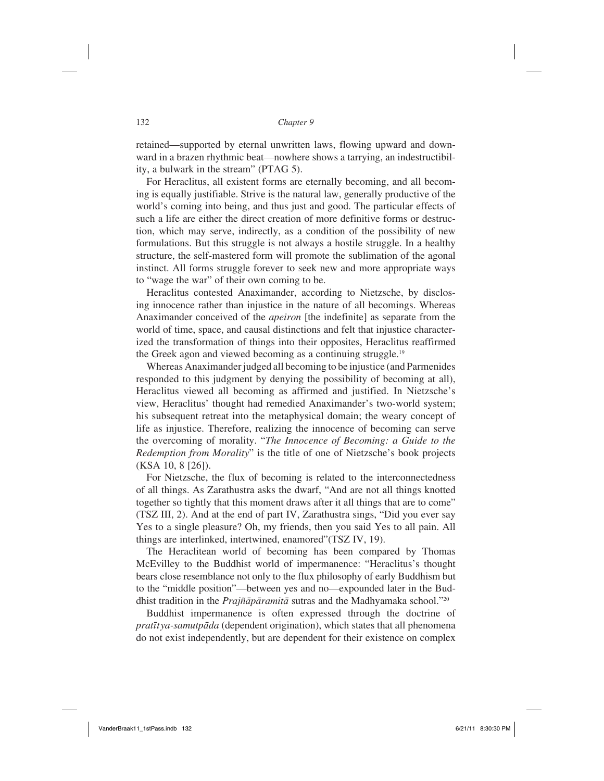retained—supported by eternal unwritten laws, flowing upward and downward in a brazen rhythmic beat—nowhere shows a tarrying, an indestructibility, a bulwark in the stream" (PTAG 5).

For Heraclitus, all existent forms are eternally becoming, and all becoming is equally justifiable. Strive is the natural law, generally productive of the world's coming into being, and thus just and good. The particular effects of such a life are either the direct creation of more definitive forms or destruction, which may serve, indirectly, as a condition of the possibility of new formulations. But this struggle is not always a hostile struggle. In a healthy structure, the self-mastered form will promote the sublimation of the agonal instinct. All forms struggle forever to seek new and more appropriate ways to "wage the war" of their own coming to be.

Heraclitus contested Anaximander, according to Nietzsche, by disclosing innocence rather than injustice in the nature of all becomings. Whereas Anaximander conceived of the *apeiron* [the indefinite] as separate from the world of time, space, and causal distinctions and felt that injustice characterized the transformation of things into their opposites, Heraclitus reaffirmed the Greek agon and viewed becoming as a continuing struggle.<sup>19</sup>

Whereas Anaximander judged all becoming to be injustice (and Parmenides responded to this judgment by denying the possibility of becoming at all), Heraclitus viewed all becoming as affirmed and justified. In Nietzsche's view, Heraclitus' thought had remedied Anaximander's two-world system; his subsequent retreat into the metaphysical domain; the weary concept of life as injustice. Therefore, realizing the innocence of becoming can serve the overcoming of morality. "*The Innocence of Becoming: a Guide to the Redemption from Morality*" is the title of one of Nietzsche's book projects (KSA 10, 8 [26]).

For Nietzsche, the flux of becoming is related to the interconnectedness of all things. As Zarathustra asks the dwarf, "And are not all things knotted together so tightly that this moment draws after it all things that are to come" (TSZ III, 2). And at the end of part IV, Zarathustra sings, "Did you ever say Yes to a single pleasure? Oh, my friends, then you said Yes to all pain. All things are interlinked, intertwined, enamored"(TSZ IV, 19).

The Heraclitean world of becoming has been compared by Thomas McEvilley to the Buddhist world of impermanence: "Heraclitus's thought bears close resemblance not only to the flux philosophy of early Buddhism but to the "middle position"—between yes and no—expounded later in the Buddhist tradition in the *Prajñāpāramitā* sutras and the Madhyamaka school."<sup>20</sup>

Buddhist impermanence is often expressed through the doctrine of *pratītya-samutpāda* (dependent origination), which states that all phenomena do not exist independently, but are dependent for their existence on complex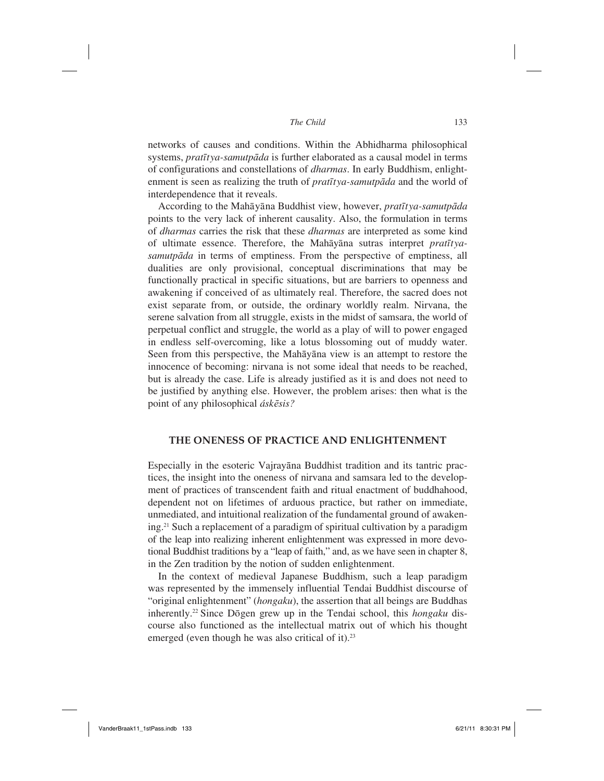*The Child* 133

networks of causes and conditions. Within the Abhidharma philosophical systems, *pratītya-samutpāda* is further elaborated as a causal model in terms of configurations and constellations of *dharmas*. In early Buddhism, enlightenment is seen as realizing the truth of *pratītya-samutpāda* and the world of interdependence that it reveals.

According to the Mahāyāna Buddhist view, however, *pratītya-samutpāda* points to the very lack of inherent causality. Also, the formulation in terms of *dharmas* carries the risk that these *dharmas* are interpreted as some kind of ultimate essence. Therefore, the Mahayana sutras interpret *pratityasamutpāda* in terms of emptiness. From the perspective of emptiness, all dualities are only provisional, conceptual discriminations that may be functionally practical in specific situations, but are barriers to openness and awakening if conceived of as ultimately real. Therefore, the sacred does not exist separate from, or outside, the ordinary worldly realm. Nirvana, the serene salvation from all struggle, exists in the midst of samsara, the world of perpetual conflict and struggle, the world as a play of will to power engaged in endless self-overcoming, like a lotus blossoming out of muddy water. Seen from this perspective, the Mahāyāna view is an attempt to restore the innocence of becoming: nirvana is not some ideal that needs to be reached, but is already the case. Life is already justified as it is and does not need to be justified by anything else. However, the problem arises: then what is the point of any philosophical *áskēsis?*

## **THE ONENESS OF PRACTICE AND ENLIGHTENMENT**

Especially in the esoteric Vajrayāna Buddhist tradition and its tantric practices, the insight into the oneness of nirvana and samsara led to the development of practices of transcendent faith and ritual enactment of buddhahood, dependent not on lifetimes of arduous practice, but rather on immediate, unmediated, and intuitional realization of the fundamental ground of awakening.<sup>21</sup> Such a replacement of a paradigm of spiritual cultivation by a paradigm of the leap into realizing inherent enlightenment was expressed in more devotional Buddhist traditions by a "leap of faith," and, as we have seen in chapter 8, in the Zen tradition by the notion of sudden enlightenment.

In the context of medieval Japanese Buddhism, such a leap paradigm was represented by the immensely influential Tendai Buddhist discourse of "original enlightenment" (*hongaku*), the assertion that all beings are Buddhas inherently.<sup>22</sup> Since Dōgen grew up in the Tendai school, this *hongaku* discourse also functioned as the intellectual matrix out of which his thought emerged (even though he was also critical of it).<sup>23</sup>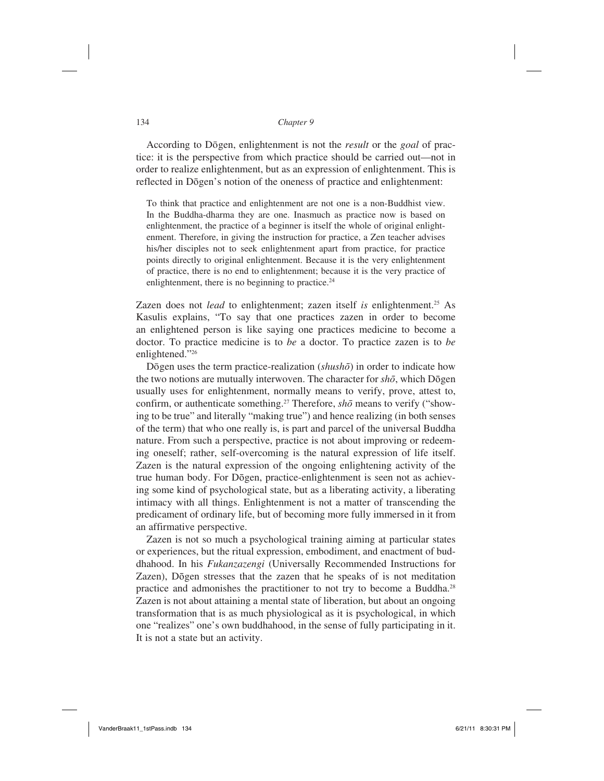According to Dogen, enlightenment is not the *result* or the *goal* of practice: it is the perspective from which practice should be carried out—not in order to realize enlightenment, but as an expression of enlightenment. This is reflected in Dōgen's notion of the oneness of practice and enlightenment:

To think that practice and enlightenment are not one is a non-Buddhist view. In the Buddha-dharma they are one. Inasmuch as practice now is based on enlightenment, the practice of a beginner is itself the whole of original enlightenment. Therefore, in giving the instruction for practice, a Zen teacher advises his/her disciples not to seek enlightenment apart from practice, for practice points directly to original enlightenment. Because it is the very enlightenment of practice, there is no end to enlightenment; because it is the very practice of enlightenment, there is no beginning to practice. $24$ 

Zazen does not *lead* to enlightenment; zazen itself *is* enlightenment.<sup>25</sup> As Kasulis explains, "To say that one practices zazen in order to become an enlightened person is like saying one practices medicine to become a doctor. To practice medicine is to *be* a doctor. To practice zazen is to *be* enlightened."<sup>26</sup>

Do gen uses the term practice-realization ( $\sinh\theta$ ) in order to indicate how the two notions are mutually interwoven. The character for *shō*, which Dōgen usually uses for enlightenment, normally means to verify, prove, attest to, confirm, or authenticate something.27 Therefore, *shō* means to verify ("showing to be true" and literally "making true") and hence realizing (in both senses of the term) that who one really is, is part and parcel of the universal Buddha nature. From such a perspective, practice is not about improving or redeeming oneself; rather, self-overcoming is the natural expression of life itself. Zazen is the natural expression of the ongoing enlightening activity of the true human body. For Dōgen, practice-enlightenment is seen not as achieving some kind of psychological state, but as a liberating activity, a liberating intimacy with all things. Enlightenment is not a matter of transcending the predicament of ordinary life, but of becoming more fully immersed in it from an affirmative perspective.

Zazen is not so much a psychological training aiming at particular states or experiences, but the ritual expression, embodiment, and enactment of buddhahood. In his *Fukanzazengi* (Universally Recommended Instructions for Zazen), Dōgen stresses that the zazen that he speaks of is not meditation practice and admonishes the practitioner to not try to become a Buddha.<sup>28</sup> Zazen is not about attaining a mental state of liberation, but about an ongoing transformation that is as much physiological as it is psychological, in which one "realizes" one's own buddhahood, in the sense of fully participating in it. It is not a state but an activity.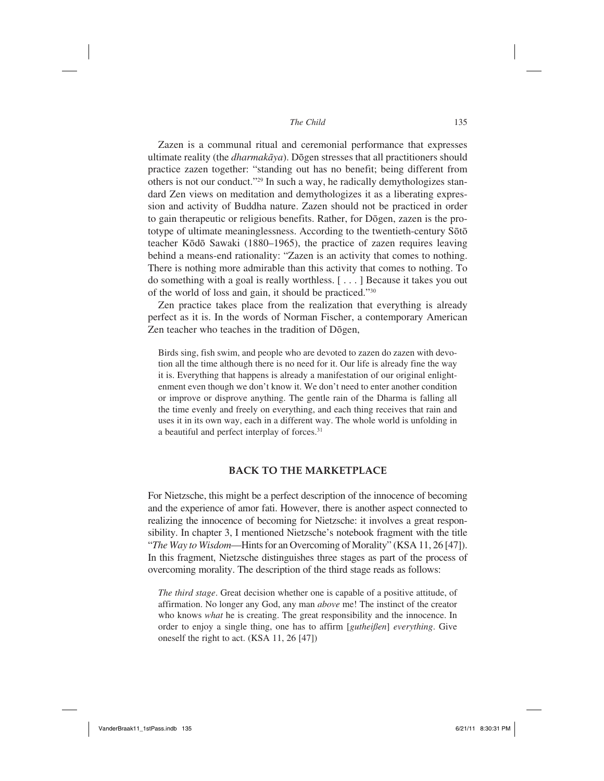#### *The Child* 135

Zazen is a communal ritual and ceremonial performance that expresses ultimate reality (the *dharmakāya*). Dōgen stresses that all practitioners should practice zazen together: "standing out has no benefit; being different from others is not our conduct."29 In such a way, he radically demythologizes standard Zen views on meditation and demythologizes it as a liberating expression and activity of Buddha nature. Zazen should not be practiced in order to gain therapeutic or religious benefits. Rather, for Dōgen, zazen is the prototype of ultimate meaninglessness. According to the twentieth-century Sōtō teacher Kōdō Sawaki (1880–1965), the practice of zazen requires leaving behind a means-end rationality: "Zazen is an activity that comes to nothing. There is nothing more admirable than this activity that comes to nothing. To do something with a goal is really worthless. [ . . . ] Because it takes you out of the world of loss and gain, it should be practiced."<sup>30</sup>

Zen practice takes place from the realization that everything is already perfect as it is. In the words of Norman Fischer, a contemporary American Zen teacher who teaches in the tradition of Dōgen,

Birds sing, fish swim, and people who are devoted to zazen do zazen with devotion all the time although there is no need for it. Our life is already fine the way it is. Everything that happens is already a manifestation of our original enlightenment even though we don't know it. We don't need to enter another condition or improve or disprove anything. The gentle rain of the Dharma is falling all the time evenly and freely on everything, and each thing receives that rain and uses it in its own way, each in a different way. The whole world is unfolding in a beautiful and perfect interplay of forces.<sup>31</sup>

## **BACK TO THE MARKETPLACE**

For Nietzsche, this might be a perfect description of the innocence of becoming and the experience of amor fati. However, there is another aspect connected to realizing the innocence of becoming for Nietzsche: it involves a great responsibility. In chapter 3, I mentioned Nietzsche's notebook fragment with the title "*The Way to Wisdom*—Hints for an Overcoming of Morality" (KSA 11, 26 [47]). In this fragment, Nietzsche distinguishes three stages as part of the process of overcoming morality. The description of the third stage reads as follows:

*The third stage*. Great decision whether one is capable of a positive attitude, of affirmation. No longer any God, any man *above* me! The instinct of the creator who knows *what* he is creating. The great responsibility and the innocence. In order to enjoy a single thing, one has to affirm [*gutheißen*] *everything*. Give oneself the right to act. (KSA 11, 26 [47])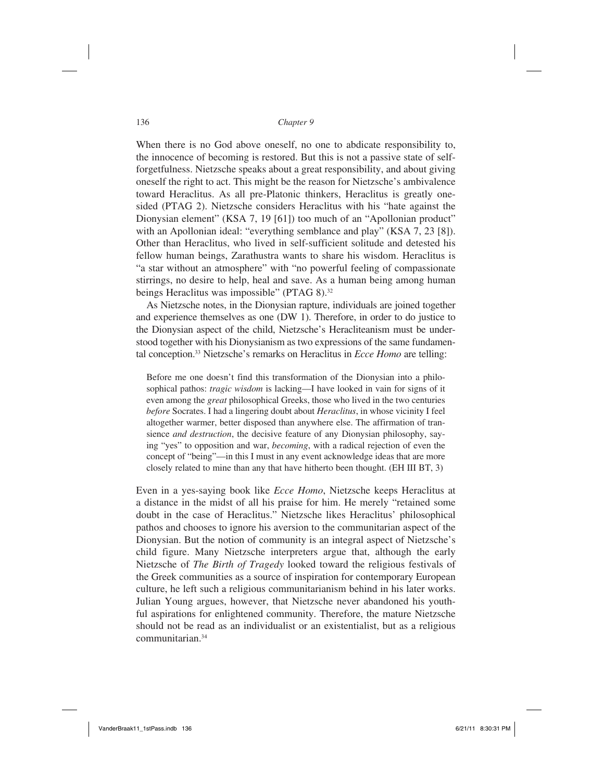When there is no God above oneself, no one to abdicate responsibility to, the innocence of becoming is restored. But this is not a passive state of selfforgetfulness. Nietzsche speaks about a great responsibility, and about giving oneself the right to act. This might be the reason for Nietzsche's ambivalence toward Heraclitus. As all pre-Platonic thinkers, Heraclitus is greatly onesided (PTAG 2). Nietzsche considers Heraclitus with his "hate against the Dionysian element" (KSA 7, 19 [61]) too much of an "Apollonian product" with an Apollonian ideal: "everything semblance and play" (KSA 7, 23 [8]). Other than Heraclitus, who lived in self-sufficient solitude and detested his fellow human beings, Zarathustra wants to share his wisdom. Heraclitus is "a star without an atmosphere" with "no powerful feeling of compassionate stirrings, no desire to help, heal and save. As a human being among human beings Heraclitus was impossible" (PTAG 8).<sup>32</sup>

As Nietzsche notes, in the Dionysian rapture, individuals are joined together and experience themselves as one (DW 1). Therefore, in order to do justice to the Dionysian aspect of the child, Nietzsche's Heracliteanism must be understood together with his Dionysianism as two expressions of the same fundamental conception.<sup>33</sup> Nietzsche's remarks on Heraclitus in *Ecce Homo* are telling:

Before me one doesn't find this transformation of the Dionysian into a philosophical pathos: *tragic wisdom* is lacking—I have looked in vain for signs of it even among the *great* philosophical Greeks, those who lived in the two centuries *before* Socrates. I had a lingering doubt about *Heraclitus*, in whose vicinity I feel altogether warmer, better disposed than anywhere else. The affirmation of transience *and destruction*, the decisive feature of any Dionysian philosophy, saying "yes" to opposition and war, *becoming*, with a radical rejection of even the concept of "being"—in this I must in any event acknowledge ideas that are more closely related to mine than any that have hitherto been thought. (EH III BT, 3)

Even in a yes-saying book like *Ecce Homo*, Nietzsche keeps Heraclitus at a distance in the midst of all his praise for him. He merely "retained some doubt in the case of Heraclitus." Nietzsche likes Heraclitus' philosophical pathos and chooses to ignore his aversion to the communitarian aspect of the Dionysian. But the notion of community is an integral aspect of Nietzsche's child figure. Many Nietzsche interpreters argue that, although the early Nietzsche of *The Birth of Tragedy* looked toward the religious festivals of the Greek communities as a source of inspiration for contemporary European culture, he left such a religious communitarianism behind in his later works. Julian Young argues, however, that Nietzsche never abandoned his youthful aspirations for enlightened community. Therefore, the mature Nietzsche should not be read as an individualist or an existentialist, but as a religious communitarian.<sup>34</sup>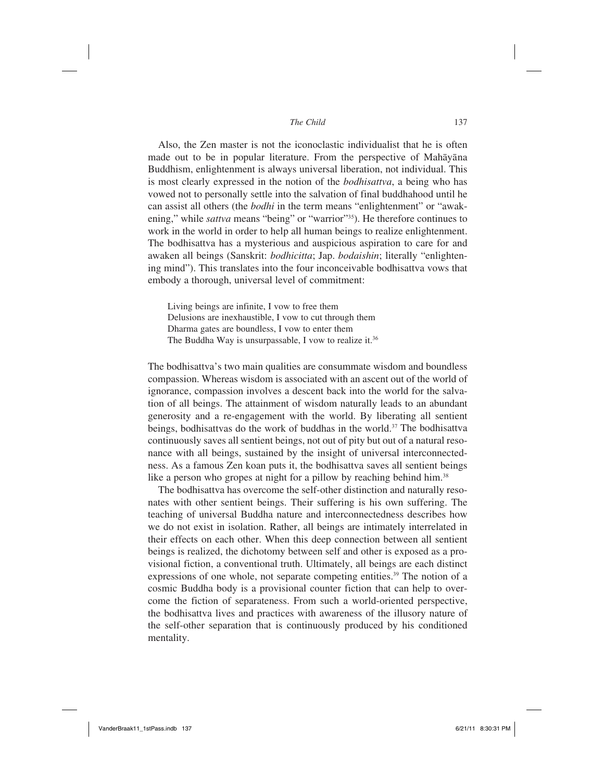### *The Child* 137

Also, the Zen master is not the iconoclastic individualist that he is often made out to be in popular literature. From the perspective of Mahāyāna Buddhism, enlightenment is always universal liberation, not individual. This is most clearly expressed in the notion of the *bodhisattva*, a being who has vowed not to personally settle into the salvation of final buddhahood until he can assist all others (the *bodhi* in the term means "enlightenment" or "awakening," while *sattva* means "being" or "warrior"<sup>35</sup>). He therefore continues to work in the world in order to help all human beings to realize enlightenment. The bodhisattva has a mysterious and auspicious aspiration to care for and awaken all beings (Sanskrit: *bodhicitta*; Jap. *bodaishin*; literally "enlightening mind"). This translates into the four inconceivable bodhisattva vows that embody a thorough, universal level of commitment:

Living beings are infinite, I vow to free them Delusions are inexhaustible, I vow to cut through them Dharma gates are boundless, I vow to enter them The Buddha Way is unsurpassable, I vow to realize it.<sup>36</sup>

The bodhisattva's two main qualities are consummate wisdom and boundless compassion. Whereas wisdom is associated with an ascent out of the world of ignorance, compassion involves a descent back into the world for the salvation of all beings. The attainment of wisdom naturally leads to an abundant generosity and a re-engagement with the world. By liberating all sentient beings, bodhisattvas do the work of buddhas in the world.<sup>37</sup> The bodhisattva continuously saves all sentient beings, not out of pity but out of a natural resonance with all beings, sustained by the insight of universal interconnectedness. As a famous Zen koan puts it, the bodhisattva saves all sentient beings like a person who gropes at night for a pillow by reaching behind him.<sup>38</sup>

The bodhisattva has overcome the self-other distinction and naturally resonates with other sentient beings. Their suffering is his own suffering. The teaching of universal Buddha nature and interconnectedness describes how we do not exist in isolation. Rather, all beings are intimately interrelated in their effects on each other. When this deep connection between all sentient beings is realized, the dichotomy between self and other is exposed as a provisional fiction, a conventional truth. Ultimately, all beings are each distinct expressions of one whole, not separate competing entities.<sup>39</sup> The notion of a cosmic Buddha body is a provisional counter fiction that can help to overcome the fiction of separateness. From such a world-oriented perspective, the bodhisattva lives and practices with awareness of the illusory nature of the self-other separation that is continuously produced by his conditioned mentality.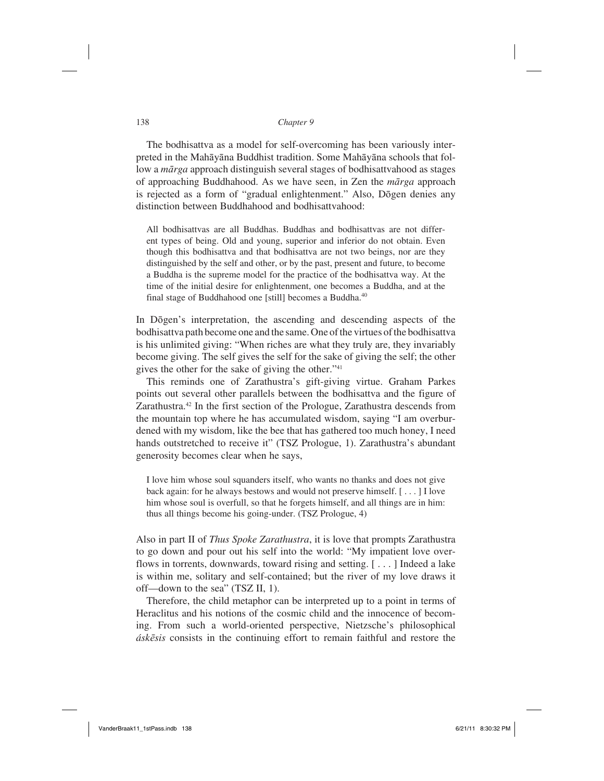The bodhisattva as a model for self-overcoming has been variously interpreted in the Mahāyāna Buddhist tradition. Some Mahāyāna schools that follow a *mārga* approach distinguish several stages of bodhisattvahood as stages of approaching Buddhahood. As we have seen, in Zen the *mārga* approach is rejected as a form of "gradual enlightenment." Also, Dōgen denies any distinction between Buddhahood and bodhisattvahood:

All bodhisattvas are all Buddhas. Buddhas and bodhisattvas are not different types of being. Old and young, superior and inferior do not obtain. Even though this bodhisattva and that bodhisattva are not two beings, nor are they distinguished by the self and other, or by the past, present and future, to become a Buddha is the supreme model for the practice of the bodhisattva way. At the time of the initial desire for enlightenment, one becomes a Buddha, and at the final stage of Buddhahood one [still] becomes a Buddha.<sup>40</sup>

In Dōgen's interpretation, the ascending and descending aspects of the bodhisattva path become one and the same. One of the virtues of the bodhisattva is his unlimited giving: "When riches are what they truly are, they invariably become giving. The self gives the self for the sake of giving the self; the other gives the other for the sake of giving the other."<sup>41</sup>

This reminds one of Zarathustra's gift-giving virtue. Graham Parkes points out several other parallels between the bodhisattva and the figure of Zarathustra.<sup>42</sup> In the first section of the Prologue, Zarathustra descends from the mountain top where he has accumulated wisdom, saying "I am overburdened with my wisdom, like the bee that has gathered too much honey, I need hands outstretched to receive it" (TSZ Prologue, 1). Zarathustra's abundant generosity becomes clear when he says,

I love him whose soul squanders itself, who wants no thanks and does not give back again: for he always bestows and would not preserve himself. [ . . . ] I love him whose soul is overfull, so that he forgets himself, and all things are in him: thus all things become his going-under. (TSZ Prologue, 4)

Also in part II of *Thus Spoke Zarathustra*, it is love that prompts Zarathustra to go down and pour out his self into the world: "My impatient love overflows in torrents, downwards, toward rising and setting. [ . . . ] Indeed a lake is within me, solitary and self-contained; but the river of my love draws it off—down to the sea" (TSZ II, 1).

Therefore, the child metaphor can be interpreted up to a point in terms of Heraclitus and his notions of the cosmic child and the innocence of becoming. From such a world-oriented perspective, Nietzsche's philosophical *áskēsis* consists in the continuing effort to remain faithful and restore the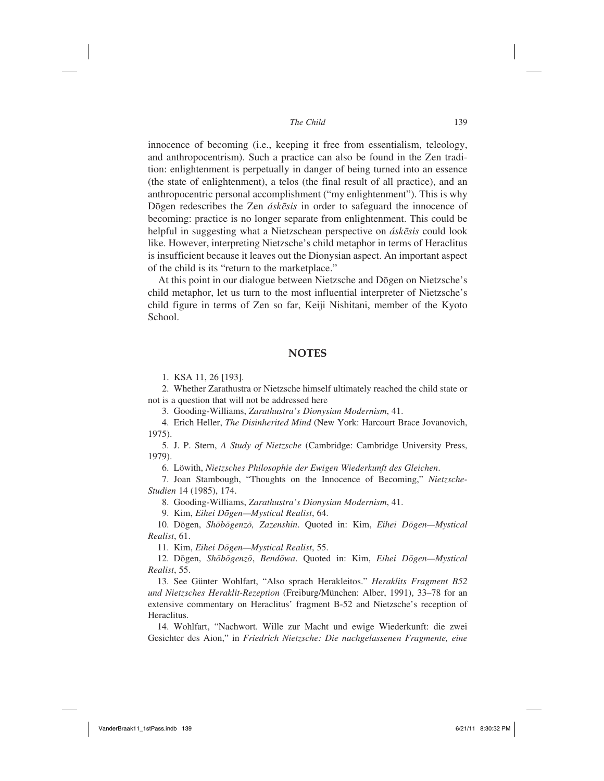#### *The Child* 139

innocence of becoming (i.e., keeping it free from essentialism, teleology, and anthropocentrism). Such a practice can also be found in the Zen tradition: enlightenment is perpetually in danger of being turned into an essence (the state of enlightenment), a telos (the final result of all practice), and an anthropocentric personal accomplishment ("my enlightenment"). This is why Dōgen redescribes the Zen *áskēsis* in order to safeguard the innocence of becoming: practice is no longer separate from enlightenment. This could be helpful in suggesting what a Nietzschean perspective on *áskēsis* could look like. However, interpreting Nietzsche's child metaphor in terms of Heraclitus is insufficient because it leaves out the Dionysian aspect. An important aspect of the child is its "return to the marketplace."

At this point in our dialogue between Nietzsche and Dōgen on Nietzsche's child metaphor, let us turn to the most influential interpreter of Nietzsche's child figure in terms of Zen so far, Keiji Nishitani, member of the Kyoto School.

### **NOTES**

1. KSA 11, 26 [193].

 2. Whether Zarathustra or Nietzsche himself ultimately reached the child state or not is a question that will not be addressed here

3. Gooding-Williams, *Zarathustra's Dionysian Modernism*, 41.

 4. Erich Heller, *The Disinherited Mind* (New York: Harcourt Brace Jovanovich, 1975).

 5. J. P. Stern, *A Study of Nietzsche* (Cambridge: Cambridge University Press, 1979).

6. Löwith, *Nietzsches Philosophie der Ewigen Wiederkunft des Gleichen*.

 7. Joan Stambough, "Thoughts on the Innocence of Becoming," *Nietzsche-Studien* 14 (1985), 174.

8. Gooding-Williams, *Zarathustra's Dionysian Modernism*, 41.

9. Kim, *Eihei Dōgen—Mystical Realist*, 64.

10. Dōgen, *Shōbōgenzō, Zazenshin*. Quoted in: Kim, *Eihei Dōgen—Mystical Realist*, 61.

11. Kim, *Eihei Dōgen—Mystical Realist*, 55.

12. Dōgen, *Shōbōgenzō*, *Bendōwa*. Quoted in: Kim, *Eihei Dōgen—Mystical Realist*, 55.

13. See Günter Wohlfart, "Also sprach Herakleitos." *Heraklits Fragment B52 und Nietzsches Heraklit-Rezeption* (Freiburg/München: Alber, 1991), 33–78 for an extensive commentary on Heraclitus' fragment B-52 and Nietzsche's reception of Heraclitus.

14. Wohlfart, "Nachwort. Wille zur Macht und ewige Wiederkunft: die zwei Gesichter des Aion," in *Friedrich Nietzsche: Die nachgelassenen Fragmente, eine*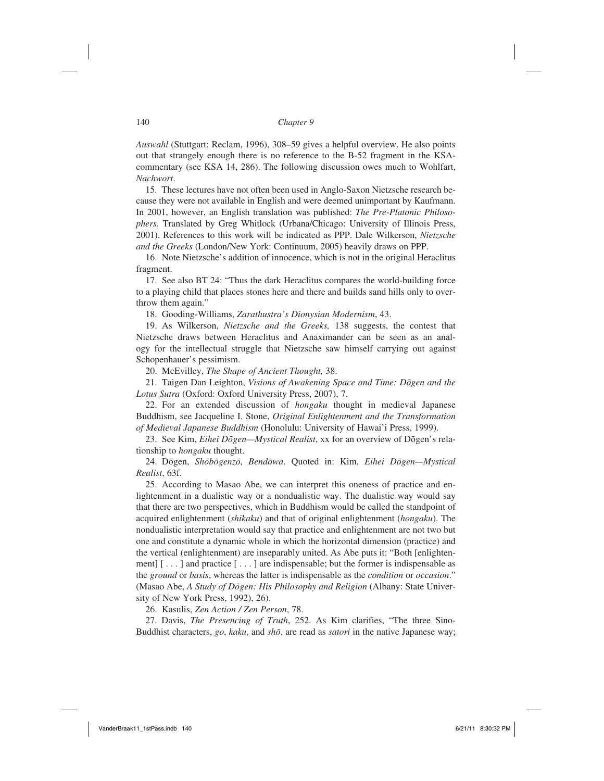*Auswahl* (Stuttgart: Reclam, 1996), 308–59 gives a helpful overview. He also points out that strangely enough there is no reference to the B-52 fragment in the KSAcommentary (see KSA 14, 286). The following discussion owes much to Wohlfart, *Nachwort*.

15. These lectures have not often been used in Anglo-Saxon Nietzsche research because they were not available in English and were deemed unimportant by Kaufmann. In 2001, however, an English translation was published: *The Pre-Platonic Philosophers.* Translated by Greg Whitlock (Urbana/Chicago: University of Illinois Press, 2001). References to this work will be indicated as PPP. Dale Wilkerson, *Nietzsche and the Greeks* (London/New York: Continuum, 2005) heavily draws on PPP.

16. Note Nietzsche's addition of innocence, which is not in the original Heraclitus fragment.

17. See also BT 24: "Thus the dark Heraclitus compares the world-building force to a playing child that places stones here and there and builds sand hills only to overthrow them again."

18. Gooding-Williams, *Zarathustra's Dionysian Modernism*, 43.

19. As Wilkerson, *Nietzsche and the Greeks,* 138 suggests, the contest that Nietzsche draws between Heraclitus and Anaximander can be seen as an analogy for the intellectual struggle that Nietzsche saw himself carrying out against Schopenhauer's pessimism.

20. McEvilley, *The Shape of Ancient Thought,* 38.

21. Taigen Dan Leighton, *Visions of Awakening Space and Time: Dongen and the Lotus Sutra* (Oxford: Oxford University Press, 2007), 7.

22. For an extended discussion of *hongaku* thought in medieval Japanese Buddhism, see Jacqueline I. Stone, *Original Enlightenment and the Transformation of Medieval Japanese Buddhism* (Honolulu: University of Hawai'i Press, 1999).

23. See Kim, *Eihei Dōgen—Mystical Realist*, xx for an overview of Dōgen's relationship to *hongaku* thought.

24. Dōgen, *Shōbōgenzō, Bendōwa*. Quoted in: Kim, *Eihei Dōgen—Mystical Realist*, 63f.

25. According to Masao Abe, we can interpret this oneness of practice and enlightenment in a dualistic way or a nondualistic way. The dualistic way would say that there are two perspectives, which in Buddhism would be called the standpoint of acquired enlightenment (*shikaku*) and that of original enlightenment (*hongaku*). The nondualistic interpretation would say that practice and enlightenment are not two but one and constitute a dynamic whole in which the horizontal dimension (practice) and the vertical (enlightenment) are inseparably united. As Abe puts it: "Both [enlightenment] [ . . . ] and practice [ . . . ] are indispensable; but the former is indispensable as the *ground* or *basis*, whereas the latter is indispensable as the *condition* or *occasion*." (Masao Abe, *A Study of Dōgen: His Philosophy and Religion* (Albany: State University of New York Press, 1992), 26).

26. Kasulis, *Zen Action / Zen Person*, 78.

27. Davis, *The Presencing of Truth*, 252. As Kim clarifies, "The three Sino- Buddhist characters, *go*, *kaku*, and *shō*, are read as *satori* in the native Japanese way;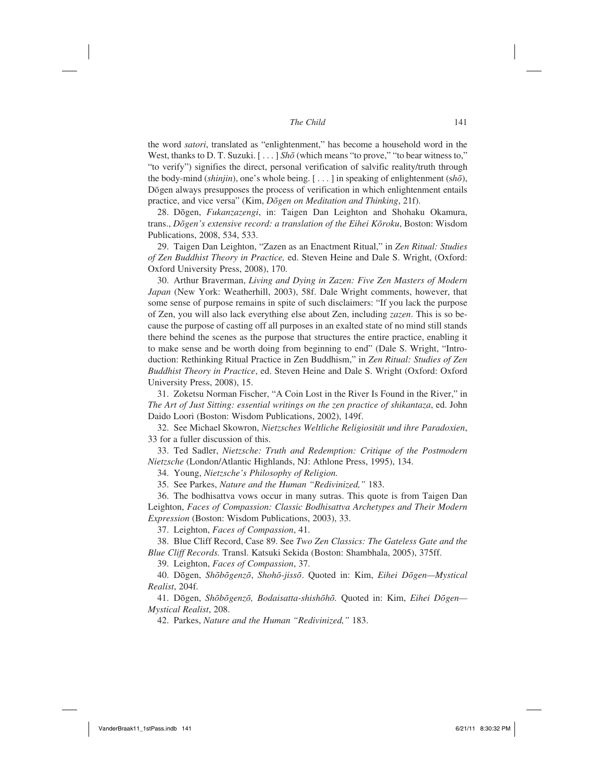#### *The Child* 141

the word *satori*, translated as "enlightenment," has become a household word in the West, thanks to D. T. Suzuki. [ . . . ] *Shō* (which means "to prove," "to bear witness to," "to verify") signifies the direct, personal verification of salvific reality/truth through the body-mind (*shinjin*), one's whole being. [ . . . ] in speaking of enlightenment (s*hō*), Do gen always presupposes the process of verification in which enlightenment entails practice, and vice versa" (Kim, *Dōgen on Meditation and Thinking*, 21f).

28. Dōgen, *Fukanzazengi*, in: Taigen Dan Leighton and Shohaku Okamura, trans., *Dōgen's extensive record: a translation of the Eihei Kōroku*, Boston: Wisdom Publications, 2008, 534, 533.

29. Taigen Dan Leighton, "Zazen as an Enactment Ritual," in *Zen Ritual: Studies of Zen Buddhist Theory in Practice,* ed. Steven Heine and Dale S. Wright, (Oxford: Oxford University Press, 2008), 170.

30. Arthur Braverman, *Living and Dying in Zazen: Five Zen Masters of Modern Japan* (New York: Weatherhill, 2003), 58f. Dale Wright comments, however, that some sense of purpose remains in spite of such disclaimers: "If you lack the purpose of Zen, you will also lack everything else about Zen, including *zazen*. This is so because the purpose of casting off all purposes in an exalted state of no mind still stands there behind the scenes as the purpose that structures the entire practice, enabling it to make sense and be worth doing from beginning to end" (Dale S. Wright, "Introduction: Rethinking Ritual Practice in Zen Buddhism," in *Zen Ritual: Studies of Zen Buddhist Theory in Practice*, ed. Steven Heine and Dale S. Wright (Oxford: Oxford University Press, 2008), 15.

31. Zoketsu Norman Fischer, "A Coin Lost in the River Is Found in the River," in *The Art of Just Sitting: essential writings on the zen practice of shikantaza*, ed. John Daido Loori (Boston: Wisdom Publications, 2002), 149f.

32. See Michael Skowron, *Nietzsches Weltliche Religiosität und ihre Paradoxien*, 33 for a fuller discussion of this.

33. Ted Sadler, *Nietzsche: Truth and Redemption: Critique of the Postmodern Nietzsche* (London/Atlantic Highlands, NJ: Athlone Press, 1995), 134.

34. Young, *Nietzsche's Philosophy of Religion.*

35. See Parkes, *Nature and the Human "Redivinized,"* 183.

36. The bodhisattva vows occur in many sutras. This quote is from Taigen Dan Leighton, *Faces of Compassion: Classic Bodhisattva Archetypes and Their Modern Expression* (Boston: Wisdom Publications, 2003), 33.

37. Leighton, *Faces of Compassion*, 41.

38. Blue Cliff Record, Case 89. See *Two Zen Classics: The Gateless Gate and the Blue Cliff Records.* Transl. Katsuki Sekida (Boston: Shambhala, 2005), 375ff.

39. Leighton, *Faces of Compassion*, 37.

40. Dōgen, *Shōbōgenzō*, *Shohō-jissō*. Quoted in: Kim, *Eihei Dōgen—Mystical Realist*, 204f.

41. Dōgen, *Shōbōgenzō, Bodaisatta-shishōhō.* Quoted in: Kim, *Eihei Dōgen— Mystical Realist*, 208.

42. Parkes, *Nature and the Human "Redivinized,"* 183.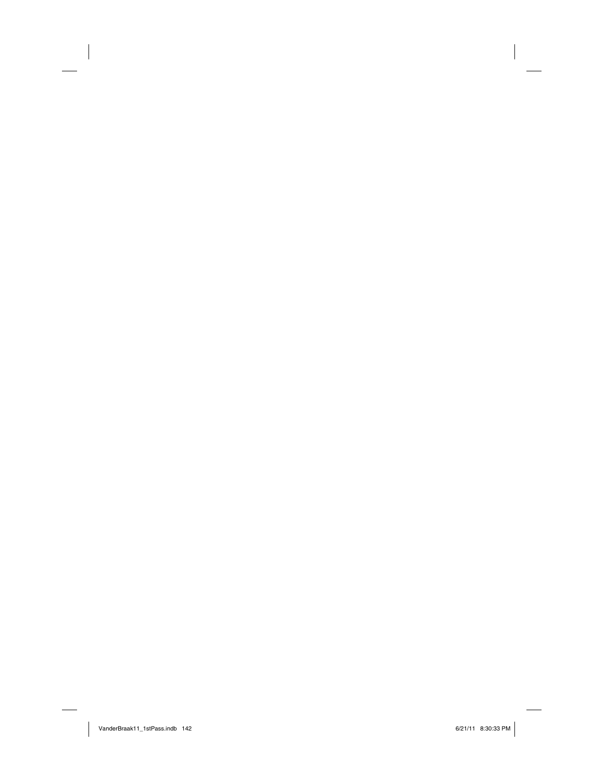VanderBraak11\_1stPass.indb 142  $\sim$  6/21/11 8:30:33 PM  $\mid$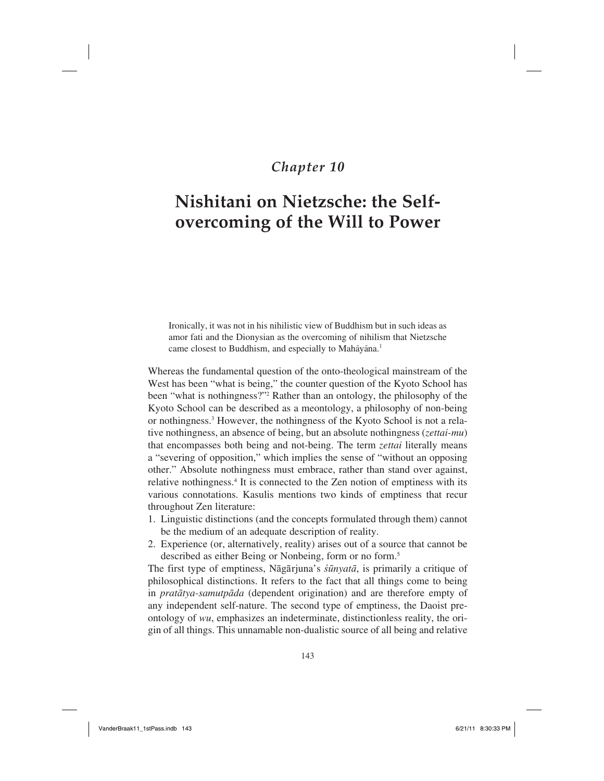# **Nishitani on Nietzsche: the Selfovercoming of the Will to Power**

Ironically, it was not in his nihilistic view of Buddhism but in such ideas as amor fati and the Dionysian as the overcoming of nihilism that Nietzsche came closest to Buddhism, and especially to Mahāyāna.<sup>1</sup>

Whereas the fundamental question of the onto-theological mainstream of the West has been "what is being," the counter question of the Kyoto School has been "what is nothingness?"<sup>2</sup> Rather than an ontology, the philosophy of the Kyoto School can be described as a meontology, a philosophy of non-being or nothingness.<sup>3</sup> However, the nothingness of the Kyoto School is not a relative nothingness, an absence of being, but an absolute nothingness (*zettai-mu*) that encompasses both being and not-being. The term *zettai* literally means a "severing of opposition," which implies the sense of "without an opposing other." Absolute nothingness must embrace, rather than stand over against, relative nothingness.<sup>4</sup> It is connected to the Zen notion of emptiness with its various connotations. Kasulis mentions two kinds of emptiness that recur throughout Zen literature:

- 1. Linguistic distinctions (and the concepts formulated through them) cannot be the medium of an adequate description of reality.
- 2. Experience (or, alternatively, reality) arises out of a source that cannot be described as either Being or Nonbeing, form or no form.5

The first type of emptiness, Nāgārjuna's *śūnyatā*, is primarily a critique of philosophical distinctions. It refers to the fact that all things come to being in *pratātya-samutpāda* (dependent origination) and are therefore empty of any independent self-nature. The second type of emptiness, the Daoist preontology of *wu*, emphasizes an indeterminate, distinctionless reality, the origin of all things. This unnamable non-dualistic source of all being and relative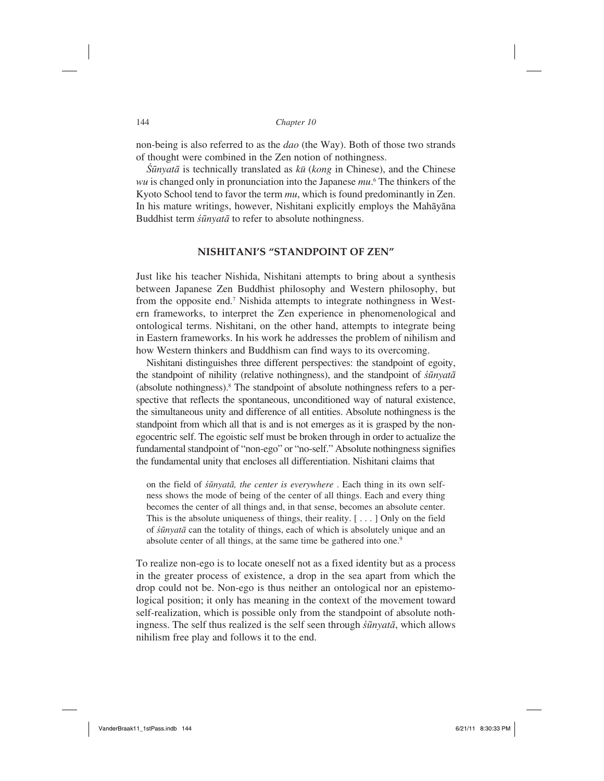non-being is also referred to as the *dao* (the Way). Both of those two strands of thought were combined in the Zen notion of nothingness.

*Śūnyatā* is technically translated as *ku*¯ (*kong* in Chinese), and the Chinese *wu* is changed only in pronunciation into the Japanese *mu*. 6 The thinkers of the Kyoto School tend to favor the term *mu*, which is found predominantly in Zen. In his mature writings, however, Nishitani explicitly employs the Mahāyāna Buddhist term *śūnyatā* to refer to absolute nothingness.

# **NISHITANI'S "STANDPOINT OF ZEN"**

Just like his teacher Nishida, Nishitani attempts to bring about a synthesis between Japanese Zen Buddhist philosophy and Western philosophy, but from the opposite end.<sup>7</sup> Nishida attempts to integrate nothingness in Western frameworks, to interpret the Zen experience in phenomenological and ontological terms. Nishitani, on the other hand, attempts to integrate being in Eastern frameworks. In his work he addresses the problem of nihilism and how Western thinkers and Buddhism can find ways to its overcoming.

Nishitani distinguishes three different perspectives: the standpoint of egoity, the standpoint of nihility (relative nothingness), and the standpoint of *śūnyatā* (absolute nothingness).<sup>8</sup> The standpoint of absolute nothingness refers to a perspective that reflects the spontaneous, unconditioned way of natural existence, the simultaneous unity and difference of all entities. Absolute nothingness is the standpoint from which all that is and is not emerges as it is grasped by the nonegocentric self. The egoistic self must be broken through in order to actualize the fundamental standpoint of "non-ego" or "no-self." Absolute nothingness signifies the fundamental unity that encloses all differentiation. Nishitani claims that

on the field of *śūnyatā, the center is everywhere* . Each thing in its own selfness shows the mode of being of the center of all things. Each and every thing becomes the center of all things and, in that sense, becomes an absolute center. This is the absolute uniqueness of things, their reality. [ . . . ] Only on the field of *śūnyatā* can the totality of things, each of which is absolutely unique and an absolute center of all things, at the same time be gathered into one.<sup>9</sup>

To realize non-ego is to locate oneself not as a fixed identity but as a process in the greater process of existence, a drop in the sea apart from which the drop could not be. Non-ego is thus neither an ontological nor an epistemological position; it only has meaning in the context of the movement toward self-realization, which is possible only from the standpoint of absolute nothingness. The self thus realized is the self seen through *śūnyatā*, which allows nihilism free play and follows it to the end.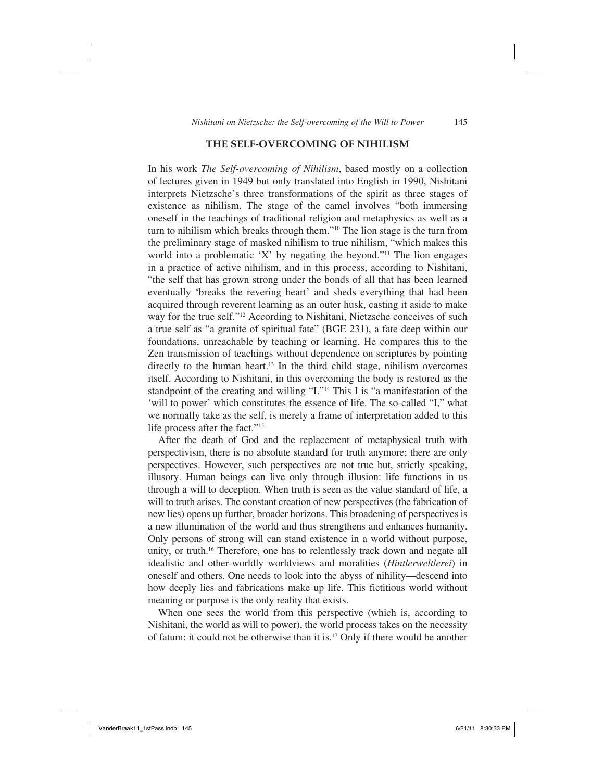# **THE SELF-OVERCOMING OF NIHILISM**

In his work *The Self-overcoming of Nihilism*, based mostly on a collection of lectures given in 1949 but only translated into English in 1990, Nishitani interprets Nietzsche's three transformations of the spirit as three stages of existence as nihilism. The stage of the camel involves "both immersing oneself in the teachings of traditional religion and metaphysics as well as a turn to nihilism which breaks through them."<sup>10</sup> The lion stage is the turn from the preliminary stage of masked nihilism to true nihilism, "which makes this world into a problematic 'X' by negating the beyond."<sup>11</sup> The lion engages in a practice of active nihilism, and in this process, according to Nishitani, "the self that has grown strong under the bonds of all that has been learned eventually 'breaks the revering heart' and sheds everything that had been acquired through reverent learning as an outer husk, casting it aside to make way for the true self."<sup>12</sup> According to Nishitani, Nietzsche conceives of such a true self as "a granite of spiritual fate" (BGE 231), a fate deep within our foundations, unreachable by teaching or learning. He compares this to the Zen transmission of teachings without dependence on scriptures by pointing directly to the human heart.<sup>13</sup> In the third child stage, nihilism overcomes itself. According to Nishitani, in this overcoming the body is restored as the standpoint of the creating and willing "I."<sup>14</sup> This I is "a manifestation of the 'will to power' which constitutes the essence of life. The so-called "I," what we normally take as the self, is merely a frame of interpretation added to this life process after the fact."<sup>15</sup>

After the death of God and the replacement of metaphysical truth with perspectivism, there is no absolute standard for truth anymore; there are only perspectives. However, such perspectives are not true but, strictly speaking, illusory. Human beings can live only through illusion: life functions in us through a will to deception. When truth is seen as the value standard of life, a will to truth arises. The constant creation of new perspectives (the fabrication of new lies) opens up further, broader horizons. This broadening of perspectives is a new illumination of the world and thus strengthens and enhances humanity. Only persons of strong will can stand existence in a world without purpose, unity, or truth.<sup>16</sup> Therefore, one has to relentlessly track down and negate all idealistic and other-worldly worldviews and moralities (*Hintlerweltlerei*) in oneself and others. One needs to look into the abyss of nihility—descend into how deeply lies and fabrications make up life. This fictitious world without meaning or purpose is the only reality that exists.

When one sees the world from this perspective (which is, according to Nishitani, the world as will to power), the world process takes on the necessity of fatum: it could not be otherwise than it is.<sup>17</sup> Only if there would be another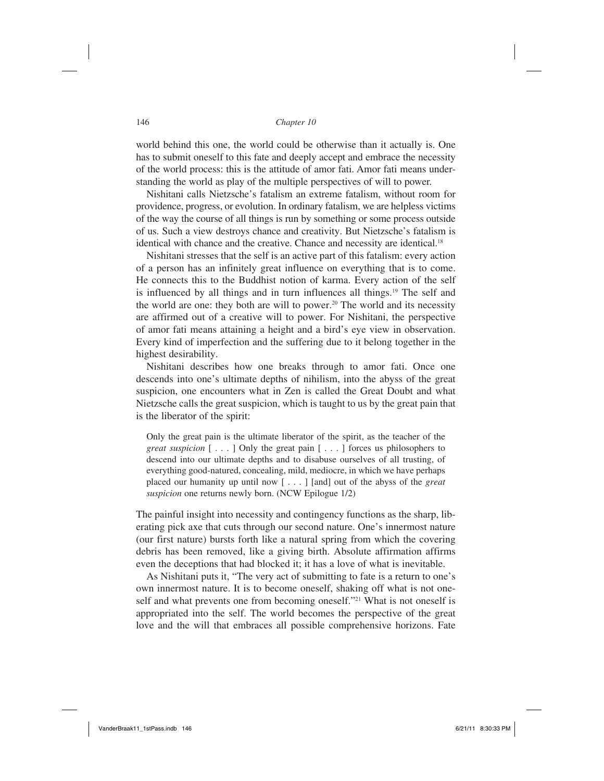world behind this one, the world could be otherwise than it actually is. One has to submit oneself to this fate and deeply accept and embrace the necessity of the world process: this is the attitude of amor fati. Amor fati means understanding the world as play of the multiple perspectives of will to power.

Nishitani calls Nietzsche's fatalism an extreme fatalism, without room for providence, progress, or evolution. In ordinary fatalism, we are helpless victims of the way the course of all things is run by something or some process outside of us. Such a view destroys chance and creativity. But Nietzsche's fatalism is identical with chance and the creative. Chance and necessity are identical.<sup>18</sup>

Nishitani stresses that the self is an active part of this fatalism: every action of a person has an infinitely great influence on everything that is to come. He connects this to the Buddhist notion of karma. Every action of the self is influenced by all things and in turn influences all things.<sup>19</sup> The self and the world are one: they both are will to power.<sup>20</sup> The world and its necessity are affirmed out of a creative will to power. For Nishitani, the perspective of amor fati means attaining a height and a bird's eye view in observation. Every kind of imperfection and the suffering due to it belong together in the highest desirability.

Nishitani describes how one breaks through to amor fati. Once one descends into one's ultimate depths of nihilism, into the abyss of the great suspicion, one encounters what in Zen is called the Great Doubt and what Nietzsche calls the great suspicion, which is taught to us by the great pain that is the liberator of the spirit:

Only the great pain is the ultimate liberator of the spirit, as the teacher of the *great suspicion* [ . . . ] Only the great pain [ . . . ] forces us philosophers to descend into our ultimate depths and to disabuse ourselves of all trusting, of everything good-natured, concealing, mild, mediocre, in which we have perhaps placed our humanity up until now [ . . . ] [and] out of the abyss of the *great suspicion* one returns newly born. (NCW Epilogue 1/2)

The painful insight into necessity and contingency functions as the sharp, liberating pick axe that cuts through our second nature. One's innermost nature (our first nature) bursts forth like a natural spring from which the covering debris has been removed, like a giving birth. Absolute affirmation affirms even the deceptions that had blocked it; it has a love of what is inevitable.

As Nishitani puts it, "The very act of submitting to fate is a return to one's own innermost nature. It is to become oneself, shaking off what is not oneself and what prevents one from becoming oneself."<sup>21</sup> What is not oneself is appropriated into the self. The world becomes the perspective of the great love and the will that embraces all possible comprehensive horizons. Fate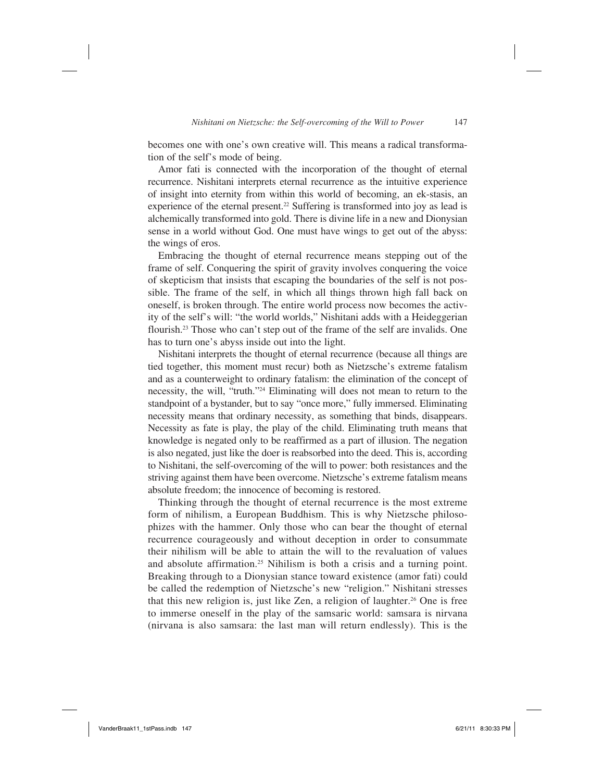becomes one with one's own creative will. This means a radical transformation of the self's mode of being.

Amor fati is connected with the incorporation of the thought of eternal recurrence. Nishitani interprets eternal recurrence as the intuitive experience of insight into eternity from within this world of becoming, an ek-stasis, an experience of the eternal present.<sup>22</sup> Suffering is transformed into joy as lead is alchemically transformed into gold. There is divine life in a new and Dionysian sense in a world without God. One must have wings to get out of the abyss: the wings of eros.

Embracing the thought of eternal recurrence means stepping out of the frame of self. Conquering the spirit of gravity involves conquering the voice of skepticism that insists that escaping the boundaries of the self is not possible. The frame of the self, in which all things thrown high fall back on oneself, is broken through. The entire world process now becomes the activity of the self's will: "the world worlds," Nishitani adds with a Heideggerian flourish.<sup>23</sup> Those who can't step out of the frame of the self are invalids. One has to turn one's abyss inside out into the light.

Nishitani interprets the thought of eternal recurrence (because all things are tied together, this moment must recur) both as Nietzsche's extreme fatalism and as a counterweight to ordinary fatalism: the elimination of the concept of necessity, the will, "truth."<sup>24</sup> Eliminating will does not mean to return to the standpoint of a bystander, but to say "once more," fully immersed. Eliminating necessity means that ordinary necessity, as something that binds, disappears. Necessity as fate is play, the play of the child. Eliminating truth means that knowledge is negated only to be reaffirmed as a part of illusion. The negation is also negated, just like the doer is reabsorbed into the deed. This is, according to Nishitani, the self-overcoming of the will to power: both resistances and the striving against them have been overcome. Nietzsche's extreme fatalism means absolute freedom; the innocence of becoming is restored.

Thinking through the thought of eternal recurrence is the most extreme form of nihilism, a European Buddhism. This is why Nietzsche philosophizes with the hammer. Only those who can bear the thought of eternal recurrence courageously and without deception in order to consummate their nihilism will be able to attain the will to the revaluation of values and absolute affirmation.<sup>25</sup> Nihilism is both a crisis and a turning point. Breaking through to a Dionysian stance toward existence (amor fati) could be called the redemption of Nietzsche's new "religion." Nishitani stresses that this new religion is, just like Zen, a religion of laughter.<sup>26</sup> One is free to immerse oneself in the play of the samsaric world: samsara is nirvana (nirvana is also samsara: the last man will return endlessly). This is the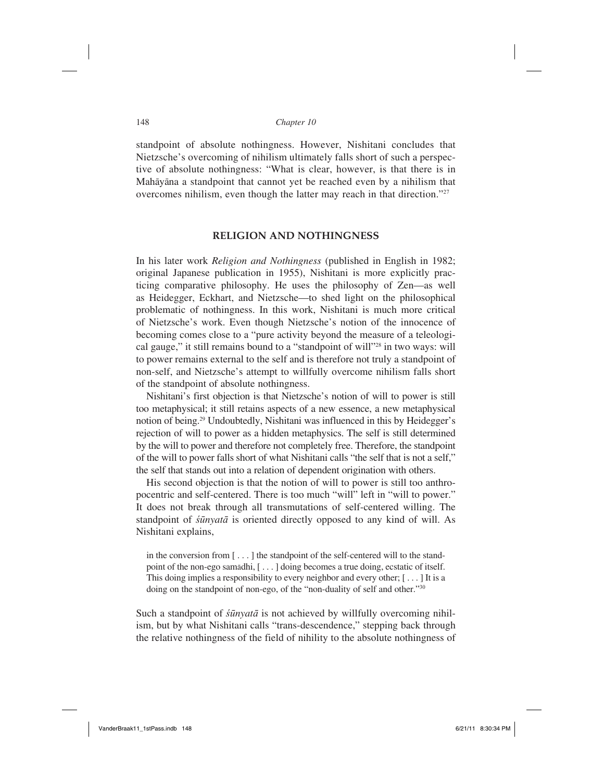standpoint of absolute nothingness. However, Nishitani concludes that Nietzsche's overcoming of nihilism ultimately falls short of such a perspective of absolute nothingness: "What is clear, however, is that there is in Mahāyāna a standpoint that cannot yet be reached even by a nihilism that overcomes nihilism, even though the latter may reach in that direction."<sup>27</sup>

# **RELIGION AND NOTHINGNESS**

In his later work *Religion and Nothingness* (published in English in 1982; original Japanese publication in 1955), Nishitani is more explicitly practicing comparative philosophy. He uses the philosophy of Zen—as well as Heidegger, Eckhart, and Nietzsche—to shed light on the philosophical problematic of nothingness. In this work, Nishitani is much more critical of Nietzsche's work. Even though Nietzsche's notion of the innocence of becoming comes close to a "pure activity beyond the measure of a teleological gauge," it still remains bound to a "standpoint of will"<sup>28</sup> in two ways: will to power remains external to the self and is therefore not truly a standpoint of non-self, and Nietzsche's attempt to willfully overcome nihilism falls short of the standpoint of absolute nothingness.

Nishitani's first objection is that Nietzsche's notion of will to power is still too metaphysical; it still retains aspects of a new essence, a new metaphysical notion of being.<sup>29</sup> Undoubtedly, Nishitani was influenced in this by Heidegger's rejection of will to power as a hidden metaphysics. The self is still determined by the will to power and therefore not completely free. Therefore, the standpoint of the will to power falls short of what Nishitani calls "the self that is not a self," the self that stands out into a relation of dependent origination with others.

His second objection is that the notion of will to power is still too anthropocentric and self-centered. There is too much "will" left in "will to power." It does not break through all transmutations of self-centered willing. The standpoint of *śūnyatā* is oriented directly opposed to any kind of will. As Nishitani explains,

in the conversion from [ . . . ] the standpoint of the self-centered will to the standpoint of the non-ego samadhi, [...] doing becomes a true doing, ecstatic of itself. This doing implies a responsibility to every neighbor and every other; [ . . . ] It is a doing on the standpoint of non-ego, of the "non-duality of self and other."<sup>30</sup>

Such a standpoint of *śūnyatā* is not achieved by willfully overcoming nihilism, but by what Nishitani calls "trans-descendence," stepping back through the relative nothingness of the field of nihility to the absolute nothingness of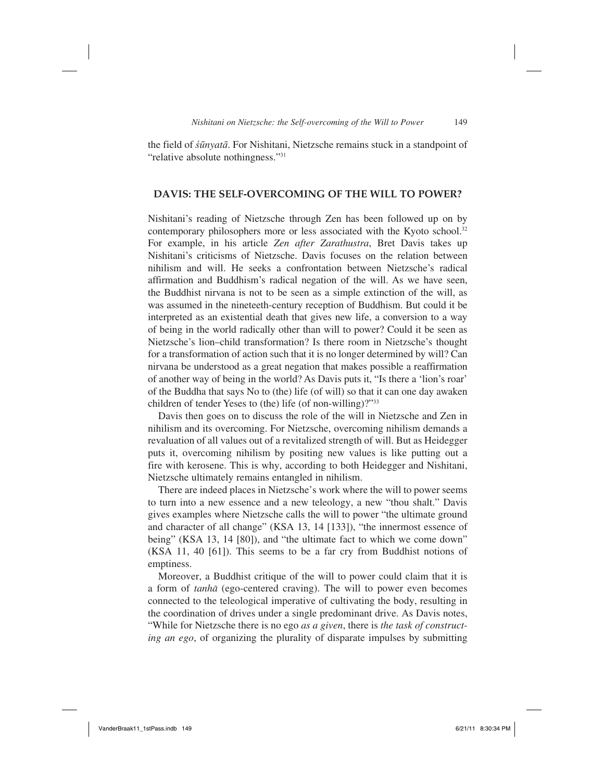the field of *śūnyatā*. For Nishitani, Nietzsche remains stuck in a standpoint of "relative absolute nothingness."<sup>31</sup>

# **DAVIS: THE SELF-OVERCOMING OF THE WILL TO POWER?**

Nishitani's reading of Nietzsche through Zen has been followed up on by contemporary philosophers more or less associated with the Kyoto school.<sup>32</sup> For example, in his article *Zen after Zarathustra*, Bret Davis takes up Nishitani's criticisms of Nietzsche. Davis focuses on the relation between nihilism and will. He seeks a confrontation between Nietzsche's radical affirmation and Buddhism's radical negation of the will. As we have seen, the Buddhist nirvana is not to be seen as a simple extinction of the will, as was assumed in the nineteeth-century reception of Buddhism. But could it be interpreted as an existential death that gives new life, a conversion to a way of being in the world radically other than will to power? Could it be seen as Nietzsche's lion–child transformation? Is there room in Nietzsche's thought for a transformation of action such that it is no longer determined by will? Can nirvana be understood as a great negation that makes possible a reaffirmation of another way of being in the world? As Davis puts it, "Is there a 'lion's roar' of the Buddha that says No to (the) life (of will) so that it can one day awaken children of tender Yeses to (the) life (of non-willing)?"<sup>33</sup>

Davis then goes on to discuss the role of the will in Nietzsche and Zen in nihilism and its overcoming. For Nietzsche, overcoming nihilism demands a revaluation of all values out of a revitalized strength of will. But as Heidegger puts it, overcoming nihilism by positing new values is like putting out a fire with kerosene. This is why, according to both Heidegger and Nishitani, Nietzsche ultimately remains entangled in nihilism.

There are indeed places in Nietzsche's work where the will to power seems to turn into a new essence and a new teleology, a new "thou shalt." Davis gives examples where Nietzsche calls the will to power "the ultimate ground and character of all change" (KSA 13, 14 [133]), "the innermost essence of being" (KSA 13, 14 [80]), and "the ultimate fact to which we come down" (KSA 11, 40 [61]). This seems to be a far cry from Buddhist notions of emptiness.

Moreover, a Buddhist critique of the will to power could claim that it is a form of *tanha* (ego-centered craving). The will to power even becomes connected to the teleological imperative of cultivating the body, resulting in the coordination of drives under a single predominant drive. As Davis notes, "While for Nietzsche there is no ego *as a given*, there is *the task of constructing an ego*, of organizing the plurality of disparate impulses by submitting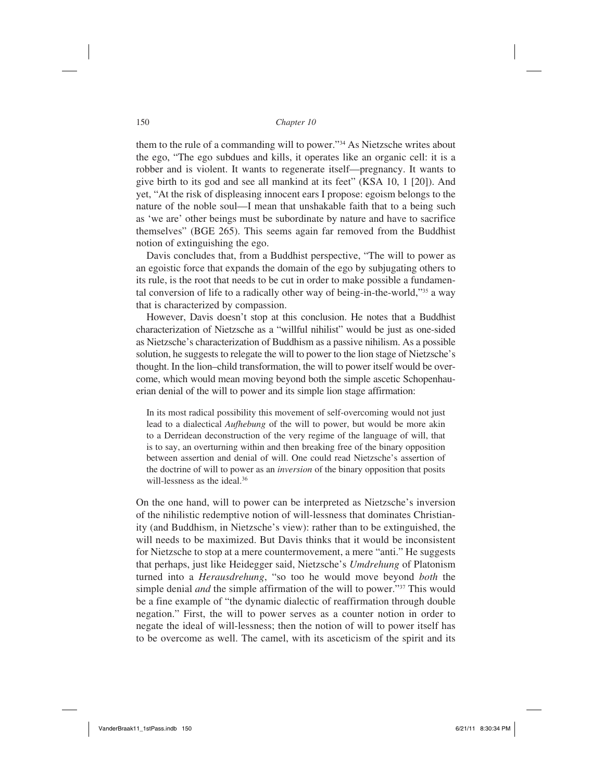them to the rule of a commanding will to power."<sup>34</sup> As Nietzsche writes about the ego, "The ego subdues and kills, it operates like an organic cell: it is a robber and is violent. It wants to regenerate itself—pregnancy. It wants to give birth to its god and see all mankind at its feet" (KSA 10, 1 [20]). And yet, "At the risk of displeasing innocent ears I propose: egoism belongs to the nature of the noble soul—I mean that unshakable faith that to a being such as 'we are' other beings must be subordinate by nature and have to sacrifice themselves" (BGE 265). This seems again far removed from the Buddhist notion of extinguishing the ego.

Davis concludes that, from a Buddhist perspective, "The will to power as an egoistic force that expands the domain of the ego by subjugating others to its rule, is the root that needs to be cut in order to make possible a fundamental conversion of life to a radically other way of being-in-the-world,"<sup>35</sup> a way that is characterized by compassion.

However, Davis doesn't stop at this conclusion. He notes that a Buddhist characterization of Nietzsche as a "willful nihilist" would be just as one-sided as Nietzsche's characterization of Buddhism as a passive nihilism. As a possible solution, he suggests to relegate the will to power to the lion stage of Nietzsche's thought. In the lion–child transformation, the will to power itself would be overcome, which would mean moving beyond both the simple ascetic Schopenhauerian denial of the will to power and its simple lion stage affirmation:

In its most radical possibility this movement of self-overcoming would not just lead to a dialectical *Aufhebung* of the will to power, but would be more akin to a Derridean deconstruction of the very regime of the language of will, that is to say, an overturning within and then breaking free of the binary opposition between assertion and denial of will. One could read Nietzsche's assertion of the doctrine of will to power as an *inversion* of the binary opposition that posits will-lessness as the ideal.<sup>36</sup>

On the one hand, will to power can be interpreted as Nietzsche's inversion of the nihilistic redemptive notion of will-lessness that dominates Christianity (and Buddhism, in Nietzsche's view): rather than to be extinguished, the will needs to be maximized. But Davis thinks that it would be inconsistent for Nietzsche to stop at a mere countermovement, a mere "anti." He suggests that perhaps, just like Heidegger said, Nietzsche's *Umdrehung* of Platonism turned into a *Herausdrehung*, "so too he would move beyond *both* the simple denial *and* the simple affirmation of the will to power."<sup>37</sup> This would be a fine example of "the dynamic dialectic of reaffirmation through double negation." First, the will to power serves as a counter notion in order to negate the ideal of will-lessness; then the notion of will to power itself has to be overcome as well. The camel, with its asceticism of the spirit and its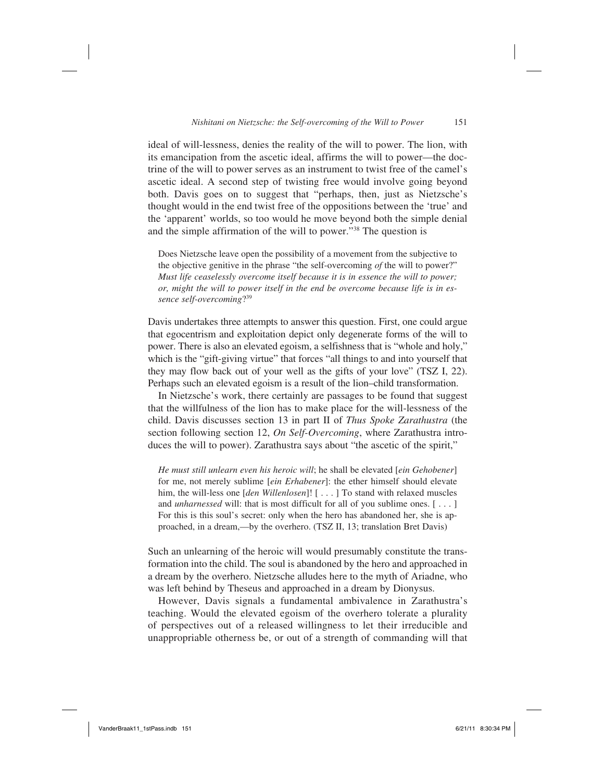ideal of will-lessness, denies the reality of the will to power. The lion, with its emancipation from the ascetic ideal, affirms the will to power—the doctrine of the will to power serves as an instrument to twist free of the camel's ascetic ideal. A second step of twisting free would involve going beyond both. Davis goes on to suggest that "perhaps, then, just as Nietzsche's thought would in the end twist free of the oppositions between the 'true' and the 'apparent' worlds, so too would he move beyond both the simple denial and the simple affirmation of the will to power."38 The question is

Does Nietzsche leave open the possibility of a movement from the subjective to the objective genitive in the phrase "the self-overcoming *of* the will to power?" *Must life ceaselessly overcome itself because it is in essence the will to power; or, might the will to power itself in the end be overcome because life is in essence self-overcoming*?39

Davis undertakes three attempts to answer this question. First, one could argue that egocentrism and exploitation depict only degenerate forms of the will to power. There is also an elevated egoism, a selfishness that is "whole and holy," which is the "gift-giving virtue" that forces "all things to and into yourself that they may flow back out of your well as the gifts of your love" (TSZ I, 22). Perhaps such an elevated egoism is a result of the lion–child transformation.

In Nietzsche's work, there certainly are passages to be found that suggest that the willfulness of the lion has to make place for the will-lessness of the child. Davis discusses section 13 in part II of *Thus Spoke Zarathustra* (the section following section 12, *On Self-Overcoming*, where Zarathustra introduces the will to power). Zarathustra says about "the ascetic of the spirit,"

*He must still unlearn even his heroic will*; he shall be elevated [*ein Gehobener*] for me, not merely sublime [*ein Erhabener*]: the ether himself should elevate him, the will-less one [*den Willenlosen*]! [ . . . ] To stand with relaxed muscles and *unharnessed* will: that is most difficult for all of you sublime ones. [ . . . ] For this is this soul's secret: only when the hero has abandoned her, she is approached, in a dream,—by the overhero. (TSZ II, 13; translation Bret Davis)

Such an unlearning of the heroic will would presumably constitute the transformation into the child. The soul is abandoned by the hero and approached in a dream by the overhero. Nietzsche alludes here to the myth of Ariadne, who was left behind by Theseus and approached in a dream by Dionysus.

However, Davis signals a fundamental ambivalence in Zarathustra's teaching. Would the elevated egoism of the overhero tolerate a plurality of perspectives out of a released willingness to let their irreducible and unappropriable otherness be, or out of a strength of commanding will that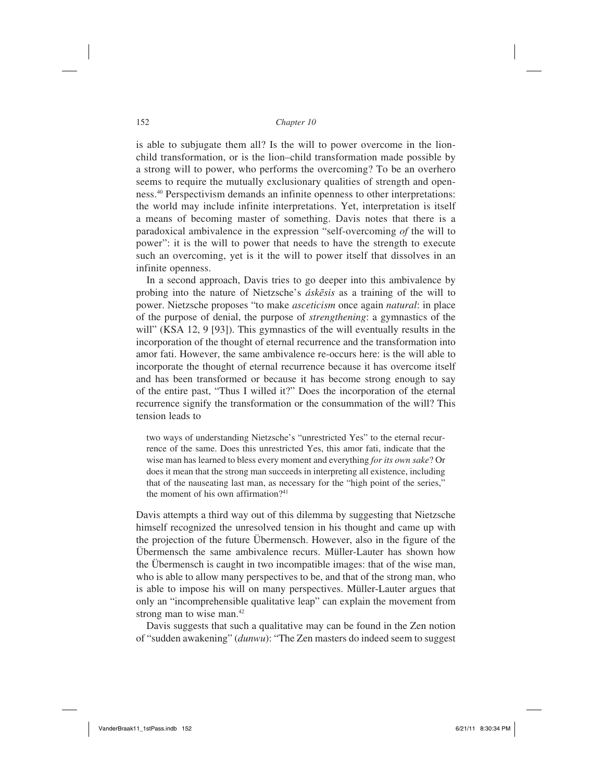is able to subjugate them all? Is the will to power overcome in the lionchild transformation, or is the lion–child transformation made possible by a strong will to power, who performs the overcoming? To be an overhero seems to require the mutually exclusionary qualities of strength and openness.<sup>40</sup> Perspectivism demands an infinite openness to other interpretations: the world may include infinite interpretations. Yet, interpretation is itself a means of becoming master of something. Davis notes that there is a paradoxical ambivalence in the expression "self-overcoming *of* the will to power": it is the will to power that needs to have the strength to execute such an overcoming, yet is it the will to power itself that dissolves in an infinite openness.

In a second approach, Davis tries to go deeper into this ambivalence by probing into the nature of Nietzsche's *áskēsis* as a training of the will to power. Nietzsche proposes "to make *asceticism* once again *natural*: in place of the purpose of denial, the purpose of *strengthening*: a gymnastics of the will" (KSA 12, 9 [93]). This gymnastics of the will eventually results in the incorporation of the thought of eternal recurrence and the transformation into amor fati. However, the same ambivalence re-occurs here: is the will able to incorporate the thought of eternal recurrence because it has overcome itself and has been transformed or because it has become strong enough to say of the entire past, "Thus I willed it?" Does the incorporation of the eternal recurrence signify the transformation or the consummation of the will? This tension leads to

two ways of understanding Nietzsche's "unrestricted Yes" to the eternal recurrence of the same. Does this unrestricted Yes, this amor fati, indicate that the wise man has learned to bless every moment and everything *for its own sake*? Or does it mean that the strong man succeeds in interpreting all existence, including that of the nauseating last man, as necessary for the "high point of the series," the moment of his own affirmation?<sup>41</sup>

Davis attempts a third way out of this dilemma by suggesting that Nietzsche himself recognized the unresolved tension in his thought and came up with the projection of the future Übermensch. However, also in the figure of the Übermensch the same ambivalence recurs. Müller-Lauter has shown how the Übermensch is caught in two incompatible images: that of the wise man, who is able to allow many perspectives to be, and that of the strong man, who is able to impose his will on many perspectives. Müller-Lauter argues that only an "incomprehensible qualitative leap" can explain the movement from strong man to wise man.<sup>42</sup>

Davis suggests that such a qualitative may can be found in the Zen notion of "sudden awakening" (*dunwu*): "The Zen masters do indeed seem to suggest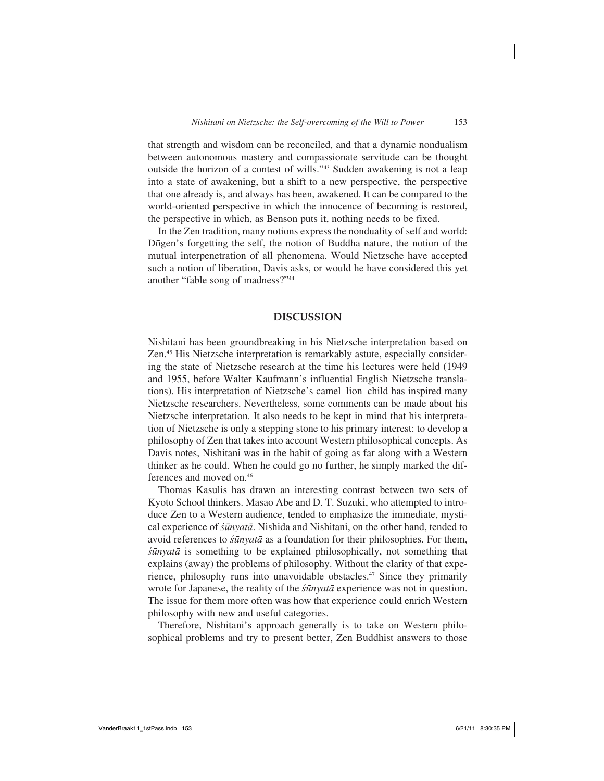that strength and wisdom can be reconciled, and that a dynamic nondualism between autonomous mastery and compassionate servitude can be thought outside the horizon of a contest of wills."<sup>43</sup> Sudden awakening is not a leap into a state of awakening, but a shift to a new perspective, the perspective that one already is, and always has been, awakened. It can be compared to the world-oriented perspective in which the innocence of becoming is restored, the perspective in which, as Benson puts it, nothing needs to be fixed.

In the Zen tradition, many notions express the nonduality of self and world: Dōgen's forgetting the self, the notion of Buddha nature, the notion of the mutual interpenetration of all phenomena. Would Nietzsche have accepted such a notion of liberation, Davis asks, or would he have considered this yet another "fable song of madness?"<sup>44</sup>

# **DISCUSSION**

Nishitani has been groundbreaking in his Nietzsche interpretation based on Zen.45 His Nietzsche interpretation is remarkably astute, especially considering the state of Nietzsche research at the time his lectures were held (1949 and 1955, before Walter Kaufmann's influential English Nietzsche translations). His interpretation of Nietzsche's camel–lion–child has inspired many Nietzsche researchers. Nevertheless, some comments can be made about his Nietzsche interpretation. It also needs to be kept in mind that his interpretation of Nietzsche is only a stepping stone to his primary interest: to develop a philosophy of Zen that takes into account Western philosophical concepts. As Davis notes, Nishitani was in the habit of going as far along with a Western thinker as he could. When he could go no further, he simply marked the differences and moved on.<sup>46</sup>

Thomas Kasulis has drawn an interesting contrast between two sets of Kyoto School thinkers. Masao Abe and D. T. Suzuki, who attempted to introduce Zen to a Western audience, tended to emphasize the immediate, mystical experience of *śūnyatā*. Nishida and Nishitani, on the other hand, tended to avoid references to *śūnyatā* as a foundation for their philosophies. For them, *śūnyatā* is something to be explained philosophically, not something that explains (away) the problems of philosophy. Without the clarity of that experience, philosophy runs into unavoidable obstacles.<sup>47</sup> Since they primarily wrote for Japanese, the reality of the *śūnyatā* experience was not in question. The issue for them more often was how that experience could enrich Western philosophy with new and useful categories.

Therefore, Nishitani's approach generally is to take on Western philosophical problems and try to present better, Zen Buddhist answers to those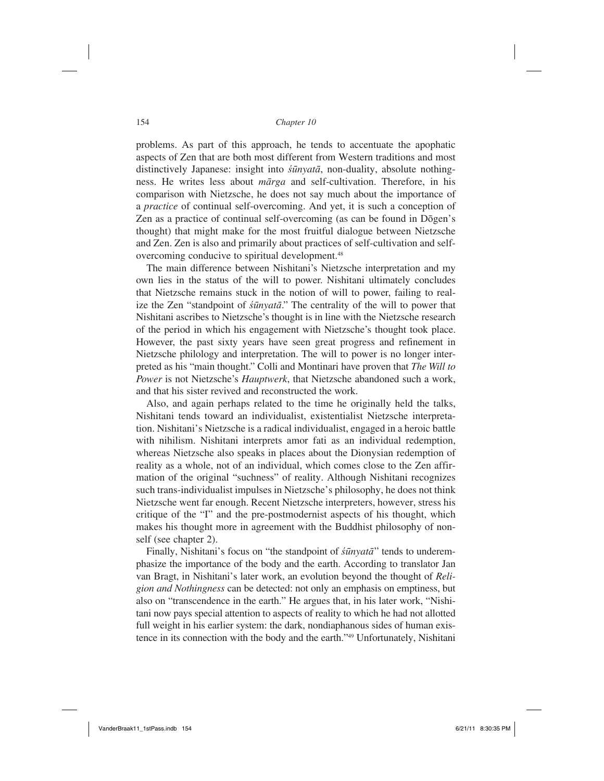problems. As part of this approach, he tends to accentuate the apophatic aspects of Zen that are both most different from Western traditions and most distinctively Japanese: insight into *śūnyatā*, non-duality, absolute nothingness. He writes less about *mārga* and self-cultivation. Therefore, in his comparison with Nietzsche, he does not say much about the importance of a *practice* of continual self-overcoming. And yet, it is such a conception of Zen as a practice of continual self-overcoming (as can be found in Dōgen's thought) that might make for the most fruitful dialogue between Nietzsche and Zen. Zen is also and primarily about practices of self-cultivation and selfovercoming conducive to spiritual development.<sup>48</sup>

The main difference between Nishitani's Nietzsche interpretation and my own lies in the status of the will to power. Nishitani ultimately concludes that Nietzsche remains stuck in the notion of will to power, failing to realize the Zen "standpoint of *śūnyatā*." The centrality of the will to power that Nishitani ascribes to Nietzsche's thought is in line with the Nietzsche research of the period in which his engagement with Nietzsche's thought took place. However, the past sixty years have seen great progress and refinement in Nietzsche philology and interpretation. The will to power is no longer interpreted as his "main thought." Colli and Montinari have proven that *The Will to Power* is not Nietzsche's *Hauptwerk*, that Nietzsche abandoned such a work, and that his sister revived and reconstructed the work.

Also, and again perhaps related to the time he originally held the talks, Nishitani tends toward an individualist, existentialist Nietzsche interpretation. Nishitani's Nietzsche is a radical individualist, engaged in a heroic battle with nihilism. Nishitani interprets amor fati as an individual redemption, whereas Nietzsche also speaks in places about the Dionysian redemption of reality as a whole, not of an individual, which comes close to the Zen affirmation of the original "suchness" of reality. Although Nishitani recognizes such trans-individualist impulses in Nietzsche's philosophy, he does not think Nietzsche went far enough. Recent Nietzsche interpreters, however, stress his critique of the "I" and the pre-postmodernist aspects of his thought, which makes his thought more in agreement with the Buddhist philosophy of nonself (see chapter 2).

Finally, Nishitani's focus on "the standpoint of *śūnyatā*" tends to underemphasize the importance of the body and the earth. According to translator Jan van Bragt, in Nishitani's later work, an evolution beyond the thought of *Religion and Nothingness* can be detected: not only an emphasis on emptiness, but also on "transcendence in the earth." He argues that, in his later work, "Nishitani now pays special attention to aspects of reality to which he had not allotted full weight in his earlier system: the dark, nondiaphanous sides of human existence in its connection with the body and the earth."<sup>49</sup> Unfortunately, Nishitani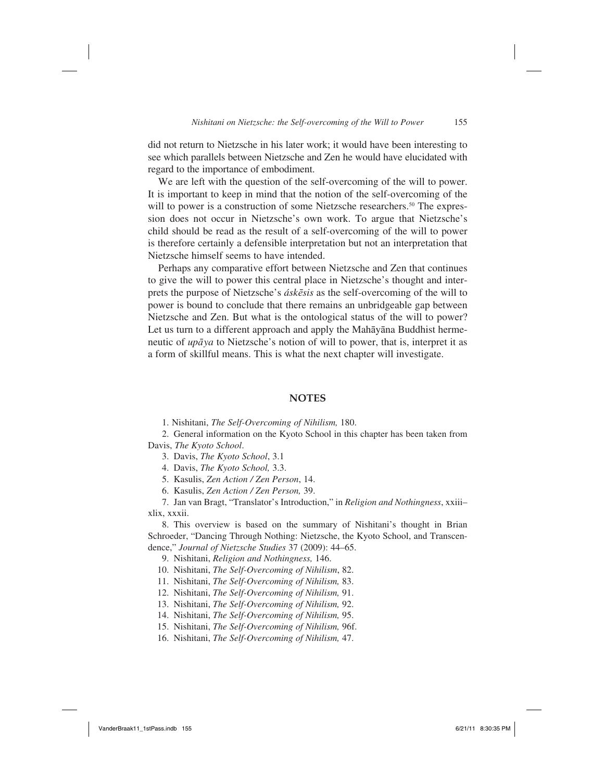did not return to Nietzsche in his later work; it would have been interesting to see which parallels between Nietzsche and Zen he would have elucidated with regard to the importance of embodiment.

We are left with the question of the self-overcoming of the will to power. It is important to keep in mind that the notion of the self-overcoming of the will to power is a construction of some Nietzsche researchers.<sup>50</sup> The expression does not occur in Nietzsche's own work. To argue that Nietzsche's child should be read as the result of a self-overcoming of the will to power is therefore certainly a defensible interpretation but not an interpretation that Nietzsche himself seems to have intended.

Perhaps any comparative effort between Nietzsche and Zen that continues to give the will to power this central place in Nietzsche's thought and interprets the purpose of Nietzsche's *áskēsis* as the self-overcoming of the will to power is bound to conclude that there remains an unbridgeable gap between Nietzsche and Zen. But what is the ontological status of the will to power? Let us turn to a different approach and apply the Mahāyāna Buddhist hermeneutic of *upāya* to Nietzsche's notion of will to power, that is, interpret it as a form of skillful means. This is what the next chapter will investigate.

# **NOTES**

1. Nishitani, *The Self-Overcoming of Nihilism,* 180.

 2. General information on the Kyoto School in this chapter has been taken from Davis, *The Kyoto School*.

3. Davis, *The Kyoto School*, 3.1

4. Davis, *The Kyoto School,* 3.3.

5. Kasulis, *Zen Action / Zen Person*, 14.

6. Kasulis, *Zen Action / Zen Person,* 39.

 7. Jan van Bragt, "Translator's Introduction," in *Religion and Nothingness*, xxiii– xlix, xxxii.

 8. This overview is based on the summary of Nishitani's thought in Brian Schroeder, "Dancing Through Nothing: Nietzsche, the Kyoto School, and Transcendence," *Journal of Nietzsche Studies* 37 (2009): 44–65.

9. Nishitani, *Religion and Nothingness,* 146.

10. Nishitani, *The Self-Overcoming of Nihilism*, 82.

11. Nishitani, *The Self-Overcoming of Nihilism,* 83.

12. Nishitani, *The Self-Overcoming of Nihilism,* 91.

13. Nishitani, *The Self-Overcoming of Nihilism,* 92.

14. Nishitani, *The Self-Overcoming of Nihilism,* 95.

15. Nishitani, *The Self-Overcoming of Nihilism,* 96f.

16. Nishitani, *The Self-Overcoming of Nihilism,* 47.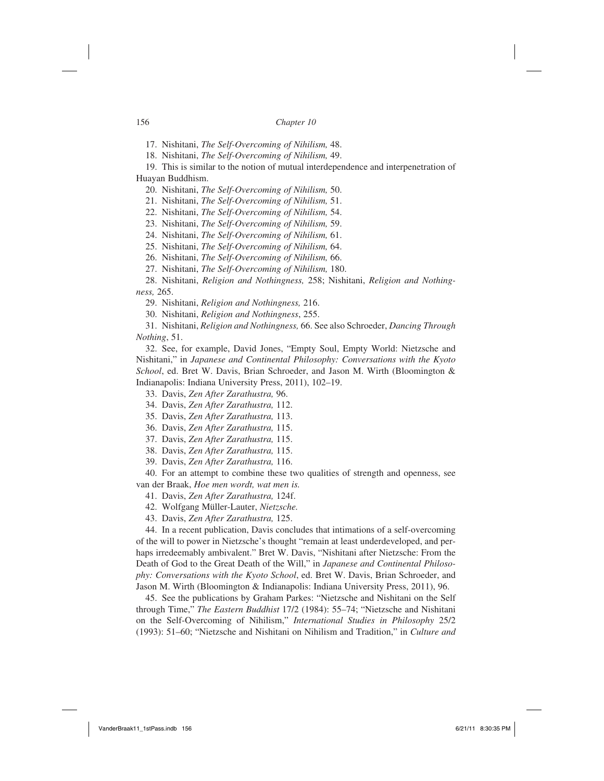17. Nishitani, *The Self-Overcoming of Nihilism,* 48.

18. Nishitani, *The Self-Overcoming of Nihilism,* 49.

19. This is similar to the notion of mutual interdependence and interpenetration of Huayan Buddhism.

20. Nishitani, *The Self-Overcoming of Nihilism,* 50.

21. Nishitani, *The Self-Overcoming of Nihilism,* 51.

22. Nishitani, *The Self-Overcoming of Nihilism,* 54.

23. Nishitani, *The Self-Overcoming of Nihilism,* 59.

24. Nishitani, *The Self-Overcoming of Nihilism,* 61.

25. Nishitani, *The Self-Overcoming of Nihilism,* 64.

26. Nishitani, *The Self-Overcoming of Nihilism,* 66.

27. Nishitani, *The Self-Overcoming of Nihilism,* 180.

28. Nishitani, *Religion and Nothingness,* 258; Nishitani, *Religion and Nothingness,* 265.

29. Nishitani, *Religion and Nothingness,* 216.

30. Nishitani, *Religion and Nothingness*, 255.

31. Nishitani, *Religion and Nothingness,* 66. See also Schroeder, *Dancing Through Nothing*, 51.

32. See, for example, David Jones, "Empty Soul, Empty World: Nietzsche and Nishitani," in *Japanese and Continental Philosophy: Conversations with the Kyoto School*, ed. Bret W. Davis, Brian Schroeder, and Jason M. Wirth (Bloomington & Indianapolis: Indiana University Press, 2011), 102–19.

33. Davis, *Zen After Zarathustra,* 96.

34. Davis, *Zen After Zarathustra,* 112.

35. Davis, *Zen After Zarathustra,* 113.

36. Davis, *Zen After Zarathustra,* 115.

37. Davis, *Zen After Zarathustra,* 115.

38. Davis, *Zen After Zarathustra,* 115.

39. Davis, *Zen After Zarathustra,* 116.

40. For an attempt to combine these two qualities of strength and openness, see van der Braak, *Hoe men wordt, wat men is.*

41. Davis, *Zen After Zarathustra,* 124f.

42. Wolfgang Müller-Lauter, *Nietzsche.*

43. Davis, *Zen After Zarathustra,* 125.

44. In a recent publication, Davis concludes that intimations of a self-overcoming of the will to power in Nietzsche's thought "remain at least underdeveloped, and perhaps irredeemably ambivalent." Bret W. Davis, "Nishitani after Nietzsche: From the Death of God to the Great Death of the Will," in *Japanese and Continental Philosophy: Conversations with the Kyoto School*, ed. Bret W. Davis, Brian Schroeder, and Jason M. Wirth (Bloomington & Indianapolis: Indiana University Press, 2011), 96.

45. See the publications by Graham Parkes: "Nietzsche and Nishitani on the Self through Time," *The Eastern Buddhist* 17/2 (1984): 55–74; "Nietzsche and Nishitani on the Self-Overcoming of Nihilism," *International Studies in Philosophy* 25/2 (1993): 51–60; "Nietzsche and Nishitani on Nihilism and Tradition," in *Culture and*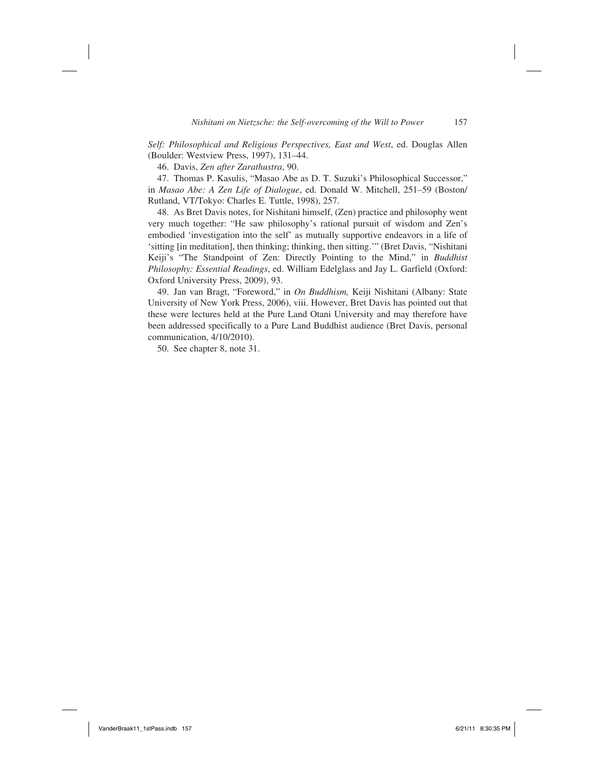*Self: Philosophical and Religious Perspectives, East and West*, ed. Douglas Allen (Boulder: Westview Press, 1997), 131–44.

46. Davis, *Zen after Zarathustra*, 90.

47. Thomas P. Kasulis, "Masao Abe as D. T. Suzuki's Philosophical Successor," in *Masao Abe: A Zen Life of Dialogue*, ed. Donald W. Mitchell, 251–59 (Boston/ Rutland, VT/Tokyo: Charles E. Tuttle, 1998), 257.

48. As Bret Davis notes, for Nishitani himself, (Zen) practice and philosophy went very much together: "He saw philosophy's rational pursuit of wisdom and Zen's embodied 'investigation into the self' as mutually supportive endeavors in a life of 'sitting [in meditation], then thinking; thinking, then sitting.'" (Bret Davis, "Nishitani Keiji's "The Standpoint of Zen: Directly Pointing to the Mind," in *Buddhist Philosophy: Essential Readings*, ed. William Edelglass and Jay L. Garfield (Oxford: Oxford University Press, 2009), 93.

49. Jan van Bragt, "Foreword," in *On Buddhism,* Keiji Nishitani (Albany: State University of New York Press, 2006), viii. However, Bret Davis has pointed out that these were lectures held at the Pure Land Otani University and may therefore have been addressed specifically to a Pure Land Buddhist audience (Bret Davis, personal communication, 4/10/2010).

50. See chapter 8, note 31.

VanderBraak11\_1stPass.indb 157 anderBraak11\_1stPass.indb 6/21/11 8:30:35 PM /21/11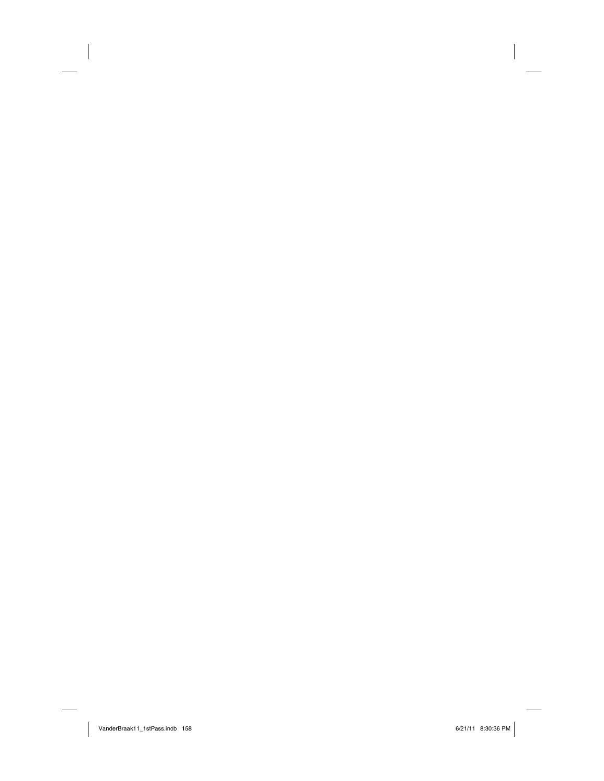VanderBraak11\_1stPass.indb 158  $\blacksquare$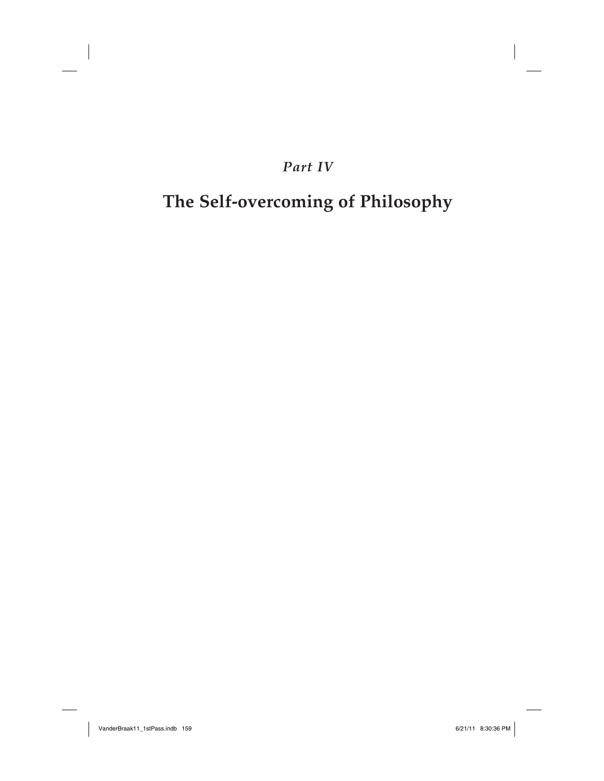*Part IV*

# **The Self-overcoming of Philosophy**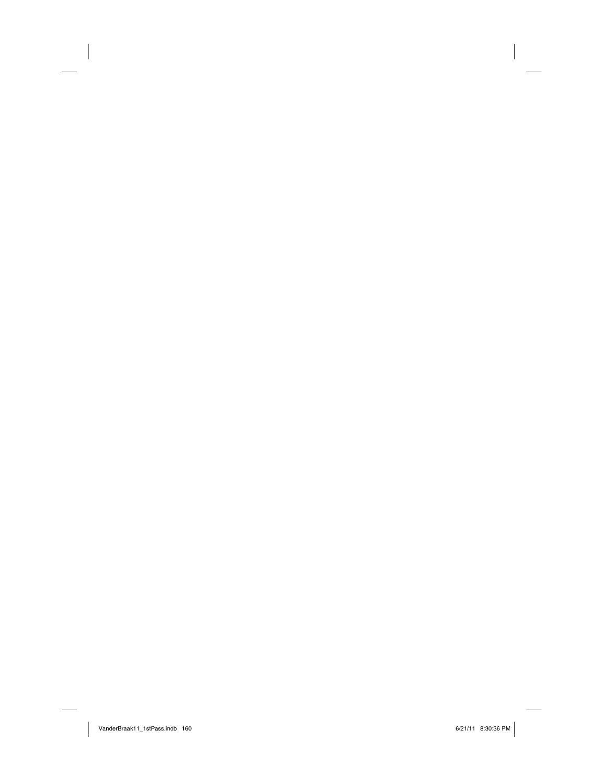VanderBraak11\_1stPass.indb 160  $\blacksquare$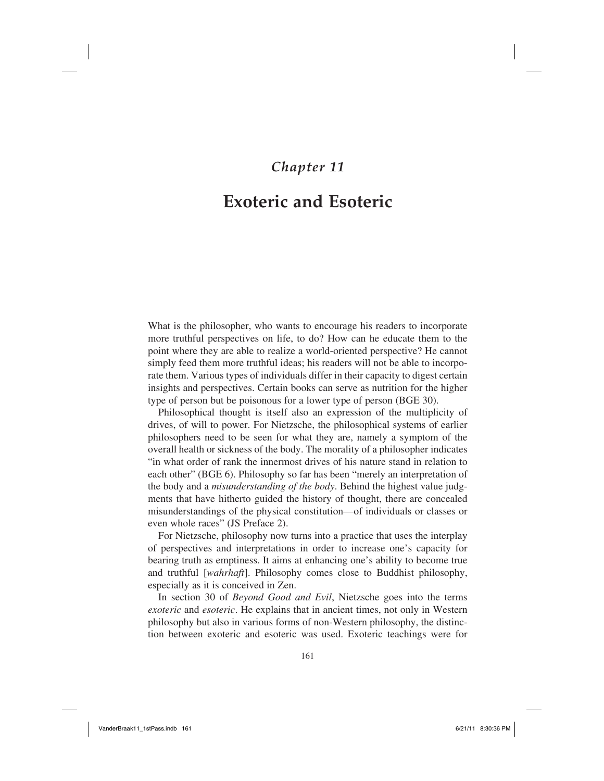# **Exoteric and Esoteric**

What is the philosopher, who wants to encourage his readers to incorporate more truthful perspectives on life, to do? How can he educate them to the point where they are able to realize a world-oriented perspective? He cannot simply feed them more truthful ideas; his readers will not be able to incorporate them. Various types of individuals differ in their capacity to digest certain insights and perspectives. Certain books can serve as nutrition for the higher type of person but be poisonous for a lower type of person (BGE 30).

Philosophical thought is itself also an expression of the multiplicity of drives, of will to power. For Nietzsche, the philosophical systems of earlier philosophers need to be seen for what they are, namely a symptom of the overall health or sickness of the body. The morality of a philosopher indicates "in what order of rank the innermost drives of his nature stand in relation to each other" (BGE 6). Philosophy so far has been "merely an interpretation of the body and a *misunderstanding of the body*. Behind the highest value judgments that have hitherto guided the history of thought, there are concealed misunderstandings of the physical constitution—of individuals or classes or even whole races" (JS Preface 2).

For Nietzsche, philosophy now turns into a practice that uses the interplay of perspectives and interpretations in order to increase one's capacity for bearing truth as emptiness. It aims at enhancing one's ability to become true and truthful [*wahrhaft*]. Philosophy comes close to Buddhist philosophy, especially as it is conceived in Zen.

In section 30 of *Beyond Good and Evil*, Nietzsche goes into the terms *exoteric* and *esoteric*. He explains that in ancient times, not only in Western philosophy but also in various forms of non-Western philosophy, the distinction between exoteric and esoteric was used. Exoteric teachings were for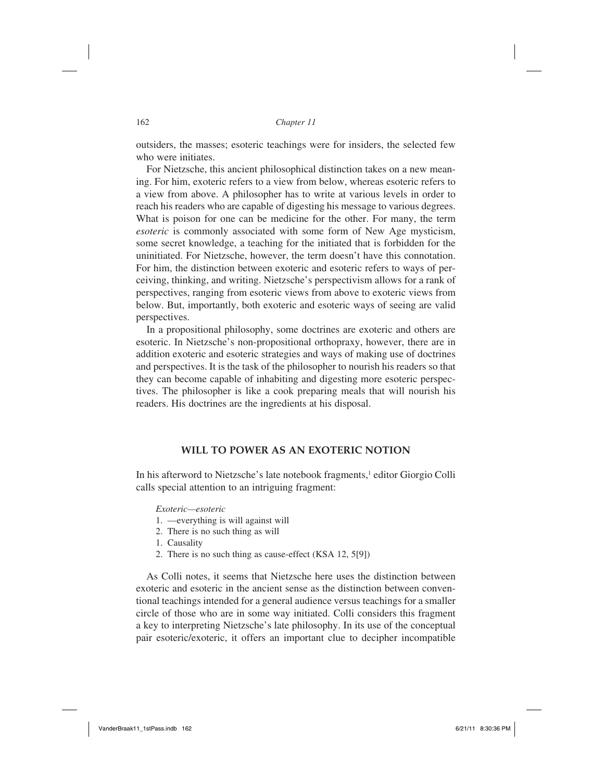outsiders, the masses; esoteric teachings were for insiders, the selected few who were initiates.

For Nietzsche, this ancient philosophical distinction takes on a new meaning. For him, exoteric refers to a view from below, whereas esoteric refers to a view from above. A philosopher has to write at various levels in order to reach his readers who are capable of digesting his message to various degrees. What is poison for one can be medicine for the other. For many, the term *esoteric* is commonly associated with some form of New Age mysticism, some secret knowledge, a teaching for the initiated that is forbidden for the uninitiated. For Nietzsche, however, the term doesn't have this connotation. For him, the distinction between exoteric and esoteric refers to ways of perceiving, thinking, and writing. Nietzsche's perspectivism allows for a rank of perspectives, ranging from esoteric views from above to exoteric views from below. But, importantly, both exoteric and esoteric ways of seeing are valid perspectives.

In a propositional philosophy, some doctrines are exoteric and others are esoteric. In Nietzsche's non-propositional orthopraxy, however, there are in addition exoteric and esoteric strategies and ways of making use of doctrines and perspectives. It is the task of the philosopher to nourish his readers so that they can become capable of inhabiting and digesting more esoteric perspectives. The philosopher is like a cook preparing meals that will nourish his readers. His doctrines are the ingredients at his disposal.

# **WILL TO POWER AS AN EXOTERIC NOTION**

In his afterword to Nietzsche's late notebook fragments,<sup>1</sup> editor Giorgio Colli calls special attention to an intriguing fragment:

*Exoteric—esoteric*

- 1. —everything is will against will
- 2. There is no such thing as will
- 1. Causality
- 2. There is no such thing as cause-effect (KSA 12, 5[9])

As Colli notes, it seems that Nietzsche here uses the distinction between exoteric and esoteric in the ancient sense as the distinction between conventional teachings intended for a general audience versus teachings for a smaller circle of those who are in some way initiated. Colli considers this fragment a key to interpreting Nietzsche's late philosophy. In its use of the conceptual pair esoteric/exoteric, it offers an important clue to decipher incompatible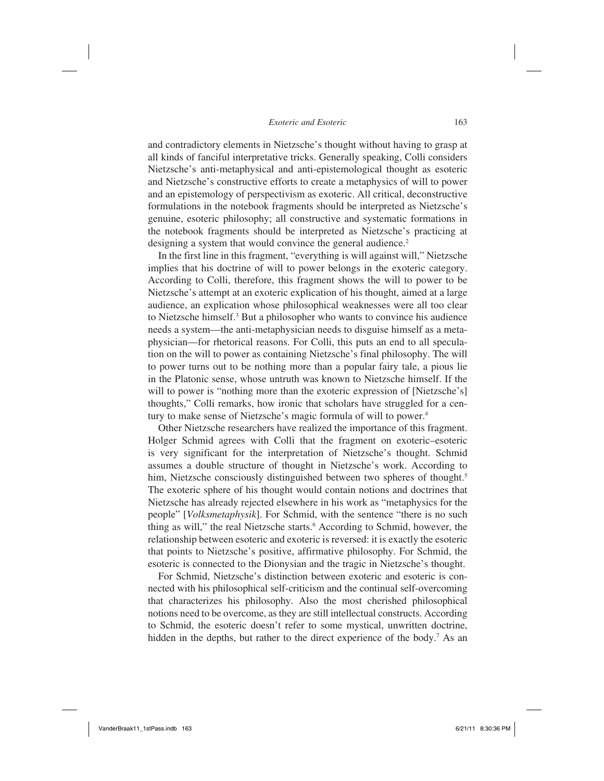#### *Exoteric and Esoteric* 163

and contradictory elements in Nietzsche's thought without having to grasp at all kinds of fanciful interpretative tricks. Generally speaking, Colli considers Nietzsche's anti-metaphysical and anti-epistemological thought as esoteric and Nietzsche's constructive efforts to create a metaphysics of will to power and an epistemology of perspectivism as exoteric. All critical, deconstructive formulations in the notebook fragments should be interpreted as Nietzsche's genuine, esoteric philosophy; all constructive and systematic formations in the notebook fragments should be interpreted as Nietzsche's practicing at designing a system that would convince the general audience.<sup>2</sup>

In the first line in this fragment, "everything is will against will," Nietzsche implies that his doctrine of will to power belongs in the exoteric category. According to Colli, therefore, this fragment shows the will to power to be Nietzsche's attempt at an exoteric explication of his thought, aimed at a large audience, an explication whose philosophical weaknesses were all too clear to Nietzsche himself.<sup>3</sup> But a philosopher who wants to convince his audience needs a system—the anti-metaphysician needs to disguise himself as a metaphysician—for rhetorical reasons. For Colli, this puts an end to all speculation on the will to power as containing Nietzsche's final philosophy. The will to power turns out to be nothing more than a popular fairy tale, a pious lie in the Platonic sense, whose untruth was known to Nietzsche himself. If the will to power is "nothing more than the exoteric expression of [Nietzsche's] thoughts," Colli remarks, how ironic that scholars have struggled for a century to make sense of Nietzsche's magic formula of will to power.4

Other Nietzsche researchers have realized the importance of this fragment. Holger Schmid agrees with Colli that the fragment on exoteric–esoteric is very significant for the interpretation of Nietzsche's thought. Schmid assumes a double structure of thought in Nietzsche's work. According to him, Nietzsche consciously distinguished between two spheres of thought.<sup>5</sup> The exoteric sphere of his thought would contain notions and doctrines that Nietzsche has already rejected elsewhere in his work as "metaphysics for the people" [*Volksmetaphysik*]. For Schmid, with the sentence "there is no such thing as will," the real Nietzsche starts.<sup>6</sup> According to Schmid, however, the relationship between esoteric and exoteric is reversed: it is exactly the esoteric that points to Nietzsche's positive, affirmative philosophy. For Schmid, the esoteric is connected to the Dionysian and the tragic in Nietzsche's thought.

For Schmid, Nietzsche's distinction between exoteric and esoteric is connected with his philosophical self-criticism and the continual self-overcoming that characterizes his philosophy. Also the most cherished philosophical notions need to be overcome, as they are still intellectual constructs. According to Schmid, the esoteric doesn't refer to some mystical, unwritten doctrine, hidden in the depths, but rather to the direct experience of the body.<sup>7</sup> As an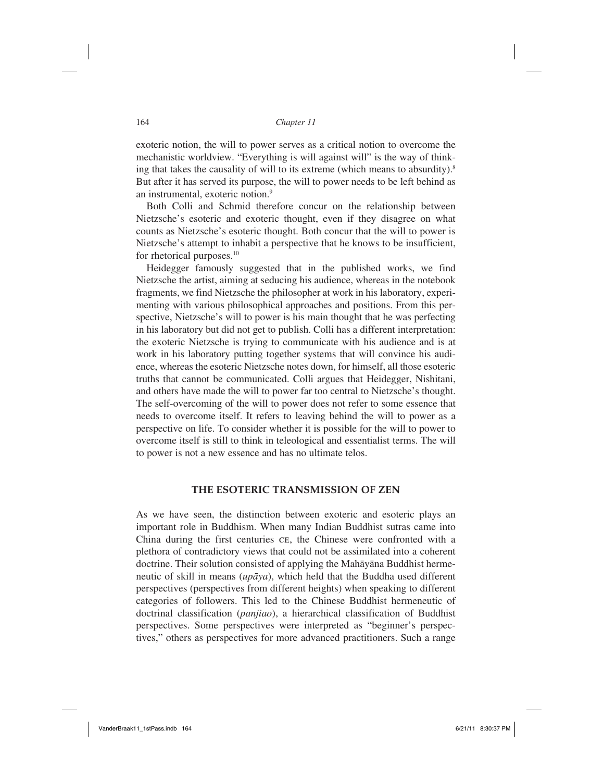exoteric notion, the will to power serves as a critical notion to overcome the mechanistic worldview. "Everything is will against will" is the way of thinking that takes the causality of will to its extreme (which means to absurdity).<sup>8</sup> But after it has served its purpose, the will to power needs to be left behind as an instrumental, exoteric notion.<sup>9</sup>

Both Colli and Schmid therefore concur on the relationship between Nietzsche's esoteric and exoteric thought, even if they disagree on what counts as Nietzsche's esoteric thought. Both concur that the will to power is Nietzsche's attempt to inhabit a perspective that he knows to be insufficient, for rhetorical purposes.<sup>10</sup>

Heidegger famously suggested that in the published works, we find Nietzsche the artist, aiming at seducing his audience, whereas in the notebook fragments, we find Nietzsche the philosopher at work in his laboratory, experimenting with various philosophical approaches and positions. From this perspective, Nietzsche's will to power is his main thought that he was perfecting in his laboratory but did not get to publish. Colli has a different interpretation: the exoteric Nietzsche is trying to communicate with his audience and is at work in his laboratory putting together systems that will convince his audience, whereas the esoteric Nietzsche notes down, for himself, all those esoteric truths that cannot be communicated. Colli argues that Heidegger, Nishitani, and others have made the will to power far too central to Nietzsche's thought. The self-overcoming of the will to power does not refer to some essence that needs to overcome itself. It refers to leaving behind the will to power as a perspective on life. To consider whether it is possible for the will to power to overcome itself is still to think in teleological and essentialist terms. The will to power is not a new essence and has no ultimate telos.

# **THE ESOTERIC TRANSMISSION OF ZEN**

As we have seen, the distinction between exoteric and esoteric plays an important role in Buddhism. When many Indian Buddhist sutras came into China during the first centuries ce, the Chinese were confronted with a plethora of contradictory views that could not be assimilated into a coherent doctrine. Their solution consisted of applying the Mahāyāna Buddhist hermeneutic of skill in means (*upāya*), which held that the Buddha used different perspectives (perspectives from different heights) when speaking to different categories of followers. This led to the Chinese Buddhist hermeneutic of doctrinal classification (*panjiao*), a hierarchical classification of Buddhist perspectives. Some perspectives were interpreted as "beginner's perspectives," others as perspectives for more advanced practitioners. Such a range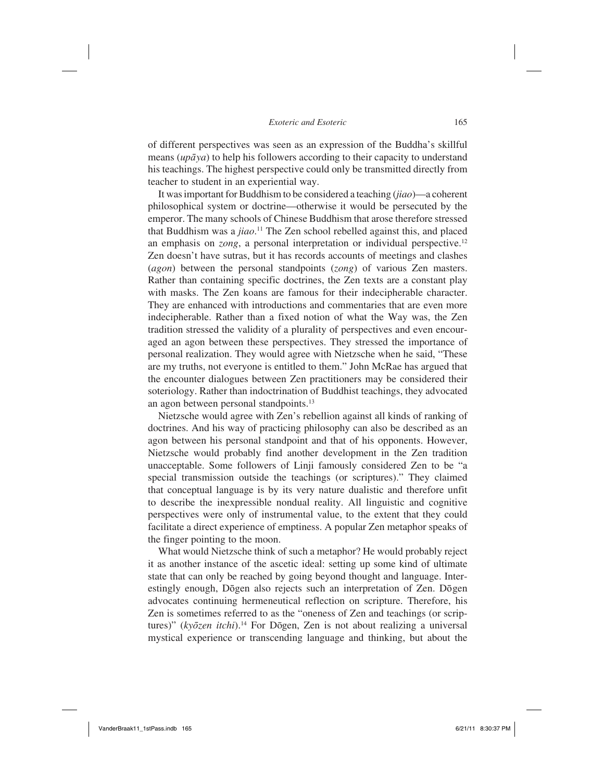#### *Exoteric and Esoteric* 165

of different perspectives was seen as an expression of the Buddha's skillful means (*upāya*) to help his followers according to their capacity to understand his teachings. The highest perspective could only be transmitted directly from teacher to student in an experiential way.

It was important for Buddhism to be considered a teaching (*jiao*)—a coherent philosophical system or doctrine—otherwise it would be persecuted by the emperor. The many schools of Chinese Buddhism that arose therefore stressed that Buddhism was a *jiao*. 11 The Zen school rebelled against this, and placed an emphasis on *zong*, a personal interpretation or individual perspective.12 Zen doesn't have sutras, but it has records accounts of meetings and clashes (*agon*) between the personal standpoints (*zong*) of various Zen masters. Rather than containing specific doctrines, the Zen texts are a constant play with masks. The Zen koans are famous for their indecipherable character. They are enhanced with introductions and commentaries that are even more indecipherable. Rather than a fixed notion of what the Way was, the Zen tradition stressed the validity of a plurality of perspectives and even encouraged an agon between these perspectives. They stressed the importance of personal realization. They would agree with Nietzsche when he said, "These are my truths, not everyone is entitled to them." John McRae has argued that the encounter dialogues between Zen practitioners may be considered their soteriology. Rather than indoctrination of Buddhist teachings, they advocated an agon between personal standpoints.13

Nietzsche would agree with Zen's rebellion against all kinds of ranking of doctrines. And his way of practicing philosophy can also be described as an agon between his personal standpoint and that of his opponents. However, Nietzsche would probably find another development in the Zen tradition unacceptable. Some followers of Linji famously considered Zen to be "a special transmission outside the teachings (or scriptures)." They claimed that conceptual language is by its very nature dualistic and therefore unfit to describe the inexpressible nondual reality. All linguistic and cognitive perspectives were only of instrumental value, to the extent that they could facilitate a direct experience of emptiness. A popular Zen metaphor speaks of the finger pointing to the moon.

What would Nietzsche think of such a metaphor? He would probably reject it as another instance of the ascetic ideal: setting up some kind of ultimate state that can only be reached by going beyond thought and language. Interestingly enough, Dōgen also rejects such an interpretation of Zen. Dō gen advocates continuing hermeneutical reflection on scripture. Therefore, his Zen is sometimes referred to as the "oneness of Zen and teachings (or scriptures)" (*kyōzen itchi*).<sup>14</sup> For Dōgen, Zen is not about realizing a universal mystical experience or transcending language and thinking, but about the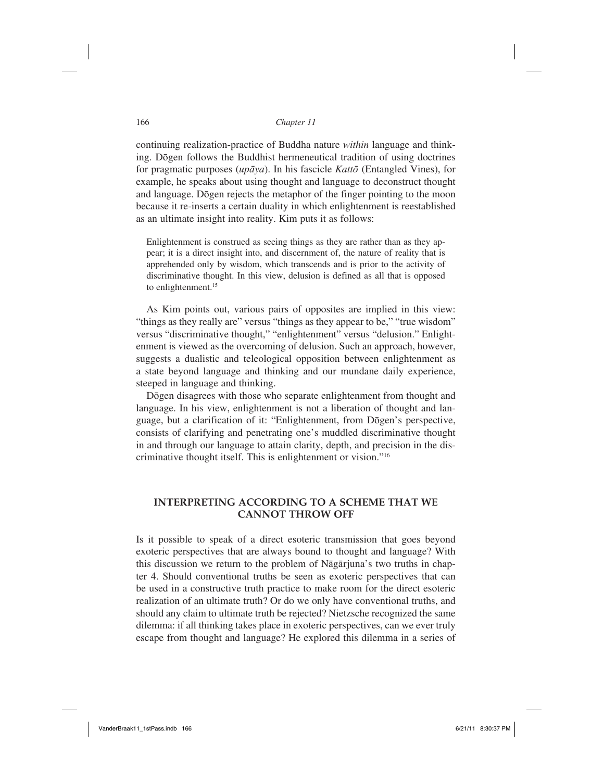continuing realization-practice of Buddha nature *within* language and thinking. Dōgen follows the Buddhist hermeneutical tradition of using doctrines for pragmatic purposes (*upāya*). In his fascicle *Kattō* (Entangled Vines), for example, he speaks about using thought and language to deconstruct thought and language. Dōgen rejects the metaphor of the finger pointing to the moon because it re-inserts a certain duality in which enlightenment is reestablished as an ultimate insight into reality. Kim puts it as follows:

Enlightenment is construed as seeing things as they are rather than as they appear; it is a direct insight into, and discernment of, the nature of reality that is apprehended only by wisdom, which transcends and is prior to the activity of discriminative thought. In this view, delusion is defined as all that is opposed to enlightenment.<sup>15</sup>

As Kim points out, various pairs of opposites are implied in this view: "things as they really are" versus "things as they appear to be," "true wisdom" versus "discriminative thought," "enlightenment" versus "delusion." Enlightenment is viewed as the overcoming of delusion. Such an approach, however, suggests a dualistic and teleological opposition between enlightenment as a state beyond language and thinking and our mundane daily experience, steeped in language and thinking.

Dōgen disagrees with those who separate enlightenment from thought and language. In his view, enlightenment is not a liberation of thought and language, but a clarification of it: "Enlightenment, from Dōgen's perspective, consists of clarifying and penetrating one's muddled discriminative thought in and through our language to attain clarity, depth, and precision in the discriminative thought itself. This is enlightenment or vision."16

# **INTERPRETING ACCORDING TO A SCHEME THAT WE CANNOT THROW OFF**

Is it possible to speak of a direct esoteric transmission that goes beyond exoteric perspectives that are always bound to thought and language? With this discussion we return to the problem of Nāgārjuna's two truths in chapter 4. Should conventional truths be seen as exoteric perspectives that can be used in a constructive truth practice to make room for the direct esoteric realization of an ultimate truth? Or do we only have conventional truths, and should any claim to ultimate truth be rejected? Nietzsche recognized the same dilemma: if all thinking takes place in exoteric perspectives, can we ever truly escape from thought and language? He explored this dilemma in a series of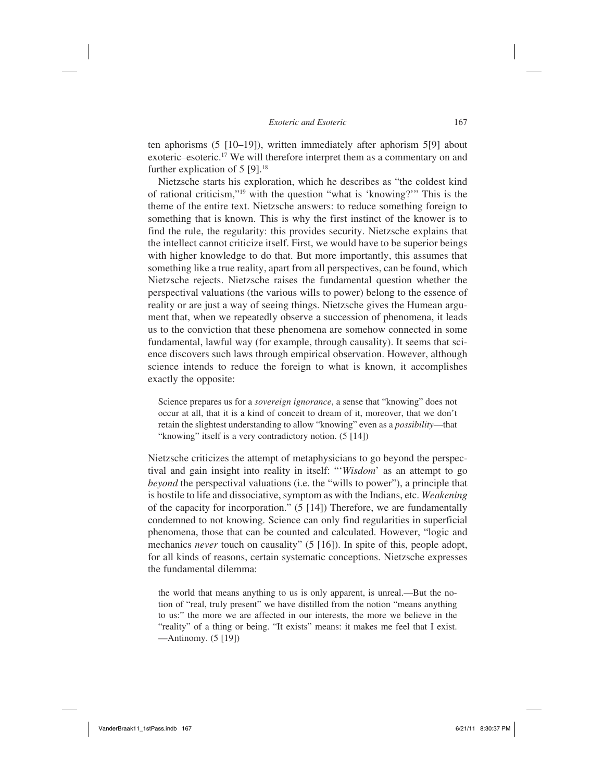#### *Exoteric and Esoteric* 167

ten aphorisms (5 [10–19]), written immediately after aphorism 5[9] about exoteric–esoteric.17 We will therefore interpret them as a commentary on and further explication of 5 [9].<sup>18</sup>

Nietzsche starts his exploration, which he describes as "the coldest kind of rational criticism,"19 with the question "what is 'knowing?'" This is the theme of the entire text. Nietzsche answers: to reduce something foreign to something that is known. This is why the first instinct of the knower is to find the rule, the regularity: this provides security. Nietzsche explains that the intellect cannot criticize itself. First, we would have to be superior beings with higher knowledge to do that. But more importantly, this assumes that something like a true reality, apart from all perspectives, can be found, which Nietzsche rejects. Nietzsche raises the fundamental question whether the perspectival valuations (the various wills to power) belong to the essence of reality or are just a way of seeing things. Nietzsche gives the Humean argument that, when we repeatedly observe a succession of phenomena, it leads us to the conviction that these phenomena are somehow connected in some fundamental, lawful way (for example, through causality). It seems that science discovers such laws through empirical observation. However, although science intends to reduce the foreign to what is known, it accomplishes exactly the opposite:

Science prepares us for a *sovereign ignorance*, a sense that "knowing" does not occur at all, that it is a kind of conceit to dream of it, moreover, that we don't retain the slightest understanding to allow "knowing" even as a *possibility*—that "knowing" itself is a very contradictory notion. (5 [14])

Nietzsche criticizes the attempt of metaphysicians to go beyond the perspectival and gain insight into reality in itself: "'*Wisdom*' as an attempt to go *beyond* the perspectival valuations (i.e. the "wills to power"), a principle that is hostile to life and dissociative, symptom as with the Indians, etc. *Weakening* of the capacity for incorporation." (5 [14]) Therefore, we are fundamentally condemned to not knowing. Science can only find regularities in superficial phenomena, those that can be counted and calculated. However, "logic and mechanics *never* touch on causality" (5 [16]). In spite of this, people adopt, for all kinds of reasons, certain systematic conceptions. Nietzsche expresses the fundamental dilemma:

the world that means anything to us is only apparent, is unreal.—But the notion of "real, truly present" we have distilled from the notion "means anything to us:" the more we are affected in our interests, the more we believe in the "reality" of a thing or being. "It exists" means: it makes me feel that I exist. —Antinomy. (5 [19])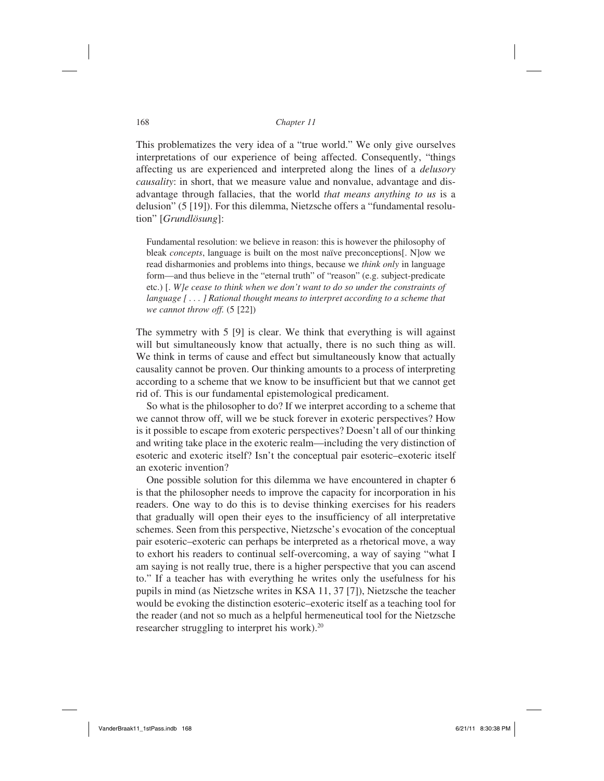This problematizes the very idea of a "true world." We only give ourselves interpretations of our experience of being affected. Consequently, "things affecting us are experienced and interpreted along the lines of a *delusory causality*: in short, that we measure value and nonvalue, advantage and disadvantage through fallacies, that the world *that means anything to us* is a delusion" (5 [19]). For this dilemma, Nietzsche offers a "fundamental resolution" [*Grundlösung*]:

Fundamental resolution: we believe in reason: this is however the philosophy of bleak *concepts*, language is built on the most naïve preconceptions[. N]ow we read disharmonies and problems into things, because we *think only* in language form—and thus believe in the "eternal truth" of "reason" (e.g. subject-predicate etc.) [. *W]e cease to think when we don't want to do so under the constraints of language [...] Rational thought means to interpret according to a scheme that we cannot throw off.* (5 [22])

The symmetry with 5 [9] is clear. We think that everything is will against will but simultaneously know that actually, there is no such thing as will. We think in terms of cause and effect but simultaneously know that actually causality cannot be proven. Our thinking amounts to a process of interpreting according to a scheme that we know to be insufficient but that we cannot get rid of. This is our fundamental epistemological predicament.

So what is the philosopher to do? If we interpret according to a scheme that we cannot throw off, will we be stuck forever in exoteric perspectives? How is it possible to escape from exoteric perspectives? Doesn't all of our thinking and writing take place in the exoteric realm—including the very distinction of esoteric and exoteric itself? Isn't the conceptual pair esoteric–exoteric itself an exoteric invention?

One possible solution for this dilemma we have encountered in chapter 6 is that the philosopher needs to improve the capacity for incorporation in his readers. One way to do this is to devise thinking exercises for his readers that gradually will open their eyes to the insufficiency of all interpretative schemes. Seen from this perspective, Nietzsche's evocation of the conceptual pair esoteric–exoteric can perhaps be interpreted as a rhetorical move, a way to exhort his readers to continual self-overcoming, a way of saying "what I am saying is not really true, there is a higher perspective that you can ascend to." If a teacher has with everything he writes only the usefulness for his pupils in mind (as Nietzsche writes in KSA 11, 37 [7]), Nietzsche the teacher would be evoking the distinction esoteric–exoteric itself as a teaching tool for the reader (and not so much as a helpful hermeneutical tool for the Nietzsche researcher struggling to interpret his work).20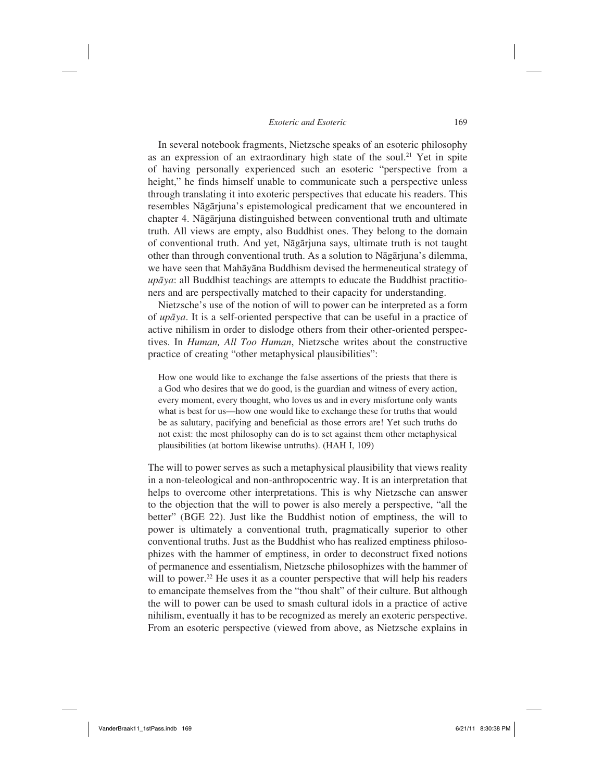#### *Exoteric and Esoteric* 169

In several notebook fragments, Nietzsche speaks of an esoteric philosophy as an expression of an extraordinary high state of the soul.<sup>21</sup> Yet in spite of having personally experienced such an esoteric "perspective from a height," he finds himself unable to communicate such a perspective unless through translating it into exoteric perspectives that educate his readers. This resembles Nāgārjuna's epistemological predicament that we encountered in chapter 4. Nāgārjuna distinguished between conventional truth and ultimate truth. All views are empty, also Buddhist ones. They belong to the domain of conventional truth. And yet, Nāgārjuna says, ultimate truth is not taught other than through conventional truth. As a solution to Nāgārjuna's dilemma, we have seen that Mahāyāna Buddhism devised the hermeneutical strategy of *upāya*: all Buddhist teachings are attempts to educate the Buddhist practitioners and are perspectivally matched to their capacity for understanding.

Nietzsche's use of the notion of will to power can be interpreted as a form of *upāya*. It is a self-oriented perspective that can be useful in a practice of active nihilism in order to dislodge others from their other-oriented perspectives. In *Human, All Too Human*, Nietzsche writes about the constructive practice of creating "other metaphysical plausibilities":

How one would like to exchange the false assertions of the priests that there is a God who desires that we do good, is the guardian and witness of every action, every moment, every thought, who loves us and in every misfortune only wants what is best for us—how one would like to exchange these for truths that would be as salutary, pacifying and beneficial as those errors are! Yet such truths do not exist: the most philosophy can do is to set against them other metaphysical plausibilities (at bottom likewise untruths). (HAH I, 109)

The will to power serves as such a metaphysical plausibility that views reality in a non-teleological and non-anthropocentric way. It is an interpretation that helps to overcome other interpretations. This is why Nietzsche can answer to the objection that the will to power is also merely a perspective, "all the better" (BGE 22). Just like the Buddhist notion of emptiness, the will to power is ultimately a conventional truth, pragmatically superior to other conventional truths. Just as the Buddhist who has realized emptiness philosophizes with the hammer of emptiness, in order to deconstruct fixed notions of permanence and essentialism, Nietzsche philosophizes with the hammer of will to power.<sup>22</sup> He uses it as a counter perspective that will help his readers to emancipate themselves from the "thou shalt" of their culture. But although the will to power can be used to smash cultural idols in a practice of active nihilism, eventually it has to be recognized as merely an exoteric perspective. From an esoteric perspective (viewed from above, as Nietzsche explains in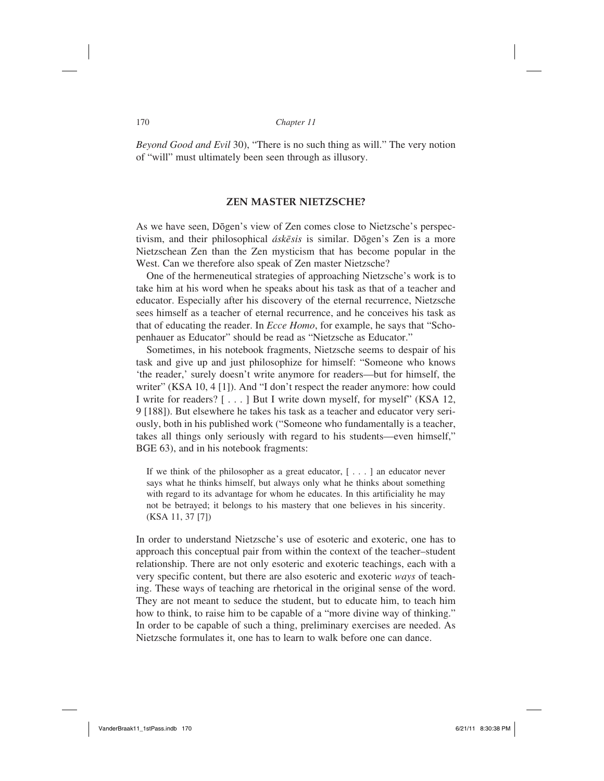*Beyond Good and Evil* 30), "There is no such thing as will." The very notion of "will" must ultimately been seen through as illusory.

# **ZEN MASTER NIETZSCHE?**

As we have seen, Dōgen's view of Zen comes close to Nietzsche's perspectivism, and their philosophical *áskēsis* is similar. Dōgen's Zen is a more Nietzschean Zen than the Zen mysticism that has become popular in the West. Can we therefore also speak of Zen master Nietzsche?

One of the hermeneutical strategies of approaching Nietzsche's work is to take him at his word when he speaks about his task as that of a teacher and educator. Especially after his discovery of the eternal recurrence, Nietzsche sees himself as a teacher of eternal recurrence, and he conceives his task as that of educating the reader. In *Ecce Homo*, for example, he says that "Schopenhauer as Educator" should be read as "Nietzsche as Educator."

Sometimes, in his notebook fragments, Nietzsche seems to despair of his task and give up and just philosophize for himself: "Someone who knows 'the reader,' surely doesn't write anymore for readers—but for himself, the writer" (KSA 10, 4 [1]). And "I don't respect the reader anymore: how could I write for readers? [ . . . ] But I write down myself, for myself" (KSA 12, 9 [188]). But elsewhere he takes his task as a teacher and educator very seriously, both in his published work ("Someone who fundamentally is a teacher, takes all things only seriously with regard to his students—even himself," BGE 63), and in his notebook fragments:

If we think of the philosopher as a great educator, [ . . . ] an educator never says what he thinks himself, but always only what he thinks about something with regard to its advantage for whom he educates. In this artificiality he may not be betrayed; it belongs to his mastery that one believes in his sincerity. (KSA 11, 37 [7])

In order to understand Nietzsche's use of esoteric and exoteric, one has to approach this conceptual pair from within the context of the teacher–student relationship. There are not only esoteric and exoteric teachings, each with a very specific content, but there are also esoteric and exoteric *ways* of teaching. These ways of teaching are rhetorical in the original sense of the word. They are not meant to seduce the student, but to educate him, to teach him how to think, to raise him to be capable of a "more divine way of thinking." In order to be capable of such a thing, preliminary exercises are needed. As Nietzsche formulates it, one has to learn to walk before one can dance.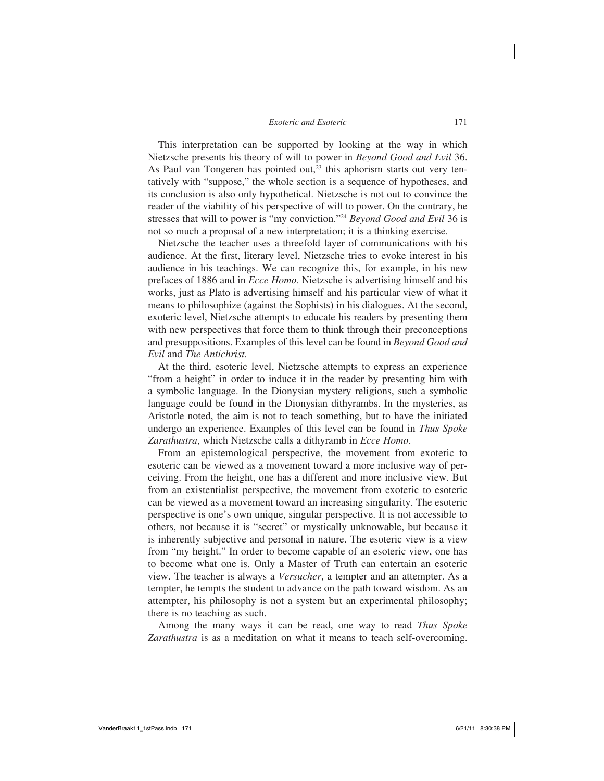## *Exoteric and Esoteric* 171

This interpretation can be supported by looking at the way in which Nietzsche presents his theory of will to power in *Beyond Good and Evil* 36. As Paul van Tongeren has pointed out,<sup>23</sup> this aphorism starts out very tentatively with "suppose," the whole section is a sequence of hypotheses, and its conclusion is also only hypothetical. Nietzsche is not out to convince the reader of the viability of his perspective of will to power. On the contrary, he stresses that will to power is "my conviction."24 *Beyond Good and Evil* 36 is not so much a proposal of a new interpretation; it is a thinking exercise.

Nietzsche the teacher uses a threefold layer of communications with his audience. At the first, literary level, Nietzsche tries to evoke interest in his audience in his teachings. We can recognize this, for example, in his new prefaces of 1886 and in *Ecce Homo*. Nietzsche is advertising himself and his works, just as Plato is advertising himself and his particular view of what it means to philosophize (against the Sophists) in his dialogues. At the second, exoteric level, Nietzsche attempts to educate his readers by presenting them with new perspectives that force them to think through their preconceptions and presuppositions. Examples of this level can be found in *Beyond Good and Evil* and *The Antichrist.*

At the third, esoteric level, Nietzsche attempts to express an experience "from a height" in order to induce it in the reader by presenting him with a symbolic language. In the Dionysian mystery religions, such a symbolic language could be found in the Dionysian dithyrambs. In the mysteries, as Aristotle noted, the aim is not to teach something, but to have the initiated undergo an experience. Examples of this level can be found in *Thus Spoke Zarathustra*, which Nietzsche calls a dithyramb in *Ecce Homo*.

From an epistemological perspective, the movement from exoteric to esoteric can be viewed as a movement toward a more inclusive way of perceiving. From the height, one has a different and more inclusive view. But from an existentialist perspective, the movement from exoteric to esoteric can be viewed as a movement toward an increasing singularity. The esoteric perspective is one's own unique, singular perspective. It is not accessible to others, not because it is "secret" or mystically unknowable, but because it is inherently subjective and personal in nature. The esoteric view is a view from "my height." In order to become capable of an esoteric view, one has to become what one is. Only a Master of Truth can entertain an esoteric view. The teacher is always a *Versucher*, a tempter and an attempter. As a tempter, he tempts the student to advance on the path toward wisdom. As an attempter, his philosophy is not a system but an experimental philosophy; there is no teaching as such.

Among the many ways it can be read, one way to read *Thus Spoke Zarathustra* is as a meditation on what it means to teach self-overcoming.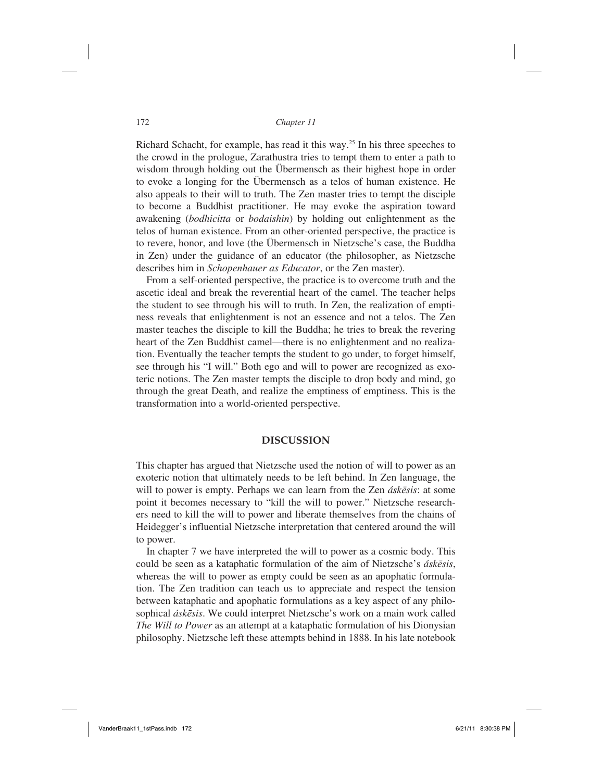Richard Schacht, for example, has read it this way.25 In his three speeches to the crowd in the prologue, Zarathustra tries to tempt them to enter a path to wisdom through holding out the Übermensch as their highest hope in order to evoke a longing for the Übermensch as a telos of human existence. He also appeals to their will to truth. The Zen master tries to tempt the disciple to become a Buddhist practitioner. He may evoke the aspiration toward awakening (*bodhicitta* or *bodaishin*) by holding out enlightenment as the telos of human existence. From an other-oriented perspective, the practice is to revere, honor, and love (the Übermensch in Nietzsche's case, the Buddha in Zen) under the guidance of an educator (the philosopher, as Nietzsche describes him in *Schopenhauer as Educator*, or the Zen master).

From a self-oriented perspective, the practice is to overcome truth and the ascetic ideal and break the reverential heart of the camel. The teacher helps the student to see through his will to truth. In Zen, the realization of emptiness reveals that enlightenment is not an essence and not a telos. The Zen master teaches the disciple to kill the Buddha; he tries to break the revering heart of the Zen Buddhist camel—there is no enlightenment and no realization. Eventually the teacher tempts the student to go under, to forget himself, see through his "I will." Both ego and will to power are recognized as exoteric notions. The Zen master tempts the disciple to drop body and mind, go through the great Death, and realize the emptiness of emptiness. This is the transformation into a world-oriented perspective.

# **DISCUSSION**

This chapter has argued that Nietzsche used the notion of will to power as an exoteric notion that ultimately needs to be left behind. In Zen language, the will to power is empty. Perhaps we can learn from the Zen *áskēsis*: at some point it becomes necessary to "kill the will to power." Nietzsche researchers need to kill the will to power and liberate themselves from the chains of Heidegger's influential Nietzsche interpretation that centered around the will to power.

In chapter 7 we have interpreted the will to power as a cosmic body. This could be seen as a kataphatic formulation of the aim of Nietzsche's *áskēsis*, whereas the will to power as empty could be seen as an apophatic formulation. The Zen tradition can teach us to appreciate and respect the tension between kataphatic and apophatic formulations as a key aspect of any philosophical *áskēsis*. We could interpret Nietzsche's work on a main work called *The Will to Power* as an attempt at a kataphatic formulation of his Dionysian philosophy. Nietzsche left these attempts behind in 1888. In his late notebook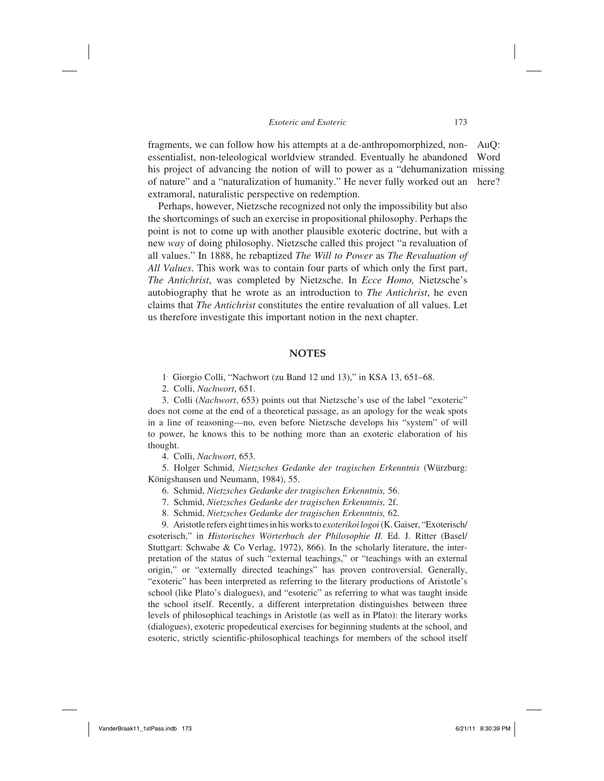#### *Exoteric and Esoteric* 173

fragments, we can follow how his attempts at a de-anthropomorphized, nonessentialist, non-teleological worldview stranded. Eventually he abandoned his project of advancing the notion of will to power as a "dehumanization missing of nature" and a "naturalization of humanity." He never fully worked out an here? extramoral, naturalistic perspective on redemption. AuQ: Word

Perhaps, however, Nietzsche recognized not only the impossibility but also the shortcomings of such an exercise in propositional philosophy. Perhaps the point is not to come up with another plausible exoteric doctrine, but with a new *way* of doing philosophy. Nietzsche called this project "a revaluation of all values." In 1888, he rebaptized *The Will to Power* as *The Revaluation of All Values*. This work was to contain four parts of which only the first part, *The Antichrist*, was completed by Nietzsche. In *Ecce Homo,* Nietzsche's autobiography that he wrote as an introduction to *The Antichrist*, he even claims that *The Antichrist* constitutes the entire revaluation of all values. Let us therefore investigate this important notion in the next chapter.

# **NOTES**

1. Giorgio Colli, "Nachwort (zu Band 12 und 13)," in KSA 13, 651–68.

2. Colli, *Nachwort*, 651.

 3. Colli (*Nachwort*, 653) points out that Nietzsche's use of the label "exoteric" does not come at the end of a theoretical passage, as an apology for the weak spots in a line of reasoning—no, even before Nietzsche develops his "system" of will to power, he knows this to be nothing more than an exoteric elaboration of his thought.

4. Colli, *Nachwort*, 653.

 5. Holger Schmid, *Nietzsches Gedanke der tragischen Erkenntnis* (Würzburg: Königshausen und Neumann, 1984), 55.

6. Schmid, *Nietzsches Gedanke der tragischen Erkenntnis,* 56.

7. Schmid, *Nietzsches Gedanke der tragischen Erkenntnis,* 2f.

8. Schmid, *Nietzsches Gedanke der tragischen Erkenntnis,* 62.

 9. Aristotle refers eight times in his works to *exoterikoi logoi* (K. Gaiser, "Exoterisch/ esoterisch," in *Historisches Wörterbuch der Philosophie II.* Ed. J. Ritter (Basel/ Stuttgart: Schwabe & Co Verlag, 1972), 866). In the scholarly literature, the interpretation of the status of such "external teachings," or "teachings with an external origin," or "externally directed teachings" has proven controversial. Generally, "exoteric" has been interpreted as referring to the literary productions of Aristotle's school (like Plato's dialogues), and "esoteric" as referring to what was taught inside the school itself. Recently, a different interpretation distinguishes between three levels of philosophical teachings in Aristotle (as well as in Plato): the literary works (dialogues), exoteric propedeutical exercises for beginning students at the school, and esoteric, strictly scientific-philosophical teachings for members of the school itself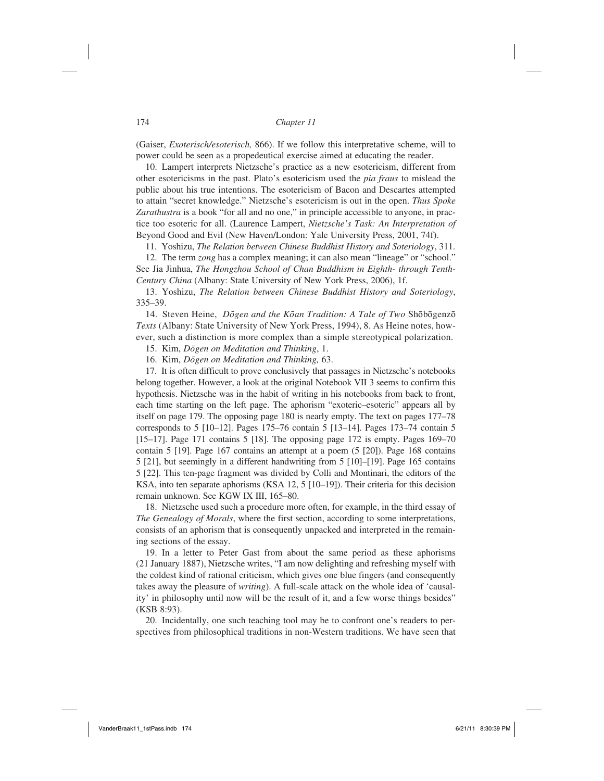(Gaiser, *Exoterisch/esoterisch,* 866). If we follow this interpretative scheme, will to power could be seen as a propedeutical exercise aimed at educating the reader.

10. Lampert interprets Nietzsche's practice as a new esotericism, different from other esotericisms in the past. Plato's esotericism used the *pia fraus* to mislead the public about his true intentions. The esotericism of Bacon and Descartes attempted to attain "secret knowledge." Nietzsche's esotericism is out in the open. *Thus Spoke Zarathustra* is a book "for all and no one," in principle accessible to anyone, in practice too esoteric for all. (Laurence Lampert, *Nietzsche's Task: An Interpretation of*  Beyond Good and Evil (New Haven/London: Yale University Press, 2001, 74f).

11. Yoshizu, *The Relation between Chinese Buddhist History and Soteriology*, 311.

12. The term *zong* has a complex meaning; it can also mean "lineage" or "school." See Jia Jinhua, *The Hongzhou School of Chan Buddhism in Eighth- through Tenth-Century China* (Albany: State University of New York Press, 2006), 1f.

13. Yoshizu, *The Relation between Chinese Buddhist History and Soteriology*, 335–39.

14. Steven Heine, *Dōgen and the Kōan Tradition: A Tale of Two* Shōbōgenzō *Texts* (Albany: State University of New York Press, 1994), 8. As Heine notes, however, such a distinction is more complex than a simple stereotypical polarization.

15. Kim, *Dōgen on Meditation and Thinking*, 1.

16. Kim, *Dōgen on Meditation and Thinking,* 63.

17. It is often difficult to prove conclusively that passages in Nietzsche's notebooks belong together. However, a look at the original Notebook VII 3 seems to confirm this hypothesis. Nietzsche was in the habit of writing in his notebooks from back to front, each time starting on the left page. The aphorism "exoteric–esoteric" appears all by itself on page 179. The opposing page 180 is nearly empty. The text on pages 177–78 corresponds to 5 [10–12]. Pages 175–76 contain 5 [13–14]. Pages 173–74 contain 5 [15–17]. Page 171 contains 5 [18]. The opposing page 172 is empty. Pages 169–70 contain 5 [19]. Page 167 contains an attempt at a poem (5 [20]). Page 168 contains 5 [21], but seemingly in a different handwriting from 5 [10]–[19]. Page 165 contains 5 [22]. This ten-page fragment was divided by Colli and Montinari, the editors of the KSA, into ten separate aphorisms (KSA 12, 5 [10–19]). Their criteria for this decision remain unknown. See KGW IX III, 165–80.

18. Nietzsche used such a procedure more often, for example, in the third essay of *The Genealogy of Morals*, where the first section, according to some interpretations, consists of an aphorism that is consequently unpacked and interpreted in the remaining sections of the essay.

19. In a letter to Peter Gast from about the same period as these aphorisms (21 January 1887), Nietzsche writes, "I am now delighting and refreshing myself with the coldest kind of rational criticism, which gives one blue fingers (and consequently takes away the pleasure of *writing*). A full-scale attack on the whole idea of 'causality' in philosophy until now will be the result of it, and a few worse things besides" (KSB 8:93).

20. Incidentally, one such teaching tool may be to confront one's readers to perspectives from philosophical traditions in non-Western traditions. We have seen that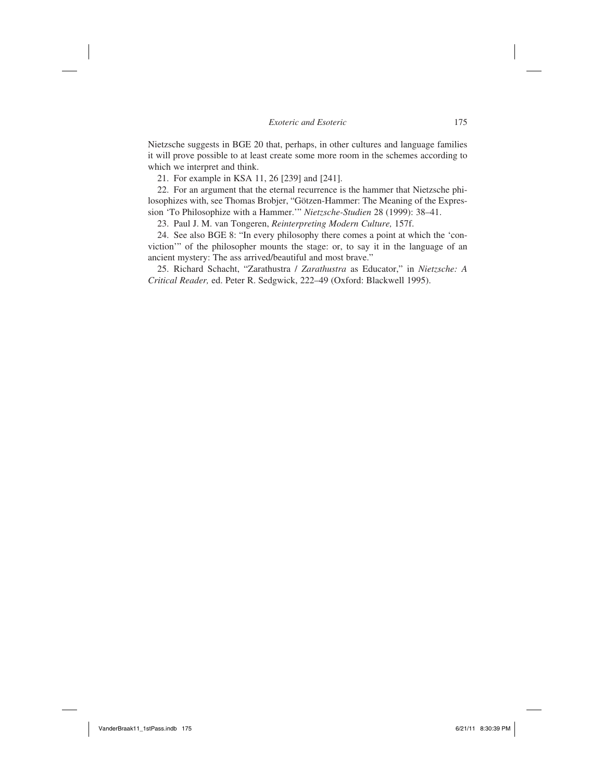#### *Exoteric and Esoteric* 175

Nietzsche suggests in BGE 20 that, perhaps, in other cultures and language families it will prove possible to at least create some more room in the schemes according to which we interpret and think.

21. For example in KSA 11, 26 [239] and [241].

22. For an argument that the eternal recurrence is the hammer that Nietzsche philosophizes with, see Thomas Brobjer, "Götzen-Hammer: The Meaning of the Expression 'To Philosophize with a Hammer.'" *Nietzsche-Studien* 28 (1999): 38–41.

23. Paul J. M. van Tongeren, *Reinterpreting Modern Culture,* 157f.

24. See also BGE 8: "In every philosophy there comes a point at which the 'conviction'" of the philosopher mounts the stage: or, to say it in the language of an ancient mystery: The ass arrived/beautiful and most brave."

25. Richard Schacht, "Zarathustra / *Zarathustra* as Educator," in *Nietzsche: A Critical Reader,* ed. Peter R. Sedgwick, 222–49 (Oxford: Blackwell 1995).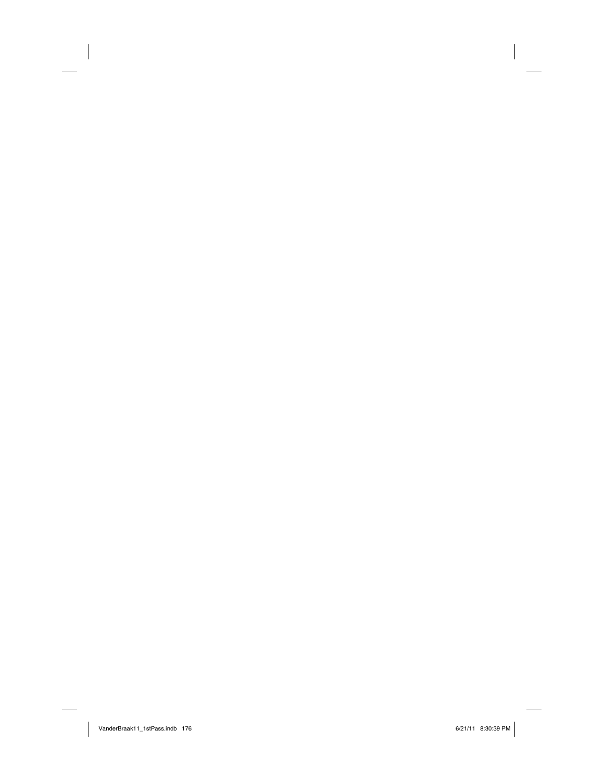VanderBraak11\_1stPass.indb 176  $\blacksquare$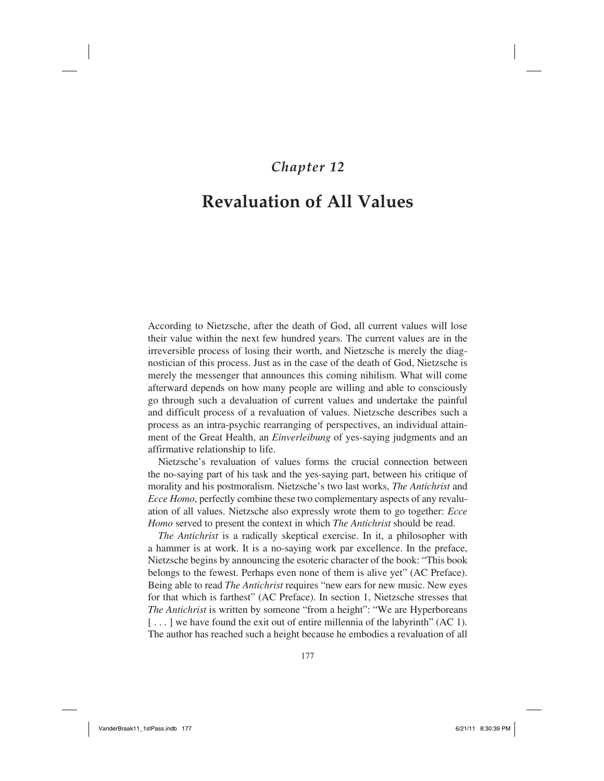# **Revaluation of All Values**

According to Nietzsche, after the death of God, all current values will lose their value within the next few hundred years. The current values are in the irreversible process of losing their worth, and Nietzsche is merely the diagnostician of this process. Just as in the case of the death of God, Nietzsche is merely the messenger that announces this coming nihilism. What will come afterward depends on how many people are willing and able to consciously go through such a devaluation of current values and undertake the painful and difficult process of a revaluation of values. Nietzsche describes such a process as an intra-psychic rearranging of perspectives, an individual attainment of the Great Health, an *Einverleibung* of yes-saying judgments and an affirmative relationship to life.

Nietzsche's revaluation of values forms the crucial connection between the no-saying part of his task and the yes-saying part, between his critique of morality and his postmoralism. Nietzsche's two last works, *The Antichrist* and *Ecce Homo*, perfectly combine these two complementary aspects of any revaluation of all values. Nietzsche also expressly wrote them to go together: *Ecce Homo* served to present the context in which *The Antichrist* should be read.

*The Antichrist* is a radically skeptical exercise. In it, a philosopher with a hammer is at work. It is a no-saying work par excellence. In the preface, Nietzsche begins by announcing the esoteric character of the book: "This book belongs to the fewest. Perhaps even none of them is alive yet" (AC Preface). Being able to read *The Antichrist* requires "new ears for new music. New eyes for that which is farthest" (AC Preface). In section 1, Nietzsche stresses that *The Antichrist* is written by someone "from a height": "We are Hyperboreans [...] we have found the exit out of entire millennia of the labyrinth" (AC 1). The author has reached such a height because he embodies a revaluation of all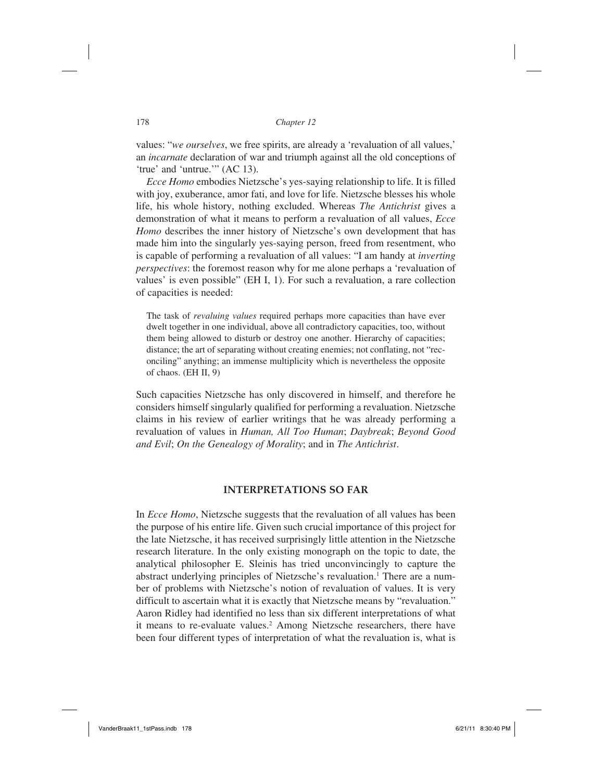values: "*we ourselves*, we free spirits, are already a 'revaluation of all values,' an *incarnate* declaration of war and triumph against all the old conceptions of 'true' and 'untrue.'" (AC 13).

*Ecce Homo* embodies Nietzsche's yes-saying relationship to life. It is filled with joy, exuberance, amor fati, and love for life. Nietzsche blesses his whole life, his whole history, nothing excluded. Whereas *The Antichrist* gives a demonstration of what it means to perform a revaluation of all values, *Ecce Homo* describes the inner history of Nietzsche's own development that has made him into the singularly yes-saying person, freed from resentment, who is capable of performing a revaluation of all values: "I am handy at *inverting perspectives*: the foremost reason why for me alone perhaps a 'revaluation of values' is even possible" (EH I, 1). For such a revaluation, a rare collection of capacities is needed:

The task of *revaluing values* required perhaps more capacities than have ever dwelt together in one individual, above all contradictory capacities, too, without them being allowed to disturb or destroy one another. Hierarchy of capacities; distance; the art of separating without creating enemies; not conflating, not "reconciling" anything; an immense multiplicity which is nevertheless the opposite of chaos. (EH II, 9)

Such capacities Nietzsche has only discovered in himself, and therefore he considers himself singularly qualified for performing a revaluation. Nietzsche claims in his review of earlier writings that he was already performing a revaluation of values in *Human, All Too Human*; *Daybreak*; *Beyond Good and Evil*; *On the Genealogy of Morality*; and in *The Antichrist*.

# **INTERPRETATIONS SO FAR**

In *Ecce Homo*, Nietzsche suggests that the revaluation of all values has been the purpose of his entire life. Given such crucial importance of this project for the late Nietzsche, it has received surprisingly little attention in the Nietzsche research literature. In the only existing monograph on the topic to date, the analytical philosopher E. Sleinis has tried unconvincingly to capture the abstract underlying principles of Nietzsche's revaluation.<sup>1</sup> There are a number of problems with Nietzsche's notion of revaluation of values. It is very difficult to ascertain what it is exactly that Nietzsche means by "revaluation." Aaron Ridley had identified no less than six different interpretations of what it means to re-evaluate values.<sup>2</sup> Among Nietzsche researchers, there have been four different types of interpretation of what the revaluation is, what is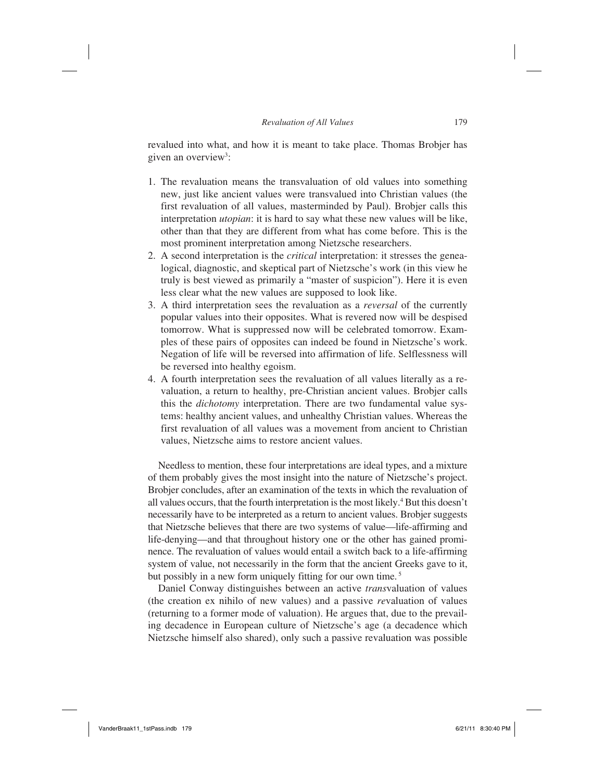#### *Revaluation of All Values* 179

revalued into what, and how it is meant to take place. Thomas Brobjer has given an overview<sup>3</sup>:

- 1. The revaluation means the transvaluation of old values into something new, just like ancient values were transvalued into Christian values (the first revaluation of all values, masterminded by Paul). Brobjer calls this interpretation *utopian*: it is hard to say what these new values will be like, other than that they are different from what has come before. This is the most prominent interpretation among Nietzsche researchers.
- 2. A second interpretation is the *critical* interpretation: it stresses the genealogical, diagnostic, and skeptical part of Nietzsche's work (in this view he truly is best viewed as primarily a "master of suspicion"). Here it is even less clear what the new values are supposed to look like.
- 3. A third interpretation sees the revaluation as a *reversal* of the currently popular values into their opposites. What is revered now will be despised tomorrow. What is suppressed now will be celebrated tomorrow. Examples of these pairs of opposites can indeed be found in Nietzsche's work. Negation of life will be reversed into affirmation of life. Selflessness will be reversed into healthy egoism.
- 4. A fourth interpretation sees the revaluation of all values literally as a revaluation, a return to healthy, pre-Christian ancient values. Brobjer calls this the *dichotomy* interpretation. There are two fundamental value systems: healthy ancient values, and unhealthy Christian values. Whereas the first revaluation of all values was a movement from ancient to Christian values, Nietzsche aims to restore ancient values.

Needless to mention, these four interpretations are ideal types, and a mixture of them probably gives the most insight into the nature of Nietzsche's project. Brobjer concludes, after an examination of the texts in which the revaluation of all values occurs, that the fourth interpretation is the most likely.<sup>4</sup> But this doesn't necessarily have to be interpreted as a return to ancient values. Brobjer suggests that Nietzsche believes that there are two systems of value—life-affirming and life-denying—and that throughout history one or the other has gained prominence. The revaluation of values would entail a switch back to a life-affirming system of value, not necessarily in the form that the ancient Greeks gave to it, but possibly in a new form uniquely fitting for our own time.<sup>5</sup>

Daniel Conway distinguishes between an active *trans*valuation of values (the creation ex nihilo of new values) and a passive *re*valuation of values (returning to a former mode of valuation). He argues that, due to the prevailing decadence in European culture of Nietzsche's age (a decadence which Nietzsche himself also shared), only such a passive revaluation was possible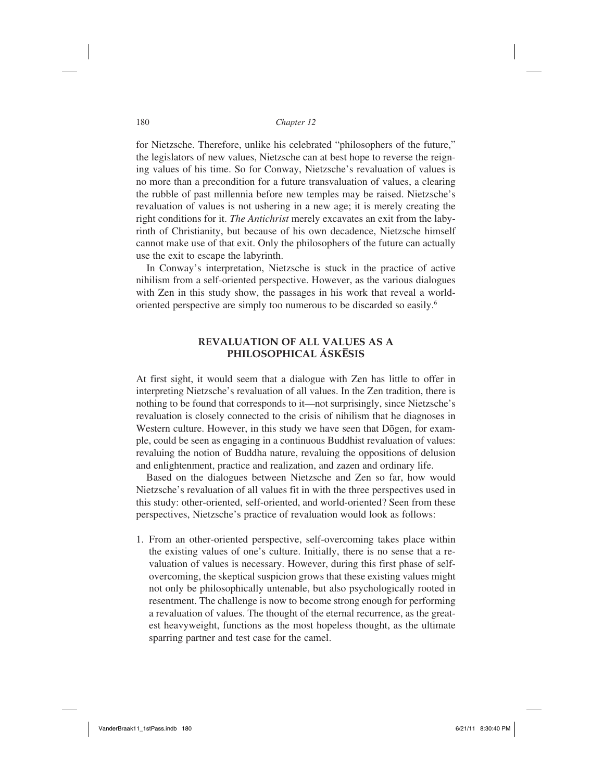# 180 *Chapter 12*

for Nietzsche. Therefore, unlike his celebrated "philosophers of the future," the legislators of new values, Nietzsche can at best hope to reverse the reigning values of his time. So for Conway, Nietzsche's revaluation of values is no more than a precondition for a future transvaluation of values, a clearing the rubble of past millennia before new temples may be raised. Nietzsche's revaluation of values is not ushering in a new age; it is merely creating the right conditions for it. *The Antichrist* merely excavates an exit from the labyrinth of Christianity, but because of his own decadence, Nietzsche himself cannot make use of that exit. Only the philosophers of the future can actually use the exit to escape the labyrinth.

In Conway's interpretation, Nietzsche is stuck in the practice of active nihilism from a self-oriented perspective. However, as the various dialogues with Zen in this study show, the passages in his work that reveal a worldoriented perspective are simply too numerous to be discarded so easily.6

# **REVALUATION OF ALL VALUES AS A PHILOSOPHICAL ÁSKĒSIS**

At first sight, it would seem that a dialogue with Zen has little to offer in interpreting Nietzsche's revaluation of all values. In the Zen tradition, there is nothing to be found that corresponds to it—not surprisingly, since Nietzsche's revaluation is closely connected to the crisis of nihilism that he diagnoses in Western culture. However, in this study we have seen that Dōgen, for example, could be seen as engaging in a continuous Buddhist revaluation of values: revaluing the notion of Buddha nature, revaluing the oppositions of delusion and enlightenment, practice and realization, and zazen and ordinary life.

Based on the dialogues between Nietzsche and Zen so far, how would Nietzsche's revaluation of all values fit in with the three perspectives used in this study: other-oriented, self-oriented, and world-oriented? Seen from these perspectives, Nietzsche's practice of revaluation would look as follows:

1. From an other-oriented perspective, self-overcoming takes place within the existing values of one's culture. Initially, there is no sense that a revaluation of values is necessary. However, during this first phase of selfovercoming, the skeptical suspicion grows that these existing values might not only be philosophically untenable, but also psychologically rooted in resentment. The challenge is now to become strong enough for performing a revaluation of values. The thought of the eternal recurrence, as the greatest heavyweight, functions as the most hopeless thought, as the ultimate sparring partner and test case for the camel.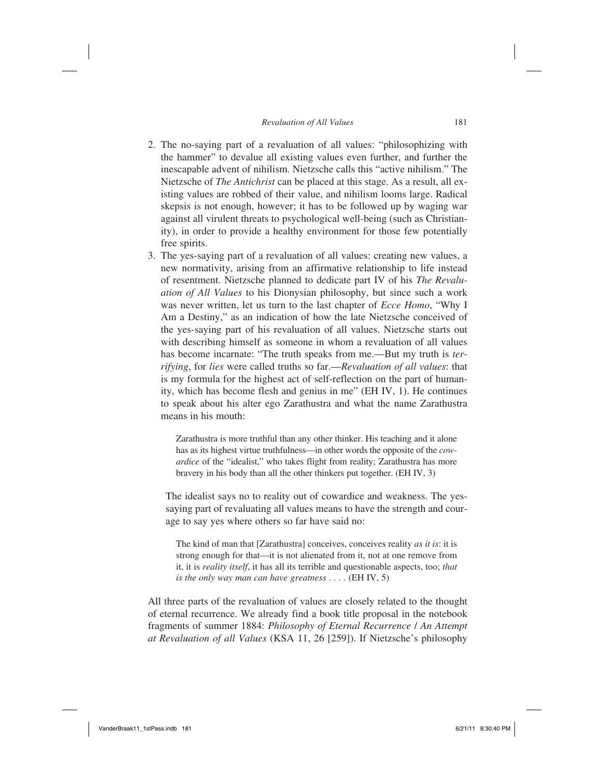# *Revaluation of All Values* 181

- 2. The no-saying part of a revaluation of all values: "philosophizing with the hammer" to devalue all existing values even further, and further the inescapable advent of nihilism. Nietzsche calls this "active nihilism." The Nietzsche of *The Antichrist* can be placed at this stage. As a result, all existing values are robbed of their value, and nihilism looms large. Radical skepsis is not enough, however; it has to be followed up by waging war against all virulent threats to psychological well-being (such as Christianity), in order to provide a healthy environment for those few potentially free spirits.
- 3. The yes-saying part of a revaluation of all values: creating new values, a new normativity, arising from an affirmative relationship to life instead of resentment. Nietzsche planned to dedicate part IV of his *The Revaluation of All Values* to his Dionysian philosophy, but since such a work was never written, let us turn to the last chapter of *Ecce Homo*, "Why I Am a Destiny," as an indication of how the late Nietzsche conceived of the yes-saying part of his revaluation of all values. Nietzsche starts out with describing himself as someone in whom a revaluation of all values has become incarnate: "The truth speaks from me.—But my truth is *terrifying*, for *lies* were called truths so far.—*Revaluation of all values*: that is my formula for the highest act of self-reflection on the part of humanity, which has become flesh and genius in me" (EH IV, 1). He continues to speak about his alter ego Zarathustra and what the name Zarathustra means in his mouth:

Zarathustra is more truthful than any other thinker. His teaching and it alone has as its highest virtue truthfulness—in other words the opposite of the *cowardice* of the "idealist," who takes flight from reality; Zarathustra has more bravery in his body than all the other thinkers put together. (EH IV, 3)

The idealist says no to reality out of cowardice and weakness. The yessaying part of revaluating all values means to have the strength and courage to say yes where others so far have said no:

The kind of man that [Zarathustra] conceives, conceives reality *as it is*: it is strong enough for that—it is not alienated from it, not at one remove from it, it is *reality itself*, it has all its terrible and questionable aspects, too; *that is the only way man can have greatness* . . . . (EH IV, 5)

All three parts of the revaluation of values are closely related to the thought of eternal recurrence. We already find a book title proposal in the notebook fragments of summer 1884: *Philosophy of Eternal Recurrence* / *An Attempt at Revaluation of all Values* (KSA 11, 26 [259]). If Nietzsche's philosophy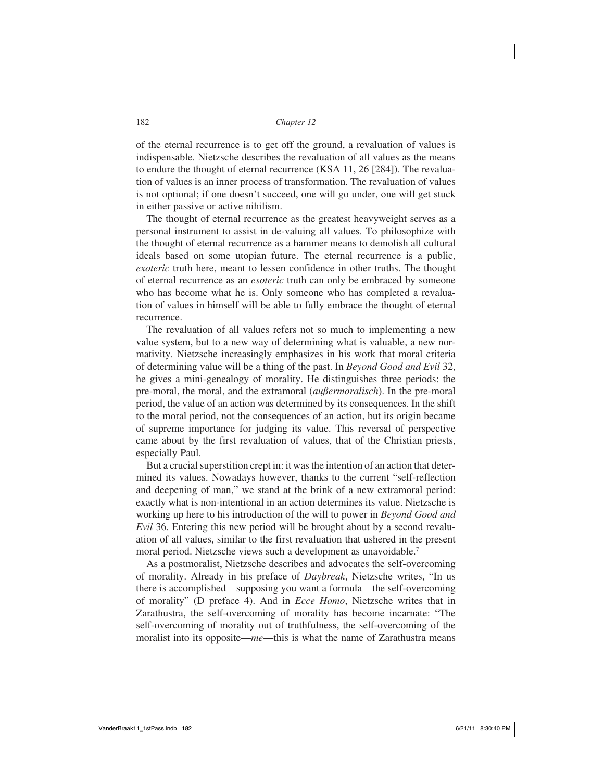# 182 *Chapter 12*

of the eternal recurrence is to get off the ground, a revaluation of values is indispensable. Nietzsche describes the revaluation of all values as the means to endure the thought of eternal recurrence (KSA 11, 26 [284]). The revaluation of values is an inner process of transformation. The revaluation of values is not optional; if one doesn't succeed, one will go under, one will get stuck in either passive or active nihilism.

The thought of eternal recurrence as the greatest heavyweight serves as a personal instrument to assist in de-valuing all values. To philosophize with the thought of eternal recurrence as a hammer means to demolish all cultural ideals based on some utopian future. The eternal recurrence is a public, *exoteric* truth here, meant to lessen confidence in other truths. The thought of eternal recurrence as an *esoteric* truth can only be embraced by someone who has become what he is. Only someone who has completed a revaluation of values in himself will be able to fully embrace the thought of eternal recurrence.

The revaluation of all values refers not so much to implementing a new value system, but to a new way of determining what is valuable, a new normativity. Nietzsche increasingly emphasizes in his work that moral criteria of determining value will be a thing of the past. In *Beyond Good and Evil* 32, he gives a mini-genealogy of morality. He distinguishes three periods: the pre-moral, the moral, and the extramoral (*außermoralisch*). In the pre-moral period, the value of an action was determined by its consequences. In the shift to the moral period, not the consequences of an action, but its origin became of supreme importance for judging its value. This reversal of perspective came about by the first revaluation of values, that of the Christian priests, especially Paul.

But a crucial superstition crept in: it was the intention of an action that determined its values. Nowadays however, thanks to the current "self-reflection and deepening of man," we stand at the brink of a new extramoral period: exactly what is non-intentional in an action determines its value. Nietzsche is working up here to his introduction of the will to power in *Beyond Good and Evil* 36. Entering this new period will be brought about by a second revaluation of all values, similar to the first revaluation that ushered in the present moral period. Nietzsche views such a development as unavoidable.7

As a postmoralist, Nietzsche describes and advocates the self-overcoming of morality. Already in his preface of *Daybreak*, Nietzsche writes, "In us there is accomplished—supposing you want a formula—the self-overcoming of morality" (D preface 4). And in *Ecce Homo*, Nietzsche writes that in Zarathustra, the self-overcoming of morality has become incarnate: "The self-overcoming of morality out of truthfulness, the self-overcoming of the moralist into its opposite—*me*—this is what the name of Zarathustra means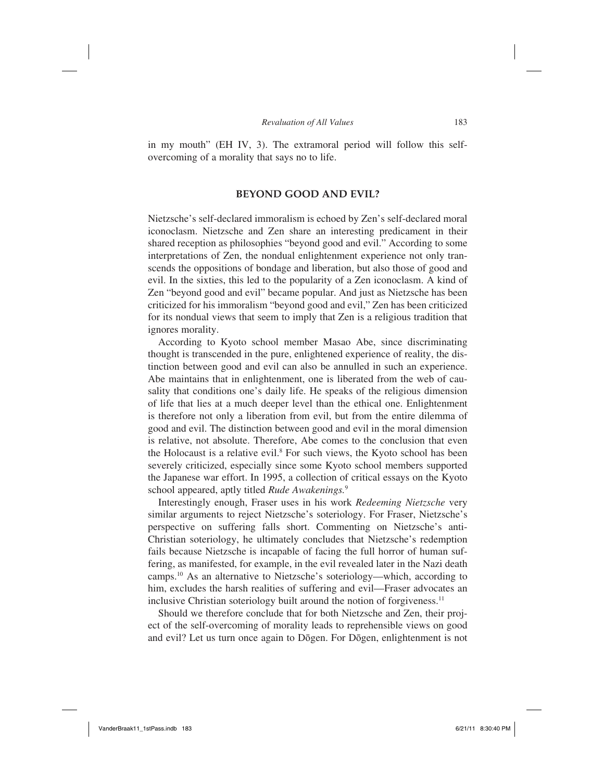### *Revaluation of All Values* 183

in my mouth" (EH IV, 3). The extramoral period will follow this self overcoming of a morality that says no to life.

# **BEYOND GOOD AND EVIL?**

Nietzsche's self-declared immoralism is echoed by Zen's self-declared moral iconoclasm. Nietzsche and Zen share an interesting predicament in their shared reception as philosophies "beyond good and evil." According to some interpretations of Zen, the nondual enlightenment experience not only transcends the oppositions of bondage and liberation, but also those of good and evil. In the sixties, this led to the popularity of a Zen iconoclasm. A kind of Zen "beyond good and evil" became popular. And just as Nietzsche has been criticized for his immoralism "beyond good and evil," Zen has been criticized for its nondual views that seem to imply that Zen is a religious tradition that ignores morality.

According to Kyoto school member Masao Abe, since discriminating thought is transcended in the pure, enlightened experience of reality, the distinction between good and evil can also be annulled in such an experience. Abe maintains that in enlightenment, one is liberated from the web of causality that conditions one's daily life. He speaks of the religious dimension of life that lies at a much deeper level than the ethical one. Enlightenment is therefore not only a liberation from evil, but from the entire dilemma of good and evil. The distinction between good and evil in the moral dimension is relative, not absolute. Therefore, Abe comes to the conclusion that even the Holocaust is a relative evil.<sup>8</sup> For such views, the Kyoto school has been severely criticized, especially since some Kyoto school members supported the Japanese war effort. In 1995, a collection of critical essays on the Kyoto school appeared, aptly titled *Rude Awakenings.*<sup>9</sup>

Interestingly enough, Fraser uses in his work *Redeeming Nietzsche* very similar arguments to reject Nietzsche's soteriology. For Fraser, Nietzsche's perspective on suffering falls short. Commenting on Nietzsche's anti-Christian soteriology, he ultimately concludes that Nietzsche's redemption fails because Nietzsche is incapable of facing the full horror of human suffering, as manifested, for example, in the evil revealed later in the Nazi death camps.10 As an alternative to Nietzsche's soteriology—which, according to him, excludes the harsh realities of suffering and evil—Fraser advocates an inclusive Christian soteriology built around the notion of forgiveness.<sup>11</sup>

Should we therefore conclude that for both Nietzsche and Zen, their project of the self-overcoming of morality leads to reprehensible views on good and evil? Let us turn once again to Dōgen. For Dōgen, enlightenment is not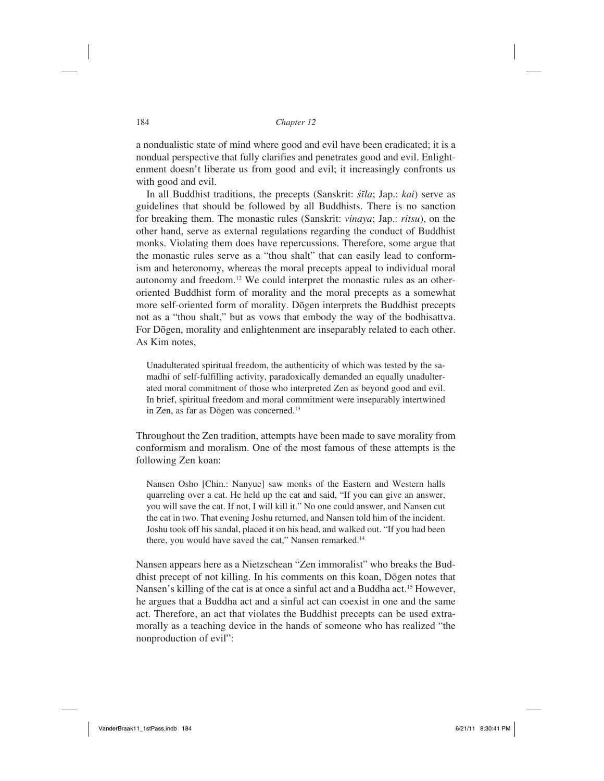# 184 *Chapter 12*

a nondualistic state of mind where good and evil have been eradicated; it is a nondual perspective that fully clarifies and penetrates good and evil. Enlightenment doesn't liberate us from good and evil; it increasingly confronts us with good and evil.

In all Buddhist traditions, the precepts (Sanskrit: *śīla*; Jap.: *kai*) serve as guidelines that should be followed by all Buddhists. There is no sanction for breaking them. The monastic rules (Sanskrit: *vinaya*; Jap.: *ritsu*), on the other hand, serve as external regulations regarding the conduct of Buddhist monks. Violating them does have repercussions. Therefore, some argue that the monastic rules serve as a "thou shalt" that can easily lead to conformism and heteronomy, whereas the moral precepts appeal to individual moral autonomy and freedom.12 We could interpret the monastic rules as an otheroriented Buddhist form of morality and the moral precepts as a somewhat more self-oriented form of morality. Dōgen interprets the Buddhist precepts not as a "thou shalt," but as vows that embody the way of the bodhisattva. For Dōgen, morality and enlightenment are inseparably related to each other. As Kim notes,

Unadulterated spiritual freedom, the authenticity of which was tested by the samadhi of self-fulfilling activity, paradoxically demanded an equally unadulterated moral commitment of those who interpreted Zen as beyond good and evil. In brief, spiritual freedom and moral commitment were inseparably intertwined in Zen, as far as Dōgen was concerned.13

Throughout the Zen tradition, attempts have been made to save morality from conformism and moralism. One of the most famous of these attempts is the following Zen koan:

Nansen Osho [Chin.: Nanyue] saw monks of the Eastern and Western halls quarreling over a cat. He held up the cat and said, "If you can give an answer, you will save the cat. If not, I will kill it." No one could answer, and Nansen cut the cat in two. That evening Joshu returned, and Nansen told him of the incident. Joshu took off his sandal, placed it on his head, and walked out. "If you had been there, you would have saved the cat," Nansen remarked.<sup>14</sup>

Nansen appears here as a Nietzschean "Zen immoralist" who breaks the Buddhist precept of not killing. In his comments on this koan, Dōgen notes that Nansen's killing of the cat is at once a sinful act and a Buddha act.<sup>15</sup> However, he argues that a Buddha act and a sinful act can coexist in one and the same act. Therefore, an act that violates the Buddhist precepts can be used extramorally as a teaching device in the hands of someone who has realized "the nonproduction of evil":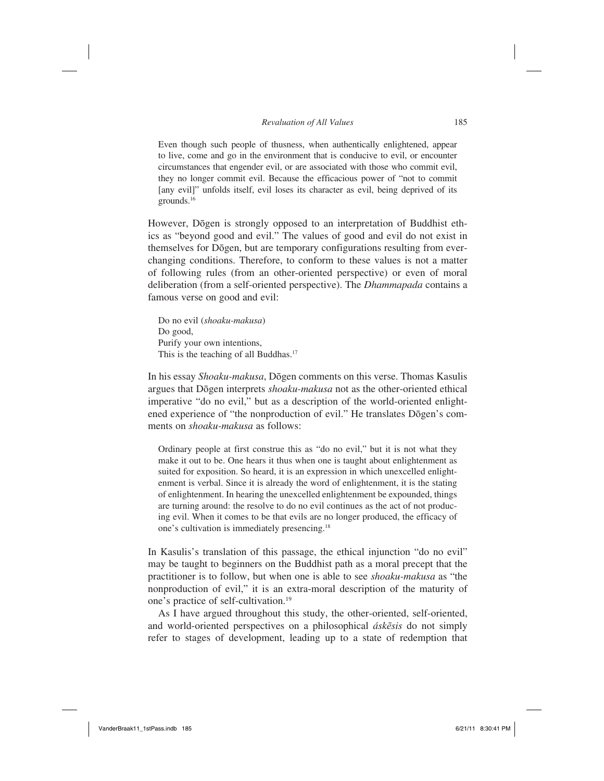# *Revaluation of All Values* 185

Even though such people of thusness, when authentically enlightened, appear to live, come and go in the environment that is conducive to evil, or encounter circumstances that engender evil, or are associated with those who commit evil, they no longer commit evil. Because the efficacious power of "not to commit [any evil]" unfolds itself, evil loses its character as evil, being deprived of its grounds.16

However, Dōgen is strongly opposed to an interpretation of Buddhist ethics as "beyond good and evil." The values of good and evil do not exist in themselves for Dōgen, but are temporary configurations resulting from everchanging conditions. Therefore, to conform to these values is not a matter of following rules (from an other-oriented perspective) or even of moral deliberation (from a self-oriented perspective). The *Dhammapada* contains a famous verse on good and evil:

Do no evil (*shoaku-makusa*) Do good, Purify your own intentions, This is the teaching of all Buddhas.<sup>17</sup>

In his essay *Shoaku-makusa*, Dōgen comments on this verse. Thomas Kasulis argues that Dōgen interprets *shoaku-makusa* not as the other-oriented ethical imperative "do no evil," but as a description of the world-oriented enlightened experience of "the nonproduction of evil." He translates Dōgen's comments on *shoaku-makusa* as follows:

Ordinary people at first construe this as "do no evil," but it is not what they make it out to be. One hears it thus when one is taught about enlightenment as suited for exposition. So heard, it is an expression in which unexcelled enlightenment is verbal. Since it is already the word of enlightenment, it is the stating of enlightenment. In hearing the unexcelled enlightenment be expounded, things are turning around: the resolve to do no evil continues as the act of not producing evil. When it comes to be that evils are no longer produced, the efficacy of one's cultivation is immediately presencing.18

In Kasulis's translation of this passage, the ethical injunction "do no evil" may be taught to beginners on the Buddhist path as a moral precept that the practitioner is to follow, but when one is able to see *shoaku-makusa* as "the nonproduction of evil," it is an extra-moral description of the maturity of one's practice of self-cultivation.19

As I have argued throughout this study, the other-oriented, self-oriented, and world-oriented perspectives on a philosophical *áskēsis* do not simply refer to stages of development, leading up to a state of redemption that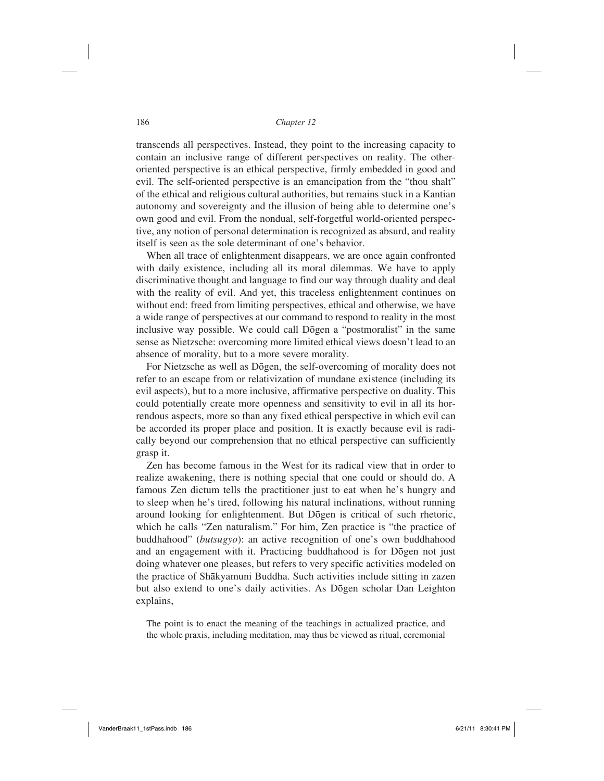# 186 *Chapter 12*

transcends all perspectives. Instead, they point to the increasing capacity to contain an inclusive range of different perspectives on reality. The otheroriented perspective is an ethical perspective, firmly embedded in good and evil. The self-oriented perspective is an emancipation from the "thou shalt" of the ethical and religious cultural authorities, but remains stuck in a Kantian autonomy and sovereignty and the illusion of being able to determine one's own good and evil. From the nondual, self-forgetful world-oriented perspective, any notion of personal determination is recognized as absurd, and reality itself is seen as the sole determinant of one's behavior.

When all trace of enlightenment disappears, we are once again confronted with daily existence, including all its moral dilemmas. We have to apply discriminative thought and language to find our way through duality and deal with the reality of evil. And yet, this traceless enlightenment continues on without end: freed from limiting perspectives, ethical and otherwise, we have a wide range of perspectives at our command to respond to reality in the most inclusive way possible. We could call Dōgen a "postmoralist" in the same sense as Nietzsche: overcoming more limited ethical views doesn't lead to an absence of morality, but to a more severe morality.

For Nietzsche as well as Dōgen, the self-overcoming of morality does not refer to an escape from or relativization of mundane existence (including its evil aspects), but to a more inclusive, affirmative perspective on duality. This could potentially create more openness and sensitivity to evil in all its horrendous aspects, more so than any fixed ethical perspective in which evil can be accorded its proper place and position. It is exactly because evil is radically beyond our comprehension that no ethical perspective can sufficiently grasp it.

Zen has become famous in the West for its radical view that in order to realize awakening, there is nothing special that one could or should do. A famous Zen dictum tells the practitioner just to eat when he's hungry and to sleep when he's tired, following his natural inclinations, without running around looking for enlightenment. But Dōgen is critical of such rhetoric, which he calls "Zen naturalism." For him, Zen practice is "the practice of buddhahood" (*butsugyo*): an active recognition of one's own buddhahood and an engagement with it. Practicing buddhahood is for Dōgen not just doing whatever one pleases, but refers to very specific activities modeled on the practice of Shākyamuni Buddha. Such activities include sitting in zazen but also extend to one's daily activities. As Dōgen scholar Dan Leighton explains,

The point is to enact the meaning of the teachings in actualized practice, and the whole praxis, including meditation, may thus be viewed as ritual, ceremonial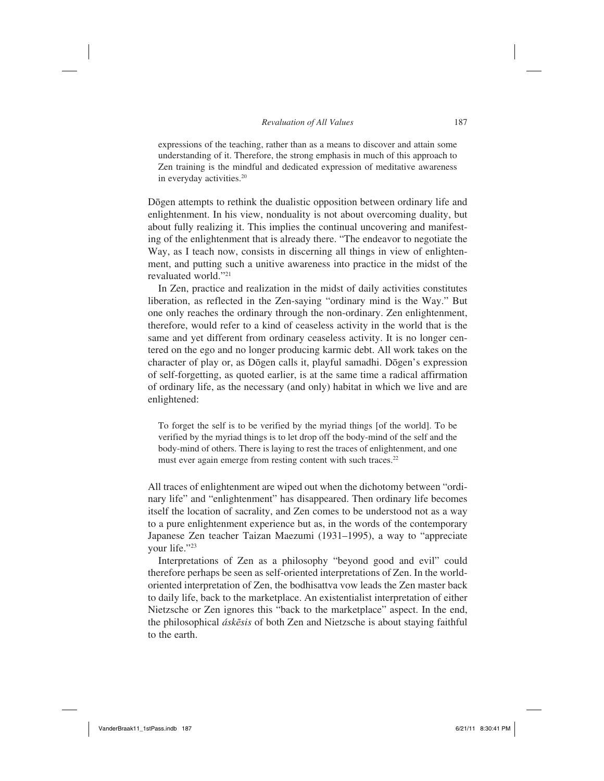# *Revaluation of All Values* 187

expressions of the teaching, rather than as a means to discover and attain some understanding of it. Therefore, the strong emphasis in much of this approach to Zen training is the mindful and dedicated expression of meditative awareness in everyday activities.20

Dōgen attempts to rethink the dualistic opposition between ordinary life and enlightenment. In his view, nonduality is not about overcoming duality, but about fully realizing it. This implies the continual uncovering and manifesting of the enlightenment that is already there. "The endeavor to negotiate the Way, as I teach now, consists in discerning all things in view of enlightenment, and putting such a unitive awareness into practice in the midst of the revaluated world."21

In Zen, practice and realization in the midst of daily activities constitutes liberation, as reflected in the Zen-saying "ordinary mind is the Way." But one only reaches the ordinary through the non-ordinary. Zen enlightenment, therefore, would refer to a kind of ceaseless activity in the world that is the same and yet different from ordinary ceaseless activity. It is no longer centered on the ego and no longer producing karmic debt. All work takes on the character of play or, as Dōgen calls it, playful samadhi. Dōgen's expression of self-forgetting, as quoted earlier, is at the same time a radical affirmation of ordinary life, as the necessary (and only) habitat in which we live and are enlightened:

To forget the self is to be verified by the myriad things [of the world]. To be verified by the myriad things is to let drop off the body-mind of the self and the body-mind of others. There is laying to rest the traces of enlightenment, and one must ever again emerge from resting content with such traces.<sup>22</sup>

All traces of enlightenment are wiped out when the dichotomy between "ordinary life" and "enlightenment" has disappeared. Then ordinary life becomes itself the location of sacrality, and Zen comes to be understood not as a way to a pure enlightenment experience but as, in the words of the contemporary Japanese Zen teacher Taizan Maezumi (1931–1995), a way to "appreciate your life."23

Interpretations of Zen as a philosophy "beyond good and evil" could therefore perhaps be seen as self-oriented interpretations of Zen. In the worldoriented interpretation of Zen, the bodhisattva vow leads the Zen master back to daily life, back to the marketplace. An existentialist interpretation of either Nietzsche or Zen ignores this "back to the marketplace" aspect. In the end, the philosophical *áskēsis* of both Zen and Nietzsche is about staying faithful to the earth.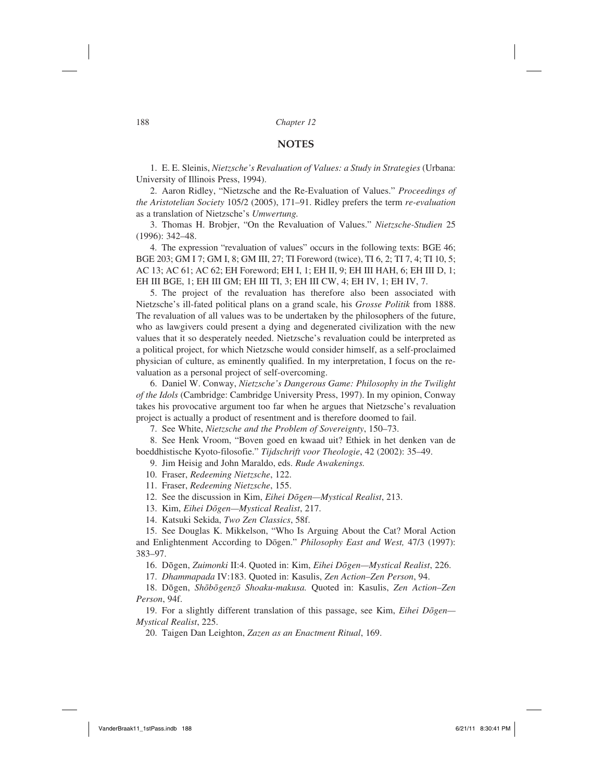#### 188 *Chapter 12*

# **NOTES**

 1. E. E. Sleinis, *Nietzsche's Revaluation of Values: a Study in Strategies* (Urbana: University of Illinois Press, 1994).

 2. Aaron Ridley, "Nietzsche and the Re-Evaluation of Values." *Proceedings of the Aristotelian Society* 105/2 (2005), 171–91. Ridley prefers the term *re-evaluation* as a translation of Nietzsche's *Umwertung.*

 3. Thomas H. Brobjer, "On the Revaluation of Values." *Nietzsche-Studien* 25 (1996): 342–48.

 4. The expression "revaluation of values" occurs in the following texts: BGE 46; BGE 203; GM I 7; GM I, 8; GM III, 27; TI Foreword (twice), TI 6, 2; TI 7, 4; TI 10, 5; AC 13; AC 61; AC 62; EH Foreword; EH I, 1; EH II, 9; EH III HAH, 6; EH III D, 1; EH III BGE, 1; EH III GM; EH III TI, 3; EH III CW, 4; EH IV, 1; EH IV, 7.

 5. The project of the revaluation has therefore also been associated with Nietzsche's ill-fated political plans on a grand scale, his *Grosse Politik* from 1888. The revaluation of all values was to be undertaken by the philosophers of the future, who as lawgivers could present a dying and degenerated civilization with the new values that it so desperately needed. Nietzsche's revaluation could be interpreted as a political project, for which Nietzsche would consider himself, as a self-proclaimed physician of culture, as eminently qualified. In my interpretation, I focus on the revaluation as a personal project of self-overcoming.

 6. Daniel W. Conway, *Nietzsche's Dangerous Game: Philosophy in the Twilight of the Idols* (Cambridge: Cambridge University Press, 1997). In my opinion, Conway takes his provocative argument too far when he argues that Nietzsche's revaluation project is actually a product of resentment and is therefore doomed to fail.

7. See White, *Nietzsche and the Problem of Sovereignty*, 150–73.

 8. See Henk Vroom, "Boven goed en kwaad uit? Ethiek in het denken van de boeddhistische Kyoto-filosofie." *Tijdschrift voor Theologie*, 42 (2002): 35–49.

9. Jim Heisig and John Maraldo, eds. *Rude Awakenings.*

10. Fraser, *Redeeming Nietzsche*, 122.

11. Fraser, *Redeeming Nietzsche*, 155.

12. See the discussion in Kim, *Eihei Dōgen—Mystical Realist*, 213.

13. Kim, *Eihei Dōgen—Mystical Realist*, 217.

14. Katsuki Sekida, *Two Zen Classics*, 58f.

15. See Douglas K. Mikkelson, "Who Is Arguing About the Cat? Moral Action and Enlightenment According to Dōgen." *Philosophy East and West*, 47/3 (1997): 383–97.

16. Dōgen, *Zuimonki* II:4. Quoted in: Kim, *Eihei Dōgen—Mystical Realist*, 226.

17. *Dhammapada* IV:183. Quoted in: Kasulis, *Zen Action–Zen Person*, 94.

18. Dōgen, *Shōbōgenzō Shoaku-makusa.* Quoted in: Kasulis, *Zen Action–Zen Person*, 94f.

19. For a slightly different translation of this passage, see Kim, *Eihei Dōgen— Mystical Realist*, 225.

20. Taigen Dan Leighton, *Zazen as an Enactment Ritual*, 169.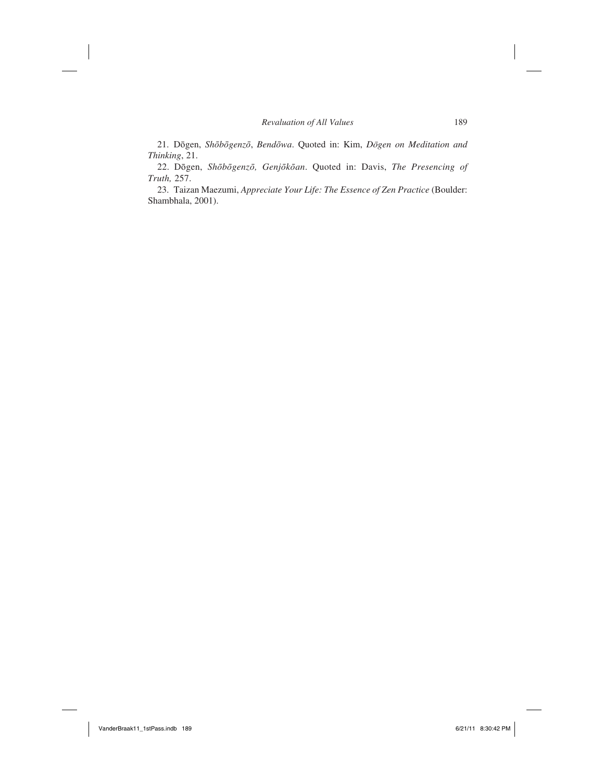# *Revaluation of All Values* 189

21. Dōgen, Shōbōgenzō, Bendōwa. Quoted in: Kim, Dōgen on Meditation and *Thinking*, 21.

22. Dōgen, *Shōbōgenzō, Genjōkōan*. Quoted in: Davis, *The Presencing of Truth,* 257.

23. Taizan Maezumi, *Appreciate Your Life: The Essence of Zen Practice* (Boulder: Shambhala, 2001).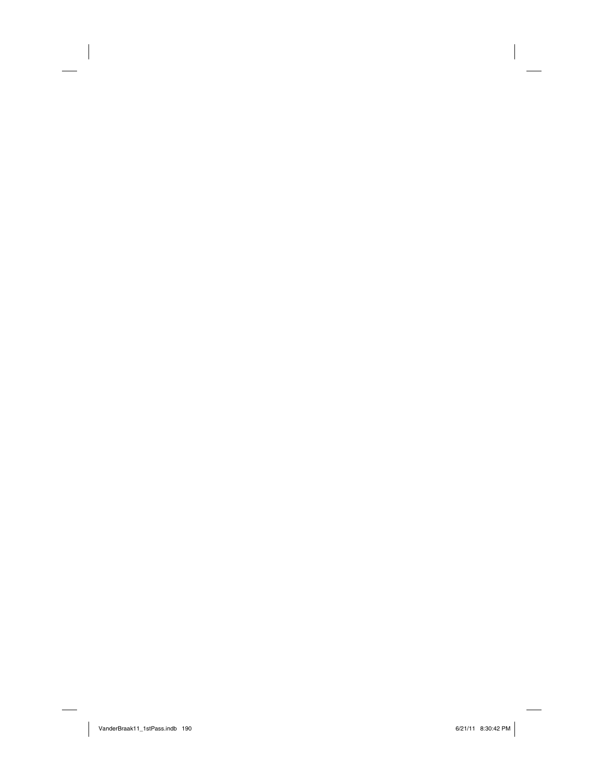VanderBraak11\_1stPass.indb 190  $\overline{6/21/11}$  8:30:42 PM  $\overline{21/11}$  8:30:42 PM  $\overline{21/11}$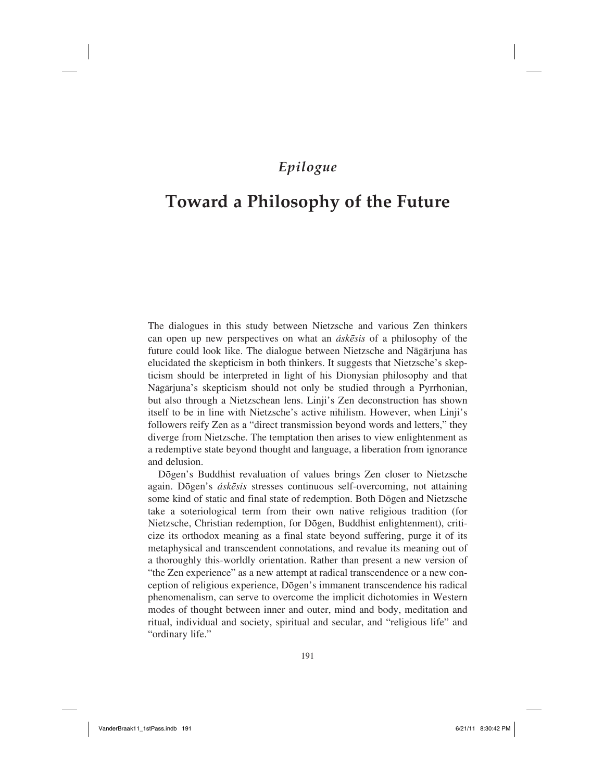# *Epilogue*

# **Toward a Philosophy of the Future**

The dialogues in this study between Nietzsche and various Zen thinkers can open up new perspectives on what an *áskēsis* of a philosophy of the future could look like. The dialogue between Nietzsche and Nāgārjuna has elucidated the skepticism in both thinkers. It suggests that Nietzsche's skepticism should be interpreted in light of his Dionysian philosophy and that Nāgārjuna's skepticism should not only be studied through a Pyrrhonian, but also through a Nietzschean lens. Linji's Zen deconstruction has shown itself to be in line with Nietzsche's active nihilism. However, when Linji's followers reify Zen as a "direct transmission beyond words and letters," they diverge from Nietzsche. The temptation then arises to view enlightenment as a redemptive state beyond thought and language, a liberation from ignorance and delusion.

Dōgen's Buddhist revaluation of values brings Zen closer to Nietzsche again. Dōgen's *áskēsis* stresses continuous self-overcoming, not attaining some kind of static and final state of redemption. Both Dōgen and Nietzsche take a soteriological term from their own native religious tradition (for Nietzsche, Christian redemption, for Dōgen, Buddhist enlightenment), criticize its orthodox meaning as a final state beyond suffering, purge it of its metaphysical and transcendent connotations, and revalue its meaning out of a thoroughly this-worldly orientation. Rather than present a new version of "the Zen experience" as a new attempt at radical transcendence or a new conception of religious experience, Dōgen's immanent transcendence his radical phenomenalism, can serve to overcome the implicit dichotomies in Western modes of thought between inner and outer, mind and body, meditation and ritual, individual and society, spiritual and secular, and "religious life" and "ordinary life."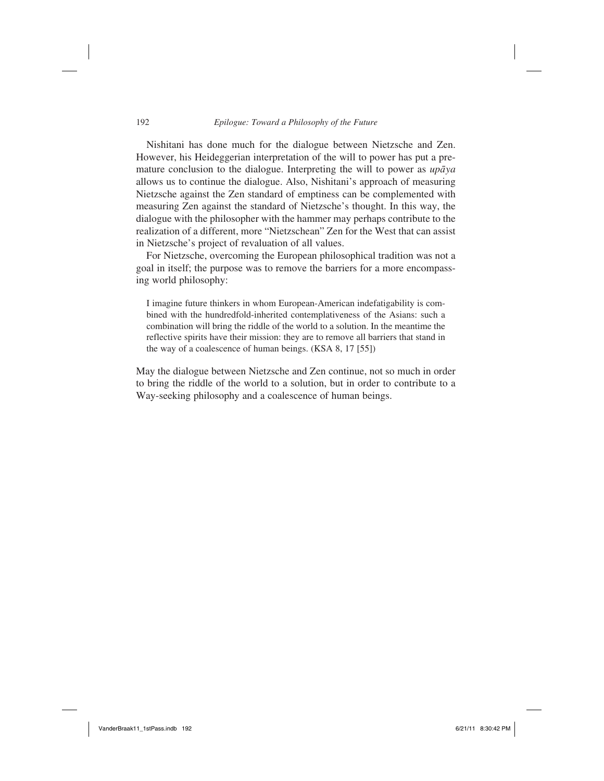# 192 *Epilogue: Toward a Philosophy of the Future*

Nishitani has done much for the dialogue between Nietzsche and Zen. However, his Heideggerian interpretation of the will to power has put a premature conclusion to the dialogue. Interpreting the will to power as *upāya* allows us to continue the dialogue. Also, Nishitani's approach of measuring Nietzsche against the Zen standard of emptiness can be complemented with measuring Zen against the standard of Nietzsche's thought. In this way, the dialogue with the philosopher with the hammer may perhaps contribute to the realization of a different, more "Nietzschean" Zen for the West that can assist in Nietzsche's project of revaluation of all values.

For Nietzsche, overcoming the European philosophical tradition was not a goal in itself; the purpose was to remove the barriers for a more encompassing world philosophy:

I imagine future thinkers in whom European-American indefatigability is combined with the hundredfold-inherited contemplativeness of the Asians: such a combination will bring the riddle of the world to a solution. In the meantime the reflective spirits have their mission: they are to remove all barriers that stand in the way of a coalescence of human beings. (KSA 8, 17 [55])

May the dialogue between Nietzsche and Zen continue, not so much in order to bring the riddle of the world to a solution, but in order to contribute to a Way-seeking philosophy and a coalescence of human beings.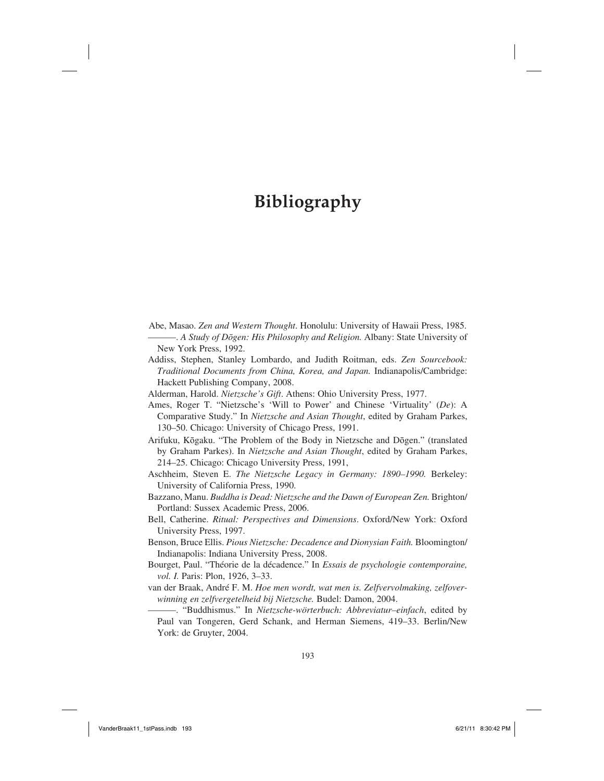- Abe, Masao. *Zen and Western Thought*. Honolulu: University of Hawaii Press, 1985. -. A Study of Dogen: His Philosophy and Religion. Albany: State University of New York Press, 1992.
- Addiss, Stephen, Stanley Lombardo, and Judith Roitman, eds. *Zen Sourcebook: Traditional Documents from China, Korea, and Japan.* Indianapolis/Cambridge: Hackett Publishing Company, 2008.
- Alderman, Harold. *Nietzsche's Gift*. Athens: Ohio University Press, 1977.
- Ames, Roger T. "Nietzsche's 'Will to Power' and Chinese 'Virtuality' (*De*): A Comparative Study." In *Nietzsche and Asian Thought*, edited by Graham Parkes, 130–50. Chicago: University of Chicago Press, 1991.
- Arifuku, Kōgaku. "The Problem of the Body in Nietzsche and Dōgen." (translated by Graham Parkes). In *Nietzsche and Asian Thought*, edited by Graham Parkes, 214–25. Chicago: Chicago University Press, 1991,
- Aschheim, Steven E. *The Nietzsche Legacy in Germany: 1890–1990.* Berkeley: University of California Press, 1990.
- Bazzano, Manu. *Buddha is Dead: Nietzsche and the Dawn of European Zen.* Brighton/ Portland: Sussex Academic Press, 2006.
- Bell, Catherine. *Ritual: Perspectives and Dimensions*. Oxford/New York: Oxford University Press, 1997.
- Benson, Bruce Ellis. *Pious Nietzsche: Decadence and Dionysian Faith.* Bloomington/ Indianapolis: Indiana University Press, 2008.
- Bourget, Paul. "Théorie de la décadence." In *Essais de psychologie contemporaine, vol. I.* Paris: Plon, 1926, 3–33.
- van der Braak, André F. M. *Hoe men wordt, wat men is. Zelfvervolmaking, zelfoverwinning en zelfvergetelheid bij Nietzsche.* Budel: Damon, 2004.

———. "Buddhismus." In *Nietzsche-wörterbuch: Abbreviatur–einfach*, edited by Paul van Tongeren, Gerd Schank, and Herman Siemens, 419–33. Berlin/New York: de Gruyter, 2004.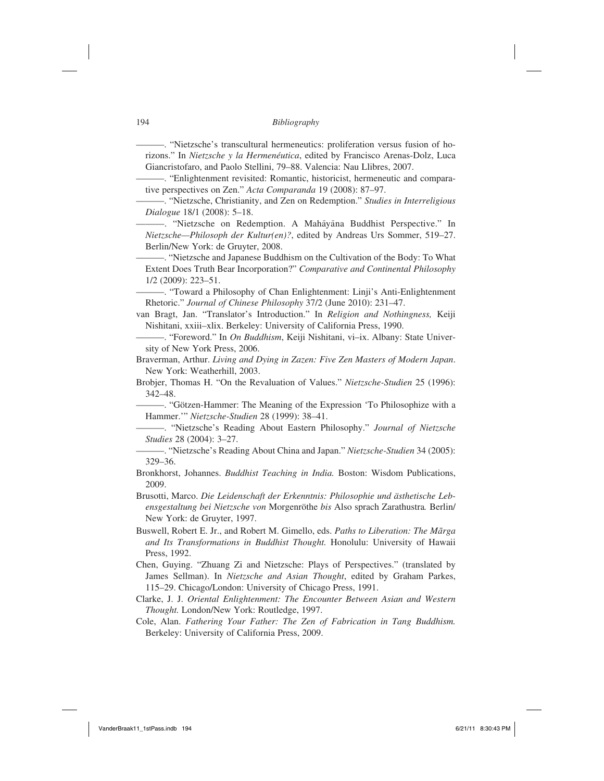———. "Nietzsche's transcultural hermeneutics: proliferation versus fusion of horizons." In *Nietzsche y la Hermenéutica*, edited by Francisco Arenas-Dolz, Luca Giancristofaro, and Paolo Stellini, 79–88. Valencia: Nau Llibres, 2007.

———. "Enlightenment revisited: Romantic, historicist, hermeneutic and comparative perspectives on Zen." *Acta Comparanda* 19 (2008): 87–97.

———. "Nietzsche, Christianity, and Zen on Redemption." *Studies in Interreligious Dialogue* 18/1 (2008): 5–18.

———. "Nietzsche on Redemption. A Maha-ya- na Buddhist Perspective." In *Nietzsche—Philosoph der Kultur(en)?*, edited by Andreas Urs Sommer, 519–27. Berlin/New York: de Gruyter, 2008.

———. "Nietzsche and Japanese Buddhism on the Cultivation of the Body: To What Extent Does Truth Bear Incorporation?" *Comparative and Continental Philosophy* 1/2 (2009): 223–51.

———. "Toward a Philosophy of Chan Enlightenment: Linji's Anti-Enlightenment Rhetoric." *Journal of Chinese Philosophy* 37/2 (June 2010): 231–47.

van Bragt, Jan. "Translator's Introduction." In *Religion and Nothingness,* Keiji Nishitani, xxiii–xlix. Berkeley: University of California Press, 1990.

———. "Foreword." In *On Buddhism*, Keiji Nishitani, vi–ix. Albany: State University of New York Press, 2006.

- Braverman, Arthur. *Living and Dying in Zazen: Five Zen Masters of Modern Japan*. New York: Weatherhill, 2003.
- Brobjer, Thomas H. "On the Revaluation of Values." *Nietzsche-Studien* 25 (1996): 342–48.

———. "Götzen-Hammer: The Meaning of the Expression 'To Philosophize with a Hammer.'" *Nietzsche-Studien* 28 (1999): 38–41.

———. "Nietzsche's Reading About Eastern Philosophy." *Journal of Nietzsche Studies* 28 (2004): 3–27.

———. "Nietzsche's Reading About China and Japan." *Nietzsche-Studien* 34 (2005): 329–36.

- Bronkhorst, Johannes. *Buddhist Teaching in India.* Boston: Wisdom Publications, 2009.
- Brusotti, Marco. *Die Leidenschaft der Erkenntnis: Philosophie und ästhetische Lebensgestaltung bei Nietzsche von* Morgenröthe *bis* Also sprach Zarathustra*.* Berlin/ New York: de Gruyter, 1997.
- Buswell, Robert E. Jr., and Robert M. Gimello, eds. *Paths to Liberation: The Mārga and Its Transformations in Buddhist Thought.* Honolulu: University of Hawaii Press, 1992.

Chen, Guying. "Zhuang Zi and Nietzsche: Plays of Perspectives." (translated by James Sellman). In *Nietzsche and Asian Thought*, edited by Graham Parkes, 115–29. Chicago/London: University of Chicago Press, 1991.

Clarke, J. J. *Oriental Enlightenment: The Encounter Between Asian and Western Thought.* London/New York: Routledge, 1997.

Cole, Alan. *Fathering Your Father: The Zen of Fabrication in Tang Buddhism.* Berkeley: University of California Press, 2009.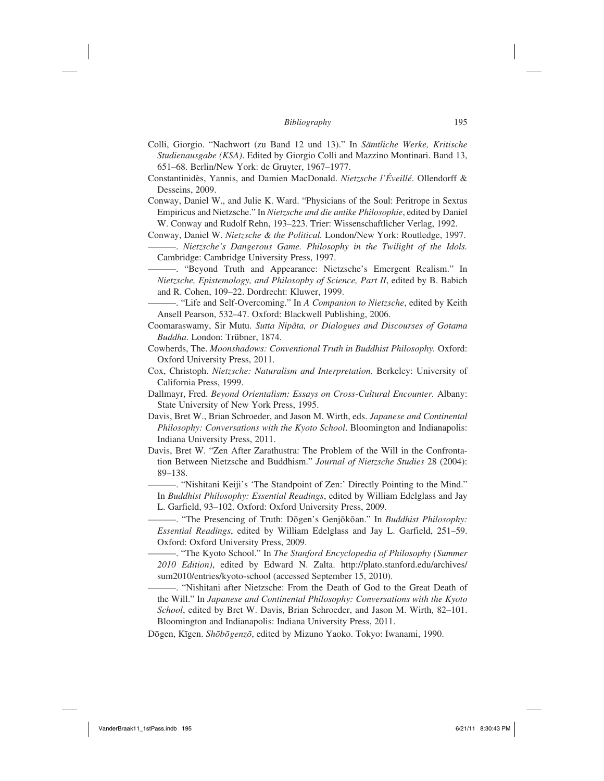- Colli, Giorgio. "Nachwort (zu Band 12 und 13)." In *Sämtliche Werke, Kritische Studienausgabe (KSA)*. Edited by Giorgio Colli and Mazzino Montinari. Band 13, 651–68. Berlin/New York: de Gruyter, 1967–1977.
- Constantinidès, Yannis, and Damien MacDonald. *Nietzsche l'Éveillé*. Ollendorff & Desseins, 2009.
- Conway, Daniel W., and Julie K. Ward. "Physicians of the Soul: Peritrope in Sextus Empiricus and Nietzsche." In *Nietzsche und die antike Philosophie*, edited by Daniel W. Conway and Rudolf Rehn, 193–223. Trier: Wissenschaftlicher Verlag, 1992.
- Conway, Daniel W. *Nietzsche & the Political.* London/New York: Routledge, 1997.
- ———. *Nietzsche's Dangerous Game. Philosophy in the Twilight of the Idols.* Cambridge: Cambridge University Press, 1997.
- -. "Beyond Truth and Appearance: Nietzsche's Emergent Realism." In *Nietzsche, Epistemology, and Philosophy of Science, Part II*, edited by B. Babich and R. Cohen, 109–22. Dordrecht: Kluwer, 1999.
- ———. "Life and Self-Overcoming." In *A Companion to Nietzsche*, edited by Keith Ansell Pearson, 532–47. Oxford: Blackwell Publishing, 2006.
- Coomaraswamy, Sir Mutu. *Sutta Nipâta, or Dialogues and Discourses of Gotama Buddha*. London: Trübner, 1874.
- Cowherds, The. *Moonshadows: Conventional Truth in Buddhist Philosophy.* Oxford: Oxford University Press, 2011.
- Cox, Christoph. *Nietzsche: Naturalism and Interpretation.* Berkeley: University of California Press, 1999.
- Dallmayr, Fred. *Beyond Orientalism: Essays on Cross-Cultural Encounter.* Albany: State University of New York Press, 1995.
- Davis, Bret W., Brian Schroeder, and Jason M. Wirth, eds. *Japanese and Continental Philosophy: Conversations with the Kyoto School*. Bloomington and Indianapolis: Indiana University Press, 2011.
- Davis, Bret W. "Zen After Zarathustra: The Problem of the Will in the Confrontation Between Nietzsche and Buddhism." *Journal of Nietzsche Studies* 28 (2004): 89–138.
	- ———. "Nishitani Keiji's 'The Standpoint of Zen:' Directly Pointing to the Mind." In *Buddhist Philosophy: Essential Readings*, edited by William Edelglass and Jay L. Garfield, 93–102. Oxford: Oxford University Press, 2009.
- ———. "The Presencing of Truth: Dō gen's Genjō kō an." In *Buddhist Philosophy: Essential Readings*, edited by William Edelglass and Jay L. Garfield, 251–59. Oxford: Oxford University Press, 2009.
- ———. "The Kyoto School." In *The Stanford Encyclopedia of Philosophy (Summer 2010 Edition)*, edited by Edward N. Zalta. http://plato.stanford.edu/archives/ sum2010/entries/kyoto-school (accessed September 15, 2010).
- ———. "Nishitani after Nietzsche: From the Death of God to the Great Death of the Will." In *Japanese and Continental Philosophy: Conversations with the Kyoto School*, edited by Bret W. Davis, Brian Schroeder, and Jason M. Wirth, 82–101. Bloomington and Indianapolis: Indiana University Press, 2011.

Dō gen, Kīgen. *Shōbōgenzō*, edited by Mizuno Yaoko. Tokyo: Iwanami, 1990.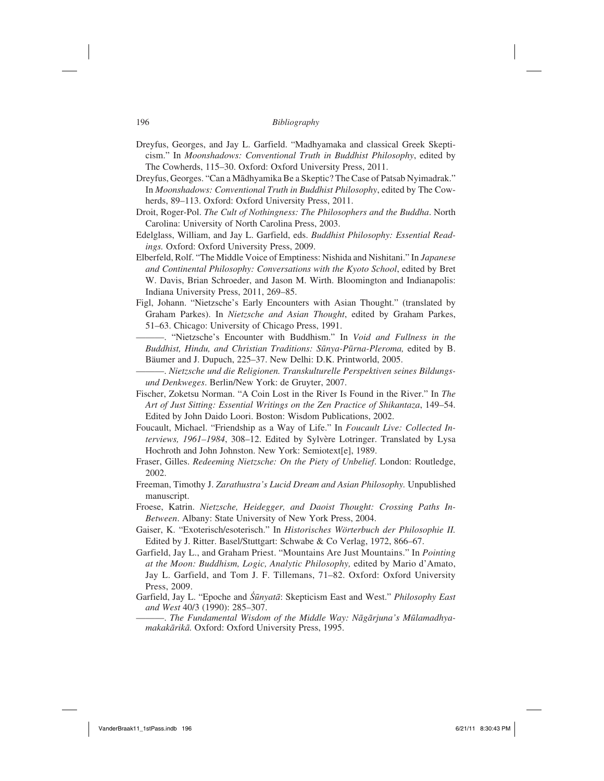- Dreyfus, Georges, and Jay L. Garfield. "Madhyamaka and classical Greek Skepticism." In *Moonshadows: Conventional Truth in Buddhist Philosophy*, edited by The Cowherds, 115–30. Oxford: Oxford University Press, 2011.
- Dreyfus, Georges. "Can a Mādhyamika Be a Skeptic? The Case of Patsab Nyimadrak." In *Moonshadows: Conventional Truth in Buddhist Philosophy*, edited by The Cowherds, 89–113. Oxford: Oxford University Press, 2011.
- Droit, Roger-Pol. *The Cult of Nothingness: The Philosophers and the Buddha*. North Carolina: University of North Carolina Press, 2003.
- Edelglass, William, and Jay L. Garfield, eds. *Buddhist Philosophy: Essential Readings.* Oxford: Oxford University Press, 2009.
- Elberfeld, Rolf. "The Middle Voice of Emptiness: Nishida and Nishitani." In *Japanese and Continental Philosophy: Conversations with the Kyoto School*, edited by Bret W. Davis, Brian Schroeder, and Jason M. Wirth. Bloomington and Indianapolis: Indiana University Press, 2011, 269–85.
- Figl, Johann. "Nietzsche's Early Encounters with Asian Thought." (translated by Graham Parkes). In *Nietzsche and Asian Thought*, edited by Graham Parkes, 51–63. Chicago: University of Chicago Press, 1991.
	- ———. "Nietzsche's Encounter with Buddhism." In *Void and Fullness in the Buddhist, Hindu, and Christian Traditions: Sūnya-Pūrna-Pleroma,* edited by B. Bäumer and J. Dupuch, 225–37. New Delhi: D.K. Printworld, 2005.
	- ———. *Nietzsche und die Religionen. Transkulturelle Perspektiven seines Bildungsund Denkweges*. Berlin/New York: de Gruyter, 2007.
- Fischer, Zoketsu Norman. "A Coin Lost in the River Is Found in the River." In *The Art of Just Sitting: Essential Writings on the Zen Practice of Shikantaza*, 149–54. Edited by John Daido Loori. Boston: Wisdom Publications, 2002.
- Foucault, Michael. "Friendship as a Way of Life." In *Foucault Live: Collected Interviews, 1961–1984*, 308–12. Edited by Sylvère Lotringer. Translated by Lysa Hochroth and John Johnston. New York: Semiotext[e], 1989.
- Fraser, Gilles. *Redeeming Nietzsche: On the Piety of Unbelief*. London: Routledge, 2002.
- Freeman, Timothy J. *Zarathustra's Lucid Dream and Asian Philosophy.* Unpublished manuscript.
- Froese, Katrin. *Nietzsche, Heidegger, and Daoist Thought: Crossing Paths In- Between*. Albany: State University of New York Press, 2004.
- Gaiser, K. "Exoterisch/esoterisch." In *Historisches Wörterbuch der Philosophie II.* Edited by J. Ritter. Basel/Stuttgart: Schwabe & Co Verlag, 1972, 866–67.
- Garfield, Jay L., and Graham Priest. "Mountains Are Just Mountains." In *Pointing at the Moon: Buddhism, Logic, Analytic Philosophy,* edited by Mario d'Amato, Jay L. Garfield, and Tom J. F. Tillemans, 71–82. Oxford: Oxford University Press, 2009.
- Garfield, Jay L. "Epoche and *Śūnyatā*: Skepticism East and West." *Philosophy East and West* 40/3 (1990): 285–307.
- ———. *The Fundamental Wisdom of the Middle Way: Nāgārjuna's Mūlamadhyamakakārikā.* Oxford: Oxford University Press, 1995.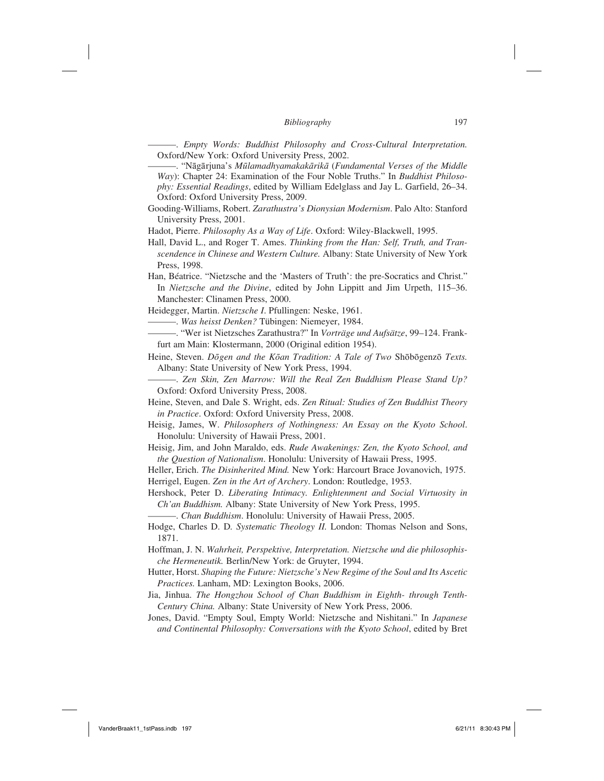———. *Empty Words: Buddhist Philosophy and Cross-Cultural Interpretation.* Oxford/New York: Oxford University Press, 2002.

———. "Nāgārjuna's *Mūlamadhyamakakārikā* (*Fundamental Verses of the Middle Way*): Chapter 24: Examination of the Four Noble Truths." In *Buddhist Philosophy: Essential Readings*, edited by William Edelglass and Jay L. Garfield, 26–34. Oxford: Oxford University Press, 2009.

Gooding-Williams, Robert. *Zarathustra's Dionysian Modernism*. Palo Alto: Stanford University Press, 2001.

Hadot, Pierre. *Philosophy As a Way of Life*. Oxford: Wiley-Blackwell, 1995.

- Hall, David L., and Roger T. Ames. *Thinking from the Han: Self, Truth, and Transcendence in Chinese and Western Culture.* Albany: State University of New York Press, 1998.
- Han, Béatrice. "Nietzsche and the 'Masters of Truth': the pre-Socratics and Christ." In *Nietzsche and the Divine*, edited by John Lippitt and Jim Urpeth, 115–36. Manchester: Clinamen Press, 2000.

Heidegger, Martin. *Nietzsche I*. Pfullingen: Neske, 1961.

———. *Was heisst Denken?* Tübingen: Niemeyer, 1984.

———. "Wer ist Nietzsches Zarathustra?" In *Vorträge und Aufsätze*, 99–124. Frankfurt am Main: Klostermann, 2000 (Original edition 1954).

- Heine, Steven. *Dōgen and the Kōan Tradition: A Tale of Two* Shōbōgenzō *Texts.*  Albany: State University of New York Press, 1994.
- ———. *Zen Skin, Zen Marrow: Will the Real Zen Buddhism Please Stand Up?*  Oxford: Oxford University Press, 2008.

Heine, Steven, and Dale S. Wright, eds. *Zen Ritual: Studies of Zen Buddhist Theory in Practice*. Oxford: Oxford University Press, 2008.

- Heisig, James, W. *Philosophers of Nothingness: An Essay on the Kyoto School*. Honolulu: University of Hawaii Press, 2001.
- Heisig, Jim, and John Maraldo, eds. *Rude Awakenings: Zen, the Kyoto School, and the Question of Nationalism*. Honolulu: University of Hawaii Press, 1995.

Heller, Erich. *The Disinherited Mind.* New York: Harcourt Brace Jovanovich, 1975. Herrigel, Eugen. *Zen in the Art of Archery*. London: Routledge, 1953.

Hershock, Peter D. *Liberating Intimacy. Enlightenment and Social Virtuosity in Ch'an Buddhism.* Albany: State University of New York Press, 1995.

———. *Chan Buddhism*. Honolulu: University of Hawaii Press, 2005.

Hodge, Charles D. D*. Systematic Theology II.* London: Thomas Nelson and Sons, 1871.

Hoffman, J. N. *Wahrheit, Perspektive, Interpretation. Nietzsche und die philosophische Hermeneutik.* Berlin/New York: de Gruyter, 1994.

- Hutter, Horst. *Shaping the Future: Nietzsche's New Regime of the Soul and Its Ascetic Practices.* Lanham, MD: Lexington Books, 2006.
- Jia, Jinhua. *The Hongzhou School of Chan Buddhism in Eighth- through Tenth-Century China.* Albany: State University of New York Press, 2006.

Jones, David. "Empty Soul, Empty World: Nietzsche and Nishitani." In *Japanese and Continental Philosophy: Conversations with the Kyoto School*, edited by Bret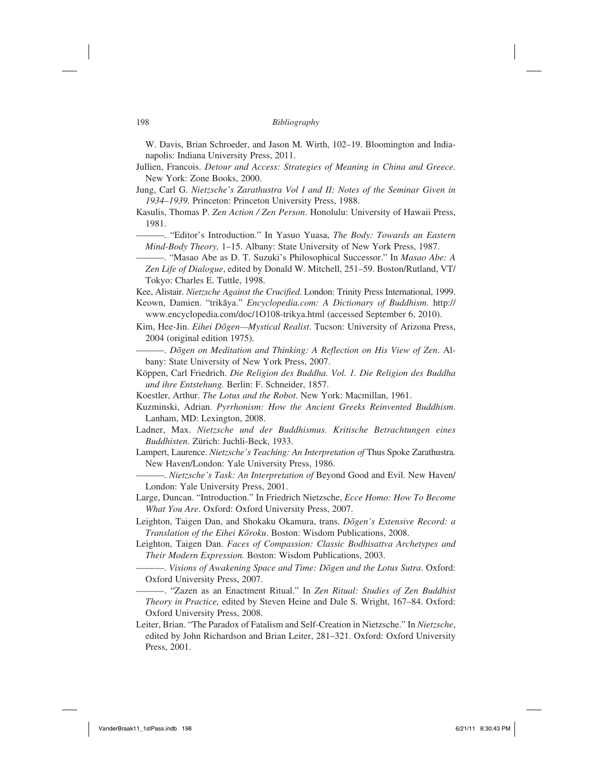W. Davis, Brian Schroeder, and Jason M. Wirth, 102–19. Bloomington and Indianapolis: Indiana University Press, 2011.

Jullien, Francois. *Detour and Access: Strategies of Meaning in China and Greece.*  New York: Zone Books, 2000.

Jung, Carl G. *Nietzsche's Zarathustra Vol I and II: Notes of the Seminar Given in 1934–1939.* Princeton: Princeton University Press, 1988.

Kasulis, Thomas P. *Zen Action / Zen Person*. Honolulu: University of Hawaii Press, 1981.

———. "Editor's Introduction." In Yasuo Yuasa, *The Body: Towards an Eastern Mind-Body Theory,* 1–15. Albany: State University of New York Press, 1987.

———. "Masao Abe as D. T. Suzuki's Philosophical Successor." In *Masao Abe: A Zen Life of Dialogue*, edited by Donald W. Mitchell, 251–59. Boston/Rutland, VT/ Tokyo: Charles E. Tuttle, 1998.

Kee, Alistair. *Nietzsche Against the Crucified*. London: Trinity Press International, 1999. Keown, Damien. "trikāya." *Encyclopedia.com: A Dictionary of Buddhism.* http://

www.encyclopedia.com/doc/1O108-trikya.html (accessed September 6, 2010).

Kim, Hee-Jin. *Eihei Dōgen—Mystical Realist*. Tucson: University of Arizona Press, 2004 (original edition 1975).

———. *Dōgen on Meditation and Thinking: A Reflection on His View of Zen*. Albany: State University of New York Press, 2007.

- Köppen, Carl Friedrich. *Die Religion des Buddha. Vol. 1. Die Religion des Buddha und ihre Entstehung.* Berlin: F. Schneider, 1857.
- Koestler, Arthur. *The Lotus and the Robot*. New York: Macmillan, 1961.
- Kuzminski, Adrian. *Pyrrhonism: How the Ancient Greeks Reinvented Buddhism*. Lanham, MD: Lexington, 2008.
- Ladner, Max. *Nietzsche und der Buddhismus. Kritische Betrachtungen eines Buddhisten*. Zürich: Juchli-Beck, 1933.
- Lampert, Laurence. *Nietzsche's Teaching: An Interpretation of* Thus Spoke Zarathustra*.* New Haven/London: Yale University Press, 1986.

———. *Nietzsche's Task: An Interpretation of* Beyond Good and Evil. New Haven/ London: Yale University Press, 2001.

Large, Duncan. "Introduction." In Friedrich Nietzsche, *Ecce Homo: How To Become What You Are*. Oxford: Oxford University Press, 2007.

Leighton, Taigen Dan, and Shokaku Okamura, trans. *Dōgen's Extensive Record: a Translation of the Eihei Kōroku*. Boston: Wisdom Publications, 2008.

Leighton, Taigen Dan. *Faces of Compassion: Classic Bodhisattva Archetypes and Their Modern Expression.* Boston: Wisdom Publications, 2003.

———. *Visions of Awakening Space and Time: Dōgen and the Lotus Sutra*. Oxford: Oxford University Press, 2007.

———. "Zazen as an Enactment Ritual." In *Zen Ritual: Studies of Zen Buddhist Theory in Practice,* edited by Steven Heine and Dale S. Wright, 167–84. Oxford: Oxford University Press, 2008.

Leiter, Brian. "The Paradox of Fatalism and Self-Creation in Nietzsche." In *Nietzsche*, edited by John Richardson and Brian Leiter, 281–321. Oxford: Oxford University Press, 2001.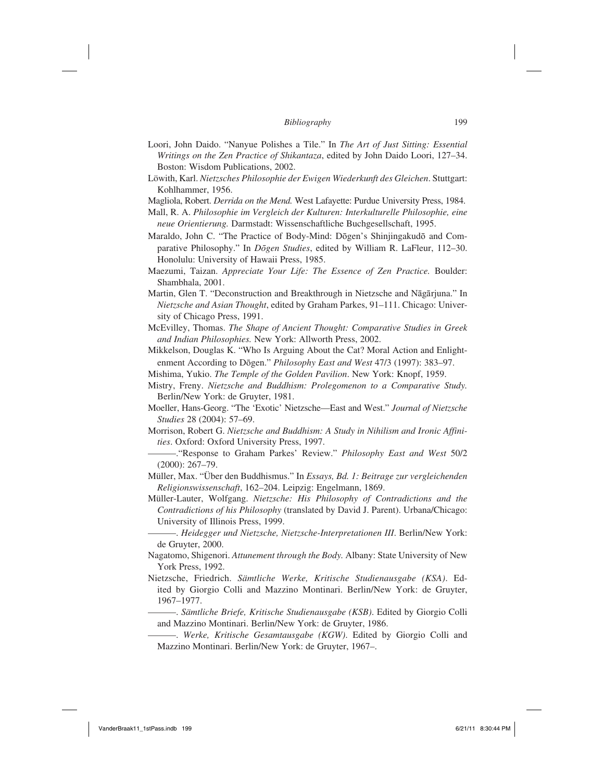- Loori, John Daido. "Nanyue Polishes a Tile." In *The Art of Just Sitting: Essential Writings on the Zen Practice of Shikantaza*, edited by John Daido Loori, 127–34. Boston: Wisdom Publications, 2002.
- Löwith, Karl. *Nietzsches Philosophie der Ewigen Wiederkunft des Gleichen*. Stuttgart: Kohlhammer, 1956.

Magliola, Robert. *Derrida on the Mend.* West Lafayette: Purdue University Press, 1984.

- Mall, R. A. *Philosophie im Vergleich der Kulturen: Interkulturelle Philosophie, eine neue Orientierung.* Darmstadt: Wissenschaftliche Buchgesellschaft, 1995.
- Maraldo, John C. "The Practice of Body-Mind: Dōgen's Shinjingakudō and Comparative Philosophy." In *Dōgen Studies*, edited by William R. LaFleur, 112–30. Honolulu: University of Hawaii Press, 1985.
- Maezumi, Taizan. *Appreciate Your Life: The Essence of Zen Practice.* Boulder: Shambhala, 2001.
- Martin, Glen T. "Deconstruction and Breakthrough in Nietzsche and Nāgārjuna." In *Nietzsche and Asian Thought*, edited by Graham Parkes, 91–111. Chicago: University of Chicago Press, 1991.
- McEvilley, Thomas. *The Shape of Ancient Thought: Comparative Studies in Greek and Indian Philosophies.* New York: Allworth Press, 2002.
- Mikkelson, Douglas K. "Who Is Arguing About the Cat? Moral Action and Enlightenment According to Dōgen." *Philosophy East and West* 47/3 (1997): 383–97.
- Mishima, Yukio. *The Temple of the Golden Pavilion*. New York: Knopf, 1959.
- Mistry, Freny. *Nietzsche and Buddhism: Prolegomenon to a Comparative Study.* Berlin/New York: de Gruyter, 1981.
- Moeller, Hans-Georg. "The 'Exotic' Nietzsche—East and West." *Journal of Nietzsche Studies* 28 (2004): 57–69.
- Morrison, Robert G. *Nietzsche and Buddhism: A Study in Nihilism and Ironic Affinities*. Oxford: Oxford University Press, 1997.
- ———."Response to Graham Parkes' Review." *Philosophy East and West* 50/2 (2000): 267–79.
- Müller, Max. "Über den Buddhismus." In *Essays, Bd. 1: Beitrage zur vergleichenden Religionswissenschaft*, 162–204. Leipzig: Engelmann, 1869.
- Müller-Lauter, Wolfgang. *Nietzsche: His Philosophy of Contradictions and the Contradictions of his Philosophy* (translated by David J. Parent). Urbana/Chicago: University of Illinois Press, 1999.
- ———. *Heidegger und Nietzsche, Nietzsche-Interpretationen III*. Berlin/New York: de Gruyter, 2000.
- Nagatomo, Shigenori. *Attunement through the Body.* Albany: State University of New York Press, 1992.
- Nietzsche, Friedrich. *Sämtliche Werke, Kritische Studienausgabe (KSA)*. Edited by Giorgio Colli and Mazzino Montinari. Berlin/New York: de Gruyter, 1967–1977.
	- ———. *Sämtliche Briefe, Kritische Studienausgabe (KSB)*. Edited by Giorgio Colli and Mazzino Montinari. Berlin/New York: de Gruyter, 1986.
	- ———. *Werke, Kritische Gesamtausgabe (KGW)*. Edited by Giorgio Colli and Mazzino Montinari. Berlin/New York: de Gruyter, 1967–.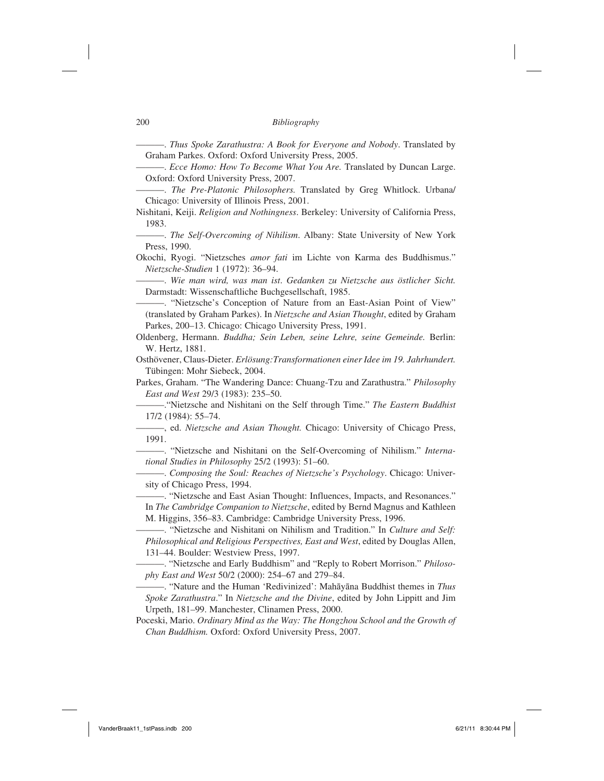———. *Thus Spoke Zarathustra: A Book for Everyone and Nobody*. Translated by Graham Parkes. Oxford: Oxford University Press, 2005.

-. *Ecce Homo: How To Become What You Are*. Translated by Duncan Large. Oxford: Oxford University Press, 2007.

———. *The Pre-Platonic Philosophers.* Translated by Greg Whitlock. Urbana/ Chicago: University of Illinois Press, 2001.

Nishitani, Keiji. *Religion and Nothingness*. Berkeley: University of California Press, 1983.

———. *The Self-Overcoming of Nihilism*. Albany: State University of New York Press, 1990.

Okochi, Ryogi. "Nietzsches *amor fati* im Lichte von Karma des Buddhismus." *Nietzsche-Studien* 1 (1972): 36–94.

———. *Wie man wird, was man ist*. *Gedanken zu Nietzsche aus östlicher Sicht.* Darmstadt: Wissenschaftliche Buchgesellschaft, 1985.

———. "Nietzsche's Conception of Nature from an East-Asian Point of View" (translated by Graham Parkes). In *Nietzsche and Asian Thought*, edited by Graham Parkes, 200–13. Chicago: Chicago University Press, 1991.

Oldenberg, Hermann. *Buddha; Sein Leben, seine Lehre, seine Gemeinde.* Berlin: W. Hertz, 1881.

Osthövener, Claus-Dieter. *Erlösung:Transformationen einer Idee im 19. Jahrhundert.*  Tübingen: Mohr Siebeck, 2004.

Parkes, Graham. "The Wandering Dance: Chuang-Tzu and Zarathustra." *Philosophy East and West* 29/3 (1983): 235–50.

———."Nietzsche and Nishitani on the Self through Time." *The Eastern Buddhist*  17/2 (1984): 55–74.

———, ed. *Nietzsche and Asian Thought.* Chicago: University of Chicago Press, 1991.

———. "Nietzsche and Nishitani on the Self-Overcoming of Nihilism." *International Studies in Philosophy* 25/2 (1993): 51–60.

———. *Composing the Soul: Reaches of Nietzsche's Psychology*. Chicago: University of Chicago Press, 1994.

———. "Nietzsche and East Asian Thought: Influences, Impacts, and Resonances." In *The Cambridge Companion to Nietzsche*, edited by Bernd Magnus and Kathleen M. Higgins, 356–83. Cambridge: Cambridge University Press, 1996.

———. "Nietzsche and Nishitani on Nihilism and Tradition." In *Culture and Self: Philosophical and Religious Perspectives, East and West*, edited by Douglas Allen, 131–44. Boulder: Westview Press, 1997.

———. "Nietzsche and Early Buddhism" and "Reply to Robert Morrison." *Philosophy East and West* 50/2 (2000): 254–67 and 279–84.

———. "Nature and the Human 'Redivinized': Mahāyāna Buddhist themes in *Thus Spoke Zarathustra*." In *Nietzsche and the Divine*, edited by John Lippitt and Jim Urpeth, 181–99. Manchester, Clinamen Press, 2000.

Poceski, Mario. *Ordinary Mind as the Way: The Hongzhou School and the Growth of Chan Buddhism.* Oxford: Oxford University Press, 2007.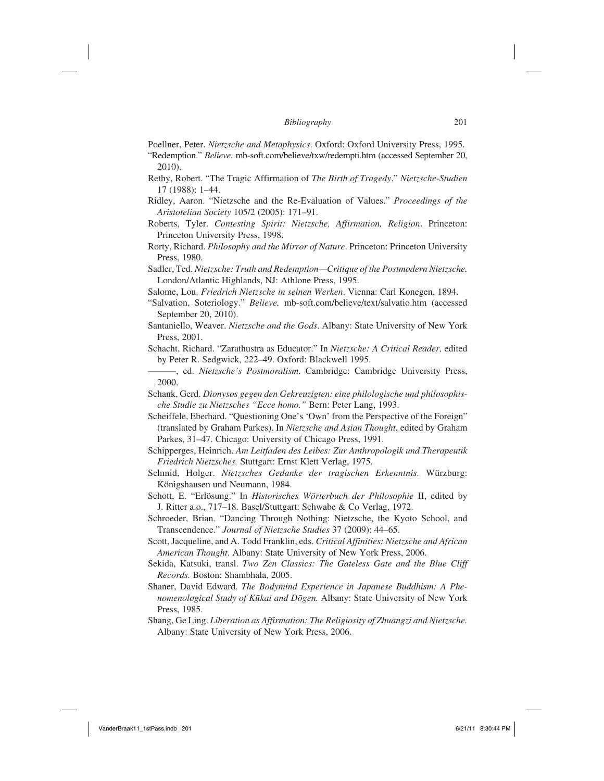Poellner, Peter. *Nietzsche and Metaphysics*. Oxford: Oxford University Press, 1995. "Redemption." *Believe.* mb-soft.com/believe/txw/redempti.htm (accessed September 20, 2010).

- Rethy, Robert. "The Tragic Affirmation of *The Birth of Tragedy*." *Nietzsche-Studien* 17 (1988): 1–44.
- Ridley, Aaron. "Nietzsche and the Re-Evaluation of Values." *Proceedings of the Aristotelian Society* 105/2 (2005): 171–91.
- Roberts, Tyler. *Contesting Spirit: Nietzsche, Affirmation, Religion*. Princeton: Princeton University Press, 1998.
- Rorty, Richard. *Philosophy and the Mirror of Nature*. Princeton: Princeton University Press, 1980.
- Sadler, Ted. *Nietzsche: Truth and Redemption—Critique of the Postmodern Nietzsche.* London/Atlantic Highlands, NJ: Athlone Press, 1995.
- Salome, Lou. *Friedrich Nietzsche in seinen Werken*. Vienna: Carl Konegen, 1894.
- "Salvation, Soteriology." *Believe.* mb-soft.com/believe/text/salvatio.htm (accessed September 20, 2010).
- Santaniello, Weaver. *Nietzsche and the Gods*. Albany: State University of New York Press, 2001.
- Schacht, Richard. "Zarathustra as Educator." In *Nietzsche: A Critical Reader,* edited by Peter R. Sedgwick, 222–49. Oxford: Blackwell 1995.
- ———, ed. *Nietzsche's Postmoralism*. Cambridge: Cambridge University Press, 2000.
- Schank, Gerd. *Dionysos gegen den Gekreuzigten: eine philologische und philosophische Studie zu Nietzsches "Ecce homo."* Bern: Peter Lang, 1993.
- Scheiffele, Eberhard. "Questioning One's 'Own' from the Perspective of the Foreign" (translated by Graham Parkes). In *Nietzsche and Asian Thought*, edited by Graham Parkes, 31–47. Chicago: University of Chicago Press, 1991.
- Schipperges, Heinrich. *Am Leitfaden des Leibes: Zur Anthropologik und Therapeutik Friedrich Nietzsches.* Stuttgart: Ernst Klett Verlag, 1975.
- Schmid, Holger. *Nietzsches Gedanke der tragischen Erkenntnis.* Würzburg: Königshausen und Neumann, 1984.
- Schott, E. "Erlösung." In *Historisches Wörterbuch der Philosophie* II, edited by J. Ritter a.o., 717–18. Basel/Stuttgart: Schwabe & Co Verlag, 1972.
- Schroeder, Brian. "Dancing Through Nothing: Nietzsche, the Kyoto School, and Transcendence." *Journal of Nietzsche Studies* 37 (2009): 44–65.
- Scott, Jacqueline, and A. Todd Franklin, eds. *Critical Affinities: Nietzsche and African American Thought*. Albany: State University of New York Press, 2006.
- Sekida, Katsuki, transl. *Two Zen Classics: The Gateless Gate and the Blue Cliff Records.* Boston: Shambhala, 2005.
- Shaner, David Edward. *The Bodymind Experience in Japanese Buddhism: A Phenomenological Study of Kūkai and Dōgen.* Albany: State University of New York Press, 1985.

Shang, Ge Ling. *Liberation as Affirmation: The Religiosity of Zhuangzi and Nietzsche.* Albany: State University of New York Press, 2006.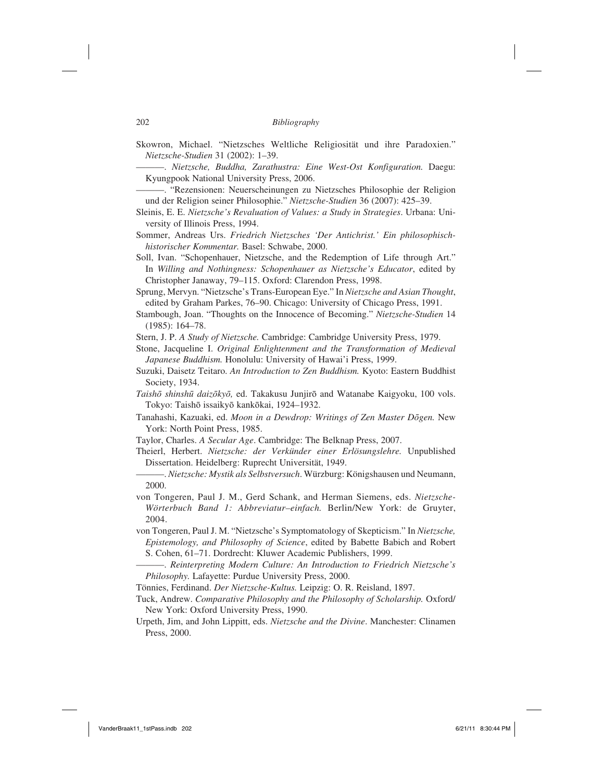- Skowron, Michael. "Nietzsches Weltliche Religiosität und ihre Paradoxien." *Nietzsche-Studien* 31 (2002): 1–39.
- ———. *Nietzsche, Buddha, Zarathustra: Eine West-Ost Konfiguration.* Daegu: Kyungpook National University Press, 2006.
- ———. "Rezensionen: Neuerscheinungen zu Nietzsches Philosophie der Religion und der Religion seiner Philosophie." *Nietzsche-Studien* 36 (2007): 425–39.
- Sleinis, E. E. *Nietzsche's Revaluation of Values: a Study in Strategies*. Urbana: University of Illinois Press, 1994.
- Sommer, Andreas Urs. *Friedrich Nietzsches 'Der Antichrist.' Ein philosophischhistorischer Kommentar.* Basel: Schwabe, 2000.
- Soll, Ivan. "Schopenhauer, Nietzsche, and the Redemption of Life through Art." In *Willing and Nothingness: Schopenhauer as Nietzsche's Educator*, edited by Christopher Janaway, 79–115. Oxford: Clarendon Press, 1998.
- Sprung, Mervyn. "Nietzsche's Trans-European Eye." In *Nietzsche and Asian Thought*, edited by Graham Parkes, 76–90. Chicago: University of Chicago Press, 1991.
- Stambough, Joan. "Thoughts on the Innocence of Becoming." *Nietzsche-Studien* 14 (1985): 164–78.
- Stern, J. P. *A Study of Nietzsche.* Cambridge: Cambridge University Press, 1979.
- Stone, Jacqueline I. *Original Enlightenment and the Transformation of Medieval Japanese Buddhism.* Honolulu: University of Hawai'i Press, 1999.
- Suzuki, Daisetz Teitaro. *An Introduction to Zen Buddhism.* Kyoto: Eastern Buddhist Society, 1934.
- *Taishō shinshū daizōkyō,* ed. Takakusu Junjirō and Watanabe Kaigyoku, 100 vols. Tokyo: Taishō issaikyō kankōkai, 1924–1932.
- Tanahashi, Kazuaki, ed. *Moon in a Dewdrop: Writings of Zen Master Dōgen.* New York: North Point Press, 1985.
- Taylor, Charles. *A Secular Age*. Cambridge: The Belknap Press, 2007.
- Theierl, Herbert. *Nietzsche: der Verkünder einer Erlösungslehre.* Unpublished Dissertation. Heidelberg: Ruprecht Universität, 1949.
- ———. *Nietzsche: Mystik als Selbstversuch*. Würzburg: Königshausen und Neumann, 2000.
- von Tongeren, Paul J. M., Gerd Schank, and Herman Siemens, eds. *Nietzsche-Wörterbuch Band 1: Abbreviatur–einfach.* Berlin/New York: de Gruyter, 2004.
- von Tongeren, Paul J. M. "Nietzsche's Symptomatology of Skepticism." In *Nietzsche, Epistemology, and Philosophy of Science*, edited by Babette Babich and Robert S. Cohen, 61–71. Dordrecht: Kluwer Academic Publishers, 1999.

———. *Reinterpreting Modern Culture: An Introduction to Friedrich Nietzsche's Philosophy.* Lafayette: Purdue University Press, 2000.

Tönnies, Ferdinand. *Der Nietzsche-Kultus.* Leipzig: O. R. Reisland, 1897.

- Tuck, Andrew. *Comparative Philosophy and the Philosophy of Scholarship.* Oxford/ New York: Oxford University Press, 1990.
- Urpeth, Jim, and John Lippitt, eds. *Nietzsche and the Divine*. Manchester: Clinamen Press, 2000.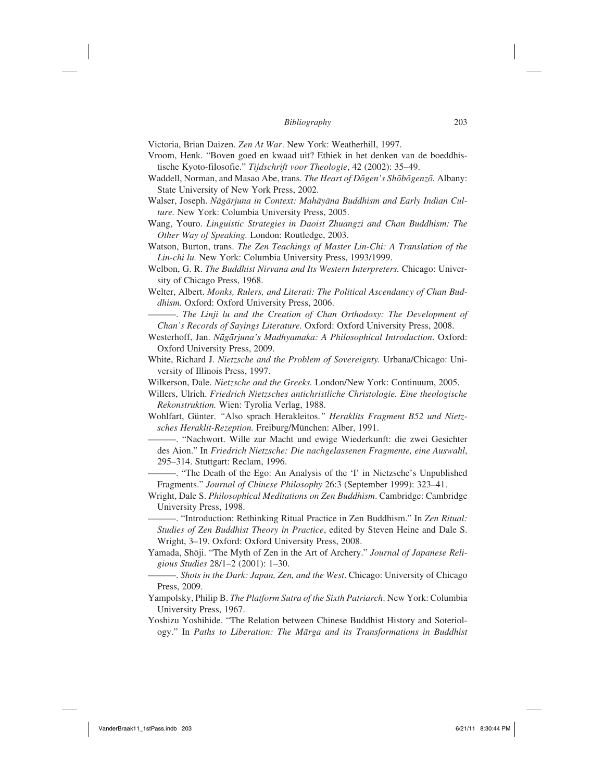Victoria, Brian Daizen. *Zen At War*. New York: Weatherhill, 1997.

- Vroom, Henk. "Boven goed en kwaad uit? Ethiek in het denken van de boeddhistische Kyoto-filosofie." *Tijdschrift voor Theologie*, 42 (2002): 35–49.
- Waddell, Norman, and Masao Abe, trans. *The Heart of Dōgen's Shōbōgenzō.* Albany: State University of New York Press, 2002.
- Walser, Joseph. *Nāgārjuna in Context: Mahāyāna Buddhism and Early Indian Culture.* New York: Columbia University Press, 2005.
- Wang, Youro. *Linguistic Strategies in Daoist Zhuangzi and Chan Buddhism: The Other Way of Speaking.* London: Routledge, 2003.
- Watson, Burton, trans. *The Zen Teachings of Master Lin-Chi: A Translation of the Lin-chi lu.* New York: Columbia University Press, 1993/1999.
- Welbon, G. R. *The Buddhist Nirvana and Its Western Interpreters.* Chicago: University of Chicago Press, 1968.
- Welter, Albert. *Monks, Rulers, and Literati: The Political Ascendancy of Chan Buddhism.* Oxford: Oxford University Press, 2006.
- -. The Linji lu and the Creation of Chan Orthodoxy: The Development of *Chan's Records of Sayings Literature.* Oxford: Oxford University Press, 2008.
- Westerhoff, Jan. *Nāgārjuna's Madhyamaka: A Philosophical Introduction*. Oxford: Oxford University Press, 2009.
- White, Richard J. *Nietzsche and the Problem of Sovereignty.* Urbana/Chicago: University of Illinois Press, 1997.
- Wilkerson, Dale. *Nietzsche and the Greeks.* London/New York: Continuum, 2005.
- Willers, Ulrich. *Friedrich Nietzsches antichristliche Christologie. Eine theologische Rekonstruktion.* Wien: Tyrolia Verlag, 1988.
- Wohlfart, Günter. *"*Also sprach Herakleitos.*" Heraklits Fragment B52 und Nietzsches Heraklit-Rezeption.* Freiburg/München: Alber, 1991.
- ———. "Nachwort. Wille zur Macht und ewige Wiederkunft: die zwei Gesichter des Aion." In *Friedrich Nietzsche: Die nachgelassenen Fragmente, eine Auswahl*, 295–314. Stuttgart: Reclam, 1996.
- ———. "The Death of the Ego: An Analysis of the 'I' in Nietzsche's Unpublished Fragments." *Journal of Chinese Philosophy* 26:3 (September 1999): 323–41.
- Wright, Dale S. *Philosophical Meditations on Zen Buddhism*. Cambridge: Cambridge University Press, 1998.

———. "Introduction: Rethinking Ritual Practice in Zen Buddhism." In *Zen Ritual: Studies of Zen Buddhist Theory in Practice*, edited by Steven Heine and Dale S. Wright, 3–19. Oxford: Oxford University Press, 2008.

Yamada, Shōji. "The Myth of Zen in the Art of Archery." *Journal of Japanese Religious Studies* 28/1–2 (2001): 1–30.

- Yampolsky, Philip B. *The Platform Sutra of the Sixth Patriarch*. New York: Columbia University Press, 1967.
- Yoshizu Yoshihide. "The Relation between Chinese Buddhist History and Soteriology." In *Paths to Liberation: The Mārga and its Transformations in Buddhist*

<sup>———.</sup> *Shots in the Dark: Japan, Zen, and the West*. Chicago: University of Chicago Press, 2009.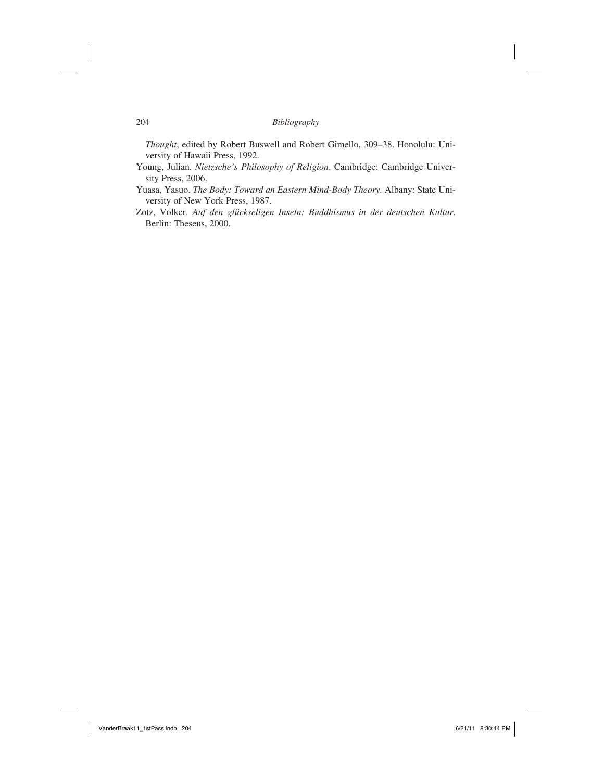*Thought*, edited by Robert Buswell and Robert Gimello, 309–38. Honolulu: University of Hawaii Press, 1992.

- Young, Julian. *Nietzsche's Philosophy of Religion*. Cambridge: Cambridge University Press, 2006.
- Yuasa, Yasuo. *The Body: Toward an Eastern Mind-Body Theory.* Albany: State University of New York Press, 1987.
- Zotz, Volker. *Auf den glückseligen Inseln: Buddhismus in der deutschen Kultur*. Berlin: Theseus, 2000.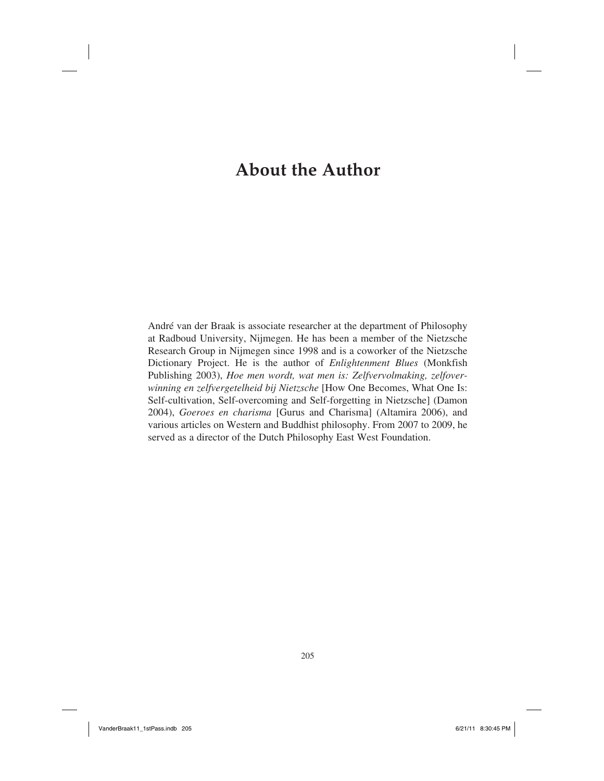# **About the Author**

André van der Braak is associate researcher at the department of Philosophy at Radboud University, Nijmegen. He has been a member of the Nietzsche Research Group in Nijmegen since 1998 and is a coworker of the Nietzsche Dictionary Project. He is the author of *Enlightenment Blues* (Monkfish Publishing 2003), *Hoe men wordt, wat men is: Zelfvervolmaking, zelfoverwinning en zelfvergetelheid bij Nietzsche* [How One Becomes, What One Is: Self-cultivation, Self-overcoming and Self-forgetting in Nietzsche] (Damon 2004), *Goeroes en charisma* [Gurus and Charisma] (Altamira 2006), and various articles on Western and Buddhist philosophy. From 2007 to 2009, he served as a director of the Dutch Philosophy East West Foundation.